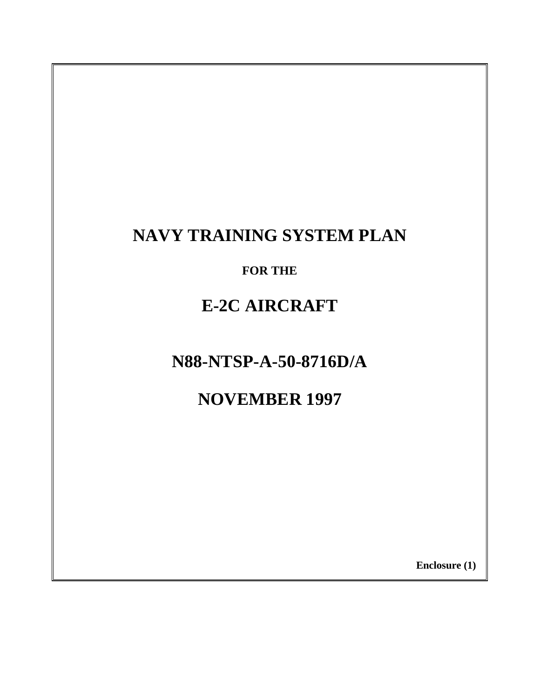# **NAVY TRAINING SYSTEM PLAN**

**FOR THE**

# **E-2C AIRCRAFT**

**N88-NTSP-A-50-8716D/A**

**NOVEMBER 1997**

**Enclosure (1)**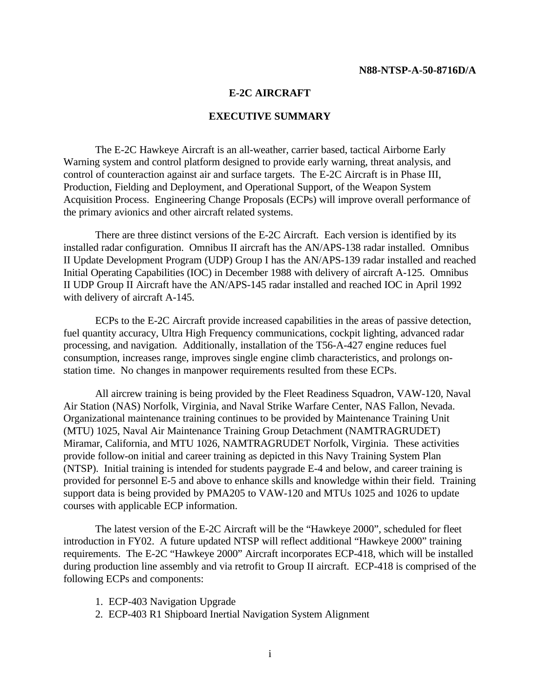#### **E-2C AIRCRAFT**

#### **EXECUTIVE SUMMARY**

<span id="page-1-0"></span>The E-2C Hawkeye Aircraft is an all-weather, carrier based, tactical Airborne Early Warning system and control platform designed to provide early warning, threat analysis, and control of counteraction against air and surface targets. The E-2C Aircraft is in Phase III, Production, Fielding and Deployment, and Operational Support, of the Weapon System Acquisition Process. Engineering Change Proposals (ECPs) will improve overall performance of the primary avionics and other aircraft related systems.

There are three distinct versions of the E-2C Aircraft. Each version is identified by its installed radar configuration. Omnibus II aircraft has the AN/APS-138 radar installed. Omnibus II Update Development Program (UDP) Group I has the AN/APS-139 radar installed and reached Initial Operating Capabilities (IOC) in December 1988 with delivery of aircraft A-125. Omnibus II UDP Group II Aircraft have the AN/APS-145 radar installed and reached IOC in April 1992 with delivery of aircraft A-145.

ECPs to the E-2C Aircraft provide increased capabilities in the areas of passive detection, fuel quantity accuracy, Ultra High Frequency communications, cockpit lighting, advanced radar processing, and navigation. Additionally, installation of the T56-A-427 engine reduces fuel consumption, increases range, improves single engine climb characteristics, and prolongs onstation time. No changes in manpower requirements resulted from these ECPs.

All aircrew training is being provided by the Fleet Readiness Squadron, VAW-120, Naval Air Station (NAS) Norfolk, Virginia, and Naval Strike Warfare Center, NAS Fallon, Nevada. Organizational maintenance training continues to be provided by Maintenance Training Unit (MTU) 1025, Naval Air Maintenance Training Group Detachment (NAMTRAGRUDET) Miramar, California, and MTU 1026, NAMTRAGRUDET Norfolk, Virginia. These activities provide follow-on initial and career training as depicted in this Navy Training System Plan (NTSP). Initial training is intended for students paygrade E-4 and below, and career training is provided for personnel E-5 and above to enhance skills and knowledge within their field. Training support data is being provided by PMA205 to VAW-120 and MTUs 1025 and 1026 to update courses with applicable ECP information.

The latest version of the E-2C Aircraft will be the "Hawkeye 2000", scheduled for fleet introduction in FY02. A future updated NTSP will reflect additional "Hawkeye 2000" training requirements. The E-2C "Hawkeye 2000" Aircraft incorporates ECP-418, which will be installed during production line assembly and via retrofit to Group II aircraft. ECP-418 is comprised of the following ECPs and components:

- 1. ECP-403 Navigation Upgrade
- 2. ECP-403 R1 Shipboard Inertial Navigation System Alignment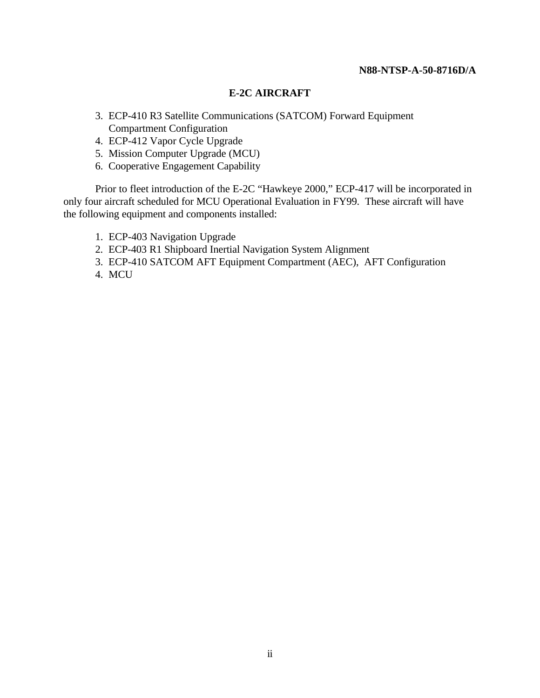#### **E-2C AIRCRAFT**

- 3. ECP-410 R3 Satellite Communications (SATCOM) Forward Equipment Compartment Configuration
- 4. ECP-412 Vapor Cycle Upgrade
- 5. Mission Computer Upgrade (MCU)
- 6. Cooperative Engagement Capability

Prior to fleet introduction of the E-2C "Hawkeye 2000," ECP-417 will be incorporated in only four aircraft scheduled for MCU Operational Evaluation in FY99. These aircraft will have the following equipment and components installed:

- 1. ECP-403 Navigation Upgrade
- 2. ECP-403 R1 Shipboard Inertial Navigation System Alignment
- 3. ECP-410 SATCOM AFT Equipment Compartment (AEC), AFT Configuration
- 4. MCU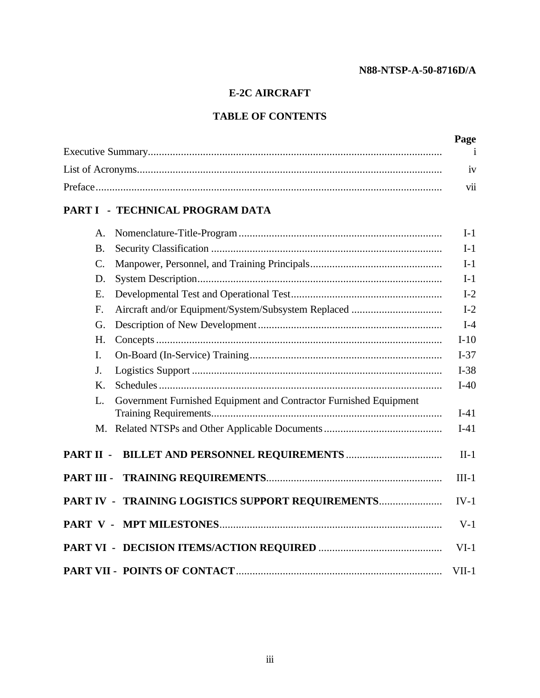# **E-2C AIRCRAFT**

# **TABLE OF CONTENTS**

| Page |
|------|
|      |
| iv   |
| V11  |

# **[PART I - TECHNICAL PROGRAM DATA](#page-8-0)**

| Α.         |                                                                   | $I-1$   |
|------------|-------------------------------------------------------------------|---------|
| <b>B.</b>  |                                                                   | $I-1$   |
| C.         |                                                                   | $I-1$   |
| D.         |                                                                   | $I-1$   |
| E.         |                                                                   | $I-2$   |
| F.         |                                                                   | $I-2$   |
| G.         |                                                                   | $I-4$   |
| H.         |                                                                   | $I-10$  |
| Ι.         |                                                                   | $I-37$  |
| J.         |                                                                   | $I-38$  |
| K.         |                                                                   | $I-40$  |
| L.         | Government Furnished Equipment and Contractor Furnished Equipment | $I-41$  |
|            |                                                                   | $I-41$  |
| PART II -  |                                                                   | $II-1$  |
| PART III - |                                                                   | $III-1$ |
|            | PART IV - TRAINING LOGISTICS SUPPORT REQUIREMENTS                 | $IV-1$  |
|            |                                                                   | $V-1$   |
|            |                                                                   | $VI-1$  |
|            |                                                                   | $VII-1$ |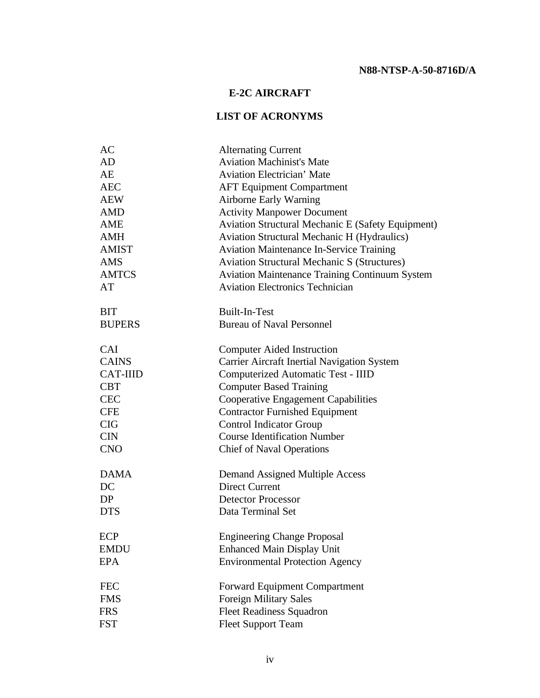# **E-2C AIRCRAFT**

# **LIST OF ACRONYMS**

<span id="page-4-0"></span>

| AC              | <b>Alternating Current</b>                            |
|-----------------|-------------------------------------------------------|
| <b>AD</b>       | <b>Aviation Machinist's Mate</b>                      |
| AE              | <b>Aviation Electrician' Mate</b>                     |
| <b>AEC</b>      | <b>AFT Equipment Compartment</b>                      |
| <b>AEW</b>      | Airborne Early Warning                                |
| <b>AMD</b>      | <b>Activity Manpower Document</b>                     |
| <b>AME</b>      | Aviation Structural Mechanic E (Safety Equipment)     |
| <b>AMH</b>      | <b>Aviation Structural Mechanic H (Hydraulics)</b>    |
| <b>AMIST</b>    | <b>Aviation Maintenance In-Service Training</b>       |
| AMS             | <b>Aviation Structural Mechanic S (Structures)</b>    |
| <b>AMTCS</b>    | <b>Aviation Maintenance Training Continuum System</b> |
| AT              | <b>Aviation Electronics Technician</b>                |
| <b>BIT</b>      | <b>Built-In-Test</b>                                  |
| <b>BUPERS</b>   | <b>Bureau of Naval Personnel</b>                      |
| <b>CAI</b>      | <b>Computer Aided Instruction</b>                     |
| <b>CAINS</b>    | <b>Carrier Aircraft Inertial Navigation System</b>    |
| <b>CAT-IIID</b> | Computerized Automatic Test - IIID                    |
| <b>CBT</b>      | <b>Computer Based Training</b>                        |
| <b>CEC</b>      | <b>Cooperative Engagement Capabilities</b>            |
| <b>CFE</b>      | <b>Contractor Furnished Equipment</b>                 |
| <b>CIG</b>      | <b>Control Indicator Group</b>                        |
| <b>CIN</b>      | <b>Course Identification Number</b>                   |
| <b>CNO</b>      | <b>Chief of Naval Operations</b>                      |
| <b>DAMA</b>     | <b>Demand Assigned Multiple Access</b>                |
| DC              | <b>Direct Current</b>                                 |
| DP              | <b>Detector Processor</b>                             |
| <b>DTS</b>      | Data Terminal Set                                     |
| <b>ECP</b>      | <b>Engineering Change Proposal</b>                    |
| <b>EMDU</b>     | <b>Enhanced Main Display Unit</b>                     |
| <b>EPA</b>      | <b>Environmental Protection Agency</b>                |
| <b>FEC</b>      | <b>Forward Equipment Compartment</b>                  |
| <b>FMS</b>      | Foreign Military Sales                                |
| <b>FRS</b>      | <b>Fleet Readiness Squadron</b>                       |
| <b>FST</b>      | <b>Fleet Support Team</b>                             |
|                 |                                                       |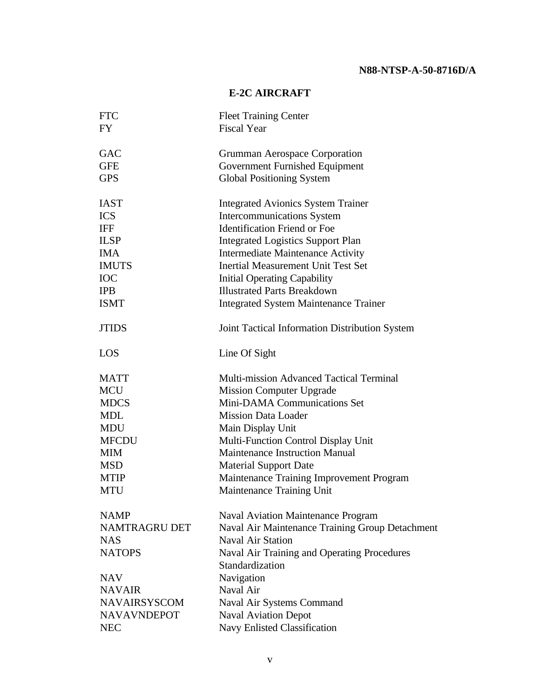# **E-2C AIRCRAFT**

| <b>FTC</b>           | <b>Fleet Training Center</b>                    |
|----------------------|-------------------------------------------------|
| <b>FY</b>            | <b>Fiscal Year</b>                              |
| <b>GAC</b>           | Grumman Aerospace Corporation                   |
| <b>GFE</b>           | Government Furnished Equipment                  |
| <b>GPS</b>           | <b>Global Positioning System</b>                |
|                      |                                                 |
| <b>IAST</b>          | <b>Integrated Avionics System Trainer</b>       |
| <b>ICS</b>           | <b>Intercommunications System</b>               |
| <b>IFF</b>           | <b>Identification Friend or Foe</b>             |
| <b>ILSP</b>          | <b>Integrated Logistics Support Plan</b>        |
| <b>IMA</b>           | Intermediate Maintenance Activity               |
| <b>IMUTS</b>         | <b>Inertial Measurement Unit Test Set</b>       |
| <b>IOC</b>           | <b>Initial Operating Capability</b>             |
| <b>IPB</b>           | <b>Illustrated Parts Breakdown</b>              |
| <b>ISMT</b>          | <b>Integrated System Maintenance Trainer</b>    |
| <b>JTIDS</b>         | Joint Tactical Information Distribution System  |
| LOS                  | Line Of Sight                                   |
| <b>MATT</b>          | <b>Multi-mission Advanced Tactical Terminal</b> |
| <b>MCU</b>           | <b>Mission Computer Upgrade</b>                 |
| <b>MDCS</b>          | Mini-DAMA Communications Set                    |
| MDL                  | <b>Mission Data Loader</b>                      |
| <b>MDU</b>           | Main Display Unit                               |
| <b>MFCDU</b>         | Multi-Function Control Display Unit             |
| MIM                  | <b>Maintenance Instruction Manual</b>           |
| MSD                  | <b>Material Support Date</b>                    |
| <b>MTIP</b>          | Maintenance Training Improvement Program        |
| <b>MTU</b>           | Maintenance Training Unit                       |
| <b>NAMP</b>          | <b>Naval Aviation Maintenance Program</b>       |
| <b>NAMTRAGRU DET</b> | Naval Air Maintenance Training Group Detachment |
| <b>NAS</b>           | <b>Naval Air Station</b>                        |
| <b>NATOPS</b>        | Naval Air Training and Operating Procedures     |
|                      | Standardization                                 |
| <b>NAV</b>           | Navigation                                      |
| <b>NAVAIR</b>        | Naval Air                                       |
| <b>NAVAIRSYSCOM</b>  | Naval Air Systems Command                       |
| <b>NAVAVNDEPOT</b>   | <b>Naval Aviation Depot</b>                     |
| <b>NEC</b>           | Navy Enlisted Classification                    |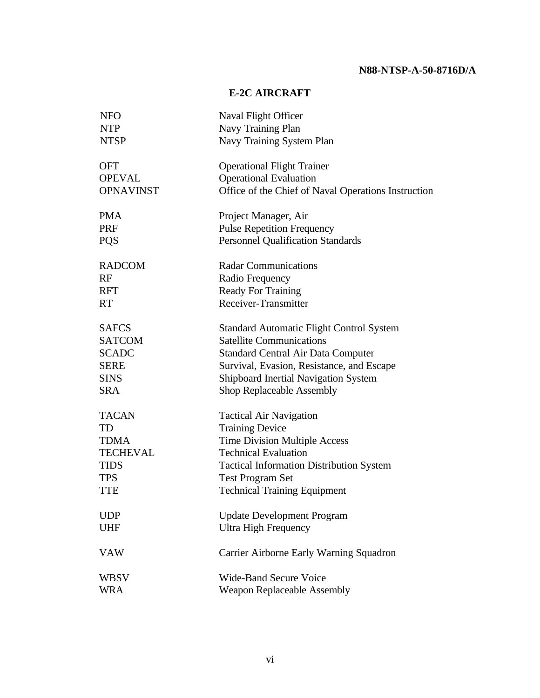# **E-2C AIRCRAFT**

| <b>NFO</b>       | Naval Flight Officer                                |
|------------------|-----------------------------------------------------|
| <b>NTP</b>       | Navy Training Plan                                  |
| <b>NTSP</b>      | Navy Training System Plan                           |
| <b>OFT</b>       | <b>Operational Flight Trainer</b>                   |
| <b>OPEVAL</b>    | <b>Operational Evaluation</b>                       |
| <b>OPNAVINST</b> | Office of the Chief of Naval Operations Instruction |
| <b>PMA</b>       | Project Manager, Air                                |
| PRF              | <b>Pulse Repetition Frequency</b>                   |
| <b>PQS</b>       | <b>Personnel Qualification Standards</b>            |
| <b>RADCOM</b>    | <b>Radar Communications</b>                         |
| RF               | Radio Frequency                                     |
| <b>RFT</b>       | <b>Ready For Training</b>                           |
| <b>RT</b>        | Receiver-Transmitter                                |
| <b>SAFCS</b>     | <b>Standard Automatic Flight Control System</b>     |
| <b>SATCOM</b>    | <b>Satellite Communications</b>                     |
| <b>SCADC</b>     | <b>Standard Central Air Data Computer</b>           |
| <b>SERE</b>      | Survival, Evasion, Resistance, and Escape           |
| <b>SINS</b>      | Shipboard Inertial Navigation System                |
| <b>SRA</b>       | Shop Replaceable Assembly                           |
| <b>TACAN</b>     | <b>Tactical Air Navigation</b>                      |
| TD               | <b>Training Device</b>                              |
| <b>TDMA</b>      | <b>Time Division Multiple Access</b>                |
| <b>TECHEVAL</b>  | <b>Technical Evaluation</b>                         |
| <b>TIDS</b>      | <b>Tactical Information Distribution System</b>     |
| <b>TPS</b>       | <b>Test Program Set</b>                             |
| <b>TTE</b>       | <b>Technical Training Equipment</b>                 |
| <b>UDP</b>       | <b>Update Development Program</b>                   |
| <b>UHF</b>       | <b>Ultra High Frequency</b>                         |
| <b>VAW</b>       | Carrier Airborne Early Warning Squadron             |
| WBSV             | <b>Wide-Band Secure Voice</b>                       |
| <b>WRA</b>       | Weapon Replaceable Assembly                         |
|                  |                                                     |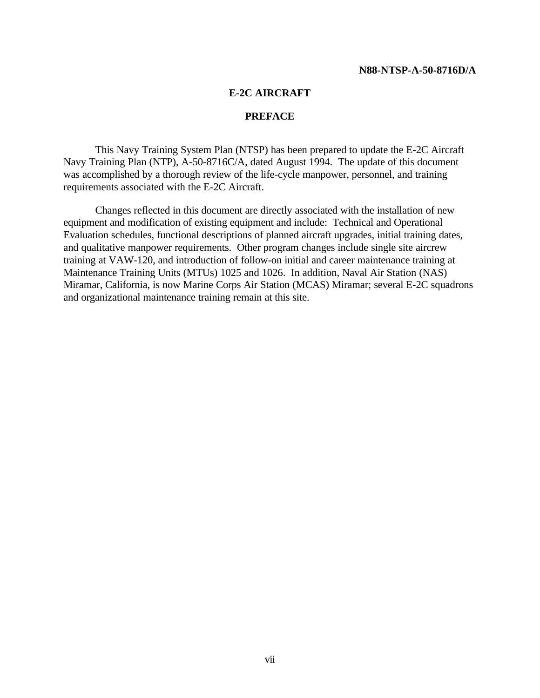#### **E-2C AIRCRAFT**

#### **PREFACE**

<span id="page-7-0"></span>This Navy Training System Plan (NTSP) has been prepared to update the E-2C Aircraft Navy Training Plan (NTP), A-50-8716C/A, dated August 1994. The update of this document was accomplished by a thorough review of the life-cycle manpower, personnel, and training requirements associated with the E-2C Aircraft.

Changes reflected in this document are directly associated with the installation of new equipment and modification of existing equipment and include: Technical and Operational Evaluation schedules, functional descriptions of planned aircraft upgrades, initial training dates, and qualitative manpower requirements. Other program changes include single site aircrew training at VAW-120, and introduction of follow-on initial and career maintenance training at Maintenance Training Units (MTUs) 1025 and 1026. In addition, Naval Air Station (NAS) Miramar, California, is now Marine Corps Air Station (MCAS) Miramar; several E-2C squadrons and organizational maintenance training remain at this site.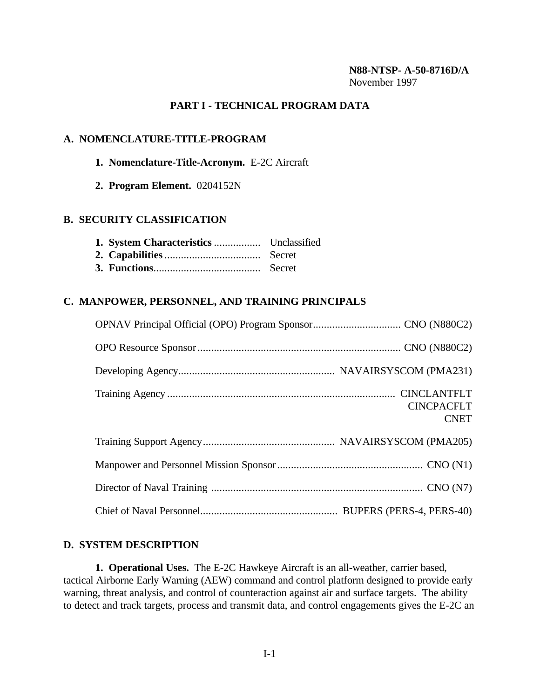#### **N88-NTSP- A-50-8716D/A** November 1997

#### **PART I - TECHNICAL PROGRAM DATA**

#### <span id="page-8-0"></span>**A. NOMENCLATURE-TITLE-PROGRAM**

#### **1. Nomenclature-Title-Acronym.** E-2C Aircraft

**2. Program Element.** 0204152N

#### **B. SECURITY CLASSIFICATION**

#### **C. MANPOWER, PERSONNEL, AND TRAINING PRINCIPALS**

| <b>CINCPACFLT</b><br><b>CNET</b> |
|----------------------------------|
|                                  |
|                                  |
|                                  |
|                                  |

#### **D. SYSTEM DESCRIPTION**

**1. Operational Uses.** The E-2C Hawkeye Aircraft is an all-weather, carrier based, tactical Airborne Early Warning (AEW) command and control platform designed to provide early warning, threat analysis, and control of counteraction against air and surface targets. The ability to detect and track targets, process and transmit data, and control engagements gives the E-2C an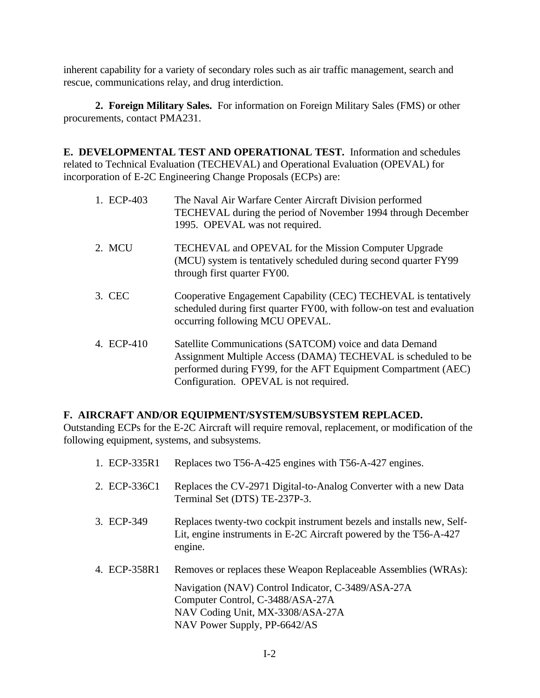inherent capability for a variety of secondary roles such as air traffic management, search and rescue, communications relay, and drug interdiction.

**2. Foreign Military Sales.** For information on Foreign Military Sales (FMS) or other procurements, contact PMA231.

<span id="page-9-0"></span>**E. DEVELOPMENTAL TEST AND OPERATIONAL TEST.** Information and schedules related to Technical Evaluation (TECHEVAL) and Operational Evaluation (OPEVAL) for incorporation of E-2C Engineering Change Proposals (ECPs) are:

| 1. ECP-403 | The Naval Air Warfare Center Aircraft Division performed<br>TECHEVAL during the period of November 1994 through December<br>1995. OPEVAL was not required.                                                                           |
|------------|--------------------------------------------------------------------------------------------------------------------------------------------------------------------------------------------------------------------------------------|
| 2. MCU     | <b>TECHEVAL</b> and OPEVAL for the Mission Computer Upgrade<br>(MCU) system is tentatively scheduled during second quarter FY99<br>through first quarter FY00.                                                                       |
| 3. CEC     | Cooperative Engagement Capability (CEC) TECHEVAL is tentatively<br>scheduled during first quarter FY00, with follow-on test and evaluation<br>occurring following MCU OPEVAL.                                                        |
| 4. ECP-410 | Satellite Communications (SATCOM) voice and data Demand<br>Assignment Multiple Access (DAMA) TECHEVAL is scheduled to be<br>performed during FY99, for the AFT Equipment Compartment (AEC)<br>Configuration. OPEVAL is not required. |

### **F. AIRCRAFT AND/OR EQUIPMENT/SYSTEM/SUBSYSTEM REPLACED.**

Outstanding ECPs for the E-2C Aircraft will require removal, replacement, or modification of the following equipment, systems, and subsystems.

| 1. ECP-335R1 | Replaces two T56-A-425 engines with T56-A-427 engines.                                                                                                                                                                        |
|--------------|-------------------------------------------------------------------------------------------------------------------------------------------------------------------------------------------------------------------------------|
| 2. ECP-336C1 | Replaces the CV-2971 Digital-to-Analog Converter with a new Data<br>Terminal Set (DTS) TE-237P-3.                                                                                                                             |
| 3. ECP-349   | Replaces twenty-two cockpit instrument bezels and installs new, Self-<br>Lit, engine instruments in E-2C Aircraft powered by the T56-A-427<br>engine.                                                                         |
| 4. ECP-358R1 | Removes or replaces these Weapon Replaceable Assemblies (WRAs):<br>Navigation (NAV) Control Indicator, C-3489/ASA-27A<br>Computer Control, C-3488/ASA-27A<br>NAV Coding Unit, MX-3308/ASA-27A<br>NAV Power Supply, PP-6642/AS |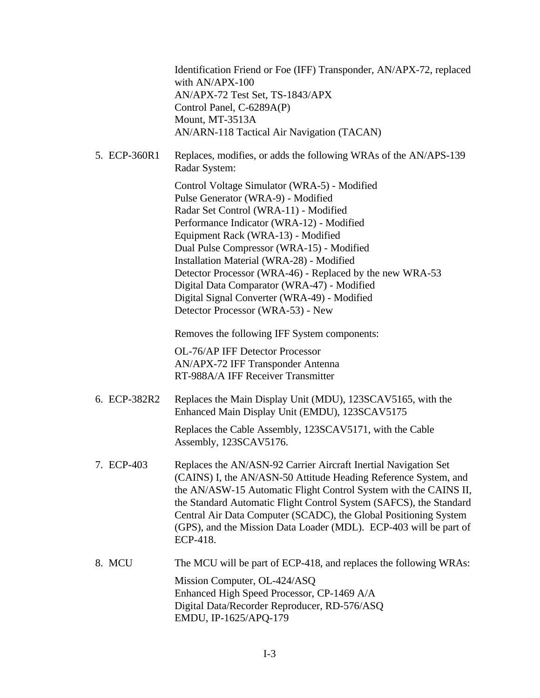|              | Identification Friend or Foe (IFF) Transponder, AN/APX-72, replaced<br>with AN/APX-100<br>AN/APX-72 Test Set, TS-1843/APX<br>Control Panel, C-6289A(P)<br>Mount, MT-3513A<br>AN/ARN-118 Tactical Air Navigation (TACAN)                                                                                                                                                                                                                                                                                  |
|--------------|----------------------------------------------------------------------------------------------------------------------------------------------------------------------------------------------------------------------------------------------------------------------------------------------------------------------------------------------------------------------------------------------------------------------------------------------------------------------------------------------------------|
| 5. ECP-360R1 | Replaces, modifies, or adds the following WRAs of the AN/APS-139<br>Radar System:                                                                                                                                                                                                                                                                                                                                                                                                                        |
|              | Control Voltage Simulator (WRA-5) - Modified<br>Pulse Generator (WRA-9) - Modified<br>Radar Set Control (WRA-11) - Modified<br>Performance Indicator (WRA-12) - Modified<br>Equipment Rack (WRA-13) - Modified<br>Dual Pulse Compressor (WRA-15) - Modified<br>Installation Material (WRA-28) - Modified<br>Detector Processor (WRA-46) - Replaced by the new WRA-53<br>Digital Data Comparator (WRA-47) - Modified<br>Digital Signal Converter (WRA-49) - Modified<br>Detector Processor (WRA-53) - New |
|              | Removes the following IFF System components:                                                                                                                                                                                                                                                                                                                                                                                                                                                             |
|              | OL-76/AP IFF Detector Processor<br>AN/APX-72 IFF Transponder Antenna<br>RT-988A/A IFF Receiver Transmitter                                                                                                                                                                                                                                                                                                                                                                                               |
| 6. ECP-382R2 | Replaces the Main Display Unit (MDU), 123SCAV5165, with the<br>Enhanced Main Display Unit (EMDU), 123SCAV5175                                                                                                                                                                                                                                                                                                                                                                                            |
|              | Replaces the Cable Assembly, 123SCAV5171, with the Cable<br>Assembly, 123SCAV5176.                                                                                                                                                                                                                                                                                                                                                                                                                       |
| 7. ECP-403   | Replaces the AN/ASN-92 Carrier Aircraft Inertial Navigation Set<br>(CAINS) I, the AN/ASN-50 Attitude Heading Reference System, and<br>the AN/ASW-15 Automatic Flight Control System with the CAINS II,<br>the Standard Automatic Flight Control System (SAFCS), the Standard<br>Central Air Data Computer (SCADC), the Global Positioning System<br>(GPS), and the Mission Data Loader (MDL). ECP-403 will be part of<br>ECP-418.                                                                        |
| 8. MCU       | The MCU will be part of ECP-418, and replaces the following WRAs:                                                                                                                                                                                                                                                                                                                                                                                                                                        |
|              | Mission Computer, OL-424/ASQ<br>Enhanced High Speed Processor, CP-1469 A/A<br>Digital Data/Recorder Reproducer, RD-576/ASQ<br>EMDU, IP-1625/APQ-179                                                                                                                                                                                                                                                                                                                                                      |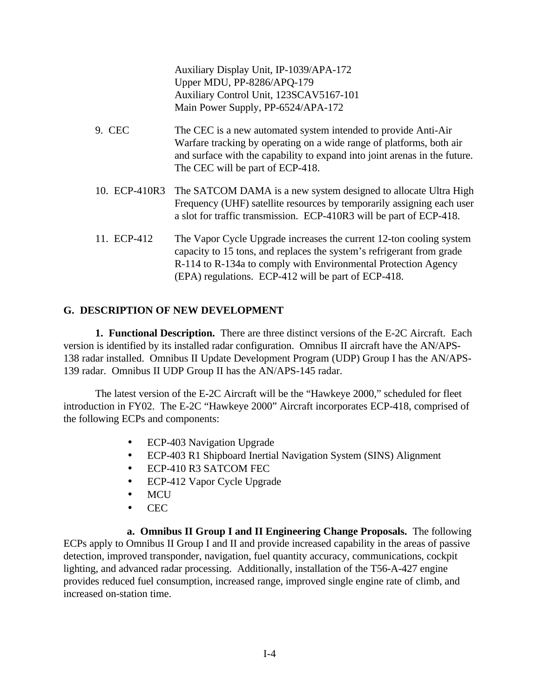Auxiliary Display Unit, IP-1039/APA-172 Upper MDU, PP-8286/APQ-179 Auxiliary Control Unit, 123SCAV5167-101 Main Power Supply, PP-6524/APA-172

- 9. CEC The CEC is a new automated system intended to provide Anti-Air Warfare tracking by operating on a wide range of platforms, both air and surface with the capability to expand into joint arenas in the future. The CEC will be part of ECP-418.
- 10. ECP-410R3 The SATCOM DAMA is a new system designed to allocate Ultra High Frequency (UHF) satellite resources by temporarily assigning each user a slot for traffic transmission. ECP-410R3 will be part of ECP-418.
- 11. ECP-412 The Vapor Cycle Upgrade increases the current 12-ton cooling system capacity to 15 tons, and replaces the system's refrigerant from grade R-114 to R-134a to comply with Environmental Protection Agency (EPA) regulations. ECP-412 will be part of ECP-418.

### <span id="page-11-0"></span>**G. DESCRIPTION OF NEW DEVELOPMENT**

**1. Functional Description.** There are three distinct versions of the E-2C Aircraft. Each version is identified by its installed radar configuration. Omnibus II aircraft have the AN/APS-138 radar installed. Omnibus II Update Development Program (UDP) Group I has the AN/APS-139 radar. Omnibus II UDP Group II has the AN/APS-145 radar.

The latest version of the E-2C Aircraft will be the "Hawkeye 2000," scheduled for fleet introduction in FY02. The E-2C "Hawkeye 2000" Aircraft incorporates ECP-418, comprised of the following ECPs and components:

- ECP-403 Navigation Upgrade
- ECP-403 R1 Shipboard Inertial Navigation System (SINS) Alignment
- ECP-410 R3 SATCOM FEC
- ECP-412 Vapor Cycle Upgrade
- MCU
- CEC

**a. Omnibus II Group I and II Engineering Change Proposals.** The following ECPs apply to Omnibus II Group I and II and provide increased capability in the areas of passive detection, improved transponder, navigation, fuel quantity accuracy, communications, cockpit lighting, and advanced radar processing. Additionally, installation of the T56-A-427 engine provides reduced fuel consumption, increased range, improved single engine rate of climb, and increased on-station time.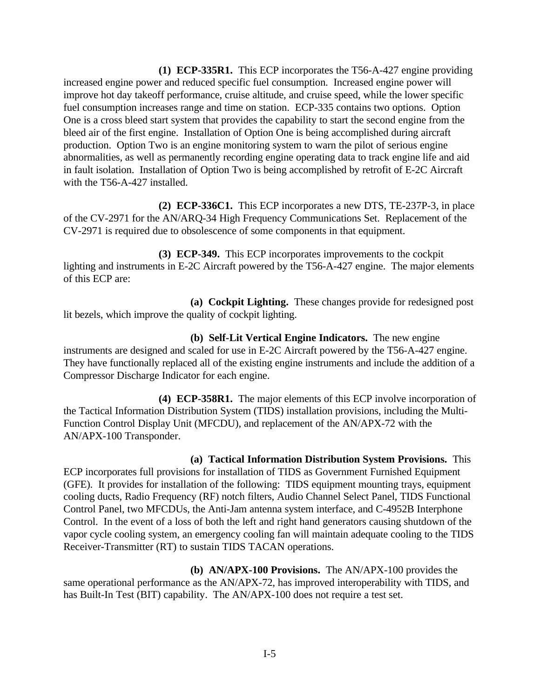**(1) ECP-335R1.** This ECP incorporates the T56-A-427 engine providing increased engine power and reduced specific fuel consumption. Increased engine power will improve hot day takeoff performance, cruise altitude, and cruise speed, while the lower specific fuel consumption increases range and time on station. ECP-335 contains two options. Option One is a cross bleed start system that provides the capability to start the second engine from the bleed air of the first engine. Installation of Option One is being accomplished during aircraft production. Option Two is an engine monitoring system to warn the pilot of serious engine abnormalities, as well as permanently recording engine operating data to track engine life and aid in fault isolation. Installation of Option Two is being accomplished by retrofit of E-2C Aircraft with the T56-A-427 installed.

**(2) ECP-336C1.** This ECP incorporates a new DTS, TE-237P-3, in place of the CV-2971 for the AN/ARQ-34 High Frequency Communications Set. Replacement of the CV-2971 is required due to obsolescence of some components in that equipment.

**(3) ECP-349.** This ECP incorporates improvements to the cockpit lighting and instruments in E-2C Aircraft powered by the T56-A-427 engine. The major elements of this ECP are:

**(a) Cockpit Lighting.** These changes provide for redesigned post lit bezels, which improve the quality of cockpit lighting.

**(b) Self-Lit Vertical Engine Indicators.** The new engine instruments are designed and scaled for use in E-2C Aircraft powered by the T56-A-427 engine. They have functionally replaced all of the existing engine instruments and include the addition of a Compressor Discharge Indicator for each engine.

**(4) ECP-358R1.** The major elements of this ECP involve incorporation of the Tactical Information Distribution System (TIDS) installation provisions, including the Multi-Function Control Display Unit (MFCDU), and replacement of the AN/APX-72 with the AN/APX-100 Transponder.

**(a) Tactical Information Distribution System Provisions.** This ECP incorporates full provisions for installation of TIDS as Government Furnished Equipment (GFE). It provides for installation of the following: TIDS equipment mounting trays, equipment cooling ducts, Radio Frequency (RF) notch filters, Audio Channel Select Panel, TIDS Functional Control Panel, two MFCDUs, the Anti-Jam antenna system interface, and C-4952B Interphone Control. In the event of a loss of both the left and right hand generators causing shutdown of the vapor cycle cooling system, an emergency cooling fan will maintain adequate cooling to the TIDS Receiver-Transmitter (RT) to sustain TIDS TACAN operations.

**(b) AN/APX-100 Provisions.** The AN/APX-100 provides the same operational performance as the AN/APX-72, has improved interoperability with TIDS, and has Built-In Test (BIT) capability. The AN/APX-100 does not require a test set.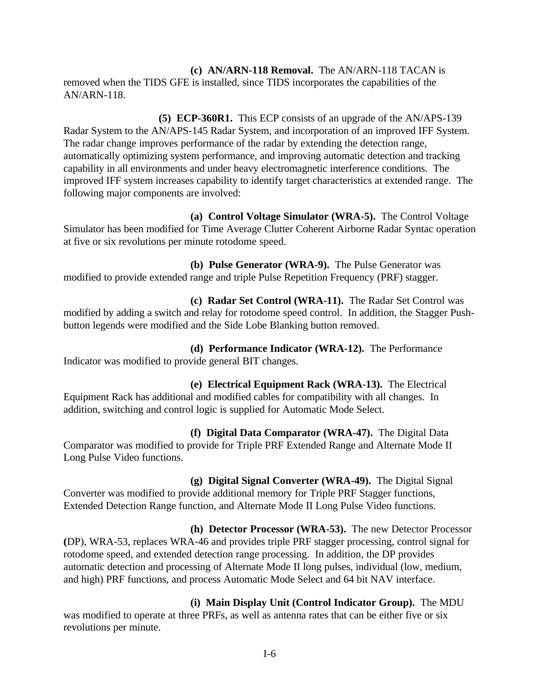**(c) AN/ARN-118 Removal.** The AN/ARN-118 TACAN is removed when the TIDS GFE is installed, since TIDS incorporates the capabilities of the AN/ARN-118.

**(5) ECP-360R1.** This ECP consists of an upgrade of the AN/APS-139 Radar System to the AN/APS-145 Radar System, and incorporation of an improved IFF System. The radar change improves performance of the radar by extending the detection range, automatically optimizing system performance, and improving automatic detection and tracking capability in all environments and under heavy electromagnetic interference conditions. The improved IFF system increases capability to identify target characteristics at extended range. The following major components are involved:

**(a) Control Voltage Simulator (WRA-5).** The Control Voltage Simulator has been modified for Time Average Clutter Coherent Airborne Radar Syntac operation at five or six revolutions per minute rotodome speed.

**(b) Pulse Generator (WRA-9).** The Pulse Generator was modified to provide extended range and triple Pulse Repetition Frequency (PRF) stagger.

**(c) Radar Set Control (WRA-11).** The Radar Set Control was modified by adding a switch and relay for rotodome speed control. In addition, the Stagger Pushbutton legends were modified and the Side Lobe Blanking button removed.

**(d) Performance Indicator (WRA-12).** The Performance Indicator was modified to provide general BIT changes.

**(e) Electrical Equipment Rack (WRA-13).** The Electrical Equipment Rack has additional and modified cables for compatibility with all changes. In addition, switching and control logic is supplied for Automatic Mode Select.

**(f) Digital Data Comparator (WRA-47).** The Digital Data Comparator was modified to provide for Triple PRF Extended Range and Alternate Mode II Long Pulse Video functions.

**(g) Digital Signal Converter (WRA-49).** The Digital Signal Converter was modified to provide additional memory for Triple PRF Stagger functions, Extended Detection Range function, and Alternate Mode II Long Pulse Video functions.

**(h) Detector Processor (WRA-53).** The new Detector Processor **(**DP), WRA-53, replaces WRA-46 and provides triple PRF stagger processing, control signal for rotodome speed, and extended detection range processing. In addition, the DP provides automatic detection and processing of Alternate Mode II long pulses, individual (low, medium, and high) PRF functions, and process Automatic Mode Select and 64 bit NAV interface.

**(i) Main Display Unit (Control Indicator Group).** The MDU was modified to operate at three PRFs, as well as antenna rates that can be either five or six revolutions per minute.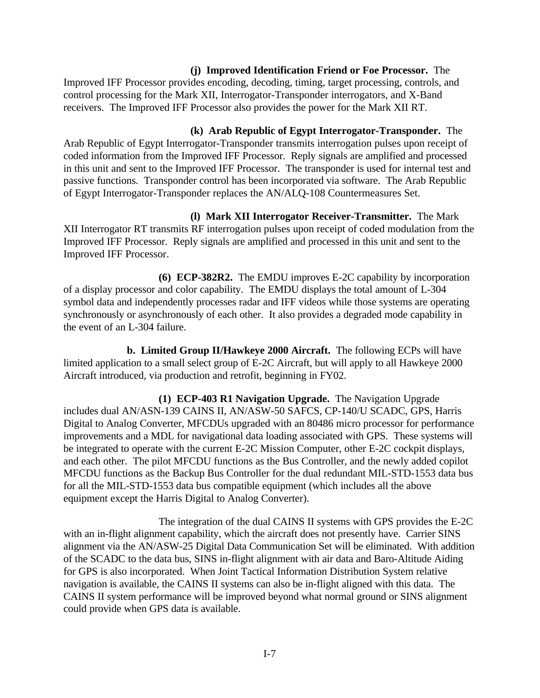#### **(j) Improved Identification Friend or Foe Processor.** The Improved IFF Processor provides encoding, decoding, timing, target processing, controls, and control processing for the Mark XII, Interrogator-Transponder interrogators, and X-Band receivers. The Improved IFF Processor also provides the power for the Mark XII RT.

**(k) Arab Republic of Egypt Interrogator-Transponder.** The Arab Republic of Egypt Interrogator-Transponder transmits interrogation pulses upon receipt of coded information from the Improved IFF Processor. Reply signals are amplified and processed in this unit and sent to the Improved IFF Processor. The transponder is used for internal test and passive functions. Transponder control has been incorporated via software. The Arab Republic of Egypt Interrogator-Transponder replaces the AN/ALQ-108 Countermeasures Set.

**(l) Mark XII Interrogator Receiver-Transmitter.** The Mark XII Interrogator RT transmits RF interrogation pulses upon receipt of coded modulation from the Improved IFF Processor. Reply signals are amplified and processed in this unit and sent to the Improved IFF Processor.

**(6) ECP-382R2.** The EMDU improves E-2C capability by incorporation of a display processor and color capability. The EMDU displays the total amount of L-304 symbol data and independently processes radar and IFF videos while those systems are operating synchronously or asynchronously of each other. It also provides a degraded mode capability in the event of an L-304 failure.

**b. Limited Group II/Hawkeye 2000 Aircraft.** The following ECPs will have limited application to a small select group of E-2C Aircraft, but will apply to all Hawkeye 2000 Aircraft introduced, via production and retrofit, beginning in FY02.

**(1) ECP-403 R1 Navigation Upgrade.** The Navigation Upgrade includes dual AN/ASN-139 CAINS II, AN/ASW-50 SAFCS, CP-140/U SCADC, GPS, Harris Digital to Analog Converter, MFCDUs upgraded with an 80486 micro processor for performance improvements and a MDL for navigational data loading associated with GPS. These systems will be integrated to operate with the current E-2C Mission Computer, other E-2C cockpit displays, and each other. The pilot MFCDU functions as the Bus Controller, and the newly added copilot MFCDU functions as the Backup Bus Controller for the dual redundant MIL-STD-1553 data bus for all the MIL-STD-1553 data bus compatible equipment (which includes all the above equipment except the Harris Digital to Analog Converter).

The integration of the dual CAINS II systems with GPS provides the E-2C with an in-flight alignment capability, which the aircraft does not presently have. Carrier SINS alignment via the AN/ASW-25 Digital Data Communication Set will be eliminated. With addition of the SCADC to the data bus, SINS in-flight alignment with air data and Baro-Altitude Aiding for GPS is also incorporated. When Joint Tactical Information Distribution System relative navigation is available, the CAINS II systems can also be in-flight aligned with this data. The CAINS II system performance will be improved beyond what normal ground or SINS alignment could provide when GPS data is available.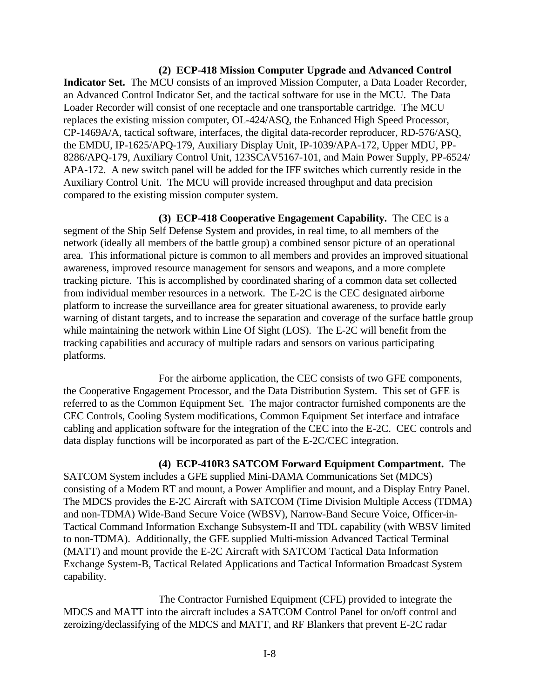#### **(2) ECP-418 Mission Computer Upgrade and Advanced Control**

**Indicator Set.** The MCU consists of an improved Mission Computer, a Data Loader Recorder, an Advanced Control Indicator Set, and the tactical software for use in the MCU. The Data Loader Recorder will consist of one receptacle and one transportable cartridge. The MCU replaces the existing mission computer, OL-424/ASQ, the Enhanced High Speed Processor, CP-1469A/A, tactical software, interfaces, the digital data-recorder reproducer, RD-576/ASQ, the EMDU, IP-1625/APQ-179, Auxiliary Display Unit, IP-1039/APA-172, Upper MDU, PP-8286/APQ-179, Auxiliary Control Unit, 123SCAV5167-101, and Main Power Supply, PP-6524/ APA-172. A new switch panel will be added for the IFF switches which currently reside in the Auxiliary Control Unit. The MCU will provide increased throughput and data precision compared to the existing mission computer system.

**(3) ECP-418 Cooperative Engagement Capability.** The CEC is a segment of the Ship Self Defense System and provides, in real time, to all members of the network (ideally all members of the battle group) a combined sensor picture of an operational area. This informational picture is common to all members and provides an improved situational awareness, improved resource management for sensors and weapons, and a more complete tracking picture. This is accomplished by coordinated sharing of a common data set collected from individual member resources in a network. The E-2C is the CEC designated airborne platform to increase the surveillance area for greater situational awareness, to provide early warning of distant targets, and to increase the separation and coverage of the surface battle group while maintaining the network within Line Of Sight (LOS). The E-2C will benefit from the tracking capabilities and accuracy of multiple radars and sensors on various participating platforms.

For the airborne application, the CEC consists of two GFE components, the Cooperative Engagement Processor, and the Data Distribution System. This set of GFE is referred to as the Common Equipment Set. The major contractor furnished components are the CEC Controls, Cooling System modifications, Common Equipment Set interface and intraface cabling and application software for the integration of the CEC into the E-2C. CEC controls and data display functions will be incorporated as part of the E-2C/CEC integration.

#### **(4) ECP-410R3 SATCOM Forward Equipment Compartment.** The

SATCOM System includes a GFE supplied Mini-DAMA Communications Set (MDCS) consisting of a Modem RT and mount, a Power Amplifier and mount, and a Display Entry Panel. The MDCS provides the E-2C Aircraft with SATCOM (Time Division Multiple Access (TDMA) and non-TDMA) Wide-Band Secure Voice (WBSV), Narrow-Band Secure Voice, Officer-in-Tactical Command Information Exchange Subsystem-II and TDL capability (with WBSV limited to non-TDMA). Additionally, the GFE supplied Multi-mission Advanced Tactical Terminal (MATT) and mount provide the E-2C Aircraft with SATCOM Tactical Data Information Exchange System-B, Tactical Related Applications and Tactical Information Broadcast System capability.

The Contractor Furnished Equipment (CFE) provided to integrate the MDCS and MATT into the aircraft includes a SATCOM Control Panel for on/off control and zeroizing/declassifying of the MDCS and MATT, and RF Blankers that prevent E-2C radar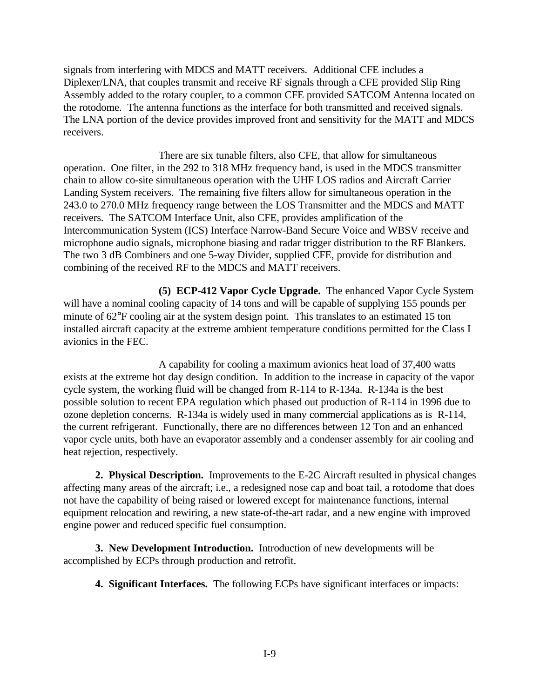signals from interfering with MDCS and MATT receivers. Additional CFE includes a Diplexer/LNA, that couples transmit and receive RF signals through a CFE provided Slip Ring Assembly added to the rotary coupler, to a common CFE provided SATCOM Antenna located on the rotodome. The antenna functions as the interface for both transmitted and received signals. The LNA portion of the device provides improved front and sensitivity for the MATT and MDCS receivers.

There are six tunable filters, also CFE, that allow for simultaneous operation. One filter, in the 292 to 318 MHz frequency band, is used in the MDCS transmitter chain to allow co-site simultaneous operation with the UHF LOS radios and Aircraft Carrier Landing System receivers. The remaining five filters allow for simultaneous operation in the 243.0 to 270.0 MHz frequency range between the LOS Transmitter and the MDCS and MATT receivers. The SATCOM Interface Unit, also CFE, provides amplification of the Intercommunication System (ICS) Interface Narrow-Band Secure Voice and WBSV receive and microphone audio signals, microphone biasing and radar trigger distribution to the RF Blankers. The two 3 dB Combiners and one 5-way Divider, supplied CFE, provide for distribution and combining of the received RF to the MDCS and MATT receivers.

**(5) ECP-412 Vapor Cycle Upgrade.** The enhanced Vapor Cycle System will have a nominal cooling capacity of 14 tons and will be capable of supplying 155 pounds per minute of 62°F cooling air at the system design point. This translates to an estimated 15 ton installed aircraft capacity at the extreme ambient temperature conditions permitted for the Class I avionics in the FEC.

A capability for cooling a maximum avionics heat load of 37,400 watts exists at the extreme hot day design condition. In addition to the increase in capacity of the vapor cycle system, the working fluid will be changed from R-114 to R-134a. R-134a is the best possible solution to recent EPA regulation which phased out production of R-114 in 1996 due to ozone depletion concerns. R-134a is widely used in many commercial applications as is R-114, the current refrigerant. Functionally, there are no differences between 12 Ton and an enhanced vapor cycle units, both have an evaporator assembly and a condenser assembly for air cooling and heat rejection, respectively.

**2. Physical Description.** Improvements to the E-2C Aircraft resulted in physical changes affecting many areas of the aircraft; i.e., a redesigned nose cap and boat tail, a rotodome that does not have the capability of being raised or lowered except for maintenance functions, internal equipment relocation and rewiring, a new state-of-the-art radar, and a new engine with improved engine power and reduced specific fuel consumption.

**3. New Development Introduction.** Introduction of new developments will be accomplished by ECPs through production and retrofit.

**4. Significant Interfaces.** The following ECPs have significant interfaces or impacts: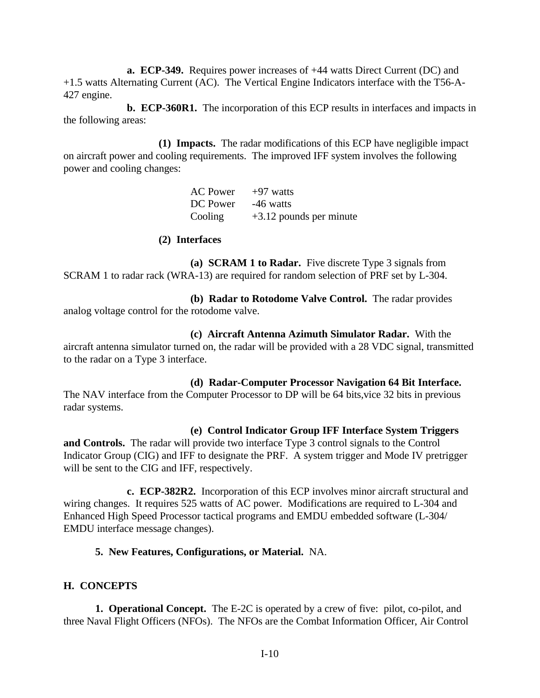**a. ECP-349.** Requires power increases of +44 watts Direct Current (DC) and +1.5 watts Alternating Current (AC). The Vertical Engine Indicators interface with the T56-A-427 engine.

**b. ECP-360R1.** The incorporation of this ECP results in interfaces and impacts in the following areas:

**(1) Impacts.** The radar modifications of this ECP have negligible impact on aircraft power and cooling requirements. The improved IFF system involves the following power and cooling changes:

| AC Power | +97 watts                 |
|----------|---------------------------|
| DC Power | -46 watts                 |
| Cooling  | $+3.12$ pounds per minute |

#### **(2) Interfaces**

<span id="page-17-0"></span>**(a) SCRAM 1 to Radar.** Five discrete Type 3 signals from SCRAM 1 to radar rack (WRA-13) are required for random selection of PRF set by L-304.

**(b) Radar to Rotodome Valve Control.** The radar provides analog voltage control for the rotodome valve.

**(c) Aircraft Antenna Azimuth Simulator Radar.** With the aircraft antenna simulator turned on, the radar will be provided with a 28 VDC signal, transmitted to the radar on a Type 3 interface.

### **(d) Radar-Computer Processor Navigation 64 Bit Interface.**

The NAV interface from the Computer Processor to DP will be 64 bits,vice 32 bits in previous radar systems.

### **(e) Control Indicator Group IFF Interface System Triggers**

**and Controls.** The radar will provide two interface Type 3 control signals to the Control Indicator Group (CIG) and IFF to designate the PRF. A system trigger and Mode IV pretrigger will be sent to the CIG and IFF, respectively.

**c. ECP-382R2.** Incorporation of this ECP involves minor aircraft structural and wiring changes. It requires 525 watts of AC power. Modifications are required to L-304 and Enhanced High Speed Processor tactical programs and EMDU embedded software (L-304/ EMDU interface message changes).

### **5. New Features, Configurations, or Material.** NA.

### **H. CONCEPTS**

**1. Operational Concept.** The E-2C is operated by a crew of five: pilot, co-pilot, and three Naval Flight Officers (NFOs). The NFOs are the Combat Information Officer, Air Control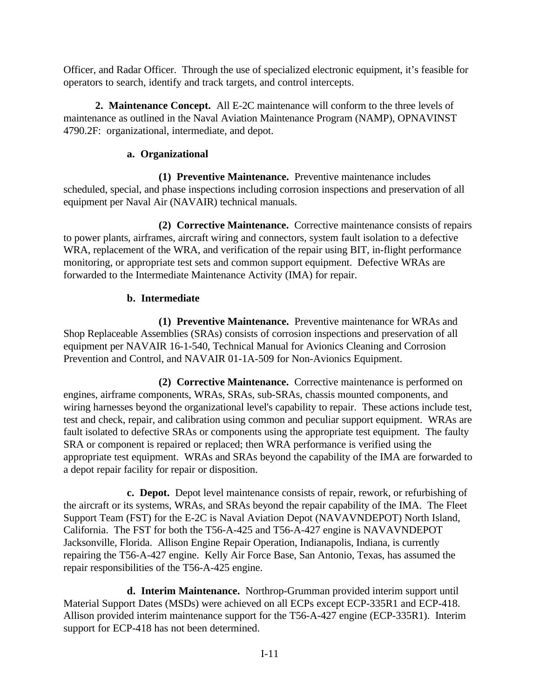Officer, and Radar Officer. Through the use of specialized electronic equipment, it's feasible for operators to search, identify and track targets, and control intercepts.

**2. Maintenance Concept.** All E-2C maintenance will conform to the three levels of maintenance as outlined in the Naval Aviation Maintenance Program (NAMP), OPNAVINST 4790.2F: organizational, intermediate, and depot.

# **a. Organizational**

**(1) Preventive Maintenance.** Preventive maintenance includes scheduled, special, and phase inspections including corrosion inspections and preservation of all equipment per Naval Air (NAVAIR) technical manuals.

**(2) Corrective Maintenance.** Corrective maintenance consists of repairs to power plants, airframes, aircraft wiring and connectors, system fault isolation to a defective WRA, replacement of the WRA, and verification of the repair using BIT, in-flight performance monitoring, or appropriate test sets and common support equipment. Defective WRAs are forwarded to the Intermediate Maintenance Activity (IMA) for repair.

# **b. Intermediate**

**(1) Preventive Maintenance.** Preventive maintenance for WRAs and Shop Replaceable Assemblies (SRAs) consists of corrosion inspections and preservation of all equipment per NAVAIR 16-1-540, Technical Manual for Avionics Cleaning and Corrosion Prevention and Control, and NAVAIR 01-1A-509 for Non-Avionics Equipment.

**(2) Corrective Maintenance.** Corrective maintenance is performed on engines, airframe components, WRAs, SRAs, sub-SRAs, chassis mounted components, and wiring harnesses beyond the organizational level's capability to repair. These actions include test, test and check, repair, and calibration using common and peculiar support equipment. WRAs are fault isolated to defective SRAs or components using the appropriate test equipment. The faulty SRA or component is repaired or replaced; then WRA performance is verified using the appropriate test equipment. WRAs and SRAs beyond the capability of the IMA are forwarded to a depot repair facility for repair or disposition.

**c. Depot.** Depot level maintenance consists of repair, rework, or refurbishing of the aircraft or its systems, WRAs, and SRAs beyond the repair capability of the IMA. The Fleet Support Team (FST) for the E-2C is Naval Aviation Depot (NAVAVNDEPOT) North Island, California. The FST for both the T56-A-425 and T56-A-427 engine is NAVAVNDEPOT Jacksonville, Florida. Allison Engine Repair Operation, Indianapolis, Indiana, is currently repairing the T56-A-427 engine. Kelly Air Force Base, San Antonio, Texas, has assumed the repair responsibilities of the T56-A-425 engine.

**d. Interim Maintenance.** Northrop-Grumman provided interim support until Material Support Dates (MSDs) were achieved on all ECPs except ECP-335R1 and ECP-418. Allison provided interim maintenance support for the T56-A-427 engine (ECP-335R1). Interim support for ECP-418 has not been determined.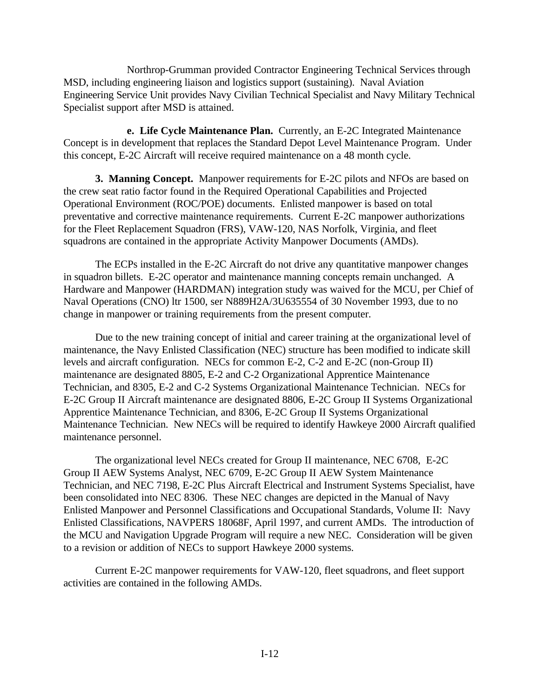Northrop-Grumman provided Contractor Engineering Technical Services through MSD, including engineering liaison and logistics support (sustaining). Naval Aviation Engineering Service Unit provides Navy Civilian Technical Specialist and Navy Military Technical Specialist support after MSD is attained.

**e. Life Cycle Maintenance Plan.** Currently, an E-2C Integrated Maintenance Concept is in development that replaces the Standard Depot Level Maintenance Program. Under this concept, E-2C Aircraft will receive required maintenance on a 48 month cycle.

**3. Manning Concept.** Manpower requirements for E-2C pilots and NFOs are based on the crew seat ratio factor found in the Required Operational Capabilities and Projected Operational Environment (ROC/POE) documents. Enlisted manpower is based on total preventative and corrective maintenance requirements. Current E-2C manpower authorizations for the Fleet Replacement Squadron (FRS), VAW-120, NAS Norfolk, Virginia, and fleet squadrons are contained in the appropriate Activity Manpower Documents (AMDs).

The ECPs installed in the E-2C Aircraft do not drive any quantitative manpower changes in squadron billets. E-2C operator and maintenance manning concepts remain unchanged. A Hardware and Manpower (HARDMAN) integration study was waived for the MCU, per Chief of Naval Operations (CNO) ltr 1500, ser N889H2A/3U635554 of 30 November 1993, due to no change in manpower or training requirements from the present computer.

Due to the new training concept of initial and career training at the organizational level of maintenance, the Navy Enlisted Classification (NEC) structure has been modified to indicate skill levels and aircraft configuration. NECs for common E-2, C-2 and E-2C (non-Group II) maintenance are designated 8805, E-2 and C-2 Organizational Apprentice Maintenance Technician, and 8305, E-2 and C-2 Systems Organizational Maintenance Technician. NECs for E-2C Group II Aircraft maintenance are designated 8806, E-2C Group II Systems Organizational Apprentice Maintenance Technician, and 8306, E-2C Group II Systems Organizational Maintenance Technician. New NECs will be required to identify Hawkeye 2000 Aircraft qualified maintenance personnel.

The organizational level NECs created for Group II maintenance, NEC 6708, E-2C Group II AEW Systems Analyst, NEC 6709, E-2C Group II AEW System Maintenance Technician, and NEC 7198, E-2C Plus Aircraft Electrical and Instrument Systems Specialist, have been consolidated into NEC 8306. These NEC changes are depicted in the Manual of Navy Enlisted Manpower and Personnel Classifications and Occupational Standards, Volume II: Navy Enlisted Classifications, NAVPERS 18068F, April 1997, and current AMDs. The introduction of the MCU and Navigation Upgrade Program will require a new NEC. Consideration will be given to a revision or addition of NECs to support Hawkeye 2000 systems.

Current E-2C manpower requirements for VAW-120, fleet squadrons, and fleet support activities are contained in the following AMDs.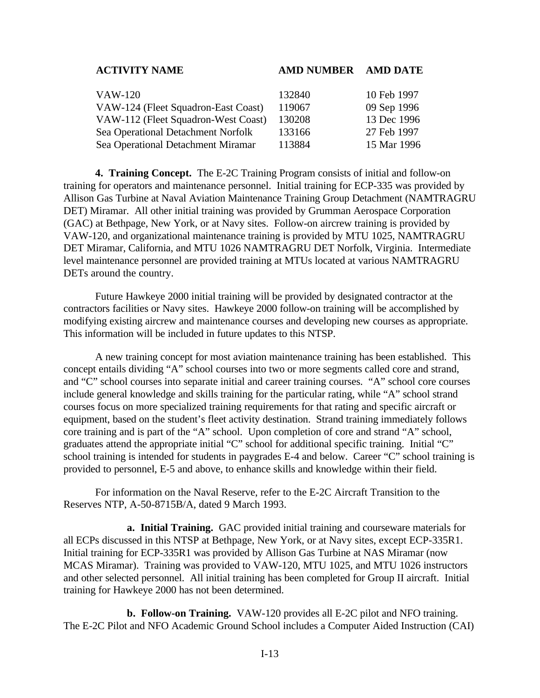### **ACTIVITY NAME AMD NUMBER AMD DATE**

| VAW-120                             | 132840 | 10 Feb 1997 |
|-------------------------------------|--------|-------------|
| VAW-124 (Fleet Squadron-East Coast) | 119067 | 09 Sep 1996 |
| VAW-112 (Fleet Squadron-West Coast) | 130208 | 13 Dec 1996 |
| Sea Operational Detachment Norfolk  | 133166 | 27 Feb 1997 |
| Sea Operational Detachment Miramar  | 113884 | 15 Mar 1996 |

**4. Training Concept.** The E-2C Training Program consists of initial and follow-on training for operators and maintenance personnel. Initial training for ECP-335 was provided by Allison Gas Turbine at Naval Aviation Maintenance Training Group Detachment (NAMTRAGRU DET) Miramar. All other initial training was provided by Grumman Aerospace Corporation (GAC) at Bethpage, New York, or at Navy sites. Follow-on aircrew training is provided by VAW-120, and organizational maintenance training is provided by MTU 1025, NAMTRAGRU DET Miramar, California, and MTU 1026 NAMTRAGRU DET Norfolk, Virginia. Intermediate level maintenance personnel are provided training at MTUs located at various NAMTRAGRU DETs around the country.

Future Hawkeye 2000 initial training will be provided by designated contractor at the contractors facilities or Navy sites. Hawkeye 2000 follow-on training will be accomplished by modifying existing aircrew and maintenance courses and developing new courses as appropriate. This information will be included in future updates to this NTSP.

A new training concept for most aviation maintenance training has been established. This concept entails dividing "A" school courses into two or more segments called core and strand, and "C" school courses into separate initial and career training courses. "A" school core courses include general knowledge and skills training for the particular rating, while "A" school strand courses focus on more specialized training requirements for that rating and specific aircraft or equipment, based on the student's fleet activity destination. Strand training immediately follows core training and is part of the "A" school. Upon completion of core and strand "A" school, graduates attend the appropriate initial "C" school for additional specific training. Initial "C" school training is intended for students in paygrades E-4 and below. Career "C" school training is provided to personnel, E-5 and above, to enhance skills and knowledge within their field.

For information on the Naval Reserve, refer to the E-2C Aircraft Transition to the Reserves NTP, A-50-8715B/A, dated 9 March 1993.

**a. Initial Training.** GAC provided initial training and courseware materials for all ECPs discussed in this NTSP at Bethpage, New York, or at Navy sites, except ECP-335R1. Initial training for ECP-335R1 was provided by Allison Gas Turbine at NAS Miramar (now MCAS Miramar). Training was provided to VAW-120, MTU 1025, and MTU 1026 instructors and other selected personnel. All initial training has been completed for Group II aircraft. Initial training for Hawkeye 2000 has not been determined.

**b. Follow-on Training.** VAW-120 provides all E-2C pilot and NFO training. The E-2C Pilot and NFO Academic Ground School includes a Computer Aided Instruction (CAI)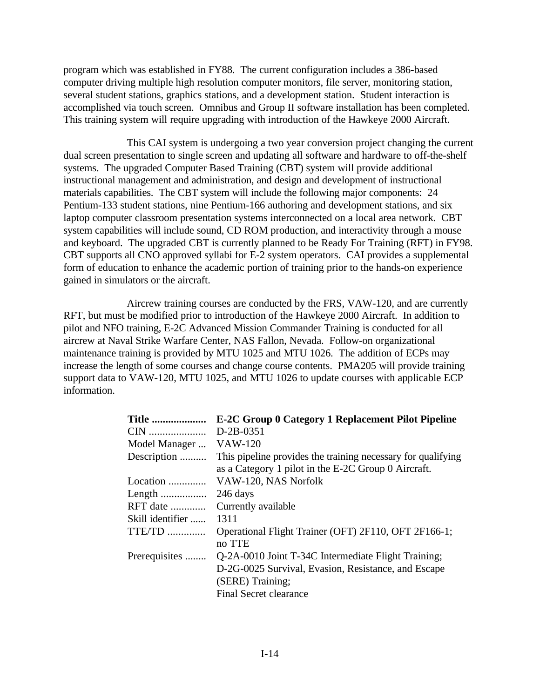program which was established in FY88. The current configuration includes a 386-based computer driving multiple high resolution computer monitors, file server, monitoring station, several student stations, graphics stations, and a development station. Student interaction is accomplished via touch screen. Omnibus and Group II software installation has been completed. This training system will require upgrading with introduction of the Hawkeye 2000 Aircraft.

This CAI system is undergoing a two year conversion project changing the current dual screen presentation to single screen and updating all software and hardware to off-the-shelf systems. The upgraded Computer Based Training (CBT) system will provide additional instructional management and administration, and design and development of instructional materials capabilities. The CBT system will include the following major components: 24 Pentium-133 student stations, nine Pentium-166 authoring and development stations, and six laptop computer classroom presentation systems interconnected on a local area network. CBT system capabilities will include sound, CD ROM production, and interactivity through a mouse and keyboard. The upgraded CBT is currently planned to be Ready For Training (RFT) in FY98. CBT supports all CNO approved syllabi for E-2 system operators. CAI provides a supplemental form of education to enhance the academic portion of training prior to the hands-on experience gained in simulators or the aircraft.

Aircrew training courses are conducted by the FRS, VAW-120, and are currently RFT, but must be modified prior to introduction of the Hawkeye 2000 Aircraft. In addition to pilot and NFO training, E-2C Advanced Mission Commander Training is conducted for all aircrew at Naval Strike Warfare Center, NAS Fallon, Nevada. Follow-on organizational maintenance training is provided by MTU 1025 and MTU 1026. The addition of ECPs may increase the length of some courses and change course contents. PMA205 will provide training support data to VAW-120, MTU 1025, and MTU 1026 to update courses with applicable ECP information.

| <b>Title </b>    | E-2C Group 0 Category 1 Replacement Pilot Pipeline           |
|------------------|--------------------------------------------------------------|
|                  | $D-2B-0351$                                                  |
| Model Manager    | VAW-120                                                      |
| Description      | This pipeline provides the training necessary for qualifying |
|                  | as a Category 1 pilot in the E-2C Group 0 Aircraft.          |
| Location         | VAW-120, NAS Norfolk                                         |
|                  | 246 days                                                     |
| $RFT$ date       | Currently available                                          |
| Skill identifier | 1311                                                         |
| TTE/TD           | Operational Flight Trainer (OFT) 2F110, OFT 2F166-1;         |
|                  | no TTE                                                       |
| Prerequisites    | Q-2A-0010 Joint T-34C Intermediate Flight Training;          |
|                  | D-2G-0025 Survival, Evasion, Resistance, and Escape          |
|                  | (SERE) Training;                                             |
|                  | <b>Final Secret clearance</b>                                |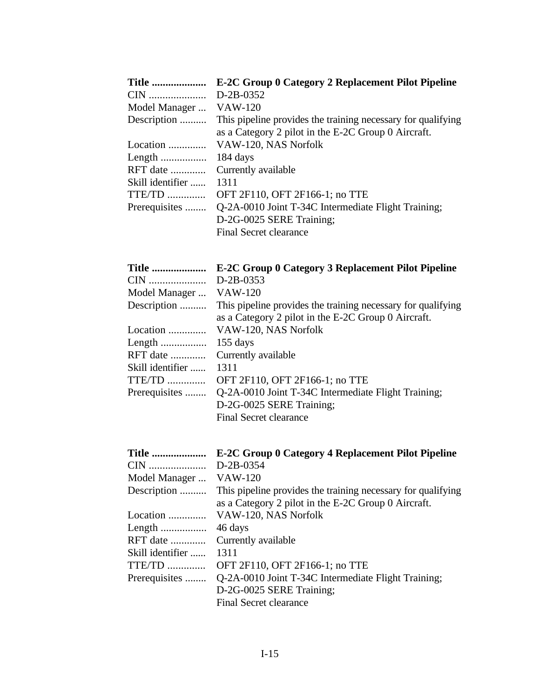| <b>Title </b>    | E-2C Group 0 Category 2 Replacement Pilot Pipeline           |
|------------------|--------------------------------------------------------------|
|                  | D-2B-0352                                                    |
| Model Manager    | VAW-120                                                      |
| Description      | This pipeline provides the training necessary for qualifying |
|                  | as a Category 2 pilot in the E-2C Group 0 Aircraft.          |
| Location         | VAW-120, NAS Norfolk                                         |
|                  | 184 days                                                     |
| $RFT$ date       | Currently available                                          |
| Skill identifier | 1311                                                         |
| $TTE/TD$         | OFT 2F110, OFT 2F166-1; no TTE                               |
| Prerequisites    | Q-2A-0010 Joint T-34C Intermediate Flight Training;          |
|                  | D-2G-0025 SERE Training;                                     |
|                  | Final Secret clearance                                       |

| <b>Title </b>    | <b>E-2C Group 0 Category 3 Replacement Pilot Pipeline</b>                                                           |
|------------------|---------------------------------------------------------------------------------------------------------------------|
| CIN              | $D-2B-0353$                                                                                                         |
| Model Manager    | <b>VAW-120</b>                                                                                                      |
| Description      | This pipeline provides the training necessary for qualifying<br>as a Category 2 pilot in the E-2C Group 0 Aircraft. |
| Location         | VAW-120, NAS Norfolk                                                                                                |
| Length           | $155$ days                                                                                                          |
| RFT date         | Currently available                                                                                                 |
| Skill identifier | 1311                                                                                                                |
| $TTE/TD$         | OFT 2F110, OFT 2F166-1; no TTE                                                                                      |
| Prerequisites    | Q-2A-0010 Joint T-34C Intermediate Flight Training;                                                                 |
|                  | D-2G-0025 SERE Training;                                                                                            |
|                  | <b>Final Secret clearance</b>                                                                                       |
| <b>Title </b>    | <b>E-2C Group 0 Category 4 Replacement Pilot Pipeline</b>                                                           |
| CIN              | D-2B-0354                                                                                                           |
| Model Manager    | <b>VAW-120</b>                                                                                                      |
| Description      | This pipeline provides the training necessary for qualifying<br>as a Category 2 pilot in the E-2C Group 0 Aircraft. |
| Location         | VAW-120 NAS Norfolk                                                                                                 |

|                        | as a Category 2 pilot in the E-2C Group 0 Aircraft.                |
|------------------------|--------------------------------------------------------------------|
|                        | Location  VAW-120, NAS Norfolk                                     |
|                        |                                                                    |
|                        | RFT date  Currently available                                      |
| Skill identifier  1311 |                                                                    |
|                        | TTE/TD  OFT 2F110, OFT 2F166-1; no TTE                             |
|                        | Prerequisites  Q-2A-0010 Joint T-34C Intermediate Flight Training; |
|                        | D-2G-0025 SERE Training;                                           |
|                        | Final Secret clearance                                             |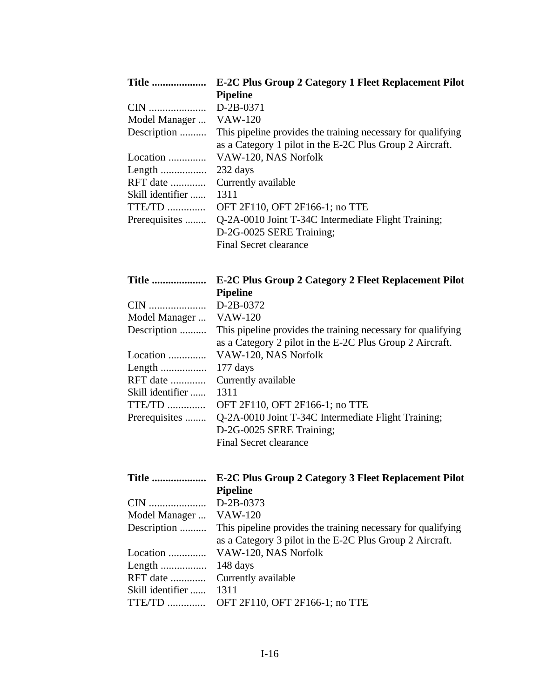| <b>Title </b>    | <b>E-2C Plus Group 2 Category 1 Fleet Replacement Pilot</b>  |
|------------------|--------------------------------------------------------------|
|                  | <b>Pipeline</b>                                              |
|                  | $D-2B-0371$                                                  |
| Model Manager    | VAW-120                                                      |
| Description      | This pipeline provides the training necessary for qualifying |
|                  | as a Category 1 pilot in the E-2C Plus Group 2 Aircraft.     |
| Location         | VAW-120, NAS Norfolk                                         |
|                  | 232 days                                                     |
| RFT date         | Currently available                                          |
| Skill identifier | 1311                                                         |
| $TTE/TD$         | OFT 2F110, OFT 2F166-1; no TTE                               |
| Prerequisites    | Q-2A-0010 Joint T-34C Intermediate Flight Training;          |
|                  | D-2G-0025 SERE Training;                                     |
|                  | <b>Final Secret clearance</b>                                |

| Title            | E-2C Plus Group 2 Category 2 Fleet Replacement Pilot         |
|------------------|--------------------------------------------------------------|
|                  | <b>Pipeline</b>                                              |
|                  | D-2B-0372                                                    |
| Model Manager    | <b>VAW-120</b>                                               |
| Description      | This pipeline provides the training necessary for qualifying |
|                  | as a Category 2 pilot in the E-2C Plus Group 2 Aircraft.     |
| Location         | VAW-120, NAS Norfolk                                         |
|                  | $177 \text{ days}$                                           |
| RFT date         | Currently available                                          |
| Skill identifier | 1311                                                         |
| TTE/TD           | OFT 2F110, OFT 2F166-1; no TTE                               |
| Prerequisites    | Q-2A-0010 Joint T-34C Intermediate Flight Training;          |
|                  | D-2G-0025 SERE Training;                                     |
|                  | <b>Final Secret clearance</b>                                |

| <b>Title </b>    | <b>E-2C Plus Group 2 Category 3 Fleet Replacement Pilot</b>  |
|------------------|--------------------------------------------------------------|
|                  | <b>Pipeline</b>                                              |
|                  | $D-2B-0373$                                                  |
| Model Manager    | VAW-120                                                      |
| Description      | This pipeline provides the training necessary for qualifying |
|                  | as a Category 3 pilot in the E-2C Plus Group 2 Aircraft.     |
|                  |                                                              |
|                  |                                                              |
|                  |                                                              |
| Skill identifier | 1311                                                         |
|                  | TTE/TD  OFT 2F110, OFT 2F166-1; no TTE                       |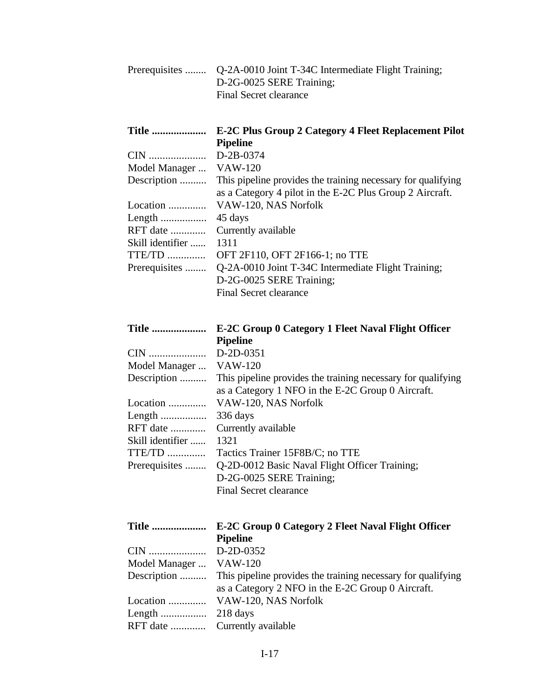| Prerequisites  Q-2A-0010 Joint T-34C Intermediate Flight Training; |
|--------------------------------------------------------------------|
| D-2G-0025 SERE Training;                                           |
| Final Secret clearance                                             |

| Title            | <b>E-2C Plus Group 2 Category 4 Fleet Replacement Pilot</b>  |
|------------------|--------------------------------------------------------------|
|                  | <b>Pipeline</b>                                              |
|                  | D-2B-0374                                                    |
| Model Manager    | <b>VAW-120</b>                                               |
| Description      | This pipeline provides the training necessary for qualifying |
|                  | as a Category 4 pilot in the E-2C Plus Group 2 Aircraft.     |
| Location         | VAW-120, NAS Norfolk                                         |
|                  | 45 days                                                      |
| RFT date         | Currently available                                          |
| Skill identifier | 1311                                                         |
| TTE/TD           | OFT 2F110, OFT 2F166-1; no TTE                               |
| Prerequisites    | Q-2A-0010 Joint T-34C Intermediate Flight Training;          |
|                  | D-2G-0025 SERE Training;                                     |
|                  | Final Secret clearance                                       |

| <b>Title </b>    | E-2C Group 0 Category 1 Fleet Naval Flight Officer           |
|------------------|--------------------------------------------------------------|
|                  | <b>Pipeline</b>                                              |
|                  | $D-2D-0351$                                                  |
| Model Manager    | <b>VAW-120</b>                                               |
| Description      | This pipeline provides the training necessary for qualifying |
|                  | as a Category 1 NFO in the E-2C Group 0 Aircraft.            |
| Location         | VAW-120, NAS Norfolk                                         |
|                  | 336 days                                                     |
| RFT date         | Currently available                                          |
| Skill identifier | 1321                                                         |
| TTE/TD           | Tactics Trainer 15F8B/C; no TTE                              |
| Prerequisites    | Q-2D-0012 Basic Naval Flight Officer Training;               |
|                  | D-2G-0025 SERE Training;                                     |
|                  | <b>Final Secret clearance</b>                                |

| <b>Title </b>          | E-2C Group 0 Category 2 Fleet Naval Flight Officer<br><b>Pipeline</b>                                                          |
|------------------------|--------------------------------------------------------------------------------------------------------------------------------|
|                        |                                                                                                                                |
| Model Manager  VAW-120 |                                                                                                                                |
|                        | Description  This pipeline provides the training necessary for qualifying<br>as a Category 2 NFO in the E-2C Group 0 Aircraft. |
|                        | Location  VAW-120, NAS Norfolk                                                                                                 |
|                        |                                                                                                                                |
|                        |                                                                                                                                |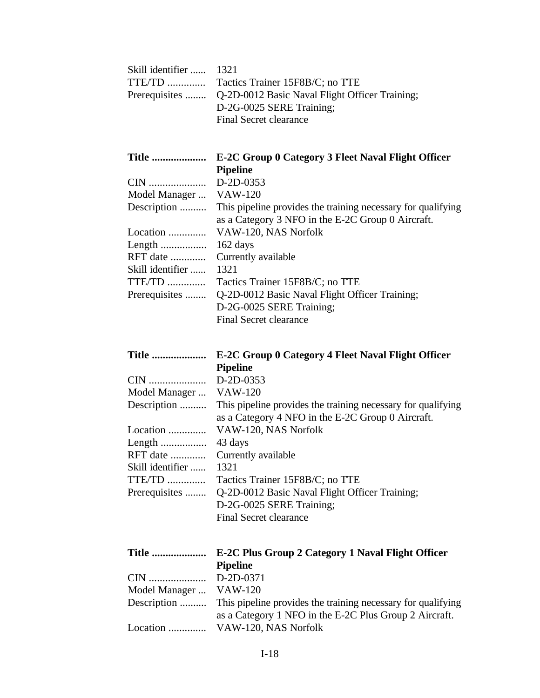| Skill identifier<br>$TTE/TD$<br>Prerequisites                                                                                         | 1321<br>Tactics Trainer 15F8B/C; no TTE<br>Q-2D-0012 Basic Naval Flight Officer Training;<br>D-2G-0025 SERE Training;<br><b>Final Secret clearance</b>                                                                                                                                                                                                                                                                                         |
|---------------------------------------------------------------------------------------------------------------------------------------|------------------------------------------------------------------------------------------------------------------------------------------------------------------------------------------------------------------------------------------------------------------------------------------------------------------------------------------------------------------------------------------------------------------------------------------------|
| <b>Title </b><br>CIN<br>Model Manager<br>Description<br>Location<br>Length<br>RFT date<br>Skill identifier<br>TTE/TD<br>Prerequisites | E-2C Group 0 Category 3 Fleet Naval Flight Officer<br><b>Pipeline</b><br>D-2D-0353<br><b>VAW-120</b><br>This pipeline provides the training necessary for qualifying<br>as a Category 3 NFO in the E-2C Group 0 Aircraft.<br>VAW-120, NAS Norfolk<br>162 days<br>Currently available<br>1321<br>Tactics Trainer 15F8B/C; no TTE<br>Q-2D-0012 Basic Naval Flight Officer Training;<br>D-2G-0025 SERE Training;<br><b>Final Secret clearance</b> |
| <b>Title </b>                                                                                                                         | E-2C Group 0 Category 4 Fleet Naval Flight Officer                                                                                                                                                                                                                                                                                                                                                                                             |
| CIN<br>Model Manager<br>Description<br>Location<br>Length<br>RFT date<br>Skill identifier<br>TTE/TD<br>Prerequisites                  | <b>Pipeline</b><br>D-2D-0353<br><b>VAW-120</b><br>This pipeline provides the training necessary for qualifying<br>as a Category 4 NFO in the E-2C Group 0 Aircraft.<br>VAW-120, NAS Norfolk<br>43 days<br>Currently available<br>1321<br>Tactics Trainer 15F8B/C; no TTE<br>Q-2D-0012 Basic Naval Flight Officer Training;<br>D-2G-0025 SERE Training;<br><b>Final Secret clearance</b>                                                        |

Location .............. VAW-120, NAS Norfolk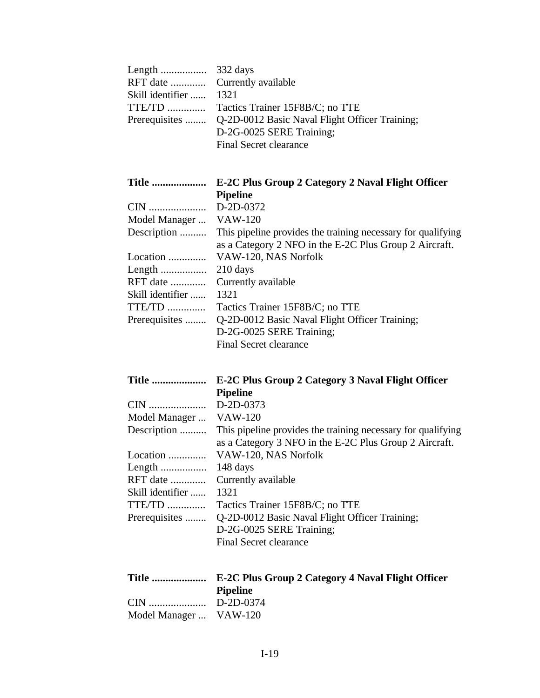|                        | 332 days                                                     |
|------------------------|--------------------------------------------------------------|
| RFT date               | Currently available                                          |
| Skill identifier       | 1321                                                         |
| $TTE/TD$               | Tactics Trainer 15F8B/C; no TTE                              |
| Prerequisites          | Q-2D-0012 Basic Naval Flight Officer Training;               |
|                        | D-2G-0025 SERE Training;                                     |
|                        | <b>Final Secret clearance</b>                                |
|                        |                                                              |
| <b>Title </b>          | E-2C Plus Group 2 Category 2 Naval Flight Officer            |
|                        | <b>Pipeline</b>                                              |
|                        | D-2D-0372                                                    |
| Model Manager  VAW-120 |                                                              |
| Description            | This pipeline provides the training necessary for qualifying |
|                        | as a Category 2 NFO in the E-2C Plus Group 2 Aircraft.       |
| Location               | VAW-120, NAS Norfolk                                         |
| Length                 | $210$ days                                                   |
| $RFT$ date             | Currently available                                          |
| Skill identifier       | 1321                                                         |
| $TTE/TD$               | Tactics Trainer 15F8B/C; no TTE                              |
| Prerequisites          | Q-2D-0012 Basic Naval Flight Officer Training;               |
|                        | D-2G-0025 SERE Training;                                     |
|                        | Final Secret clearance                                       |

| <b>Title </b> | <b>E-2C Plus Group 2 Category 3 Naval Flight Officer</b> |
|---------------|----------------------------------------------------------|
|               | <b>Pipeline</b>                                          |

| Model Manager  VAW-120 |                                                              |
|------------------------|--------------------------------------------------------------|
| Description            | This pipeline provides the training necessary for qualifying |
|                        | as a Category 3 NFO in the E-2C Plus Group 2 Aircraft.       |
| Location               | VAW-120, NAS Norfolk                                         |
|                        | 148 days                                                     |
| RFT date               | Currently available                                          |
| Skill identifier       | 1321                                                         |
| TTE/TD                 | Tactics Trainer 15F8B/C; no TTE                              |
| Prerequisites          | Q-2D-0012 Basic Naval Flight Officer Training;               |
|                        | D-2G-0025 SERE Training;                                     |
|                        | Final Secret clearance                                       |

|                        | <b>Pipeline</b> |
|------------------------|-----------------|
|                        |                 |
| Model Manager  VAW-120 |                 |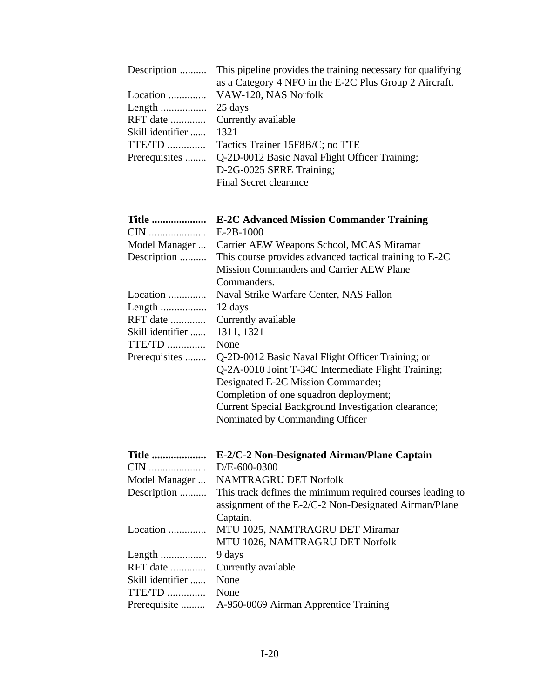| Description<br>Location<br>Length<br>RFT date<br>Skill identifier<br>TTE/TD<br>Prerequisites | This pipeline provides the training necessary for qualifying<br>as a Category 4 NFO in the E-2C Plus Group 2 Aircraft.<br>VAW-120, NAS Norfolk<br>25 days<br>Currently available<br>1321<br>Tactics Trainer 15F8B/C; no TTE<br>Q-2D-0012 Basic Naval Flight Officer Training;<br>D-2G-0025 SERE Training;<br><b>Final Secret clearance</b>                                                                                                              |
|----------------------------------------------------------------------------------------------|---------------------------------------------------------------------------------------------------------------------------------------------------------------------------------------------------------------------------------------------------------------------------------------------------------------------------------------------------------------------------------------------------------------------------------------------------------|
| <b>Title </b><br>CIN<br>Model Manager<br>Description                                         | <b>E-2C Advanced Mission Commander Training</b><br>$E-2B-1000$<br>Carrier AEW Weapons School, MCAS Miramar<br>This course provides advanced tactical training to E-2C                                                                                                                                                                                                                                                                                   |
| Location<br>Length<br>RFT date<br>Skill identifier<br>TTE/TD<br>Prerequisites                | <b>Mission Commanders and Carrier AEW Plane</b><br>Commanders.<br>Naval Strike Warfare Center, NAS Fallon<br>12 days<br>Currently available<br>1311, 1321<br>None<br>Q-2D-0012 Basic Naval Flight Officer Training; or<br>Q-2A-0010 Joint T-34C Intermediate Flight Training;<br>Designated E-2C Mission Commander;<br>Completion of one squadron deployment;<br>Current Special Background Investigation clearance;<br>Nominated by Commanding Officer |
| Title<br>CIN<br>Model Manager<br>Description                                                 | E-2/C-2 Non-Designated Airman/Plane Captain<br>D/E-600-0300<br>NAMTRAGRU DET Norfolk<br>This track defines the minimum required courses leading to<br>assignment of the E-2/C-2 Non-Designated Airman/Plane<br>Captain.                                                                                                                                                                                                                                 |
| Location                                                                                     | MTU 1025, NAMTRAGRU DET Miramar<br>MTU 1026, NAMTRAGRU DET Norfolk                                                                                                                                                                                                                                                                                                                                                                                      |
| Length<br>RFT date<br>Skill identifier                                                       | 9 days<br>Currently available<br>None                                                                                                                                                                                                                                                                                                                                                                                                                   |
| $TTE/TD$<br>Prerequisite                                                                     | None<br>A-950-0069 Airman Apprentice Training                                                                                                                                                                                                                                                                                                                                                                                                           |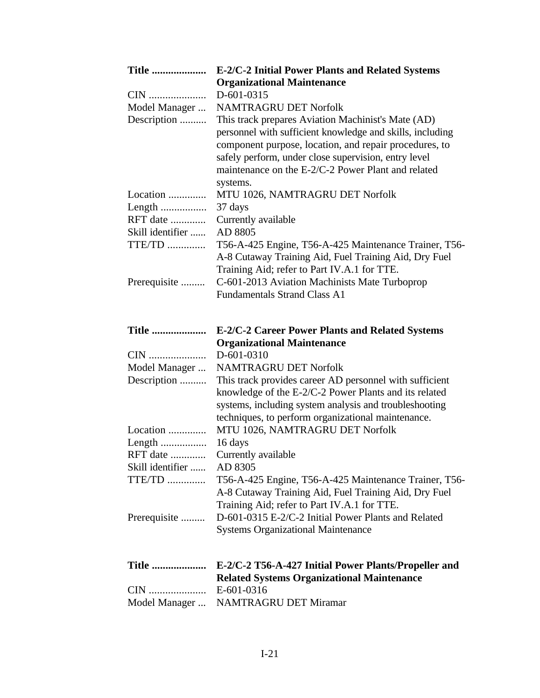| <b>Title </b>    | E-2/C-2 Initial Power Plants and Related Systems                                     |
|------------------|--------------------------------------------------------------------------------------|
|                  | <b>Organizational Maintenance</b>                                                    |
| CIN              | D-601-0315                                                                           |
| Model Manager    | <b>NAMTRAGRU DET Norfolk</b>                                                         |
| Description      | This track prepares Aviation Machinist's Mate (AD)                                   |
|                  | personnel with sufficient knowledge and skills, including                            |
|                  | component purpose, location, and repair procedures, to                               |
|                  | safely perform, under close supervision, entry level                                 |
|                  | maintenance on the E-2/C-2 Power Plant and related                                   |
|                  | systems.                                                                             |
| Location         | MTU 1026, NAMTRAGRU DET Norfolk                                                      |
| Length           | 37 days                                                                              |
| RFT date         | Currently available                                                                  |
| Skill identifier | AD 8805                                                                              |
| TTE/TD           | T56-A-425 Engine, T56-A-425 Maintenance Trainer, T56-                                |
|                  |                                                                                      |
|                  | A-8 Cutaway Training Aid, Fuel Training Aid, Dry Fuel                                |
|                  | Training Aid; refer to Part IV.A.1 for TTE.                                          |
| Prerequisite     | C-601-2013 Aviation Machinists Mate Turboprop<br><b>Fundamentals Strand Class A1</b> |
|                  |                                                                                      |
|                  |                                                                                      |
| <b>Title </b>    | <b>E-2/C-2 Career Power Plants and Related Systems</b>                               |
|                  | <b>Organizational Maintenance</b>                                                    |
| CIN              | D-601-0310                                                                           |
| Model Manager    | <b>NAMTRAGRU DET Norfolk</b>                                                         |
| Description      | This track provides career AD personnel with sufficient                              |
|                  | knowledge of the E-2/C-2 Power Plants and its related                                |
|                  | systems, including system analysis and troubleshooting                               |
|                  | techniques, to perform organizational maintenance.                                   |
| Location         | MTU 1026, NAMTRAGRU DET Norfolk                                                      |
| Length           | 16 days                                                                              |
| RFT date         | Currently available                                                                  |
| Skill identifier | AD 8305                                                                              |
| TTE/TD           | T56-A-425 Engine, T56-A-425 Maintenance Trainer, T56-                                |
|                  | A-8 Cutaway Training Aid, Fuel Training Aid, Dry Fuel                                |
|                  | Training Aid; refer to Part IV.A.1 for TTE.                                          |
| Prerequisite     | D-601-0315 E-2/C-2 Initial Power Plants and Related                                  |
|                  | <b>Systems Organizational Maintenance</b>                                            |
|                  |                                                                                      |
|                  |                                                                                      |
| <b>Title </b>    | E-2/C-2 T56-A-427 Initial Power Plants/Propeller and                                 |
|                  | <b>Related Systems Organizational Maintenance</b>                                    |
| CIN              | E-601-0316<br>NAMTRAGRU DET Miramar                                                  |
| Model Manager    |                                                                                      |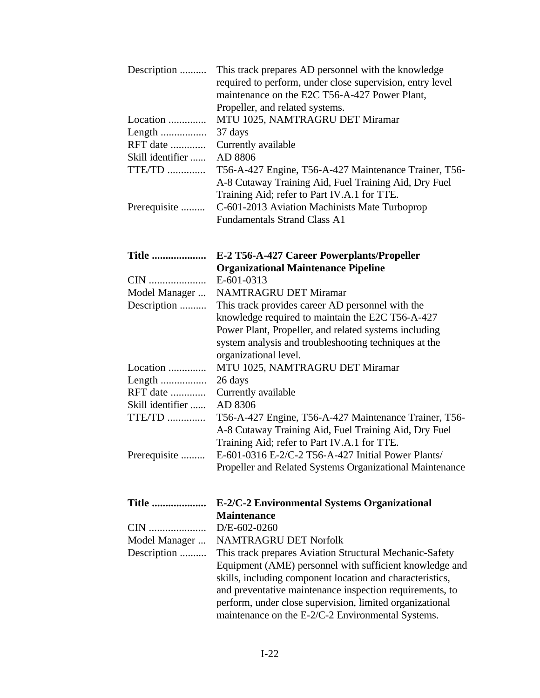| Description      | This track prepares AD personnel with the knowledge<br>required to perform, under close supervision, entry level<br>maintenance on the E2C T56-A-427 Power Plant,<br>Propeller, and related systems.                                                                                              |
|------------------|---------------------------------------------------------------------------------------------------------------------------------------------------------------------------------------------------------------------------------------------------------------------------------------------------|
| Location         | MTU 1025, NAMTRAGRU DET Miramar                                                                                                                                                                                                                                                                   |
| Length           | 37 days                                                                                                                                                                                                                                                                                           |
| RFT date         | Currently available                                                                                                                                                                                                                                                                               |
| Skill identifier | AD 8806                                                                                                                                                                                                                                                                                           |
| TTE/TD           | T56-A-427 Engine, T56-A-427 Maintenance Trainer, T56-<br>A-8 Cutaway Training Aid, Fuel Training Aid, Dry Fuel<br>Training Aid; refer to Part IV.A.1 for TTE.                                                                                                                                     |
| Prerequisite     | C-601-2013 Aviation Machinists Mate Turboprop<br><b>Fundamentals Strand Class A1</b>                                                                                                                                                                                                              |
| <b>Title </b>    | E-2 T56-A-427 Career Powerplants/Propeller                                                                                                                                                                                                                                                        |
| CIN              | <b>Organizational Maintenance Pipeline</b><br>E-601-0313                                                                                                                                                                                                                                          |
| Model Manager    | <b>NAMTRAGRU DET Miramar</b>                                                                                                                                                                                                                                                                      |
| Description      | This track provides career AD personnel with the                                                                                                                                                                                                                                                  |
|                  | knowledge required to maintain the E2C T56-A-427                                                                                                                                                                                                                                                  |
|                  | Power Plant, Propeller, and related systems including                                                                                                                                                                                                                                             |
|                  | system analysis and troubleshooting techniques at the<br>organizational level.                                                                                                                                                                                                                    |
| Location         | MTU 1025, NAMTRAGRU DET Miramar                                                                                                                                                                                                                                                                   |
| Length           | 26 days                                                                                                                                                                                                                                                                                           |
| RFT date         | Currently available                                                                                                                                                                                                                                                                               |
| Skill identifier | AD 8306                                                                                                                                                                                                                                                                                           |
| $TTE/TD$         | T56-A-427 Engine, T56-A-427 Maintenance Trainer, T56-<br>A-8 Cutaway Training Aid, Fuel Training Aid, Dry Fuel<br>Training Aid; refer to Part IV.A.1 for TTE.                                                                                                                                     |
| Prerequisite     | E-601-0316 E-2/C-2 T56-A-427 Initial Power Plants/                                                                                                                                                                                                                                                |
|                  | Propeller and Related Systems Organizational Maintenance                                                                                                                                                                                                                                          |
| <b>Title </b>    | E-2/C-2 Environmental Systems Organizational                                                                                                                                                                                                                                                      |
|                  | <b>Maintenance</b>                                                                                                                                                                                                                                                                                |
| CIN              | $D/E - 602 - 0260$                                                                                                                                                                                                                                                                                |
| Model Manager    | <b>NAMTRAGRU DET Norfolk</b>                                                                                                                                                                                                                                                                      |
| Description      | This track prepares Aviation Structural Mechanic-Safety                                                                                                                                                                                                                                           |
|                  | Equipment (AME) personnel with sufficient knowledge and<br>skills, including component location and characteristics,<br>and preventative maintenance inspection requirements, to<br>perform, under close supervision, limited organizational<br>maintenance on the E-2/C-2 Environmental Systems. |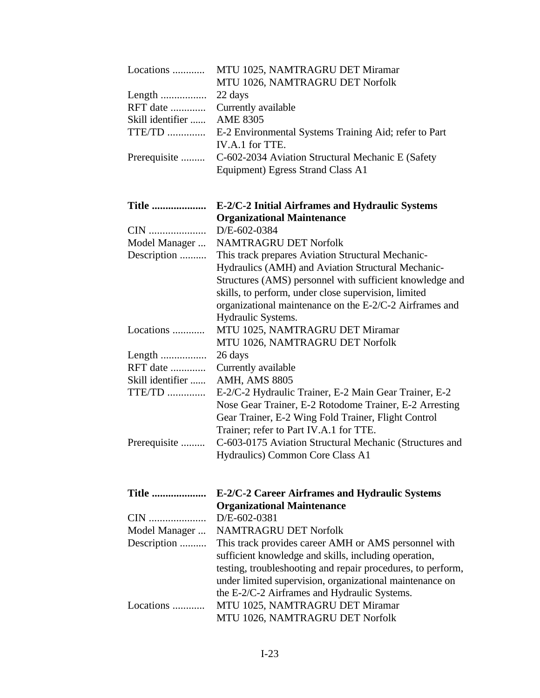| Locations                 | MTU 1025, NAMTRAGRU DET Miramar<br>MTU 1026, NAMTRAGRU DET Norfolk |
|---------------------------|--------------------------------------------------------------------|
| Length                    | 22 days                                                            |
| RFT date                  | Currently available                                                |
| Skill identifier          | <b>AME 8305</b>                                                    |
| <b>TTE/TD</b>             | E-2 Environmental Systems Training Aid; refer to Part              |
|                           | IV.A.1 for TTE.                                                    |
| Prerequisite              | C-602-2034 Aviation Structural Mechanic E (Safety                  |
|                           | Equipment) Egress Strand Class A1                                  |
| <b>Title </b>             | E-2/C-2 Initial Airframes and Hydraulic Systems                    |
|                           | <b>Organizational Maintenance</b>                                  |
| CIN                       | D/E-602-0384                                                       |
| Model Manager             | <b>NAMTRAGRU DET Norfolk</b>                                       |
| Description               | This track prepares Aviation Structural Mechanic-                  |
|                           | Hydraulics (AMH) and Aviation Structural Mechanic-                 |
|                           | Structures (AMS) personnel with sufficient knowledge and           |
|                           | skills, to perform, under close supervision, limited               |
|                           | organizational maintenance on the E-2/C-2 Airframes and            |
|                           | Hydraulic Systems.                                                 |
| Locations                 | MTU 1025, NAMTRAGRU DET Miramar                                    |
|                           | MTU 1026, NAMTRAGRU DET Norfolk<br>26 days                         |
| Length<br><b>RFT</b> date |                                                                    |
| Skill identifier          | Currently available<br><b>AMH, AMS 8805</b>                        |
| <b>TTE/TD</b>             | E-2/C-2 Hydraulic Trainer, E-2 Main Gear Trainer, E-2              |
|                           | Nose Gear Trainer, E-2 Rotodome Trainer, E-2 Arresting             |
|                           | Gear Trainer, E-2 Wing Fold Trainer, Flight Control                |
|                           | Trainer; refer to Part IV.A.1 for TTE.                             |
| Prerequisite              | C-603-0175 Aviation Structural Mechanic (Structures and            |
|                           | Hydraulics) Common Core Class A1                                   |
|                           |                                                                    |
| <b>Title </b>             | E-2/C-2 Career Airframes and Hydraulic Systems                     |
|                           | <b>Organizational Maintenance</b>                                  |
| CIN                       | D/E-602-0381                                                       |
| Model Manager             | <b>NAMTRAGRU DET Norfolk</b>                                       |
| Description               | This track provides career AMH or AMS personnel with               |
|                           | sufficient knowledge and skills, including operation,              |
|                           | testing, troubleshooting and repair procedures, to perform,        |
|                           | under limited supervision, organizational maintenance on           |
|                           | the E-2/C-2 Airframes and Hydraulic Systems.                       |
| Locations                 | MTU 1025, NAMTRAGRU DET Miramar                                    |
|                           | MTU 1026, NAMTRAGRU DET Norfolk                                    |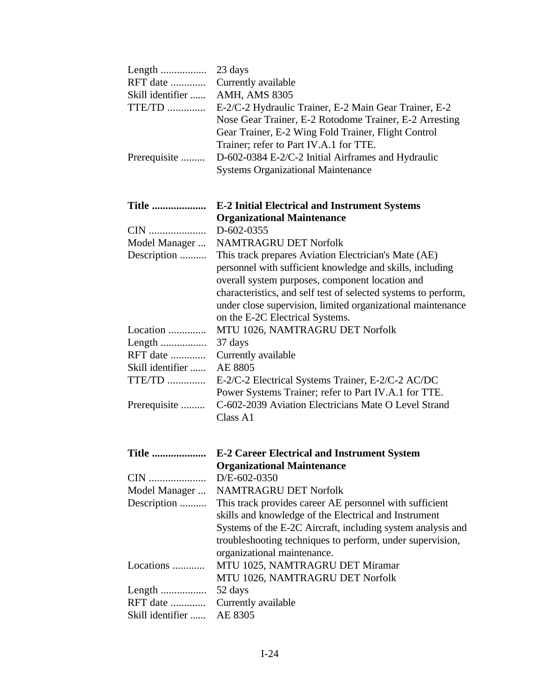| Length<br>RFT date<br>Skill identifier<br>TTE/TD | 23 days<br>Currently available<br><b>AMH, AMS 8305</b><br>E-2/C-2 Hydraulic Trainer, E-2 Main Gear Trainer, E-2                                                                                                                                                                                                                          |
|--------------------------------------------------|------------------------------------------------------------------------------------------------------------------------------------------------------------------------------------------------------------------------------------------------------------------------------------------------------------------------------------------|
| Prerequisite                                     | Nose Gear Trainer, E-2 Rotodome Trainer, E-2 Arresting<br>Gear Trainer, E-2 Wing Fold Trainer, Flight Control<br>Trainer; refer to Part IV.A.1 for TTE.<br>D-602-0384 E-2/C-2 Initial Airframes and Hydraulic<br><b>Systems Organizational Maintenance</b>                                                                               |
| <b>Title </b>                                    | <b>E-2 Initial Electrical and Instrument Systems</b>                                                                                                                                                                                                                                                                                     |
| CIN                                              | <b>Organizational Maintenance</b><br>D-602-0355                                                                                                                                                                                                                                                                                          |
| Model Manager                                    | <b>NAMTRAGRU DET Norfolk</b>                                                                                                                                                                                                                                                                                                             |
| Description                                      | This track prepares Aviation Electrician's Mate (AE)<br>personnel with sufficient knowledge and skills, including<br>overall system purposes, component location and<br>characteristics, and self test of selected systems to perform,<br>under close supervision, limited organizational maintenance<br>on the E-2C Electrical Systems. |
| Location                                         | MTU 1026, NAMTRAGRU DET Norfolk                                                                                                                                                                                                                                                                                                          |
| Length                                           | 37 days                                                                                                                                                                                                                                                                                                                                  |
| RFT date                                         | Currently available                                                                                                                                                                                                                                                                                                                      |
| Skill identifier                                 | AE 8805                                                                                                                                                                                                                                                                                                                                  |
| TTE/TD                                           | E-2/C-2 Electrical Systems Trainer, E-2/C-2 AC/DC<br>Power Systems Trainer; refer to Part IV.A.1 for TTE.                                                                                                                                                                                                                                |
| Prerequisite                                     | C-602-2039 Aviation Electricians Mate O Level Strand<br>Class A1                                                                                                                                                                                                                                                                         |
|                                                  | Title  E-2 Career Electrical and Instrument System<br><b>Organizational Maintenance</b>                                                                                                                                                                                                                                                  |
| CIN                                              | D/E-602-0350                                                                                                                                                                                                                                                                                                                             |
| Model Manager                                    | <b>NAMTRAGRU DET Norfolk</b>                                                                                                                                                                                                                                                                                                             |
| Description                                      | This track provides career AE personnel with sufficient                                                                                                                                                                                                                                                                                  |
|                                                  | skills and knowledge of the Electrical and Instrument<br>Systems of the E-2C Aircraft, including system analysis and<br>troubleshooting techniques to perform, under supervision,<br>organizational maintenance.                                                                                                                         |
| Locations                                        | MTU 1025, NAMTRAGRU DET Miramar<br>MTU 1026, NAMTRAGRU DET Norfolk                                                                                                                                                                                                                                                                       |
| Length                                           | 52 days                                                                                                                                                                                                                                                                                                                                  |
| RFT date                                         | Currently available                                                                                                                                                                                                                                                                                                                      |
| Skill identifier                                 | AE 8305                                                                                                                                                                                                                                                                                                                                  |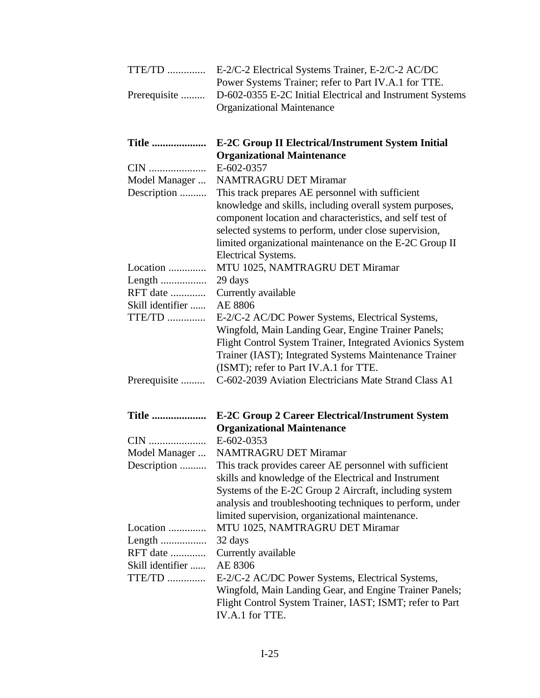| TTE/TD           | E-2/C-2 Electrical Systems Trainer, E-2/C-2 AC/DC<br>Power Systems Trainer; refer to Part IV.A.1 for TTE.                                                                                                                                                                                   |
|------------------|---------------------------------------------------------------------------------------------------------------------------------------------------------------------------------------------------------------------------------------------------------------------------------------------|
| Prerequisite     | D-602-0355 E-2C Initial Electrical and Instrument Systems<br><b>Organizational Maintenance</b>                                                                                                                                                                                              |
| <b>Title </b>    | <b>E-2C Group II Electrical/Instrument System Initial</b><br><b>Organizational Maintenance</b>                                                                                                                                                                                              |
| CIN              | E-602-0357                                                                                                                                                                                                                                                                                  |
| Model Manager    | <b>NAMTRAGRU DET Miramar</b>                                                                                                                                                                                                                                                                |
| Description      | This track prepares AE personnel with sufficient                                                                                                                                                                                                                                            |
|                  | knowledge and skills, including overall system purposes,<br>component location and characteristics, and self test of<br>selected systems to perform, under close supervision,<br>limited organizational maintenance on the E-2C Group II<br>Electrical Systems.                             |
| Location         | MTU 1025, NAMTRAGRU DET Miramar                                                                                                                                                                                                                                                             |
| Length           | 29 days                                                                                                                                                                                                                                                                                     |
| RFT date         | Currently available                                                                                                                                                                                                                                                                         |
| Skill identifier | AE 8806                                                                                                                                                                                                                                                                                     |
| TTE/TD           | E-2/C-2 AC/DC Power Systems, Electrical Systems,<br>Wingfold, Main Landing Gear, Engine Trainer Panels;<br>Flight Control System Trainer, Integrated Avionics System<br>Trainer (IAST); Integrated Systems Maintenance Trainer<br>(ISMT); refer to Part IV.A.1 for TTE.                     |
| Prerequisite     | C-602-2039 Aviation Electricians Mate Strand Class A1                                                                                                                                                                                                                                       |
| <b>Title </b>    | <b>E-2C Group 2 Career Electrical/Instrument System</b><br><b>Organizational Maintenance</b>                                                                                                                                                                                                |
| CIN              | E-602-0353                                                                                                                                                                                                                                                                                  |
| Model Manager    | <b>NAMTRAGRU DET Miramar</b>                                                                                                                                                                                                                                                                |
| Description      | This track provides career AE personnel with sufficient<br>skills and knowledge of the Electrical and Instrument<br>Systems of the E-2C Group 2 Aircraft, including system<br>analysis and troubleshooting techniques to perform, under<br>limited supervision, organizational maintenance. |
| Location         | MTU 1025, NAMTRAGRU DET Miramar                                                                                                                                                                                                                                                             |
| Length           | 32 days                                                                                                                                                                                                                                                                                     |
| RFT date         | Currently available                                                                                                                                                                                                                                                                         |
| Skill identifier | AE 8306                                                                                                                                                                                                                                                                                     |
| TTE/TD           | E-2/C-2 AC/DC Power Systems, Electrical Systems,<br>Wingfold, Main Landing Gear, and Engine Trainer Panels;<br>Flight Control System Trainer, IAST; ISMT; refer to Part<br>IV.A.1 for TTE.                                                                                                  |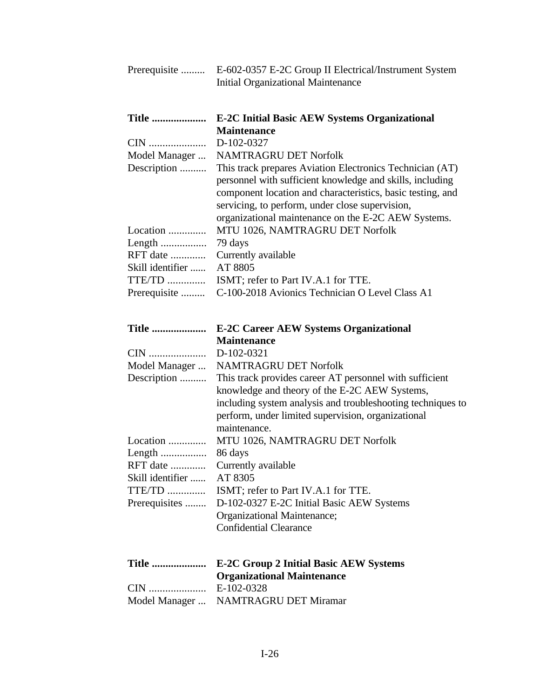| Prerequisite               | E-602-0357 E-2C Group II Electrical/Instrument System<br><b>Initial Organizational Maintenance</b>                                                                                                                                                                                            |
|----------------------------|-----------------------------------------------------------------------------------------------------------------------------------------------------------------------------------------------------------------------------------------------------------------------------------------------|
| <b>Title </b>              | <b>E-2C Initial Basic AEW Systems Organizational</b><br><b>Maintenance</b>                                                                                                                                                                                                                    |
| CIN                        | D-102-0327                                                                                                                                                                                                                                                                                    |
| Model Manager              | <b>NAMTRAGRU DET Norfolk</b>                                                                                                                                                                                                                                                                  |
| Description                | This track prepares Aviation Electronics Technician (AT)<br>personnel with sufficient knowledge and skills, including<br>component location and characteristics, basic testing, and<br>servicing, to perform, under close supervision,<br>organizational maintenance on the E-2C AEW Systems. |
| Location                   | MTU 1026, NAMTRAGRU DET Norfolk                                                                                                                                                                                                                                                               |
| Length                     | 79 days                                                                                                                                                                                                                                                                                       |
| RFT date                   | Currently available                                                                                                                                                                                                                                                                           |
| Skill identifier<br>TTE/TD | AT 8805                                                                                                                                                                                                                                                                                       |
|                            | ISMT; refer to Part IV.A.1 for TTE.<br>C-100-2018 Avionics Technician O Level Class A1                                                                                                                                                                                                        |
| Prerequisite               |                                                                                                                                                                                                                                                                                               |
| <b>Title </b>              | <b>E-2C Career AEW Systems Organizational</b>                                                                                                                                                                                                                                                 |
|                            | <b>Maintenance</b>                                                                                                                                                                                                                                                                            |
| CIN                        | D-102-0321                                                                                                                                                                                                                                                                                    |
| Model Manager              | <b>NAMTRAGRU DET Norfolk</b>                                                                                                                                                                                                                                                                  |
| Description                | This track provides career AT personnel with sufficient                                                                                                                                                                                                                                       |
|                            | knowledge and theory of the E-2C AEW Systems,<br>including system analysis and troubleshooting techniques to<br>perform, under limited supervision, organizational<br>maintenance.                                                                                                            |
| Location                   | MTU 1026, NAMTRAGRU DET Norfolk                                                                                                                                                                                                                                                               |
|                            | 86 days                                                                                                                                                                                                                                                                                       |
| RFT date                   | Currently available                                                                                                                                                                                                                                                                           |
| Skill identifier           | AT 8305                                                                                                                                                                                                                                                                                       |
| $TTE/TD$                   | ISMT; refer to Part IV.A.1 for TTE.                                                                                                                                                                                                                                                           |
| Prerequisites              | D-102-0327 E-2C Initial Basic AEW Systems                                                                                                                                                                                                                                                     |
|                            | Organizational Maintenance;                                                                                                                                                                                                                                                                   |
|                            | <b>Confidential Clearance</b>                                                                                                                                                                                                                                                                 |
| <b>Title </b>              | <b>E-2C Group 2 Initial Basic AEW Systems</b>                                                                                                                                                                                                                                                 |
|                            | <b>Organizational Maintenance</b>                                                                                                                                                                                                                                                             |
| CIN                        | E-102-0328                                                                                                                                                                                                                                                                                    |
| Model Manager              | <b>NAMTRAGRU DET Miramar</b>                                                                                                                                                                                                                                                                  |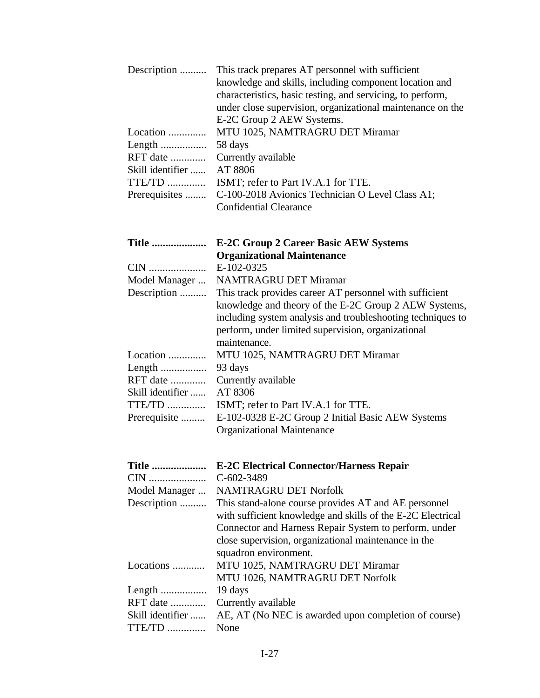| E-2C Group 2 AEW Systems.<br>MTU 1025, NAMTRAGRU DET Miramar<br>Location<br>Length<br>58 days<br>RFT date<br>Currently available<br>AT 8806<br>Skill identifier<br>TTE/TD<br>ISMT; refer to Part IV.A.1 for TTE.<br>C-100-2018 Avionics Technician O Level Class A1;<br>Prerequisites<br><b>Confidential Clearance</b><br><b>E-2C Group 2 Career Basic AEW Systems</b><br><b>Title </b><br><b>Organizational Maintenance</b><br>E-102-0325<br>CIN<br><b>NAMTRAGRU DET Miramar</b><br>Model Manager<br>Description<br>This track provides career AT personnel with sufficient<br>knowledge and theory of the E-2C Group 2 AEW Systems, |
|---------------------------------------------------------------------------------------------------------------------------------------------------------------------------------------------------------------------------------------------------------------------------------------------------------------------------------------------------------------------------------------------------------------------------------------------------------------------------------------------------------------------------------------------------------------------------------------------------------------------------------------|
|                                                                                                                                                                                                                                                                                                                                                                                                                                                                                                                                                                                                                                       |
|                                                                                                                                                                                                                                                                                                                                                                                                                                                                                                                                                                                                                                       |
|                                                                                                                                                                                                                                                                                                                                                                                                                                                                                                                                                                                                                                       |
|                                                                                                                                                                                                                                                                                                                                                                                                                                                                                                                                                                                                                                       |
|                                                                                                                                                                                                                                                                                                                                                                                                                                                                                                                                                                                                                                       |
|                                                                                                                                                                                                                                                                                                                                                                                                                                                                                                                                                                                                                                       |
|                                                                                                                                                                                                                                                                                                                                                                                                                                                                                                                                                                                                                                       |
|                                                                                                                                                                                                                                                                                                                                                                                                                                                                                                                                                                                                                                       |
|                                                                                                                                                                                                                                                                                                                                                                                                                                                                                                                                                                                                                                       |
|                                                                                                                                                                                                                                                                                                                                                                                                                                                                                                                                                                                                                                       |
| including system analysis and troubleshooting techniques to<br>perform, under limited supervision, organizational<br>maintenance.                                                                                                                                                                                                                                                                                                                                                                                                                                                                                                     |
| Location<br>MTU 1025, NAMTRAGRU DET Miramar                                                                                                                                                                                                                                                                                                                                                                                                                                                                                                                                                                                           |
| Length<br>93 days                                                                                                                                                                                                                                                                                                                                                                                                                                                                                                                                                                                                                     |
| RFT date<br>Currently available                                                                                                                                                                                                                                                                                                                                                                                                                                                                                                                                                                                                       |
| Skill identifier<br>AT 8306                                                                                                                                                                                                                                                                                                                                                                                                                                                                                                                                                                                                           |
| $TTE/TD$<br>ISMT; refer to Part IV.A.1 for TTE.                                                                                                                                                                                                                                                                                                                                                                                                                                                                                                                                                                                       |
| E-102-0328 E-2C Group 2 Initial Basic AEW Systems<br>Prerequisite<br><b>Organizational Maintenance</b>                                                                                                                                                                                                                                                                                                                                                                                                                                                                                                                                |
| <b>Title </b><br><b>E-2C Electrical Connector/Harness Repair</b>                                                                                                                                                                                                                                                                                                                                                                                                                                                                                                                                                                      |
| CIN<br>$C-602-3489$                                                                                                                                                                                                                                                                                                                                                                                                                                                                                                                                                                                                                   |
| Model Manager<br><b>NAMTRAGRU DET Norfolk</b>                                                                                                                                                                                                                                                                                                                                                                                                                                                                                                                                                                                         |
| Description<br>This stand-alone course provides AT and AE personnel<br>with sufficient knowledge and skills of the E-2C Electrical<br>Connector and Harness Repair System to perform, under<br>close supervision, organizational maintenance in the                                                                                                                                                                                                                                                                                                                                                                                   |
| squadron environment.                                                                                                                                                                                                                                                                                                                                                                                                                                                                                                                                                                                                                 |
| MTU 1025, NAMTRAGRU DET Miramar<br>Locations                                                                                                                                                                                                                                                                                                                                                                                                                                                                                                                                                                                          |
| MTU 1026, NAMTRAGRU DET Norfolk                                                                                                                                                                                                                                                                                                                                                                                                                                                                                                                                                                                                       |
| 19 days<br>Length<br>RFT date                                                                                                                                                                                                                                                                                                                                                                                                                                                                                                                                                                                                         |
| Currently available<br>Skill identifier<br>AE, AT (No NEC is awarded upon completion of course)                                                                                                                                                                                                                                                                                                                                                                                                                                                                                                                                       |
| TTE/TD<br>None                                                                                                                                                                                                                                                                                                                                                                                                                                                                                                                                                                                                                        |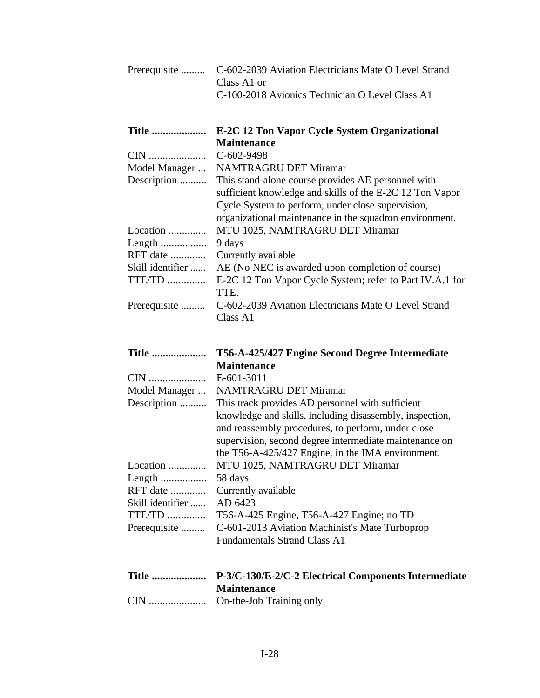| Prerequisite               | C-602-2039 Aviation Electricians Mate O Level Strand<br>Class A1 or<br>C-100-2018 Avionics Technician O Level Class A1                                                                                                                                                            |
|----------------------------|-----------------------------------------------------------------------------------------------------------------------------------------------------------------------------------------------------------------------------------------------------------------------------------|
| <b>Title </b>              | E-2C 12 Ton Vapor Cycle System Organizational                                                                                                                                                                                                                                     |
|                            | <b>Maintenance</b>                                                                                                                                                                                                                                                                |
| CIN                        | C-602-9498                                                                                                                                                                                                                                                                        |
| Model Manager              | <b>NAMTRAGRU DET Miramar</b>                                                                                                                                                                                                                                                      |
| Description                | This stand-alone course provides AE personnel with<br>sufficient knowledge and skills of the E-2C 12 Ton Vapor<br>Cycle System to perform, under close supervision,<br>organizational maintenance in the squadron environment.                                                    |
| Location                   | MTU 1025, NAMTRAGRU DET Miramar                                                                                                                                                                                                                                                   |
| Length                     | 9 days                                                                                                                                                                                                                                                                            |
| RFT date                   | Currently available                                                                                                                                                                                                                                                               |
| Skill identifier<br>TTE/TD | AE (No NEC is awarded upon completion of course)<br>E-2C 12 Ton Vapor Cycle System; refer to Part IV.A.1 for<br>TTE.                                                                                                                                                              |
| Prerequisite               | C-602-2039 Aviation Electricians Mate O Level Strand<br>Class A1                                                                                                                                                                                                                  |
|                            |                                                                                                                                                                                                                                                                                   |
| <b>Title </b>              | T56-A-425/427 Engine Second Degree Intermediate                                                                                                                                                                                                                                   |
|                            | <b>Maintenance</b>                                                                                                                                                                                                                                                                |
| CIN                        | E-601-3011                                                                                                                                                                                                                                                                        |
| Model Manager              | <b>NAMTRAGRU DET Miramar</b>                                                                                                                                                                                                                                                      |
| Description                | This track provides AD personnel with sufficient<br>knowledge and skills, including disassembly, inspection,<br>and reassembly procedures, to perform, under close<br>supervision, second degree intermediate maintenance on<br>the T56-A-425/427 Engine, in the IMA environment. |
| Location                   | MTU 1025, NAMTRAGRU DET Miramar                                                                                                                                                                                                                                                   |
|                            | 58 days                                                                                                                                                                                                                                                                           |
| RFT date                   | Currently available                                                                                                                                                                                                                                                               |
| Skill identifier           | AD 6423                                                                                                                                                                                                                                                                           |
| TTE/TD<br>Prerequisite     | T56-A-425 Engine, T56-A-427 Engine; no TD<br>C-601-2013 Aviation Machinist's Mate Turboprop<br><b>Fundamentals Strand Class A1</b>                                                                                                                                                |
| <b>Title </b><br>CIN       | P-3/C-130/E-2/C-2 Electrical Components Intermediate<br><b>Maintenance</b><br>On-the-Job Training only                                                                                                                                                                            |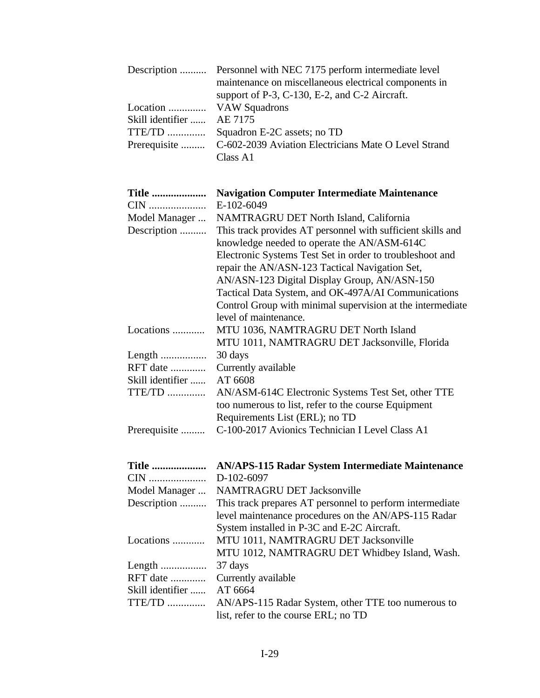|                           | Description  Personnel with NEC 7175 perform intermediate level    |
|---------------------------|--------------------------------------------------------------------|
|                           | maintenance on miscellaneous electrical components in              |
|                           | support of $P-3$ , C-130, E-2, and C-2 Aircraft.                   |
| Location  VAW Squadrons   |                                                                    |
| Skill identifier  AE 7175 |                                                                    |
| TTE/TD                    | Squadron E-2C assets; no TD                                        |
|                           | Prerequisite  C-602-2039 Aviation Electricians Mate O Level Strand |
|                           | Class A1                                                           |

| <b>Title </b><br>CIN         | <b>Navigation Computer Intermediate Maintenance</b><br>E-102-6049                                                                                                                                                                                                                                                                                                                                                                                                |
|------------------------------|------------------------------------------------------------------------------------------------------------------------------------------------------------------------------------------------------------------------------------------------------------------------------------------------------------------------------------------------------------------------------------------------------------------------------------------------------------------|
|                              |                                                                                                                                                                                                                                                                                                                                                                                                                                                                  |
| Model Manager<br>Description | NAMTRAGRU DET North Island, California<br>This track provides AT personnel with sufficient skills and<br>knowledge needed to operate the AN/ASM-614C<br>Electronic Systems Test Set in order to troubleshoot and<br>repair the AN/ASN-123 Tactical Navigation Set,<br>AN/ASN-123 Digital Display Group, AN/ASN-150<br>Tactical Data System, and OK-497A/AI Communications<br>Control Group with minimal supervision at the intermediate<br>level of maintenance. |
| Locations                    | MTU 1036, NAMTRAGRU DET North Island<br>MTU 1011, NAMTRAGRU DET Jacksonville, Florida                                                                                                                                                                                                                                                                                                                                                                            |
|                              | 30 days                                                                                                                                                                                                                                                                                                                                                                                                                                                          |
| RFT date                     | Currently available                                                                                                                                                                                                                                                                                                                                                                                                                                              |
| Skill identifier             | AT 6608                                                                                                                                                                                                                                                                                                                                                                                                                                                          |
| TTE/TD                       | AN/ASM-614C Electronic Systems Test Set, other TTE<br>too numerous to list, refer to the course Equipment<br>Requirements List (ERL); no TD                                                                                                                                                                                                                                                                                                                      |
| Prerequisite                 | C-100-2017 Avionics Technician I Level Class A1                                                                                                                                                                                                                                                                                                                                                                                                                  |
| <b>Title </b>                | <b>AN/APS-115 Radar System Intermediate Maintenance</b>                                                                                                                                                                                                                                                                                                                                                                                                          |
| CIN                          | D-102-6097                                                                                                                                                                                                                                                                                                                                                                                                                                                       |
| Model Manager                | <b>NAMTRAGRU DET Jacksonville</b>                                                                                                                                                                                                                                                                                                                                                                                                                                |
| Description                  | This track prepares AT personnel to perform intermediate<br>level maintenance procedures on the AN/APS-115 Radar<br>System installed in P-3C and E-2C Aircraft.                                                                                                                                                                                                                                                                                                  |
| Locations                    | MTU 1011, NAMTRAGRU DET Jacksonville<br>MTU 1012, NAMTRAGRU DET Whidbey Island, Wash.                                                                                                                                                                                                                                                                                                                                                                            |
| Length                       | 37 days                                                                                                                                                                                                                                                                                                                                                                                                                                                          |
| RFT date                     | Currently available                                                                                                                                                                                                                                                                                                                                                                                                                                              |
| Skill identifier             | AT 6664                                                                                                                                                                                                                                                                                                                                                                                                                                                          |
| <b>TTE/TD</b>                | AN/APS-115 Radar System, other TTE too numerous to<br>list, refer to the course ERL; no TD                                                                                                                                                                                                                                                                                                                                                                       |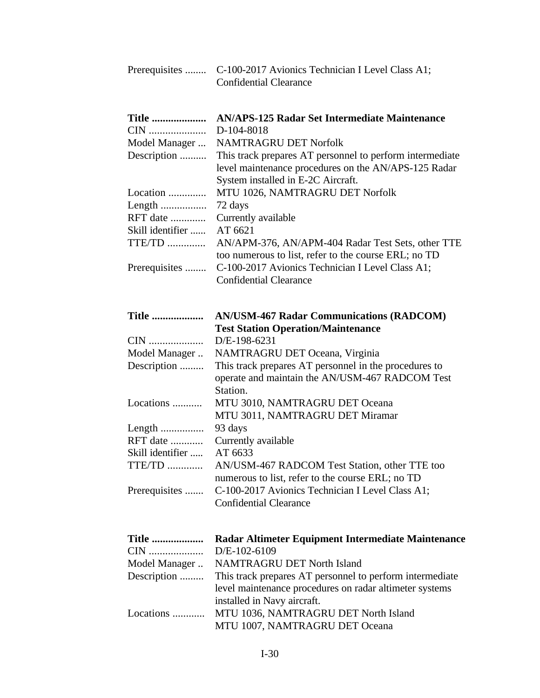| Prerequisites                | C-100-2017 Avionics Technician I Level Class A1;<br><b>Confidential Clearance</b>                                                                      |
|------------------------------|--------------------------------------------------------------------------------------------------------------------------------------------------------|
| <b>Title </b><br>CIN         | <b>AN/APS-125 Radar Set Intermediate Maintenance</b><br>D-104-8018                                                                                     |
| Model Manager                | <b>NAMTRAGRU DET Norfolk</b>                                                                                                                           |
| Description                  | This track prepares AT personnel to perform intermediate<br>level maintenance procedures on the AN/APS-125 Radar<br>System installed in E-2C Aircraft. |
| Location                     | MTU 1026, NAMTRAGRU DET Norfolk                                                                                                                        |
| Length                       | 72 days                                                                                                                                                |
| RFT date                     | Currently available                                                                                                                                    |
| Skill identifier             | AT 6621                                                                                                                                                |
| TTE/TD                       | AN/APM-376, AN/APM-404 Radar Test Sets, other TTE<br>too numerous to list, refer to the course ERL; no TD                                              |
| Prerequisites                | C-100-2017 Avionics Technician I Level Class A1;<br><b>Confidential Clearance</b>                                                                      |
| <b>Title </b>                | <b>AN/USM-467 Radar Communications (RADCOM)</b>                                                                                                        |
|                              | <b>Test Station Operation/Maintenance</b>                                                                                                              |
| CIN                          | D/E-198-6231                                                                                                                                           |
| Model Manager<br>Description | NAMTRAGRU DET Oceana, Virginia<br>This track prepares AT personnel in the procedures to                                                                |
|                              | operate and maintain the AN/USM-467 RADCOM Test<br>Station.                                                                                            |
| Locations                    | MTU 3010, NAMTRAGRU DET Oceana                                                                                                                         |
|                              | MTU 3011, NAMTRAGRU DET Miramar                                                                                                                        |
|                              | 93 days                                                                                                                                                |
| RFT date                     | Currently available                                                                                                                                    |
| Skill identifier             | AT 6633                                                                                                                                                |
| TTE/TD                       | AN/USM-467 RADCOM Test Station, other TTE too                                                                                                          |
|                              | numerous to list, refer to the course ERL; no TD                                                                                                       |
| Prerequisites                | C-100-2017 Avionics Technician I Level Class A1;<br><b>Confidential Clearance</b>                                                                      |
| <b>Title </b>                | Radar Altimeter Equipment Intermediate Maintenance                                                                                                     |
| CIN                          | D/E-102-6109                                                                                                                                           |
| Model Manager                | <b>NAMTRAGRU DET North Island</b>                                                                                                                      |
| Description                  | This track prepares AT personnel to perform intermediate                                                                                               |
|                              | level maintenance procedures on radar altimeter systems<br>installed in Navy aircraft.                                                                 |
| Locations                    | MTU 1036, NAMTRAGRU DET North Island                                                                                                                   |
|                              | MTU 1007, NAMTRAGRU DET Oceana                                                                                                                         |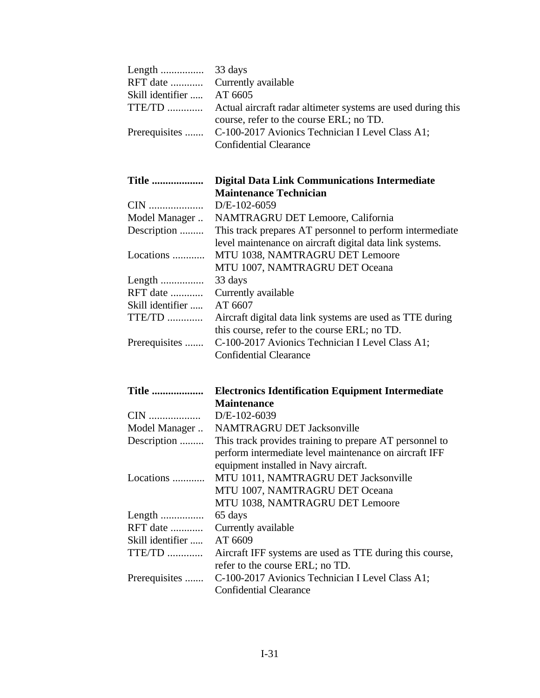|                           | RFT date  Currently available                                        |
|---------------------------|----------------------------------------------------------------------|
| Skill identifier  AT 6605 |                                                                      |
|                           | TTE/TD  Actual aircraft radar altimeter systems are used during this |
|                           | course, refer to the course ERL; no TD.                              |
|                           | Prerequisites  C-100-2017 Avionics Technician I Level Class A1;      |
|                           | <b>Confidential Clearance</b>                                        |

| <b>Maintenance Technician</b>                  |
|------------------------------------------------|
|                                                |
| Model Manager NAMTRAGRU DET Lemoore California |

| Model Manager    | NAMIRAGRU DEI Lemoore, Cantornia                          |
|------------------|-----------------------------------------------------------|
| Description      | This track prepares AT personnel to perform intermediate  |
|                  | level maintenance on aircraft digital data link systems.  |
| Locations        | MTU 1038, NAMTRAGRU DET Lemoore                           |
|                  | MTU 1007, NAMTRAGRU DET Oceana                            |
|                  | 33 days                                                   |
| RFT date         | Currently available                                       |
| Skill identifier | AT 6607                                                   |
| TTE/TD           | Aircraft digital data link systems are used as TTE during |
|                  | this course, refer to the course ERL; no TD.              |
| Prerequisites    | C-100-2017 Avionics Technician I Level Class A1;          |
|                  | <b>Confidential Clearance</b>                             |

| <b>Title </b>    | <b>Electronics Identification Equipment Intermediate</b> |
|------------------|----------------------------------------------------------|
|                  | <b>Maintenance</b>                                       |
| CIN              | $D/E-102-6039$                                           |
| Model Manager    | <b>NAMTRAGRU DET Jacksonville</b>                        |
| Description      | This track provides training to prepare AT personnel to  |
|                  | perform intermediate level maintenance on aircraft IFF   |
|                  | equipment installed in Navy aircraft.                    |
| Locations        | MTU 1011, NAMTRAGRU DET Jacksonville                     |
|                  | MTU 1007, NAMTRAGRU DET Oceana                           |
|                  | MTU 1038, NAMTRAGRU DET Lemoore                          |
|                  | 65 days                                                  |
| RFT date         | Currently available                                      |
| Skill identifier | AT 6609                                                  |
| TTE/TD           | Aircraft IFF systems are used as TTE during this course, |
|                  | refer to the course ERL; no TD.                          |
| Prerequisites    | C-100-2017 Avionics Technician I Level Class A1;         |
|                  | <b>Confidential Clearance</b>                            |
|                  |                                                          |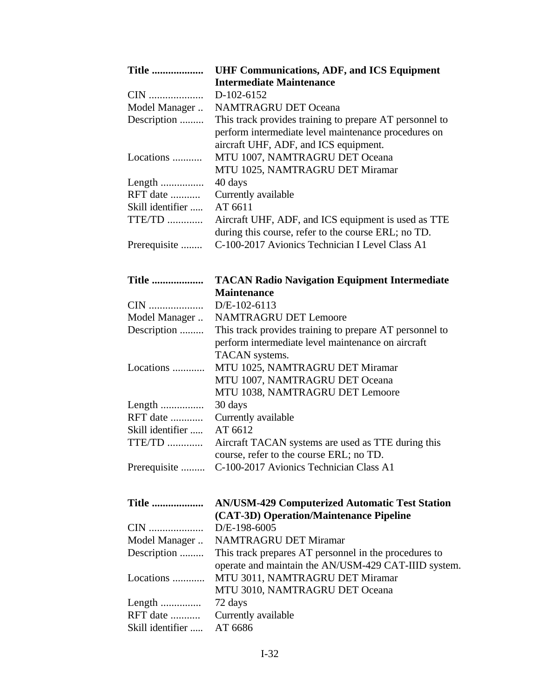| <b>Title </b>    | <b>UHF Communications, ADF, and ICS Equipment</b>       |
|------------------|---------------------------------------------------------|
|                  | <b>Intermediate Maintenance</b>                         |
|                  | D-102-6152                                              |
| Model Manager    | <b>NAMTRAGRU DET Oceana</b>                             |
| Description      | This track provides training to prepare AT personnel to |
|                  | perform intermediate level maintenance procedures on    |
|                  | aircraft UHF, ADF, and ICS equipment.                   |
| Locations        | MTU 1007, NAMTRAGRU DET Oceana                          |
|                  | MTU 1025, NAMTRAGRU DET Miramar                         |
|                  | 40 days                                                 |
| RFT date         | Currently available                                     |
| Skill identifier | AT 6611                                                 |
| TTE/TD           | Aircraft UHF, ADF, and ICS equipment is used as TTE     |
|                  | during this course, refer to the course ERL; no TD.     |
| Prerequisite     | C-100-2017 Avionics Technician I Level Class A1         |

| <b>Title </b>    | <b>TACAN Radio Navigation Equipment Intermediate</b>    |
|------------------|---------------------------------------------------------|
|                  | <b>Maintenance</b>                                      |
|                  | $D/E-102-6113$                                          |
| Model Manager    | <b>NAMTRAGRU DET Lemoore</b>                            |
| Description      | This track provides training to prepare AT personnel to |
|                  | perform intermediate level maintenance on aircraft      |
|                  | TACAN systems.                                          |
| Locations        | MTU 1025, NAMTRAGRU DET Miramar                         |
|                  | MTU 1007, NAMTRAGRU DET Oceana                          |
|                  | MTU 1038, NAMTRAGRU DET Lemoore                         |
|                  | 30 days                                                 |
| RFT date         | Currently available                                     |
| Skill identifier | AT 6612                                                 |
| $TTE/TD$         | Aircraft TACAN systems are used as TTE during this      |
|                  | course, refer to the course ERL; no TD.                 |
|                  | Prerequisite  C-100-2017 Avionics Technician Class A1   |
|                  |                                                         |
|                  |                                                         |
| <b>Title </b>    | <b>AN/USM-429 Computerized Automatic Test Station</b>   |
|                  | (CAT-3D) Operation/Maintenance Pipeline                 |

| $(CA1-3D)$ Operation/Manitenance 1 ipenne             |
|-------------------------------------------------------|
|                                                       |
| <b>NAMTRAGRU DET Miramar</b>                          |
| This track prepares AT personnel in the procedures to |
| operate and maintain the AN/USM-429 CAT-IIID system.  |
| Locations  MTU 3011, NAMTRAGRU DET Miramar            |
| MTU 3010, NAMTRAGRU DET Oceana                        |
| 72 days                                               |
| Currently available                                   |
| Skill identifier  AT 6686                             |
|                                                       |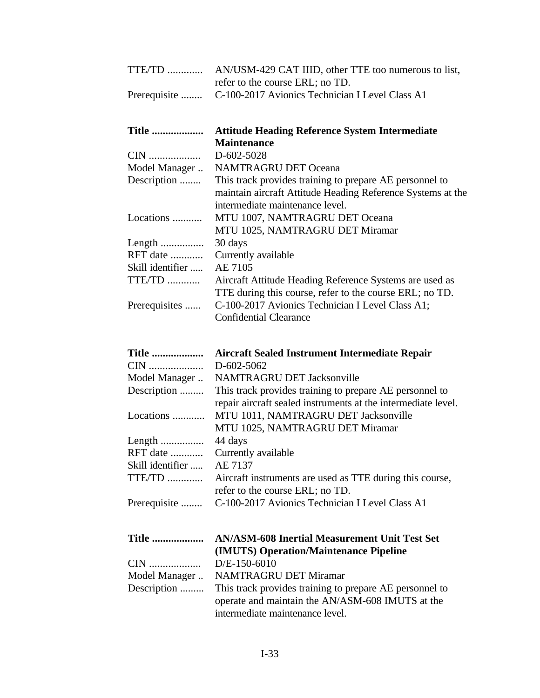| TTE/TD  AN/USM-429 CAT IIID, other TTE too numerous to list,  |
|---------------------------------------------------------------|
| refer to the course ERL; no TD.                               |
| Prerequisite  C-100-2017 Avionics Technician I Level Class A1 |

| <b>Title </b>    | <b>Attitude Heading Reference System Intermediate</b>       |
|------------------|-------------------------------------------------------------|
|                  | <b>Maintenance</b>                                          |
| CIN              | D-602-5028                                                  |
| Model Manager    | <b>NAMTRAGRU DET Oceana</b>                                 |
| Description      | This track provides training to prepare AE personnel to     |
|                  | maintain aircraft Attitude Heading Reference Systems at the |
|                  | intermediate maintenance level.                             |
| Locations        | MTU 1007, NAMTRAGRU DET Oceana                              |
|                  | MTU 1025, NAMTRAGRU DET Miramar                             |
|                  | 30 days                                                     |
| RFT date         | Currently available                                         |
| Skill identifier | AE 7105                                                     |
| TTE/TD           | Aircraft Attitude Heading Reference Systems are used as     |
|                  | TTE during this course, refer to the course ERL; no TD.     |
| Prerequisites    | C-100-2017 Avionics Technician I Level Class A1;            |
|                  | Confidential Clearance                                      |
|                  |                                                             |

| <b>Aircraft Sealed Instrument Intermediate Repair</b>         |
|---------------------------------------------------------------|
| $D - 602 - 5062$                                              |
| <b>NAMTRAGRU DET Jacksonville</b>                             |
| This track provides training to prepare AE personnel to       |
| repair aircraft sealed instruments at the intermediate level. |
| MTU 1011, NAMTRAGRU DET Jacksonville                          |
| MTU 1025, NAMTRAGRU DET Miramar                               |
| 44 days                                                       |
| Currently available                                           |
| AE 7137                                                       |
| Aircraft instruments are used as TTE during this course,      |
| refer to the course ERL; no TD.                               |
| C-100-2017 Avionics Technician I Level Class A1               |
|                                                               |

| (IMUTS) Operation/Maintenance Pipeline                               |  |  |
|----------------------------------------------------------------------|--|--|
|                                                                      |  |  |
| Model Manager  NAMTRAGRU DET Miramar                                 |  |  |
| Description  This track provides training to prepare AE personnel to |  |  |
| operate and maintain the AN/ASM-608 IMUTS at the                     |  |  |
| intermediate maintenance level.                                      |  |  |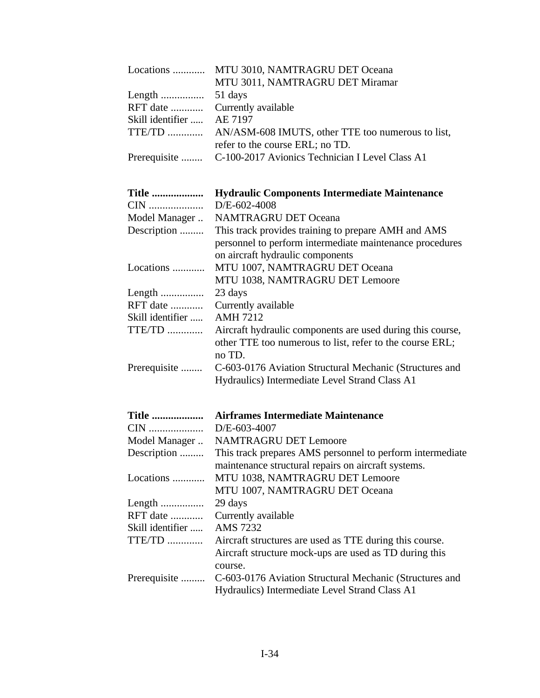| Locations        | MTU 3010, NAMTRAGRU DET Oceana                                                                                                   |
|------------------|----------------------------------------------------------------------------------------------------------------------------------|
|                  | MTU 3011, NAMTRAGRU DET Miramar                                                                                                  |
| Length           | 51 days                                                                                                                          |
| RFT date         | Currently available                                                                                                              |
| Skill identifier | AE 7197                                                                                                                          |
| TTE/TD           | AN/ASM-608 IMUTS, other TTE too numerous to list,                                                                                |
|                  | refer to the course ERL; no TD.                                                                                                  |
| Prerequisite     | C-100-2017 Avionics Technician I Level Class A1                                                                                  |
| <b>Title </b>    | <b>Hydraulic Components Intermediate Maintenance</b>                                                                             |
| CIN              | D/E-602-4008                                                                                                                     |
| Model Manager    | <b>NAMTRAGRU DET Oceana</b>                                                                                                      |
| Description      | This track provides training to prepare AMH and AMS                                                                              |
|                  | personnel to perform intermediate maintenance procedures<br>on aircraft hydraulic components                                     |
| Locations        | MTU 1007, NAMTRAGRU DET Oceana                                                                                                   |
|                  | MTU 1038, NAMTRAGRU DET Lemoore                                                                                                  |
|                  | 23 days                                                                                                                          |
| RFT date         | Currently available                                                                                                              |
| Skill identifier | <b>AMH 7212</b>                                                                                                                  |
| TTE/TD           | Aircraft hydraulic components are used during this course,<br>other TTE too numerous to list, refer to the course ERL;<br>no TD. |
| Prerequisite     | C-603-0176 Aviation Structural Mechanic (Structures and<br>Hydraulics) Intermediate Level Strand Class A1                        |
| <b>Title </b>    | <b>Airframes Intermediate Maintenance</b>                                                                                        |
| CIN              | D/E-603-4007                                                                                                                     |
| Model Manager    | <b>NAMTRAGRU DET Lemoore</b>                                                                                                     |
| Description      | This track prepares AMS personnel to perform intermediate<br>maintenance structural repairs on aircraft systems.                 |
| Locations        | MTU 1038, NAMTRAGRU DET Lemoore<br>MTU 1007, NAMTRAGRU DET Oceana                                                                |
| Length           | 29 days                                                                                                                          |
| RFT date         | Currently available                                                                                                              |
| Skill identifier | <b>AMS</b> 7232                                                                                                                  |
| $TTE/TD$         | Aircraft structures are used as TTE during this course.                                                                          |
|                  | Aircraft structure mock-ups are used as TD during this<br>course.                                                                |
| Prerequisite     | C-603-0176 Aviation Structural Mechanic (Structures and<br>Hydraulics) Intermediate Level Strand Class A1                        |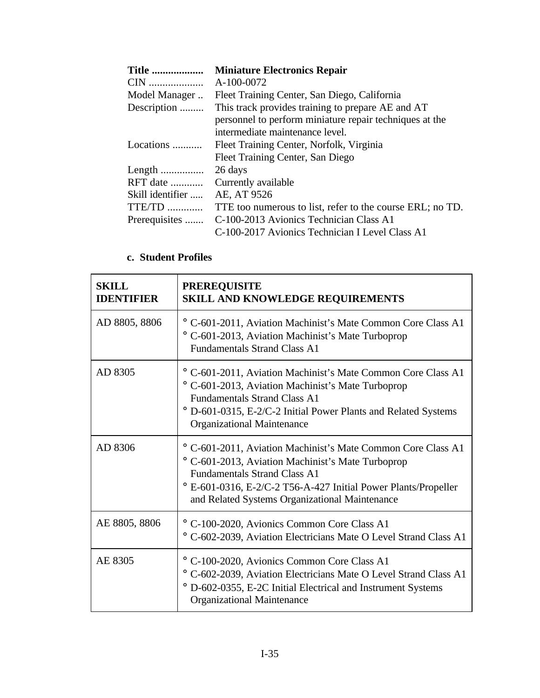| <b>Title </b>    | <b>Miniature Electronics Repair</b>                       |
|------------------|-----------------------------------------------------------|
|                  | A-100-0072                                                |
| Model Manager    | Fleet Training Center, San Diego, California              |
| Description      | This track provides training to prepare AE and AT         |
|                  | personnel to perform miniature repair techniques at the   |
|                  | intermediate maintenance level.                           |
| Locations        | Fleet Training Center, Norfolk, Virginia                  |
|                  | Fleet Training Center, San Diego                          |
|                  | 26 days                                                   |
| RFT date         | Currently available                                       |
| Skill identifier | AE, AT 9526                                               |
| TTE/TD           | TTE too numerous to list, refer to the course ERL; no TD. |
| Prerequisites    | C-100-2013 Avionics Technician Class A1                   |
|                  | C-100-2017 Avionics Technician I Level Class A1           |

# **c. Student Profiles**

| <b>SKILL</b><br><b>IDENTIFIER</b> | <b>PREREQUISITE</b><br><b>SKILL AND KNOWLEDGE REQUIREMENTS</b>                                                                                                                                                                                                                          |
|-----------------------------------|-----------------------------------------------------------------------------------------------------------------------------------------------------------------------------------------------------------------------------------------------------------------------------------------|
| AD 8805, 8806                     | ° C-601-2011, Aviation Machinist's Mate Common Core Class A1<br>° C-601-2013, Aviation Machinist's Mate Turboprop<br><b>Fundamentals Strand Class A1</b>                                                                                                                                |
| AD 8305                           | ° C-601-2011, Aviation Machinist's Mate Common Core Class A1<br>° C-601-2013, Aviation Machinist's Mate Turboprop<br><b>Fundamentals Strand Class A1</b><br>° D-601-0315, E-2/C-2 Initial Power Plants and Related Systems<br><b>Organizational Maintenance</b>                         |
| AD 8306                           | ° C-601-2011, Aviation Machinist's Mate Common Core Class A1<br>° C-601-2013, Aviation Machinist's Mate Turboprop<br><b>Fundamentals Strand Class A1</b><br><sup>o</sup> E-601-0316, E-2/C-2 T56-A-427 Initial Power Plants/Propeller<br>and Related Systems Organizational Maintenance |
| AE 8805, 8806                     | ° C-100-2020, Avionics Common Core Class A1<br>° C-602-2039, Aviation Electricians Mate O Level Strand Class A1                                                                                                                                                                         |
| AE 8305                           | ° C-100-2020, Avionics Common Core Class A1<br>° C-602-2039, Aviation Electricians Mate O Level Strand Class A1<br><sup>o</sup> D-602-0355, E-2C Initial Electrical and Instrument Systems<br><b>Organizational Maintenance</b>                                                         |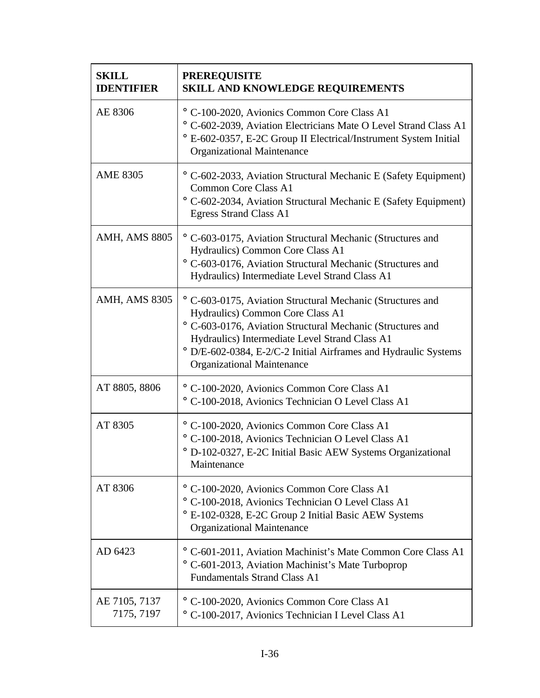| <b>SKILL</b><br><b>IDENTIFIER</b> | <b>PREREQUISITE</b><br>SKILL AND KNOWLEDGE REQUIREMENTS                                                                                                                                                                                                                                                                |
|-----------------------------------|------------------------------------------------------------------------------------------------------------------------------------------------------------------------------------------------------------------------------------------------------------------------------------------------------------------------|
| AE 8306                           | ° C-100-2020, Avionics Common Core Class A1<br>° C-602-2039, Aviation Electricians Mate O Level Strand Class A1<br>° E-602-0357, E-2C Group II Electrical/Instrument System Initial<br><b>Organizational Maintenance</b>                                                                                               |
| <b>AME 8305</b>                   | ° C-602-2033, Aviation Structural Mechanic E (Safety Equipment)<br><b>Common Core Class A1</b><br>° C-602-2034, Aviation Structural Mechanic E (Safety Equipment)<br><b>Egress Strand Class A1</b>                                                                                                                     |
| <b>AMH, AMS 8805</b>              | ° C-603-0175, Aviation Structural Mechanic (Structures and<br>Hydraulics) Common Core Class A1<br>° C-603-0176, Aviation Structural Mechanic (Structures and<br>Hydraulics) Intermediate Level Strand Class A1                                                                                                         |
| <b>AMH, AMS 8305</b>              | ° C-603-0175, Aviation Structural Mechanic (Structures and<br>Hydraulics) Common Core Class A1<br>° C-603-0176, Aviation Structural Mechanic (Structures and<br>Hydraulics) Intermediate Level Strand Class A1<br>° D/E-602-0384, E-2/C-2 Initial Airframes and Hydraulic Systems<br><b>Organizational Maintenance</b> |
| AT 8805, 8806                     | ° C-100-2020, Avionics Common Core Class A1<br>° C-100-2018, Avionics Technician O Level Class A1                                                                                                                                                                                                                      |
| AT 8305                           | ° C-100-2020, Avionics Common Core Class A1<br>° C-100-2018, Avionics Technician O Level Class A1<br><sup>o</sup> D-102-0327, E-2C Initial Basic AEW Systems Organizational<br>Maintenance                                                                                                                             |
| AT 8306                           | ° C-100-2020, Avionics Common Core Class A1<br>° C-100-2018, Avionics Technician O Level Class A1<br><sup>o</sup> E-102-0328, E-2C Group 2 Initial Basic AEW Systems<br><b>Organizational Maintenance</b>                                                                                                              |
| AD 6423                           | ° C-601-2011, Aviation Machinist's Mate Common Core Class A1<br>° C-601-2013, Aviation Machinist's Mate Turboprop<br><b>Fundamentals Strand Class A1</b>                                                                                                                                                               |
| AE 7105, 7137<br>7175, 7197       | ° C-100-2020, Avionics Common Core Class A1<br>° C-100-2017, Avionics Technician I Level Class A1                                                                                                                                                                                                                      |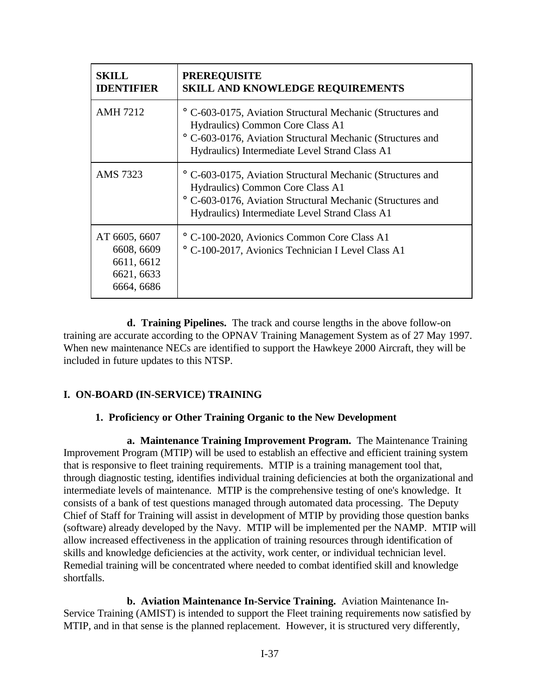| <b>SKILL</b><br><b>IDENTIFIER</b>                                     | <b>PREREQUISITE</b><br><b>SKILL AND KNOWLEDGE REQUIREMENTS</b>                                                                                                                                                            |
|-----------------------------------------------------------------------|---------------------------------------------------------------------------------------------------------------------------------------------------------------------------------------------------------------------------|
| <b>AMH 7212</b>                                                       | <sup>o</sup> C-603-0175, Aviation Structural Mechanic (Structures and<br>Hydraulics) Common Core Class A1<br>° C-603-0176, Aviation Structural Mechanic (Structures and<br>Hydraulics) Intermediate Level Strand Class A1 |
| AMS 7323                                                              | <sup>o</sup> C-603-0175, Aviation Structural Mechanic (Structures and<br>Hydraulics) Common Core Class A1<br>° C-603-0176, Aviation Structural Mechanic (Structures and<br>Hydraulics) Intermediate Level Strand Class A1 |
| AT 6605, 6607<br>6608, 6609<br>6611, 6612<br>6621, 6633<br>6664, 6686 | ° C-100-2020, Avionics Common Core Class A1<br>C-100-2017, Avionics Technician I Level Class A1                                                                                                                           |

**d. Training Pipelines.** The track and course lengths in the above follow-on training are accurate according to the OPNAV Training Management System as of 27 May 1997. When new maintenance NECs are identified to support the Hawkeye 2000 Aircraft, they will be included in future updates to this NTSP.

# **I. ON-BOARD (IN-SERVICE) TRAINING**

### **1. Proficiency or Other Training Organic to the New Development**

**a. Maintenance Training Improvement Program.** The Maintenance Training Improvement Program (MTIP) will be used to establish an effective and efficient training system that is responsive to fleet training requirements. MTIP is a training management tool that, through diagnostic testing, identifies individual training deficiencies at both the organizational and intermediate levels of maintenance. MTIP is the comprehensive testing of one's knowledge. It consists of a bank of test questions managed through automated data processing. The Deputy Chief of Staff for Training will assist in development of MTIP by providing those question banks (software) already developed by the Navy. MTIP will be implemented per the NAMP. MTIP will allow increased effectiveness in the application of training resources through identification of skills and knowledge deficiencies at the activity, work center, or individual technician level. Remedial training will be concentrated where needed to combat identified skill and knowledge shortfalls.

**b. Aviation Maintenance In-Service Training.** Aviation Maintenance In-Service Training (AMIST) is intended to support the Fleet training requirements now satisfied by MTIP, and in that sense is the planned replacement. However, it is structured very differently,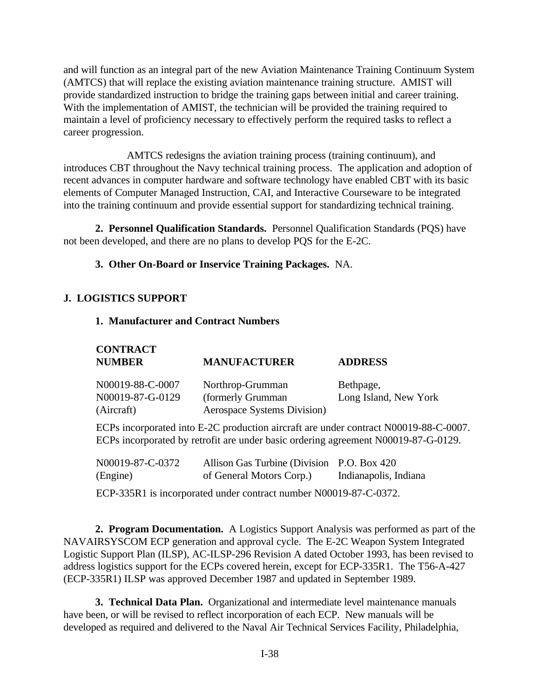and will function as an integral part of the new Aviation Maintenance Training Continuum System (AMTCS) that will replace the existing aviation maintenance training structure. AMIST will provide standardized instruction to bridge the training gaps between initial and career training. With the implementation of AMIST, the technician will be provided the training required to maintain a level of proficiency necessary to effectively perform the required tasks to reflect a career progression.

AMTCS redesigns the aviation training process (training continuum), and introduces CBT throughout the Navy technical training process. The application and adoption of recent advances in computer hardware and software technology have enabled CBT with its basic elements of Computer Managed Instruction, CAI, and Interactive Courseware to be integrated into the training continuum and provide essential support for standardizing technical training.

**2. Personnel Qualification Standards.** Personnel Qualification Standards (PQS) have not been developed, and there are no plans to develop PQS for the E-2C.

**3. Other On-Board or Inservice Training Packages.** NA.

# **J. LOGISTICS SUPPORT**

**CONTRACT**

### **1. Manufacturer and Contract Numbers**

| <b>CONTRACT</b><br><b>NUMBER</b> | <b>MANUFACTURER</b>         | <b>ADDRESS</b>        |
|----------------------------------|-----------------------------|-----------------------|
| N00019-88-C-0007                 | Northrop-Grumman            | Bethpage,             |
| N00019-87-G-0129                 | (formerly Grumman)          | Long Island, New York |
| (Aircraft)                       | Aerospace Systems Division) |                       |

ECPs incorporated into E-2C production aircraft are under contract N00019-88-C-0007. ECPs incorporated by retrofit are under basic ordering agreement N00019-87-G-0129.

| N00019-87-C-0372 | Allison Gas Turbine (Division P.O. Box 420) |                       |
|------------------|---------------------------------------------|-----------------------|
| (Engine)         | of General Motors Corp.)                    | Indianapolis, Indiana |

ECP-335R1 is incorporated under contract number N00019-87-C-0372.

**2. Program Documentation.** A Logistics Support Analysis was performed as part of the NAVAIRSYSCOM ECP generation and approval cycle. The E-2C Weapon System Integrated Logistic Support Plan (ILSP), AC-ILSP-296 Revision A dated October 1993, has been revised to address logistics support for the ECPs covered herein, except for ECP-335R1. The T56-A-427 (ECP-335R1) ILSP was approved December 1987 and updated in September 1989.

**3. Technical Data Plan.** Organizational and intermediate level maintenance manuals have been, or will be revised to reflect incorporation of each ECP. New manuals will be developed as required and delivered to the Naval Air Technical Services Facility, Philadelphia,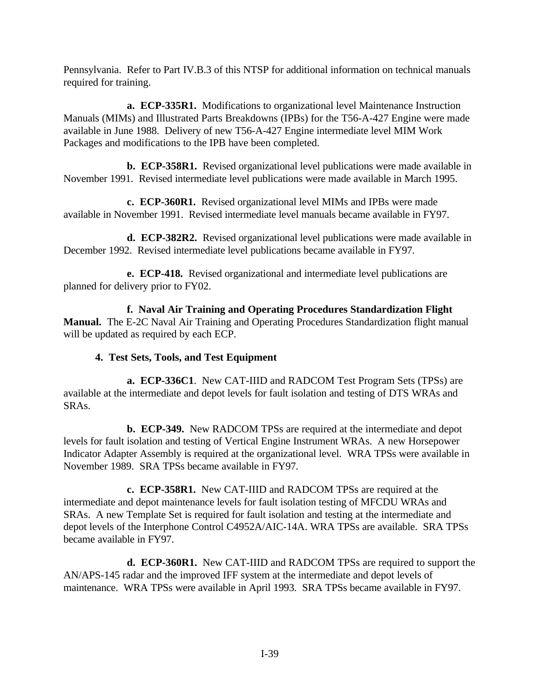Pennsylvania. Refer to Part IV.B.3 of this NTSP for additional information on technical manuals required for training.

**a. ECP-335R1.** Modifications to organizational level Maintenance Instruction Manuals (MIMs) and Illustrated Parts Breakdowns (IPBs) for the T56-A-427 Engine were made available in June 1988. Delivery of new T56-A-427 Engine intermediate level MIM Work Packages and modifications to the IPB have been completed.

**b. ECP-358R1.** Revised organizational level publications were made available in November 1991. Revised intermediate level publications were made available in March 1995.

**c. ECP-360R1.** Revised organizational level MIMs and IPBs were made available in November 1991. Revised intermediate level manuals became available in FY97.

**d. ECP-382R2.** Revised organizational level publications were made available in December 1992. Revised intermediate level publications became available in FY97.

**e. ECP-418.** Revised organizational and intermediate level publications are planned for delivery prior to FY02.

**f. Naval Air Training and Operating Procedures Standardization Flight Manual.** The E-2C Naval Air Training and Operating Procedures Standardization flight manual will be updated as required by each ECP.

# **4. Test Sets, Tools, and Test Equipment**

**a. ECP-336C1**. New CAT-IIID and RADCOM Test Program Sets (TPSs) are available at the intermediate and depot levels for fault isolation and testing of DTS WRAs and SRAs.

**b. ECP-349.** New RADCOM TPSs are required at the intermediate and depot levels for fault isolation and testing of Vertical Engine Instrument WRAs. A new Horsepower Indicator Adapter Assembly is required at the organizational level. WRA TPSs were available in November 1989. SRA TPSs became available in FY97.

**c. ECP-358R1.** New CAT-IIID and RADCOM TPSs are required at the intermediate and depot maintenance levels for fault isolation testing of MFCDU WRAs and SRAs. A new Template Set is required for fault isolation and testing at the intermediate and depot levels of the Interphone Control C4952A/AIC-14A. WRA TPSs are available. SRA TPSs became available in FY97.

**d. ECP-360R1.** New CAT-IIID and RADCOM TPSs are required to support the AN/APS-145 radar and the improved IFF system at the intermediate and depot levels of maintenance. WRA TPSs were available in April 1993. SRA TPSs became available in FY97.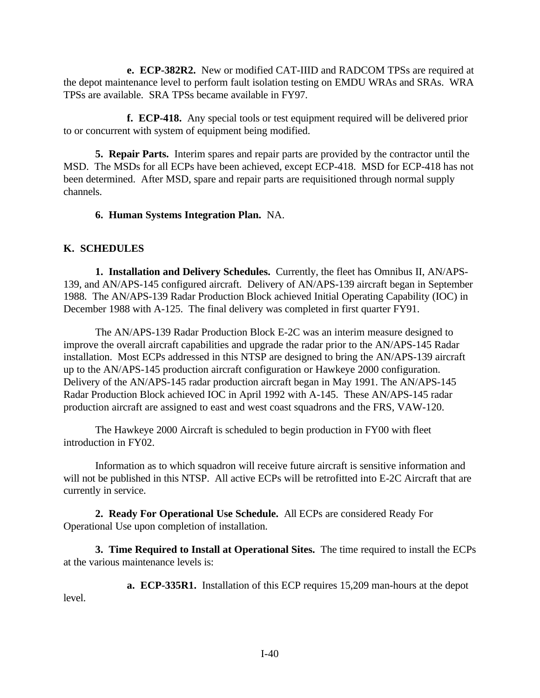**e. ECP-382R2.** New or modified CAT-IIID and RADCOM TPSs are required at the depot maintenance level to perform fault isolation testing on EMDU WRAs and SRAs. WRA TPSs are available. SRA TPSs became available in FY97.

**f. ECP-418.** Any special tools or test equipment required will be delivered prior to or concurrent with system of equipment being modified.

**5. Repair Parts.** Interim spares and repair parts are provided by the contractor until the MSD. The MSDs for all ECPs have been achieved, except ECP-418. MSD for ECP-418 has not been determined. After MSD, spare and repair parts are requisitioned through normal supply channels.

**6. Human Systems Integration Plan.** NA.

### **K. SCHEDULES**

**1. Installation and Delivery Schedules.** Currently, the fleet has Omnibus II, AN/APS-139, and AN/APS-145 configured aircraft. Delivery of AN/APS-139 aircraft began in September 1988. The AN/APS-139 Radar Production Block achieved Initial Operating Capability (IOC) in December 1988 with A-125. The final delivery was completed in first quarter FY91.

The AN/APS-139 Radar Production Block E-2C was an interim measure designed to improve the overall aircraft capabilities and upgrade the radar prior to the AN/APS-145 Radar installation. Most ECPs addressed in this NTSP are designed to bring the AN/APS-139 aircraft up to the AN/APS-145 production aircraft configuration or Hawkeye 2000 configuration. Delivery of the AN/APS-145 radar production aircraft began in May 1991. The AN/APS-145 Radar Production Block achieved IOC in April 1992 with A-145. These AN/APS-145 radar production aircraft are assigned to east and west coast squadrons and the FRS, VAW-120.

The Hawkeye 2000 Aircraft is scheduled to begin production in FY00 with fleet introduction in FY02.

Information as to which squadron will receive future aircraft is sensitive information and will not be published in this NTSP. All active ECPs will be retrofitted into E-2C Aircraft that are currently in service.

**2. Ready For Operational Use Schedule.** All ECPs are considered Ready For Operational Use upon completion of installation.

**3. Time Required to Install at Operational Sites.** The time required to install the ECPs at the various maintenance levels is:

**a. ECP-335R1.** Installation of this ECP requires 15,209 man-hours at the depot level.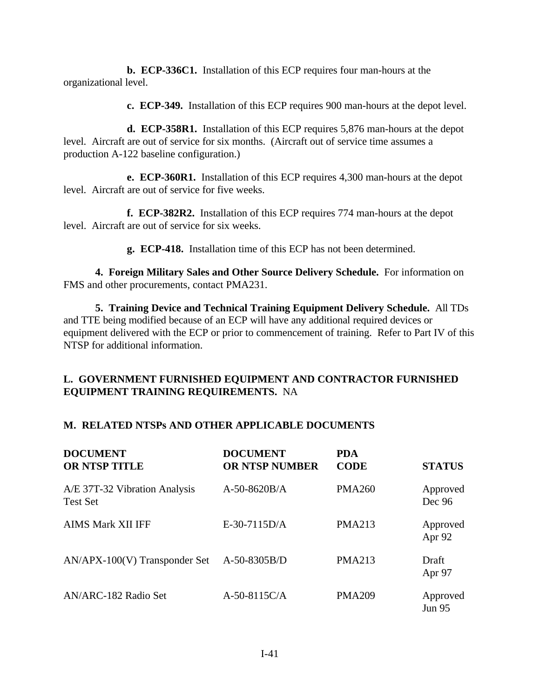**b. ECP-336C1.** Installation of this ECP requires four man-hours at the organizational level.

**c. ECP-349.** Installation of this ECP requires 900 man-hours at the depot level.

**d. ECP-358R1.** Installation of this ECP requires 5,876 man-hours at the depot level. Aircraft are out of service for six months. (Aircraft out of service time assumes a production A-122 baseline configuration.)

**e. ECP-360R1.** Installation of this ECP requires 4,300 man-hours at the depot level. Aircraft are out of service for five weeks.

**f. ECP-382R2.** Installation of this ECP requires 774 man-hours at the depot level. Aircraft are out of service for six weeks.

**g. ECP-418.** Installation time of this ECP has not been determined.

**4. Foreign Military Sales and Other Source Delivery Schedule.** For information on FMS and other procurements, contact PMA231.

**5. Training Device and Technical Training Equipment Delivery Schedule.** All TDs and TTE being modified because of an ECP will have any additional required devices or equipment delivered with the ECP or prior to commencement of training. Refer to Part IV of this NTSP for additional information.

### **L. GOVERNMENT FURNISHED EQUIPMENT AND CONTRACTOR FURNISHED EQUIPMENT TRAINING REQUIREMENTS.** NA

#### **M. RELATED NTSPs AND OTHER APPLICABLE DOCUMENTS**

| <b>DOCUMENT</b><br><b>OR NTSP TITLE</b>          | <b>DOCUMENT</b><br><b>OR NTSP NUMBER</b> | <b>PDA</b><br><b>CODE</b> | <b>STATUS</b>             |
|--------------------------------------------------|------------------------------------------|---------------------------|---------------------------|
| A/E 37T-32 Vibration Analysis<br><b>Test Set</b> | $A-50-8620B/A$                           | <b>PMA260</b>             | Approved<br>Dec 96        |
| <b>AIMS Mark XII IFF</b>                         | $E-30-7115D/A$                           | <b>PMA213</b>             | Approved<br>Apr 92        |
| $AN/APX-100(V)$ Transponder Set                  | $A-50-8305B/D$                           | <b>PMA213</b>             | Draft<br>Apr 97           |
| AN/ARC-182 Radio Set                             | A-50-8115C/A                             | <b>PMA209</b>             | Approved<br><b>Jun 95</b> |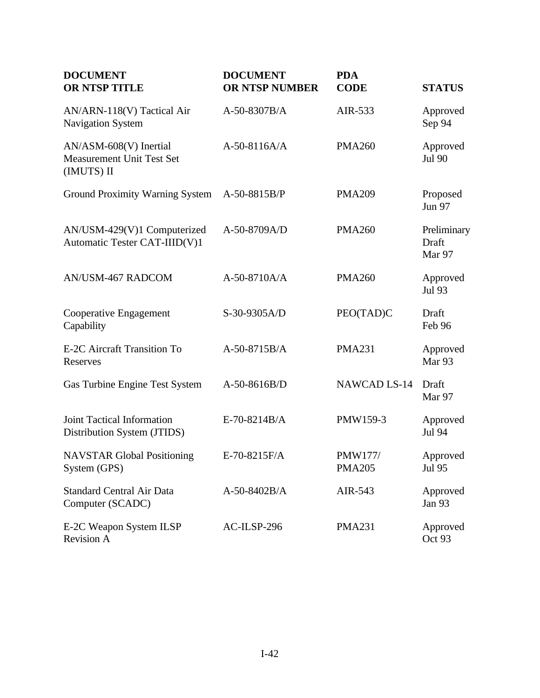| <b>DOCUMENT</b><br><b>OR NTSP TITLE</b>                                  | <b>DOCUMENT</b><br>OR NTSP NUMBER | <b>PDA</b><br><b>CODE</b>       | <b>STATUS</b>                  |
|--------------------------------------------------------------------------|-----------------------------------|---------------------------------|--------------------------------|
| AN/ARN-118(V) Tactical Air<br><b>Navigation System</b>                   | A-50-8307B/A                      | AIR-533                         | Approved<br>Sep 94             |
| AN/ASM-608(V) Inertial<br><b>Measurement Unit Test Set</b><br>(IMUTS) II | A-50-8116A/A                      | <b>PMA260</b>                   | Approved<br>Jul 90             |
| Ground Proximity Warning System                                          | A-50-8815B/P                      | <b>PMA209</b>                   | Proposed<br><b>Jun 97</b>      |
| AN/USM-429(V)1 Computerized<br>Automatic Tester CAT-IIID(V)1             | A-50-8709A/D                      | <b>PMA260</b>                   | Preliminary<br>Draft<br>Mar 97 |
| <b>AN/USM-467 RADCOM</b>                                                 | $A-50-8710A/A$                    | <b>PMA260</b>                   | Approved<br><b>Jul 93</b>      |
| Cooperative Engagement<br>Capability                                     | S-30-9305A/D                      | PEO(TAD)C                       | Draft<br>Feb 96                |
| E-2C Aircraft Transition To<br>Reserves                                  | A-50-8715B/A                      | <b>PMA231</b>                   | Approved<br>Mar <sub>93</sub>  |
| Gas Turbine Engine Test System                                           | A-50-8616B/D                      | <b>NAWCAD LS-14</b>             | Draft<br>Mar 97                |
| Joint Tactical Information<br>Distribution System (JTIDS)                | E-70-8214B/A                      | PMW159-3                        | Approved<br>Jul 94             |
| <b>NAVSTAR Global Positioning</b><br>System (GPS)                        | E-70-8215F/A                      | <b>PMW177/</b><br><b>PMA205</b> | Approved<br>Jul 95             |
| <b>Standard Central Air Data</b><br>Computer (SCADC)                     | $A-50-8402B/A$                    | AIR-543                         | Approved<br>Jan 93             |
| E-2C Weapon System ILSP<br><b>Revision A</b>                             | AC-ILSP-296                       | <b>PMA231</b>                   | Approved<br>Oct 93             |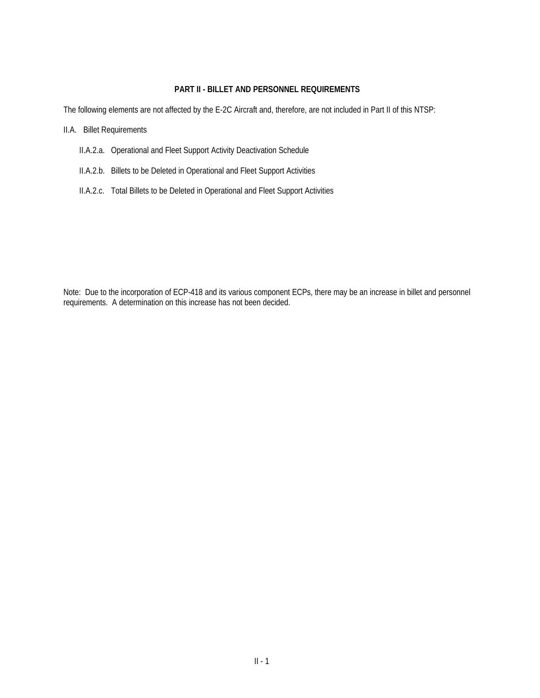#### **PART II - BILLET AND PERSONNEL REQUIREMENTS**

The following elements are not affected by the E-2C Aircraft and, therefore, are not included in Part II of this NTSP:

II.A. Billet Requirements

- II.A.2.a. Operational and Fleet Support Activity Deactivation Schedule
- II.A.2.b. Billets to be Deleted in Operational and Fleet Support Activities
- II.A.2.c. Total Billets to be Deleted in Operational and Fleet Support Activities

Note: Due to the incorporation of ECP-418 and its various component ECPs, there may be an increase in billet and personnel requirements. A determination on this increase has not been decided.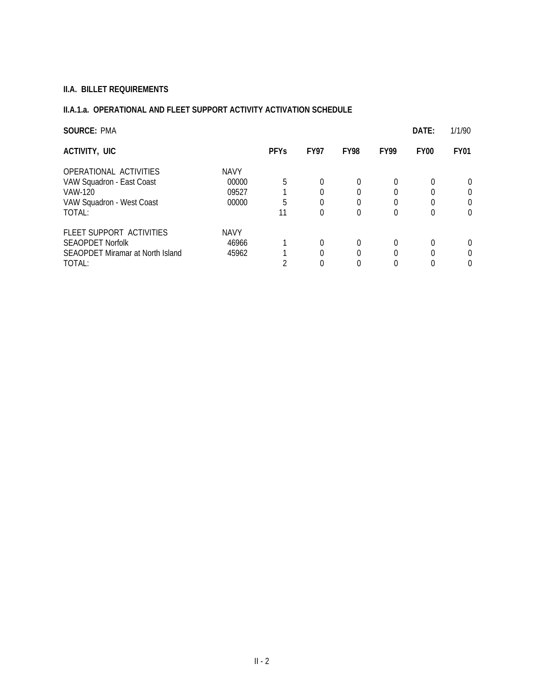# **II.A. BILLET REQUIREMENTS**

# **II.A.1.a. OPERATIONAL AND FLEET SUPPORT ACTIVITY ACTIVATION SCHEDULE**

| <b>SOURCE: PMA</b>                                                                                    |                                        |              |             |             |             | DATE:         | 1/1/90                                       |
|-------------------------------------------------------------------------------------------------------|----------------------------------------|--------------|-------------|-------------|-------------|---------------|----------------------------------------------|
| ACTIVITY, UIC                                                                                         |                                        | <b>PFYs</b>  | <b>FY97</b> | <b>FY98</b> | <b>FY99</b> | <b>FY00</b>   | <b>FY01</b>                                  |
| OPERATIONAL ACTIVITIES<br>VAW Squadron - East Coast<br>VAW-120<br>VAW Squadron - West Coast<br>TOTAL: | <b>NAVY</b><br>00000<br>09527<br>00000 | 5<br>5<br>11 | 0<br>0      | 0<br>0      | 0<br>0      | $\Omega$<br>0 | $\Omega$<br>$\Omega$<br>$\Omega$<br>$\Omega$ |
| FLEET SUPPORT ACTIVITIES<br><b>SEAOPDET Norfolk</b><br>SEAOPDET Miramar at North Island<br>TOTAL:     | <b>NAVY</b><br>46966<br>45962          | ◠            | 0           | 0<br>0      | 0           | 0             | 0<br>$\Omega$<br>$\Omega$                    |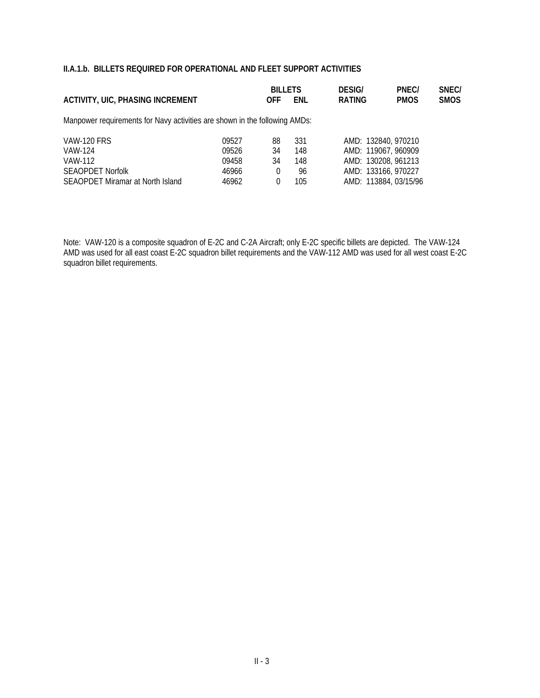|            |     | <b>DESIG/</b>                                                                                | PNEC/       | SNEC/                                                                                                             |
|------------|-----|----------------------------------------------------------------------------------------------|-------------|-------------------------------------------------------------------------------------------------------------------|
| <b>OFF</b> | ENL | <b>RATING</b>                                                                                | <b>PMOS</b> | <b>SMOS</b>                                                                                                       |
|            |     |                                                                                              |             |                                                                                                                   |
| 88         | 331 |                                                                                              |             |                                                                                                                   |
| 34         | 148 |                                                                                              |             |                                                                                                                   |
| 34         | 148 |                                                                                              |             |                                                                                                                   |
| 0          | 96  |                                                                                              |             |                                                                                                                   |
| 0          | 105 |                                                                                              |             |                                                                                                                   |
|            |     | <b>BILLETS</b><br>Manpower requirements for Navy activities are shown in the following AMDs: |             | AMD: 132840, 970210<br>AMD: 119067, 960909<br>AMD: 130208, 961213<br>AMD: 133166, 970227<br>AMD: 113884, 03/15/96 |

Note: VAW-120 is a composite squadron of E-2C and C-2A Aircraft; only E-2C specific billets are depicted. The VAW-124 AMD was used for all east coast E-2C squadron billet requirements and the VAW-112 AMD was used for all west coast E-2C squadron billet requirements.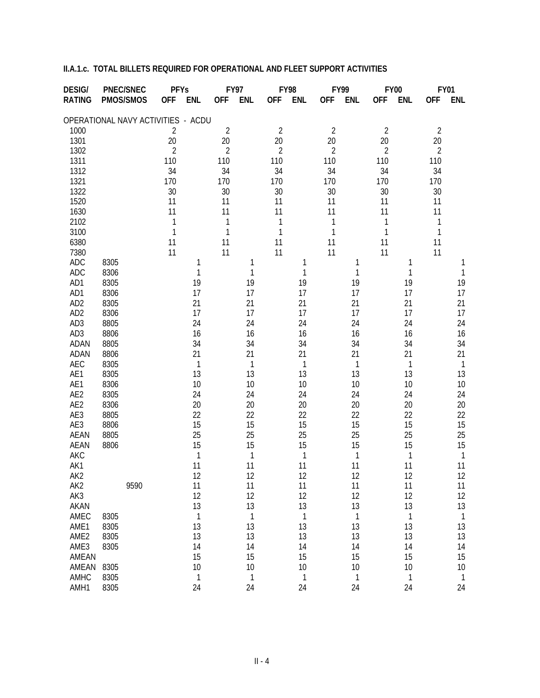| <b>DESIG/</b>    | <b>PNEC/SNEC</b>                   | <b>PFYs</b>              | <b>FY97</b>              | <b>FY98</b>              | FY99                     | <b>FY00</b>              | <b>FY01</b>              |
|------------------|------------------------------------|--------------------------|--------------------------|--------------------------|--------------------------|--------------------------|--------------------------|
| <b>RATING</b>    | PMOS/SMOS                          | <b>OFF</b><br><b>ENL</b> | <b>OFF</b><br><b>ENL</b> | <b>OFF</b><br><b>ENL</b> | <b>OFF</b><br><b>ENL</b> | <b>OFF</b><br><b>ENL</b> | <b>OFF</b><br><b>ENL</b> |
|                  | OPERATIONAL NAVY ACTIVITIES - ACDU |                          |                          |                          |                          |                          |                          |
| 1000             |                                    | $\overline{2}$           | $\overline{2}$           | $\overline{2}$           | $\overline{2}$           | $\overline{2}$           | $\overline{2}$           |
| 1301             |                                    | 20                       | 20                       | 20                       | 20                       | 20                       | 20                       |
| 1302             |                                    | $\overline{2}$           | $\overline{2}$           | $\overline{2}$           | $\overline{2}$           | $\overline{2}$           | $\overline{2}$           |
| 1311             |                                    | 110                      | 110                      | 110                      | 110                      | 110                      | 110                      |
| 1312             |                                    | 34                       | 34                       | 34                       | 34                       | 34                       | 34                       |
| 1321             |                                    | 170                      | 170                      | 170                      | 170                      | 170                      | 170                      |
| 1322             |                                    | 30                       | 30                       | 30                       | 30                       | 30                       | 30                       |
| 1520             |                                    | 11                       | 11                       | 11                       | 11                       | 11                       | 11                       |
| 1630             |                                    | 11                       | 11                       | 11                       | 11                       | 11                       | 11                       |
| 2102             |                                    | 1                        | 1                        | $\mathbf{1}$             | 1                        | 1                        | $\mathbf 1$              |
| 3100             |                                    | $\mathbf{1}$             | 1                        | $\mathbf{1}$             | $\mathbf{1}$             | 1                        | $\mathbf{1}$             |
| 6380             |                                    | 11                       | 11                       | 11                       | 11                       | 11                       | 11                       |
| 7380             |                                    | 11                       | 11                       | 11                       | 11                       | 11                       | 11                       |
| ADC              | 8305                               | 1                        | 1                        | 1                        | 1                        | 1                        | 1                        |
| <b>ADC</b>       | 8306                               | 1                        | 1                        | 1                        | 1                        | 1                        | 1                        |
| AD1              | 8305                               | 19                       | 19                       | 19                       | 19                       | 19                       | 19                       |
| AD1              | 8306                               | 17                       | 17                       | 17                       | 17                       | 17                       | 17                       |
| AD <sub>2</sub>  | 8305                               | 21                       | 21                       | 21                       | 21                       | 21                       | 21                       |
| AD <sub>2</sub>  | 8306                               | 17                       | 17                       | 17                       | 17                       | 17                       | 17                       |
| AD <sub>3</sub>  | 8805                               | 24                       | 24                       | 24                       | 24                       | 24                       | 24                       |
| AD <sub>3</sub>  | 8806                               | 16                       | 16                       | 16                       | 16                       | 16                       | 16                       |
| ADAN             | 8805                               | 34                       | 34                       | 34                       | 34                       | 34                       | 34                       |
| <b>ADAN</b>      | 8806                               | 21                       | 21                       | 21                       | 21                       | 21                       | 21                       |
| AEC              | 8305                               | 1                        | 1                        | 1                        | 1                        | $\mathbf{1}$             | $\mathbf{1}$             |
| AE1              | 8305                               | 13                       | 13                       | 13                       | 13                       | 13                       | 13                       |
| AE1              | 8306                               | 10                       | 10                       | 10                       | 10                       | 10                       | 10                       |
| AE2              | 8305                               | 24                       | 24                       | 24                       | 24                       | 24                       | 24                       |
| AE2              | 8306                               | 20                       | 20                       | 20                       | 20                       | 20                       | 20                       |
| AE3              | 8805                               | 22                       | 22                       | 22                       | 22                       | 22                       | 22                       |
| AE3              | 8806                               | 15                       | 15                       | 15                       | 15                       | 15                       | 15                       |
| <b>AEAN</b>      | 8805                               | 25                       | 25                       | 25                       | 25                       | 25                       | 25                       |
| <b>AEAN</b>      | 8806                               | 15                       | 15                       | 15                       | 15                       | 15                       | 15                       |
| AKC              |                                    | 1                        | 1                        | 1                        | 1                        | $\mathbf{1}$             | $\mathbf{1}$             |
| AK1              |                                    | 11                       | 11                       | 11                       | 11                       | 11                       | 11                       |
| AK <sub>2</sub>  |                                    | 12                       | 12                       | 12                       | 12                       | 12                       | 12                       |
| AK <sub>2</sub>  | 9590                               | 11                       | 11                       | 11                       | 11                       | 11                       | 11                       |
| AK3              |                                    | 12                       | 12                       | 12                       | 12                       | 12                       | 12                       |
| AKAN             |                                    | 13                       | 13                       | 13                       | 13                       | 13                       | 13                       |
| AMEC             | 8305                               | 1                        | 1                        | 1                        | 1                        | $\mathbf{1}$             | $\mathbf{1}$             |
| AME1             | 8305                               | 13                       | 13                       | 13                       | 13                       | 13                       | 13                       |
| AME <sub>2</sub> | 8305                               | 13                       | 13                       | 13                       | 13                       | 13                       | 13                       |
| AME3             | 8305                               | 14                       | 14                       | 14                       | 14                       | 14                       | 14                       |
| AMEAN            |                                    | 15                       | 15                       | 15                       | 15                       | 15                       | 15                       |
| AMEAN            | 8305                               | 10                       | 10                       | 10                       | 10                       | 10                       | 10                       |
| AMHC             | 8305                               | $\mathbf 1$              | 1                        | $\mathbf{1}$             | 1                        | $\mathbf{1}$             | $\mathbf{1}$             |
| AMH1             | 8305                               | 24                       | 24                       | 24                       | 24                       | 24                       | 24                       |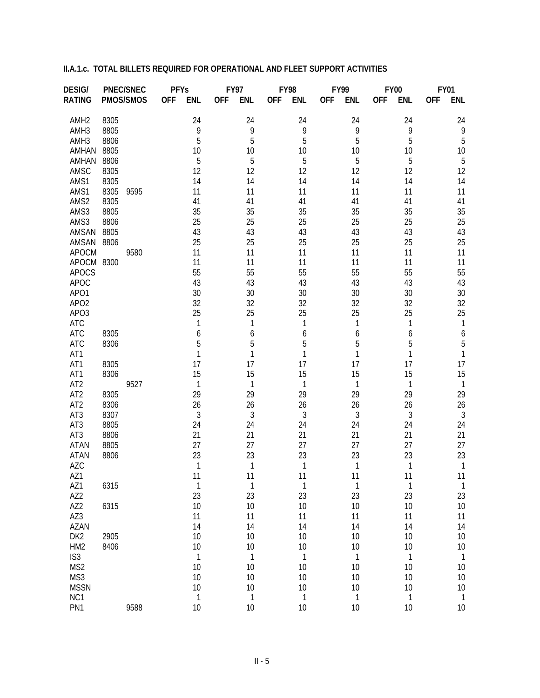| <b>DESIG/</b>            |      | <b>PNEC/SNEC</b> | <b>PFYs</b> |              |            | <b>FY97</b>  |            | <b>FY98</b>  |            | FY99         |            | <b>FY00</b>  |            | <b>FY01</b>             |
|--------------------------|------|------------------|-------------|--------------|------------|--------------|------------|--------------|------------|--------------|------------|--------------|------------|-------------------------|
| <b>RATING</b>            |      | PMOS/SMOS        | <b>OFF</b>  | <b>ENL</b>   | <b>OFF</b> | <b>ENL</b>   | <b>OFF</b> | <b>ENL</b>   | <b>OFF</b> | <b>ENL</b>   | <b>OFF</b> | <b>ENL</b>   | <b>OFF</b> | <b>ENL</b>              |
| AMH <sub>2</sub>         | 8305 |                  |             | 24           |            | 24           |            | 24           |            | 24           |            | 24           |            | 24                      |
| AMH <sub>3</sub>         | 8805 |                  |             | 9            |            | 9            |            | 9            |            | 9            |            | 9            |            | 9                       |
| AMH <sub>3</sub>         | 8806 |                  |             | 5            |            | 5            |            | 5            |            | 5            |            | 5            |            | 5                       |
| AMHAN                    | 8805 |                  |             | 10           |            | 10           |            | 10           |            | 10           |            | 10           |            | 10                      |
| AMHAN                    | 8806 |                  |             | 5            |            | 5            |            | 5            |            | 5            |            | 5            |            | 5                       |
| AMSC                     | 8305 |                  |             | 12           |            | 12           |            | 12           |            | 12           |            | 12           |            | 12                      |
| AMS1                     | 8305 |                  |             | 14           |            | 14           |            | 14           |            | 14           |            | 14           |            | 14                      |
| AMS1                     | 8305 | 9595             |             | 11           |            | 11           |            | 11           |            | 11           |            | 11           |            | 11                      |
| AMS2                     | 8305 |                  |             | 41           |            | 41           |            | 41           |            | 41           |            | 41           |            | 41                      |
| AMS3                     | 8805 |                  |             | 35           |            | 35           |            | 35           |            | 35           |            | 35           |            | 35                      |
| AMS3                     | 8806 |                  |             | 25           |            | 25           |            | 25           |            | 25           |            | 25           |            | 25                      |
| AMSAN                    | 8805 |                  |             | 43           |            | 43           |            | 43           |            | 43           |            | 43           |            | 43                      |
| AMSAN                    | 8806 |                  |             | 25           |            | 25           |            | 25           |            | 25           |            | 25           |            | 25                      |
| <b>APOCM</b>             |      | 9580             |             | 11           |            | 11           |            | 11           |            | 11           |            | 11           |            | 11                      |
| APOCM 8300               |      |                  |             | 11           |            | 11           |            | 11           |            | 11           |            | 11           |            | 11                      |
| <b>APOCS</b>             |      |                  |             | 55           |            | 55           |            | 55           |            | 55           |            | 55           |            | 55                      |
| <b>APOC</b>              |      |                  |             | 43           |            | 43           |            | 43           |            | 43           |            | 43           |            | 43                      |
| APO1                     |      |                  |             | 30           |            | 30           |            | 30           |            | 30           |            | 30           |            | 30                      |
| APO <sub>2</sub>         |      |                  |             | 32           |            | 32           |            | 32           |            | 32           |            | 32           |            | 32                      |
| APO3                     |      |                  |             | 25           |            | 25           |            | 25           |            | 25           |            | 25           |            | 25                      |
| <b>ATC</b><br><b>ATC</b> | 8305 |                  |             | 1            |            | 1            |            | 1            |            | 1            |            | 1            |            | $\mathbf{1}$            |
| <b>ATC</b>               | 8306 |                  |             | 6<br>5       |            | 6<br>5       |            | 6<br>5       |            | 6<br>5       |            | 6<br>5       |            | 6<br>5                  |
| AT1                      |      |                  |             | 1            |            | 1            |            | 1            |            | 1            |            | 1            |            | $\mathbf{1}$            |
| AT1                      | 8305 |                  |             | 17           |            | 17           |            | 17           |            | 17           |            | 17           |            | 17                      |
| AT1                      | 8306 |                  |             | 15           |            | 15           |            | 15           |            | 15           |            | 15           |            | 15                      |
| AT <sub>2</sub>          |      | 9527             |             | $\mathbf{1}$ |            | 1            |            | 1            |            | 1            |            | 1            |            | $\overline{1}$          |
| AT <sub>2</sub>          | 8305 |                  |             | 29           |            | 29           |            | 29           |            | 29           |            | 29           |            | 29                      |
| AT <sub>2</sub>          | 8306 |                  |             | 26           |            | 26           |            | 26           |            | 26           |            | 26           |            | 26                      |
| AT3                      | 8307 |                  |             | $\sqrt{3}$   |            | 3            |            | 3            |            | 3            |            | 3            |            | 3                       |
| AT3                      | 8805 |                  |             | 24           |            | 24           |            | 24           |            | 24           |            | 24           |            | 24                      |
| AT3                      | 8806 |                  |             | 21           |            | 21           |            | 21           |            | 21           |            | 21           |            | 21                      |
| <b>ATAN</b>              | 8805 |                  |             | 27           |            | 27           |            | 27           |            | 27           |            | 27           |            | 27                      |
| <b>ATAN</b>              | 8806 |                  |             | 23           |            | 23           |            | 23           |            | 23           |            | 23           |            | 23                      |
| <b>AZC</b>               |      |                  |             | 1            |            | 1            |            | 1            |            | 1            |            | 1            |            | $\mathbf{1}$            |
| AZ1                      |      |                  |             | 11           |            | 11           |            | 11           |            | 11           |            | 11           |            | 11                      |
| AZ1                      | 6315 |                  |             | $\mathbf{1}$ |            | $\mathbf 1$  |            | $\mathbf{1}$ |            | $\mathbf{1}$ |            | $\mathbf{1}$ |            | 1                       |
| AZ2                      |      |                  |             | 23           |            | 23           |            | 23           |            | 23           |            | 23           |            | 23                      |
| AZ2                      | 6315 |                  |             | 10           |            | 10           |            | 10           |            | 10           |            | 10           |            | 10                      |
| AZ3                      |      |                  |             | 11           |            | 11           |            | 11           |            | 11           |            | 11           |            | 11                      |
| <b>AZAN</b>              |      |                  |             | 14           |            | 14           |            | 14           |            | 14           |            | 14           |            | 14                      |
| DK <sub>2</sub>          | 2905 |                  |             | 10           |            | 10           |            | 10           |            | 10           |            | 10           |            | 10                      |
| HM <sub>2</sub>          | 8406 |                  |             | 10           |            | 10           |            | 10           |            | 10           |            | 10           |            | 10                      |
| IS <sub>3</sub>          |      |                  |             | $\mathbf{1}$ |            | $\mathbf{1}$ |            | $\mathbf 1$  |            | $\mathbf{1}$ |            | $\mathbf{1}$ |            | $\overline{\mathbf{1}}$ |
| MS <sub>2</sub>          |      |                  |             | 10           |            | 10           |            | 10           |            | 10           |            | 10           |            | 10                      |
| MS3                      |      |                  |             | 10           |            | 10           |            | 10           |            | 10           |            | 10           |            | 10                      |
| <b>MSSN</b>              |      |                  |             | 10           |            | 10           |            | 10           |            | 10           |            | 10           |            | 10                      |
| NC1                      |      |                  |             | $\mathbf{1}$ |            | $\mathbf{1}$ |            | $\mathbf{1}$ |            | $\mathbf{1}$ |            | 1            |            | $\mathbf{1}$            |
| PN1                      |      | 9588             |             | 10           |            | 10           |            | 10           |            | 10           |            | 10           |            | 10                      |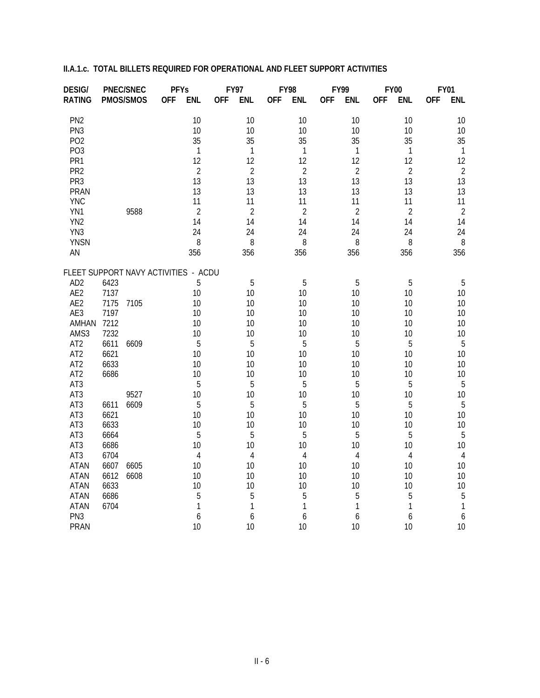| <b>DESIG/</b>                        |              | <b>PNEC/SNEC</b> | <b>PFYs</b> |                |            | <b>FY97</b>    |            | <b>FY98</b>    |            | FY99           |            | <b>FY00</b>    |            | <b>FY01</b>    |
|--------------------------------------|--------------|------------------|-------------|----------------|------------|----------------|------------|----------------|------------|----------------|------------|----------------|------------|----------------|
| <b>RATING</b>                        |              | PMOS/SMOS        | <b>OFF</b>  | <b>ENL</b>     | <b>OFF</b> | <b>ENL</b>     | <b>OFF</b> | <b>ENL</b>     | <b>OFF</b> | <b>ENL</b>     | <b>OFF</b> | <b>ENL</b>     | <b>OFF</b> | <b>ENL</b>     |
| PN <sub>2</sub>                      |              |                  |             | 10             |            | 10             |            | 10             |            | 10             |            | 10             |            | 10             |
| PN <sub>3</sub>                      |              |                  |             | 10             |            | 10             |            | 10             |            | 10             |            | 10             |            | 10             |
| PO <sub>2</sub>                      |              |                  |             | 35             |            | 35             |            | 35             |            | 35             |            | 35             |            | 35             |
| PO <sub>3</sub>                      |              |                  |             | $\mathbf 1$    |            | $\mathbf{1}$   |            | 1              |            | 1              |            | $\mathbf{1}$   |            | $\overline{1}$ |
| PR1                                  |              |                  |             | 12             |            | 12             |            | 12             |            | 12             |            | 12             |            | 12             |
| PR <sub>2</sub>                      |              |                  |             | $\overline{2}$ |            | $\overline{2}$ |            | $\overline{2}$ |            | $\overline{2}$ |            | $\overline{2}$ |            | $\overline{2}$ |
| PR <sub>3</sub>                      |              |                  |             | 13             |            | 13             |            | 13             |            | 13             |            | 13             |            | 13             |
| PRAN                                 |              |                  |             | 13             |            | 13             |            | 13             |            | 13             |            | 13             |            | 13             |
| <b>YNC</b>                           |              |                  |             | 11             |            | 11             |            | 11             |            | 11             |            | 11             |            | 11             |
| YN1                                  |              | 9588             |             | $\overline{2}$ |            | $\overline{2}$ |            | $\overline{2}$ |            | $\overline{2}$ |            | $\overline{2}$ |            | $\overline{2}$ |
| YN <sub>2</sub>                      |              |                  |             | 14             |            | 14             |            | 14             |            | 14             |            | 14             |            | 14             |
| YN3                                  |              |                  |             | 24             |            | 24             |            | 24             |            | 24             |            | 24             |            | 24             |
| <b>YNSN</b>                          |              |                  |             | 8              |            | 8              |            | 8              |            | 8              |            | 8              |            | 8<br>356       |
| AN                                   |              |                  |             | 356            |            | 356            |            | 356            |            | 356            |            | 356            |            |                |
| FLEET SUPPORT NAVY ACTIVITIES - ACDU |              |                  |             |                |            |                |            |                |            |                |            |                |            |                |
| AD <sub>2</sub>                      | 6423         |                  |             | 5              |            | 5              |            | 5              |            | 5              |            | 5              |            | 5              |
| AE2                                  | 7137         |                  |             | 10             |            | 10             |            | 10             |            | 10             |            | 10             |            | 10             |
| AE2                                  | 7175         | 7105             |             | 10             |            | 10             |            | 10             |            | 10             |            | 10             |            | 10             |
| AE3                                  | 7197         |                  |             | 10             |            | 10             |            | 10             |            | 10             |            | 10             |            | 10             |
| AMHAN                                | 7212         |                  |             | 10             |            | 10             |            | 10             |            | 10             |            | 10             |            | 10             |
| AMS3                                 | 7232         |                  |             | 10             |            | 10             |            | 10             |            | 10             |            | 10             |            | 10             |
| AT <sub>2</sub><br>AT <sub>2</sub>   | 6611         | 6609             |             | 5<br>10        |            | 5<br>10        |            | 5<br>10        |            | 5<br>10        |            | 5<br>10        |            | 5<br>10        |
| AT <sub>2</sub>                      | 6621<br>6633 |                  |             | 10             |            | 10             |            | 10             |            | 10             |            | 10             |            | 10             |
| AT <sub>2</sub>                      | 6686         |                  |             | 10             |            | 10             |            | 10             |            | 10             |            | 10             |            | 10             |
| AT <sub>3</sub>                      |              |                  |             | 5              |            | 5              |            | 5              |            | 5              |            | 5              |            | 5              |
| AT3                                  |              | 9527             |             | 10             |            | 10             |            | 10             |            | 10             |            | 10             |            | 10             |
| AT3                                  | 6611         | 6609             |             | 5              |            | 5              |            | 5              |            | 5              |            | 5              |            | 5              |
| AT3                                  | 6621         |                  |             | 10             |            | 10             |            | 10             |            | 10             |            | 10             |            | 10             |
| AT3                                  | 6633         |                  |             | 10             |            | 10             |            | 10             |            | 10             |            | 10             |            | 10             |
| AT3                                  | 6664         |                  |             | 5              |            | 5              |            | 5              |            | 5              |            | 5              |            | 5              |
| AT3                                  | 6686         |                  |             | 10             |            | 10             |            | 10             |            | 10             |            | 10             |            | 10             |
| AT3                                  | 6704         |                  |             | $\overline{4}$ |            | 4              |            | 4              |            | $\overline{4}$ |            | 4              |            | $\overline{4}$ |
| <b>ATAN</b>                          | 6607         | 6605             |             | 10             |            | 10             |            | 10             |            | 10             |            | 10             |            | 10             |
| <b>ATAN</b>                          | 6612         | 6608             |             | 10             |            | 10             |            | 10             |            | 10             |            | 10             |            | 10             |
| <b>ATAN</b>                          | 6633         |                  |             | 10             |            | 10             |            | 10             |            | 10             |            | 10             |            | 10             |
| <b>ATAN</b>                          | 6686         |                  |             | 5              |            | 5              |            | 5              |            | 5              |            | 5              |            | 5              |
| <b>ATAN</b>                          | 6704         |                  |             | 1              |            | 1              |            | 1              |            | 1              |            | 1              |            | 1              |
| PN <sub>3</sub>                      |              |                  |             | 6              |            | 6              |            | 6              |            | 6              |            | 6              |            | 6              |
| <b>PRAN</b>                          |              |                  |             | 10             |            | 10             |            | 10             |            | 10             |            | 10             |            | 10             |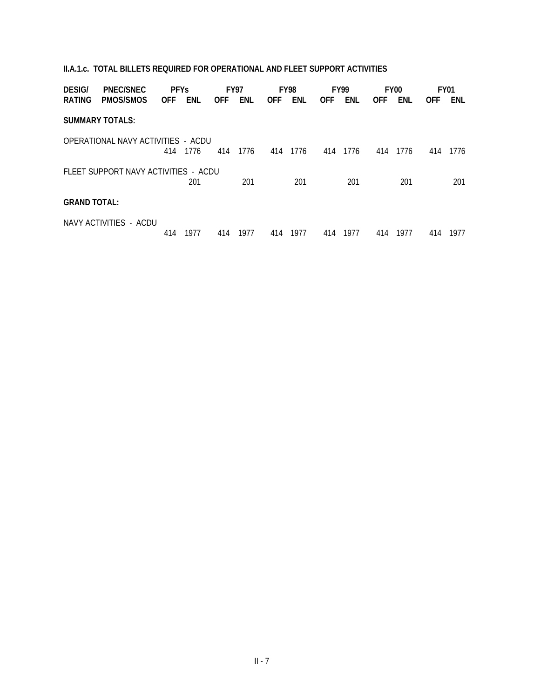| <b>DESIG/</b>       | <b>PNEC/SNEC</b>                     | <b>PFYs</b> |      | <b>FY97</b> |      |            | FY98 |            | <b>FY99</b> |            | FY <sub>00</sub> |            | <b>FY01</b> |
|---------------------|--------------------------------------|-------------|------|-------------|------|------------|------|------------|-------------|------------|------------------|------------|-------------|
| <b>RATING</b>       | PMOS/SMOS                            | <b>OFF</b>  | ENL  | <b>OFF</b>  | ENL  | <b>OFF</b> | ENL  | <b>OFF</b> | ENL         | <b>OFF</b> | ENL              | <b>OFF</b> | ENL         |
|                     | <b>SUMMARY TOTALS:</b>               |             |      |             |      |            |      |            |             |            |                  |            |             |
|                     | OPERATIONAL NAVY ACTIVITIES - ACDU   | 414         | 1776 | 414         | 1776 | 414        | 1776 | 414        | 1776        | 414        | 1776             | 414        | 1776        |
|                     | FLEET SUPPORT NAVY ACTIVITIES - ACDU |             | 201  |             | 201  |            | 201  |            | 201         |            | 201              |            | 201         |
| <b>GRAND TOTAL:</b> |                                      |             |      |             |      |            |      |            |             |            |                  |            |             |
|                     | NAVY ACTIVITIES - ACDU               | 414         | 1977 | 414         | 1977 | 414        | 1977 | 414        | 1977        | 414        | 1977             | 414        | 1977        |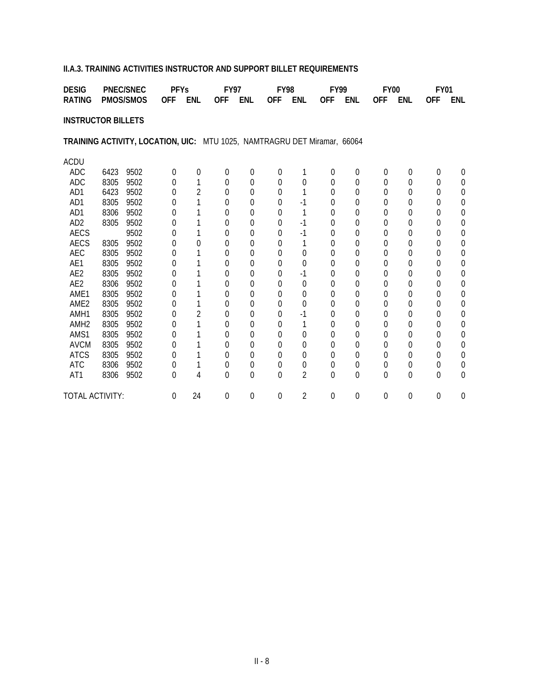### **II.A.3. TRAINING ACTIVITIES INSTRUCTOR AND SUPPORT BILLET REQUIREMENTS**

| <b>DESIG</b>                                                             |      | <b>PNEC/SNEC</b> | <b>PFYs</b>      |                | <b>FY97</b>  |                | <b>FY98</b> |                | <b>FY99</b>    |                  | <b>FY00</b> |            | <b>FY01</b> |                |
|--------------------------------------------------------------------------|------|------------------|------------------|----------------|--------------|----------------|-------------|----------------|----------------|------------------|-------------|------------|-------------|----------------|
| <b>RATING</b>                                                            |      | <b>PMOS/SMOS</b> | <b>OFF</b>       | <b>ENL</b>     | <b>OFF</b>   | <b>ENL</b>     | <b>OFF</b>  | <b>ENL</b>     | <b>OFF</b>     | <b>ENL</b>       | <b>OFF</b>  | <b>ENL</b> | <b>OFF</b>  | <b>ENL</b>     |
| <b>INSTRUCTOR BILLETS</b>                                                |      |                  |                  |                |              |                |             |                |                |                  |             |            |             |                |
| TRAINING ACTIVITY, LOCATION, UIC: MTU 1025, NAMTRAGRU DET Miramar, 66064 |      |                  |                  |                |              |                |             |                |                |                  |             |            |             |                |
| <b>ACDU</b>                                                              |      |                  |                  |                |              |                |             |                |                |                  |             |            |             |                |
| ADC                                                                      | 6423 | 9502             | $\Omega$         | 0              | $\theta$     | $\overline{0}$ | 0           | 1              | $\theta$       | $\boldsymbol{0}$ | 0           | 0          | 0           | $\theta$       |
| ADC                                                                      | 8305 | 9502             | 0                | 1              | 0            | 0              | $\Omega$    | $\overline{0}$ | $\Omega$       | $\Omega$         | 0           | 0          | $\Omega$    | 0              |
| AD1                                                                      | 6423 | 9502             | 0                | $\overline{2}$ | 0            | 0              | 0           | 1              | $\Omega$       | $\overline{0}$   | 0           | 0          | $\Omega$    | $\overline{0}$ |
| AD1                                                                      | 8305 | 9502             | 0                | 1              | 0            | $\Omega$       | 0           | $-1$           | $\Omega$       | $\Omega$         | 0           | 0          | $\Omega$    | $\Omega$       |
| AD1                                                                      | 8306 | 9502             | 0                | 1              | 0            | 0              | 0           | 1              | $\Omega$       | 0                | 0           | 0          | $\Omega$    | $\theta$       |
| AD <sub>2</sub>                                                          | 8305 | 9502             | $\left( \right)$ |                | <sup>0</sup> | $\Omega$       | 0           | $-1$           | $\Omega$       | $\theta$         | 0           | 0          | $\Omega$    | $\theta$       |
| <b>AECS</b>                                                              |      | 9502             | 0                | 1              | 0            | $\Omega$       | $\Omega$    | $-1$           | $\Omega$       | 0                | 0           | 0          | $\Omega$    | $\Omega$       |
| <b>AECS</b>                                                              | 8305 | 9502             | 0                | 0              | 0            | 0              | 0           | 1              | 0              | $\overline{0}$   | 0           | 0          | 0           | $\overline{0}$ |
| AEC                                                                      | 8305 | 9502             | 0                |                | 0            | 0              | 0           | 0              | $\theta$       | 0                | 0           | 0          | 0           | $\theta$       |
| AE1                                                                      | 8305 | 9502             | 0                |                | 0            | 0              | $\Omega$    | $\Omega$       | $\Omega$       | $\theta$         | 0           | 0          | $\Omega$    | $\Omega$       |
| AE <sub>2</sub>                                                          | 8305 | 9502             | 0                |                | 0            | 0              | 0           | $-1$           | $\Omega$       | $\overline{0}$   | 0           | 0          | $\Omega$    | $\overline{0}$ |
| AE <sub>2</sub>                                                          | 8306 | 9502             | 0                | 1              | 0            | 0              | $\Omega$    | 0              | $\Omega$       | $\theta$         | 0           | 0          | $\Omega$    | $\theta$       |
| AME1                                                                     | 8305 | 9502             | 0                |                | 0            | 0              | 0           | 0              | $\Omega$       | 0                | 0           | 0          | 0           | $\theta$       |
| AME <sub>2</sub>                                                         | 8305 | 9502             | 0                | 1              | 0            | 0              | 0           | $\overline{0}$ | $\Omega$       | $\theta$         | 0           | 0          | $\Omega$    | $\Omega$       |
| AMH1                                                                     | 8305 | 9502             | 0                | $\overline{2}$ | 0            | $\Omega$       | 0           | $-1$           | $\Omega$       | $\theta$         | 0           | 0          | $\Omega$    | $\Omega$       |
| AMH <sub>2</sub>                                                         | 8305 | 9502             | 0                | 1              | 0            | 0              | 0           | 1              | $\mathbf 0$    | $\overline{0}$   | 0           | 0          | 0           | $\overline{0}$ |
| AMS1                                                                     | 8305 | 9502             | 0                |                | 0            | 0              | 0           | 0              | $\theta$       | 0                | 0           | 0          | 0           | 0              |
| <b>AVCM</b>                                                              | 8305 | 9502             | 0                | 1              | 0            | 0              | $\Omega$    | 0              | $\Omega$       | $\theta$         | 0           | 0          | $\Omega$    | $\overline{0}$ |
| <b>ATCS</b>                                                              | 8305 | 9502             | 0                |                | 0            | 0              | 0           | $\overline{0}$ | $\mathbf 0$    | $\overline{0}$   | 0           | 0          | $\Omega$    | $\overline{0}$ |
| <b>ATC</b>                                                               | 8306 | 9502             | 0                | 1              | 0            | 0              | 0           | 0              | $\overline{0}$ | $\boldsymbol{0}$ | 0           | 0          | 0           | 0              |
| AT1                                                                      | 8306 | 9502             | 0                | 4              | 0            | $\Omega$       | 0           | $\overline{2}$ | $\Omega$       | $\Omega$         | $\Omega$    | 0          | $\Omega$    | $\theta$       |
| TOTAL ACTIVITY:                                                          |      |                  | $\boldsymbol{0}$ | 24             | 0            | 0              | 0           | $\overline{2}$ | $\theta$       | 0                | 0           | 0          | 0           | $\overline{0}$ |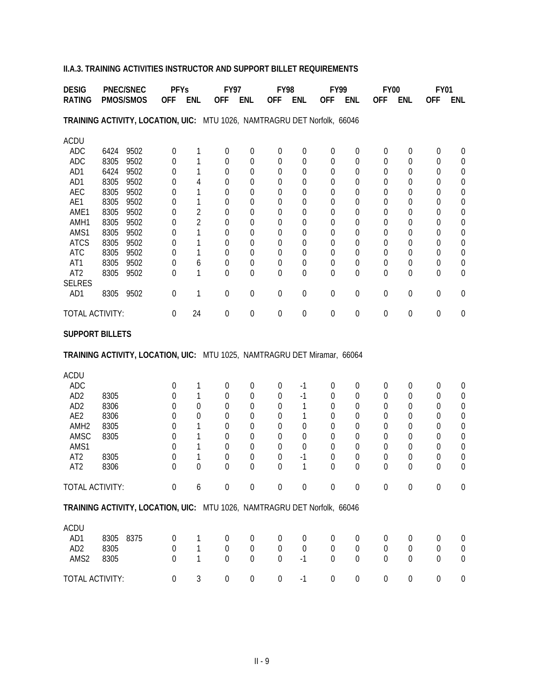### **II.A.3. TRAINING ACTIVITIES INSTRUCTOR AND SUPPORT BILLET REQUIREMENTS**

| <b>DESIG</b><br><b>PNEC/SNEC</b>                                         |              | <b>PFYs</b>  |                  | <b>FY97</b>    |                  | <b>FY98</b>                |                  |                  | <b>FY99</b>      | <b>FY00</b>         |                  | <b>FY01</b>           |                  |                                      |
|--------------------------------------------------------------------------|--------------|--------------|------------------|----------------|------------------|----------------------------|------------------|------------------|------------------|---------------------|------------------|-----------------------|------------------|--------------------------------------|
| <b>RATING</b>                                                            |              | PMOS/SMOS    | <b>OFF</b>       | <b>ENL</b>     | <b>OFF</b>       | <b>ENL</b>                 | <b>OFF</b>       | <b>ENL</b>       | <b>OFF</b>       | <b>ENL</b>          | <b>OFF</b>       | <b>ENL</b>            | <b>OFF</b>       | <b>ENL</b>                           |
| TRAINING ACTIVITY, LOCATION, UIC: MTU 1026, NAMTRAGRU DET Norfolk, 66046 |              |              |                  |                |                  |                            |                  |                  |                  |                     |                  |                       |                  |                                      |
| <b>ACDU</b>                                                              |              |              |                  |                |                  |                            |                  |                  |                  |                     |                  |                       |                  |                                      |
| <b>ADC</b>                                                               | 6424         | 9502         | $\boldsymbol{0}$ | 1              | $\mathbf 0$      | $\boldsymbol{0}$           | 0                | $\boldsymbol{0}$ | $\mathbf 0$      | $\boldsymbol{0}$    | $\boldsymbol{0}$ | $\boldsymbol{0}$      | $\boldsymbol{0}$ | $\boldsymbol{0}$                     |
| <b>ADC</b>                                                               | 8305         | 9502         | 0                | 1              | 0                | $\mathbf 0$                | $\boldsymbol{0}$ | $\boldsymbol{0}$ | 0                | $\mathbf 0$         | $\mathbf 0$      | $\boldsymbol{0}$      | 0                | $\boldsymbol{0}$                     |
| AD1<br>AD1                                                               | 6424<br>8305 | 9502<br>9502 | 0<br>0           | 1<br>4         | 0<br>0           | $\mathbf 0$<br>0           | 0<br>0           | 0<br>0           | 0<br>0           | 0<br>$\overline{0}$ | 0<br>0           | 0<br>0                | 0<br>0           | $\boldsymbol{0}$<br>$\boldsymbol{0}$ |
| <b>AEC</b>                                                               | 8305         | 9502         | 0                | 1              | 0                | 0                          | 0                | 0                | 0                | 0                   | 0                | 0                     | $\Omega$         | $\boldsymbol{0}$                     |
| AE1                                                                      | 8305         | 9502         | 0                | 1              | 0                | 0                          | 0                | 0                | 0                | 0                   | 0                | 0                     | $\Omega$         | $\boldsymbol{0}$                     |
| AME1                                                                     | 8305         | 9502         | 0                | $\overline{2}$ | 0                | 0                          | 0                | 0                | 0                | 0                   | 0                | 0                     | $\Omega$         | $\boldsymbol{0}$                     |
| AMH1                                                                     | 8305         | 9502         | 0                | $\overline{2}$ | 0                | $\overline{0}$             | 0                | 0                | 0                | $\overline{0}$      | $\Omega$         | $\overline{0}$        | $\Omega$         | $\boldsymbol{0}$                     |
| AMS1                                                                     | 8305         | 9502         | 0                | 1              | 0                | 0                          | 0                | 0                | 0                | $\overline{0}$      | $\Omega$         | 0                     | $\Omega$         | $\boldsymbol{0}$                     |
| <b>ATCS</b>                                                              | 8305         | 9502         | 0                | 1              | 0                | 0                          | 0                | 0                | 0                | $\overline{0}$      | $\Omega$         | 0                     | $\Omega$         | $\boldsymbol{0}$                     |
| <b>ATC</b><br>AT1                                                        | 8305<br>8305 | 9502<br>9502 | 0                | 1<br>6         | 0                | 0<br>0                     | 0<br>0           | 0<br>0           | $\mathbf 0$      | 0                   | $\Omega$<br>0    | 0<br>$\boldsymbol{0}$ | $\Omega$<br>0    | $\boldsymbol{0}$<br>$\boldsymbol{0}$ |
| AT <sub>2</sub>                                                          | 8305         | 9502         | 0<br>0           | 1              | 0<br>0           | $\mathbf 0$                | 0                | 0                | 0<br>0           | 0<br>$\mathbf 0$    | 0                | 0                     | $\Omega$         | $\boldsymbol{0}$                     |
| <b>SELRES</b>                                                            |              |              |                  |                |                  |                            |                  |                  |                  |                     |                  |                       |                  |                                      |
| AD1                                                                      | 8305         | 9502         | 0                | 1              | $\boldsymbol{0}$ | $\boldsymbol{0}$           | 0                | $\boldsymbol{0}$ | 0                | $\boldsymbol{0}$    | $\mathbf 0$      | $\boldsymbol{0}$      | $\boldsymbol{0}$ | $\boldsymbol{0}$                     |
| TOTAL ACTIVITY:                                                          |              |              | 0                | 24             | $\mathbf 0$      | $\boldsymbol{0}$           | 0                | $\boldsymbol{0}$ | $\boldsymbol{0}$ | $\mathbf 0$         | $\boldsymbol{0}$ | $\boldsymbol{0}$      | $\boldsymbol{0}$ | $\boldsymbol{0}$                     |
| <b>SUPPORT BILLETS</b>                                                   |              |              |                  |                |                  |                            |                  |                  |                  |                     |                  |                       |                  |                                      |
| TRAINING ACTIVITY, LOCATION, UIC: MTU 1025, NAMTRAGRU DET Miramar, 66064 |              |              |                  |                |                  |                            |                  |                  |                  |                     |                  |                       |                  |                                      |
| <b>ACDU</b>                                                              |              |              |                  |                |                  |                            |                  |                  |                  |                     |                  |                       |                  |                                      |
| <b>ADC</b>                                                               |              |              | 0                | 1              | 0                | $\boldsymbol{0}$           | 0                | $-1$             | 0                | 0                   | 0                | 0                     | 0                | 0                                    |
| AD <sub>2</sub>                                                          | 8305         |              | 0                | 1              | 0                | $\mathbf 0$                | 0                | $-1$             | 0                | $\overline{0}$      | $\theta$         | 0                     | 0                | $\boldsymbol{0}$                     |
| AD <sub>2</sub>                                                          | 8306         |              | 0                | $\mathbf 0$    | $\Omega$         | 0                          | 0                | 1                | 0                | $\overline{0}$      | 0                | 0                     | 0                | $\boldsymbol{0}$                     |
| AE2<br>AMH <sub>2</sub>                                                  | 8306         |              | 0                | 0              | 0                | $\mathbf 0$<br>$\mathbf 0$ | 0                | 1                | 0                | 0                   | 0                | 0                     | 0                | $\boldsymbol{0}$<br>$\boldsymbol{0}$ |
| AMSC                                                                     | 8305<br>8305 |              | 0<br>0           | 1<br>1         | 0<br>0           | $\mathbf 0$                | 0<br>0           | 0<br>0           | 0<br>0           | 0<br>0              | 0<br>0           | 0<br>0                | 0<br>0           | $\boldsymbol{0}$                     |
| AMS1                                                                     |              |              | 0                | 1              | 0                | $\mathbf 0$                | 0                | 0                | 0                | 0                   | 0                | 0                     | 0                | $\boldsymbol{0}$                     |
| AT <sub>2</sub>                                                          | 8305         |              | 0                | 1              | 0                | 0                          | 0                | $-1$             | 0                | 0                   | 0                | 0                     | 0                | $\boldsymbol{0}$                     |
| AT <sub>2</sub>                                                          | 8306         |              | $\Omega$         | 0              | 0                | $\Omega$                   | 0                | 1                | $\Omega$         | 0                   | $\theta$         | 0                     | $\Omega$         | 0                                    |
| TOTAL ACTIVITY:                                                          |              |              | $\boldsymbol{0}$ | 6              | 0                | $\boldsymbol{0}$           | 0                | $\boldsymbol{0}$ | $\boldsymbol{0}$ | $\mathbf 0$         | $\boldsymbol{0}$ | 0                     | $\boldsymbol{0}$ | $\boldsymbol{0}$                     |
| TRAINING ACTIVITY, LOCATION, UIC: MTU 1026, NAMTRAGRU DET Norfolk, 66046 |              |              |                  |                |                  |                            |                  |                  |                  |                     |                  |                       |                  |                                      |
| <b>ACDU</b>                                                              |              |              |                  |                |                  |                            |                  |                  |                  |                     |                  |                       |                  |                                      |
| AD1                                                                      | 8305         | 8375         | 0                | 1              | $\boldsymbol{0}$ | $\boldsymbol{0}$           | 0                | 0                | $\theta$         | $\boldsymbol{0}$    | 0                | 0                     | 0                | $\boldsymbol{0}$                     |
| AD <sub>2</sub>                                                          | 8305         |              | $\mathbf 0$      | $\mathbf{1}$   | 0                | $\boldsymbol{0}$           | $\boldsymbol{0}$ | $\boldsymbol{0}$ | $\boldsymbol{0}$ | $\boldsymbol{0}$    | $\boldsymbol{0}$ | $\boldsymbol{0}$      | $\boldsymbol{0}$ | $\boldsymbol{0}$                     |
| AMS2                                                                     | 8305         |              | $\Omega$         | $\mathbf{1}$   | $\mathbf 0$      | $\overline{0}$             | $\mathbf 0$      | $-1$             | $\overline{0}$   | $\mathbf 0$         | 0                | $\mathbf 0$           | $\overline{0}$   | $\mathbf 0$                          |
| TOTAL ACTIVITY:                                                          |              |              | $\boldsymbol{0}$ | 3              | $\boldsymbol{0}$ | $\boldsymbol{0}$           | $\boldsymbol{0}$ | $-1$             | $\boldsymbol{0}$ | $\boldsymbol{0}$    | $\boldsymbol{0}$ | $\boldsymbol{0}$      | $\boldsymbol{0}$ | $\boldsymbol{0}$                     |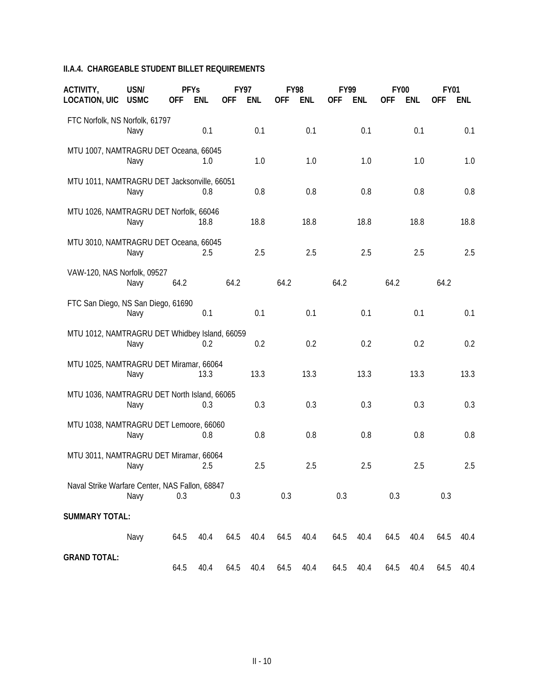#### **II.A.4. CHARGEABLE STUDENT BILLET REQUIREMENTS**

| ACTIVITY,<br><b>LOCATION, UIC</b>              | USN/<br><b>USMC</b> | <b>PFYs</b><br>OFF | ENL  | <b>OFF</b> | <b>FY97</b><br>ENL | 0FF  | <b>FY98</b><br>ENL | <b>FY99</b><br>0FF | ENL  | <b>FY00</b><br><b>OFF</b> | ENL  | <b>FY01</b><br>0FF | <b>ENL</b> |
|------------------------------------------------|---------------------|--------------------|------|------------|--------------------|------|--------------------|--------------------|------|---------------------------|------|--------------------|------------|
| FTC Norfolk, NS Norfolk, 61797                 | Navy                |                    | 0.1  |            | 0.1                |      | 0.1                |                    | 0.1  |                           | 0.1  |                    | 0.1        |
| MTU 1007, NAMTRAGRU DET Oceana, 66045          | Navy                |                    | 1.0  |            | 1.0                |      | 1.0                |                    | 1.0  |                           | 1.0  |                    | 1.0        |
| MTU 1011, NAMTRAGRU DET Jacksonville, 66051    | Navy                |                    | 0.8  |            | 0.8                |      | 0.8                |                    | 0.8  |                           | 0.8  |                    | 0.8        |
| MTU 1026, NAMTRAGRU DET Norfolk, 66046         | Navy                |                    | 18.8 |            | 18.8               |      | 18.8               |                    | 18.8 |                           | 18.8 |                    | 18.8       |
| MTU 3010, NAMTRAGRU DET Oceana, 66045          | Navy                |                    | 2.5  |            | 2.5                |      | 2.5                |                    | 2.5  |                           | 2.5  |                    | 2.5        |
| VAW-120, NAS Norfolk, 09527                    | Navy                | 64.2               |      | 64.2       |                    | 64.2 |                    | 64.2               |      | 64.2                      |      | 64.2               |            |
| FTC San Diego, NS San Diego, 61690             | Navy                |                    | 0.1  |            | 0.1                |      | 0.1                |                    | 0.1  |                           | 0.1  |                    | 0.1        |
| MTU 1012, NAMTRAGRU DET Whidbey Island, 66059  | Navy                |                    | 0.2  |            | 0.2                |      | 0.2                |                    | 0.2  |                           | 0.2  |                    | 0.2        |
| MTU 1025, NAMTRAGRU DET Miramar, 66064         | Navy                |                    | 13.3 |            | 13.3               |      | 13.3               |                    | 13.3 |                           | 13.3 |                    | 13.3       |
| MTU 1036, NAMTRAGRU DET North Island, 66065    | Navy                |                    | 0.3  |            | 0.3                |      | 0.3                |                    | 0.3  |                           | 0.3  |                    | 0.3        |
| MTU 1038, NAMTRAGRU DET Lemoore, 66060         | Navy                |                    | 0.8  |            | 0.8                |      | 0.8                |                    | 0.8  |                           | 0.8  |                    | 0.8        |
| MTU 3011, NAMTRAGRU DET Miramar, 66064         | Navy                |                    | 2.5  |            | 2.5                |      | 2.5                |                    | 2.5  |                           | 2.5  |                    | 2.5        |
| Naval Strike Warfare Center, NAS Fallon, 68847 | Navy                | 0.3                |      | 0.3        |                    | 0.3  |                    | 0.3                |      | 0.3                       |      | 0.3                |            |
| <b>SUMMARY TOTAL:</b>                          |                     |                    |      |            |                    |      |                    |                    |      |                           |      |                    |            |
|                                                | Navy                | 64.5               | 40.4 | 64.5       | 40.4               | 64.5 | 40.4               | 64.5               | 40.4 | 64.5                      | 40.4 | 64.5               | 40.4       |
| <b>GRAND TOTAL:</b>                            |                     | 64.5               | 40.4 | 64.5       | 40.4               | 64.5 | 40.4               | 64.5               | 40.4 | 64.5                      | 40.4 | 64.5               | 40.4       |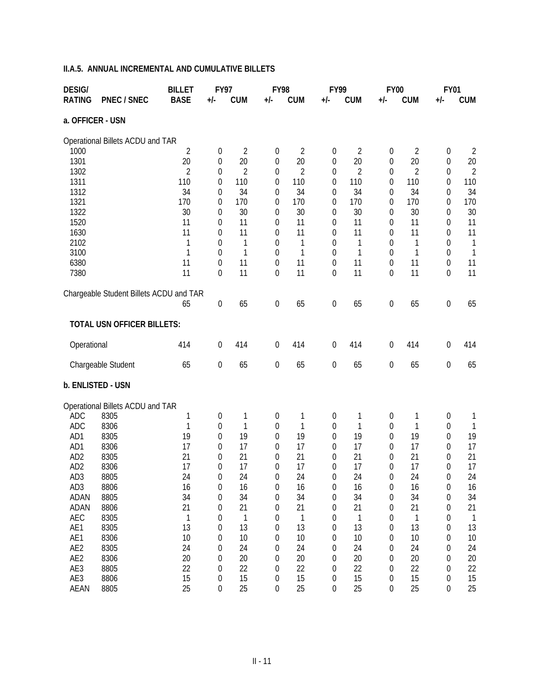| <b>DESIG/</b>      |                                         | <b>BILLET</b>      | <b>FY97</b>                          |                       | <b>FY98</b>      |                       | <b>FY99</b>         |                       | <b>FY00</b>         |                       | <b>FY01</b>      |                       |
|--------------------|-----------------------------------------|--------------------|--------------------------------------|-----------------------|------------------|-----------------------|---------------------|-----------------------|---------------------|-----------------------|------------------|-----------------------|
| <b>RATING</b>      | <b>PNEC / SNEC</b>                      | <b>BASE</b>        | +/-                                  | <b>CUM</b>            | +/-              | <b>CUM</b>            | +/-                 | <b>CUM</b>            | $+/-$               | <b>CUM</b>            | +/-              | <b>CUM</b>            |
| a. OFFICER - USN   |                                         |                    |                                      |                       |                  |                       |                     |                       |                     |                       |                  |                       |
|                    | Operational Billets ACDU and TAR        |                    |                                      |                       |                  |                       |                     |                       |                     |                       |                  |                       |
| 1000               |                                         | 2                  | $\boldsymbol{0}$                     | $\overline{2}$        | 0                | $\overline{2}$        | 0                   | 2                     | $\boldsymbol{0}$    | $\overline{2}$        | 0                | 2                     |
| 1301               |                                         | 20                 | 0                                    | 20                    | 0                | 20                    | $\boldsymbol{0}$    | 20                    | $\boldsymbol{0}$    | 20                    | 0                | 20                    |
| 1302<br>1311       |                                         | 2<br>110           | 0<br>0                               | $\overline{2}$<br>110 | 0<br>0           | $\overline{2}$<br>110 | 0<br>$\overline{0}$ | $\overline{2}$<br>110 | 0<br>$\overline{0}$ | $\overline{2}$<br>110 | 0<br>0           | $\overline{2}$<br>110 |
| 1312               |                                         | 34                 | 0                                    | 34                    | 0                | 34                    | 0                   | 34                    | $\overline{0}$      | 34                    | 0                | 34                    |
| 1321               |                                         | 170                | 0                                    | 170                   | 0                | 170                   | $\overline{0}$      | 170                   | $\overline{0}$      | 170                   | 0                | 170                   |
| 1322               |                                         | 30                 | 0                                    | 30                    | 0                | 30                    | 0                   | 30                    | 0                   | 30                    | 0                | 30                    |
| 1520               |                                         | 11                 | 0                                    | 11                    | 0                | 11                    | 0                   | 11                    | 0                   | 11                    | 0                | 11                    |
| 1630               |                                         | 11                 | 0                                    | 11                    | $\theta$         | 11                    | 0                   | 11                    | 0                   | 11                    | 0                | 11                    |
| 2102<br>3100       |                                         | 1<br>1             | 0<br>$\theta$                        | 1<br>1                | 0<br>0           | 1<br>1                | 0<br>0              | 1<br>1                | 0<br>0              | 1<br>1                | 0<br>0           | 1<br>1                |
| 6380               |                                         | 11                 | 0                                    | 11                    | 0                | 11                    | 0                   | 11                    | $\boldsymbol{0}$    | 11                    | 0                | 11                    |
| 7380               |                                         | 11                 | $\mathbf 0$                          | 11                    | 0                | 11                    | 0                   | 11                    | $\mathbf 0$         | 11                    | $\boldsymbol{0}$ | 11                    |
|                    | Chargeable Student Billets ACDU and TAR |                    |                                      |                       |                  |                       |                     |                       |                     |                       |                  |                       |
|                    |                                         | 65                 | $\boldsymbol{0}$                     | 65                    | $\boldsymbol{0}$ | 65                    | $\boldsymbol{0}$    | 65                    | $\boldsymbol{0}$    | 65                    | $\boldsymbol{0}$ | 65                    |
|                    | <b>TOTAL USN OFFICER BILLETS:</b>       |                    |                                      |                       |                  |                       |                     |                       |                     |                       |                  |                       |
| Operational        |                                         | 414                | $\boldsymbol{0}$                     | 414                   | $\boldsymbol{0}$ | 414                   | $\boldsymbol{0}$    | 414                   | $\boldsymbol{0}$    | 414                   | $\boldsymbol{0}$ | 414                   |
|                    | Chargeable Student                      | 65                 | $\boldsymbol{0}$                     | 65                    | $\boldsymbol{0}$ | 65                    | $\boldsymbol{0}$    | 65                    | $\boldsymbol{0}$    | 65                    | $\boldsymbol{0}$ | 65                    |
|                    | b. ENLISTED - USN                       |                    |                                      |                       |                  |                       |                     |                       |                     |                       |                  |                       |
|                    | Operational Billets ACDU and TAR        |                    |                                      |                       |                  |                       |                     |                       |                     |                       |                  |                       |
| <b>ADC</b>         | 8305                                    | 1                  | 0                                    | 1                     | 0                | 1                     | 0                   | 1                     | $\boldsymbol{0}$    | 1                     | 0                | 1                     |
| <b>ADC</b>         | 8306                                    | 1                  | 0                                    | 1                     | 0                | 1                     | 0                   | 1                     | $\boldsymbol{0}$    | 1                     | 0                | 1                     |
| AD1<br>AD1         | 8305<br>8306                            | 19<br>17           | 0                                    | 19<br>17              | 0                | 19<br>17              | 0                   | 19<br>17              | 0                   | 19<br>17              | 0                | 19<br>17              |
| AD <sub>2</sub>    | 8305                                    | 21                 | 0<br>0                               | 21                    | 0<br>0           | 21                    | 0<br>$\overline{0}$ | 21                    | 0<br>$\overline{0}$ | 21                    | 0<br>0           | 21                    |
| AD <sub>2</sub>    | 8306                                    | 17                 | 0                                    | 17                    | $\overline{0}$   | 17                    | $\overline{0}$      | 17                    | 0                   | 17                    | $\mathbf 0$      | 17                    |
| AD3                | 8805                                    | 24                 | 0                                    | 24                    | $\Omega$         | 24                    | 0                   | 24                    | 0                   | 24                    | $\boldsymbol{0}$ | 24                    |
| AD3                | 8806                                    | 16                 | $\boldsymbol{0}$                     | 16                    | 0                | 16                    | 0                   | 16                    | 0                   | 16                    | 0                | 16                    |
| ADAN               | 8805                                    | 34                 | 0                                    | 34                    | 0                | 34                    | 0                   | 34                    | 0                   | 34                    | 0                | 34                    |
| ADAN               | 8806                                    | 21                 | 0                                    | 21                    | 0                | 21                    | 0                   | 21                    | 0                   | 21                    | 0                | 21                    |
| AEC<br>AE1         | 8305<br>8305                            | $\mathbf{1}$<br>13 | 0<br>0                               | 1<br>13               | 0<br>0           | $\mathbf{1}$<br>13    | 0<br>0              | $\mathbf{1}$<br>13    | 0<br>0              | $\mathbf{1}$<br>13    | 0<br>0           | 1<br>13               |
| AE1                | 8306                                    | 10                 | 0                                    | 10                    | 0                | 10                    | 0                   | 10                    | $\overline{0}$      | 10                    | 0                | 10                    |
| AE2                | 8305                                    | 24                 | 0                                    | 24                    | 0                | 24                    | 0                   | 24                    | 0                   | 24                    | 0                | 24                    |
| AE2                | 8306                                    | 20                 | 0                                    | 20                    | 0                | 20                    | 0                   | 20                    | 0                   | 20                    | 0                | 20                    |
| AE3                | 8805                                    | 22                 | $\boldsymbol{0}$                     | 22                    | 0                | 22                    | 0                   | 22                    | $\overline{0}$      | 22                    | 0                | 22                    |
| AE3<br><b>AEAN</b> | 8806<br>8805                            | 15<br>25           | $\boldsymbol{0}$<br>$\boldsymbol{0}$ | 15<br>25              | $\boldsymbol{0}$ | 15<br>25              | $\boldsymbol{0}$    | 15<br>25              | 0                   | 15<br>25              | 0                | 15                    |
|                    |                                         |                    |                                      |                       | $\boldsymbol{0}$ |                       | $\boldsymbol{0}$    |                       | 0                   |                       | 0                | 25                    |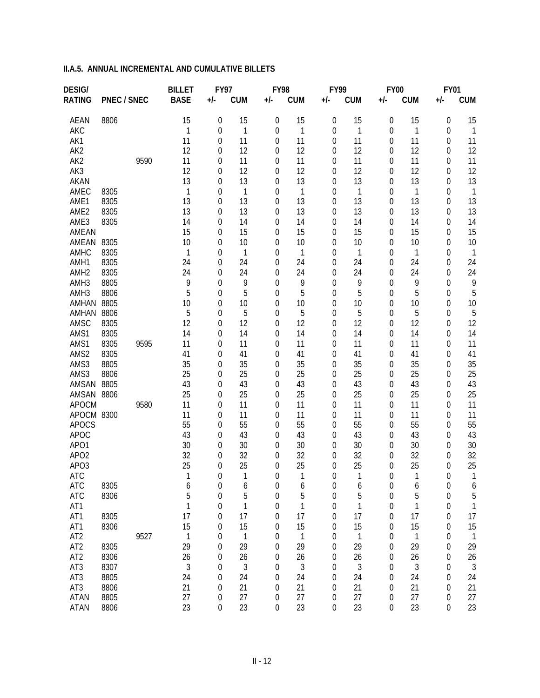| <b>DESIG/</b>    |                    |      | <b>BILLET</b> | <b>FY97</b>           |            | FY98             |              | FY99                                 |              | <b>FY00</b> |                    | <b>FY01</b>                          |                    |
|------------------|--------------------|------|---------------|-----------------------|------------|------------------|--------------|--------------------------------------|--------------|-------------|--------------------|--------------------------------------|--------------------|
| <b>RATING</b>    | <b>PNEC / SNEC</b> |      | <b>BASE</b>   | $+/-$                 | <b>CUM</b> | $+/-$            | <b>CUM</b>   | $+/-$                                | <b>CUM</b>   | $+/-$       | <b>CUM</b>         | +/-                                  | <b>CUM</b>         |
| <b>AEAN</b>      | 8806               |      | 15            | $\boldsymbol{0}$      | 15         | 0                | 15           | $\mathbf 0$                          | 15           | 0           | 15                 | 0                                    | 15                 |
| <b>AKC</b>       |                    |      | 1             | $\boldsymbol{0}$      | 1          | 0                | 1            | $\mathbf 0$                          | $\mathbf{1}$ | 0           | $\mathbf{1}$       | $\mathbf 0$                          | $\mathbf{1}$       |
| AK1              |                    |      | 11            | $\boldsymbol{0}$      | 11         | 0                | 11           | $\mathbf 0$                          | 11           | 0           | 11                 | 0                                    | 11                 |
| AK <sub>2</sub>  |                    |      | 12            | 0                     | 12         | 0                | 12           | 0                                    | 12           | 0           | 12                 | 0                                    | 12                 |
| AK <sub>2</sub>  |                    | 9590 | 11            | 0                     | 11         | 0                | 11           | $\overline{0}$                       | 11           | 0           | 11                 | $\mathbf 0$                          | 11                 |
| AK3              |                    |      | 12            | 0                     | 12         | 0                | 12           | $\overline{0}$                       | 12           | 0           | 12                 | 0                                    | 12                 |
| AKAN             |                    |      | 13            | 0                     | 13         | 0                | 13           | $\overline{0}$                       | 13           | 0           | 13                 | 0                                    | 13                 |
| AMEC             | 8305               |      | 1             | 0                     | 1          | 0                | 1            | $\overline{0}$                       | 1            | 0           | $\mathbf{1}$       | $\overline{0}$                       | $\mathbf{1}$       |
| AME1             | 8305               |      | 13            | 0                     | 13         | 0                | 13           | 0                                    | 13           | 0           | 13                 | 0                                    | 13                 |
| AME <sub>2</sub> | 8305               |      | 13            | 0                     | 13         | 0                | 13           | $\theta$                             | 13           | 0           | 13                 | $\overline{0}$                       | 13                 |
| AME3             | 8305               |      | 14            | 0                     | 14         | 0                | 14           | 0                                    | 14           | 0           | 14                 | 0                                    | 14                 |
| AMEAN            |                    |      | 15            | 0                     | 15         | 0                | 15           | 0                                    | 15           | 0           | 15                 | $\mathbf 0$                          | 15                 |
| AMEAN<br>AMHC    | 8305<br>8305       |      | 10<br>1       | 0                     | 10<br>1    | 0                | 10<br>1      | 0<br>0                               | 10<br>1      | 0           | 10<br>$\mathbf{1}$ | $\mathbf 0$<br>$\mathbf 0$           | 10<br>$\mathbf{1}$ |
| AMH1             | 8305               |      | 24            | 0                     | 24         | 0                | 24           | 0                                    | 24           | 0<br>0      | 24                 | 0                                    | 24                 |
| AMH <sub>2</sub> | 8305               |      | 24            | 0<br>0                | 24         | 0<br>0           | 24           | $\overline{0}$                       | 24           | 0           | 24                 | 0                                    | 24                 |
| AMH3             | 8805               |      | 9             | 0                     | 9          | 0                | 9            | 0                                    | 9            | 0           | 9                  | 0                                    | 9                  |
| AMH <sub>3</sub> | 8806               |      | 5             | 0                     | 5          | 0                | 5            | 0                                    | 5            | 0           | 5                  | 0                                    | 5                  |
| AMHAN            | 8805               |      | 10            | 0                     | 10         | 0                | 10           | $\overline{0}$                       | 10           | 0           | 10                 | 0                                    | 10                 |
| AMHAN            | 8806               |      | 5             | 0                     | 5          | 0                | 5            | 0                                    | 5            | 0           | 5                  | 0                                    | 5                  |
| AMSC             | 8305               |      | 12            | 0                     | 12         | 0                | 12           | $\overline{0}$                       | 12           | 0           | 12                 | $\overline{0}$                       | 12                 |
| AMS1             | 8305               |      | 14            | 0                     | 14         | 0                | 14           | 0                                    | 14           | 0           | 14                 | 0                                    | 14                 |
| AMS1             | 8305               | 9595 | 11            | 0                     | 11         | 0                | 11           | 0                                    | 11           | 0           | 11                 | $\overline{0}$                       | 11                 |
| AMS2             | 8305               |      | 41            | 0                     | 41         | 0                | 41           | 0                                    | 41           | 0           | 41                 | $\mathbf 0$                          | 41                 |
| AMS3             | 8805               |      | 35            | 0                     | 35         | 0                | 35           | 0                                    | 35           | 0           | 35                 | $\mathbf 0$                          | 35                 |
| AMS3             | 8806               |      | 25            | 0                     | 25         | 0                | 25           | 0                                    | 25           | 0           | 25                 | $\mathbf 0$                          | 25                 |
| AMSAN            | 8805               |      | 43            | 0                     | 43         | 0                | 43           | $\overline{0}$                       | 43           | 0           | 43                 | 0                                    | 43                 |
| AMSAN            | 8806               |      | 25            | 0                     | 25         | 0                | 25           | $\overline{0}$                       | 25           | 0           | 25                 | 0                                    | 25                 |
| <b>APOCM</b>     |                    | 9580 | 11            | 0                     | 11         | 0                | 11           | $\overline{0}$                       | 11           | 0           | 11                 | 0                                    | 11                 |
| APOCM 8300       |                    |      | 11            | 0                     | 11         | 0                | 11           | $\overline{0}$                       | 11           | 0           | 11                 | $\mathbf 0$                          | 11                 |
| <b>APOCS</b>     |                    |      | 55            | 0                     | 55         | 0                | 55           | $\overline{0}$                       | 55           | 0           | 55                 | 0                                    | 55                 |
| <b>APOC</b>      |                    |      | 43            | 0                     | 43         | 0                | 43           | $\overline{0}$                       | 43           | 0           | 43                 | $\overline{0}$                       | 43                 |
| APO1             |                    |      | 30            | 0                     | 30         | 0                | 30           | $\overline{0}$                       | 30           | 0           | 30                 | $\mathbf 0$                          | 30                 |
| APO <sub>2</sub> |                    |      | 32            | 0                     | 32         | 0                | 32           | 0                                    | 32           | 0           | 32                 | $\overline{0}$                       | 32                 |
| APO3             |                    |      | 25            | 0                     | 25         | 0                | 25           | 0                                    | 25           | 0           | 25                 | $\overline{0}$                       | 25                 |
| <b>ATC</b>       | 8305               |      | 1             | $\theta$              | 1          | 0                | 1            | 0                                    | 1            | 0           | $\mathbf{1}$       | $\Omega$                             | 1                  |
| ATC<br>ATC       | 8306               |      | 6<br>5        | 0<br>$\boldsymbol{0}$ | 6<br>5     | 0<br>0           | 6<br>5       | $\boldsymbol{0}$<br>$\boldsymbol{0}$ | 6<br>5       | 0<br>0      | 6<br>5             | $\boldsymbol{0}$<br>$\boldsymbol{0}$ | 6<br>5             |
| AT1              |                    |      | 1             | $\boldsymbol{0}$      | 1          | 0                | $\mathbf{1}$ | $\boldsymbol{0}$                     | $\mathbf 1$  | $\mathbf 0$ | $\mathbf{1}$       | $\boldsymbol{0}$                     | $\mathbf{1}$       |
| AT1              | 8305               |      | 17            | $\boldsymbol{0}$      | 17         | 0                | 17           | $\boldsymbol{0}$                     | 17           | 0           | 17                 | $\boldsymbol{0}$                     | 17                 |
| AT1              | 8306               |      | 15            | $\boldsymbol{0}$      | 15         | $\boldsymbol{0}$ | 15           | $\mathbf 0$                          | 15           | 0           | 15                 | $\mathbf 0$                          | 15                 |
| AT <sub>2</sub>  |                    | 9527 | 1             | 0                     | 1          | 0                | 1            | 0                                    | 1            | 0           | $\mathbf{1}$       | $\boldsymbol{0}$                     | $\overline{1}$     |
| AT <sub>2</sub>  | 8305               |      | 29            | $\boldsymbol{0}$      | 29         | 0                | 29           | 0                                    | 29           | 0           | 29                 | $\mathbf 0$                          | 29                 |
| AT <sub>2</sub>  | 8306               |      | 26            | 0                     | 26         | 0                | 26           | 0                                    | 26           | 0           | 26                 | $\mathbf 0$                          | 26                 |
| AT3              | 8307               |      | 3             | 0                     | 3          | 0                | 3            | 0                                    | 3            | 0           | $\mathfrak{Z}$     | $\mathbf 0$                          | 3                  |
| AT3              | 8805               |      | 24            | 0                     | 24         | 0                | 24           | 0                                    | 24           | 0           | 24                 | $\mathbf 0$                          | 24                 |
| AT3              | 8806               |      | 21            | $\boldsymbol{0}$      | 21         | 0                | 21           | 0                                    | 21           | 0           | 21                 | 0                                    | 21                 |
| <b>ATAN</b>      | 8805               |      | 27            | $\boldsymbol{0}$      | 27         | 0                | 27           | 0                                    | 27           | 0           | 27                 | 0                                    | 27                 |
| <b>ATAN</b>      | 8806               |      | 23            | $\boldsymbol{0}$      | 23         | 0                | 23           | $\boldsymbol{0}$                     | 23           | 0           | 23                 | 0                                    | 23                 |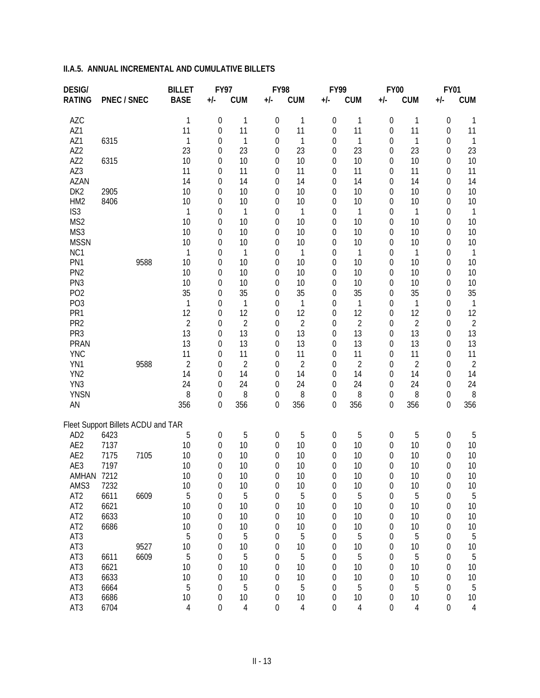| <b>DESIG/</b>                      |                    |      | <b>BILLET</b>  | <b>FY97</b>                          |                | FY98                  |                | FY99                  |                | <b>FY00</b> |                | <b>FY01</b>                |                |
|------------------------------------|--------------------|------|----------------|--------------------------------------|----------------|-----------------------|----------------|-----------------------|----------------|-------------|----------------|----------------------------|----------------|
| <b>RATING</b>                      | <b>PNEC / SNEC</b> |      | <b>BASE</b>    | +/-                                  | <b>CUM</b>     | +/-                   | <b>CUM</b>     | $+/-$                 | <b>CUM</b>     | $+/-$       | <b>CUM</b>     | +/-                        | <b>CUM</b>     |
| <b>AZC</b>                         |                    |      | 1              | $\boldsymbol{0}$                     | 1              | 0                     | 1              | $\boldsymbol{0}$      | 1              | 0           | $\mathbf 1$    | 0                          | 1              |
| AZ1                                |                    |      | 11             | 0                                    | 11             | 0                     | 11             | $\boldsymbol{0}$      | 11             | 0           | 11             | 0                          | 11             |
| AZ1                                | 6315               |      | 1              | 0                                    | 1              | 0                     | 1              | 0                     | 1              | 0           | $\mathbf{1}$   | $\mathbf 0$                | $\mathbf{1}$   |
| AZ <sub>2</sub>                    |                    |      | 23             | 0                                    | 23             | 0                     | 23             | 0                     | 23             | 0           | 23             | $\mathbf 0$                | 23             |
| AZ <sub>2</sub>                    | 6315               |      | 10             | 0                                    | 10             | 0                     | 10             | $\overline{0}$        | 10             | 0           | 10             | $\mathbf 0$                | 10             |
| AZ3                                |                    |      | 11             | 0                                    | 11             | 0                     | 11             | $\overline{0}$        | 11             | 0           | 11             | 0                          | 11             |
| <b>AZAN</b>                        |                    |      | 14             | 0                                    | 14             | 0                     | 14             | $\overline{0}$        | 14             | 0           | 14             | $\mathbf 0$                | 14             |
| DK <sub>2</sub>                    | 2905               |      | 10             | 0                                    | 10             | 0                     | 10             | $\overline{0}$        | 10             | 0           | 10             | 0                          | 10             |
| HM <sub>2</sub>                    | 8406               |      | 10             | 0                                    | 10             | 0                     | 10             | $\overline{0}$        | 10             | 0           | 10             | $\mathbf 0$                | 10             |
| IS <sub>3</sub>                    |                    |      | 1              | 0                                    | 1              | 0                     | 1              | $\overline{0}$        | 1              | 0           | $\mathbf{1}$   | 0                          | 1              |
| MS2                                |                    |      | 10             | 0                                    | 10             | 0                     | 10             | $\overline{0}$        | 10             | 0           | 10             | 0                          | 10             |
| MS3                                |                    |      | 10             | 0                                    | 10             | 0                     | 10             | 0                     | 10             | 0           | 10             | $\overline{0}$             | 10             |
| <b>MSSN</b>                        |                    |      | 10             | 0                                    | 10             | 0                     | 10             | 0                     | 10             | 0           | 10             | $\mathbf 0$                | 10             |
| NC1                                |                    |      | 1              | 0                                    | $\mathbf 1$    | 0                     | 1              | 0                     | $\mathbf{1}$   | 0           | $\mathbf{1}$   | $\mathbf 0$                | $\mathbf{1}$   |
| PN1<br>PN <sub>2</sub>             |                    | 9588 | 10             | 0                                    | 10<br>10       | 0                     | 10<br>10       | 0                     | 10<br>10       | 0           | 10<br>10       | $\mathbf 0$                | 10             |
| PN <sub>3</sub>                    |                    |      | 10<br>10       | 0<br>0                               | 10             | 0<br>0                | 10             | 0<br>0                | 10             | 0<br>0      | 10             | $\mathbf 0$<br>$\mathbf 0$ | 10<br>10       |
| PO <sub>2</sub>                    |                    |      | 35             | 0                                    | 35             | 0                     | 35             | $\overline{0}$        | 35             | 0           | 35             | 0                          | 35             |
| PO <sub>3</sub>                    |                    |      | 1              | 0                                    | 1              | 0                     | 1              | $\overline{0}$        | 1              | 0           | 1              | 0                          | $\mathbf{1}$   |
| PR1                                |                    |      | 12             | 0                                    | 12             | 0                     | 12             | $\overline{0}$        | 12             | 0           | 12             | 0                          | 12             |
| PR <sub>2</sub>                    |                    |      | $\overline{2}$ | 0                                    | $\overline{2}$ | 0                     | 2              | $\overline{0}$        | $\overline{2}$ | 0           | $\overline{2}$ | $\overline{0}$             | $\overline{2}$ |
| PR <sub>3</sub>                    |                    |      | 13             | 0                                    | 13             | 0                     | 13             | $\overline{0}$        | 13             | 0           | 13             | 0                          | 13             |
| <b>PRAN</b>                        |                    |      | 13             | 0                                    | 13             | 0                     | 13             | 0                     | 13             | 0           | 13             | $\overline{0}$             | 13             |
| <b>YNC</b>                         |                    |      | 11             | 0                                    | 11             | 0                     | 11             | $\overline{0}$        | 11             | 0           | 11             | $\overline{0}$             | 11             |
| YN1                                |                    | 9588 | 2              | 0                                    | $\overline{2}$ | 0                     | $\overline{2}$ | 0                     | $\overline{2}$ | 0           | $\overline{2}$ | $\overline{0}$             | $\overline{c}$ |
| YN <sub>2</sub>                    |                    |      | 14             | 0                                    | 14             | 0                     | 14             | 0                     | 14             | 0           | 14             | $\mathbf 0$                | 14             |
| YN3                                |                    |      | 24             | $\boldsymbol{0}$                     | 24             | 0                     | 24             | 0                     | 24             | 0           | 24             | 0                          | 24             |
| <b>YNSN</b>                        |                    |      | 8              | $\boldsymbol{0}$                     | 8              | 0                     | 8              | 0                     | 8              | 0           | 8              | $\boldsymbol{0}$           | 8              |
| AN                                 |                    |      | 356            | 0                                    | 356            | 0                     | 356            | 0                     | 356            | 0           | 356            | 0                          | 356            |
| Fleet Support Billets ACDU and TAR |                    |      |                |                                      |                |                       |                |                       |                |             |                |                            |                |
| AD <sub>2</sub>                    | 6423               |      | 5              | $\boldsymbol{0}$                     | 5              | 0                     | 5              | 0                     | 5              | 0           | 5              | 0                          | 5              |
| AE <sub>2</sub>                    | 7137               |      | 10             | 0                                    | 10             | 0                     | 10             | 0                     | 10             | 0           | 10             | 0                          | 10             |
| AE2                                | 7175               | 7105 | 10             | 0                                    | 10             | 0                     | 10             | 0                     | 10             | 0           | 10             | 0                          | 10             |
| AE3                                | 7197               |      | 10             | 0                                    | 10             | 0                     | 10             | 0                     | 10             | 0           | 10             | $\mathbf 0$                | 10             |
| AMHAN 7212                         |                    |      | 10             | 0                                    | 10             | 0                     | 10             | 0                     | 10             | 0           | 10             | $\mathbf 0$                | 10             |
| AMS3                               | 7232               |      | 10             | 0                                    | 10             | $\boldsymbol{0}$      | 10             | 0                     | 10             | 0           | 10             | 0                          | 10             |
| AT <sub>2</sub>                    | 6611               | 6609 | 5              | $\boldsymbol{0}$                     | 5              | 0                     | 5              | $\boldsymbol{0}$      | 5              | 0           | 5              | 0                          | 5              |
| AT <sub>2</sub>                    | 6621               |      | 10             | 0                                    | 10             | 0                     | 10             | $\boldsymbol{0}$      | 10             | 0           | 10             | $\boldsymbol{0}$           | 10             |
| AT <sub>2</sub>                    | 6633               |      | 10             | 0                                    | 10             | 0                     | 10             | $\boldsymbol{0}$      | 10             | 0           | 10             | $\boldsymbol{0}$           | 10             |
| AT <sub>2</sub>                    | 6686               |      | 10             | 0                                    | 10             | 0                     | 10             | 0                     | 10             | 0           | 10             | $\boldsymbol{0}$           | 10             |
| AT3                                |                    |      | 5              | 0                                    | 5              | 0                     | 5              | 0                     | 5              | 0           | $\sqrt{5}$     | $\boldsymbol{0}$           | 5              |
| AT3                                |                    | 9527 | 10             | 0                                    | 10             | 0                     | 10             | 0                     | 10             | 0           | 10             | $\mathbf 0$                | 10             |
| AT3                                | 6611               | 6609 | 5              | 0                                    | 5              | 0                     | 5              | 0                     | 5              | 0           | 5              | $\mathbf 0$                | 5              |
| AT3                                | 6621               |      | 10             | 0                                    | 10             | 0                     | 10             | 0                     | 10             | 0           | 10             | $\mathbf 0$                | 10             |
| AT3                                | 6633               |      | 10             | 0                                    | 10             | 0                     | 10             | 0                     | 10             | 0           | 10             | $\mathbf 0$                | 10             |
| AT3<br>AT3                         | 6664<br>6686       |      | 5              | $\boldsymbol{0}$                     | 5              | 0                     | 5              | 0                     | 5              | 0           | 5              | $\boldsymbol{0}$           | 5              |
| AT3                                | 6704               |      | 10<br>4        | $\boldsymbol{0}$<br>$\boldsymbol{0}$ | 10<br>4        | $\boldsymbol{0}$<br>0 | 10<br>4        | $\boldsymbol{0}$<br>0 | 10<br>4        | 0<br>0      | 10<br>4        | 0<br>$\mathbf 0$           | 10<br>4        |
|                                    |                    |      |                |                                      |                |                       |                |                       |                |             |                |                            |                |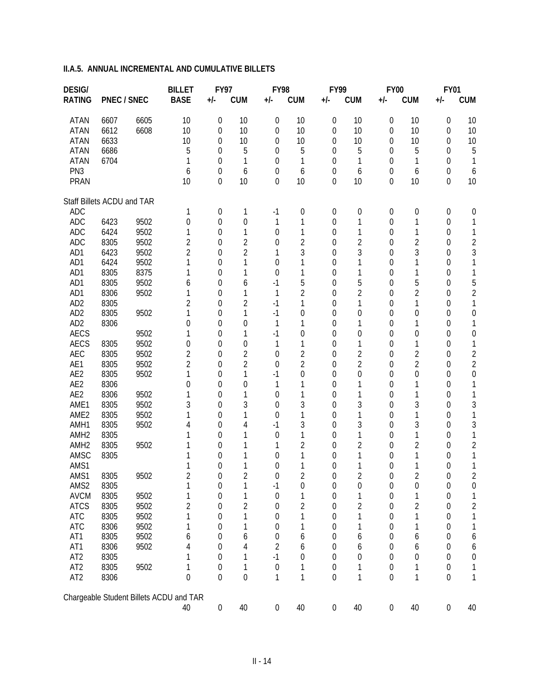| <b>DESIG/</b>              |              |              | <b>BILLET</b>                           | <b>FY97</b>      |                  | <b>FY98</b>      |                  | FY99             |                  | <b>FY00</b>      |                | <b>FY01</b>      |                  |
|----------------------------|--------------|--------------|-----------------------------------------|------------------|------------------|------------------|------------------|------------------|------------------|------------------|----------------|------------------|------------------|
| <b>RATING</b>              | PNEC / SNEC  |              | <b>BASE</b>                             | +/-              | <b>CUM</b>       | +/-              | <b>CUM</b>       | +/-              | <b>CUM</b>       | $+/-$            | <b>CUM</b>     | +/-              | <b>CUM</b>       |
| <b>ATAN</b>                | 6607         | 6605         | 10                                      | $\boldsymbol{0}$ | 10               | 0                | 10               | $\boldsymbol{0}$ | 10               | 0                | 10             | $\boldsymbol{0}$ | 10               |
| <b>ATAN</b>                | 6612         | 6608         | 10                                      | 0                | 10               | $\boldsymbol{0}$ | 10               | 0                | 10               | 0                | 10             | $\boldsymbol{0}$ | 10               |
| <b>ATAN</b>                | 6633         |              | 10                                      | 0                | 10               | 0                | 10               | 0                | 10               | 0                | 10             | 0                | 10               |
| <b>ATAN</b>                | 6686         |              | 5                                       | 0                | 5                | 0                | 5                | 0                | 5                | 0                | 5              | 0                | 5                |
| <b>ATAN</b>                | 6704         |              |                                         | 0                | 1                | 0                | 1                | 0                | 1                | 0                | 1              | 0                | 1                |
| PN <sub>3</sub>            |              |              | 6                                       | 0                | 6                | 0                | 6                | 0                | 6                | 0                | 6              | $\boldsymbol{0}$ | 6                |
| <b>PRAN</b>                |              |              | 10                                      | $\mathbf{0}$     | 10               | 0                | 10               | $\overline{0}$   | 10               | 0                | 10             | 0                | 10               |
| Staff Billets ACDU and TAR |              |              |                                         |                  |                  |                  |                  |                  |                  |                  |                |                  |                  |
| ADC                        |              |              | 1                                       | $\boldsymbol{0}$ | 1                | $-1$             | $\boldsymbol{0}$ | 0                | 0                | 0                | 0              | $\boldsymbol{0}$ | $\mathbf 0$      |
| <b>ADC</b>                 | 6423         | 9502         | 0                                       | $\overline{0}$   | $\mathbf 0$      | 1                | 1                | 0                | 1                | 0                | 1              | $\boldsymbol{0}$ | 1                |
| <b>ADC</b>                 | 6424         | 9502         | 1                                       | 0                | 1                | 0                | 1                | 0                | 1                | 0                | 1              | 0                | 1                |
| <b>ADC</b>                 | 8305         | 9502         | 2                                       | 0                | $\overline{2}$   | 0                | $\overline{2}$   | 0                | $\overline{2}$   | 0                | $\overline{2}$ | 0                | $\sqrt{2}$       |
| AD1                        | 6423         | 9502         | $\overline{2}$                          | 0                | $\overline{2}$   | 1                | 3                | 0                | 3                | 0                | 3              | 0                | 3                |
| AD1                        | 6424         | 9502         | 1                                       | 0                | 1                | 0                | 1                | 0                | 1                | 0                | 1              | 0                | 1                |
| AD1                        | 8305         | 8375         | 1                                       | 0                | 1                | 0                | 1                | 0                | 1                | 0                | 1              | 0                | 1                |
| AD1                        | 8305         | 9502         | 6                                       | 0                | 6                | $-1$             | 5                | 0                | 5                | 0                | 5              | 0                | 5                |
| AD1                        | 8306         | 9502         | 1                                       | 0                | 1                | 1                | $\overline{2}$   | 0                | $\overline{2}$   | 0                | $\overline{2}$ | 0                | 2                |
| AD <sub>2</sub>            | 8305         |              | $\overline{2}$                          | 0                | $\overline{2}$   | $-1$             | 1                | 0                | 1                | 0                | 1              | 0                | 1                |
| AD <sub>2</sub>            | 8305         | 9502         | 1                                       | 0                | 1                | $-1$             | $\overline{0}$   | 0                | 0                | 0                | 0              | 0                | $\boldsymbol{0}$ |
| AD <sub>2</sub>            | 8306         |              | 0                                       | 0                | $\theta$         | 1                | 1                | 0                | 1                | 0                |                | 0                | 1                |
| <b>AECS</b>                |              | 9502         | 1                                       | 0                | 1                | $-1$             | $\overline{0}$   | 0                | 0                | 0                | 0              | 0                | $\boldsymbol{0}$ |
| <b>AECS</b>                | 8305         | 9502         | 0                                       | 0                | $\mathbf 0$      | 1                | 1                | 0                | 1                | 0                | 1              | 0                | 1                |
| AEC                        | 8305         | 9502         | 2                                       | 0                | $\overline{2}$   | 0                | $\overline{2}$   | 0                | $\overline{2}$   | 0                | $\overline{2}$ | 0                | $\overline{c}$   |
| AE1                        | 8305         | 9502         | $\overline{2}$                          | 0                | $\overline{2}$   | 0                | $\overline{2}$   | 0                | $\overline{2}$   | 0                | $\overline{2}$ | 0                | $\overline{2}$   |
| AE2                        | 8305         | 9502         | 1                                       | 0                | 1                | $-1$             | $\mathbf 0$      | 0                | $\boldsymbol{0}$ | 0                | $\mathbf 0$    | 0                | $\boldsymbol{0}$ |
| AE2                        | 8306         |              | 0                                       | 0                | $\mathbf 0$      | 1                | 1                | 0                | 1                | 0                | 1              | 0                | 1                |
| AE2                        | 8306         | 9502         |                                         | 0                | 1                | 0                | 1                | 0                | 1                | 0                | 1              | 0                | 1                |
| AME1                       | 8305         | 9502         | 3<br>1                                  | 0                | 3<br>1           | 0                | 3<br>1           | 0                | 3                | 0                | 3              | 0                | 3                |
| AME <sub>2</sub><br>AMH1   | 8305<br>8305 | 9502<br>9502 | 4                                       | 0<br>0           | 4                | 0<br>$-1$        | 3                | 0<br>0           | 1<br>3           | 0<br>0           | 1<br>3         | 0                | 1                |
| AMH <sub>2</sub>           | 8305         |              |                                         | 0                | 1                | $\overline{0}$   | 1                | 0                | 1                | 0                |                | 0<br>0           | 3<br>1           |
| AMH <sub>2</sub>           | 8305         | 9502         |                                         | 0                | 1                |                  | 2                | 0                | $\overline{2}$   | 0                | $\overline{2}$ | 0                | $\sqrt{2}$       |
| AMSC                       | 8305         |              |                                         | 0                | 1                | 0                | 1                | 0                | 1                | 0                | 1              | 0                | 1                |
| AMS1                       |              |              |                                         | 0                | 1                | 0                | 1                | 0                | 1                | 0                | 1              | 0                | 1                |
| AMS1                       | 8305         | 9502         | $\overline{2}$                          | $\boldsymbol{0}$ | $\overline{2}$   | 0                | 2                | 0                | 2                | 0                | 2              | 0                | $\overline{2}$   |
| AMS2                       | 8305         |              | 1                                       | 0                | 1                | $-1$             | $\mathbf 0$      | 0                | 0                | 0                | 0              | 0                | 0                |
| <b>AVCM</b>                | 8305         | 9502         | 1                                       | 0                | 1                | $\mathbf 0$      | 1                | $\boldsymbol{0}$ | 1                | 0                |                | 0                | 1                |
| <b>ATCS</b>                | 8305         | 9502         | $\overline{2}$                          | 0                | $\overline{2}$   | 0                | $\overline{2}$   | 0                | $\overline{2}$   | $\boldsymbol{0}$ | $\overline{2}$ | 0                | $\overline{c}$   |
| <b>ATC</b>                 | 8305         | 9502         | 1                                       | 0                | 1                | 0                |                  | 0                | 1                | 0                |                | 0                | 1                |
| <b>ATC</b>                 | 8306         | 9502         | 1                                       | 0                | 1                | 0                | 1                | 0                | 1                | 0                |                | 0                | 1                |
| AT1                        | 8305         | 9502         | 6                                       | 0                | 6                | 0                | 6                | 0                | 6                | 0                | 6              | 0                | 6                |
| AT1                        | 8306         | 9502         | 4                                       | 0                | 4                | 2                | 6                | 0                | 6                | 0                | 6              | 0                | 6                |
| AT <sub>2</sub>            | 8305         |              |                                         | 0                | 1                | $-1$             | 0                | 0                | 0                | 0                | 0              | 0                | $\boldsymbol{0}$ |
| AT <sub>2</sub>            | 8305         | 9502         | 1                                       | 0                | 1                | $\boldsymbol{0}$ | 1                | 0                | 1                | 0                |                | 0                | 1                |
| AT <sub>2</sub>            | 8306         |              | $\mathbf 0$                             | $\mathbf 0$      | $\boldsymbol{0}$ | 1                | 1                | 0                | 1                | $\boldsymbol{0}$ | 1              | $\mathbf 0$      | 1                |
|                            |              |              | Chargeable Student Billets ACDU and TAR |                  |                  |                  |                  |                  |                  |                  |                |                  |                  |
|                            |              |              | 40                                      | $\boldsymbol{0}$ | 40               | $\boldsymbol{0}$ | 40               | $\boldsymbol{0}$ | 40               | $\boldsymbol{0}$ | $40\,$         | $\boldsymbol{0}$ | 40               |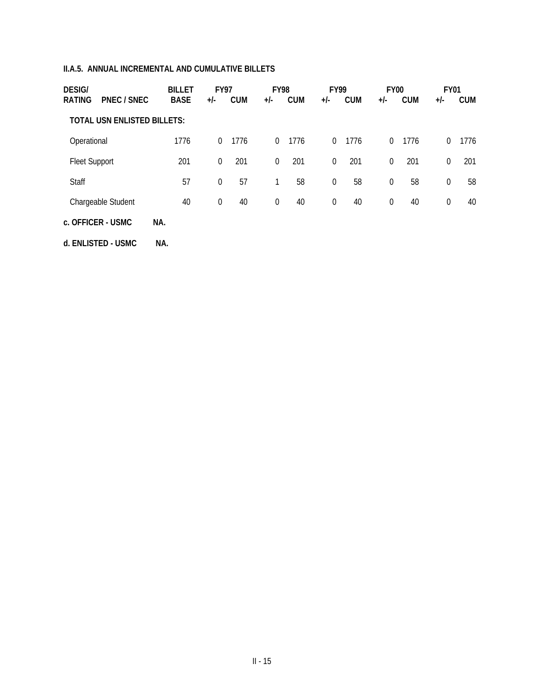| <b>DESIG/</b><br><b>RATING</b> | <b>BILLET</b><br><b>BASE</b><br><b>PNEC / SNEC</b> | <b>FY97</b><br>$+/-$ | <b>CUM</b> | <b>FY98</b><br>$+/-$ | <b>CUM</b> | <b>FY99</b><br>$+/-$ | <b>CUM</b> | <b>FY00</b><br>+/- | <b>CUM</b> | <b>FY01</b><br>+/- | <b>CUM</b> |
|--------------------------------|----------------------------------------------------|----------------------|------------|----------------------|------------|----------------------|------------|--------------------|------------|--------------------|------------|
|                                | <b>TOTAL USN ENLISTED BILLETS:</b>                 |                      |            |                      |            |                      |            |                    |            |                    |            |
| Operational                    | 1776                                               | $\overline{0}$       | 1776       | $\overline{0}$       | 1776       | $\overline{0}$       | 1776       | $\Omega$           | 1776       | $\Omega$           | 1776       |
| <b>Fleet Support</b>           | 201                                                | 0                    | 201        | $\boldsymbol{0}$     | 201        | $\Omega$             | 201        | $\Omega$           | 201        | $\Omega$           | 201        |
| Staff                          | 57                                                 | $\boldsymbol{0}$     | 57         | 1                    | 58         | $\Omega$             | 58         | 0                  | 58         | $\Omega$           | 58         |
| Chargeable Student             | 40                                                 | $\boldsymbol{0}$     | 40         | $\boldsymbol{0}$     | 40         | $\overline{0}$       | 40         | 0                  | 40         | $\theta$           | 40         |
| c. OFFICER - USMC              | NA.                                                |                      |            |                      |            |                      |            |                    |            |                    |            |

**d. ENLISTED - USMC NA.**

II - 15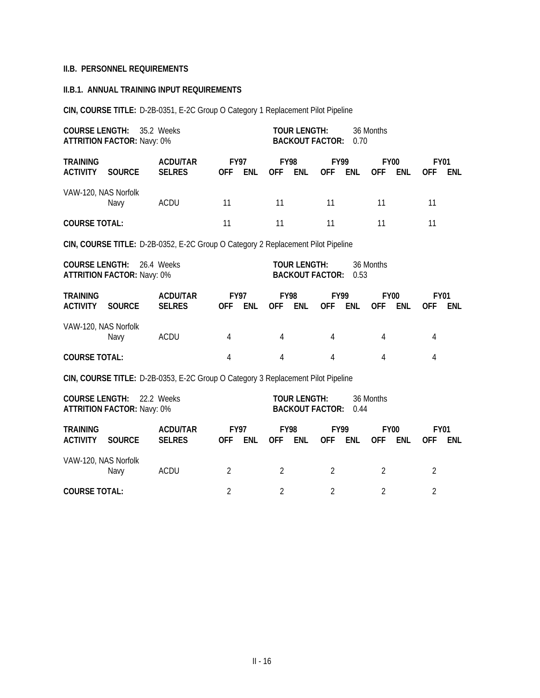#### **II.B. PERSONNEL REQUIREMENTS**

### **II.B.1. ANNUAL TRAINING INPUT REQUIREMENTS**

**CIN, COURSE TITLE:** D-2B-0351, E-2C Group O Category 1 Replacement Pilot Pipeline

| <b>COURSE LENGTH:</b>              | 35.2 Weeks<br><b>ATTRITION FACTOR: Navy: 0%</b> | <b>TOUR LENGTH:</b><br>36 Months<br><b>BACKOUT FACTOR:</b><br>0.70               |                                                                    |            |                           |                     |                           |                           |                           |            |                           |            |
|------------------------------------|-------------------------------------------------|----------------------------------------------------------------------------------|--------------------------------------------------------------------|------------|---------------------------|---------------------|---------------------------|---------------------------|---------------------------|------------|---------------------------|------------|
| <b>TRAINING</b><br><b>ACTIVITY</b> | <b>SOURCE</b>                                   | <b>ACDU/TAR</b><br><b>SELRES</b>                                                 | <b>FY97</b><br><b>OFF</b>                                          | <b>ENL</b> | <b>OFF</b>                | <b>FY98</b><br>ENL  |                           | <b>FY99</b><br><b>ENL</b> | <b>FY00</b><br><b>OFF</b> | <b>ENL</b> | <b>FY01</b><br><b>OFF</b> | <b>ENL</b> |
| VAW-120, NAS Norfolk               | Navy                                            | <b>ACDU</b>                                                                      | 11                                                                 |            | 11                        |                     | 11                        |                           | 11                        |            | 11                        |            |
| <b>COURSE TOTAL:</b>               |                                                 |                                                                                  | 11                                                                 |            | 11                        |                     | 11                        |                           | 11                        |            | 11                        |            |
|                                    |                                                 | CIN, COURSE TITLE: D-2B-0352, E-2C Group O Category 2 Replacement Pilot Pipeline |                                                                    |            |                           |                     |                           |                           |                           |            |                           |            |
| <b>COURSE LENGTH:</b>              | <b>ATTRITION FACTOR: Navy: 0%</b>               | 26.4 Weeks                                                                       | <b>TOUR LENGTH:</b><br>36 Months<br><b>BACKOUT FACTOR:</b><br>0.53 |            |                           |                     |                           |                           |                           |            |                           |            |
| <b>TRAINING</b><br><b>ACTIVITY</b> | <b>SOURCE</b>                                   | <b>ACDU/TAR</b><br><b>SELRES</b>                                                 | <b>FY97</b><br><b>OFF</b>                                          | <b>ENL</b> | <b>FY98</b><br><b>OFF</b> | <b>ENL</b>          | <b>FY99</b><br><b>OFF</b> | <b>ENL</b>                | <b>FY00</b><br><b>OFF</b> | <b>ENL</b> | <b>FY01</b><br><b>OFF</b> | <b>ENL</b> |
| VAW-120, NAS Norfolk               | Navy                                            | ACDU                                                                             | 4                                                                  |            | 4                         |                     | 4                         |                           | 4                         |            | 4                         |            |
| <b>COURSE TOTAL:</b>               |                                                 |                                                                                  | 4                                                                  |            | 4                         |                     | 4                         |                           | 4                         |            | 4                         |            |
|                                    |                                                 | CIN, COURSE TITLE: D-2B-0353, E-2C Group O Category 3 Replacement Pilot Pipeline |                                                                    |            |                           |                     |                           |                           |                           |            |                           |            |
| <b>COURSE LENGTH:</b>              | <b>ATTRITION FACTOR: Navy: 0%</b>               | 22.2 Weeks                                                                       |                                                                    |            |                           | <b>TOUR LENGTH:</b> | <b>BACKOUT FACTOR:</b>    | 0.44                      | 36 Months                 |            |                           |            |
| <b>TRAINING</b><br><b>ACTIVITY</b> | <b>SOURCE</b>                                   | <b>ACDU/TAR</b><br><b>SELRES</b>                                                 | <b>FY97</b><br><b>OFF</b>                                          | <b>ENL</b> | <b>FY98</b><br><b>OFF</b> | ENL                 | <b>FY99</b><br><b>OFF</b> | <b>ENL</b>                | <b>FY00</b><br><b>OFF</b> | <b>ENL</b> | <b>FY01</b><br><b>OFF</b> | <b>ENL</b> |
| VAW-120, NAS Norfolk               | Navy                                            | <b>ACDU</b>                                                                      | 2                                                                  |            | 2                         |                     | $\overline{2}$            |                           | $\overline{2}$            |            | $\overline{2}$            |            |
| <b>COURSE TOTAL:</b>               |                                                 |                                                                                  | $\overline{2}$                                                     |            | 2                         |                     | 2                         |                           | $\overline{2}$            |            | $\overline{2}$            |            |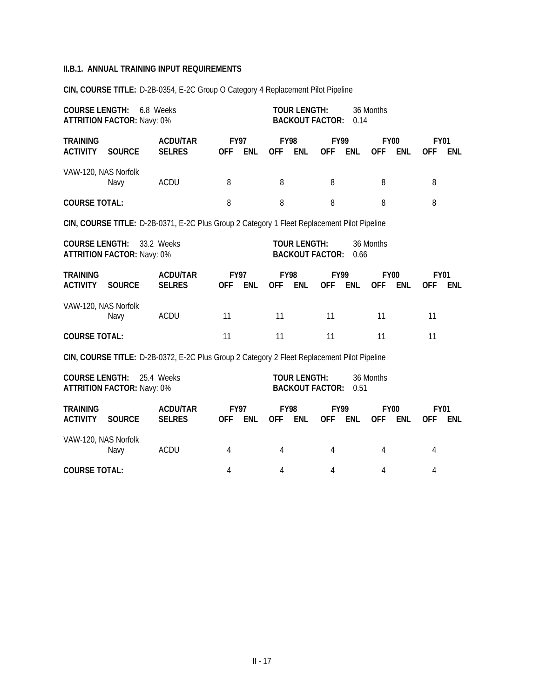| <b>COURSE LENGTH:</b>                       | 6.8 Weeks<br><b>ATTRITION FACTOR: Navy: 0%</b> | <b>TOUR LENGTH:</b><br>36 Months<br><b>BACKOUT FACTOR:</b><br>0.14                          |                           |            |                           |                     |                           |            |                                         |            |                           |                           |
|---------------------------------------------|------------------------------------------------|---------------------------------------------------------------------------------------------|---------------------------|------------|---------------------------|---------------------|---------------------------|------------|-----------------------------------------|------------|---------------------------|---------------------------|
| <b>TRAINING</b><br><b>ACTIVITY</b>          | <b>SOURCE</b>                                  | <b>ACDU/TAR</b><br><b>SELRES</b>                                                            | <b>FY97</b><br><b>OFF</b> | <b>ENL</b> | <b>FY98</b><br><b>OFF</b> | <b>ENL</b>          | FY99<br><b>OFF</b>        | <b>ENL</b> | <b>FY00</b><br><b>ENL</b><br><b>OFF</b> |            | <b>OFF</b>                | <b>FY01</b><br><b>ENL</b> |
| VAW-120, NAS Norfolk                        | Navy                                           | <b>ACDU</b>                                                                                 | 8                         |            | 8                         |                     | 8                         |            | 8                                       |            | 8                         |                           |
| <b>COURSE TOTAL:</b>                        |                                                |                                                                                             | 8                         |            | 8                         |                     | 8                         |            | 8                                       |            | 8                         |                           |
|                                             |                                                | CIN, COURSE TITLE: D-2B-0371, E-2C Plus Group 2 Category 1 Fleet Replacement Pilot Pipeline |                           |            |                           |                     |                           |            |                                         |            |                           |                           |
| <b>COURSE LENGTH:</b>                       | <b>ATTRITION FACTOR: Navy: 0%</b>              | 33.2 Weeks                                                                                  |                           |            |                           | <b>TOUR LENGTH:</b> | <b>BACKOUT FACTOR:</b>    | 0.66       | 36 Months                               |            |                           |                           |
| <b>TRAINING</b><br><b>ACTIVITY</b>          | <b>SOURCE</b>                                  | <b>ACDU/TAR</b><br><b>SELRES</b>                                                            | <b>FY97</b><br><b>OFF</b> | <b>ENL</b> | <b>FY98</b><br><b>OFF</b> | <b>ENL</b>          | <b>FY99</b><br><b>OFF</b> | <b>ENL</b> | <b>FY00</b><br><b>OFF</b>               | <b>ENL</b> | <b>FY01</b><br><b>OFF</b> | ENL                       |
| VAW-120, NAS Norfolk                        | Navy                                           | <b>ACDU</b>                                                                                 | 11                        |            | 11                        |                     | 11                        |            | 11                                      |            | 11                        |                           |
| <b>COURSE TOTAL:</b>                        |                                                |                                                                                             | 11                        |            | 11                        |                     | 11                        |            | 11                                      |            | 11                        |                           |
|                                             |                                                | CIN, COURSE TITLE: D-2B-0372, E-2C Plus Group 2 Category 2 Fleet Replacement Pilot Pipeline |                           |            |                           |                     |                           |            |                                         |            |                           |                           |
| <b>COURSE LENGTH:</b>                       | <b>ATTRITION FACTOR: Navy: 0%</b>              | 25.4 Weeks                                                                                  |                           |            |                           | <b>TOUR LENGTH:</b> | <b>BACKOUT FACTOR:</b>    | 0.51       | 36 Months                               |            |                           |                           |
| <b>TRAINING</b><br><b>ACTIVITY</b>          | <b>SOURCE</b>                                  | <b>ACDU/TAR</b><br><b>SELRES</b>                                                            | <b>FY97</b><br><b>OFF</b> | <b>ENL</b> | <b>FY98</b><br><b>OFF</b> | <b>ENL</b>          | <b>FY99</b><br><b>OFF</b> | ENL        | <b>FY00</b><br><b>OFF</b>               | <b>ENL</b> | <b>OFF</b>                | <b>FY01</b><br><b>ENL</b> |
| VAW-120, NAS Norfolk<br><b>ACDU</b><br>Navy |                                                |                                                                                             | 4                         |            | 4                         |                     | 4                         |            | 4                                       |            | 4                         |                           |

**CIN, COURSE TITLE:** D-2B-0354, E-2C Group O Category 4 Replacement Pilot Pipeline

**COURSE TOTAL:** 4 4 4 4 4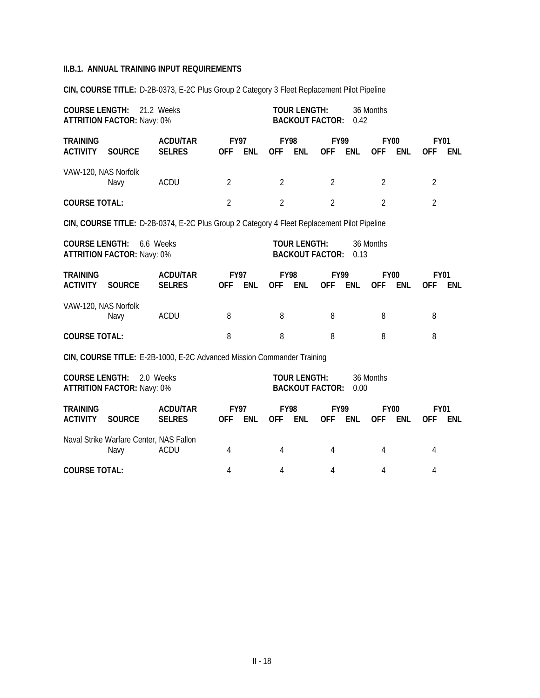**CIN, COURSE TITLE:** D-2B-0373, E-2C Plus Group 2 Category 3 Fleet Replacement Pilot Pipeline

| <b>COURSE LENGTH:</b>              | 21.2 Weeks<br><b>ATTRITION FACTOR: Navy: 0%</b> |                                                                                             | <b>TOUR LENGTH:</b><br>36 Months<br><b>BACKOUT FACTOR:</b><br>0.42 |                |                                                                    |                     |                           |                |                           |                |                           |            |
|------------------------------------|-------------------------------------------------|---------------------------------------------------------------------------------------------|--------------------------------------------------------------------|----------------|--------------------------------------------------------------------|---------------------|---------------------------|----------------|---------------------------|----------------|---------------------------|------------|
| <b>TRAINING</b><br><b>ACTIVITY</b> | <b>SOURCE</b>                                   | <b>ACDU/TAR</b><br><b>SELRES</b>                                                            | <b>FY97</b><br><b>OFF</b>                                          | <b>ENL</b>     | <b>FY98</b><br><b>OFF</b>                                          | <b>ENL</b>          | <b>FY99</b><br><b>OFF</b> | <b>ENL</b>     | <b>FY00</b><br><b>OFF</b> | <b>ENL</b>     | <b>FY01</b><br><b>OFF</b> | <b>ENL</b> |
| VAW-120, NAS Norfolk               | Navy                                            | ACDU                                                                                        | 2                                                                  |                | $\overline{2}$                                                     |                     | $\overline{2}$            |                | 2                         |                | $\overline{2}$            |            |
| <b>COURSE TOTAL:</b>               |                                                 | $\overline{2}$                                                                              |                                                                    | $\overline{2}$ |                                                                    | $\overline{2}$      |                           | $\overline{2}$ |                           | $\overline{2}$ |                           |            |
|                                    |                                                 | CIN, COURSE TITLE: D-2B-0374, E-2C Plus Group 2 Category 4 Fleet Replacement Pilot Pipeline |                                                                    |                |                                                                    |                     |                           |                |                           |                |                           |            |
| <b>COURSE LENGTH:</b>              | <b>ATTRITION FACTOR: Navy: 0%</b>               | 6.6 Weeks                                                                                   |                                                                    |                | <b>TOUR LENGTH:</b><br>36 Months<br><b>BACKOUT FACTOR:</b><br>0.13 |                     |                           |                |                           |                |                           |            |
| <b>TRAINING</b><br><b>ACTIVITY</b> | <b>SOURCE</b>                                   | <b>ACDU/TAR</b><br><b>SELRES</b>                                                            | <b>FY97</b><br><b>OFF</b>                                          | <b>ENL</b>     | <b>FY98</b><br><b>OFF</b>                                          | <b>ENL</b>          | <b>FY99</b><br><b>OFF</b> | ENL            | <b>FY00</b><br><b>OFF</b> | <b>ENL</b>     | <b>FY01</b><br><b>OFF</b> | ENL        |
| VAW-120, NAS Norfolk               | Navy                                            | <b>ACDU</b>                                                                                 | 8                                                                  |                | 8                                                                  |                     | 8                         |                | 8                         |                | 8                         |            |
| <b>COURSE TOTAL:</b>               |                                                 |                                                                                             | 8                                                                  |                | 8                                                                  |                     | 8                         |                | 8                         |                | 8                         |            |
|                                    |                                                 | CIN, COURSE TITLE: E-2B-1000, E-2C Advanced Mission Commander Training                      |                                                                    |                |                                                                    |                     |                           |                |                           |                |                           |            |
| <b>COURSE LENGTH:</b>              | <b>ATTRITION FACTOR: Navy: 0%</b>               | 2.0 Weeks                                                                                   |                                                                    |                |                                                                    | <b>TOUR LENGTH:</b> | <b>BACKOUT FACTOR:</b>    | 0.00           | 36 Months                 |                |                           |            |
| <b>TRAINING</b><br><b>ACTIVITY</b> | <b>SOURCE</b>                                   | <b>ACDU/TAR</b><br><b>SELRES</b>                                                            | <b>FY97</b><br><b>OFF</b>                                          | <b>ENL</b>     | <b>FY98</b><br><b>OFF</b>                                          | <b>ENL</b>          | <b>FY99</b><br><b>OFF</b> | <b>ENL</b>     | <b>FY00</b><br><b>OFF</b> | <b>ENL</b>     | <b>FY01</b><br><b>OFF</b> | <b>ENL</b> |
|                                    | Naval Strike Warfare Center, NAS Fallon<br>Navy | <b>ACDU</b>                                                                                 | 4                                                                  |                | 4                                                                  |                     | 4                         |                | 4                         |                | 4                         |            |

**COURSE TOTAL:** 4 4 4 4 4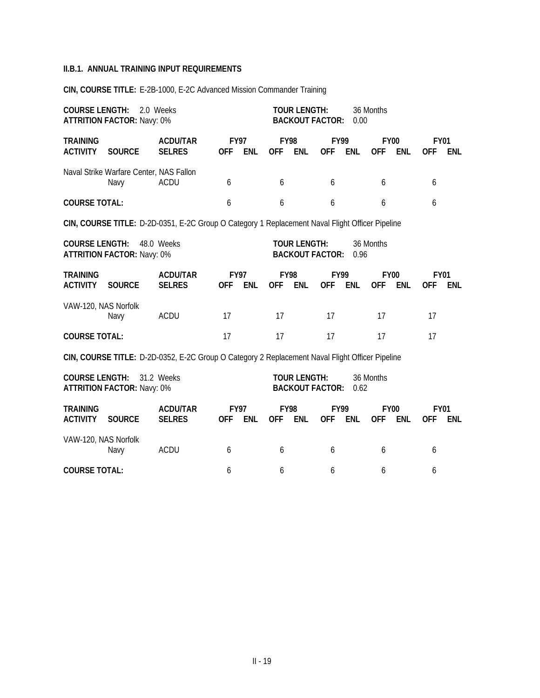**CIN, COURSE TITLE:** E-2B-1000, E-2C Advanced Mission Commander Training

| <b>COURSE LENGTH:</b>              | 2.0 Weeks<br><b>ATTRITION FACTOR: Navy: 0%</b>  | <b>TOUR LENGTH:</b><br><b>BACKOUT FACTOR:</b>                                                   |                                                                    |            |                           |                     |                           |            |                           |            |                           |            |
|------------------------------------|-------------------------------------------------|-------------------------------------------------------------------------------------------------|--------------------------------------------------------------------|------------|---------------------------|---------------------|---------------------------|------------|---------------------------|------------|---------------------------|------------|
| <b>TRAINING</b><br><b>ACTIVITY</b> | <b>SOURCE</b>                                   | <b>ACDU/TAR</b><br><b>SELRES</b>                                                                | <b>FY97</b><br><b>OFF</b>                                          | <b>ENL</b> | <b>FY98</b><br><b>OFF</b> | ENL                 | <b>FY99</b><br><b>OFF</b> | <b>ENL</b> | <b>FY00</b><br><b>OFF</b> | <b>ENL</b> | <b>FY01</b><br><b>OFF</b> | <b>ENL</b> |
|                                    | Naval Strike Warfare Center, NAS Fallon<br>Navy | <b>ACDU</b>                                                                                     | 6                                                                  |            | 6                         |                     | 6                         |            | 6                         |            | 6                         |            |
| <b>COURSE TOTAL:</b>               |                                                 |                                                                                                 | 6                                                                  |            | 6                         |                     | 6                         |            | 6                         |            | 6                         |            |
|                                    |                                                 | CIN, COURSE TITLE: D-2D-0351, E-2C Group O Category 1 Replacement Naval Flight Officer Pipeline |                                                                    |            |                           |                     |                           |            |                           |            |                           |            |
| <b>COURSE LENGTH:</b>              | 48.0 Weeks<br><b>ATTRITION FACTOR: Navy: 0%</b> |                                                                                                 | <b>TOUR LENGTH:</b><br>36 Months<br><b>BACKOUT FACTOR:</b><br>0.96 |            |                           |                     |                           |            |                           |            |                           |            |
| <b>TRAINING</b><br><b>ACTIVITY</b> | <b>SOURCE</b>                                   | <b>ACDU/TAR</b><br><b>SELRES</b>                                                                | <b>FY97</b><br><b>OFF</b>                                          | <b>ENL</b> | <b>FY98</b><br><b>OFF</b> | <b>ENL</b>          | <b>FY99</b><br><b>OFF</b> | <b>ENL</b> | <b>FY00</b><br><b>OFF</b> | <b>ENL</b> | <b>FY01</b><br><b>OFF</b> | <b>ENL</b> |
| VAW-120, NAS Norfolk               | Navy                                            | <b>ACDU</b>                                                                                     | 17                                                                 |            | 17                        |                     | 17                        |            | 17                        |            | 17                        |            |
| <b>COURSE TOTAL:</b>               |                                                 |                                                                                                 | 17                                                                 |            | 17                        |                     | 17                        |            | 17                        |            | 17                        |            |
|                                    |                                                 | CIN, COURSE TITLE: D-2D-0352, E-2C Group O Category 2 Replacement Naval Flight Officer Pipeline |                                                                    |            |                           |                     |                           |            |                           |            |                           |            |
| <b>COURSE LENGTH:</b>              | <b>ATTRITION FACTOR: Navy: 0%</b>               | 31.2 Weeks                                                                                      |                                                                    |            |                           | <b>TOUR LENGTH:</b> | <b>BACKOUT FACTOR:</b>    | 0.62       | 36 Months                 |            |                           |            |
| <b>TRAINING</b><br><b>ACTIVITY</b> | <b>SOURCE</b>                                   | <b>ACDU/TAR</b><br><b>SELRES</b>                                                                | <b>FY97</b><br><b>OFF</b>                                          | <b>ENL</b> | <b>FY98</b><br><b>OFF</b> | <b>ENL</b>          | <b>FY99</b><br><b>OFF</b> | <b>ENL</b> | <b>FY00</b><br><b>OFF</b> | <b>ENL</b> | <b>FY01</b><br><b>OFF</b> | <b>ENL</b> |
| VAW-120, NAS Norfolk               | Navy                                            | <b>ACDU</b>                                                                                     | 6                                                                  |            | 6                         |                     | 6                         |            | 6                         |            | 6                         |            |
| <b>COURSE TOTAL:</b>               |                                                 |                                                                                                 | 6                                                                  |            | 6                         |                     | 6                         |            | 6                         |            | 6                         |            |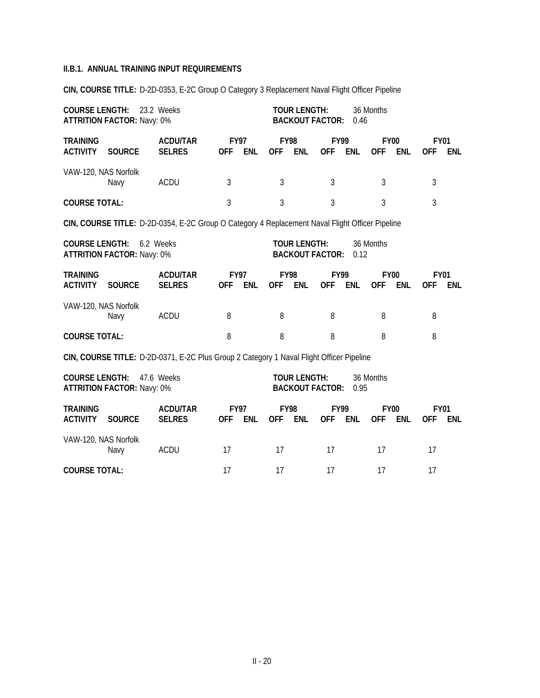**CIN, COURSE TITLE:** D-2D-0353, E-2C Group O Category 3 Replacement Naval Flight Officer Pipeline

| <b>COURSE LENGTH:</b><br><b>ATTRITION FACTOR: Navy: 0%</b> |                                   | <b>TOUR LENGTH:</b><br>36 Months<br><b>BACKOUT FACTOR:</b><br>0.46                              |                           |            |                           |                     |                           |            |                           |            |                           |            |
|------------------------------------------------------------|-----------------------------------|-------------------------------------------------------------------------------------------------|---------------------------|------------|---------------------------|---------------------|---------------------------|------------|---------------------------|------------|---------------------------|------------|
| <b>TRAINING</b><br><b>ACTIVITY</b>                         | <b>SOURCE</b>                     | <b>ACDU/TAR</b><br><b>SELRES</b>                                                                | <b>FY97</b><br><b>OFF</b> | <b>ENL</b> | <b>FY98</b><br>OFF ENL    |                     | <b>FY99</b><br><b>OFF</b> | ENL        | <b>FY00</b><br><b>OFF</b> | <b>ENL</b> | <b>FY01</b><br><b>OFF</b> | <b>ENL</b> |
| VAW-120, NAS Norfolk                                       | Navy                              | <b>ACDU</b>                                                                                     | 3                         |            |                           | 3                   |                           |            | 3                         |            | 3                         |            |
|                                                            | <b>COURSE TOTAL:</b>              |                                                                                                 |                           |            | $\mathfrak{Z}$            |                     | $\overline{3}$            |            | $\mathfrak{Z}$            |            | 3                         |            |
|                                                            |                                   | CIN, COURSE TITLE: D-2D-0354, E-2C Group O Category 4 Replacement Naval Flight Officer Pipeline |                           |            |                           |                     |                           |            |                           |            |                           |            |
| <b>COURSE LENGTH:</b>                                      | <b>ATTRITION FACTOR: Navy: 0%</b> | 6.2 Weeks                                                                                       |                           |            |                           | <b>TOUR LENGTH:</b> | <b>BACKOUT FACTOR:</b>    | 0.12       | 36 Months                 |            |                           |            |
| <b>TRAINING</b><br><b>ACTIVITY</b>                         | <b>SOURCE</b>                     | <b>ACDU/TAR</b><br><b>SELRES</b>                                                                | <b>FY97</b><br><b>OFF</b> | <b>ENL</b> | <b>FY98</b><br><b>OFF</b> | <b>ENL</b>          | <b>FY99</b><br><b>OFF</b> | <b>ENL</b> | <b>FY00</b><br><b>OFF</b> | <b>ENL</b> | <b>FY01</b><br><b>OFF</b> | <b>ENL</b> |
| VAW-120, NAS Norfolk                                       | Navy                              | <b>ACDU</b>                                                                                     | 8                         |            | 8                         |                     | 8                         |            | 8                         |            | 8                         |            |
| <b>COURSE TOTAL:</b>                                       |                                   |                                                                                                 | 8                         |            | 8                         |                     | 8                         |            | 8                         |            | 8                         |            |
|                                                            |                                   | CIN, COURSE TITLE: D-2D-0371, E-2C Plus Group 2 Category 1 Naval Flight Officer Pipeline        |                           |            |                           |                     |                           |            |                           |            |                           |            |
| <b>COURSE LENGTH:</b>                                      | <b>ATTRITION FACTOR: Navy: 0%</b> | 47.6 Weeks                                                                                      |                           |            |                           | <b>TOUR LENGTH:</b> | <b>BACKOUT FACTOR:</b>    | 0.95       | 36 Months                 |            |                           |            |
| <b>TRAINING</b><br><b>ACTIVITY</b>                         | <b>SOURCE</b>                     | <b>ACDU/TAR</b><br><b>SELRES</b>                                                                | <b>FY97</b><br><b>OFF</b> | <b>ENL</b> | <b>FY98</b><br><b>OFF</b> | <b>ENL</b>          | <b>FY99</b><br><b>OFF</b> | <b>ENL</b> | <b>FY00</b><br><b>OFF</b> | <b>ENL</b> | <b>FY01</b><br><b>OFF</b> | <b>ENL</b> |
| VAW-120, NAS Norfolk                                       | Navy                              | <b>ACDU</b>                                                                                     | 17                        |            | 17                        |                     | 17                        |            | 17                        |            | 17                        |            |
| <b>COURSE TOTAL:</b>                                       |                                   |                                                                                                 | 17                        |            | 17                        |                     | 17                        |            | 17                        |            | 17                        |            |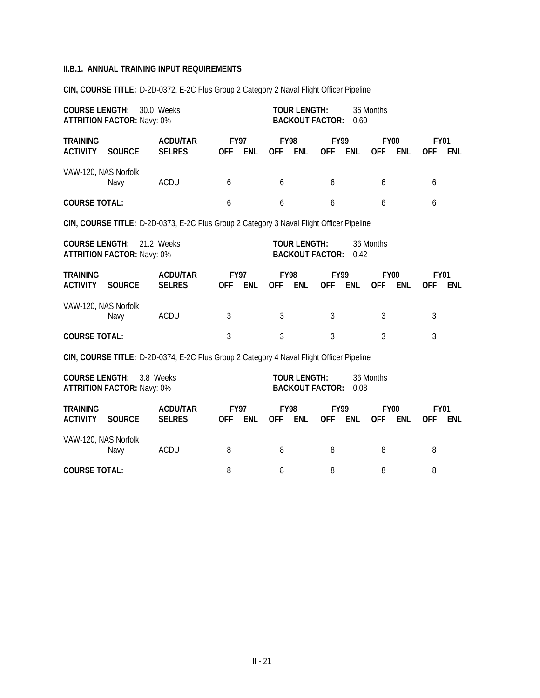| <b>COURSE LENGTH:</b>              | 30.0 Weeks<br><b>ATTRITION FACTOR: Navy: 0%</b>                                          |                                                                                          | <b>TOUR LENGTH:</b><br>36 Months<br><b>BACKOUT FACTOR:</b><br>0.60 |            |                           |                     |                                         |            |                                         |            |                                  |            |
|------------------------------------|------------------------------------------------------------------------------------------|------------------------------------------------------------------------------------------|--------------------------------------------------------------------|------------|---------------------------|---------------------|-----------------------------------------|------------|-----------------------------------------|------------|----------------------------------|------------|
| <b>TRAINING</b><br><b>ACTIVITY</b> | <b>SOURCE</b>                                                                            | <b>ACDU/TAR</b><br><b>SELRES</b>                                                         | <b>FY97</b><br><b>OFF</b><br><b>ENL</b>                            |            | <b>FY98</b><br><b>OFF</b> | <b>ENL</b>          | <b>FY99</b><br><b>OFF</b><br><b>ENL</b> |            | <b>FY00</b><br><b>OFF</b><br><b>ENL</b> |            | <b>FY01</b><br><b>OFF</b><br>ENL |            |
|                                    | VAW-120, NAS Norfolk<br>ACDU<br>Navy                                                     |                                                                                          | 6                                                                  |            | 6                         |                     | 6                                       |            | 6                                       |            | 6                                |            |
| <b>COURSE TOTAL:</b>               |                                                                                          |                                                                                          | 6                                                                  |            | 6                         |                     | 6                                       |            | 6                                       |            | 6                                |            |
|                                    | CIN, COURSE TITLE: D-2D-0373, E-2C Plus Group 2 Category 3 Naval Flight Officer Pipeline |                                                                                          |                                                                    |            |                           |                     |                                         |            |                                         |            |                                  |            |
| <b>COURSE LENGTH:</b>              | <b>ATTRITION FACTOR: Navy: 0%</b>                                                        | 21.2 Weeks                                                                               |                                                                    |            |                           | <b>TOUR LENGTH:</b> | <b>BACKOUT FACTOR:</b>                  | 0.42       | 36 Months                               |            |                                  |            |
| <b>TRAINING</b><br><b>ACTIVITY</b> | <b>SOURCE</b>                                                                            | <b>ACDU/TAR</b><br><b>SELRES</b>                                                         | <b>FY97</b><br><b>OFF</b>                                          | <b>ENL</b> | <b>FY98</b><br><b>OFF</b> | <b>ENL</b>          | <b>FY99</b><br><b>OFF</b>               | <b>ENL</b> | <b>FY00</b><br><b>OFF</b>               | <b>ENL</b> | <b>FY01</b><br><b>OFF</b>        | <b>ENL</b> |
| VAW-120, NAS Norfolk               | Navy                                                                                     | ACDU                                                                                     | 3                                                                  |            | 3                         |                     | 3                                       |            | 3                                       |            | 3                                |            |
| <b>COURSE TOTAL:</b>               |                                                                                          |                                                                                          | 3                                                                  |            | $\overline{3}$            |                     | 3                                       |            | 3                                       |            | 3                                |            |
|                                    |                                                                                          | CIN, COURSE TITLE: D-2D-0374, E-2C Plus Group 2 Category 4 Naval Flight Officer Pipeline |                                                                    |            |                           |                     |                                         |            |                                         |            |                                  |            |
| <b>COURSE LENGTH:</b>              | <b>ATTRITION FACTOR: Navy: 0%</b>                                                        | 3.8 Weeks                                                                                |                                                                    |            |                           | <b>TOUR LENGTH:</b> | <b>BACKOUT FACTOR:</b>                  | 0.08       | 36 Months                               |            |                                  |            |
| <b>TRAINING</b>                    |                                                                                          | <b>ACDU/TAR</b>                                                                          | <b>FY97</b>                                                        |            | <b>FY98</b>               |                     | <b>FY99</b>                             |            | <b>FY00</b>                             |            | <b>FY01</b>                      |            |

**CIN, COURSE TITLE:** D-2D-0372, E-2C Plus Group 2 Category 2 Naval Flight Officer Pipeline

**ACTIVITY SOURCE SELRES OFF ENL OFF ENL OFF ENL OFF ENL OFF ENL** VAW-120, NAS Norfolk Navy ACDU 8 8 8 8 8 **COURSE TOTAL:** 8 8 8 8 8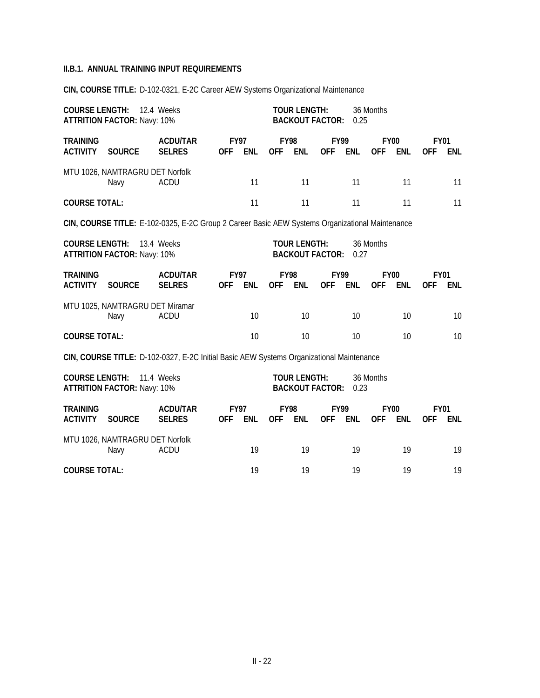**CIN, COURSE TITLE:** D-102-0321, E-2C Career AEW Systems Organizational Maintenance

|                                    | <b>COURSE LENGTH: 12.4 Weeks</b><br><b>ATTRITION FACTOR: Navy: 10%</b> |                                                                                                 |            |                           |            | <b>TOUR LENGTH:</b><br><b>BACKOUT FACTOR:</b> |                           | 0.25                      | 36 Months                               |                           |                                         |     |  |  |
|------------------------------------|------------------------------------------------------------------------|-------------------------------------------------------------------------------------------------|------------|---------------------------|------------|-----------------------------------------------|---------------------------|---------------------------|-----------------------------------------|---------------------------|-----------------------------------------|-----|--|--|
| <b>TRAINING</b><br><b>ACTIVITY</b> | <b>SOURCE</b>                                                          | <b>ACDU/TAR</b><br><b>SELRES</b>                                                                | <b>OFF</b> | <b>FY97</b><br><b>ENL</b> | <b>OFF</b> | <b>FY98</b><br><b>ENL</b>                     | <b>FY99</b><br><b>OFF</b> | <b>ENL</b>                | <b>FY00</b><br><b>OFF</b><br><b>ENL</b> |                           | <b>FY01</b><br><b>ENL</b><br><b>OFF</b> |     |  |  |
|                                    | MTU 1026, NAMTRAGRU DET Norfolk<br>Navy                                | <b>ACDU</b>                                                                                     |            | 11                        |            | 11                                            |                           | 11                        | 11                                      |                           | 11                                      |     |  |  |
| <b>COURSE TOTAL:</b>               |                                                                        |                                                                                                 |            | 11                        |            | 11                                            |                           | 11                        | 11                                      |                           |                                         | 11  |  |  |
|                                    |                                                                        | CIN, COURSE TITLE: E-102-0325, E-2C Group 2 Career Basic AEW Systems Organizational Maintenance |            |                           |            |                                               |                           |                           |                                         |                           |                                         |     |  |  |
| <b>COURSE LENGTH:</b>              | <b>ATTRITION FACTOR: Navy: 10%</b>                                     | 13.4 Weeks                                                                                      |            |                           |            | <b>TOUR LENGTH:</b><br><b>BACKOUT FACTOR:</b> | 36 Months<br>0.27         |                           |                                         |                           |                                         |     |  |  |
| <b>TRAINING</b><br><b>ACTIVITY</b> | <b>SOURCE</b>                                                          | <b>ACDU/TAR</b><br><b>SELRES</b>                                                                | <b>OFF</b> | <b>FY97</b><br><b>ENL</b> | <b>OFF</b> | <b>FY98</b><br><b>ENL</b>                     | <b>FY99</b><br><b>OFF</b> | <b>ENL</b>                | <b>OFF</b>                              | <b>FY00</b><br><b>ENL</b> | <b>FY01</b><br><b>OFF</b>               | ENL |  |  |
|                                    | MTU 1025, NAMTRAGRU DET Miramar<br>Navy                                | <b>ACDU</b>                                                                                     |            | 10                        |            | 10                                            |                           | 10                        |                                         | 10                        |                                         | 10  |  |  |
| <b>COURSE TOTAL:</b>               |                                                                        |                                                                                                 |            | 10                        |            | 10                                            |                           | 10                        |                                         | 10                        |                                         | 10  |  |  |
|                                    |                                                                        | CIN, COURSE TITLE: D-102-0327, E-2C Initial Basic AEW Systems Organizational Maintenance        |            |                           |            |                                               |                           |                           |                                         |                           |                                         |     |  |  |
| <b>COURSE LENGTH:</b>              | <b>ATTRITION FACTOR: Navy: 10%</b>                                     | 11.4 Weeks                                                                                      |            |                           |            | <b>TOUR LENGTH:</b><br><b>BACKOUT FACTOR:</b> |                           | 0.23                      | 36 Months                               |                           |                                         |     |  |  |
| <b>TRAINING</b><br><b>ACTIVITY</b> | <b>SOURCE</b>                                                          | <b>ACDU/TAR</b><br><b>SELRES</b>                                                                | <b>OFF</b> | <b>FY97</b><br><b>ENL</b> | <b>OFF</b> | <b>FY98</b><br><b>ENL</b>                     | <b>OFF</b>                | <b>FY99</b><br><b>ENL</b> | <b>OFF</b>                              | <b>FY00</b><br><b>ENL</b> | <b>FY01</b><br><b>OFF</b>               | ENL |  |  |
|                                    | MTU 1026, NAMTRAGRU DET Norfolk<br>Navy                                | <b>ACDU</b>                                                                                     |            | 19                        |            | 19                                            |                           | 19                        |                                         | 19                        |                                         | 19  |  |  |
| <b>COURSE TOTAL:</b>               |                                                                        |                                                                                                 |            | 19                        |            | 19                                            |                           | 19                        |                                         | 19                        |                                         | 19  |  |  |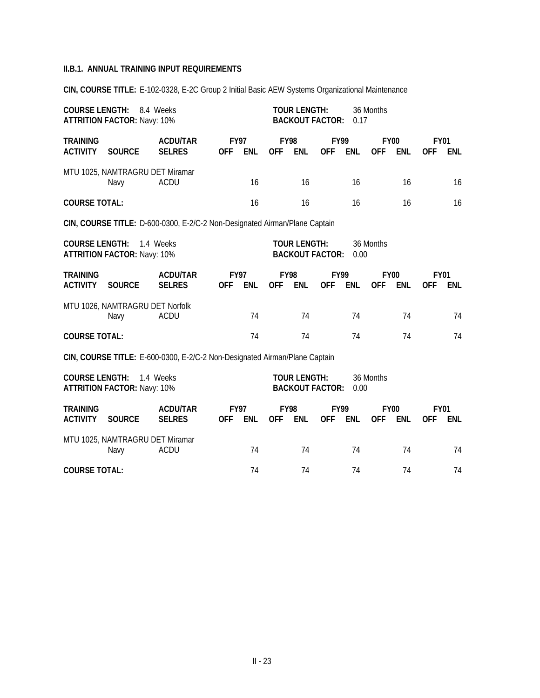**CIN, COURSE TITLE:** E-102-0328, E-2C Group 2 Initial Basic AEW Systems Organizational Maintenance

| <b>COURSE LENGTH:</b><br><b>ATTRITION FACTOR: Navy: 10%</b>                |                                                                          |                                                                            | <b>TOUR LENGTH:</b><br><b>BACKOUT FACTOR:</b> |            | 0.17                      | 36 Months                                     |                           |            |                           |            |                           |            |
|----------------------------------------------------------------------------|--------------------------------------------------------------------------|----------------------------------------------------------------------------|-----------------------------------------------|------------|---------------------------|-----------------------------------------------|---------------------------|------------|---------------------------|------------|---------------------------|------------|
| <b>TRAINING</b><br><b>ACTIVITY</b>                                         | <b>SOURCE</b>                                                            | <b>ACDU/TAR</b><br><b>SELRES</b>                                           | <b>FY97</b><br><b>OFF</b>                     | <b>ENL</b> | <b>FY98</b><br><b>OFF</b> | <b>ENL</b>                                    | <b>FY99</b><br><b>OFF</b> | <b>ENL</b> | <b>FY00</b><br><b>OFF</b> | <b>ENL</b> | <b>FY01</b><br><b>OFF</b> | ENL        |
|                                                                            | MTU 1025, NAMTRAGRU DET Miramar<br>Navy                                  | <b>ACDU</b>                                                                |                                               | 16         |                           | 16                                            |                           | 16         |                           | 16         |                           | 16         |
| <b>COURSE TOTAL:</b>                                                       |                                                                          |                                                                            |                                               | 16         |                           | 16                                            |                           | 16         |                           | 16         |                           | 16         |
| CIN, COURSE TITLE: D-600-0300, E-2/C-2 Non-Designated Airman/Plane Captain |                                                                          |                                                                            |                                               |            |                           |                                               |                           |            |                           |            |                           |            |
|                                                                            | <b>COURSE LENGTH:</b><br>1.4 Weeks<br><b>ATTRITION FACTOR: Navy: 10%</b> |                                                                            |                                               |            |                           | <b>TOUR LENGTH:</b><br><b>BACKOUT FACTOR:</b> |                           | 0.00       | 36 Months                 |            |                           |            |
| <b>TRAINING</b><br><b>ACTIVITY</b>                                         | <b>SOURCE</b>                                                            | <b>ACDU/TAR</b><br><b>SELRES</b>                                           | <b>FY97</b><br><b>OFF</b>                     | <b>ENL</b> | <b>FY98</b><br><b>OFF</b> | <b>ENL</b>                                    | <b>FY99</b><br><b>OFF</b> | <b>ENL</b> | <b>FY00</b><br><b>OFF</b> | <b>ENL</b> | <b>FY01</b><br><b>OFF</b> | <b>ENL</b> |
|                                                                            | MTU 1026, NAMTRAGRU DET Norfolk<br>Navy                                  | <b>ACDU</b>                                                                |                                               | 74         |                           | 74                                            |                           | 74         |                           | 74         |                           | 74         |
| <b>COURSE TOTAL:</b>                                                       |                                                                          |                                                                            |                                               | 74         |                           | 74                                            |                           | 74         |                           | 74         |                           | 74         |
|                                                                            |                                                                          | CIN, COURSE TITLE: E-600-0300, E-2/C-2 Non-Designated Airman/Plane Captain |                                               |            |                           |                                               |                           |            |                           |            |                           |            |
|                                                                            | <b>COURSE LENGTH:</b><br>1.4 Weeks<br><b>ATTRITION FACTOR: Navy: 10%</b> |                                                                            |                                               |            |                           | <b>TOUR LENGTH:</b><br><b>BACKOUT FACTOR:</b> |                           | 0.00       | 36 Months                 |            |                           |            |
| <b>TRAINING</b><br><b>ACTIVITY</b>                                         | <b>SOURCE</b>                                                            | <b>ACDU/TAR</b><br><b>SELRES</b>                                           | <b>FY97</b><br><b>OFF</b>                     | <b>ENL</b> | <b>FY98</b><br><b>OFF</b> | <b>ENL</b>                                    | <b>FY99</b><br><b>OFF</b> | <b>ENL</b> | <b>FY00</b><br><b>OFF</b> | <b>ENL</b> | <b>FY01</b><br>0FF        | <b>ENL</b> |
|                                                                            | MTU 1025, NAMTRAGRU DET Miramar<br><b>ACDU</b><br>Navy                   |                                                                            |                                               |            |                           | 74                                            |                           | 74         |                           | 74         |                           | 74         |

**COURSE TOTAL:** 74 74 74 74 74 74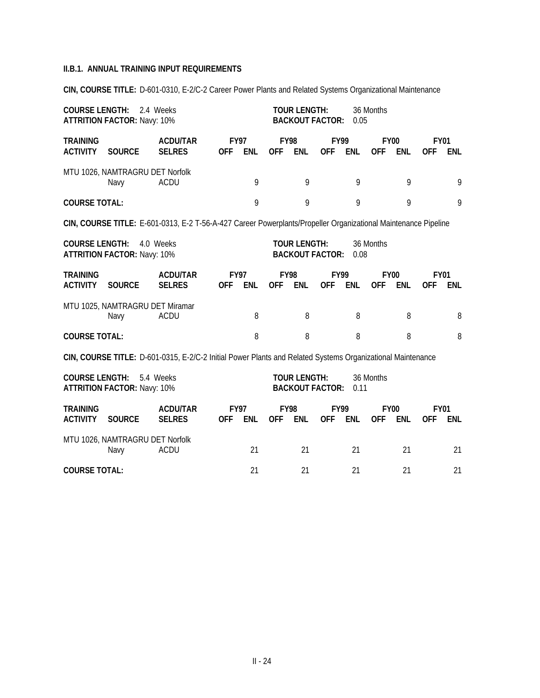**CIN, COURSE TITLE:** D-601-0310, E-2/C-2 Career Power Plants and Related Systems Organizational Maintenance

|                                    | <b>COURSE LENGTH:</b><br>2.4 Weeks<br><b>ATTRITION FACTOR: Navy: 10%</b>                                       |                                                                                                            |                           |            |                           |                     | <b>TOUR LENGTH:</b><br><b>BACKOUT FACTOR:</b> | 0.05       | 36 Months                 |            |                           |            |
|------------------------------------|----------------------------------------------------------------------------------------------------------------|------------------------------------------------------------------------------------------------------------|---------------------------|------------|---------------------------|---------------------|-----------------------------------------------|------------|---------------------------|------------|---------------------------|------------|
| <b>TRAINING</b><br><b>ACTIVITY</b> | <b>SOURCE</b>                                                                                                  | <b>ACDU/TAR</b><br><b>SELRES</b>                                                                           | <b>FY97</b><br><b>OFF</b> | <b>ENL</b> | <b>FY98</b><br><b>OFF</b> | <b>ENL</b>          | <b>FY99</b><br><b>OFF</b>                     | <b>ENL</b> | <b>FY00</b><br><b>OFF</b> | <b>ENL</b> | <b>FY01</b><br><b>OFF</b> | <b>ENL</b> |
|                                    | MTU 1026, NAMTRAGRU DET Norfolk<br>Navy                                                                        | <b>ACDU</b>                                                                                                |                           | 9          |                           | 9                   |                                               | 9          |                           | 9          |                           | 9          |
| <b>COURSE TOTAL:</b>               |                                                                                                                |                                                                                                            |                           | 9          |                           | 9                   |                                               | 9          |                           | 9          |                           | 9          |
|                                    | CIN, COURSE TITLE: E-601-0313, E-2 T-56-A-427 Career Powerplants/Propeller Organizational Maintenance Pipeline |                                                                                                            |                           |            |                           |                     |                                               |            |                           |            |                           |            |
|                                    | <b>COURSE LENGTH:</b><br>4.0 Weeks<br><b>ATTRITION FACTOR: Navy: 10%</b>                                       |                                                                                                            |                           |            |                           | <b>TOUR LENGTH:</b> | <b>BACKOUT FACTOR:</b>                        | 0.08       | 36 Months                 |            |                           |            |
| <b>TRAINING</b><br><b>ACTIVITY</b> | <b>SOURCE</b>                                                                                                  | <b>ACDU/TAR</b><br><b>SELRES</b>                                                                           | <b>FY97</b><br><b>OFF</b> | <b>ENL</b> | <b>FY98</b><br><b>OFF</b> | <b>ENL</b>          | <b>FY99</b><br><b>OFF</b>                     | <b>ENL</b> | <b>FY00</b><br><b>OFF</b> | <b>ENL</b> | <b>FY01</b><br>0FF        | <b>ENL</b> |
|                                    | MTU 1025, NAMTRAGRU DET Miramar<br>Navy                                                                        | <b>ACDU</b>                                                                                                |                           | 8          |                           | 8                   |                                               | 8          |                           | 8          |                           | 8          |
| <b>COURSE TOTAL:</b>               |                                                                                                                |                                                                                                            |                           | 8          |                           | 8                   |                                               | 8          |                           | 8          |                           | 8          |
|                                    |                                                                                                                | CIN, COURSE TITLE: D-601-0315, E-2/C-2 Initial Power Plants and Related Systems Organizational Maintenance |                           |            |                           |                     |                                               |            |                           |            |                           |            |
| <b>COURSE LENGTH:</b>              | <b>ATTRITION FACTOR: Navy: 10%</b>                                                                             | 5.4 Weeks                                                                                                  |                           |            |                           | <b>TOUR LENGTH:</b> | <b>BACKOUT FACTOR:</b>                        | 0.11       | 36 Months                 |            |                           |            |
| <b>TRAINING</b><br><b>ACTIVITY</b> | <b>SOURCE</b>                                                                                                  | <b>ACDU/TAR</b><br><b>SELRES</b>                                                                           | <b>FY97</b><br><b>OFF</b> | ENL        | <b>FY98</b><br><b>OFF</b> | <b>ENL</b>          | <b>FY99</b><br><b>OFF</b>                     | <b>ENL</b> | <b>FY00</b><br><b>OFF</b> | <b>ENL</b> | <b>FY01</b><br><b>OFF</b> | <b>ENL</b> |
| MTU 1026, NAMTRAGRU DET Norfolk    |                                                                                                                | 21                                                                                                         |                           | 21         |                           | 21                  |                                               | 21         |                           | 21         |                           |            |
| <b>COURSE TOTAL:</b>               |                                                                                                                |                                                                                                            | 21                        |            | 21                        |                     | 21                                            |            | 21                        |            | 21                        |            |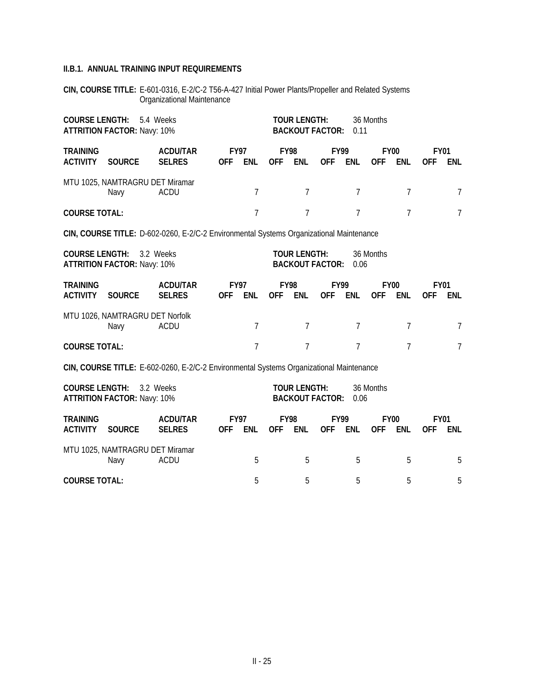**CIN, COURSE TITLE:** E-601-0316, E-2/C-2 T56-A-427 Initial Power Plants/Propeller and Related Systems Organizational Maintenance

|                                                                                         | <b>COURSE LENGTH:</b><br>5.4 Weeks<br><b>ATTRITION FACTOR: Navy: 10%</b>                                                                                            |                                  |                           |                                               |                           |                                               | <b>TOUR LENGTH:</b><br><b>BACKOUT FACTOR:</b> | 0.11           | 36 Months                 |                |                           |                |
|-----------------------------------------------------------------------------------------|---------------------------------------------------------------------------------------------------------------------------------------------------------------------|----------------------------------|---------------------------|-----------------------------------------------|---------------------------|-----------------------------------------------|-----------------------------------------------|----------------|---------------------------|----------------|---------------------------|----------------|
| <b>TRAINING</b><br><b>ACTIVITY</b>                                                      | <b>SOURCE</b>                                                                                                                                                       | <b>ACDU/TAR</b><br><b>SELRES</b> | <b>FY97</b><br><b>OFF</b> | <b>ENL</b>                                    | <b>FY98</b><br><b>OFF</b> | <b>ENL</b>                                    | <b>FY99</b><br><b>OFF</b>                     | <b>ENL</b>     | <b>FY00</b><br><b>OFF</b> | <b>ENL</b>     | <b>FY01</b><br><b>OFF</b> | <b>ENL</b>     |
|                                                                                         | MTU 1025, NAMTRAGRU DET Miramar<br>Navy                                                                                                                             | <b>ACDU</b>                      |                           | 7                                             |                           | 7                                             |                                               | 7              |                           | 7              |                           | 7              |
| <b>COURSE TOTAL:</b>                                                                    |                                                                                                                                                                     |                                  |                           | $\overline{7}$                                |                           | $\overline{7}$                                |                                               | $\overline{7}$ |                           | $\overline{7}$ |                           | $\overline{7}$ |
| CIN, COURSE TITLE: D-602-0260, E-2/C-2 Environmental Systems Organizational Maintenance |                                                                                                                                                                     |                                  |                           |                                               |                           |                                               |                                               |                |                           |                |                           |                |
| <b>COURSE LENGTH:</b><br><b>ATTRITION FACTOR: Navy: 10%</b>                             |                                                                                                                                                                     |                                  |                           | <b>TOUR LENGTH:</b><br><b>BACKOUT FACTOR:</b> |                           | 0.06                                          | 36 Months                                     |                |                           |                |                           |                |
| <b>TRAINING</b><br><b>ACTIVITY</b>                                                      | <b>SOURCE</b>                                                                                                                                                       | <b>ACDU/TAR</b><br><b>SELRES</b> | <b>FY97</b><br><b>OFF</b> | <b>ENL</b>                                    | <b>FY98</b><br><b>OFF</b> | <b>ENL</b>                                    | <b>FY99</b><br><b>OFF</b>                     | <b>ENL</b>     | <b>FY00</b><br><b>OFF</b> | <b>ENL</b>     | <b>FY01</b><br><b>OFF</b> | <b>ENL</b>     |
|                                                                                         | MTU 1026, NAMTRAGRU DET Norfolk<br>Navy                                                                                                                             | ACDU                             |                           | 7                                             |                           | 7                                             |                                               | 7              |                           | 7              |                           | $\overline{7}$ |
| <b>COURSE TOTAL:</b>                                                                    |                                                                                                                                                                     |                                  |                           | $\overline{7}$                                |                           | $\overline{7}$                                |                                               | $\overline{7}$ |                           | $\overline{7}$ |                           | $\overline{7}$ |
|                                                                                         |                                                                                                                                                                     |                                  |                           |                                               |                           |                                               |                                               |                |                           |                |                           |                |
|                                                                                         | CIN, COURSE TITLE: E-602-0260, E-2/C-2 Environmental Systems Organizational Maintenance<br><b>COURSE LENGTH:</b><br>3.2 Weeks<br><b>ATTRITION FACTOR: Navy: 10%</b> |                                  |                           |                                               |                           | <b>TOUR LENGTH:</b><br><b>BACKOUT FACTOR:</b> |                                               | 0.06           | 36 Months                 |                |                           |                |
| <b>TRAINING</b><br><b>ACTIVITY</b>                                                      | <b>SOURCE</b>                                                                                                                                                       | <b>ACDU/TAR</b><br><b>SELRES</b> | <b>FY97</b><br><b>OFF</b> | <b>ENL</b>                                    | <b>FY98</b><br><b>OFF</b> | <b>ENL</b>                                    | <b>FY99</b><br><b>OFF</b>                     | <b>ENL</b>     | <b>FY00</b><br><b>OFF</b> | <b>ENL</b>     | <b>FY01</b><br><b>OFF</b> | <b>ENL</b>     |
|                                                                                         | MTU 1025, NAMTRAGRU DET Miramar<br><b>ACDU</b><br>Navy                                                                                                              |                                  |                           |                                               |                           | 5                                             |                                               | 5              |                           | 5              |                           | 5              |

**COURSE TOTAL:** 5 5 5 5 5 5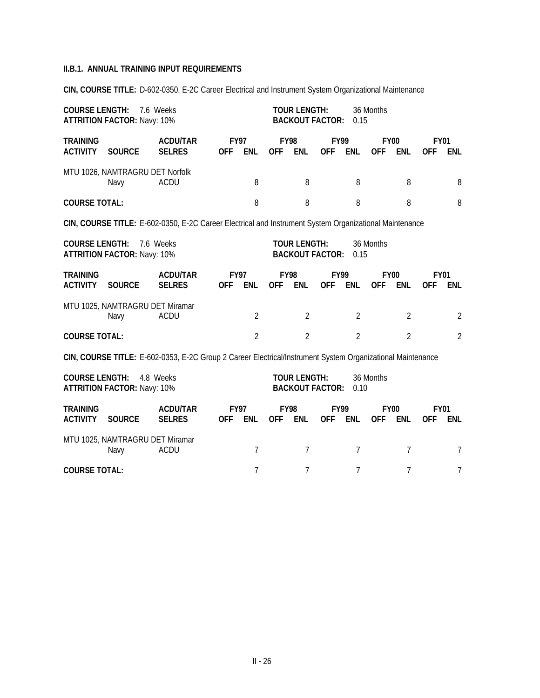**CIN, COURSE TITLE:** D-602-0350, E-2C Career Electrical and Instrument System Organizational Maintenance

| <b>COURSE LENGTH:</b>              | <b>ATTRITION FACTOR: Navy: 10%</b>                                       | 7.6 Weeks                                                                                                  |                |                           | <b>TOUR LENGTH:</b><br><b>BACKOUT FACTOR:</b> |                                               | 0.15                      | 36 Months      |                           |                |                           |                |
|------------------------------------|--------------------------------------------------------------------------|------------------------------------------------------------------------------------------------------------|----------------|---------------------------|-----------------------------------------------|-----------------------------------------------|---------------------------|----------------|---------------------------|----------------|---------------------------|----------------|
| <b>TRAINING</b><br><b>ACTIVITY</b> | <b>SOURCE</b>                                                            | <b>ACDU/TAR</b><br><b>SELRES</b>                                                                           | <b>OFF</b>     | <b>FY97</b><br><b>ENL</b> | <b>FY98</b><br><b>OFF</b>                     | <b>ENL</b>                                    | <b>FY99</b><br><b>OFF</b> | <b>ENL</b>     | <b>FY00</b><br><b>OFF</b> | <b>ENL</b>     | <b>FY01</b><br><b>OFF</b> | <b>ENL</b>     |
|                                    | MTU 1026, NAMTRAGRU DET Norfolk<br>Navy                                  | <b>ACDU</b>                                                                                                |                | 8                         |                                               | 8                                             |                           | 8              |                           | 8              |                           | 8              |
| <b>COURSE TOTAL:</b>               |                                                                          |                                                                                                            |                | 8                         |                                               | 8                                             |                           | 8              |                           | 8              |                           | 8              |
|                                    |                                                                          | CIN, COURSE TITLE: E-602-0350, E-2C Career Electrical and Instrument System Organizational Maintenance     |                |                           |                                               |                                               |                           |                |                           |                |                           |                |
|                                    | <b>COURSE LENGTH:</b><br>7.6 Weeks<br><b>ATTRITION FACTOR: Navy: 10%</b> |                                                                                                            |                |                           |                                               | <b>TOUR LENGTH:</b><br><b>BACKOUT FACTOR:</b> |                           | 0.15           | 36 Months                 |                |                           |                |
| <b>TRAINING</b><br><b>ACTIVITY</b> | <b>SOURCE</b>                                                            | <b>ACDU/TAR</b><br><b>SELRES</b>                                                                           | <b>OFF</b>     | <b>FY97</b><br><b>ENL</b> | <b>OFF</b>                                    | <b>FY98</b><br>ENL                            | <b>FY99</b><br><b>OFF</b> | <b>ENL</b>     | <b>FY00</b><br><b>OFF</b> | <b>ENL</b>     | <b>FY01</b><br><b>OFF</b> | <b>ENL</b>     |
|                                    | MTU 1025, NAMTRAGRU DET Miramar<br>Navy                                  | <b>ACDU</b>                                                                                                |                | $\overline{2}$            |                                               | $\overline{2}$                                |                           | $\overline{2}$ |                           | $\overline{2}$ |                           | 2              |
| <b>COURSE TOTAL:</b>               |                                                                          |                                                                                                            |                | $\overline{2}$            |                                               | $\overline{2}$                                |                           | $\overline{2}$ |                           | $\overline{2}$ |                           | $\overline{2}$ |
|                                    |                                                                          | CIN, COURSE TITLE: E-602-0353, E-2C Group 2 Career Electrical/Instrument System Organizational Maintenance |                |                           |                                               |                                               |                           |                |                           |                |                           |                |
| <b>COURSE LENGTH:</b>              | <b>ATTRITION FACTOR: Navy: 10%</b>                                       | 4.8 Weeks                                                                                                  |                |                           |                                               | <b>TOUR LENGTH:</b><br><b>BACKOUT FACTOR:</b> |                           | 0.10           | 36 Months                 |                |                           |                |
| <b>TRAINING</b><br><b>ACTIVITY</b> | <b>SOURCE</b>                                                            | <b>ACDU/TAR</b><br><b>SELRES</b>                                                                           | <b>OFF</b>     | <b>FY97</b><br>ENL        | <b>OFF</b>                                    | <b>FY98</b><br><b>ENL</b>                     | <b>FY99</b><br><b>OFF</b> | <b>ENL</b>     | <b>FY00</b><br><b>OFF</b> | <b>ENL</b>     | <b>FY01</b><br><b>OFF</b> | ENL            |
|                                    | MTU 1025, NAMTRAGRU DET Miramar<br><b>ACDU</b>                           |                                                                                                            | $\overline{7}$ |                           | $\overline{7}$                                |                                               | 7                         |                | $\overline{1}$            |                | $\overline{7}$            |                |
| <b>COURSE TOTAL:</b>               |                                                                          |                                                                                                            | $\overline{7}$ |                           | $\overline{7}$                                |                                               | $\overline{7}$            |                | $\overline{7}$            |                | $\overline{7}$            |                |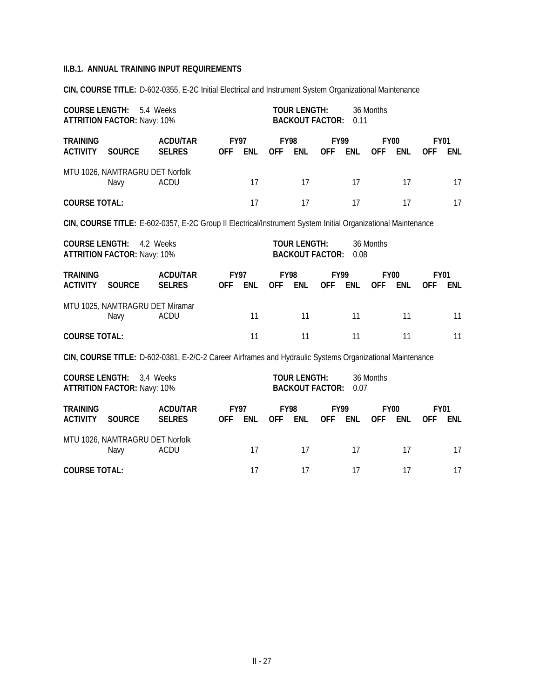**CIN, COURSE TITLE:** D-602-0355, E-2C Initial Electrical and Instrument System Organizational Maintenance

| <b>COURSE LENGTH:</b>              | 5.4 Weeks<br><b>ATTRITION FACTOR: Navy: 10%</b> |                                                                                                              |                           | <b>TOUR LENGTH:</b>       | <b>BACKOUT FACTOR:</b>    | 0.11                      | 36 Months                 |            |                           |                           |                           |            |
|------------------------------------|-------------------------------------------------|--------------------------------------------------------------------------------------------------------------|---------------------------|---------------------------|---------------------------|---------------------------|---------------------------|------------|---------------------------|---------------------------|---------------------------|------------|
| <b>TRAINING</b><br><b>ACTIVITY</b> | <b>SOURCE</b>                                   | <b>ACDU/TAR</b><br><b>SELRES</b>                                                                             | <b>OFF</b>                | <b>FY97</b><br><b>ENL</b> | <b>OFF</b>                | <b>FY98</b><br><b>ENL</b> | <b>FY99</b><br><b>OFF</b> | <b>ENL</b> | <b>OFF</b>                | <b>FY00</b><br><b>ENL</b> | <b>FY01</b><br><b>OFF</b> | <b>ENL</b> |
|                                    | MTU 1026, NAMTRAGRU DET Norfolk<br>Navy         | <b>ACDU</b>                                                                                                  |                           | 17                        |                           | 17                        |                           | 17         |                           | 17                        |                           | 17         |
| <b>COURSE TOTAL:</b>               |                                                 |                                                                                                              |                           | 17                        |                           | 17                        |                           | 17         |                           | 17                        |                           | 17         |
|                                    |                                                 | CIN, COURSE TITLE: E-602-0357, E-2C Group II Electrical/Instrument System Initial Organizational Maintenance |                           |                           |                           |                           |                           |            |                           |                           |                           |            |
| <b>COURSE LENGTH:</b>              | <b>ATTRITION FACTOR: Navy: 10%</b>              | 4.2 Weeks                                                                                                    |                           |                           |                           | <b>TOUR LENGTH:</b>       | <b>BACKOUT FACTOR:</b>    | 0.08       | 36 Months                 |                           |                           |            |
| <b>TRAINING</b><br><b>ACTIVITY</b> | <b>SOURCE</b>                                   | <b>ACDU/TAR</b><br><b>SELRES</b>                                                                             | <b>OFF</b>                | <b>FY97</b><br><b>ENL</b> | <b>OFF</b>                | <b>FY98</b><br><b>ENL</b> | <b>FY99</b><br><b>OFF</b> | <b>ENL</b> | <b>OFF</b>                | <b>FY00</b><br><b>ENL</b> | <b>FY01</b><br>0FF        | <b>ENL</b> |
|                                    | MTU 1025, NAMTRAGRU DET Miramar<br>Navy         | <b>ACDU</b>                                                                                                  |                           | 11                        |                           | 11                        |                           | 11         |                           | 11                        |                           | 11         |
| <b>COURSE TOTAL:</b>               |                                                 |                                                                                                              |                           | 11                        |                           | 11                        |                           | 11         |                           | 11                        |                           | 11         |
|                                    |                                                 | CIN, COURSE TITLE: D-602-0381, E-2/C-2 Career Airframes and Hydraulic Systems Organizational Maintenance     |                           |                           |                           |                           |                           |            |                           |                           |                           |            |
| <b>COURSE LENGTH:</b>              | <b>ATTRITION FACTOR: Navy: 10%</b>              | 3.4 Weeks                                                                                                    |                           |                           |                           | <b>TOUR LENGTH:</b>       | <b>BACKOUT FACTOR:</b>    | 0.07       | 36 Months                 |                           |                           |            |
| <b>TRAINING</b><br><b>ACTIVITY</b> | <b>SOURCE</b>                                   | <b>ACDU/TAR</b><br><b>SELRES</b>                                                                             | <b>FY97</b><br><b>OFF</b> | ENL                       | <b>FY98</b><br><b>OFF</b> | ENL                       | <b>FY99</b><br><b>OFF</b> | <b>ENL</b> | <b>FY00</b><br><b>OFF</b> | <b>ENL</b>                | <b>FY01</b><br>0FF        | <b>ENL</b> |
| MTU 1026, NAMTRAGRU DET Norfolk    | <b>ACDU</b>                                     |                                                                                                              | 17                        |                           | 17                        |                           | 17                        |            | 17                        |                           | 17                        |            |
| <b>COURSE TOTAL:</b>               |                                                 |                                                                                                              | 17                        |                           | 17                        |                           | 17                        |            | 17                        |                           | 17                        |            |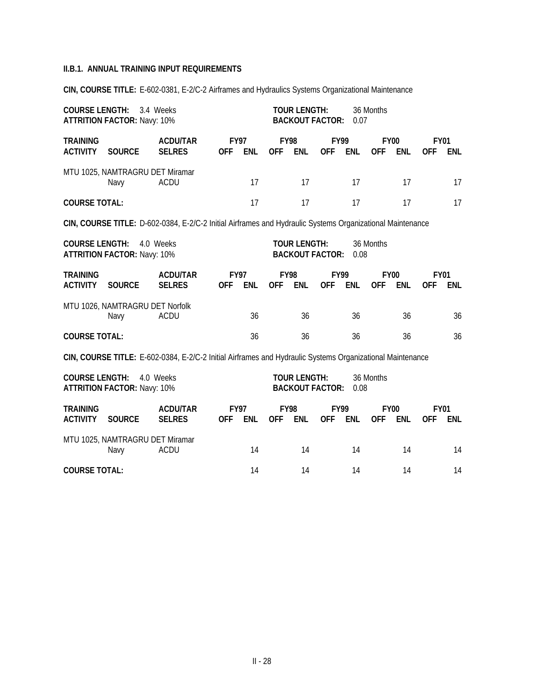**CIN, COURSE TITLE:** E-602-0381, E-2/C-2 Airframes and Hydraulics Systems Organizational Maintenance

| <b>COURSE LENGTH:</b>                                  | <b>ATTRITION FACTOR: Navy: 10%</b>                                       | 3.4 Weeks                                                                                                 |                                         |                           | <b>TOUR LENGTH:</b> | <b>BACKOUT FACTOR:</b>    | 0.07                      | 36 Months  |            |                           |                           |            |
|--------------------------------------------------------|--------------------------------------------------------------------------|-----------------------------------------------------------------------------------------------------------|-----------------------------------------|---------------------------|---------------------|---------------------------|---------------------------|------------|------------|---------------------------|---------------------------|------------|
| <b>TRAINING</b><br><b>ACTIVITY</b>                     | <b>SOURCE</b>                                                            | <b>ACDU/TAR</b><br><b>SELRES</b>                                                                          | <b>OFF</b>                              | <b>FY97</b><br><b>ENL</b> | <b>OFF</b>          | <b>FY98</b><br>ENL        | <b>FY99</b><br><b>OFF</b> | <b>ENL</b> | <b>OFF</b> | <b>FY00</b><br><b>ENL</b> | <b>FY01</b><br><b>OFF</b> | ENL        |
|                                                        | MTU 1025, NAMTRAGRU DET Miramar<br>Navy                                  | <b>ACDU</b>                                                                                               |                                         | 17                        |                     | 17                        |                           | 17         |            | 17                        |                           | 17         |
| <b>COURSE TOTAL:</b>                                   |                                                                          |                                                                                                           |                                         | 17                        |                     | 17                        |                           | 17         |            | 17                        |                           | 17         |
|                                                        |                                                                          | CIN, COURSE TITLE: D-602-0384, E-2/C-2 Initial Airframes and Hydraulic Systems Organizational Maintenance |                                         |                           |                     |                           |                           |            |            |                           |                           |            |
|                                                        | <b>COURSE LENGTH:</b><br>4.0 Weeks<br><b>ATTRITION FACTOR: Navy: 10%</b> |                                                                                                           |                                         |                           |                     | <b>TOUR LENGTH:</b>       | <b>BACKOUT FACTOR:</b>    | 0.08       | 36 Months  |                           |                           |            |
| <b>TRAINING</b><br><b>ACTIVITY</b>                     | <b>SOURCE</b>                                                            | <b>ACDU/TAR</b><br><b>SELRES</b>                                                                          | <b>FY97</b><br><b>OFF</b><br><b>ENL</b> |                           | <b>OFF</b>          | <b>FY98</b><br><b>ENL</b> | <b>FY99</b><br><b>OFF</b> | <b>ENL</b> | <b>OFF</b> | <b>FY00</b><br><b>ENL</b> | <b>FY01</b><br>0FF        | <b>ENL</b> |
|                                                        | MTU 1026, NAMTRAGRU DET Norfolk<br>Navy                                  | <b>ACDU</b>                                                                                               |                                         | 36                        |                     | 36                        |                           | 36         |            | 36                        |                           | 36         |
| <b>COURSE TOTAL:</b>                                   |                                                                          |                                                                                                           |                                         | 36                        |                     | 36                        |                           | 36         |            | 36                        |                           | 36         |
|                                                        |                                                                          | CIN, COURSE TITLE: E-602-0384, E-2/C-2 Initial Airframes and Hydraulic Systems Organizational Maintenance |                                         |                           |                     |                           |                           |            |            |                           |                           |            |
| <b>COURSE LENGTH:</b>                                  | <b>ATTRITION FACTOR: Navy: 10%</b>                                       | 4.0 Weeks                                                                                                 |                                         |                           |                     | <b>TOUR LENGTH:</b>       | <b>BACKOUT FACTOR:</b>    | 0.08       | 36 Months  |                           |                           |            |
| <b>TRAINING</b><br><b>ACTIVITY</b>                     | <b>SOURCE</b>                                                            | <b>ACDU/TAR</b><br><b>SELRES</b>                                                                          | <b>OFF</b>                              | <b>FY97</b><br>ENL        | <b>OFF</b>          | <b>FY98</b><br>ENL        | <b>FY99</b><br><b>OFF</b> | ENL        | <b>OFF</b> | <b>FY00</b><br><b>ENL</b> | <b>FY01</b><br><b>OFF</b> | <b>ENL</b> |
| MTU 1025, NAMTRAGRU DET Miramar<br><b>ACDU</b><br>Navy |                                                                          |                                                                                                           |                                         | 14                        |                     | 14                        |                           | 14         |            | 14                        |                           | 14         |
|                                                        | <b>COURSE TOTAL:</b>                                                     |                                                                                                           |                                         |                           |                     | 14                        |                           | 14         |            | 14                        |                           | 14         |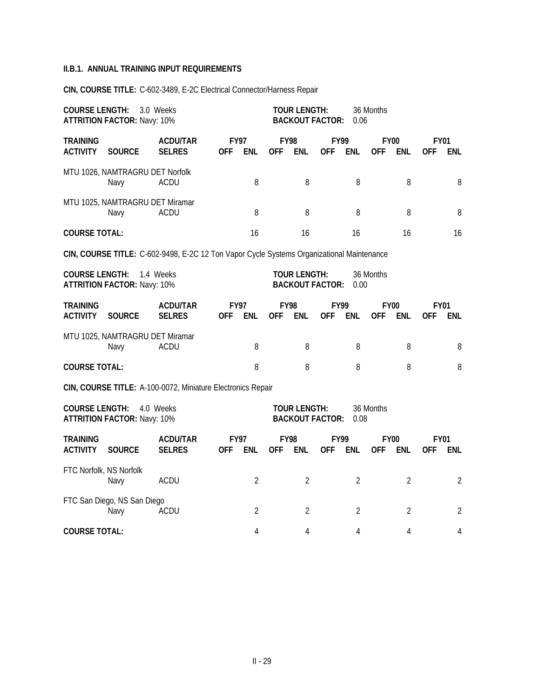**CIN, COURSE TITLE:** C-602-3489, E-2C Electrical Connector/Harness Repair

|                                                        | <b>COURSE LENGTH:</b><br>3.0 Weeks<br><b>ATTRITION FACTOR: Navy: 10%</b> |                                                                                           |                           |                           |            | <b>TOUR LENGTH:</b><br><b>BACKOUT FACTOR:</b> |                           | 0.06           | 36 Months                 |                |                           |                |
|--------------------------------------------------------|--------------------------------------------------------------------------|-------------------------------------------------------------------------------------------|---------------------------|---------------------------|------------|-----------------------------------------------|---------------------------|----------------|---------------------------|----------------|---------------------------|----------------|
| <b>TRAINING</b><br><b>ACTIVITY</b>                     | <b>SOURCE</b>                                                            | <b>ACDU/TAR</b><br><b>SELRES</b>                                                          | <b>FY97</b><br><b>OFF</b> | <b>ENL</b>                | <b>OFF</b> | <b>FY98</b><br><b>ENL</b>                     | <b>FY99</b><br><b>OFF</b> | <b>ENL</b>     | <b>FY00</b><br><b>OFF</b> | <b>ENL</b>     | <b>FY01</b><br><b>OFF</b> | <b>ENL</b>     |
|                                                        | MTU 1026, NAMTRAGRU DET Norfolk<br>Navy                                  | ACDU                                                                                      |                           | 8                         |            | 8                                             |                           | 8              |                           | 8              |                           | 8              |
|                                                        | MTU 1025, NAMTRAGRU DET Miramar<br>Navy                                  | <b>ACDU</b>                                                                               |                           | 8                         |            | 8                                             |                           | 8              |                           | 8              |                           | 8              |
| <b>COURSE TOTAL:</b>                                   |                                                                          |                                                                                           |                           | 16                        |            | 16                                            |                           | 16             |                           | 16             |                           | 16             |
|                                                        |                                                                          | CIN, COURSE TITLE: C-602-9498, E-2C 12 Ton Vapor Cycle Systems Organizational Maintenance |                           |                           |            |                                               |                           |                |                           |                |                           |                |
| <b>COURSE LENGTH:</b>                                  | <b>ATTRITION FACTOR: Navy: 10%</b>                                       | 1.4 Weeks                                                                                 |                           |                           |            | <b>TOUR LENGTH:</b><br><b>BACKOUT FACTOR:</b> |                           | 0.00           | 36 Months                 |                |                           |                |
| <b>TRAINING</b><br><b>ACTIVITY</b>                     | <b>SOURCE</b>                                                            | <b>ACDU/TAR</b><br><b>SELRES</b>                                                          | <b>OFF</b>                | <b>FY97</b><br><b>ENL</b> | <b>OFF</b> | <b>FY98</b><br><b>ENL</b>                     | <b>FY99</b><br><b>OFF</b> | <b>ENL</b>     | <b>FY00</b><br><b>OFF</b> | ENL            | <b>FY01</b><br><b>OFF</b> | ENL.           |
| MTU 1025, NAMTRAGRU DET Miramar<br><b>ACDU</b><br>Navy |                                                                          |                                                                                           |                           | 8                         |            | 8                                             |                           | 8              |                           | 8              |                           | 8              |
| <b>COURSE TOTAL:</b>                                   |                                                                          |                                                                                           |                           | 8                         |            | 8                                             |                           | 8              |                           | 8              |                           | 8              |
|                                                        |                                                                          | CIN, COURSE TITLE: A-100-0072, Miniature Electronics Repair                               |                           |                           |            |                                               |                           |                |                           |                |                           |                |
| <b>COURSE LENGTH:</b>                                  | <b>ATTRITION FACTOR: Navy: 10%</b>                                       | 4.0 Weeks                                                                                 |                           |                           |            | <b>TOUR LENGTH:</b><br><b>BACKOUT FACTOR:</b> |                           | 0.08           | 36 Months                 |                |                           |                |
| <b>TRAINING</b><br><b>ACTIVITY</b>                     | <b>SOURCE</b>                                                            | <b>ACDU/TAR</b><br><b>SELRES</b>                                                          | <b>OFF</b>                | <b>FY97</b><br><b>ENL</b> | <b>OFF</b> | <b>FY98</b><br><b>ENL</b>                     | <b>FY99</b><br><b>OFF</b> | <b>ENL</b>     | <b>FY00</b><br><b>OFF</b> | <b>ENL</b>     | <b>FY01</b><br><b>OFF</b> | ENL            |
|                                                        | FTC Norfolk, NS Norfolk<br>Navy                                          | ACDU                                                                                      |                           | $\overline{2}$            |            | $\overline{2}$                                |                           | $\overline{2}$ |                           | $\overline{2}$ |                           | 2              |
|                                                        | FTC San Diego, NS San Diego<br>Navy<br><b>ACDU</b>                       |                                                                                           |                           |                           |            | $\overline{2}$                                |                           | $\overline{2}$ |                           | $\overline{2}$ |                           | $\overline{2}$ |
|                                                        | <b>COURSE TOTAL:</b>                                                     |                                                                                           |                           |                           |            | 4                                             |                           | 4              |                           | 4              |                           | $\overline{4}$ |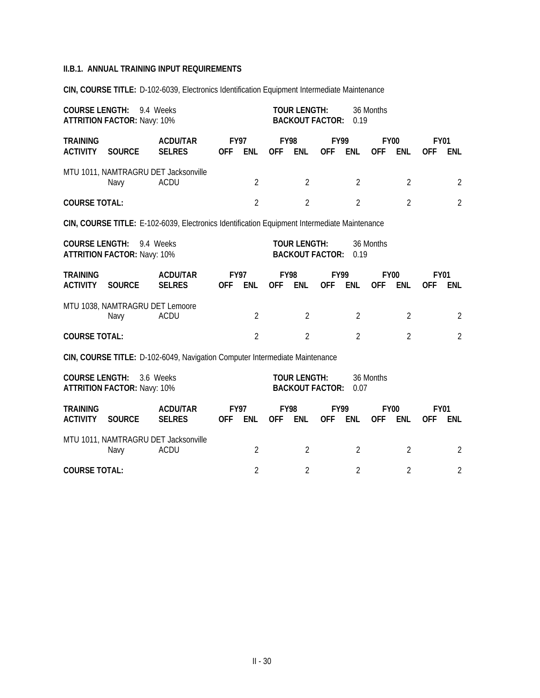**CIN, COURSE TITLE:** D-102-6039, Electronics Identification Equipment Intermediate Maintenance

| <b>COURSE LENGTH:</b><br><b>ATTRITION FACTOR: Navy: 10%</b> |                                                                                                                                                         |                                                                                              |                           | <b>TOUR LENGTH:</b><br><b>BACKOUT FACTOR:</b> |                           | 0.19                                          | 36 Months  |                           |            |                           |                           |                    |
|-------------------------------------------------------------|---------------------------------------------------------------------------------------------------------------------------------------------------------|----------------------------------------------------------------------------------------------|---------------------------|-----------------------------------------------|---------------------------|-----------------------------------------------|------------|---------------------------|------------|---------------------------|---------------------------|--------------------|
| <b>TRAINING</b><br><b>ACTIVITY</b>                          | <b>SOURCE</b>                                                                                                                                           | <b>ACDU/TAR</b><br><b>SELRES</b>                                                             | <b>FY97</b><br><b>OFF</b> | <b>ENL</b>                                    | <b>OFF</b>                | <b>FY98</b><br><b>ENL</b>                     | <b>OFF</b> | FY99<br><b>ENL</b>        | <b>OFF</b> | <b>FY00</b><br><b>ENL</b> | <b>FY01</b><br><b>OFF</b> | ENL                |
|                                                             | Navy                                                                                                                                                    | MTU 1011, NAMTRAGRU DET Jacksonville<br><b>ACDU</b>                                          |                           | $\overline{2}$                                |                           | $\overline{2}$                                |            | $\overline{2}$            |            | $\overline{2}$            |                           | $\overline{2}$     |
| <b>COURSE TOTAL:</b>                                        |                                                                                                                                                         |                                                                                              |                           | $\overline{2}$                                |                           | $\overline{2}$                                |            | $\overline{2}$            |            | $\overline{2}$            |                           | $\overline{2}$     |
|                                                             |                                                                                                                                                         | CIN, COURSE TITLE: E-102-6039, Electronics Identification Equipment Intermediate Maintenance |                           |                                               |                           |                                               |            |                           |            |                           |                           |                    |
|                                                             | <b>COURSE LENGTH:</b><br>9.4 Weeks<br><b>ATTRITION FACTOR: Navy: 10%</b>                                                                                |                                                                                              |                           |                                               |                           | <b>TOUR LENGTH:</b><br><b>BACKOUT FACTOR:</b> |            | 0.19                      | 36 Months  |                           |                           |                    |
| <b>TRAINING</b><br><b>ACTIVITY</b>                          | <b>SOURCE</b>                                                                                                                                           | <b>ACDU/TAR</b><br><b>SELRES</b>                                                             | <b>FY97</b><br><b>OFF</b> | <b>ENL</b>                                    | <b>FY98</b><br><b>OFF</b> | <b>ENL</b>                                    | <b>OFF</b> | <b>FY99</b><br><b>ENL</b> | <b>OFF</b> | <b>FY00</b><br><b>ENL</b> | <b>FY01</b><br>0FF        | <b>ENL</b>         |
|                                                             | MTU 1038, NAMTRAGRU DET Lemoore<br>Navy                                                                                                                 | <b>ACDU</b>                                                                                  |                           | $\overline{2}$                                |                           | $\overline{2}$                                |            | $\overline{2}$            |            | $\overline{2}$            |                           | 2                  |
| <b>COURSE TOTAL:</b>                                        |                                                                                                                                                         |                                                                                              |                           | $\overline{2}$                                |                           | $\overline{2}$                                |            | $\overline{2}$            |            | $\overline{2}$            |                           | $\overline{2}$     |
|                                                             |                                                                                                                                                         |                                                                                              |                           |                                               |                           |                                               |            |                           |            |                           |                           |                    |
|                                                             | CIN, COURSE TITLE: D-102-6049, Navigation Computer Intermediate Maintenance<br><b>COURSE LENGTH:</b><br>3.6 Weeks<br><b>ATTRITION FACTOR: Navy: 10%</b> |                                                                                              |                           |                                               |                           | <b>TOUR LENGTH:</b><br><b>BACKOUT FACTOR:</b> |            | 0.07                      | 36 Months  |                           |                           |                    |
| <b>TRAINING</b><br><b>ACTIVITY</b>                          | <b>SOURCE</b>                                                                                                                                           | <b>ACDU/TAR</b><br><b>SELRES</b>                                                             | <b>FY97</b><br><b>OFF</b> | <b>ENL</b>                                    | <b>FY98</b><br><b>OFF</b> | <b>ENL</b>                                    | <b>OFF</b> | <b>FY99</b><br><b>ENL</b> | <b>OFF</b> | <b>FY00</b><br><b>ENL</b> | <b>OFF</b>                | <b>FY01</b><br>ENL |
| MTU 1011, NAMTRAGRU DET Jacksonville<br>ACDU<br>Navy        |                                                                                                                                                         |                                                                                              |                           |                                               |                           | $\overline{2}$                                |            | $\overline{2}$            |            | $\overline{2}$            |                           | $\overline{2}$     |

| <b>COURSE TOTAL:</b> |  |  |  |
|----------------------|--|--|--|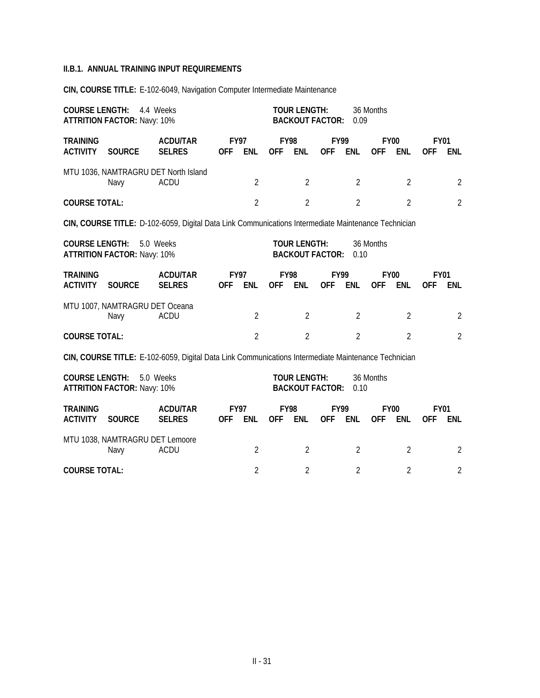**CIN, COURSE TITLE:** E-102-6049, Navigation Computer Intermediate Maintenance

| <b>COURSE LENGTH:</b>              | 4.4 Weeks<br><b>ATTRITION FACTOR: Navy: 10%</b>                                                                                                                                 |                                                                                                     |                | <b>TOUR LENGTH:</b><br><b>BACKOUT FACTOR:</b> |                | 0.09                                          | 36 Months                 |                |                |                           |                           |                |
|------------------------------------|---------------------------------------------------------------------------------------------------------------------------------------------------------------------------------|-----------------------------------------------------------------------------------------------------|----------------|-----------------------------------------------|----------------|-----------------------------------------------|---------------------------|----------------|----------------|---------------------------|---------------------------|----------------|
| <b>TRAINING</b><br><b>ACTIVITY</b> | <b>SOURCE</b>                                                                                                                                                                   | <b>ACDU/TAR</b><br><b>SELRES</b>                                                                    | <b>OFF</b>     | <b>FY97</b><br><b>ENL</b>                     | <b>OFF</b>     | <b>FY98</b><br><b>ENL</b>                     | <b>FY99</b><br><b>OFF</b> | <b>ENL</b>     | <b>OFF</b>     | <b>FY00</b><br><b>ENL</b> | <b>FY01</b><br>0FF        | <b>ENL</b>     |
|                                    | Navy                                                                                                                                                                            | MTU 1036, NAMTRAGRU DET North Island<br><b>ACDU</b>                                                 |                | $\overline{2}$                                |                | $\overline{2}$                                |                           | $\overline{2}$ |                | $\overline{2}$            |                           | $\overline{2}$ |
| <b>COURSE TOTAL:</b>               |                                                                                                                                                                                 |                                                                                                     |                | $\overline{2}$                                |                | $\overline{2}$                                |                           | $\overline{2}$ |                | $\overline{2}$            |                           | $\overline{2}$ |
|                                    |                                                                                                                                                                                 | CIN, COURSE TITLE: D-102-6059, Digital Data Link Communications Intermediate Maintenance Technician |                |                                               |                |                                               |                           |                |                |                           |                           |                |
|                                    | <b>COURSE LENGTH:</b><br>5.0 Weeks<br><b>ATTRITION FACTOR: Navy: 10%</b>                                                                                                        |                                                                                                     |                |                                               |                | <b>TOUR LENGTH:</b><br><b>BACKOUT FACTOR:</b> |                           | 0.10           | 36 Months      |                           |                           |                |
| <b>TRAINING</b><br><b>ACTIVITY</b> | <b>SOURCE</b>                                                                                                                                                                   | <b>ACDU/TAR</b><br><b>SELRES</b>                                                                    | <b>OFF</b>     | <b>FY97</b><br><b>ENL</b>                     | <b>OFF</b>     | <b>FY98</b><br>ENL                            | <b>FY99</b><br><b>OFF</b> | <b>ENL</b>     | <b>OFF</b>     | <b>FY00</b><br><b>ENL</b> | <b>FY01</b><br><b>OFF</b> | <b>ENL</b>     |
|                                    | MTU 1007, NAMTRAGRU DET Oceana<br>Navy                                                                                                                                          | <b>ACDU</b>                                                                                         |                | $\overline{2}$                                |                | $\overline{2}$                                |                           | $\overline{2}$ |                | $\overline{2}$            |                           | $\overline{2}$ |
| <b>COURSE TOTAL:</b>               |                                                                                                                                                                                 |                                                                                                     |                | $\overline{2}$                                |                | $\overline{2}$                                |                           | $\overline{2}$ |                | $\overline{2}$            |                           | $\overline{2}$ |
|                                    |                                                                                                                                                                                 |                                                                                                     |                |                                               |                |                                               |                           |                |                |                           |                           |                |
|                                    | CIN, COURSE TITLE: E-102-6059, Digital Data Link Communications Intermediate Maintenance Technician<br><b>COURSE LENGTH:</b><br>5.0 Weeks<br><b>ATTRITION FACTOR: Navy: 10%</b> |                                                                                                     |                |                                               |                | <b>TOUR LENGTH:</b><br><b>BACKOUT FACTOR:</b> |                           | 0.10           | 36 Months      |                           |                           |                |
| <b>TRAINING</b><br><b>ACTIVITY</b> | <b>SOURCE</b>                                                                                                                                                                   | <b>ACDU/TAR</b><br><b>SELRES</b>                                                                    | <b>OFF</b>     | <b>FY97</b><br><b>ENL</b>                     | <b>OFF</b>     | <b>FY98</b><br><b>ENL</b>                     | <b>FY99</b><br><b>OFF</b> | <b>ENL</b>     | <b>OFF</b>     | <b>FY00</b><br><b>ENL</b> | <b>FY01</b><br><b>OFF</b> | <b>ENL</b>     |
|                                    | MTU 1038, NAMTRAGRU DET Lemoore<br><b>ACDU</b>                                                                                                                                  |                                                                                                     | $\overline{2}$ |                                               | $\overline{2}$ |                                               | $\overline{2}$            |                | $\overline{2}$ |                           | $\overline{2}$            |                |
| <b>COURSE TOTAL:</b>               |                                                                                                                                                                                 |                                                                                                     |                | $\overline{2}$                                |                | $\overline{2}$                                |                           | $\overline{2}$ |                | $\overline{2}$            |                           | $\overline{2}$ |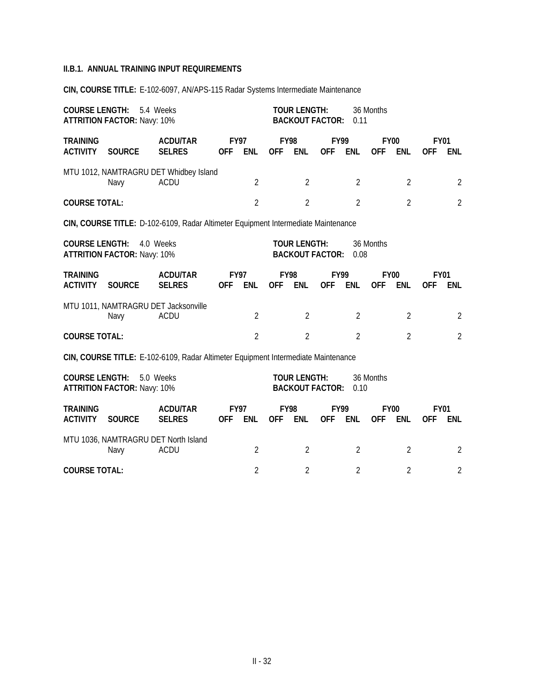**CIN, COURSE TITLE:** E-102-6097, AN/APS-115 Radar Systems Intermediate Maintenance

| <b>COURSE LENGTH:</b>              | 5.4 Weeks<br><b>ATTRITION FACTOR: Navy: 10%</b>                                                                                                               |                                                       |                           | <b>TOUR LENGTH:</b><br><b>BACKOUT FACTOR:</b> |                | 0.11                                          | 36 Months                 |                |                           |                |                           |                |  |
|------------------------------------|---------------------------------------------------------------------------------------------------------------------------------------------------------------|-------------------------------------------------------|---------------------------|-----------------------------------------------|----------------|-----------------------------------------------|---------------------------|----------------|---------------------------|----------------|---------------------------|----------------|--|
| <b>TRAINING</b><br><b>ACTIVITY</b> | <b>SOURCE</b>                                                                                                                                                 | <b>ACDU/TAR</b><br><b>SELRES</b>                      | <b>FY97</b><br><b>OFF</b> | <b>ENL</b>                                    | <b>OFF</b>     | <b>FY98</b><br><b>ENL</b>                     | <b>FY99</b><br><b>OFF</b> | <b>ENL</b>     | <b>FY00</b><br><b>OFF</b> | ENL            | <b>FY01</b><br><b>OFF</b> | <b>ENL</b>     |  |
|                                    | Navy                                                                                                                                                          | MTU 1012, NAMTRAGRU DET Whidbey Island<br><b>ACDU</b> |                           | $\overline{2}$                                |                | 2                                             |                           | 2              |                           | $\overline{2}$ |                           | 2              |  |
| <b>COURSE TOTAL:</b>               |                                                                                                                                                               |                                                       |                           | $\overline{2}$                                |                | $\overline{2}$                                |                           | $\overline{2}$ |                           | $\overline{2}$ |                           | $\overline{2}$ |  |
|                                    | CIN, COURSE TITLE: D-102-6109, Radar Altimeter Equipment Intermediate Maintenance                                                                             |                                                       |                           |                                               |                |                                               |                           |                |                           |                |                           |                |  |
| <b>COURSE LENGTH:</b>              | <b>ATTRITION FACTOR: Navy: 10%</b>                                                                                                                            | 4.0 Weeks                                             |                           |                                               |                | <b>TOUR LENGTH:</b><br><b>BACKOUT FACTOR:</b> |                           | 0.08           | 36 Months                 |                |                           |                |  |
| <b>TRAINING</b><br><b>ACTIVITY</b> | <b>SOURCE</b>                                                                                                                                                 | <b>ACDU/TAR</b><br><b>SELRES</b>                      | <b>FY97</b><br><b>OFF</b> | <b>ENL</b>                                    | <b>OFF</b>     | <b>FY98</b><br><b>ENL</b>                     | <b>FY99</b><br><b>OFF</b> | <b>ENL</b>     | <b>FY00</b><br><b>OFF</b> | <b>ENL</b>     | <b>FY01</b><br><b>OFF</b> | <b>ENL</b>     |  |
|                                    | Navy                                                                                                                                                          | MTU 1011, NAMTRAGRU DET Jacksonville<br><b>ACDU</b>   |                           | $\overline{2}$                                |                | $\overline{2}$                                |                           | $\overline{2}$ |                           | $\overline{2}$ |                           | 2              |  |
| <b>COURSE TOTAL:</b>               |                                                                                                                                                               |                                                       |                           | $\overline{2}$                                |                | $\overline{2}$                                |                           | $\overline{2}$ |                           | $\overline{2}$ |                           | $\overline{2}$ |  |
|                                    |                                                                                                                                                               |                                                       |                           |                                               |                |                                               |                           |                |                           |                |                           |                |  |
|                                    | CIN, COURSE TITLE: E-102-6109, Radar Altimeter Equipment Intermediate Maintenance<br><b>COURSE LENGTH:</b><br>5.0 Weeks<br><b>ATTRITION FACTOR: Navy: 10%</b> |                                                       |                           |                                               |                | <b>TOUR LENGTH:</b><br><b>BACKOUT FACTOR:</b> |                           | 0.10           | 36 Months                 |                |                           |                |  |
| <b>TRAINING</b><br><b>ACTIVITY</b> | <b>SOURCE</b>                                                                                                                                                 | <b>ACDU/TAR</b><br><b>SELRES</b>                      | <b>FY97</b><br><b>OFF</b> | <b>ENL</b>                                    | <b>OFF</b>     | <b>FY98</b><br><b>ENL</b>                     | <b>FY99</b><br><b>OFF</b> | <b>ENL</b>     | <b>FY00</b><br><b>OFF</b> | <b>ENL</b>     | <b>FY01</b><br><b>OFF</b> | ENL            |  |
|                                    | MTU 1036, NAMTRAGRU DET North Island<br>Navy                                                                                                                  |                                                       | $\overline{2}$            |                                               | $\overline{2}$ |                                               | $\overline{2}$            |                | $\overline{2}$            |                | $\overline{2}$            |                |  |

**COURSE TOTAL:** 2 2 2 2 2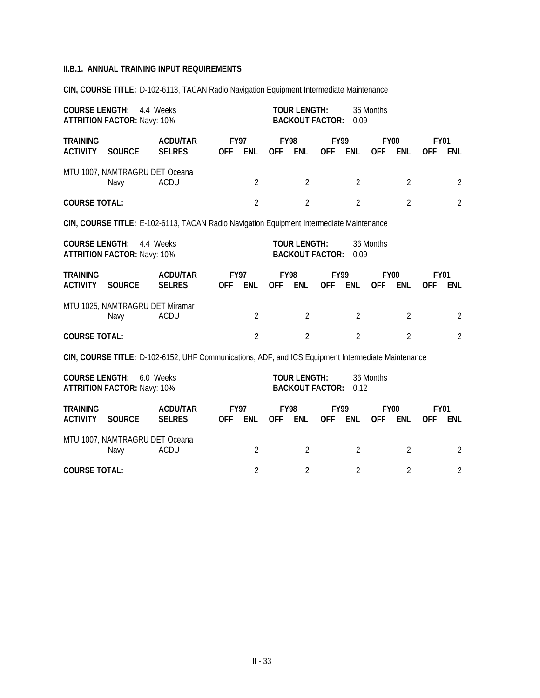**CIN, COURSE TITLE:** D-102-6113, TACAN Radio Navigation Equipment Intermediate Maintenance

|                                    | <b>COURSE LENGTH:</b><br>4.4 Weeks<br><b>ATTRITION FACTOR: Navy: 10%</b> |                                                                                                    |                |                           |                |                                               | <b>TOUR LENGTH:</b><br><b>BACKOUT FACTOR:</b> | 0.09                      | 36 Months      |                           |                           |                |
|------------------------------------|--------------------------------------------------------------------------|----------------------------------------------------------------------------------------------------|----------------|---------------------------|----------------|-----------------------------------------------|-----------------------------------------------|---------------------------|----------------|---------------------------|---------------------------|----------------|
| <b>TRAINING</b><br><b>ACTIVITY</b> | <b>SOURCE</b>                                                            | <b>ACDU/TAR</b><br><b>SELRES</b>                                                                   | <b>OFF</b>     | <b>FY97</b><br><b>ENL</b> | <b>OFF</b>     | <b>FY98</b><br><b>ENL</b>                     | <b>OFF</b>                                    | <b>FY99</b><br><b>ENL</b> | <b>OFF</b>     | <b>FY00</b><br><b>ENL</b> | <b>FY01</b><br>0FF        | <b>ENL</b>     |
|                                    | MTU 1007, NAMTRAGRU DET Oceana<br>Navy                                   | <b>ACDU</b>                                                                                        |                | $\overline{2}$            |                | $\overline{2}$                                |                                               | $\overline{2}$            |                | $\overline{2}$            |                           | $\overline{2}$ |
| <b>COURSE TOTAL:</b>               |                                                                          |                                                                                                    |                | $\overline{2}$            |                | $\overline{2}$                                |                                               | $\overline{2}$            |                | $\overline{2}$            |                           | $\overline{2}$ |
|                                    |                                                                          | CIN, COURSE TITLE: E-102-6113, TACAN Radio Navigation Equipment Intermediate Maintenance           |                |                           |                |                                               |                                               |                           |                |                           |                           |                |
|                                    | <b>COURSE LENGTH:</b><br>4.4 Weeks<br><b>ATTRITION FACTOR: Navy: 10%</b> |                                                                                                    |                |                           |                | <b>TOUR LENGTH:</b><br><b>BACKOUT FACTOR:</b> |                                               | 0.09                      | 36 Months      |                           |                           |                |
| <b>TRAINING</b><br><b>ACTIVITY</b> | <b>SOURCE</b>                                                            | <b>ACDU/TAR</b><br><b>SELRES</b>                                                                   | <b>OFF</b>     | <b>FY97</b><br><b>ENL</b> | <b>OFF</b>     | <b>FY98</b><br>ENL                            | <b>FY99</b><br><b>OFF</b>                     | <b>ENL</b>                | <b>OFF</b>     | <b>FY00</b><br><b>ENL</b> | <b>FY01</b><br><b>OFF</b> | <b>ENL</b>     |
|                                    | MTU 1025, NAMTRAGRU DET Miramar<br>Navy                                  | <b>ACDU</b>                                                                                        |                | $\overline{2}$            |                | $\overline{2}$                                |                                               | $\overline{2}$            |                | $\overline{2}$            |                           | $\overline{2}$ |
| <b>COURSE TOTAL:</b>               |                                                                          |                                                                                                    |                | $\overline{2}$            |                | $\overline{2}$                                |                                               | $\overline{2}$            |                | $\overline{2}$            |                           | $\overline{2}$ |
|                                    |                                                                          | CIN, COURSE TITLE: D-102-6152, UHF Communications, ADF, and ICS Equipment Intermediate Maintenance |                |                           |                |                                               |                                               |                           |                |                           |                           |                |
| <b>COURSE LENGTH:</b>              | <b>ATTRITION FACTOR: Navy: 10%</b>                                       | 6.0 Weeks                                                                                          |                |                           |                | <b>TOUR LENGTH:</b><br><b>BACKOUT FACTOR:</b> |                                               | 0.12                      | 36 Months      |                           |                           |                |
| <b>TRAINING</b><br><b>ACTIVITY</b> | <b>SOURCE</b>                                                            | <b>ACDU/TAR</b><br><b>SELRES</b>                                                                   | <b>OFF</b>     | <b>FY97</b><br><b>ENL</b> | <b>OFF</b>     | <b>FY98</b><br><b>ENL</b>                     | <b>FY99</b><br><b>OFF</b>                     | <b>ENL</b>                | <b>OFF</b>     | <b>FY00</b><br><b>ENL</b> | <b>FY01</b><br><b>OFF</b> | <b>ENL</b>     |
| MTU 1007, NAMTRAGRU DET Oceana     |                                                                          | $\overline{2}$                                                                                     |                | $\overline{2}$            |                | $\overline{2}$                                |                                               | $\overline{2}$            |                | $\overline{2}$            |                           |                |
| <b>COURSE TOTAL:</b>               |                                                                          |                                                                                                    | $\overline{2}$ |                           | $\overline{2}$ |                                               | $\overline{2}$                                |                           | $\overline{2}$ |                           | $\overline{2}$            |                |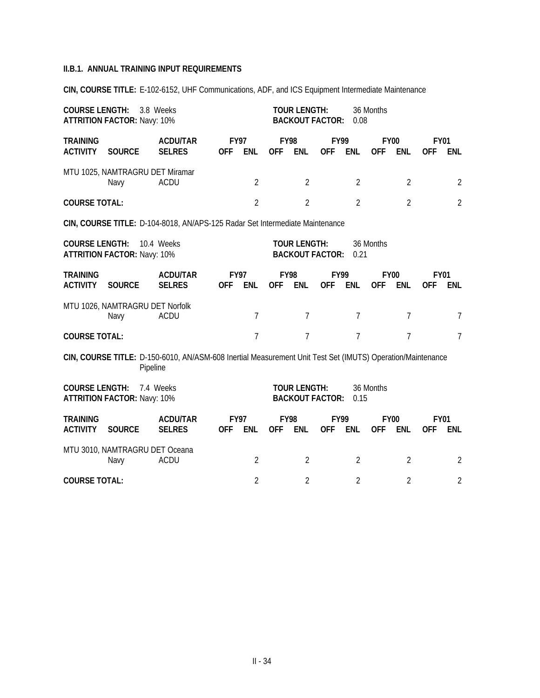**CIN, COURSE TITLE:** E-102-6152, UHF Communications, ADF, and ICS Equipment Intermediate Maintenance

| <b>COURSE LENGTH:</b>              | 3.8 Weeks<br><b>ATTRITION FACTOR: Navy: 10%</b>                                                                                                 |                                                                                                            | <b>TOUR LENGTH:</b><br><b>BACKOUT FACTOR:</b> |                |                           |                     | 36 Months<br>0.08         |                |            |                           |                           |                 |
|------------------------------------|-------------------------------------------------------------------------------------------------------------------------------------------------|------------------------------------------------------------------------------------------------------------|-----------------------------------------------|----------------|---------------------------|---------------------|---------------------------|----------------|------------|---------------------------|---------------------------|-----------------|
| <b>TRAINING</b><br><b>ACTIVITY</b> | <b>SOURCE</b>                                                                                                                                   | <b>ACDU/TAR</b><br><b>SELRES</b>                                                                           | <b>FY97</b><br><b>OFF</b>                     | <b>ENL</b>     | <b>FY98</b><br><b>OFF</b> | <b>ENL</b>          | <b>FY99</b><br><b>OFF</b> | <b>ENL</b>     | <b>OFF</b> | <b>FY00</b><br>ENL        | <b>FY01</b><br><b>OFF</b> | <b>ENL</b>      |
|                                    | MTU 1025, NAMTRAGRU DET Miramar<br>Navy                                                                                                         | <b>ACDU</b>                                                                                                |                                               | $\overline{2}$ |                           | $\overline{2}$      |                           | $\overline{2}$ |            | $\overline{2}$            |                           | 2               |
| <b>COURSE TOTAL:</b>               |                                                                                                                                                 |                                                                                                            |                                               | $\overline{2}$ |                           | $\overline{2}$      |                           | $\overline{2}$ |            | $\overline{2}$            |                           | $\overline{2}$  |
|                                    |                                                                                                                                                 | CIN, COURSE TITLE: D-104-8018, AN/APS-125 Radar Set Intermediate Maintenance                               |                                               |                |                           |                     |                           |                |            |                           |                           |                 |
|                                    | <b>TOUR LENGTH:</b><br><b>COURSE LENGTH:</b><br>10.4 Weeks<br>36 Months<br><b>BACKOUT FACTOR:</b><br><b>ATTRITION FACTOR: Navy: 10%</b><br>0.21 |                                                                                                            |                                               |                |                           |                     |                           |                |            |                           |                           |                 |
| <b>TRAINING</b><br><b>ACTIVITY</b> | <b>SOURCE</b>                                                                                                                                   | <b>ACDU/TAR</b><br><b>SELRES</b>                                                                           | <b>FY97</b><br><b>OFF</b>                     | <b>ENL</b>     | <b>FY98</b><br><b>OFF</b> | <b>ENL</b>          | <b>FY99</b><br><b>OFF</b> | <b>ENL</b>     | <b>OFF</b> | <b>FY00</b><br><b>ENL</b> | <b>FY01</b><br><b>OFF</b> | <b>ENL</b>      |
|                                    | MTU 1026, NAMTRAGRU DET Norfolk<br>Navy                                                                                                         | <b>ACDU</b>                                                                                                |                                               | $\overline{7}$ |                           | 7                   |                           | $\overline{7}$ |            | $\overline{7}$            |                           | $\overline{7}$  |
| <b>COURSE TOTAL:</b>               |                                                                                                                                                 |                                                                                                            |                                               | $\overline{7}$ |                           | $\overline{7}$      |                           | $\overline{7}$ |            | $\overline{7}$            |                           | $7\overline{ }$ |
|                                    | Pipeline                                                                                                                                        | CIN, COURSE TITLE: D-150-6010, AN/ASM-608 Inertial Measurement Unit Test Set (IMUTS) Operation/Maintenance |                                               |                |                           |                     |                           |                |            |                           |                           |                 |
| <b>COURSE LENGTH:</b>              | <b>ATTRITION FACTOR: Navy: 10%</b>                                                                                                              | 7.4 Weeks                                                                                                  |                                               |                |                           | <b>TOUR LENGTH:</b> | <b>BACKOUT FACTOR:</b>    | 0.15           | 36 Months  |                           |                           |                 |
| <b>TRAINING</b><br><b>ACTIVITY</b> | <b>SOURCE</b>                                                                                                                                   | <b>ACDU/TAR</b><br><b>SELRES</b>                                                                           | <b>FY97</b><br><b>OFF</b>                     | <b>ENL</b>     | <b>FY98</b><br><b>OFF</b> | ENL                 | <b>FY99</b><br><b>OFF</b> | <b>ENL</b>     | <b>OFF</b> | <b>FY00</b><br><b>ENL</b> | <b>FY01</b><br><b>OFF</b> | <b>ENL</b>      |
|                                    | MTU 3010, NAMTRAGRU DET Oceana<br>Navy                                                                                                          | $\overline{2}$                                                                                             |                                               | $\overline{2}$ |                           | $\overline{2}$      |                           | $\overline{2}$ |            | $\overline{2}$            |                           |                 |
| <b>COURSE TOTAL:</b>               |                                                                                                                                                 |                                                                                                            |                                               | $\overline{2}$ |                           | $\overline{2}$      |                           | $\overline{2}$ |            | $\overline{2}$            |                           | $\overline{2}$  |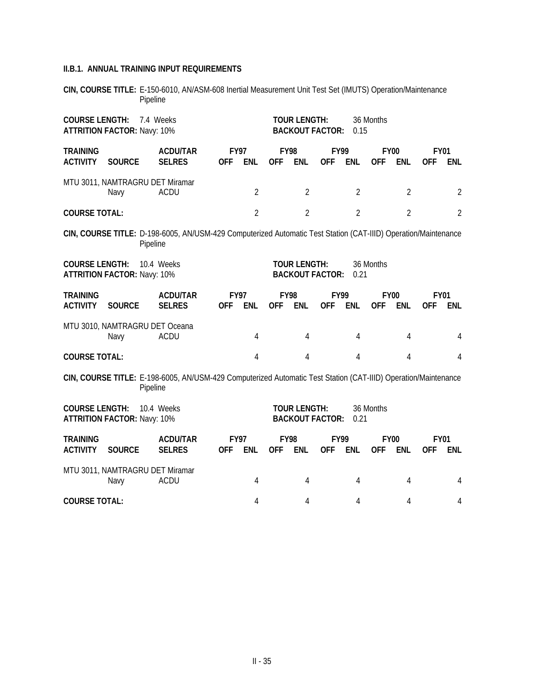**CIN, COURSE TITLE:** E-150-6010, AN/ASM-608 Inertial Measurement Unit Test Set (IMUTS) Operation/Maintenance Pipeline

| <b>COURSE LENGTH:</b><br><b>ATTRITION FACTOR: Navy: 10%</b> |                                         |                                                                                                                | <b>TOUR LENGTH:</b><br><b>BACKOUT FACTOR:</b> |                |                           | 0.15                | 36 Months                 |                |                           |                |                           |                |
|-------------------------------------------------------------|-----------------------------------------|----------------------------------------------------------------------------------------------------------------|-----------------------------------------------|----------------|---------------------------|---------------------|---------------------------|----------------|---------------------------|----------------|---------------------------|----------------|
| <b>TRAINING</b><br><b>ACTIVITY</b>                          | <b>SOURCE</b>                           | <b>ACDU/TAR</b><br><b>SELRES</b>                                                                               | <b>FY97</b><br><b>OFF</b>                     | <b>ENL</b>     | <b>FY98</b><br><b>OFF</b> | <b>ENL</b>          | <b>FY99</b><br><b>OFF</b> | <b>ENL</b>     | <b>FY00</b><br><b>OFF</b> | <b>ENL</b>     | <b>FY01</b><br><b>OFF</b> | <b>ENL</b>     |
|                                                             | MTU 3011, NAMTRAGRU DET Miramar<br>Navy | <b>ACDU</b>                                                                                                    |                                               | $\overline{2}$ |                           | $\overline{2}$      |                           | $\overline{2}$ |                           | $\overline{2}$ |                           | $\overline{2}$ |
| <b>COURSE TOTAL:</b>                                        |                                         |                                                                                                                |                                               | $\overline{2}$ |                           | $\overline{2}$      |                           | $\overline{2}$ |                           | $\overline{2}$ |                           | $\overline{2}$ |
|                                                             | Pipeline                                | CIN, COURSE TITLE: D-198-6005, AN/USM-429 Computerized Automatic Test Station (CAT-IIID) Operation/Maintenance |                                               |                |                           |                     |                           |                |                           |                |                           |                |
| <b>COURSE LENGTH:</b>                                       | <b>ATTRITION FACTOR: Navy: 10%</b>      | 10.4 Weeks                                                                                                     |                                               |                |                           | <b>TOUR LENGTH:</b> | <b>BACKOUT FACTOR:</b>    | 0.21           | 36 Months                 |                |                           |                |
| <b>TRAINING</b><br><b>ACTIVITY</b>                          | <b>SOURCE</b>                           | <b>ACDU/TAR</b><br><b>SELRES</b>                                                                               | <b>FY97</b><br><b>OFF</b>                     | <b>ENL</b>     | <b>FY98</b><br><b>OFF</b> | <b>ENL</b>          | <b>FY99</b><br><b>OFF</b> | <b>ENL</b>     | <b>FY00</b><br><b>OFF</b> | <b>ENL</b>     | <b>FY01</b><br><b>OFF</b> | ENL            |
|                                                             | MTU 3010, NAMTRAGRU DET Oceana<br>Navy  | <b>ACDU</b>                                                                                                    |                                               | 4              |                           | 4                   |                           | 4              |                           | 4              |                           | 4              |
| <b>COURSE TOTAL:</b>                                        |                                         |                                                                                                                |                                               | 4              |                           | 4                   |                           | $\overline{4}$ |                           | 4              |                           | 4              |
|                                                             | Pipeline                                | CIN, COURSE TITLE: E-198-6005, AN/USM-429 Computerized Automatic Test Station (CAT-IIID) Operation/Maintenance |                                               |                |                           |                     |                           |                |                           |                |                           |                |
| <b>COURSE LENGTH:</b>                                       | <b>ATTRITION FACTOR: Navy: 10%</b>      | 10.4 Weeks                                                                                                     |                                               |                |                           | <b>TOUR LENGTH:</b> | <b>BACKOUT FACTOR:</b>    | 0.21           | 36 Months                 |                |                           |                |
| <b>TRAINING</b><br><b>ACTIVITY</b>                          | <b>SOURCE</b>                           | <b>ACDU/TAR</b><br><b>SELRES</b>                                                                               | <b>FY97</b><br><b>OFF</b>                     | <b>ENL</b>     | <b>FY98</b><br><b>OFF</b> | <b>ENL</b>          | <b>FY99</b><br><b>OFF</b> | <b>ENL</b>     | <b>FY00</b><br><b>OFF</b> | <b>ENL</b>     | <b>FY01</b><br><b>OFF</b> | ENL            |
|                                                             | MTU 3011, NAMTRAGRU DET Miramar<br>Navy | <b>ACDU</b>                                                                                                    |                                               | 4              |                           | 4                   |                           | 4              |                           | 4              |                           | 4              |
| <b>COURSE TOTAL:</b>                                        |                                         |                                                                                                                |                                               | 4              |                           | 4                   |                           | 4              |                           | 4              |                           | 4              |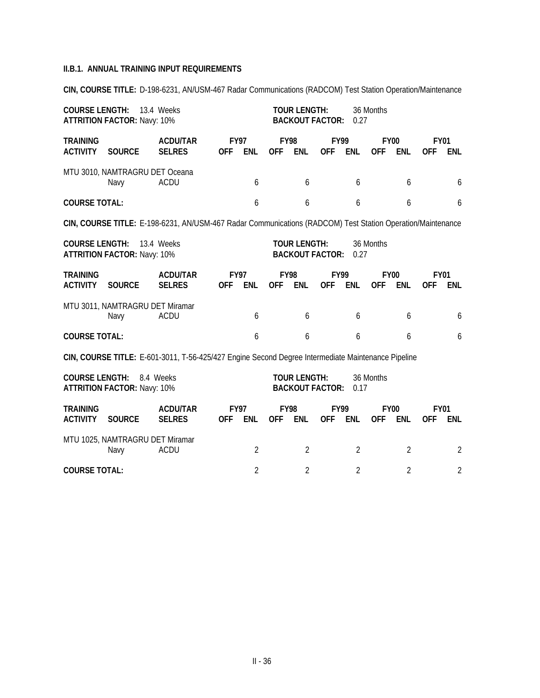**CIN, COURSE TITLE:** D-198-6231, AN/USM-467 Radar Communications (RADCOM) Test Station Operation/Maintenance

| <b>COURSE LENGTH:</b>                                                                        | <b>ATTRITION FACTOR: Navy: 10%</b>                                                                                                              | 13.4 Weeks                                                                                                 |            |                           | <b>TOUR LENGTH:</b><br><b>BACKOUT FACTOR:</b> |                                               | 0.27                      | 36 Months      |            |                           |                           |                |
|----------------------------------------------------------------------------------------------|-------------------------------------------------------------------------------------------------------------------------------------------------|------------------------------------------------------------------------------------------------------------|------------|---------------------------|-----------------------------------------------|-----------------------------------------------|---------------------------|----------------|------------|---------------------------|---------------------------|----------------|
| <b>TRAINING</b><br><b>ACTIVITY</b>                                                           | <b>SOURCE</b>                                                                                                                                   | <b>ACDU/TAR</b><br><b>SELRES</b>                                                                           | <b>OFF</b> | <b>FY97</b><br><b>ENL</b> | <b>OFF</b>                                    | <b>FY98</b><br><b>ENL</b>                     | <b>FY99</b><br><b>OFF</b> | <b>ENL</b>     | <b>OFF</b> | <b>FY00</b><br><b>ENL</b> | <b>FY01</b><br><b>OFF</b> | <b>ENL</b>     |
|                                                                                              | MTU 3010, NAMTRAGRU DET Oceana<br>Navy                                                                                                          | <b>ACDU</b>                                                                                                |            | 6                         |                                               | 6                                             |                           | 6              |            | 6                         |                           | 6              |
| <b>COURSE TOTAL:</b>                                                                         |                                                                                                                                                 |                                                                                                            |            | 6                         |                                               | 6                                             |                           | 6              |            | 6                         |                           | 6              |
|                                                                                              |                                                                                                                                                 | CIN, COURSE TITLE: E-198-6231, AN/USM-467 Radar Communications (RADCOM) Test Station Operation/Maintenance |            |                           |                                               |                                               |                           |                |            |                           |                           |                |
|                                                                                              | <b>COURSE LENGTH:</b><br>13.4 Weeks<br><b>TOUR LENGTH:</b><br>36 Months<br><b>ATTRITION FACTOR: Navy: 10%</b><br><b>BACKOUT FACTOR:</b><br>0.27 |                                                                                                            |            |                           |                                               |                                               |                           |                |            |                           |                           |                |
| <b>TRAINING</b><br><b>ACTIVITY</b>                                                           | <b>SOURCE</b>                                                                                                                                   | <b>ACDU/TAR</b><br><b>SELRES</b>                                                                           | <b>OFF</b> | <b>FY97</b><br><b>ENL</b> | <b>FY98</b><br><b>OFF</b>                     | <b>ENL</b>                                    | <b>FY99</b><br><b>OFF</b> | <b>ENL</b>     | <b>OFF</b> | <b>FY00</b><br><b>ENL</b> | <b>FY01</b><br><b>OFF</b> | <b>ENL</b>     |
|                                                                                              | MTU 3011, NAMTRAGRU DET Miramar<br>Navy                                                                                                         | <b>ACDU</b>                                                                                                |            | 6                         |                                               | 6                                             |                           | 6              |            | 6                         |                           | 6              |
| <b>COURSE TOTAL:</b>                                                                         |                                                                                                                                                 |                                                                                                            |            | 6                         |                                               | 6                                             |                           | 6              |            | 6                         |                           | 6              |
|                                                                                              |                                                                                                                                                 | CIN, COURSE TITLE: E-601-3011, T-56-425/427 Engine Second Degree Intermediate Maintenance Pipeline         |            |                           |                                               |                                               |                           |                |            |                           |                           |                |
| <b>COURSE LENGTH:</b>                                                                        | <b>ATTRITION FACTOR: Navy: 10%</b>                                                                                                              | 8.4 Weeks                                                                                                  |            |                           |                                               | <b>TOUR LENGTH:</b><br><b>BACKOUT FACTOR:</b> |                           | 0.17           | 36 Months  |                           |                           |                |
| <b>TRAINING</b><br><b>ACTIVITY</b>                                                           | <b>SOURCE</b>                                                                                                                                   | <b>ACDU/TAR</b><br><b>SELRES</b>                                                                           | <b>OFF</b> | <b>FY97</b><br><b>ENL</b> | <b>FY98</b><br><b>OFF</b>                     | <b>ENL</b>                                    | <b>FY99</b><br><b>OFF</b> | <b>ENL</b>     | <b>OFF</b> | <b>FY00</b><br><b>ENL</b> | <b>FY01</b><br><b>OFF</b> | <b>ENL</b>     |
|                                                                                              | MTU 1025, NAMTRAGRU DET Miramar<br>Navy                                                                                                         | <b>ACDU</b>                                                                                                |            | $\overline{2}$            |                                               | $\overline{2}$                                |                           | $\overline{2}$ |            | $\overline{2}$            |                           | $\overline{2}$ |
| $\overline{2}$<br>$\overline{2}$<br>$\overline{2}$<br><b>COURSE TOTAL:</b><br>$\overline{2}$ |                                                                                                                                                 |                                                                                                            |            |                           |                                               |                                               |                           |                |            |                           | $\overline{2}$            |                |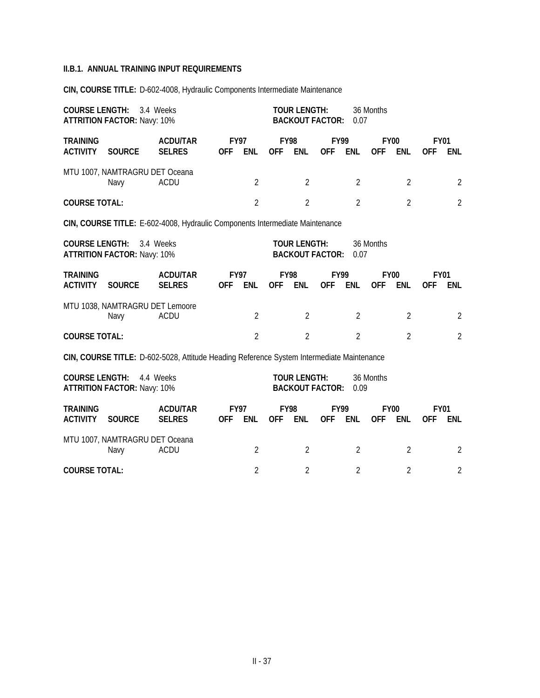**CIN, COURSE TITLE:** D-602-4008, Hydraulic Components Intermediate Maintenance

| <b>COURSE LENGTH:</b>                                                                                                                          | 3.4 Weeks<br><b>ATTRITION FACTOR: Navy: 10%</b> |                                                                                           | <b>TOUR LENGTH:</b><br><b>BACKOUT FACTOR:</b> |                |                           |                                               | 36 Months<br>0.07         |                |            |                           |                           |                |
|------------------------------------------------------------------------------------------------------------------------------------------------|-------------------------------------------------|-------------------------------------------------------------------------------------------|-----------------------------------------------|----------------|---------------------------|-----------------------------------------------|---------------------------|----------------|------------|---------------------------|---------------------------|----------------|
| <b>TRAINING</b><br><b>ACTIVITY</b>                                                                                                             | <b>SOURCE</b>                                   | <b>ACDU/TAR</b><br><b>SELRES</b>                                                          | <b>FY97</b><br><b>OFF</b>                     | <b>ENL</b>     | <b>OFF</b>                | <b>FY98</b><br><b>ENL</b>                     | <b>FY99</b><br><b>OFF</b> | <b>ENL</b>     | <b>OFF</b> | <b>FY00</b><br><b>ENL</b> | <b>FY01</b><br><b>OFF</b> | ENL            |
|                                                                                                                                                | MTU 1007, NAMTRAGRU DET Oceana<br>Navy          | ACDU                                                                                      |                                               | $\overline{2}$ |                           | $\overline{2}$                                |                           | $\overline{2}$ |            | $\overline{2}$            |                           | 2              |
| <b>COURSE TOTAL:</b>                                                                                                                           |                                                 |                                                                                           |                                               | $\overline{2}$ |                           | $\overline{2}$                                |                           | $\overline{2}$ |            | $\overline{2}$            |                           | $\overline{2}$ |
|                                                                                                                                                |                                                 | CIN, COURSE TITLE: E-602-4008, Hydraulic Components Intermediate Maintenance              |                                               |                |                           |                                               |                           |                |            |                           |                           |                |
| <b>COURSE LENGTH:</b><br>3.4 Weeks<br><b>TOUR LENGTH:</b><br>36 Months<br><b>BACKOUT FACTOR:</b><br><b>ATTRITION FACTOR: Navy: 10%</b><br>0.07 |                                                 |                                                                                           |                                               |                |                           |                                               |                           |                |            |                           |                           |                |
| <b>TRAINING</b><br><b>ACTIVITY</b>                                                                                                             | <b>SOURCE</b>                                   | <b>ACDU/TAR</b><br><b>SELRES</b>                                                          | <b>FY97</b><br><b>OFF</b>                     | <b>ENL</b>     | <b>FY98</b><br><b>OFF</b> | ENL                                           | <b>FY99</b><br><b>OFF</b> | <b>ENL</b>     | <b>OFF</b> | <b>FY00</b><br><b>ENL</b> | <b>FY01</b><br><b>OFF</b> | <b>ENL</b>     |
|                                                                                                                                                | MTU 1038, NAMTRAGRU DET Lemoore<br>Navy         | <b>ACDU</b>                                                                               |                                               | $\overline{2}$ |                           | $\overline{2}$                                |                           | $\overline{2}$ |            | $\overline{2}$            |                           | 2              |
| <b>COURSE TOTAL:</b>                                                                                                                           |                                                 |                                                                                           |                                               | $\overline{2}$ |                           | $\overline{2}$                                |                           | $\overline{2}$ |            | $\overline{2}$            |                           | $\overline{2}$ |
|                                                                                                                                                |                                                 | CIN, COURSE TITLE: D-602-5028, Attitude Heading Reference System Intermediate Maintenance |                                               |                |                           |                                               |                           |                |            |                           |                           |                |
| <b>COURSE LENGTH:</b>                                                                                                                          | <b>ATTRITION FACTOR: Navy: 10%</b>              | 4.4 Weeks                                                                                 |                                               |                |                           | <b>TOUR LENGTH:</b><br><b>BACKOUT FACTOR:</b> |                           | 0.09           | 36 Months  |                           |                           |                |
| <b>TRAINING</b><br><b>ACTIVITY</b>                                                                                                             | <b>SOURCE</b>                                   | <b>ACDU/TAR</b><br><b>SELRES</b>                                                          | <b>FY97</b><br><b>OFF</b>                     | <b>ENL</b>     | <b>OFF</b>                | <b>FY98</b><br><b>ENL</b>                     | <b>FY99</b><br><b>OFF</b> | <b>ENL</b>     | <b>OFF</b> | <b>FY00</b><br><b>ENL</b> | <b>FY01</b><br>0FF        | ENL            |
|                                                                                                                                                | MTU 1007, NAMTRAGRU DET Oceana<br>Navy          | ACDU                                                                                      |                                               | $\overline{2}$ |                           | $\overline{2}$                                |                           | $\overline{2}$ |            | $\overline{2}$            |                           | $\overline{2}$ |

| <b>COURSE TOTAL:</b> |  |  |  |
|----------------------|--|--|--|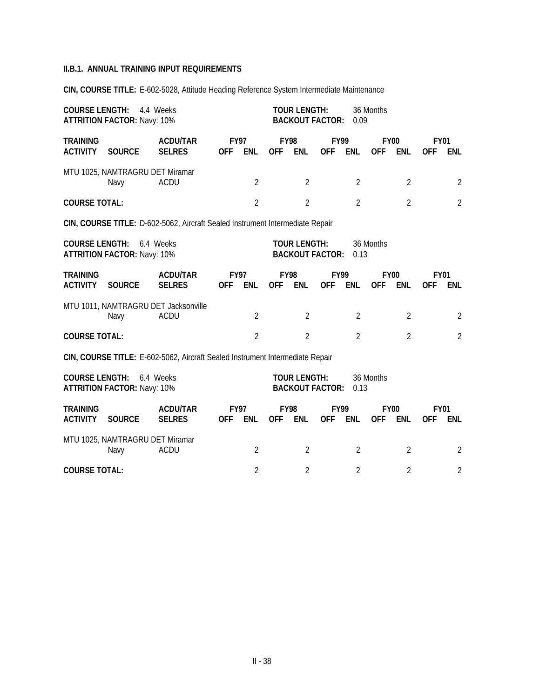**CIN, COURSE TITLE:** E-602-5028, Attitude Heading Reference System Intermediate Maintenance

| <b>COURSE LENGTH:</b>                                                                                                                          | <b>ATTRITION FACTOR: Navy: 10%</b>      | 4.4 Weeks                                                                     |                           |                |                           | <b>TOUR LENGTH:</b><br><b>BACKOUT FACTOR:</b> |                           | 0.09           | 36 Months                 |                |                           |                |
|------------------------------------------------------------------------------------------------------------------------------------------------|-----------------------------------------|-------------------------------------------------------------------------------|---------------------------|----------------|---------------------------|-----------------------------------------------|---------------------------|----------------|---------------------------|----------------|---------------------------|----------------|
| <b>TRAINING</b><br><b>ACTIVITY</b>                                                                                                             | <b>SOURCE</b>                           | <b>ACDU/TAR</b><br><b>SELRES</b>                                              | <b>FY97</b><br><b>OFF</b> | <b>ENL</b>     | <b>FY98</b><br><b>OFF</b> | <b>ENL</b>                                    | <b>FY99</b><br><b>OFF</b> | <b>ENL</b>     | <b>FY00</b><br><b>OFF</b> | <b>ENL</b>     | <b>FY01</b><br><b>OFF</b> | <b>ENL</b>     |
|                                                                                                                                                | MTU 1025, NAMTRAGRU DET Miramar<br>Navy | <b>ACDU</b>                                                                   |                           | $\overline{2}$ |                           | $\overline{2}$                                |                           | $\overline{2}$ |                           | $\overline{2}$ |                           | $\overline{2}$ |
| <b>COURSE TOTAL:</b>                                                                                                                           |                                         |                                                                               |                           | $\overline{2}$ |                           | $\overline{2}$                                |                           | $\overline{2}$ |                           | $\overline{2}$ |                           | $\overline{2}$ |
|                                                                                                                                                |                                         | CIN, COURSE TITLE: D-602-5062, Aircraft Sealed Instrument Intermediate Repair |                           |                |                           |                                               |                           |                |                           |                |                           |                |
| <b>TOUR LENGTH:</b><br><b>COURSE LENGTH:</b><br>6.4 Weeks<br>36 Months<br><b>ATTRITION FACTOR: Navy: 10%</b><br><b>BACKOUT FACTOR:</b><br>0.13 |                                         |                                                                               |                           |                |                           |                                               |                           |                |                           |                |                           |                |
| <b>TRAINING</b><br><b>ACTIVITY</b>                                                                                                             | <b>SOURCE</b>                           | <b>ACDU/TAR</b><br><b>SELRES</b>                                              | <b>FY97</b><br><b>OFF</b> | <b>ENL</b>     | <b>FY98</b><br>OFF ENL    |                                               | <b>FY99</b><br><b>OFF</b> | ENL            | <b>FY00</b><br><b>OFF</b> | <b>ENL</b>     | <b>FY01</b><br><b>OFF</b> | ENL            |
|                                                                                                                                                | Navy                                    | MTU 1011, NAMTRAGRU DET Jacksonville<br><b>ACDU</b>                           |                           | $\overline{2}$ |                           | $\overline{2}$                                |                           | $\overline{2}$ |                           | $\overline{2}$ |                           | $\overline{2}$ |
| <b>COURSE TOTAL:</b>                                                                                                                           |                                         |                                                                               |                           | $\overline{2}$ |                           | $\overline{2}$                                |                           | $\overline{2}$ |                           | $\overline{2}$ |                           | $\overline{2}$ |
|                                                                                                                                                |                                         | CIN, COURSE TITLE: E-602-5062, Aircraft Sealed Instrument Intermediate Repair |                           |                |                           |                                               |                           |                |                           |                |                           |                |
| <b>COURSE LENGTH:</b><br>6.4 Weeks<br><b>TOUR LENGTH:</b><br>36 Months<br><b>BACKOUT FACTOR:</b><br><b>ATTRITION FACTOR: Navy: 10%</b><br>0.13 |                                         |                                                                               |                           |                |                           |                                               |                           |                |                           |                |                           |                |
| <b>TRAINING</b><br><b>ACTIVITY</b>                                                                                                             | <b>SOURCE</b>                           | <b>ACDU/TAR</b><br><b>SELRES</b>                                              | <b>FY97</b><br><b>OFF</b> | ENL            | <b>FY98</b><br><b>OFF</b> | <b>ENL</b>                                    | <b>FY99</b><br><b>OFF</b> | ENL            | <b>FY00</b><br><b>OFF</b> | <b>ENL</b>     | <b>FY01</b><br><b>OFF</b> | <b>ENL</b>     |
|                                                                                                                                                | MTU 1025, NAMTRAGRU DET Miramar<br>Navy | <b>ACDU</b>                                                                   |                           | $\overline{2}$ |                           | $\overline{2}$                                |                           | $\overline{2}$ |                           | $\overline{2}$ |                           | $\overline{2}$ |

**COURSE TOTAL:** 2 2 2 2 2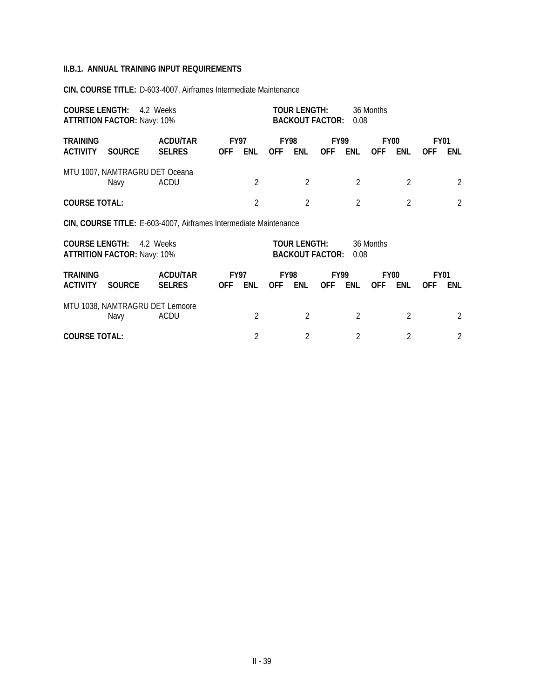**CIN, COURSE TITLE:** D-603-4007, Airframes Intermediate Maintenance

| <b>COURSE LENGTH:</b>                                                                                                                                                                                                                                                            | <b>ATTRITION FACTOR: Navy: 10%</b>                                | 4.2 Weeks                        | TOUR LENGTH:<br>36 Months<br><b>BACKOUT FACTOR:</b><br>0.08 |                |                |                                        |                    |                |                                |                |                           |                |
|----------------------------------------------------------------------------------------------------------------------------------------------------------------------------------------------------------------------------------------------------------------------------------|-------------------------------------------------------------------|----------------------------------|-------------------------------------------------------------|----------------|----------------|----------------------------------------|--------------------|----------------|--------------------------------|----------------|---------------------------|----------------|
| <b>TRAINING</b><br><b>ACTIVITY</b>                                                                                                                                                                                                                                               | <b>SOURCE</b>                                                     | <b>ACDU/TAR</b><br><b>SELRES</b> | <b>FY97</b><br><b>OFF</b>                                   | <b>ENL</b>     | <b>OFF</b>     | <b>FY98</b><br>ENL                     | FY99<br><b>OFF</b> | ENL            | FY <sub>00</sub><br><b>OFF</b> | <b>ENL</b>     | <b>FY01</b><br><b>OFF</b> | ENL            |
|                                                                                                                                                                                                                                                                                  | MTU 1007, NAMTRAGRU DET Oceana<br>Navy                            | ACDU                             |                                                             | 2              |                | $\overline{2}$                         |                    | $\overline{2}$ |                                | $\overline{2}$ |                           | 2              |
| <b>COURSE TOTAL:</b>                                                                                                                                                                                                                                                             |                                                                   |                                  |                                                             | 2              |                | $\mathfrak{D}$                         |                    | $\mathcal{P}$  |                                | $\overline{2}$ |                           | $\overline{2}$ |
|                                                                                                                                                                                                                                                                                  | CIN, COURSE TITLE: E-603-4007, Airframes Intermediate Maintenance |                                  |                                                             |                |                |                                        |                    |                |                                |                |                           |                |
| <b>COURSE LENGTH:</b>                                                                                                                                                                                                                                                            | <b>ATTRITION FACTOR: Navy: 10%</b>                                | 4.2 Weeks                        |                                                             |                |                | TOUR LENGTH:<br><b>BACKOUT FACTOR:</b> |                    | 0.08           | 36 Months                      |                |                           |                |
| <b>TRAINING</b><br><b>ACDU/TAR</b><br><b>FY98</b><br><b>FY97</b><br>FY99<br>FY <sub>00</sub><br><b>FY01</b><br><b>ACTIVITY</b><br><b>SOURCE</b><br><b>SELRES</b><br><b>ENL</b><br><b>OFF</b><br>ENL<br><b>OFF</b><br>ENL<br><b>ENL</b><br><b>OFF</b><br><b>OFF</b><br><b>OFF</b> |                                                                   |                                  |                                                             |                |                |                                        |                    |                |                                | <b>ENL</b>     |                           |                |
|                                                                                                                                                                                                                                                                                  | MTU 1038, NAMTRAGRU DET Lemoore<br>Navy                           | ACDU                             |                                                             | 2              |                | $\overline{2}$                         |                    | $\mathfrak{D}$ |                                | 2              |                           | 2              |
| <b>COURSE TOTAL:</b>                                                                                                                                                                                                                                                             |                                                                   |                                  |                                                             | $\mathfrak{D}$ | $\mathfrak{D}$ |                                        | $\mathfrak{D}$     |                | $\mathfrak{D}$                 |                | 2                         |                |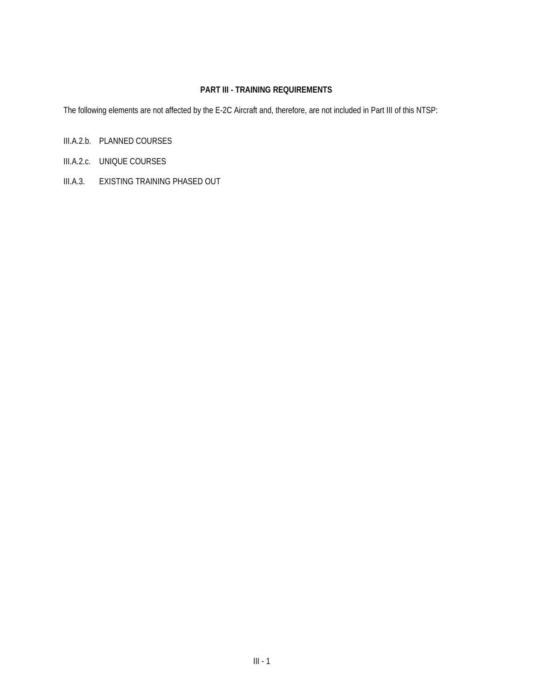### **PART III - TRAINING REQUIREMENTS**

The following elements are not affected by the E-2C Aircraft and, therefore, are not included in Part III of this NTSP:

- III.A.2.b. PLANNED COURSES
- III.A.2.c. UNIQUE COURSES
- III.A.3. EXISTING TRAINING PHASED OUT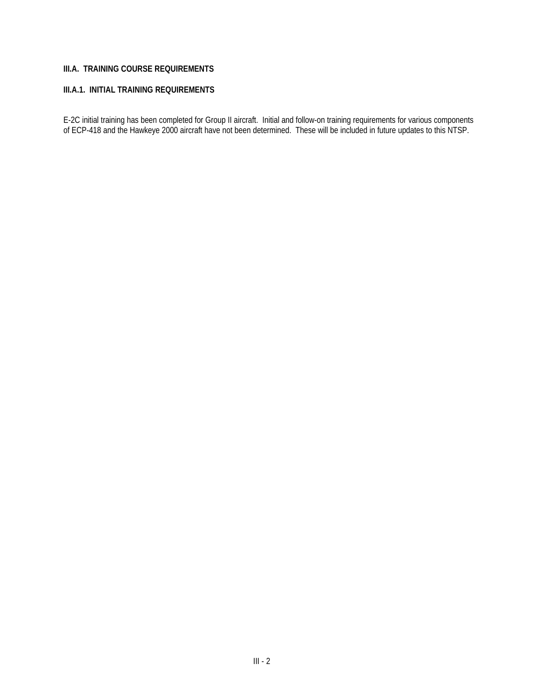## **III.A. TRAINING COURSE REQUIREMENTS**

### **III.A.1. INITIAL TRAINING REQUIREMENTS**

E-2C initial training has been completed for Group II aircraft. Initial and follow-on training requirements for various components of ECP-418 and the Hawkeye 2000 aircraft have not been determined. These will be included in future updates to this NTSP.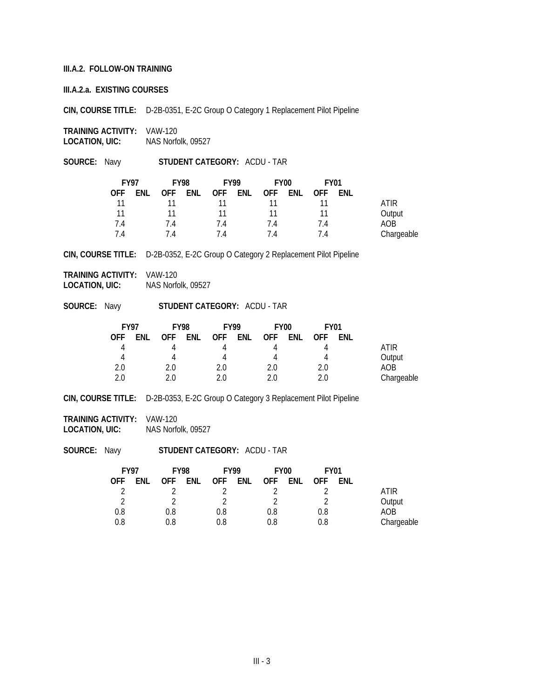#### **III.A.2. FOLLOW-ON TRAINING**

**III.A.2.a. EXISTING COURSES**

**CIN, COURSE TITLE:** D-2B-0351, E-2C Group O Category 1 Replacement Pilot Pipeline

**TRAINING ACTIVITY:** VAW-120 **LOCATION, UIC:** NAS Norfolk, 09527

**SOURCE:** Navy **STUDENT CATEGORY:** ACDU - TAR

| <b>FY97</b> |     |     | <b>FY98</b> | <b>FY99</b> |     | <b>FY00</b> |     | <b>FY01</b> |     |            |
|-------------|-----|-----|-------------|-------------|-----|-------------|-----|-------------|-----|------------|
| <b>OFF</b>  | ENL | 0FF | ENL         | <b>OFF</b>  | ENL | <b>OFF</b>  | ENL | <b>OFF</b>  | ENL |            |
| 11          |     |     |             |             |     |             |     |             |     | ATIR       |
| 11          |     | 11  |             | 11          |     | 11          |     |             |     | Output     |
| 7.4         |     | 74  |             | 7.4         |     | 7.4         |     | 7.4         |     | AOB        |
| 74          |     | 14  |             | 74          |     | 14          |     | 7.4         |     | Chargeable |

**CIN, COURSE TITLE:** D-2B-0352, E-2C Group O Category 2 Replacement Pilot Pipeline

**TRAINING ACTIVITY:** VAW-120 **LOCATION, UIC:** NAS Norfolk, 09527

**SOURCE:** Navy **STUDENT CATEGORY:** ACDU - TAR

| <b>FY97</b> |     | <b>FY98</b> |     | <b>FY99</b> |     | FY <sub>00</sub> |     | <b>FY01</b> |            |            |
|-------------|-----|-------------|-----|-------------|-----|------------------|-----|-------------|------------|------------|
| <b>OFF</b>  | ENL | <b>OFF</b>  | ENL | <b>OFF</b>  | ENL | <b>OFF</b>       | ENL | <b>OFF</b>  | <b>FNL</b> |            |
| 4           |     |             |     |             |     |                  |     | 4           |            | ATIR       |
| 4           |     |             |     |             |     |                  |     | 4           |            | Output     |
| 2.0         |     | 2.0         |     | 2.0         |     | 2.0              |     | 2.0         |            | AOB        |
| 2.0         |     | 2 በ         |     | ን በ         |     | 2 U              |     | 2.0         |            | Chargeable |

**CIN, COURSE TITLE:** D-2B-0353, E-2C Group O Category 3 Replacement Pilot Pipeline

**TRAINING ACTIVITY:** VAW-120 **LOCATION, UIC:** NAS Norfolk, 09527

| <b>FY97</b> |     | <b>FY98</b> |     | <b>FY99</b> |     | <b>FY00</b> |     | <b>FY01</b> |     |            |
|-------------|-----|-------------|-----|-------------|-----|-------------|-----|-------------|-----|------------|
| OFF         | ENL | <b>OFF</b>  | ENL | <b>OFF</b>  | ENL | <b>OFF</b>  | ENL | <b>OFF</b>  | ENL |            |
|             |     |             |     |             |     |             |     |             |     | ATIR       |
| ി           |     |             |     |             |     |             |     |             |     | Output     |
| 0.8         |     | 0.8         |     | 0.8         |     | 0.8         |     | 0.8         |     | AOB        |
| 0.8         |     | 0.8         |     | 0.8         |     | 0.8         |     | 0.8         |     | Chargeable |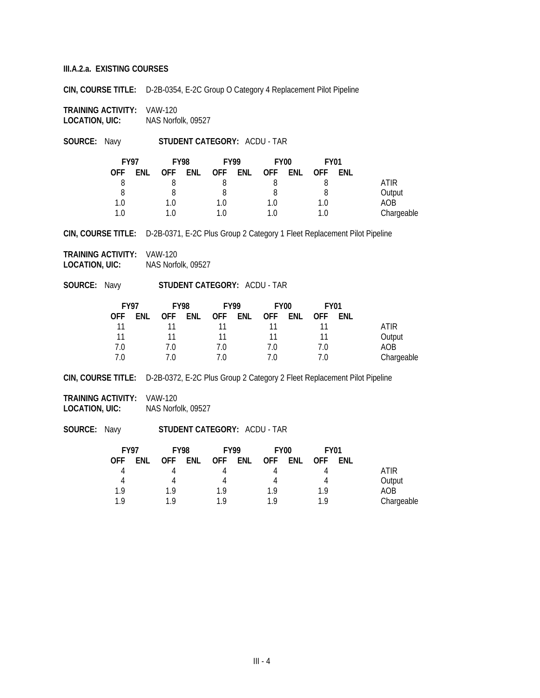**CIN, COURSE TITLE:** D-2B-0354, E-2C Group O Category 4 Replacement Pilot Pipeline

**TRAINING ACTIVITY:** VAW-120 **LOCATION, UIC:** NAS Norfolk, 09527

**SOURCE:** Navy **STUDENT CATEGORY:** ACDU - TAR

| <b>FY97</b> |     | <b>FY98</b> |     | <b>FY99</b> |            | <b>FY00</b> |     | <b>FY01</b> |     |             |
|-------------|-----|-------------|-----|-------------|------------|-------------|-----|-------------|-----|-------------|
| OFF.        | ENL | <b>OFF</b>  | ENL | <b>OFF</b>  | <b>ENL</b> | <b>OFF</b>  | ENL | 0FF.        | ENL |             |
|             |     |             |     |             |            |             |     |             |     | <b>ATIR</b> |
|             |     |             |     |             |            |             |     |             |     | Output      |
| 1.0         |     | 1.0         |     | 1.0         |            | 1.0         |     | 1.0         |     | AOB         |
| 1 N         |     | 1.0         |     | 1 በ         |            | 1 N         |     | 1.0         |     | Chargeable  |

**CIN, COURSE TITLE:** D-2B-0371, E-2C Plus Group 2 Category 1 Fleet Replacement Pilot Pipeline

**TRAINING ACTIVITY:** VAW-120 **LOCATION, UIC:** NAS Norfolk, 09527

**SOURCE:** Navy **STUDENT CATEGORY:** ACDU - TAR

| <b>FY97</b> |     | <b>FY98</b> |     | <b>FY99</b> |     | FY <sub>00</sub> |     | <b>FY01</b> |     |             |
|-------------|-----|-------------|-----|-------------|-----|------------------|-----|-------------|-----|-------------|
| 0FF         | ENL | <b>OFF</b>  | ENL | <b>OFF</b>  | ENL | <b>OFF</b>       | ENL | <b>OFF</b>  | ENL |             |
| 11          |     |             |     |             |     |                  |     |             |     | <b>ATIR</b> |
| 11          |     |             |     |             |     |                  |     |             |     | Output      |
| 7.0         |     | 7.0         |     | 7.0         |     | 7.0              |     | 7.0         |     | AOB         |
| 7 በ         |     | 7.0         |     | 70          |     |                  |     |             |     | Chargeable  |

**CIN, COURSE TITLE:** D-2B-0372, E-2C Plus Group 2 Category 2 Fleet Replacement Pilot Pipeline

**TRAINING ACTIVITY:** VAW-120 **LOCATION, UIC:** NAS Norfolk, 09527

| <b>FY97</b> |     | <b>FY98</b> |            | <b>FY99</b> |     | <b>FY00</b> |     | <b>FY01</b> |            |            |
|-------------|-----|-------------|------------|-------------|-----|-------------|-----|-------------|------------|------------|
| OFF.        | ENL | <b>OFF</b>  | <b>ENL</b> | <b>OFF</b>  | ENL | <b>OFF</b>  | ENL | 0FF.        | <b>ENL</b> |            |
|             |     |             |            |             |     |             |     |             |            | ATIR       |
| 4           |     |             |            |             |     |             |     |             |            | Output     |
| 1.9         |     | 1 Q         |            | 19          |     | 1 Q         |     | 1.9         |            | AOB        |
| 1 Q         |     | 1 Q         |            | 1 Q         |     | 1 Q         |     | 1 Q         |            | Chargeable |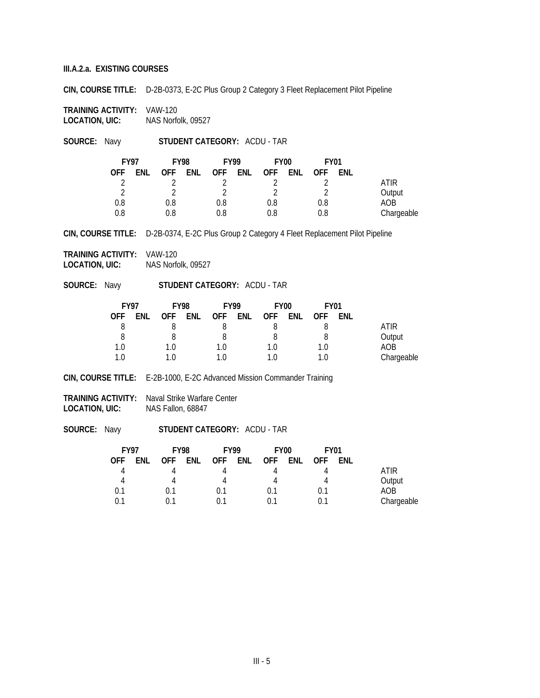**CIN, COURSE TITLE:** D-2B-0373, E-2C Plus Group 2 Category 3 Fleet Replacement Pilot Pipeline

**TRAINING ACTIVITY:** VAW-120 **LOCATION, UIC:** NAS Norfolk, 09527

**SOURCE:** Navy **STUDENT CATEGORY:** ACDU - TAR

| <b>FY97</b> |     | <b>FY98</b> |     | <b>FY99</b> |     | FY <sub>00</sub> |     | <b>FY01</b> |     |            |
|-------------|-----|-------------|-----|-------------|-----|------------------|-----|-------------|-----|------------|
| OFF.        | ENL | <b>OFF</b>  | ENL | OFF .       | ENL | <b>OFF</b>       | ENL | 0FF         | ENL |            |
|             |     |             |     |             |     |                  |     |             |     | ATIR       |
| ി           |     |             |     |             |     |                  |     | ⌒           |     | Output     |
| 0.8         |     | 0.8         |     | 0.8         |     | 0.8              |     | 0.8         |     | AOB        |
| 0.8         |     | 0.8         |     | 0.8         |     | 0.8              |     | 0.8         |     | Chargeable |

**CIN, COURSE TITLE:** D-2B-0374, E-2C Plus Group 2 Category 4 Fleet Replacement Pilot Pipeline

**TRAINING ACTIVITY:** VAW-120 **LOCATION, UIC:** NAS Norfolk, 09527

**SOURCE:** Navy **STUDENT CATEGORY:** ACDU - TAR

| <b>FY97</b> |     | <b>FY98</b> |     | <b>FY99</b> |     | <b>FY00</b> |     | <b>FY01</b> |     |            |
|-------------|-----|-------------|-----|-------------|-----|-------------|-----|-------------|-----|------------|
| <b>OFF</b>  | ENL | <b>OFF</b>  | ENL | <b>OFF</b>  | ENL | <b>OFF</b>  | ENL | <b>OFF</b>  | ENL |            |
|             |     |             |     |             |     |             |     |             |     | ATIR       |
| 8           |     |             |     |             |     |             |     | 8           |     | Output     |
| 1.0         |     | 1.0         |     | 1.0         |     | 1 በ         |     | 1.0         |     | AOB        |
| 1.0         |     | 1.0         |     | 1 በ         |     |             |     | 1.0         |     | Chargeable |

**CIN, COURSE TITLE:** E-2B-1000, E-2C Advanced Mission Commander Training

**TRAINING ACTIVITY:** Naval Strike Warfare Center **LOCATION, UIC:** NAS Fallon, 68847

| <b>FY97</b> |     | <b>FY98</b> |     | <b>FY99</b> |     | FY <sub>00</sub> |     | <b>FY01</b> |            |            |
|-------------|-----|-------------|-----|-------------|-----|------------------|-----|-------------|------------|------------|
| 0FF.        | ENL | <b>OFF</b>  | ENL | <b>OFF</b>  | ENL | <b>OFF</b>       | ENL | <b>OFF</b>  | <b>FNL</b> |            |
|             |     |             |     |             |     |                  |     |             |            | ATIR       |
| 4           |     |             |     |             |     | 4                |     |             |            | Output     |
| 0.1         |     | 0.1         |     | 0.1         |     | 0.1              |     | 0.1         |            | AOB        |
| 0.1         |     | በ 1         |     |             |     | በ 1              |     | በ 1         |            | Chargeable |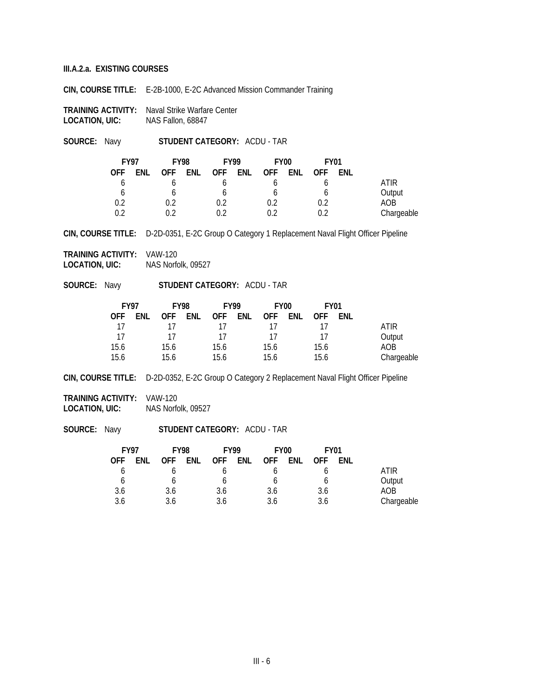**CIN, COURSE TITLE:** E-2B-1000, E-2C Advanced Mission Commander Training

**TRAINING ACTIVITY:** Naval Strike Warfare Center<br>**LOCATION, UIC:** NAS Fallon, 68847 **LOCATION, UIC:** 

**SOURCE:** Navy **STUDENT CATEGORY:** ACDU - TAR

| <b>FY97</b> |     | <b>FY98</b> |  | <b>FY99</b> |     | FY <sub>00</sub> |     |            | <b>FY01</b> |            |
|-------------|-----|-------------|--|-------------|-----|------------------|-----|------------|-------------|------------|
| 0FF         | ENL | OFF ENL     |  | <b>OFF</b>  | ENL | <b>OFF</b>       | ENL | <b>OFF</b> | ENL         |            |
|             |     |             |  |             |     |                  |     |            |             | ATIR       |
| b           |     |             |  |             |     |                  |     |            |             | Output     |
| 0.2         |     | 0.2         |  | 0.2         |     | 0.2              |     | 0.2        |             | AOB        |
| በ 2         |     | በ ን         |  |             |     | በ ን              |     | በ ን        |             | Chargeable |

**CIN, COURSE TITLE:** D-2D-0351, E-2C Group O Category 1 Replacement Naval Flight Officer Pipeline

**TRAINING ACTIVITY:** VAW-120 **LOCATION, UIC:** NAS Norfolk, 09527

**SOURCE:** Navy **STUDENT CATEGORY:** ACDU - TAR

| <b>FY97</b> |     | <b>FY98</b> |     | <b>FY99</b> |     | FY <sub>00</sub> |     | <b>FY01</b> |            |            |
|-------------|-----|-------------|-----|-------------|-----|------------------|-----|-------------|------------|------------|
| <b>OFF</b>  | ENL | <b>OFF</b>  | ENL | <b>OFF</b>  | ENL | <b>OFF</b>       | ENL | <b>OFF</b>  | <b>ENL</b> |            |
| 17          |     |             |     |             |     |                  |     |             |            | ATIR       |
| 17          |     | 17          |     | 17          |     | 17               |     | 17          |            | Output     |
| 15.6        |     | 15.6        |     | 15.6        |     | 15.6             |     | 15.6        |            | AOB        |
| 15.6        |     | 15.6        |     | 15.6        |     | 15.6             |     | 15.6        |            | Chargeable |

**CIN, COURSE TITLE:** D-2D-0352, E-2C Group O Category 2 Replacement Naval Flight Officer Pipeline

**TRAINING ACTIVITY:** VAW-120 **LOCATION, UIC:** NAS Norfolk, 09527

|             |     | <b>FY01</b> |     | FY <sub>00</sub> | <b>FY99</b> |      |     | <b>FY98</b> |     | <b>FY97</b> |
|-------------|-----|-------------|-----|------------------|-------------|------|-----|-------------|-----|-------------|
|             | ENL | <b>OFF</b>  | ENL | <b>OFF</b>       | ENL         | OFF. | ENL | <b>OFF</b>  | ENL | OFF         |
| <b>ATIR</b> |     |             |     |                  |             |      |     |             |     |             |
| Output      |     |             |     |                  |             |      |     |             |     | b           |
| AOB         |     | 3.6         |     | 3.6              |             | 3.6  |     | 3.6         |     | 3.6         |
| Chargeable  |     | 3.6         |     | 3.6              |             | 3.6  |     | 3.6         |     | 3.6         |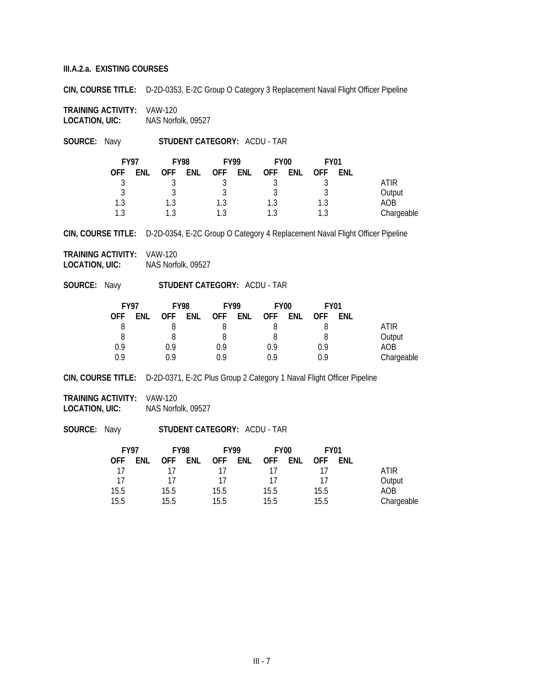**CIN, COURSE TITLE:** D-2D-0353, E-2C Group O Category 3 Replacement Naval Flight Officer Pipeline

**TRAINING ACTIVITY:** VAW-120 **LOCATION, UIC:** NAS Norfolk, 09527

**SOURCE:** Navy **STUDENT CATEGORY:** ACDU - TAR

| <b>FY97</b> |     | <b>FY98</b> |     | <b>FY99</b> |     |            | FY <sub>00</sub> | <b>FY01</b> |     |            |
|-------------|-----|-------------|-----|-------------|-----|------------|------------------|-------------|-----|------------|
| OFF         | ENL | <b>OFF</b>  | ENL | OFF         | ENL | <b>OFF</b> | <b>ENL</b>       | 0FF         | ENL |            |
|             |     |             |     |             |     |            |                  |             |     | ATIR       |
| ્ર          |     |             |     |             |     |            |                  |             |     | Output     |
| 1.3         |     | $1.3\,$     |     | 1.3         |     |            |                  | 1.3         |     | AOB        |
| 1 ?         |     |             |     |             |     |            |                  | 1.3         |     | Chargeable |

**CIN, COURSE TITLE:** D-2D-0354, E-2C Group O Category 4 Replacement Naval Flight Officer Pipeline

**TRAINING ACTIVITY:** VAW-120 **LOCATION, UIC:** NAS Norfolk, 09527

**SOURCE:** Navy **STUDENT CATEGORY:** ACDU - TAR

| <b>FY97</b> |     | <b>FY98</b> |     | <b>FY99</b> |     | <b>FY00</b> |     | <b>FY01</b> |            |            |
|-------------|-----|-------------|-----|-------------|-----|-------------|-----|-------------|------------|------------|
| <b>OFF</b>  | ENL | <b>OFF</b>  | ENL | <b>OFF</b>  | ENL | <b>OFF</b>  | ENL | <b>OFF</b>  | <b>FNL</b> |            |
| 8           |     |             |     |             |     |             |     |             |            | ATIR       |
| 8           |     |             |     |             |     |             |     |             |            | Output     |
| 0.9         |     | 0.9         |     | 0.9         |     | 0.9         |     | 0.9         |            | AOB        |
| 0.9         |     | በ ዓ         |     | በ ዓ         |     |             |     | 0.9         |            | Chargeable |

**CIN, COURSE TITLE:** D-2D-0371, E-2C Plus Group 2 Category 1 Naval Flight Officer Pipeline

**TRAINING ACTIVITY:** VAW-120 **LOCATION, UIC:** NAS Norfolk, 09527

| <b>FY97</b> | <b>FY98</b> |         | <b>FY99</b> |         | FY <sub>00</sub> |     | <b>FY01</b> |     |            |
|-------------|-------------|---------|-------------|---------|------------------|-----|-------------|-----|------------|
| OFF.        | ENL         | OFF ENL |             | OFF ENL | <b>OFF</b>       | ENL | <b>OFF</b>  | ENL |            |
| 17          |             |         | 17          |         | 17               |     |             |     | ATIR       |
| -17         |             | 17      | 17          |         | 17               |     | 17          |     | Output     |
| 15.5        |             | 15.5    | 15.5        |         | 15.5             |     | 15.5        |     | AOB        |
| 15.5        |             | 15.5    | 15.5        |         | 15.5             |     | 15.5        |     | Chargeable |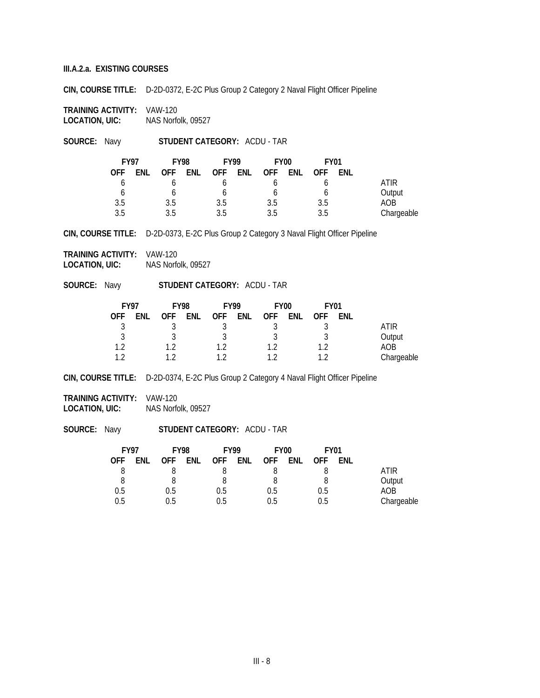**CIN, COURSE TITLE:** D-2D-0372, E-2C Plus Group 2 Category 2 Naval Flight Officer Pipeline

**TRAINING ACTIVITY:** VAW-120 **LOCATION, UIC:** NAS Norfolk, 09527

**SOURCE:** Navy **STUDENT CATEGORY:** ACDU - TAR

| <b>FY97</b> |     | <b>FY98</b> |     | <b>FY99</b> |     | <b>FY00</b> |     | <b>FY01</b> |     |             |
|-------------|-----|-------------|-----|-------------|-----|-------------|-----|-------------|-----|-------------|
| OFF         | ENL | <b>OFF</b>  | ENL | OFF.        | ENL | <b>OFF</b>  | ENL | <b>OFF</b>  | ENL |             |
|             |     |             |     |             |     |             |     |             |     | <b>ATIR</b> |
|             |     |             |     |             |     |             |     |             |     | Output      |
| 3.5         |     | 3.5         |     | 3.5         |     | 3.5         |     | 3.5         |     | AOB         |
| 3.5         |     | 3.5         |     | 3.5         |     | 3.5         |     | 3.5         |     | Chargeable  |

**CIN, COURSE TITLE:** D-2D-0373, E-2C Plus Group 2 Category 3 Naval Flight Officer Pipeline

**TRAINING ACTIVITY:** VAW-120 **LOCATION, UIC:** NAS Norfolk, 09527

**SOURCE:** Navy **STUDENT CATEGORY:** ACDU - TAR

| <b>FY97</b>    |     | <b>FY98</b> |     | <b>FY99</b> |     | <b>FY00</b> |     | <b>FY01</b> |     |            |
|----------------|-----|-------------|-----|-------------|-----|-------------|-----|-------------|-----|------------|
| <b>OFF</b>     | ENL | <b>OFF</b>  | ENL | <b>OFF</b>  | ENL | <b>OFF</b>  | ENL | <b>OFF</b>  | ENL |            |
|                |     |             |     |             |     |             |     |             |     | atir       |
|                |     |             |     |             |     |             |     |             |     | Output     |
| 1 <sub>2</sub> |     | 1 າ         |     | 1 າ         |     | 1 າ         |     | 1 າ         |     | AOB        |
| 1 າ            |     | 1 າ         |     |             |     |             |     | 1 າ         |     | Chargeable |

**CIN, COURSE TITLE:** D-2D-0374, E-2C Plus Group 2 Category 4 Naval Flight Officer Pipeline

**TRAINING ACTIVITY:** VAW-120 **LOCATION, UIC:** NAS Norfolk, 09527

| <b>FY97</b> |     | <b>FY98</b> |     | <b>FY99</b> |     | FY <sub>00</sub> |     | <b>FY01</b> |            |            |
|-------------|-----|-------------|-----|-------------|-----|------------------|-----|-------------|------------|------------|
| 0FF         | ENL | OFF.        | ENL | OFF.        | ENL | OFF              | ENL | <b>OFF</b>  | <b>ENL</b> |            |
|             |     |             |     |             |     |                  |     |             |            | ATIR       |
| 8           |     |             |     |             |     |                  |     |             |            | Output     |
| 0.5         |     | 0.5         |     | 0.5         |     | 0.5              |     | 0.5         |            | AOB        |
| 0.5         |     | 0.5         |     | 0.5         |     | 0.5              |     | 0.5         |            | Chargeable |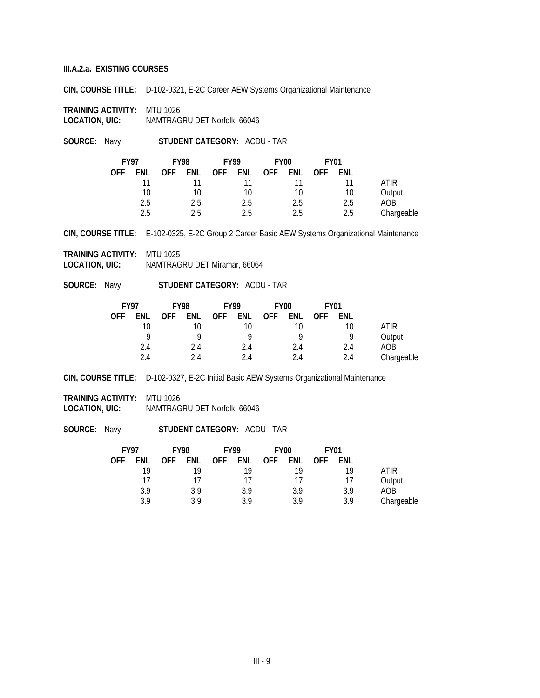**CIN, COURSE TITLE:** D-102-0321, E-2C Career AEW Systems Organizational Maintenance

**TRAINING ACTIVITY: MTU 1026**<br>**LOCATION, UIC:** NAMTRAG **LOCATION, UIC:** NAMTRAGRU DET Norfolk, 66046

**SOURCE:** Navy **STUDENT CATEGORY:** ACDU - TAR

|            | <b>FY97</b> |            | <b>FY98</b> |       | <b>FY99</b> |            | FY <sub>00</sub> |            | <b>FY01</b> |            |
|------------|-------------|------------|-------------|-------|-------------|------------|------------------|------------|-------------|------------|
| <b>OFF</b> | <b>ENL</b>  | <b>OFF</b> | ENL         | OFF . | ENL         | <b>OFF</b> | ENL              | <b>OFF</b> | ENL         |            |
|            | 11          |            |             |       | 11          |            |                  |            |             | ATIR       |
|            | 10          |            | 10          |       | 10          |            | 10               |            | 10          | Output     |
|            | 2.5         |            | 2.5         |       | 2.5         |            | 2.5              |            | 2.5         | AOB        |
|            | 2.5         |            | 2.5         |       | 2.5         |            | 2.5              |            | 2.5         | Chargeable |

**CIN, COURSE TITLE:** E-102-0325, E-2C Group 2 Career Basic AEW Systems Organizational Maintenance

**TRAINING ACTIVITY:** MTU 1025 **LOCATION, UIC:** NAMTRAGRU DET Miramar, 66064

**SOURCE:** Navy **STUDENT CATEGORY:** ACDU - TAR

| <b>FY97</b> |     | <b>FY98</b> |     | <b>FY99</b> |     | <b>FY00</b> |     | <b>FY01</b> |     |            |
|-------------|-----|-------------|-----|-------------|-----|-------------|-----|-------------|-----|------------|
| OFF         | ENL | <b>OFF</b>  | ENL | <b>OFF</b>  | ENL | <b>OFF</b>  | ENL | <b>OFF</b>  | ENL |            |
|             | 10  |             | 10  |             |     |             | 10  |             | 10  | ATIR       |
|             | Q   |             | Q   |             |     |             | Q   |             | Q   | Output     |
|             | 2.4 |             | 2.4 |             | 2.4 |             | 2.4 |             | 2.4 | AOB        |
|             | 2.4 |             | 94  |             | 24  |             | 2.4 |             | 2.4 | Chargeable |

**CIN, COURSE TITLE:** D-102-0327, E-2C Initial Basic AEW Systems Organizational Maintenance

**TRAINING ACTIVITY:** MTU 1026 **LOCATION, UIC:** NAMTRAGRU DET Norfolk, 66046

|            |     | <b>FY01</b> |     | FY <sub>00</sub> |     | <b>FY98</b><br><b>FY99</b> |     |            |     | <b>FY97</b> |
|------------|-----|-------------|-----|------------------|-----|----------------------------|-----|------------|-----|-------------|
|            | ENL | <b>OFF</b>  | ENL | <b>OFF</b>       | ENL | <b>OFF</b>                 | ENL | <b>OFF</b> | ENL | 0FF         |
| ATIR       | 19  |             | 19  |                  | 19  |                            | 19  |            | 19  |             |
| Output     | 17  |             | 17  |                  | 17  |                            | 17  |            | 17  |             |
| AOB        | 3.9 |             | 3.9 |                  | 3.9 |                            | 3.9 |            | 3.9 |             |
| Chargeable | 3.9 |             | 3.9 |                  | 3.9 |                            | 3.9 |            | 3 Q |             |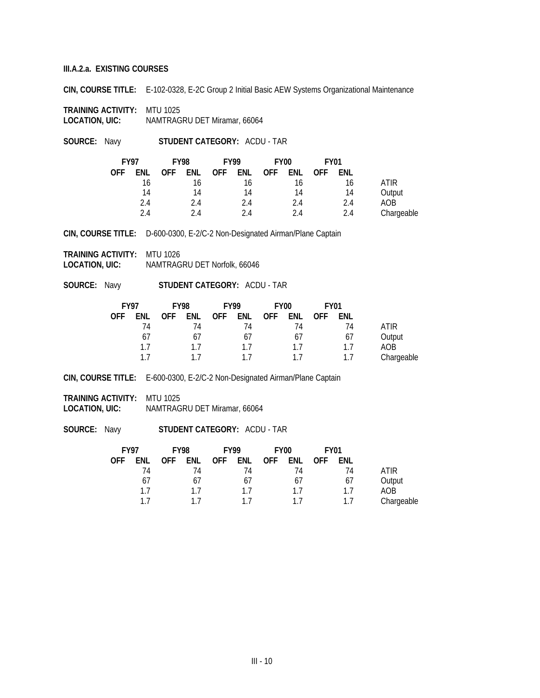**CIN, COURSE TITLE:** E-102-0328, E-2C Group 2 Initial Basic AEW Systems Organizational Maintenance

**TRAINING ACTIVITY:** MTU 1025 **LOCATION, UIC:** NAMTRAGRU DET Miramar, 66064

**SOURCE:** Navy **STUDENT CATEGORY:** ACDU - TAR

| <b>FY97</b> |     | <b>FY98</b> |            | <b>FY99</b> |     | FY <sub>00</sub> |     | <b>FY01</b> |     |            |
|-------------|-----|-------------|------------|-------------|-----|------------------|-----|-------------|-----|------------|
| <b>OFF</b>  | ENL | <b>OFF</b>  | <b>ENL</b> | <b>OFF</b>  | ENL | <b>OFF</b>       | ENL | <b>OFF</b>  | ENL |            |
|             | 16  |             | 16         |             | 16  |                  | 16  |             | 16  | ATIR       |
|             | 14  |             | 14         |             | 14  |                  | 14  |             | 14  | Output     |
|             | 2.4 |             | 2.4        |             | 2.4 |                  | 2.4 |             | 2.4 | AOB        |
|             | 24  |             | 24         |             | 24  |                  | 2.4 |             | 2.4 | Chargeable |

**CIN, COURSE TITLE:** D-600-0300, E-2/C-2 Non-Designated Airman/Plane Captain

**TRAINING ACTIVITY:** MTU 1026 **LOCATION, UIC:** NAMTRAGRU DET Norfolk, 66046

**SOURCE:** Navy **STUDENT CATEGORY:** ACDU - TAR

| <b>FY97</b> |     | <b>FY98</b> |            | <b>FY99</b> |     | FY <sub>00</sub> |     | FY01       |     |            |
|-------------|-----|-------------|------------|-------------|-----|------------------|-----|------------|-----|------------|
| <b>OFF</b>  | ENL | <b>OFF</b>  | <b>ENL</b> | <b>OFF</b>  | ENL | <b>OFF</b>       | ENL | <b>OFF</b> | ENL |            |
|             | 74  |             | 74         |             | 74  |                  | 74  |            | 74  | ATIR       |
|             | 67  |             | 67         |             | 67  |                  | 67  |            | 67  | Output     |
|             | 17  |             | 17         |             | 17  |                  | 17  |            | 17  | AOB        |
|             | 17  |             | 11         |             |     |                  |     |            |     | Chargeable |

**CIN, COURSE TITLE:** E-600-0300, E-2/C-2 Non-Designated Airman/Plane Captain

**TRAINING ACTIVITY:** MTU 1025 **LOCATION, UIC:** NAMTRAGRU DET Miramar, 66064

| <b>FY97</b> |     | <b>FY98</b> | <b>FY99</b> |     |     | FY <sub>00</sub> |     | <b>FY01</b> |     |            |
|-------------|-----|-------------|-------------|-----|-----|------------------|-----|-------------|-----|------------|
| 0FF         | ENL | <b>OFF</b>  | ENL         | OFF | ENL | <b>OFF</b>       | ENL | <b>OFF</b>  | ENL |            |
|             | 74  |             | 74          |     | 74  |                  | 74  |             | 74  | ATIR       |
|             | 67  |             | 67          |     | 67  |                  | 67  |             | 67  | Output     |
|             | 17  |             | 17          |     | 17  |                  | 17  |             | 17  | AOB        |
|             | 17  |             |             |     |     |                  | 17  |             | 17  | Chargeable |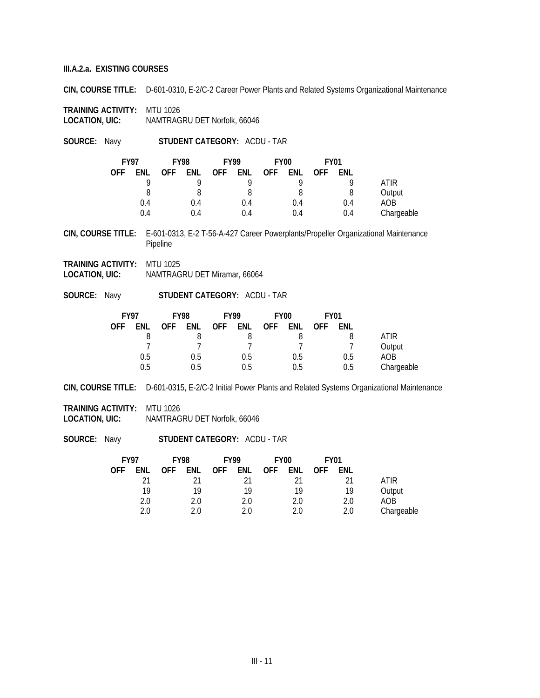**CIN, COURSE TITLE:** D-601-0310, E-2/C-2 Career Power Plants and Related Systems Organizational Maintenance

**TRAINING ACTIVITY:** MTU 1026 **LOCATION, UIC:** NAMTRAGRU DET Norfolk, 66046

**SOURCE:** Navy **STUDENT CATEGORY:** ACDU - TAR

|            | <b>FY97</b> |            |     |            | <b>FY98</b><br><b>FY99</b> |            | FY <sub>00</sub> |            | <b>FY01</b> |            |  |
|------------|-------------|------------|-----|------------|----------------------------|------------|------------------|------------|-------------|------------|--|
| <b>OFF</b> | ENL         | <b>OFF</b> | ENL | <b>OFF</b> | ENL                        | <b>OFF</b> | ENL              | <b>OFF</b> | ENL         |            |  |
|            | o           |            |     |            | O                          |            | Q                |            |             | ATIR       |  |
|            |             |            |     |            | 8                          |            | 8                |            |             | Output     |  |
|            | 0.4         |            | 0.4 |            | 0.4                        |            | 0.4              |            | 0.4         | AOB        |  |
|            | 0.4         |            | 0.4 |            | 0.4                        |            | 0.4              |            | 0.4         | Chargeable |  |

**CIN, COURSE TITLE:** E-601-0313, E-2 T-56-A-427 Career Powerplants/Propeller Organizational Maintenance Pipeline

- **TRAINING ACTIVITY:** MTU 1025 **LOCATION, UIC:** NAMTRAGRU DET Miramar, 66064
- **SOURCE:** Navy **STUDENT CATEGORY:** ACDU TAR

| <b>FY97</b> |     |            | <b>FY98</b> |            | <b>FY99</b> |            | FY <sub>00</sub> |            | <b>FY01</b> |            |
|-------------|-----|------------|-------------|------------|-------------|------------|------------------|------------|-------------|------------|
| <b>OFF</b>  | ENL | <b>OFF</b> | <b>ENL</b>  | <b>OFF</b> | ENL         | <b>OFF</b> | ENL              | <b>OFF</b> | ENL         |            |
|             |     |            |             |            |             |            |                  |            |             | ATIR       |
|             |     |            |             |            |             |            |                  |            |             | Output     |
|             | 0.5 |            | 0.5         |            | 0.5         |            | 0.5              |            | 0.5         | AOB        |
|             | 0.5 |            | 0.5         |            | 0.5         |            | 0.5              |            | 0.5         | Chargeable |

**CIN, COURSE TITLE:** D-601-0315, E-2/C-2 Initial Power Plants and Related Systems Organizational Maintenance

**TRAINING ACTIVITY:** MTU 1026 **LOCATION, UIC:** NAMTRAGRU DET Norfolk, 66046

| <b>FY97</b> |     |            | <b>FY98</b> |            |     |            |     |            | <b>FY99</b> |            | FY <sub>00</sub> |  | <b>FY01</b> |  |  |
|-------------|-----|------------|-------------|------------|-----|------------|-----|------------|-------------|------------|------------------|--|-------------|--|--|
| OFF         | enl | <b>OFF</b> | ENL         | <b>OFF</b> | ENL | <b>OFF</b> | ENL | <b>OFF</b> | ENL         |            |                  |  |             |  |  |
|             | 21  |            |             |            |     |            |     |            | 21          | ATIR       |                  |  |             |  |  |
|             | 19  |            | 19          |            | 19  |            | 19  |            | 19          | Output     |                  |  |             |  |  |
|             | 2.0 |            | 2.0         |            | 2.0 |            | 2.0 |            | 2.0         | AOB        |                  |  |             |  |  |
|             | 2.0 |            | 2.0         |            | 2.0 |            | 2.0 |            | 2.0         | Chargeable |                  |  |             |  |  |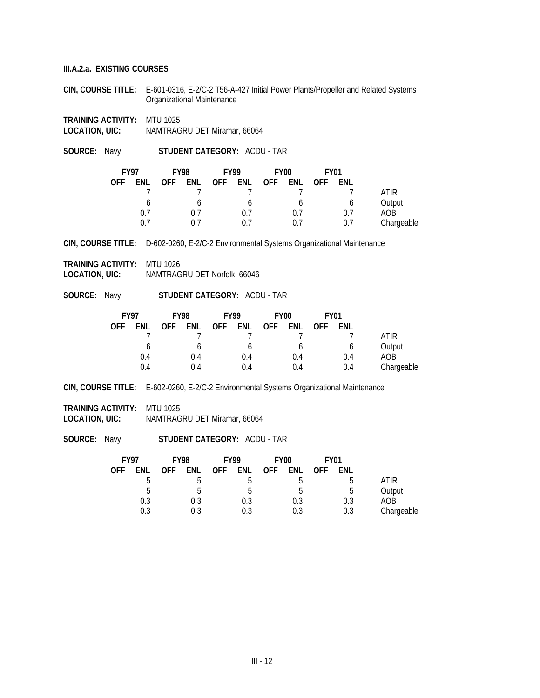**CIN, COURSE TITLE:** E-601-0316, E-2/C-2 T56-A-427 Initial Power Plants/Propeller and Related Systems Organizational Maintenance

**TRAINING ACTIVITY:** MTU 1025 **LOCATION, UIC:** NAMTRAGRU DET Miramar, 66064

**SOURCE:** Navy **STUDENT CATEGORY:** ACDU - TAR

| <b>FY97</b> |     | <b>FY98</b> |     | <b>FY99</b> |     | <b>FY00</b> |     | <b>FY01</b> |     |            |
|-------------|-----|-------------|-----|-------------|-----|-------------|-----|-------------|-----|------------|
| <b>OFF</b>  | ENL | <b>OFF</b>  | ENL | <b>OFF</b>  | ENL | <b>OFF</b>  | ENL | <b>OFF</b>  | ENL |            |
|             |     |             |     |             |     |             |     |             |     | ATIR       |
|             | b   |             |     |             |     |             | b   |             |     | Output     |
|             | 0.7 |             | 0.7 |             | 0.7 |             | 0.7 |             | 0.7 | AOB        |
|             | 0.7 |             |     |             | በ 7 |             | 0.7 |             | 0.7 | Chargeable |

**CIN, COURSE TITLE:** D-602-0260, E-2/C-2 Environmental Systems Organizational Maintenance

**TRAINING ACTIVITY:** MTU 1026 **LOCATION, UIC:** NAMTRAGRU DET Norfolk, 66046

**SOURCE:** Navy **STUDENT CATEGORY:** ACDU - TAR

| <b>FY97</b> |     | <b>FY98</b> |     | <b>FY99</b> |     | <b>FY00</b> |     | <b>FY01</b> |     |            |
|-------------|-----|-------------|-----|-------------|-----|-------------|-----|-------------|-----|------------|
| <b>OFF</b>  | ENL | <b>OFF</b>  | ENL | <b>OFF</b>  | ENL | <b>OFF</b>  | ENL | 0FF         | ENL |            |
|             |     |             |     |             |     |             |     |             |     | ATIR       |
|             | b   |             |     |             | O   |             | b   |             | O   | Output     |
|             | 0.4 |             | 0.4 |             | 0.4 |             | 0.4 |             | 0.4 | AOB        |
|             | 0.4 |             | 0.4 |             | 0.4 |             | 0.4 |             | 0.4 | Chargeable |

**CIN, COURSE TITLE:** E-602-0260, E-2/C-2 Environmental Systems Organizational Maintenance

**TRAINING ACTIVITY:** MTU 1025 **LOCATION, UIC:** NAMTRAGRU DET Miramar, 66064

| <b>FY97</b> |     | <b>FY98</b> | <b>FY99</b> |            | FY <sub>00</sub> |     | <b>FY01</b> |            |     |            |
|-------------|-----|-------------|-------------|------------|------------------|-----|-------------|------------|-----|------------|
| OFF         | ENL | <b>OFF</b>  | ENL         | <b>OFF</b> | ENL              | OFF | ENL         | <b>OFF</b> | ENL |            |
|             | h   |             | C           |            |                  |     | b           |            | b   | ATIR       |
|             | .5  |             | b           |            | b                |     | .5          |            | ხ   | Output     |
|             | 0.3 |             | 0.3         |            | 0.3              |     | 0.3         |            | 0.3 | AOB        |
|             | 0.3 |             | 0.3         |            | 0.3              |     | 0.3         |            | 0.3 | Chargeable |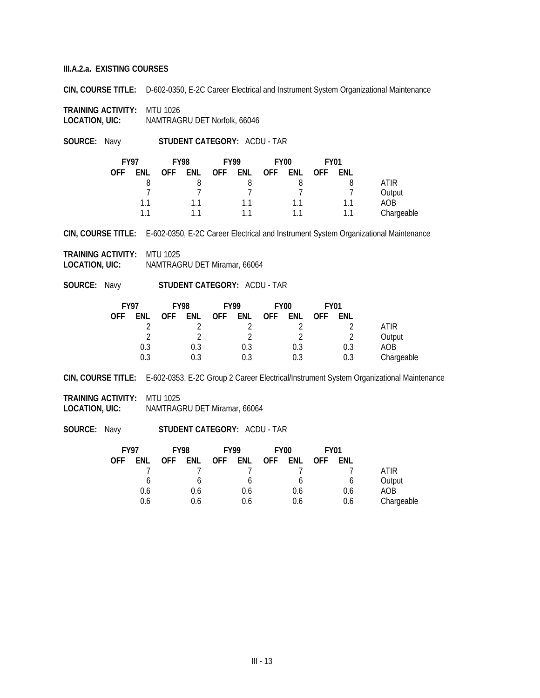**CIN, COURSE TITLE:** D-602-0350, E-2C Career Electrical and Instrument System Organizational Maintenance

**TRAINING ACTIVITY:** MTU 1026 **LOCATION, UIC:** NAMTRAGRU DET Norfolk, 66046

**SOURCE:** Navy **STUDENT CATEGORY:** ACDU - TAR

| <b>FY97</b> |     | <b>FY98</b> |     |            | <b>FY99</b> |            | FY <sub>00</sub> | <b>FY01</b> |     |            |
|-------------|-----|-------------|-----|------------|-------------|------------|------------------|-------------|-----|------------|
| <b>OFF</b>  | ENL | <b>OFF</b>  | ENL | <b>OFF</b> | ENL         | <b>OFF</b> | ENL              | <b>OFF</b>  | ENL |            |
|             |     |             |     |            |             |            |                  |             |     | ATIR       |
|             |     |             |     |            |             |            |                  |             |     | Output     |
|             | 11  |             |     |            | 11          |            | 11               |             | 11  | AOB        |
|             | 11  |             |     |            |             |            | 11               |             | 11  | Chargeable |

**CIN, COURSE TITLE:** E-602-0350, E-2C Career Electrical and Instrument System Organizational Maintenance

**TRAINING ACTIVITY:** MTU 1025 **LOCATION, UIC:** NAMTRAGRU DET Miramar, 66064

**SOURCE:** Navy **STUDENT CATEGORY:** ACDU - TAR

| <b>FY97</b> |     | <b>FY98</b> |     | <b>FY99</b> |     | <b>FY00</b> |     | <b>FY01</b> |     |            |
|-------------|-----|-------------|-----|-------------|-----|-------------|-----|-------------|-----|------------|
| <b>OFF</b>  | ENL | <b>OFF</b>  | ENL | <b>OFF</b>  | ENL | <b>OFF</b>  | ENL | <b>OFF</b>  | ENL |            |
|             |     |             |     |             |     |             |     |             |     | ATIR       |
|             |     |             |     |             |     |             |     |             |     | Output     |
|             | 0.3 |             | 0.3 |             | 0.3 |             | 0.3 |             | 0.3 | AOB        |
|             | 0.3 |             | 0.3 |             | 0.3 |             | 0.3 |             | 0.3 | Chargeable |

**CIN, COURSE TITLE:** E-602-0353, E-2C Group 2 Career Electrical/Instrument System Organizational Maintenance

**TRAINING ACTIVITY:** MTU 1025

**LOCATION, UIC:** NAMTRAGRU DET Miramar, 66064

|            |     | <b>FY01</b> |     | <b>FY00</b> | <b>FY99</b> |     |     | <b>FY98</b> |     | <b>FY97</b> |
|------------|-----|-------------|-----|-------------|-------------|-----|-----|-------------|-----|-------------|
|            | ENL | <b>OFF</b>  | ENL | <b>OFF</b>  | ENL         | OFF | ENL | <b>OFF</b>  | ENL | OFF         |
| ATIR.      |     |             |     |             |             |     |     |             |     |             |
| Output     |     |             | b   |             |             |     |     |             | b   |             |
| AOB        | 0.6 |             | 0.6 |             | 0.6         |     | 0.6 |             | 0.6 |             |
| Chargeable | 0.6 |             | 0.6 |             | 0.6         |     | 0.6 |             | 0.6 |             |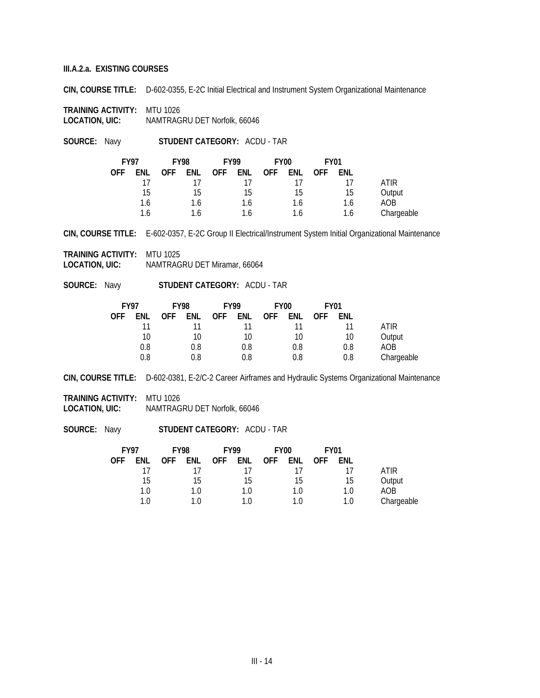**CIN, COURSE TITLE:** D-602-0355, E-2C Initial Electrical and Instrument System Organizational Maintenance

**TRAINING ACTIVITY:** MTU 1026 **LOCATION, UIC:** NAMTRAGRU DET Norfolk, 66046

**SOURCE:** Navy **STUDENT CATEGORY:** ACDU - TAR

| <b>FY97</b> |     | <b>FY98</b> |     | <b>FY99</b> |     | FY <sub>00</sub> |     | <b>FY01</b> |     |            |
|-------------|-----|-------------|-----|-------------|-----|------------------|-----|-------------|-----|------------|
| <b>OFF</b>  | ENL | <b>OFF</b>  | ENL | <b>OFF</b>  | ENL | <b>OFF</b>       | ENL | <b>OFF</b>  | ENL |            |
|             | 17  |             |     |             |     |                  |     |             |     | ATIR       |
|             | 15  |             | 15  |             | 15  |                  | 15  |             | 15  | Output     |
|             | 1.6 |             | 1.6 |             | 1.6 |                  | 1.6 |             | 1.6 | AOB        |
|             | 1.6 |             | 1.6 |             | 1.6 |                  | 1.6 |             | 1.6 | Chargeable |

**CIN, COURSE TITLE:** E-602-0357, E-2C Group II Electrical/Instrument System Initial Organizational Maintenance

**TRAINING ACTIVITY:** MTU 1025 **LOCATION, UIC:** NAMTRAGRU DET Miramar, 66064

**SOURCE:** Navy **STUDENT CATEGORY:** ACDU - TAR

| <b>FY97</b> |     | <b>FY98</b> |            | <b>FY99</b> |     | FY <sub>00</sub> |     | <b>FY01</b> |     |            |
|-------------|-----|-------------|------------|-------------|-----|------------------|-----|-------------|-----|------------|
| <b>OFF</b>  | ENL | <b>OFF</b>  | <b>ENL</b> | <b>OFF</b>  | ENL | <b>OFF</b>       | ENL | <b>OFF</b>  | ENL |            |
|             | 11  |             |            |             |     |                  |     |             | 11  | ATIR       |
|             | 10  |             | 10         |             | 10  |                  | 10  |             | 10  | Output     |
|             | 0.8 |             | 0.8        |             | 0.8 |                  | 0.8 |             | 0.8 | AOB        |
|             | 0.8 |             | 0.8        |             | 0.8 |                  | 0.8 |             | 0.8 | Chargeable |

**CIN, COURSE TITLE:** D-602-0381, E-2/C-2 Career Airframes and Hydraulic Systems Organizational Maintenance

**TRAINING ACTIVITY:** MTU 1026

**LOCATION, UIC:** NAMTRAGRU DET Norfolk, 66046

|            |     | <b>FY01</b> |     | FY <sub>00</sub> |     | <b>FY99</b> |     | <b>FY98</b> |     | <b>FY97</b> |
|------------|-----|-------------|-----|------------------|-----|-------------|-----|-------------|-----|-------------|
|            | ENL | <b>OFF</b>  | ENL | <b>OFF</b>       | ENL | . OFF       | ENL | <b>OFF</b>  | ENL | OFF         |
| ATIR       |     |             | 11  |                  | 11  |             |     |             | 17  |             |
| Output     | 15  |             | 15  |                  | 15  |             | 15  |             | 15  |             |
| AOB        | 1.0 |             | 1.0 |                  | 1.0 |             | 1.0 |             | 1.0 |             |
| Chargeable | 1.0 |             | 1.0 |                  | 1 Q |             |     |             | 1.0 |             |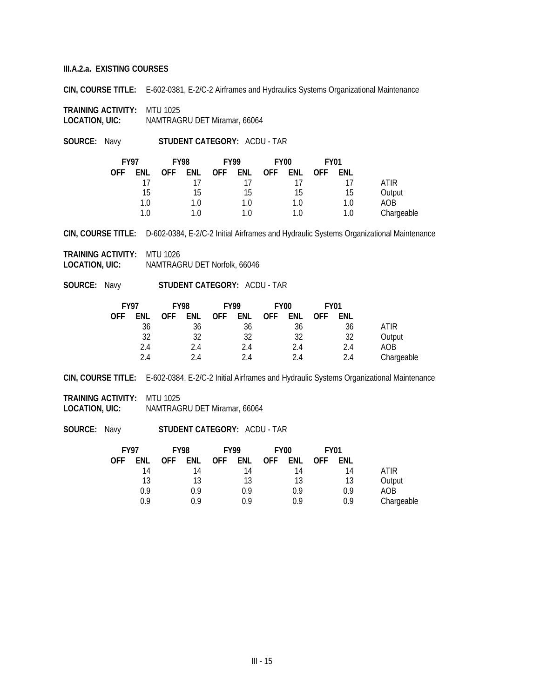**CIN, COURSE TITLE:** E-602-0381, E-2/C-2 Airframes and Hydraulics Systems Organizational Maintenance

**TRAINING ACTIVITY:** MTU 1025 **LOCATION, UIC:** NAMTRAGRU DET Miramar, 66064

**SOURCE:** Navy **STUDENT CATEGORY:** ACDU - TAR

| <b>FY97</b> |     | <b>FY98</b> |      | <b>FY99</b> |     | FY <sub>00</sub> |     | <b>FY01</b> |     |            |
|-------------|-----|-------------|------|-------------|-----|------------------|-----|-------------|-----|------------|
| <b>OFF</b>  | ENL | <b>OFF</b>  | ENL. | OFF.        | ENL | <b>OFF</b>       | ENL | <b>OFF</b>  | ENL |            |
|             | 17  |             |      |             | 17  |                  |     |             |     | ATIR       |
|             | 15  |             | 15   |             | 15  |                  | 15  |             | 15  | Output     |
|             | 1.0 |             | 1.0  |             | 1.0 |                  | 1.0 |             | 1.0 | AOB        |
|             | 10  |             |      |             | 1 በ |                  | 1.0 |             | 1.0 | Chargeable |

**CIN, COURSE TITLE:** D-602-0384, E-2/C-2 Initial Airframes and Hydraulic Systems Organizational Maintenance

**TRAINING ACTIVITY:** MTU 1026 **LOCATION, UIC:** NAMTRAGRU DET Norfolk, 66046

**SOURCE:** Navy **STUDENT CATEGORY:** ACDU - TAR

| <b>FY97</b> |     | <b>FY98</b> |     | <b>FY99</b> |     |            | <b>FY00</b> |     | <b>FY01</b> |            |
|-------------|-----|-------------|-----|-------------|-----|------------|-------------|-----|-------------|------------|
| <b>OFF</b>  | ENL | <b>OFF</b>  | ENL | <b>OFF</b>  | ENL | <b>OFF</b> | ENL-        | 0FF | ENL         |            |
|             | 36  |             | 36  |             | 36  |            | 36          |     | 36          | ATIR       |
|             | 32  |             | 32  |             | 32  |            | 32          |     | 32          | Output     |
|             | 2.4 |             | 2.4 |             | 2.4 |            | 2.4         |     | 2.4         | AOB        |
|             | 24  |             | 24  |             | 24  |            | 2.4         |     | 2.4         | Chargeable |

**CIN, COURSE TITLE:** E-602-0384, E-2/C-2 Initial Airframes and Hydraulic Systems Organizational Maintenance

**TRAINING ACTIVITY:** MTU 1025

**LOCATION, UIC:** NAMTRAGRU DET Miramar, 66064

|             |     | <b>FY01</b> |     | <b>FY00</b> | <b>FY99</b> |            |         | <b>FY98</b> |     | <b>FY97</b> |
|-------------|-----|-------------|-----|-------------|-------------|------------|---------|-------------|-----|-------------|
|             | ENL | 0FF         | ENL | <b>OFF</b>  | <b>ENL</b>  | <b>OFF</b> | ENL     | <b>OFF</b>  | ENL | OFF         |
| <b>ATIR</b> | 14  |             | 14  |             | 14          |            | 14      |             | 14  |             |
| Output      | 13  |             | 13  |             | 13          |            | 13      |             | 13  |             |
| AOB         | 0.9 |             | 0.9 |             | 0.9         |            | 0.9     |             | 0.9 |             |
| Chargeable  | 0.9 |             | 0.9 |             | 09          |            | በ     ዓ |             | 0.9 |             |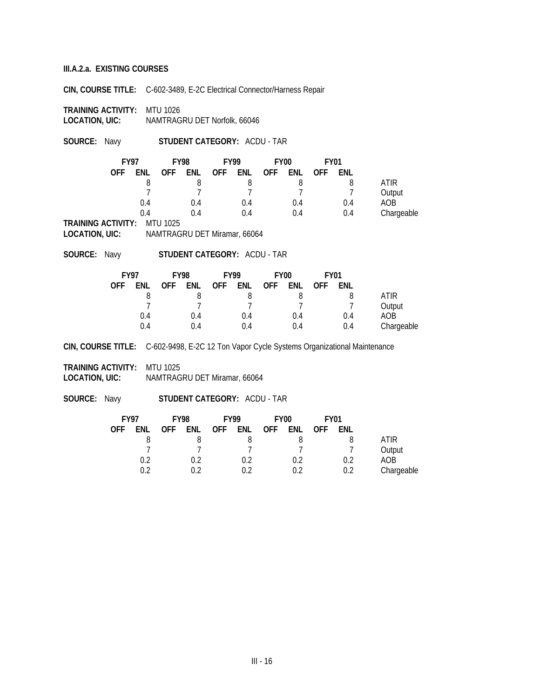**CIN, COURSE TITLE:** C-602-3489, E-2C Electrical Connector/Harness Repair

**TRAINING ACTIVITY:** MTU 1026 **LOCATION, UIC:** NAMTRAGRU DET Norfolk, 66046

**SOURCE:** Navy **STUDENT CATEGORY:** ACDU - TAR

| <b>FY97</b> |     | <b>FY98</b> |     | <b>FY99</b> |     | FY <sub>00</sub> |     | <b>FY01</b> |     |            |
|-------------|-----|-------------|-----|-------------|-----|------------------|-----|-------------|-----|------------|
| <b>OFF</b>  | ENL | <b>OFF</b>  | ENL | <b>OFF</b>  | ENL | <b>OFF</b>       | ENL | <b>OFF</b>  | ENL |            |
|             |     |             |     |             | 8   |                  |     |             |     | ATIR       |
|             |     |             |     |             |     |                  |     |             |     | Output     |
|             | 0.4 |             | 0.4 |             | 0.4 |                  | 0.4 |             | 0.4 | AOB.       |
|             | 0.4 |             | 0.4 |             | 0.4 |                  | 0.4 |             | 0.4 | Chargeable |

**TRAINING ACTIVITY:** MTU 1025

**LOCATION, UIC:** NAMTRAGRU DET Miramar, 66064

**SOURCE:** Navy **STUDENT CATEGORY:** ACDU - TAR

| <b>FY97</b> |     | <b>FY98</b> |     | <b>FY99</b> |     | <b>FY00</b> |     | <b>FY01</b> |     |            |
|-------------|-----|-------------|-----|-------------|-----|-------------|-----|-------------|-----|------------|
| OFF         | ENL | <b>OFF</b>  | ENL | <b>OFF</b>  | ENL | <b>OFF</b>  | ENL | <b>OFF</b>  | ENL |            |
|             |     |             |     |             |     |             |     |             |     | ATIR       |
|             |     |             |     |             |     |             |     |             |     | Output     |
|             | 0.4 |             | 0.4 |             | 0.4 |             | 0.4 |             | 0.4 | AOB        |
|             | 04  |             | 0.4 |             | 0.4 |             | 0.4 |             | 0.4 | Chargeable |

**CIN, COURSE TITLE:** C-602-9498, E-2C 12 Ton Vapor Cycle Systems Organizational Maintenance

**TRAINING ACTIVITY:** MTU 1025 **LOCATION, UIC:** NAMTRAGRU DET Miramar, 66064

|            | <b>FY97</b> |            | <b>FY98</b> |            | <b>FY99</b> |            | <b>FY00</b> |            | <b>FY01</b> |            |
|------------|-------------|------------|-------------|------------|-------------|------------|-------------|------------|-------------|------------|
| <b>OFF</b> | FNL         | <b>OFF</b> | ENL         | <b>OFF</b> | ENL         | <b>OFF</b> | ENL         | <b>OFF</b> | ENL         |            |
|            |             |            |             |            |             |            |             |            |             | ATIR       |
|            |             |            |             |            |             |            |             |            |             | Output     |
|            | 0.2         |            | 0.2         |            | 0.2         |            | 0.2         |            | 0.2         | AOB        |
|            | በ ን         |            |             |            | ሰ ን         |            | በ ን         |            | 0.2         | Chargeable |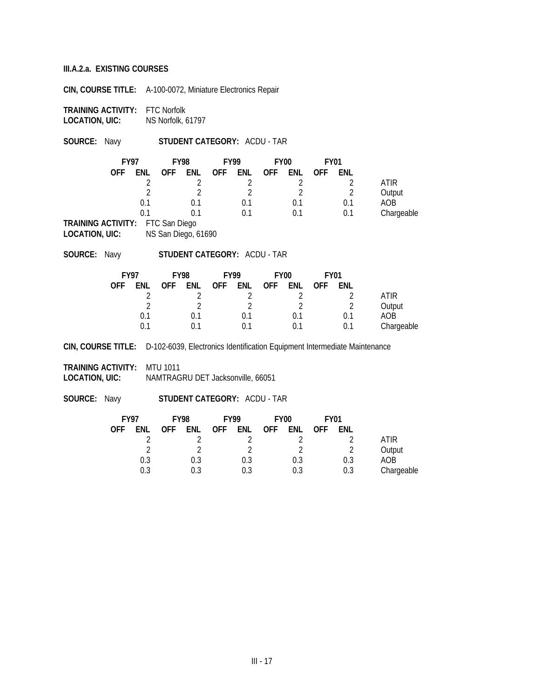**CIN, COURSE TITLE:** A-100-0072, Miniature Electronics Repair

**TRAINING ACTIVITY:** FTC Norfolk **LOCATION, UIC:** NS Norfolk, 61797

**SOURCE:** Navy **STUDENT CATEGORY:** ACDU - TAR

|            |     | <b>FY01</b> |     | FY <sub>00</sub> |     | <b>FY99</b> |     | <b>FY98</b>        |     | <b>FY97</b> |
|------------|-----|-------------|-----|------------------|-----|-------------|-----|--------------------|-----|-------------|
|            | ENL | <b>OFF</b>  | enl | <b>OFF</b>       | ENL | <b>OFF</b>  | ENL | <b>OFF</b>         | ENL | <b>OFF</b>  |
| ATIR       |     |             |     |                  |     |             |     |                    |     |             |
| Output     |     |             |     |                  |     |             |     |                    | า   |             |
| AOB        | 0.1 |             | 0.1 |                  | 0.1 |             | 0.1 |                    | 0.1 |             |
| Chargeable | 0.1 |             | 0.1 |                  | 0.1 |             | ი 1 |                    | በ 1 |             |
|            |     |             |     |                  |     |             |     | $  \sim$<br>$\sim$ |     | 27.11.17.17 |

**TRAINING ACTIVITY:** FTC San Diego **LOCATION, UIC:** NS San Diego, 61690

**SOURCE:** Navy **STUDENT CATEGORY:** ACDU - TAR

| <b>FY97</b> |     | <b>FY98</b> |     | <b>FY99</b> |     |            | FY <sub>00</sub> |            | <b>FY01</b> |            |
|-------------|-----|-------------|-----|-------------|-----|------------|------------------|------------|-------------|------------|
| OFF         | ENL | <b>OFF</b>  | ENL | <b>OFF</b>  | ENL | <b>OFF</b> | <b>FNL</b>       | <b>OFF</b> | ENL         |            |
|             |     |             |     |             |     |            |                  |            |             | ATIR       |
|             |     |             |     |             |     |            |                  |            |             | Output     |
|             | 0.1 |             | 0.1 |             | 0.1 |            | 0.1              |            | 0.1         | AOB        |
|             | በ 1 |             |     |             | 0.1 |            | 0.1              |            | 0.1         | Chargeable |

**CIN, COURSE TITLE:** D-102-6039, Electronics Identification Equipment Intermediate Maintenance

**TRAINING ACTIVITY:** MTU 1011 **LOCATION, UIC:** NAMTRAGRU DET Jacksonville, 66051

|            | <b>FY97</b> |            | <b>FY98</b> |            | <b>FY99</b> |            | <b>FY00</b> | <b>FY01</b> |     |            |
|------------|-------------|------------|-------------|------------|-------------|------------|-------------|-------------|-----|------------|
| <b>OFF</b> | ENL         | <b>OFF</b> | ENL         | <b>OFF</b> | ENL         | <b>OFF</b> | ENL         | <b>OFF</b>  | ENL |            |
|            |             |            |             |            |             |            |             |             |     | ATIR       |
|            | ി           |            |             |            | $\sqrt{2}$  |            | $\sim$      |             |     | Output     |
|            | 0.3         |            | 0.3         |            | 0.3         |            | 0.3         |             | 0.3 | AOB        |
|            | 0.3         |            | 0.3         |            | 0.3         |            | 0.3         |             | 0.3 | Chargeable |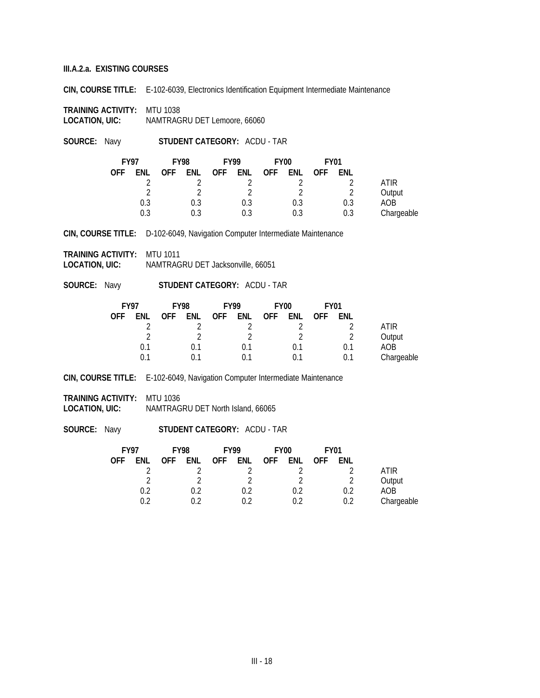**CIN, COURSE TITLE:** E-102-6039, Electronics Identification Equipment Intermediate Maintenance

**TRAINING ACTIVITY:** MTU 1038 **LOCATION, UIC:** NAMTRAGRU DET Lemoore, 66060

**SOURCE:** Navy **STUDENT CATEGORY:** ACDU - TAR

|            | <b>FY97</b> |            | <b>FY98</b> |            | <b>FY99</b> |            | <b>FY00</b> |            | <b>FY01</b> |            |
|------------|-------------|------------|-------------|------------|-------------|------------|-------------|------------|-------------|------------|
| <b>OFF</b> | ENL         | <b>OFF</b> | ENL         | <b>OFF</b> | ENL         | <b>OFF</b> | ENL         | <b>OFF</b> | ENL         |            |
|            |             |            |             |            |             |            |             |            |             | ATIR       |
|            |             |            |             |            |             |            | റ           |            |             | Output     |
|            | 0.3         |            | 0.3         |            | 0.3         |            | 0.3         |            | 0.3         | AOB        |
|            | 0.3         |            | 0.3         |            |             |            | 0.3         |            | 0.3         | Chargeable |

**CIN, COURSE TITLE:** D-102-6049, Navigation Computer Intermediate Maintenance

**TRAINING ACTIVITY:** MTU 1011

**LOCATION, UIC:** NAMTRAGRU DET Jacksonville, 66051

**SOURCE:** Navy **STUDENT CATEGORY:** ACDU - TAR

| <b>FY97</b> |     |            | <b>FY98</b> | <b>FY99</b> |     | <b>FY00</b> |     | <b>FY01</b> |     |            |
|-------------|-----|------------|-------------|-------------|-----|-------------|-----|-------------|-----|------------|
| <b>OFF</b>  | ENL | <b>OFF</b> | ENL         | <b>OFF</b>  | enl | <b>OFF</b>  | ENL | <b>OFF</b>  | ENL |            |
|             |     |            |             |             |     |             |     |             |     | ATIR       |
|             | ≘   |            |             |             |     |             |     |             | C   | Output     |
|             | 0.1 |            | 0.1         |             | 0.1 |             | 0.1 |             | 0.1 | AOB        |
|             | 0.1 |            | ი 1         |             | 0.1 |             | 0.1 |             |     | Chargeable |

**CIN, COURSE TITLE:** E-102-6049, Navigation Computer Intermediate Maintenance

**TRAINING ACTIVITY:** MTU 1036

**LOCATION, UIC:** NAMTRAGRU DET North Island, 66065

| <b>FY97</b> |     | <b>FY98</b> |     | <b>FY99</b> |     | <b>FY00</b> |     | <b>FY01</b> |     |            |
|-------------|-----|-------------|-----|-------------|-----|-------------|-----|-------------|-----|------------|
| <b>OFF</b>  | ENL | <b>OFF</b>  | ENL | OFF         | ENL | <b>OFF</b>  | ENL | <b>OFF</b>  | ENL |            |
|             |     |             |     |             |     |             |     |             |     | ATIR       |
|             |     |             |     |             |     |             |     |             |     | Output     |
|             | 0.2 |             | 0.2 |             | 0.2 |             | 0.2 |             | 0.2 | AOB        |
|             | በ ን |             |     |             |     |             | በ ን |             | 0.2 | Chargeable |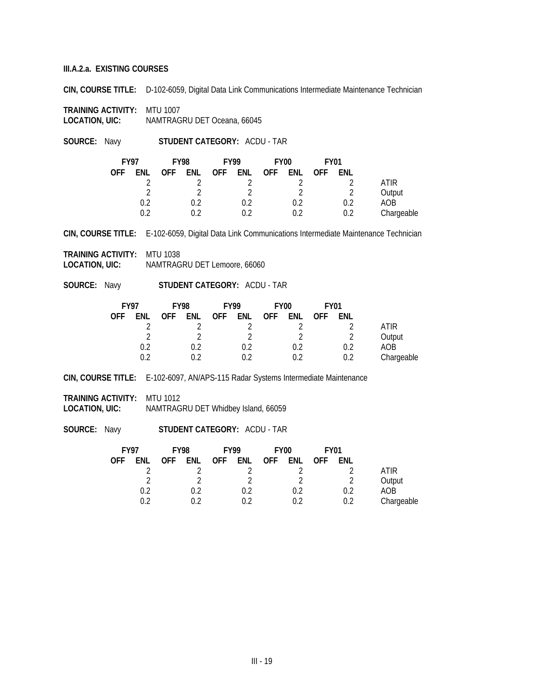**CIN, COURSE TITLE:** D-102-6059, Digital Data Link Communications Intermediate Maintenance Technician

**TRAINING ACTIVITY:** MTU 1007 **LOCATION, UIC:** NAMTRAGRU DET Oceana, 66045

**SOURCE:** Navy **STUDENT CATEGORY:** ACDU - TAR

| <b>FY97</b> |     | <b>FY98</b> |     | <b>FY99</b> |     | FY <sub>00</sub> |     | <b>FY01</b> |     |            |
|-------------|-----|-------------|-----|-------------|-----|------------------|-----|-------------|-----|------------|
| <b>OFF</b>  | ENL | <b>OFF</b>  | ENL | <b>OFF</b>  | ENL | <b>OFF</b>       | ENL | <b>OFF</b>  | ENL |            |
|             |     |             |     |             |     |                  |     |             |     | ATIR       |
|             |     |             |     |             |     |                  | റ   |             |     | Output     |
|             | 0.2 |             | በ ን |             | 0.2 |                  | 0.2 |             | 0.2 | AOB        |
|             | በ ን |             |     |             | በ ን |                  | ብ 2 |             | 0.2 | Chargeable |

**CIN, COURSE TITLE:** E-102-6059, Digital Data Link Communications Intermediate Maintenance Technician

**TRAINING ACTIVITY:** MTU 1038 **LOCATION, UIC:** NAMTRAGRU DET Lemoore, 66060

**SOURCE:** Navy **STUDENT CATEGORY:** ACDU - TAR

| <b>FY97</b> |     | <b>FY98</b> |     | <b>FY99</b> |     |            | <b>FY00</b> |            | <b>FY01</b> |            |
|-------------|-----|-------------|-----|-------------|-----|------------|-------------|------------|-------------|------------|
| <b>OFF</b>  | ENL | <b>OFF</b>  | ENL | <b>OFF</b>  | ENL | <b>OFF</b> | ENL         | <b>OFF</b> | ENL         |            |
|             |     |             |     |             |     |            |             |            |             | ATIR       |
|             |     |             |     |             |     |            |             |            |             | Output     |
|             | 0.2 |             | 0.2 |             | 0.2 |            | 0.2         |            | 0.2         | AOB        |
|             | በ ን |             |     |             | በ ን |            | በ ን         |            | 0.2         | Chargeable |

**CIN, COURSE TITLE:** E-102-6097, AN/APS-115 Radar Systems Intermediate Maintenance

**TRAINING ACTIVITY:** MTU 1012

**LOCATION, UIC:** NAMTRAGRU DET Whidbey Island, 66059

|            |     | <b>FY01</b> |            | FY <sub>00</sub> |     | <b>FY99</b> |     | <b>FY98</b> |     | <b>FY97</b> |
|------------|-----|-------------|------------|------------------|-----|-------------|-----|-------------|-----|-------------|
|            | ENL | <b>OFF</b>  | <b>ENL</b> | <b>OFF</b>       | ENL | <b>OFF</b>  | ENL | <b>OFF</b>  | ENL | <b>OFF</b>  |
| ATIR       |     |             |            |                  |     |             |     |             |     |             |
| Output     |     |             |            |                  |     |             |     |             |     |             |
| AOB        | 0.2 |             | 0.2        |                  | 0.2 |             | 0.2 |             | 0.2 |             |
| Chargeable | 0.2 |             | በ ን        |                  |     |             |     |             | በ ን |             |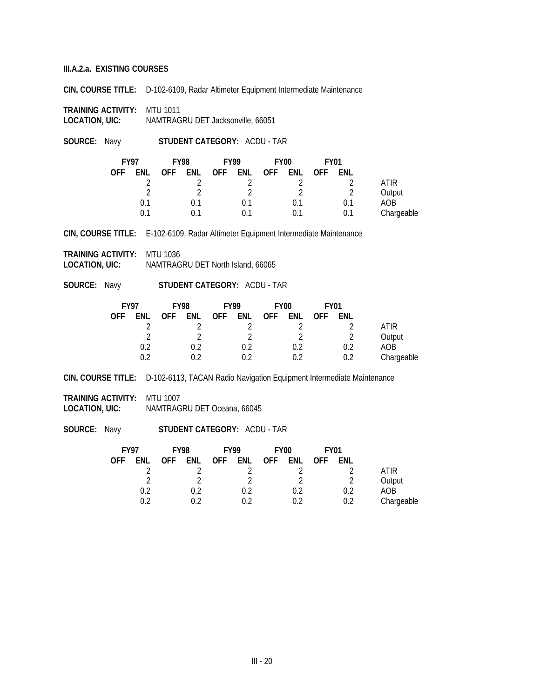**CIN, COURSE TITLE:** D-102-6109, Radar Altimeter Equipment Intermediate Maintenance

**TRAINING ACTIVITY:** MTU 1011 **LOCATION, UIC:** NAMTRAGRU DET Jacksonville, 66051

**SOURCE:** Navy **STUDENT CATEGORY:** ACDU - TAR

|            | <b>FY97</b> | <b>FY98</b> |     | <b>FY99</b> |     |            | FY <sub>00</sub><br><b>FY01</b> |            |     |            |
|------------|-------------|-------------|-----|-------------|-----|------------|---------------------------------|------------|-----|------------|
| <b>OFF</b> | ENL         | <b>OFF</b>  | ENL | <b>OFF</b>  | ENL | <b>OFF</b> | ENL                             | <b>OFF</b> | ENL |            |
|            |             |             |     |             |     |            |                                 |            |     | ATIR       |
|            |             |             |     |             |     |            | ി                               |            | റ   | Output     |
|            | 0.1         |             | 0.1 |             | 0.1 |            | 0.1                             |            |     | AOB        |
|            | በ 1         |             |     |             |     |            | ი 1                             |            | 0.1 | Chargeable |

**CIN, COURSE TITLE:** E-102-6109, Radar Altimeter Equipment Intermediate Maintenance

**TRAINING ACTIVITY:** MTU 1036 **LOCATION, UIC:** NAMTRAGRU DET North Island, 66065

**SOURCE:** Navy **STUDENT CATEGORY:** ACDU - TAR

| <b>FY97</b> |     |            | <b>FY98</b> |            | <b>FY99</b> |            |     | FY <sub>00</sub> |     | <b>FY01</b> |  |  |
|-------------|-----|------------|-------------|------------|-------------|------------|-----|------------------|-----|-------------|--|--|
| <b>OFF</b>  | ENL | <b>OFF</b> | ENL         | <b>OFF</b> | ENL         | <b>OFF</b> | ENL | <b>OFF</b>       | ENL |             |  |  |
|             |     |            |             |            |             |            |     |                  |     | ATIR        |  |  |
|             |     |            |             |            | ↑           |            | C   |                  |     | Output      |  |  |
|             | 0.2 |            | 0.2         |            | 0.2         |            | 0.2 |                  | ሰ ን | AOB         |  |  |
|             | ገ ን |            | በ ን         |            | በ ን         |            | በ ን |                  | 0.2 | Chargeable  |  |  |

**CIN, COURSE TITLE:** D-102-6113, TACAN Radio Navigation Equipment Intermediate Maintenance

**TRAINING ACTIVITY:** MTU 1007 **LOCATION, UIC:** NAMTRAGRU DET Oceana, 66045

| <b>FY97</b> |     | <b>FY98</b> |            | <b>FY99</b> |     |            | FY <sub>00</sub><br><b>FY01</b> |            |     |             |
|-------------|-----|-------------|------------|-------------|-----|------------|---------------------------------|------------|-----|-------------|
| 0FF         | ENL | <b>OFF</b>  | <b>ENL</b> | <b>OFF</b>  | ENL | <b>OFF</b> | ENL                             | <b>OFF</b> | ENL |             |
|             |     |             |            |             |     |            |                                 |            |     | <b>ATIR</b> |
|             |     |             |            |             |     |            | C.                              |            | ↑   | Output      |
|             | 0.2 |             | 0.2        |             |     |            | 0.2                             |            | 0.2 | AOB         |
|             | በ ን |             | በ ን        |             |     |            | በ ን                             |            | 0.2 | Chargeable  |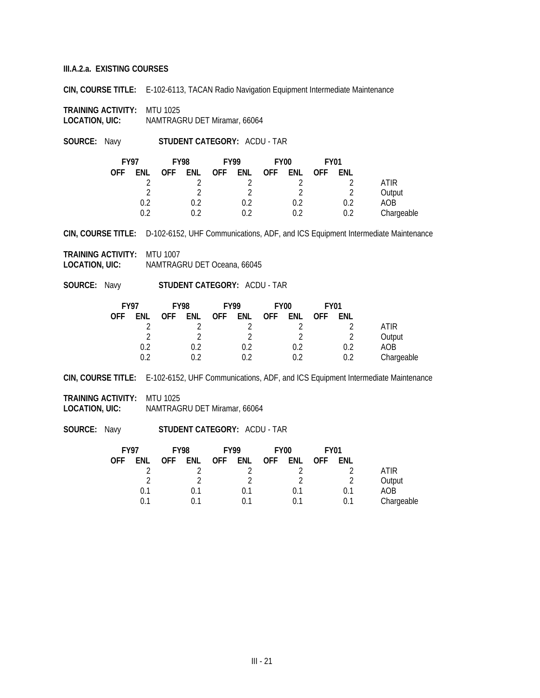**CIN, COURSE TITLE:** E-102-6113, TACAN Radio Navigation Equipment Intermediate Maintenance

**TRAINING ACTIVITY: MTU 1025<br>LOCATION, UIC: NAMTRAG LOCATION, UIC:** NAMTRAGRU DET Miramar, 66064

**SOURCE:** Navy **STUDENT CATEGORY:** ACDU - TAR

| <b>FY97</b> |     | <b>FY98</b> |     | <b>FY99</b> |     | <b>FY00</b> |     | <b>FY01</b> |     |             |
|-------------|-----|-------------|-----|-------------|-----|-------------|-----|-------------|-----|-------------|
| <b>OFF</b>  | ENL | <b>OFF</b>  | ENL | OFF         | enl | <b>OFF</b>  | ENL | <b>OFF</b>  | ENL |             |
|             |     |             |     |             |     |             |     |             |     | <b>ATIR</b> |
|             |     |             |     |             |     |             | C   |             | ∍   | Output      |
|             | 0.2 |             | በ ን |             |     |             | 0.2 |             | 0.2 | AOB         |
|             | በ ን |             |     |             | በ ን |             | በ ን |             | 0.2 | Chargeable  |

**CIN, COURSE TITLE:** D-102-6152, UHF Communications, ADF, and ICS Equipment Intermediate Maintenance

**TRAINING ACTIVITY:** MTU 1007 **LOCATION, UIC:** NAMTRAGRU DET Oceana, 66045

**SOURCE:** Navy **STUDENT CATEGORY:** ACDU - TAR

| <b>FY97</b> |     | <b>FY98</b> |            | <b>FY99</b> |     | <b>FY00</b> |     | <b>FY01</b> |     |            |
|-------------|-----|-------------|------------|-------------|-----|-------------|-----|-------------|-----|------------|
| <b>OFF</b>  | ENL | <b>OFF</b>  | <b>ENL</b> | <b>OFF</b>  | ENL | <b>OFF</b>  | ENL | <b>OFF</b>  | ENL |            |
|             |     |             |            |             |     |             |     |             |     | ATIR       |
|             |     |             |            |             |     |             |     |             |     | Output     |
|             | 0.2 |             | 0.2        |             | 0.2 |             | 0.2 |             | 0.2 | AOB        |
|             | በ ን |             | ገ ን        |             | በ ን |             |     |             | 0.2 | Chargeable |

**CIN, COURSE TITLE:** E-102-6152, UHF Communications, ADF, and ICS Equipment Intermediate Maintenance

**TRAINING ACTIVITY:** MTU 1025 **LOCATION, UIC:** NAMTRAGRU DET Miramar, 66064

| <b>FY97</b> |     | <b>FY98</b> |     | <b>FY99</b> |     | FY <sub>00</sub> |     | <b>FY01</b> |     |            |
|-------------|-----|-------------|-----|-------------|-----|------------------|-----|-------------|-----|------------|
| 0FF         | ENL | <b>OFF</b>  | ENL | OFF         | ENL | <b>OFF</b>       | ENL | <b>OFF</b>  | ENL |            |
|             |     |             |     |             |     |                  |     |             |     | ATIR       |
|             |     |             | า   |             |     |                  | C   |             | ∍   | Output     |
|             | 0.1 |             | 0.1 |             | በ 1 |                  | 0.1 |             |     | AOB        |
|             | በ 1 |             | ი 1 |             |     |                  |     |             | 0.1 | Chargeable |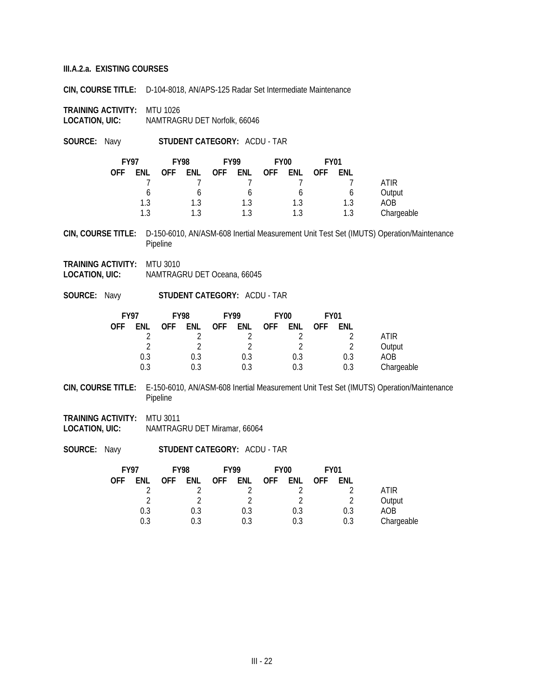**CIN, COURSE TITLE:** D-104-8018, AN/APS-125 Radar Set Intermediate Maintenance

**TRAINING ACTIVITY:** MTU 1026 **LOCATION, UIC:** NAMTRAGRU DET Norfolk, 66046

**SOURCE:** Navy **STUDENT CATEGORY:** ACDU - TAR

|            | <b>FY97</b> | <b>FY98</b> |            | <b>FY99</b> |            | <b>FY00</b> |     | <b>FY01</b> |     |             |
|------------|-------------|-------------|------------|-------------|------------|-------------|-----|-------------|-----|-------------|
| <b>OFF</b> | <b>ENL</b>  | <b>OFF</b>  | <b>ENL</b> | <b>OFF</b>  | <b>ENL</b> | <b>OFF</b>  | ENL | <b>OFF</b>  | ENL |             |
|            |             |             |            |             |            |             |     |             |     | <b>ATIR</b> |
|            |             |             |            |             |            |             | b   |             |     | Output      |
|            | 1.3         |             | 1 ?        |             | 1.3        |             | 1.3 |             | 1.3 | AOB         |
|            | 1 ?         |             |            |             | 1 ?        |             | 1.3 |             | 1.3 | Chargeable  |

**CIN, COURSE TITLE:** D-150-6010, AN/ASM-608 Inertial Measurement Unit Test Set (IMUTS) Operation/Maintenance Pipeline

- **TRAINING ACTIVITY:** MTU 3010 **LOCATION, UIC:** NAMTRAGRU DET Oceana, 66045
- **SOURCE:** Navy **STUDENT CATEGORY:** ACDU TAR

| <b>FY97</b> |     | <b>FY98</b> |     |            |     | <b>FY99</b><br><b>FY00</b> |     |            | <b>FY01</b> |            |  |
|-------------|-----|-------------|-----|------------|-----|----------------------------|-----|------------|-------------|------------|--|
| <b>OFF</b>  | ENL | <b>OFF</b>  | ENL | <b>OFF</b> | ENL | <b>OFF</b>                 | ENL | <b>OFF</b> | ENL         |            |  |
|             |     |             |     |            |     |                            |     |            |             | ATIR       |  |
|             |     |             |     |            |     |                            |     |            |             | Output     |  |
|             | 0.3 |             | 0.3 |            | 0.3 |                            | 0.3 |            | 0.3         | AOB        |  |
|             | 0.3 |             | 0.3 |            | 0.3 |                            | 0.3 |            | 0.3         | Chargeable |  |

**CIN, COURSE TITLE:** E-150-6010, AN/ASM-608 Inertial Measurement Unit Test Set (IMUTS) Operation/Maintenance Pipeline

**TRAINING ACTIVITY:** MTU 3011 **LOCATION, UIC:** NAMTRAGRU DET Miramar, 66064

| <b>FY97</b> |     | <b>FY98</b> |            | <b>FY99</b> |     |            | <b>FY00</b><br><b>FY01</b> |            |     |            |
|-------------|-----|-------------|------------|-------------|-----|------------|----------------------------|------------|-----|------------|
| <b>OFF</b>  | ENL | <b>OFF</b>  | <b>ENL</b> | <b>OFF</b>  | ENL | <b>OFF</b> | ENL                        | <b>OFF</b> | ENL |            |
|             |     |             |            |             |     |            |                            |            |     | ATIR       |
|             |     |             |            |             |     |            |                            |            |     | Output     |
|             | 0.3 |             | 0.3        |             | 0.3 |            | 0.3                        |            | 0.3 | AOB        |
|             | 0.3 |             | 0.3        |             | 0.3 |            | 0.3                        |            | 0.3 | Chargeable |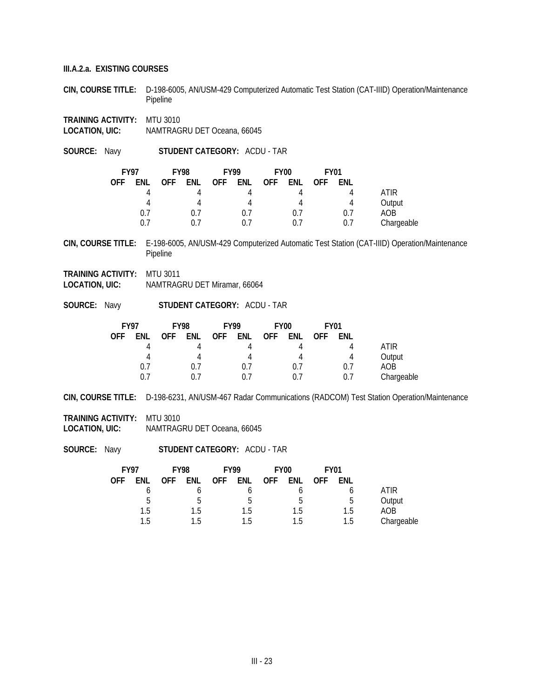**CIN, COURSE TITLE:** D-198-6005, AN/USM-429 Computerized Automatic Test Station (CAT-IIID) Operation/Maintenance Pipeline

**TRAINING ACTIVITY: MTU 3010**<br>**LOCATION, UIC:** NAMTRAG **NAMTRAGRU DET Oceana, 66045** 

**SOURCE:** Navy **STUDENT CATEGORY:** ACDU - TAR

| <b>FY97</b> |     |            | <b>FY98</b> |            | <b>FY99</b> |            | <b>FY00</b> | <b>FY01</b> |     |            |
|-------------|-----|------------|-------------|------------|-------------|------------|-------------|-------------|-----|------------|
| <b>OFF</b>  | ENL | <b>OFF</b> | ENL         | <b>OFF</b> | ENL         | <b>OFF</b> | ENL         | <b>OFF</b>  | ENL |            |
|             | Д   |            |             |            |             |            |             |             |     | ATIR       |
|             | 4   |            |             |            | 4           |            | 4           |             |     | Output     |
|             | 0.7 |            | 0.7         |            | $0$ ./      |            | 0.7         |             | 0.7 | AOB        |
|             | 0.7 |            |             |            | () /        |            | 0.7         |             | 0.7 | Chargeable |

**CIN, COURSE TITLE:** E-198-6005, AN/USM-429 Computerized Automatic Test Station (CAT-IIID) Operation/Maintenance Pipeline

- **TRAINING ACTIVITY:** MTU 3011 **LOCATION, UIC:** NAMTRAGRU DET Miramar, 66064
- **SOURCE:** Navy **STUDENT CATEGORY:** ACDU TAR

| <b>FY97</b> |     | <b>FY98</b> |      | <b>FY99</b> |     | <b>FY00</b> |     | <b>FY01</b> |     |            |
|-------------|-----|-------------|------|-------------|-----|-------------|-----|-------------|-----|------------|
| <b>OFF</b>  | ENL | <b>OFF</b>  | ENL  | <b>OFF</b>  | ENL | <b>OFF</b>  | ENL | <b>OFF</b>  | ENL |            |
|             |     |             |      |             |     |             |     |             |     | ATIR       |
|             |     |             |      |             |     |             | 4   |             | л   | Output     |
|             | 0.7 |             | 0.7  |             | 0.7 |             | 0.7 |             | 0.7 | AOB        |
|             | በ 7 |             | () / |             | 0.1 |             | 0.7 |             | 0.7 | Chargeable |

**CIN, COURSE TITLE:** D-198-6231, AN/USM-467 Radar Communications (RADCOM) Test Station Operation/Maintenance

**TRAINING ACTIVITY:** MTU 3010 **LOCATION, UIC:** NAMTRAGRU DET Oceana, 66045

| <b>FY97</b> |     | <b>FY98</b> |     | <b>FY99</b> |     | <b>FY00</b> |     | <b>FY01</b> |     |             |
|-------------|-----|-------------|-----|-------------|-----|-------------|-----|-------------|-----|-------------|
| <b>OFF</b>  | ENL | <b>OFF</b>  | ENL | <b>OFF</b>  | ENL | <b>OFF</b>  | ENL | <b>OFF</b>  | ENL |             |
|             |     |             |     |             |     |             |     |             |     | <b>ATIR</b> |
|             | .5  |             | n   |             | b   |             | .5  |             | b   | Output      |
|             | 1.5 |             | 1.5 |             | 1.5 |             | 1.5 |             | 1.5 | AOB         |
|             | 1.5 |             | 1.5 |             | 1.5 |             | 1.5 |             | 1.5 | Chargeable  |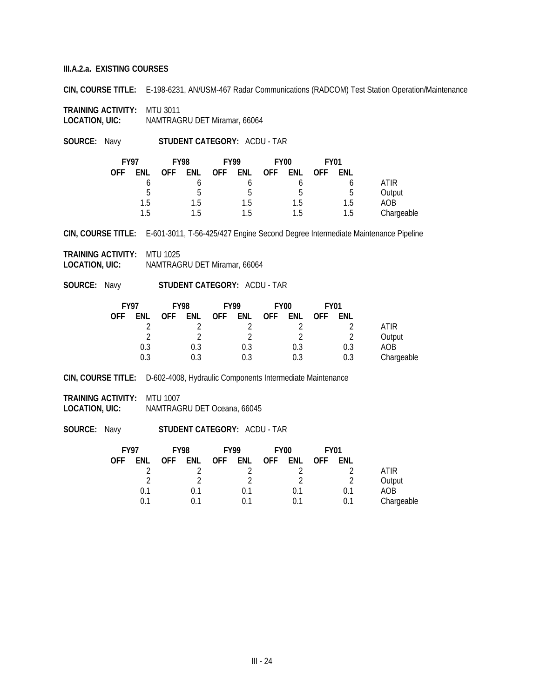**CIN, COURSE TITLE:** E-198-6231, AN/USM-467 Radar Communications (RADCOM) Test Station Operation/Maintenance

**TRAINING ACTIVITY: MTU 3011<br>LOCATION, UIC: NAMTRAG LOCATION, UIC:** NAMTRAGRU DET Miramar, 66064

**SOURCE:** Navy **STUDENT CATEGORY:** ACDU - TAR

|            | <b>FY97</b><br><b>FY98</b> |            |     | <b>FY99</b> |     | FY <sub>00</sub> |     | <b>FY01</b> |     |            |
|------------|----------------------------|------------|-----|-------------|-----|------------------|-----|-------------|-----|------------|
| <b>OFF</b> | ENL                        | <b>OFF</b> | ENL | OFF.        | ENL | <b>OFF</b>       | ENL | <b>OFF</b>  | ENL |            |
|            |                            |            |     |             |     |                  |     |             |     | ATIR       |
|            | b                          |            | h   |             | h   |                  | b   |             | h   | Output     |
|            | 1.5                        |            | 1.5 |             | 1.5 |                  | 1.5 |             | 1.5 | AOB        |
|            | 1.5                        |            | 1.5 |             | 1.5 |                  | 1.5 |             | 1.5 | Chargeable |

**CIN, COURSE TITLE:** E-601-3011, T-56-425/427 Engine Second Degree Intermediate Maintenance Pipeline

**TRAINING ACTIVITY:** MTU 1025 **LOCATION, UIC:** NAMTRAGRU DET Miramar, 66064

**SOURCE:** Navy **STUDENT CATEGORY:** ACDU - TAR

|            | <b>FY97</b><br><b>FY98</b> |            | <b>FY99</b> |            | FY <sub>00</sub> |            | <b>FY01</b> |            |     |            |
|------------|----------------------------|------------|-------------|------------|------------------|------------|-------------|------------|-----|------------|
| <b>OFF</b> | ENL                        | <b>OFF</b> | ENL         | <b>OFF</b> | ENL              | <b>OFF</b> | ENL         | <b>OFF</b> | ENL |            |
|            |                            |            |             |            |                  |            |             |            |     | ATIR       |
|            |                            |            |             |            |                  |            |             |            |     | Output     |
|            | 0.3                        |            | 0.3         |            | 0.3              |            | 0.3         |            | 0.3 | AOB        |
|            | 0.3                        |            | 0.3         |            | 0.3              |            | 0.3         |            | 0.3 | Chargeable |

**CIN, COURSE TITLE:** D-602-4008, Hydraulic Components Intermediate Maintenance

**TRAINING ACTIVITY:** MTU 1007

**LOCATION, UIC:** NAMTRAGRU DET Oceana, 66045

| <b>FY99</b>                     | <b>FY97</b><br><b>FY98</b> |  |            |
|---------------------------------|----------------------------|--|------------|
| <b>OFF</b><br>ENL<br><b>OFF</b> | ENL<br>ENL<br><b>OFF</b>   |  | <b>OFF</b> |
|                                 |                            |  |            |
|                                 |                            |  |            |
| 0.1                             | 0.1<br>0.1                 |  |            |
| በ 1                             | በ 1<br>በ 1                 |  |            |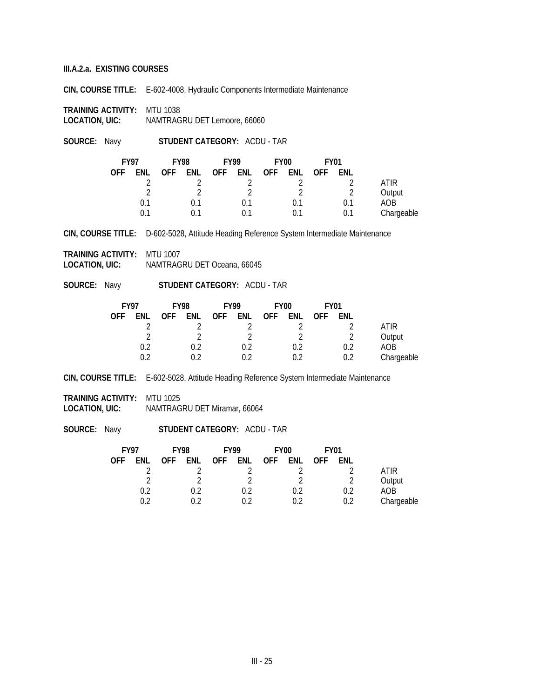**CIN, COURSE TITLE:** E-602-4008, Hydraulic Components Intermediate Maintenance

**TRAINING ACTIVITY:** MTU 1038 **LOCATION, UIC:** NAMTRAGRU DET Lemoore, 66060

**SOURCE:** Navy **STUDENT CATEGORY:** ACDU - TAR

|            | <b>FY97</b><br><b>FY98</b> |            | <b>FY99</b> |            | FY <sub>00</sub> |            | <b>FY01</b> |            |     |            |
|------------|----------------------------|------------|-------------|------------|------------------|------------|-------------|------------|-----|------------|
| <b>OFF</b> | ENL                        | <b>OFF</b> | <b>ENL</b>  | <b>OFF</b> | ENL              | <b>OFF</b> | <b>ENL</b>  | <b>OFF</b> | ENL |            |
|            |                            |            |             |            |                  |            |             |            |     | ATIR       |
|            |                            |            |             |            |                  |            |             |            |     | Output     |
|            | 0.1                        |            | 0.1         |            | 0.1              |            | 0.1         |            | 0.1 | AOB        |
|            | 0.1                        |            | በ 1         |            | 0.1              |            |             |            | 0.1 | Chargeable |

**CIN, COURSE TITLE:** D-602-5028, Attitude Heading Reference System Intermediate Maintenance

**TRAINING ACTIVITY:** MTU 1007 **LOCATION, UIC:** NAMTRAGRU DET Oceana, 66045

**SOURCE:** Navy **STUDENT CATEGORY:** ACDU - TAR

|            | <b>FY97</b><br><b>FY98</b> |            | <b>FY99</b> |            | <b>FY00</b> |            | <b>FY01</b> |            |     |             |
|------------|----------------------------|------------|-------------|------------|-------------|------------|-------------|------------|-----|-------------|
| <b>OFF</b> | ENL                        | <b>OFF</b> | ENL         | <b>OFF</b> | ENL         | <b>OFF</b> | ENL         | <b>OFF</b> | ENL |             |
|            |                            |            |             |            |             |            |             |            |     | <b>ATIR</b> |
|            |                            |            |             |            |             |            |             |            |     | Output      |
|            | 0.2                        |            | 0.2         |            | 0.2         |            | 0.2         |            | 0.2 | AOB         |
|            | ገ ጋ                        |            |             |            | በ ን         |            | በ ን         |            |     | Chargeable  |

**CIN, COURSE TITLE:** E-602-5028, Attitude Heading Reference System Intermediate Maintenance

**TRAINING ACTIVITY:** MTU 1025

**LOCATION, UIC:** NAMTRAGRU DET Miramar, 66064

|            |     | <b>FY01</b> |            | FY <sub>00</sub> |     | <b>FY99</b> |     | <b>FY97</b><br><b>FY98</b> |     |            |
|------------|-----|-------------|------------|------------------|-----|-------------|-----|----------------------------|-----|------------|
|            | ENL | <b>OFF</b>  | <b>ENL</b> | <b>OFF</b>       | ENL | <b>OFF</b>  | ENL | <b>OFF</b>                 | ENL | <b>OFF</b> |
| ATIR       |     |             |            |                  |     |             |     |                            |     |            |
| Output     |     |             |            |                  |     |             |     |                            |     |            |
| AOB.       | 0.2 |             | 0.2        |                  | 0.2 |             | 0.2 |                            | 0.2 |            |
| Chargeable | 0.2 |             | በ ን        |                  |     |             |     |                            | በ ን |            |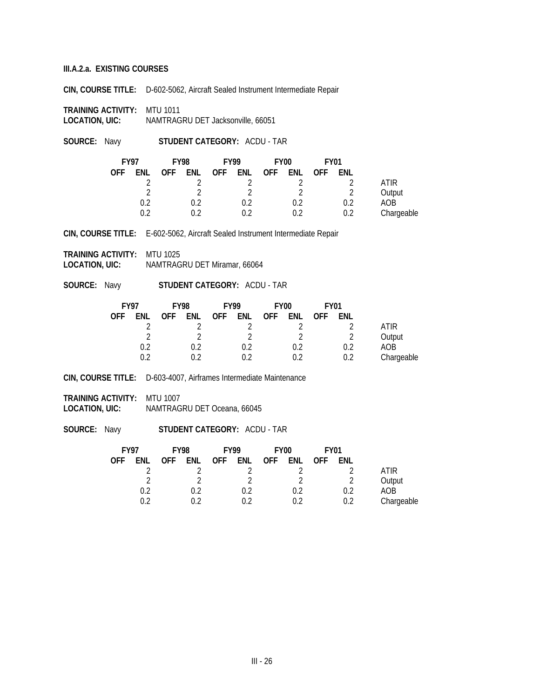**CIN, COURSE TITLE:** D-602-5062, Aircraft Sealed Instrument Intermediate Repair

**TRAINING ACTIVITY:** MTU 1011 **LOCATION, UIC:** NAMTRAGRU DET Jacksonville, 66051

**SOURCE:** Navy **STUDENT CATEGORY:** ACDU - TAR

|            | <b>FY97</b><br><b>FY98</b> |            |     | <b>FY99</b> |     | FY <sub>00</sub> |     | <b>FY01</b> |     |            |
|------------|----------------------------|------------|-----|-------------|-----|------------------|-----|-------------|-----|------------|
| <b>OFF</b> | ENL                        | <b>OFF</b> | ENL | <b>OFF</b>  | enl | <b>OFF</b>       | ENL | <b>OFF</b>  | ENL |            |
|            |                            |            |     |             |     |                  |     |             |     | ATIR       |
|            |                            |            |     |             |     |                  | C   |             |     | Output     |
|            | 0.2                        |            | 0.2 |             | 0.2 |                  | 0.2 |             | 0.2 | AOB        |
|            | ገ ን                        |            |     |             | በ ን |                  | በ ን |             | 0.2 | Chargeable |

**CIN, COURSE TITLE:** E-602-5062, Aircraft Sealed Instrument Intermediate Repair

**TRAINING ACTIVITY:** MTU 1025 **LOCATION, UIC:** NAMTRAGRU DET Miramar, 66064

**SOURCE:** Navy **STUDENT CATEGORY:** ACDU - TAR

|            | <b>FY97</b><br><b>FY98</b> |            | <b>FY99</b> |            | FY <sub>00</sub> |            | <b>FY01</b> |            |     |             |
|------------|----------------------------|------------|-------------|------------|------------------|------------|-------------|------------|-----|-------------|
| <b>OFF</b> | ENL                        | <b>OFF</b> | ENL         | <b>OFF</b> | ENL              | <b>OFF</b> | ENL         | <b>OFF</b> | ENL |             |
|            |                            |            |             |            |                  |            |             |            |     | <b>ATIR</b> |
|            |                            |            |             |            |                  |            |             |            |     | Output      |
|            | 0.2                        |            | 0.2         |            | 0.2              |            | 0.2         |            | በ ን | AOB         |
|            | በ ገ                        |            | በ ን         |            |                  |            | በ ን         |            | በ ን | Chargeable  |

**CIN, COURSE TITLE:** D-603-4007, Airframes Intermediate Maintenance

**TRAINING ACTIVITY:** MTU 1007 **LOCATION, UIC:** NAMTRAGRU DET Oceana, 66045

| <b>FY97</b><br><b>FY98</b> |     |            | <b>FY99</b> |         | FY <sub>00</sub> |            | <b>FY01</b>   |            |     |            |
|----------------------------|-----|------------|-------------|---------|------------------|------------|---------------|------------|-----|------------|
| <b>OFF</b>                 | ENL | <b>OFF</b> | ENL         | OFF ENL |                  | <b>OFF</b> | ENL           | <b>OFF</b> | ENL |            |
|                            |     |            |             |         |                  |            |               |            |     | ATIR       |
|                            | ↑   |            |             |         |                  |            | $\mathcal{D}$ |            |     | Output     |
|                            | 0.2 |            | በ ገ         |         |                  |            | 0.2           |            | 0.2 | AOB        |
|                            |     |            |             |         |                  |            | በ ን           |            | 0.2 | Chargeable |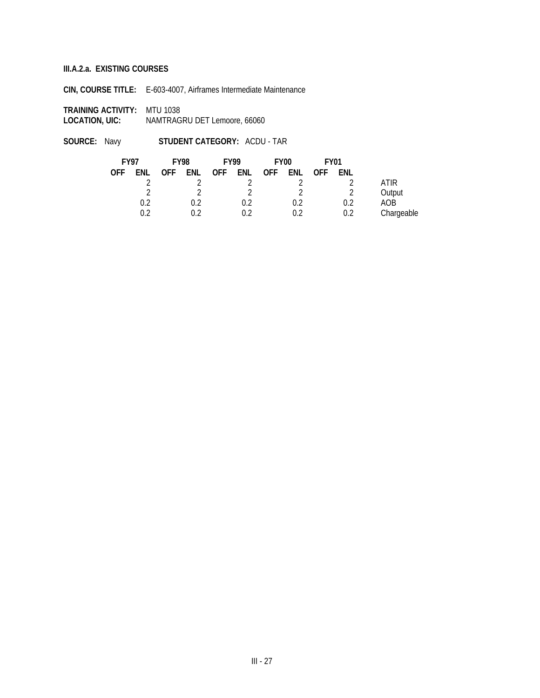**CIN, COURSE TITLE:** E-603-4007, Airframes Intermediate Maintenance

**TRAINING ACTIVITY:** MTU 1038 **LOCATION, UIC:** NAMTRAGRU DET Lemoore, 66060

|            | <b>FY98</b><br><b>FY97</b> |            |     | <b>FY99</b> |     | <b>FY00</b> |     | <b>FY01</b> |     |            |
|------------|----------------------------|------------|-----|-------------|-----|-------------|-----|-------------|-----|------------|
| <b>OFF</b> | ENL                        | <b>OFF</b> | ENL | <b>OFF</b>  | ENL | <b>OFF</b>  | ENL | <b>OFF</b>  | ENL |            |
|            |                            |            |     |             |     |             |     |             |     | ATIR       |
|            |                            |            |     |             |     |             | า   |             |     | Output     |
|            | 0.2                        |            | 0.2 |             | 0.2 |             | 0.2 |             | 0.2 | AOB        |
|            | በ ን                        |            | በ ን |             |     |             | በ ን |             | 0.2 | Chargeable |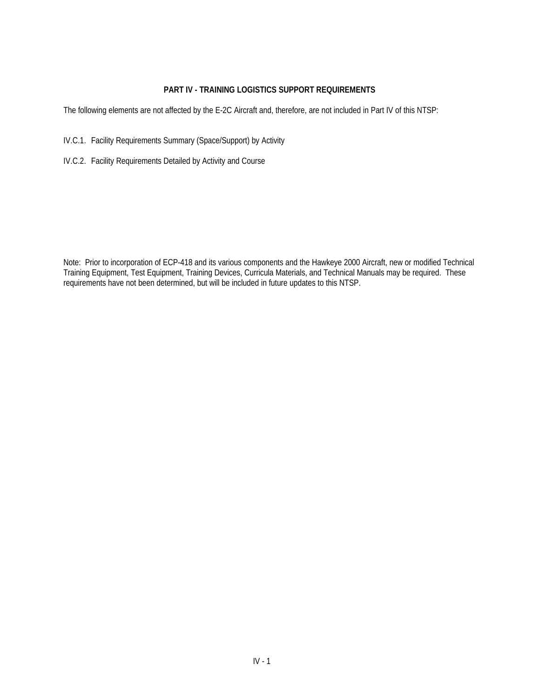# **PART IV - TRAINING LOGISTICS SUPPORT REQUIREMENTS**

The following elements are not affected by the E-2C Aircraft and, therefore, are not included in Part IV of this NTSP:

- IV.C.1. Facility Requirements Summary (Space/Support) by Activity
- IV.C.2. Facility Requirements Detailed by Activity and Course

Note: Prior to incorporation of ECP-418 and its various components and the Hawkeye 2000 Aircraft, new or modified Technical Training Equipment, Test Equipment, Training Devices, Curricula Materials, and Technical Manuals may be required. These requirements have not been determined, but will be included in future updates to this NTSP.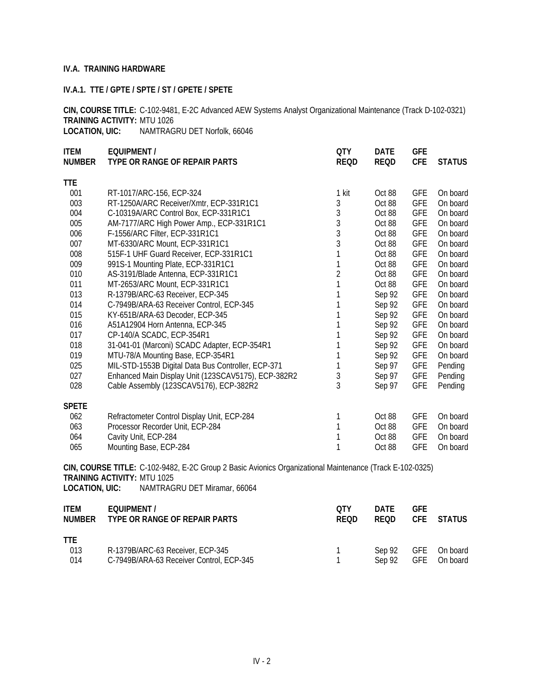### **IV.A. TRAINING HARDWARE**

### **IV.A.1. TTE / GPTE / SPTE / ST / GPETE / SPETE**

**CIN, COURSE TITLE:** C-102-9481, E-2C Advanced AEW Systems Analyst Organizational Maintenance (Track D-102-0321) **TRAINING ACTIVITY:** MTU 1026

**LOCATION, UIC:** NAMTRAGRU DET Norfolk, 66046

| <b>ITEM</b><br><b>NUMBER</b> | <b>EQUIPMENT /</b><br>TYPE OR RANGE OF REPAIR PARTS                                                                                            | <b>QTY</b><br><b>REQD</b> | <b>DATE</b><br><b>REQD</b> | <b>GFE</b><br><b>CFE</b> | <b>STATUS</b> |
|------------------------------|------------------------------------------------------------------------------------------------------------------------------------------------|---------------------------|----------------------------|--------------------------|---------------|
| <b>TTE</b>                   |                                                                                                                                                |                           |                            |                          |               |
| 001                          | RT-1017/ARC-156, ECP-324                                                                                                                       | 1 kit                     | Oct 88                     | <b>GFE</b>               | On board      |
| 003                          | RT-1250A/ARC Receiver/Xmtr, ECP-331R1C1                                                                                                        | 3                         | Oct 88                     | <b>GFE</b>               | On board      |
| 004                          | C-10319A/ARC Control Box, ECP-331R1C1                                                                                                          | $\sqrt{3}$                | Oct 88                     | <b>GFE</b>               | On board      |
| 005                          | AM-7177/ARC High Power Amp., ECP-331R1C1                                                                                                       | 3                         | Oct 88                     | <b>GFE</b>               | On board      |
| 006                          | F-1556/ARC Filter, ECP-331R1C1                                                                                                                 | 3                         | Oct 88                     | <b>GFE</b>               | On board      |
| 007                          | MT-6330/ARC Mount, ECP-331R1C1                                                                                                                 | 3                         | Oct 88                     | <b>GFE</b>               | On board      |
| 008                          | 515F-1 UHF Guard Receiver, ECP-331R1C1                                                                                                         | $\mathbf{1}$              | Oct 88                     | <b>GFE</b>               | On board      |
| 009                          | 991S-1 Mounting Plate, ECP-331R1C1                                                                                                             | $\mathbf 1$               | Oct 88                     | <b>GFE</b>               | On board      |
| 010                          | AS-3191/Blade Antenna, ECP-331R1C1                                                                                                             | $\overline{2}$            | Oct 88                     | <b>GFE</b>               | On board      |
| 011                          | MT-2653/ARC Mount, ECP-331R1C1                                                                                                                 | 1                         | Oct 88                     | <b>GFE</b>               | On board      |
| 013                          | R-1379B/ARC-63 Receiver, ECP-345                                                                                                               | 1                         | Sep 92                     | <b>GFE</b>               | On board      |
| 014                          | C-7949B/ARA-63 Receiver Control, ECP-345                                                                                                       | $\mathbf{1}$              | Sep 92                     | <b>GFE</b>               | On board      |
| 015                          | KY-651B/ARA-63 Decoder, ECP-345                                                                                                                | 1                         | Sep 92                     | <b>GFE</b>               | On board      |
| 016                          | A51A12904 Horn Antenna, ECP-345                                                                                                                | 1                         | Sep 92                     | <b>GFE</b>               | On board      |
| 017                          | CP-140/A SCADC, ECP-354R1                                                                                                                      | 1                         | Sep 92                     | <b>GFE</b>               | On board      |
| 018                          | 31-041-01 (Marconi) SCADC Adapter, ECP-354R1                                                                                                   | 1                         | Sep 92                     | <b>GFE</b>               | On board      |
| 019                          | MTU-78/A Mounting Base, ECP-354R1                                                                                                              | 1                         | Sep 92                     | <b>GFE</b>               | On board      |
| 025                          | MIL-STD-1553B Digital Data Bus Controller, ECP-371                                                                                             | 1                         | Sep 97                     | <b>GFE</b>               | Pending       |
| 027                          | Enhanced Main Display Unit (123SCAV5175), ECP-382R2                                                                                            | 3                         | Sep 97                     | <b>GFE</b>               | Pending       |
| 028                          | Cable Assembly (123SCAV5176), ECP-382R2                                                                                                        | 3                         | Sep 97                     | <b>GFE</b>               | Pending       |
| <b>SPETE</b>                 |                                                                                                                                                |                           |                            |                          |               |
| 062                          | Refractometer Control Display Unit, ECP-284                                                                                                    | 1                         | Oct 88                     | <b>GFE</b>               | On board      |
| 063                          | Processor Recorder Unit, ECP-284                                                                                                               | 1                         | Oct 88                     | <b>GFE</b>               | On board      |
| 064                          | Cavity Unit, ECP-284                                                                                                                           | $\mathbf 1$               | Oct 88                     | <b>GFE</b>               | On board      |
| 065                          | Mounting Base, ECP-284                                                                                                                         | $\mathbf{1}$              | Oct 88                     | <b>GFE</b>               | On board      |
|                              | CIN, COURSE TITLE: C-102-9482, E-2C Group 2 Basic Avionics Organizational Maintenance (Track E-102-0325)<br><b>TRAINING ACTIVITY: MTU 1025</b> |                           |                            |                          |               |
| <b>LOCATION, UIC:</b>        | NAMTRAGRU DET Miramar, 66064                                                                                                                   |                           |                            |                          |               |
| <b>ITEM</b><br><b>NUMBER</b> | <b>EQUIPMENT /</b><br>TYPE OR RANGE OF REPAIR PARTS                                                                                            | <b>QTY</b><br><b>REQD</b> | <b>DATE</b><br><b>REQD</b> | <b>GFE</b><br><b>CFE</b> | <b>STATUS</b> |
| <b>TTE</b><br>013            | R-1379B/ARC-63 Receiver, ECP-345                                                                                                               | 1                         | Sep 92                     | <b>GFE</b>               | On board      |

014 C-7949B/ARA-63 Receiver Control, ECP-345 1 Sep 92 GFE On board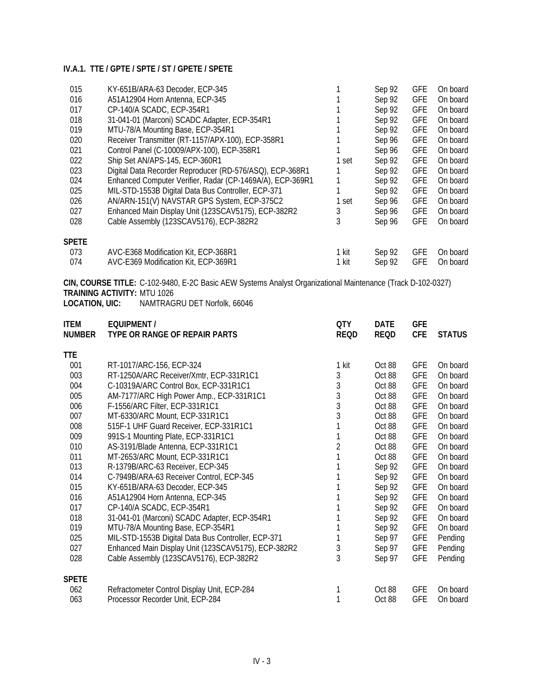| 015          | KY-651B/ARA-63 Decoder, ECP-345                           |       | Sep 92 | <b>GFE</b> | On board |
|--------------|-----------------------------------------------------------|-------|--------|------------|----------|
| 016          | A51A12904 Horn Antenna, ECP-345                           |       | Sep 92 | <b>GFE</b> | On board |
| 017          | CP-140/A SCADC, ECP-354R1                                 |       | Sep 92 | <b>GFE</b> | On board |
| 018          | 31-041-01 (Marconi) SCADC Adapter, ECP-354R1              |       | Sep 92 | <b>GFE</b> | On board |
| 019          | MTU-78/A Mounting Base, ECP-354R1                         |       | Sep 92 | <b>GFE</b> | On board |
| 020          | Receiver Transmitter (RT-1157/APX-100), ECP-358R1         |       | Sep 96 | <b>GFE</b> | On board |
| 021          | Control Panel (C-10009/APX-100), ECP-358R1                |       | Sep 96 | <b>GFE</b> | On board |
| 022          | Ship Set AN/APS-145, ECP-360R1                            | 1 set | Sep 92 | <b>GFE</b> | On board |
| 023          | Digital Data Recorder Reproducer (RD-576/ASQ), ECP-368R1  |       | Sep 92 | <b>GFE</b> | On board |
| 024          | Enhanced Computer Verifier, Radar (CP-1469A/A), ECP-369R1 |       | Sep 92 | <b>GFE</b> | On board |
| 025          | MIL-STD-1553B Digital Data Bus Controller, ECP-371        |       | Sep 92 | <b>GFE</b> | On board |
| 026          | AN/ARN-151(V) NAVSTAR GPS System, ECP-375C2               | 1 set | Sep 96 | <b>GFE</b> | On board |
| 027          | Enhanced Main Display Unit (123SCAV5175), ECP-382R2       | 3     | Sep 96 | <b>GFE</b> | On board |
| 028          | Cable Assembly (123SCAV5176), ECP-382R2                   | 3     | Sep 96 | <b>GFE</b> | On board |
| <b>SPETE</b> |                                                           |       |        |            |          |
| 073          | AVC-E368 Modification Kit, ECP-368R1                      | 1 kit | Sep 92 | <b>GFE</b> | On board |
| 074          | AVC-E369 Modification Kit, ECP-369R1                      | 1 kit | Sep 92 | <b>GFE</b> | On board |

**CIN, COURSE TITLE:** C-102-9480, E-2C Basic AEW Systems Analyst Organizational Maintenance (Track D-102-0327) **TRAINING ACTIVITY:** MTU 1026

**LOCATION, UIC:** NAMTRAGRU DET Norfolk, 66046

| <b>ITEM</b><br><b>NUMBER</b> | <b>EQUIPMENT /</b><br>TYPE OR RANGE OF REPAIR PARTS | <b>QTY</b><br><b>REQD</b> | <b>DATE</b><br><b>REQD</b> | GFE<br><b>CFE</b> | <b>STATUS</b> |
|------------------------------|-----------------------------------------------------|---------------------------|----------------------------|-------------------|---------------|
| TTE                          |                                                     |                           |                            |                   |               |
| 001                          | RT-1017/ARC-156, ECP-324                            | 1 kit                     | Oct 88                     | <b>GFE</b>        | On board      |
| 003                          | RT-1250A/ARC Receiver/Xmtr, ECP-331R1C1             | 3                         | Oct 88                     | <b>GFE</b>        | On board      |
| 004                          | C-10319A/ARC Control Box, ECP-331R1C1               | 3                         | Oct 88                     | <b>GFE</b>        | On board      |
| 005                          | AM-7177/ARC High Power Amp., ECP-331R1C1            | $\mathfrak{Z}$            | Oct 88                     | <b>GFE</b>        | On board      |
| 006                          | F-1556/ARC Filter, ECP-331R1C1                      | 3                         | Oct 88                     | <b>GFE</b>        | On board      |
| 007                          | MT-6330/ARC Mount, ECP-331R1C1                      | 3                         | Oct 88                     | <b>GFE</b>        | On board      |
| 008                          | 515F-1 UHF Guard Receiver, ECP-331R1C1              |                           | Oct 88                     | <b>GFE</b>        | On board      |
| 009                          | 991S-1 Mounting Plate, ECP-331R1C1                  |                           | Oct 88                     | <b>GFE</b>        | On board      |
| 010                          | AS-3191/Blade Antenna, ECP-331R1C1                  | $\overline{2}$            | Oct 88                     | <b>GFE</b>        | On board      |
| 011                          | MT-2653/ARC Mount, ECP-331R1C1                      |                           | Oct 88                     | <b>GFE</b>        | On board      |
| 013                          | R-1379B/ARC-63 Receiver, ECP-345                    |                           | Sep 92                     | <b>GFE</b>        | On board      |
| 014                          | C-7949B/ARA-63 Receiver Control, ECP-345            |                           | Sep 92                     | <b>GFE</b>        | On board      |
| 015                          | KY-651B/ARA-63 Decoder, ECP-345                     |                           | Sep 92                     | <b>GFE</b>        | On board      |
| 016                          | A51A12904 Horn Antenna, ECP-345                     |                           | Sep 92                     | <b>GFE</b>        | On board      |
| 017                          | CP-140/A SCADC, ECP-354R1                           |                           | Sep 92                     | <b>GFE</b>        | On board      |
| 018                          | 31-041-01 (Marconi) SCADC Adapter, ECP-354R1        |                           | Sep 92                     | <b>GFE</b>        | On board      |
| 019                          | MTU-78/A Mounting Base, ECP-354R1                   |                           | Sep 92                     | <b>GFE</b>        | On board      |
| 025                          | MIL-STD-1553B Digital Data Bus Controller, ECP-371  |                           | Sep 97                     | <b>GFE</b>        | Pending       |
| 027                          | Enhanced Main Display Unit (123SCAV5175), ECP-382R2 | 3                         | Sep 97                     | <b>GFE</b>        | Pending       |
| 028                          | Cable Assembly (123SCAV5176), ECP-382R2             | 3                         | Sep 97                     | <b>GFE</b>        | Pending       |
| <b>SPETE</b>                 |                                                     |                           |                            |                   |               |
| 062                          | Refractometer Control Display Unit, ECP-284         |                           | Oct 88                     | <b>GFE</b>        | On board      |
| 063                          | Processor Recorder Unit, ECP-284                    |                           | Oct 88                     | <b>GFE</b>        | On board      |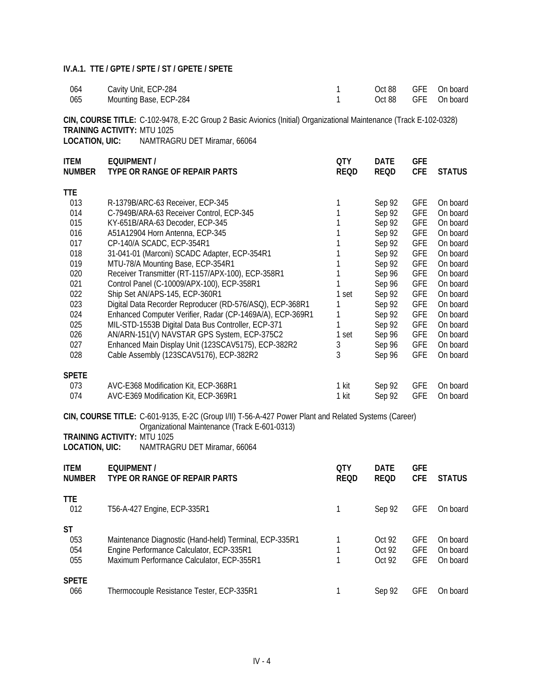| 064 | Cavity Unit, ECP-284   |  | Oct 88 GFE On board |
|-----|------------------------|--|---------------------|
| 065 | Mounting Base, ECP-284 |  | Oct 88 GFE On board |

**CIN, COURSE TITLE:** C-102-9478, E-2C Group 2 Basic Avionics (Initial) Organizational Maintenance (Track E-102-0328) **TRAINING ACTIVITY: MTU 1025<br>LOCATION, UIC: NAMTRAG** 

**LOCATION, UIC:** NAMTRAGRU DET Miramar, 66064

| <b>ITEM</b><br><b>NUMBER</b> | EQUIPMENT /<br>TYPE OR RANGE OF REPAIR PARTS              | <b>QTY</b><br><b>REQD</b> | <b>DATE</b><br><b>REQD</b> | <b>GFE</b><br><b>CFE</b> | <b>STATUS</b> |
|------------------------------|-----------------------------------------------------------|---------------------------|----------------------------|--------------------------|---------------|
| TTE                          |                                                           |                           |                            |                          |               |
| 013                          | R-1379B/ARC-63 Receiver, ECP-345                          |                           | Sep 92                     | <b>GFE</b>               | On board      |
| 014                          | C-7949B/ARA-63 Receiver Control, ECP-345                  |                           | Sep 92                     | <b>GFE</b>               | On board      |
| 015                          | KY-651B/ARA-63 Decoder, ECP-345                           |                           | Sep 92                     | <b>GFE</b>               | On board      |
| 016                          | A51A12904 Horn Antenna, ECP-345                           |                           | Sep 92                     | <b>GFE</b>               | On board      |
| 017                          | CP-140/A SCADC, ECP-354R1                                 |                           | Sep 92                     | <b>GFE</b>               | On board      |
| 018                          | 31-041-01 (Marconi) SCADC Adapter, ECP-354R1              |                           | Sep 92                     | <b>GFE</b>               | On board      |
| 019                          | MTU-78/A Mounting Base, ECP-354R1                         |                           | Sep 92                     | <b>GFE</b>               | On board      |
| 020                          | Receiver Transmitter (RT-1157/APX-100), ECP-358R1         |                           | Sep 96                     | <b>GFE</b>               | On board      |
| 021                          | Control Panel (C-10009/APX-100), ECP-358R1                |                           | Sep 96                     | <b>GFE</b>               | On board      |
| 022                          | Ship Set AN/APS-145, ECP-360R1                            | 1 set                     | Sep 92                     | <b>GFE</b>               | On board      |
| 023                          | Digital Data Recorder Reproducer (RD-576/ASQ), ECP-368R1  |                           | Sep 92                     | <b>GFE</b>               | On board      |
| 024                          | Enhanced Computer Verifier, Radar (CP-1469A/A), ECP-369R1 |                           | Sep 92                     | <b>GFE</b>               | On board      |
| 025                          | MIL-STD-1553B Digital Data Bus Controller, ECP-371        |                           | Sep 92                     | <b>GFE</b>               | On board      |
| 026                          | AN/ARN-151(V) NAVSTAR GPS System, ECP-375C2               | 1 set                     | Sep 96                     | <b>GFE</b>               | On board      |
| 027                          | Enhanced Main Display Unit (123SCAV5175), ECP-382R2       | 3                         | Sep 96                     | <b>GFE</b>               | On board      |
| 028                          | Cable Assembly (123SCAV5176), ECP-382R2                   | 3                         | Sep 96                     | <b>GFE</b>               | On board      |
| <b>SPETE</b>                 |                                                           |                           |                            |                          |               |
| 073                          | AVC-E368 Modification Kit, ECP-368R1                      | 1 kit                     | Sep 92                     | <b>GFE</b>               | On board      |
| 074                          | AVC-E369 Modification Kit, ECP-369R1                      | 1 kit                     | Sep 92                     | <b>GFE</b>               | On board      |

**CIN, COURSE TITLE:** C-601-9135, E-2C (Group I/II) T-56-A-427 Power Plant and Related Systems (Career) Organizational Maintenance (Track E-601-0313)

**TRAINING ACTIVITY: MTU 1025<br>LOCATION, UIC: NAMTRAG** 

**LOCATION, UIC:** NAMTRAGRU DET Miramar, 66064

| <b>ITEM</b><br><b>NUMBER</b> | EQUIPMENT /<br>TYPE OR RANGE OF REPAIR PARTS                                                                                                    | <b>OTY</b><br><b>REQD</b> | <b>DATE</b><br><b>REQD</b> | <b>GFE</b><br><b>CFE</b>               | <b>STATUS</b>                    |
|------------------------------|-------------------------------------------------------------------------------------------------------------------------------------------------|---------------------------|----------------------------|----------------------------------------|----------------------------------|
| <b>TTE</b><br>012            | T56-A-427 Engine, ECP-335R1                                                                                                                     |                           | Sep 92                     | <b>GFE</b>                             | On board                         |
| ST<br>053<br>054<br>055      | Maintenance Diagnostic (Hand-held) Terminal, ECP-335R1<br>Engine Performance Calculator, ECP-335R1<br>Maximum Performance Calculator, ECP-355R1 |                           | Oct 92<br>Oct 92<br>Oct 92 | <b>GFE</b><br><b>GFE</b><br><b>GFE</b> | On board<br>On board<br>On board |
| <b>SPETE</b><br>066          | Thermocouple Resistance Tester, ECP-335R1                                                                                                       |                           | Sep 92                     | GFE                                    | On board                         |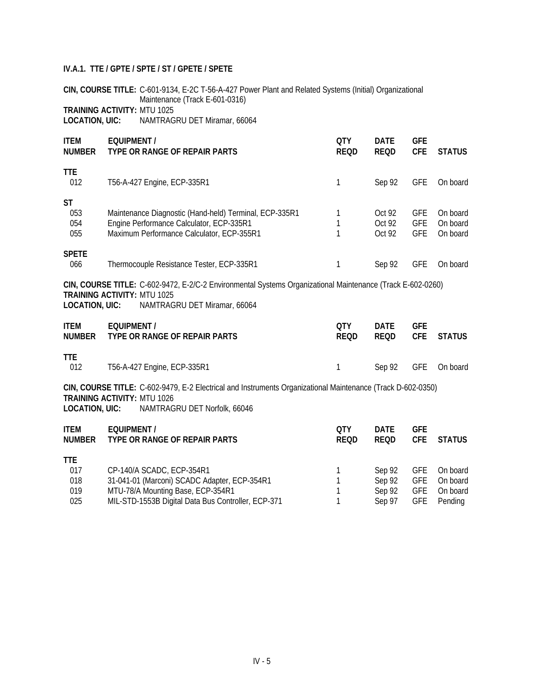**CIN, COURSE TITLE:** C-601-9134, E-2C T-56-A-427 Power Plant and Related Systems (Initial) Organizational Maintenance (Track E-601-0316) **TRAINING ACTIVITY:** MTU 1025

**LOCATION, UIC:** NAMTRAGRU DET Miramar, 66064

| <b>ITEM</b><br><b>NUMBER</b>                                                                                                                      | <b>EQUIPMENT /</b><br>TYPE OR RANGE OF REPAIR PARTS                                                                                                                              | <b>QTY</b><br><b>REQD</b> | <b>DATE</b><br><b>REQD</b> | <b>GFE</b><br><b>CFE</b>               | <b>STATUS</b>                    |  |  |
|---------------------------------------------------------------------------------------------------------------------------------------------------|----------------------------------------------------------------------------------------------------------------------------------------------------------------------------------|---------------------------|----------------------------|----------------------------------------|----------------------------------|--|--|
| <b>TTE</b><br>012                                                                                                                                 | T56-A-427 Engine, ECP-335R1                                                                                                                                                      | 1                         | Sep 92                     | <b>GFE</b>                             | On board                         |  |  |
| <b>ST</b><br>053<br>054<br>055                                                                                                                    | Maintenance Diagnostic (Hand-held) Terminal, ECP-335R1<br>Engine Performance Calculator, ECP-335R1<br>Maximum Performance Calculator, ECP-355R1                                  | 1<br>1                    | Oct 92<br>Oct 92<br>Oct 92 | <b>GFE</b><br><b>GFE</b><br><b>GFE</b> | On board<br>On board<br>On board |  |  |
| <b>SPETE</b><br>066                                                                                                                               | Thermocouple Resistance Tester, ECP-335R1                                                                                                                                        | 1                         | Sep 92                     | <b>GFE</b>                             | On board                         |  |  |
| LOCATION, UIC:                                                                                                                                    | CIN, COURSE TITLE: C-602-9472, E-2/C-2 Environmental Systems Organizational Maintenance (Track E-602-0260)<br><b>TRAINING ACTIVITY: MTU 1025</b><br>NAMTRAGRU DET Miramar, 66064 |                           |                            |                                        |                                  |  |  |
| <b>ITEM</b><br><b>NUMBER</b>                                                                                                                      | <b>EQUIPMENT /</b><br>TYPE OR RANGE OF REPAIR PARTS                                                                                                                              | 0TY<br><b>REQD</b>        | <b>DATE</b><br><b>REQD</b> | <b>GFE</b><br><b>CFE</b>               | <b>STATUS</b>                    |  |  |
| <b>TTE</b><br>012                                                                                                                                 | T56-A-427 Engine, ECP-335R1                                                                                                                                                      | 1                         | Sep 92                     | <b>GFE</b>                             | On board                         |  |  |
| CIN, COURSE TITLE: C-602-9479, E-2 Electrical and Instruments Organizational Maintenance (Track D-602-0350)<br><b>TRAINING ACTIVITY: MTU 1026</b> |                                                                                                                                                                                  |                           |                            |                                        |                                  |  |  |

**LOCATION, UIC:** NAMTRAGRU DET Norfolk, 66046

| <b>ITEM</b><br><b>NUMBER</b> | EQUIPMENT /<br>TYPE OR RANGE OF REPAIR PARTS       | 0TY<br><b>REOD</b> | <b>DATE</b><br><b>REQD</b> | <b>GFE</b><br><b>CFF</b> | <b>STATUS</b> |
|------------------------------|----------------------------------------------------|--------------------|----------------------------|--------------------------|---------------|
| <b>TTE</b>                   |                                                    |                    |                            |                          |               |
| 017                          | CP-140/A SCADC, ECP-354R1                          |                    | Sep 92                     |                          | GFE On board  |
| 018                          | 31-041-01 (Marconi) SCADC Adapter, ECP-354R1       |                    | Sep 92                     | GFE                      | On board      |
| 019                          | MTU-78/A Mounting Base, ECP-354R1                  |                    | Sep 92                     | GFE                      | On board      |
| 025                          | MIL-STD-1553B Digital Data Bus Controller, ECP-371 |                    | Sep 97                     | GFE                      | Pending       |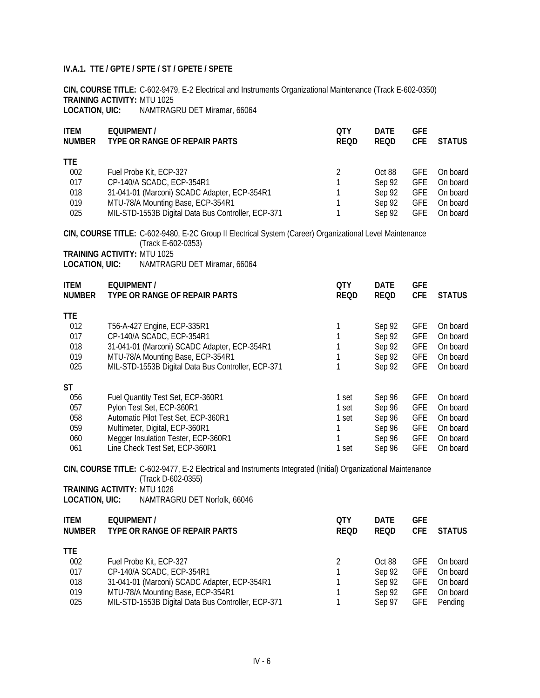**CIN, COURSE TITLE:** C-602-9479, E-2 Electrical and Instruments Organizational Maintenance (Track E-602-0350) **TRAINING ACTIVITY:** MTU 1025

**LOCATION, UIC:** NAMTRAGRU DET Miramar, 66064

| <b>ITEM</b><br><b>NUMBER</b>                        | <b>EQUIPMENT /</b><br>TYPE OR RANGE OF REPAIR PARTS                                                                                                                                                              | <b>QTY</b><br><b>REQD</b>                     | <b>DATE</b><br><b>REQD</b>                               | <b>GFE</b><br><b>CFE</b>                                                         | <b>STATUS</b>                                                        |
|-----------------------------------------------------|------------------------------------------------------------------------------------------------------------------------------------------------------------------------------------------------------------------|-----------------------------------------------|----------------------------------------------------------|----------------------------------------------------------------------------------|----------------------------------------------------------------------|
| <b>TTE</b><br>002<br>017<br>018<br>019<br>025       | Fuel Probe Kit, ECP-327<br>CP-140/A SCADC, ECP-354R1<br>31-041-01 (Marconi) SCADC Adapter, ECP-354R1<br>MTU-78/A Mounting Base, ECP-354R1<br>MIL-STD-1553B Digital Data Bus Controller, ECP-371                  | $\overline{2}$<br>1<br>1<br>$\mathbf{1}$<br>1 | Oct 88<br>Sep 92<br>Sep 92<br>Sep 92<br>Sep 92           | <b>GFE</b><br><b>GFE</b><br><b>GFE</b><br><b>GFE</b><br><b>GFE</b>               | On board<br>On board<br>On board<br>On board<br>On board             |
|                                                     | CIN, COURSE TITLE: C-602-9480, E-2C Group II Electrical System (Career) Organizational Level Maintenance<br>(Track E-602-0353)<br><b>TRAINING ACTIVITY: MTU 1025</b>                                             |                                               |                                                          |                                                                                  |                                                                      |
| LOCATION, UIC:<br><b>ITEM</b><br><b>NUMBER</b>      | NAMTRAGRU DET Miramar, 66064<br><b>EQUIPMENT /</b><br>TYPE OR RANGE OF REPAIR PARTS                                                                                                                              | <b>QTY</b><br><b>REQD</b>                     | <b>DATE</b><br><b>REQD</b>                               | <b>GFE</b><br><b>CFE</b>                                                         | <b>STATUS</b>                                                        |
| <b>TTE</b><br>012<br>017<br>018<br>019<br>025       | T56-A-427 Engine, ECP-335R1<br>CP-140/A SCADC, ECP-354R1<br>31-041-01 (Marconi) SCADC Adapter, ECP-354R1<br>MTU-78/A Mounting Base, ECP-354R1<br>MIL-STD-1553B Digital Data Bus Controller, ECP-371              | 1<br>1<br>1<br>1<br>1                         | Sep 92<br>Sep 92<br>Sep 92<br>Sep 92<br>Sep 92           | <b>GFE</b><br><b>GFE</b><br><b>GFE</b><br><b>GFE</b><br><b>GFE</b>               | On board<br>On board<br>On board<br>On board<br>On board             |
| <b>ST</b><br>056<br>057<br>058<br>059<br>060<br>061 | Fuel Quantity Test Set, ECP-360R1<br>Pylon Test Set, ECP-360R1<br>Automatic Pilot Test Set, ECP-360R1<br>Multimeter, Digital, ECP-360R1<br>Megger Insulation Tester, ECP-360R1<br>Line Check Test Set, ECP-360R1 | 1 set<br>1 set<br>1 set<br>1<br>1<br>1 set    | Sep 96<br>Sep 96<br>Sep 96<br>Sep 96<br>Sep 96<br>Sep 96 | <b>GFE</b><br><b>GFE</b><br><b>GFE</b><br><b>GFE</b><br><b>GFE</b><br><b>GFE</b> | On board<br>On board<br>On board<br>On board<br>On board<br>On board |
| <b>LOCATION, UIC:</b>                               | CIN, COURSE TITLE: C-602-9477, E-2 Electrical and Instruments Integrated (Initial) Organizational Maintenance<br>(Track D-602-0355)<br><b>TRAINING ACTIVITY: MTU 1026</b><br>NAMTRAGRU DET Norfolk, 66046        |                                               |                                                          |                                                                                  |                                                                      |
| <b>ITEM</b><br><b>NUMBER</b>                        | <b>EQUIPMENT /</b><br>TYPE OR RANGE OF REPAIR PARTS                                                                                                                                                              | <b>QTY</b><br><b>REQD</b>                     | <b>DATE</b><br>REQD                                      | <b>GFE</b><br><b>CFE</b>                                                         | <b>STATUS</b>                                                        |
| <b>TTE</b><br>002<br>017<br>018<br>019<br>025       | Fuel Probe Kit, ECP-327<br>CP-140/A SCADC, ECP-354R1<br>31-041-01 (Marconi) SCADC Adapter, ECP-354R1<br>MTU-78/A Mounting Base, ECP-354R1<br>MIL-STD-1553B Digital Data Bus Controller, ECP-371                  | 2<br>1<br>1<br>1<br>1                         | Oct 88<br>Sep 92<br>Sep 92<br>Sep 92<br>Sep 97           | <b>GFE</b><br><b>GFE</b><br><b>GFE</b><br><b>GFE</b><br><b>GFE</b>               | On board<br>On board<br>On board<br>On board<br>Pending              |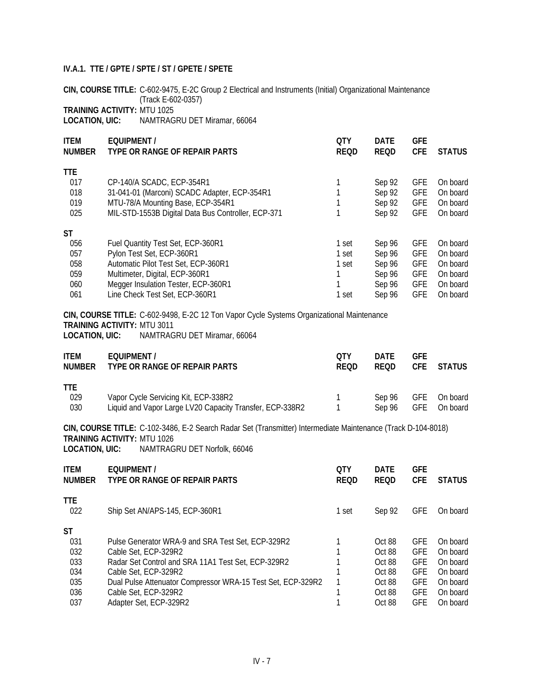**CIN, COURSE TITLE:** C-602-9475, E-2C Group 2 Electrical and Instruments (Initial) Organizational Maintenance (Track E-602-0357)

# **TRAINING ACTIVITY:** MTU 1025

**LOCATION, UIC:** NAMTRAGRU DET Miramar, 66064

| <b>ITEM</b><br><b>NUMBER</b> | <b>EQUIPMENT /</b><br>TYPE OR RANGE OF REPAIR PARTS | <b>OTY</b><br><b>REQD</b> | <b>DATE</b><br><b>REQD</b> | <b>GFE</b><br><b>CFE</b> | <b>STATUS</b> |
|------------------------------|-----------------------------------------------------|---------------------------|----------------------------|--------------------------|---------------|
| <b>TTE</b>                   |                                                     |                           |                            |                          |               |
| 017                          | CP-140/A SCADC, ECP-354R1                           |                           | Sep 92                     | <b>GFE</b>               | On board      |
| 018                          | 31-041-01 (Marconi) SCADC Adapter, ECP-354R1        |                           | Sep 92                     | <b>GFE</b>               | On board      |
| 019                          | MTU-78/A Mounting Base, ECP-354R1                   |                           | Sep 92                     | <b>GFE</b>               | On board      |
| 025                          | MIL-STD-1553B Digital Data Bus Controller, ECP-371  |                           | Sep 92                     | <b>GFE</b>               | On board      |
| ST                           |                                                     |                           |                            |                          |               |
| 056                          | Fuel Quantity Test Set, ECP-360R1                   | 1 set                     | Sep 96                     | <b>GFE</b>               | On board      |
| 057                          | Pylon Test Set, ECP-360R1                           | 1 set                     | Sep 96                     | <b>GFE</b>               | On board      |
| 058                          | Automatic Pilot Test Set, ECP-360R1                 | 1 set                     | Sep 96                     | <b>GFE</b>               | On board      |
| 059                          | Multimeter, Digital, ECP-360R1                      |                           | Sep 96                     | <b>GFE</b>               | On board      |
| 060                          | Megger Insulation Tester, ECP-360R1                 |                           | Sep 96                     | <b>GFE</b>               | On board      |
| 061                          | Line Check Test Set, ECP-360R1                      | set                       | Sep 96                     | <b>GFE</b>               | On board      |

# **CIN, COURSE TITLE:** C-602-9498, E-2C 12 Ton Vapor Cycle Systems Organizational Maintenance **TRAINING ACTIVITY:** MTU 3011

**LOCATION, UIC:** NAMTRAGRU DET Miramar, 66064

| <b>ITEM</b><br><b>NUMBER</b> | <b>FOUIPMENT/</b><br>TYPE OR RANGE OF REPAIR PARTS       | OTY<br><b>REOD</b> | <b>DATF</b><br><b>REOD</b> | <b>GFF</b> | CFE STATUS          |
|------------------------------|----------------------------------------------------------|--------------------|----------------------------|------------|---------------------|
| <b>TTF</b>                   |                                                          |                    |                            |            |                     |
| 029                          | Vapor Cycle Servicing Kit, ECP-338R2                     |                    |                            |            | Sep 96 GFE On board |
| 030                          | Liquid and Vapor Large LV20 Capacity Transfer, ECP-338R2 |                    | Sep 96                     | GFE        | On board            |

#### **CIN, COURSE TITLE:** C-102-3486, E-2 Search Radar Set (Transmitter) Intermediate Maintenance (Track D-104-8018) **TRAINING ACTIVITY:** MTU 1026 **LOCATION, UIC:** NAMTRAGRU DET Norfolk, 66046

| <b>ITEM</b><br><b>NUMBER</b> | EQUIPMENT /<br>TYPE OR RANGE OF REPAIR PARTS                | 0TY<br><b>REQD</b> | <b>DATE</b><br><b>REQD</b> | <b>GFE</b><br><b>CFE</b> | <b>STATUS</b> |
|------------------------------|-------------------------------------------------------------|--------------------|----------------------------|--------------------------|---------------|
| TTE.<br>022                  | Ship Set AN/APS-145, ECP-360R1                              | 1 set              | Sep 92                     | <b>GFE</b>               | On board      |
| ST                           |                                                             |                    |                            |                          |               |
| 031                          | Pulse Generator WRA-9 and SRA Test Set. ECP-329R2           |                    | Oct 88                     | <b>GFE</b>               | On board      |
| 032                          | Cable Set, ECP-329R2                                        |                    | $Oct$ 88                   | <b>GFE</b>               | On board      |
| 033                          | Radar Set Control and SRA 11A1 Test Set, ECP-329R2          |                    | Oct 88                     | <b>GFE</b>               | On board      |
| 034                          | Cable Set. ECP-329R2                                        |                    | Oct 88                     | <b>GFE</b>               | On board      |
| 035                          | Dual Pulse Attenuator Compressor WRA-15 Test Set, ECP-329R2 |                    | Oct 88                     | <b>GFE</b>               | On board      |
| 036                          | Cable Set, ECP-329R2                                        |                    | Oct 88                     | <b>GFE</b>               | On board      |
| 037                          | Adapter Set. ECP-329R2                                      |                    | Oct 88                     | <b>GFE</b>               | On board      |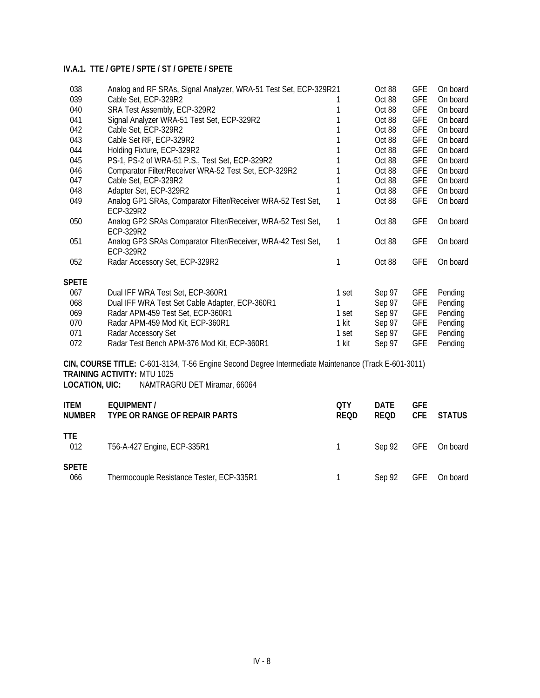| 038                                                                                                                                        | Analog and RF SRAs, Signal Analyzer, WRA-51 Test Set, ECP-329R21          |       | Oct 88 | <b>GFE</b> | On board |  |  |
|--------------------------------------------------------------------------------------------------------------------------------------------|---------------------------------------------------------------------------|-------|--------|------------|----------|--|--|
| 039                                                                                                                                        | Cable Set, ECP-329R2                                                      |       | Oct 88 | <b>GFE</b> | On board |  |  |
| 040                                                                                                                                        | SRA Test Assembly, ECP-329R2                                              |       | Oct 88 | <b>GFE</b> | On board |  |  |
| 041                                                                                                                                        | Signal Analyzer WRA-51 Test Set, ECP-329R2                                |       | Oct 88 | <b>GFE</b> | On board |  |  |
| 042                                                                                                                                        | Cable Set, ECP-329R2                                                      |       | Oct 88 | <b>GFE</b> | On board |  |  |
| 043                                                                                                                                        | Cable Set RF, ECP-329R2                                                   |       | Oct 88 | <b>GFE</b> | On board |  |  |
| 044                                                                                                                                        | Holding Fixture, ECP-329R2                                                |       | Oct 88 | <b>GFE</b> | On board |  |  |
| 045                                                                                                                                        | PS-1, PS-2 of WRA-51 P.S., Test Set, ECP-329R2                            |       | Oct 88 | <b>GFE</b> | On board |  |  |
| 046                                                                                                                                        | Comparator Filter/Receiver WRA-52 Test Set, ECP-329R2                     |       | Oct 88 | <b>GFE</b> | On board |  |  |
| 047                                                                                                                                        | Cable Set, ECP-329R2                                                      |       | Oct 88 | <b>GFE</b> | On board |  |  |
| 048                                                                                                                                        | Adapter Set, ECP-329R2                                                    |       | Oct 88 | <b>GFE</b> | On board |  |  |
| 049                                                                                                                                        | Analog GP1 SRAs, Comparator Filter/Receiver WRA-52 Test Set,<br>ECP-329R2 | 1     | Oct 88 | <b>GFE</b> | On board |  |  |
| 050                                                                                                                                        | Analog GP2 SRAs Comparator Filter/Receiver, WRA-52 Test Set,<br>ECP-329R2 | 1     | Oct 88 | <b>GFE</b> | On board |  |  |
| 051                                                                                                                                        | Analog GP3 SRAs Comparator Filter/Receiver, WRA-42 Test Set,<br>ECP-329R2 | 1     | Oct 88 | <b>GFE</b> | On board |  |  |
| 052                                                                                                                                        | Radar Accessory Set, ECP-329R2                                            | 1     | Oct 88 | <b>GFE</b> | On board |  |  |
| <b>SPETE</b>                                                                                                                               |                                                                           |       |        |            |          |  |  |
| 067                                                                                                                                        | Dual IFF WRA Test Set, ECP-360R1                                          | 1 set | Sep 97 | <b>GFE</b> | Pending  |  |  |
| 068                                                                                                                                        | Dual IFF WRA Test Set Cable Adapter, ECP-360R1                            |       | Sep 97 | <b>GFE</b> | Pending  |  |  |
| 069                                                                                                                                        | Radar APM-459 Test Set, ECP-360R1                                         | 1 set | Sep 97 | <b>GFE</b> | Pending  |  |  |
| 070                                                                                                                                        | Radar APM-459 Mod Kit, ECP-360R1                                          | 1 kit | Sep 97 | <b>GFE</b> | Pending  |  |  |
| 071                                                                                                                                        | Radar Accessory Set                                                       | 1 set | Sep 97 | <b>GFE</b> | Pending  |  |  |
| 072                                                                                                                                        | Radar Test Bench APM-376 Mod Kit, ECP-360R1                               | 1 kit | Sep 97 | <b>GFE</b> | Pending  |  |  |
| CIN, COURSE TITLE: C-601-3134, T-56 Engine Second Degree Intermediate Maintenance (Track E-601-3011)<br><b>TRAINING ACTIVITY: MTU 1025</b> |                                                                           |       |        |            |          |  |  |

**LOCATION, UIC:** NAMTRAGRU DET Miramar, 66064

| <b>ITEM</b><br><b>NUMBER</b> | EQUIPMENT /<br>TYPE OR RANGE OF REPAIR PARTS | 0TY<br><b>REQD</b> | <b>DATE</b><br>REQD | <b>GFE</b><br><b>CFE</b> | <b>STATUS</b> |
|------------------------------|----------------------------------------------|--------------------|---------------------|--------------------------|---------------|
| <b>TTE</b><br>012            | T56-A-427 Engine, ECP-335R1                  |                    | Sep 92 GFE On board |                          |               |
| <b>SPETE</b><br>066          | Thermocouple Resistance Tester, ECP-335R1    |                    | Sep 92              |                          | GFE On board  |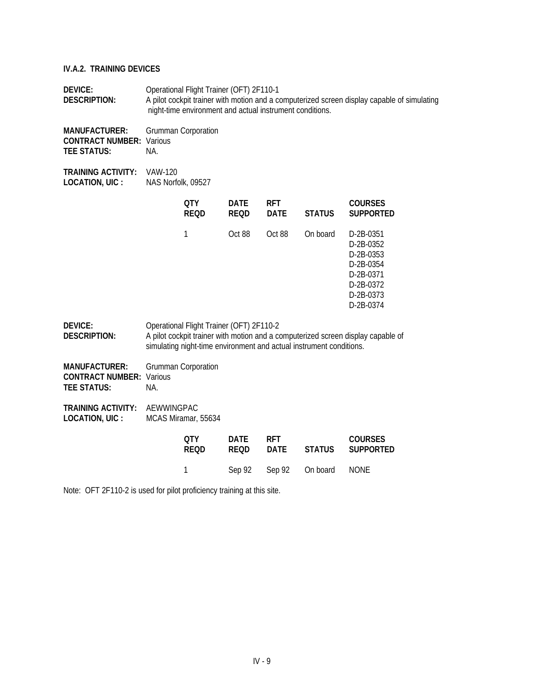**DEVICE:** Operational Flight Trainer (OFT) 2F110-1 **DESCRIPTION:** A pilot cockpit trainer with motion and a computerized screen display capable of simulating night-time environment and actual instrument conditions.

**MANUFACTURER:** Grumman Corporation **CONTRACT NUMBER:** Various **TEE STATUS:** NA.

**TRAINING ACTIVITY:** VAW-120 LOCATION, UIC : NAS Norfolk, 09527

|                                                                |                | OTY<br><b>REQD</b>                       | <b>DATE</b><br><b>REQD</b> | <b>RFT</b><br><b>DATE</b> | <b>STATUS</b>                                                       | <b>COURSES</b><br><b>SUPPORTED</b>                                                                                  |
|----------------------------------------------------------------|----------------|------------------------------------------|----------------------------|---------------------------|---------------------------------------------------------------------|---------------------------------------------------------------------------------------------------------------------|
|                                                                |                | 1                                        | Oct 88                     | Oct 88                    | On board                                                            | D-2B-0351<br>$D-2B-0.352$<br>$D-2B-0.353$<br>$D-2B-0.354$<br>$D-2B-0371$<br>$D-2B-0372$<br>$D-2B-0373$<br>D-2B-0374 |
| DEVICE:<br>DESCRIPTION:                                        |                | Operational Flight Trainer (OFT) 2F110-2 |                            |                           | simulating night-time environment and actual instrument conditions. | A pilot cockpit trainer with motion and a computerized screen display capable of                                    |
| <b>MANUFACTURER:</b><br>CONTRACT NUMBER:<br><b>TEE STATUS:</b> | Various<br>NA. | <b>Grumman Corporation</b>               |                            |                           |                                                                     |                                                                                                                     |

**TRAINING ACTIVITY:** AEWWINGPAC **LOCATION, UIC :** MCAS Miramar, 55634

| 0TY            | DATE        | <b>RFT</b> |                             | <b>COURSES</b>   |
|----------------|-------------|------------|-----------------------------|------------------|
| <b>REOD</b>    | <b>REOD</b> | DATE       |                             | STATUS SUPPORTED |
| $\overline{1}$ |             |            | Sep 92 Sep 92 On board NONE |                  |

Note: OFT 2F110-2 is used for pilot proficiency training at this site.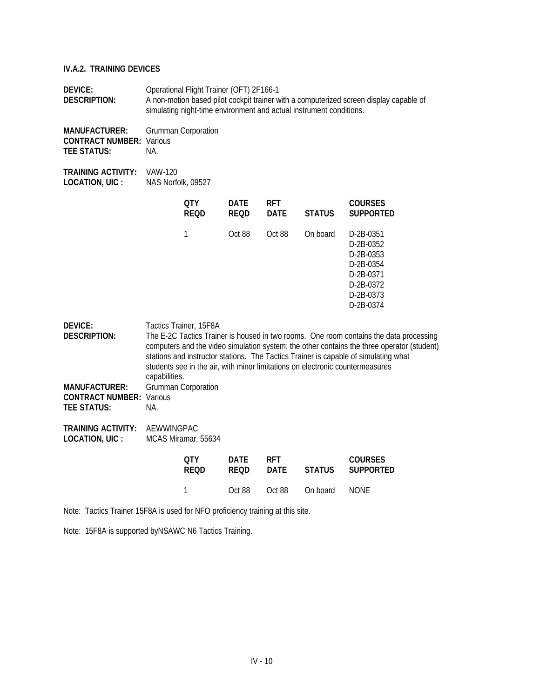| <b>DEVICE:</b><br><b>DESCRIPTION:</b>                                                            | Operational Flight Trainer (OFT) 2F166-1<br>A non-motion based pilot cockpit trainer with a computerized screen display capable of<br>simulating night-time environment and actual instrument conditions. |                                               |                            |                           |               |                                                                                                                                                                                                                                                                                                                                                              |
|--------------------------------------------------------------------------------------------------|-----------------------------------------------------------------------------------------------------------------------------------------------------------------------------------------------------------|-----------------------------------------------|----------------------------|---------------------------|---------------|--------------------------------------------------------------------------------------------------------------------------------------------------------------------------------------------------------------------------------------------------------------------------------------------------------------------------------------------------------------|
| <b>MANUFACTURER:</b><br><b>CONTRACT NUMBER: Various</b><br><b>TEE STATUS:</b>                    | NA.                                                                                                                                                                                                       | <b>Grumman Corporation</b>                    |                            |                           |               |                                                                                                                                                                                                                                                                                                                                                              |
| <b>TRAINING ACTIVITY:</b><br>LOCATION, UIC :                                                     | VAW-120<br>NAS Norfolk, 09527                                                                                                                                                                             |                                               |                            |                           |               |                                                                                                                                                                                                                                                                                                                                                              |
|                                                                                                  |                                                                                                                                                                                                           | <b>QTY</b><br><b>REQD</b>                     | <b>DATE</b><br><b>REQD</b> | <b>RFT</b><br><b>DATE</b> | <b>STATUS</b> | <b>COURSES</b><br><b>SUPPORTED</b>                                                                                                                                                                                                                                                                                                                           |
|                                                                                                  |                                                                                                                                                                                                           | $\mathbf{1}$                                  | Oct 88                     | Oct 88                    | On board      | D-2B-0351<br>D-2B-0352<br>D-2B-0353<br>D-2B-0354<br>D-2B-0371<br>D-2B-0372<br>D-2B-0373<br>D-2B-0374                                                                                                                                                                                                                                                         |
| <b>DEVICE:</b><br><b>DESCRIPTION:</b><br><b>MANUFACTURER:</b><br><b>CONTRACT NUMBER: Various</b> | capabilities.                                                                                                                                                                                             | Tactics Trainer, 15F8A<br>Grumman Corporation |                            |                           |               | The E-2C Tactics Trainer is housed in two rooms. One room contains the data processing<br>computers and the video simulation system; the other contains the three operator (student)<br>stations and instructor stations. The Tactics Trainer is capable of simulating what<br>students see in the air, with minor limitations on electronic countermeasures |
| <b>TEE STATUS:</b>                                                                               | NA.                                                                                                                                                                                                       |                                               |                            |                           |               |                                                                                                                                                                                                                                                                                                                                                              |
| <b>TRAINING ACTIVITY:</b><br>LOCATION, UIC :                                                     | AEWWINGPAC                                                                                                                                                                                                | MCAS Miramar, 55634                           |                            |                           |               |                                                                                                                                                                                                                                                                                                                                                              |
|                                                                                                  |                                                                                                                                                                                                           | <b>QTY</b><br><b>REQD</b>                     | <b>DATE</b><br><b>REQD</b> | <b>RFT</b><br><b>DATE</b> | <b>STATUS</b> | <b>COURSES</b><br><b>SUPPORTED</b>                                                                                                                                                                                                                                                                                                                           |
|                                                                                                  |                                                                                                                                                                                                           | 1                                             | Oct 88                     | Oct 88                    | On board      | <b>NONE</b>                                                                                                                                                                                                                                                                                                                                                  |
|                                                                                                  |                                                                                                                                                                                                           |                                               |                            |                           |               |                                                                                                                                                                                                                                                                                                                                                              |

Note: Tactics Trainer 15F8A is used for NFO proficiency training at this site.

Note: 15F8A is supported byNSAWC N6 Tactics Training.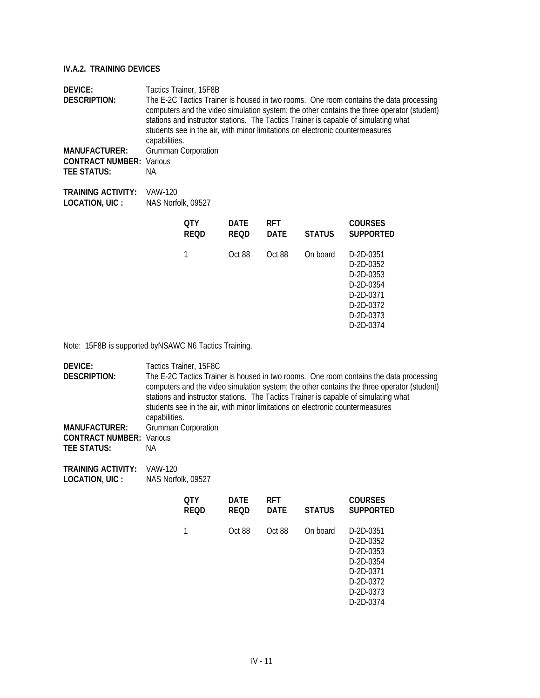| <b>DEVICE:</b><br><b>DESCRIPTION:</b><br><b>MANUFACTURER:</b><br><b>CONTRACT NUMBER: Various</b><br><b>TEE STATUS:</b> | Tactics Trainer, 15F8B<br>The E-2C Tactics Trainer is housed in two rooms. One room contains the data processing<br>computers and the video simulation system; the other contains the three operator (student)<br>stations and instructor stations. The Tactics Trainer is capable of simulating what<br>students see in the air, with minor limitations on electronic countermeasures<br>capabilities.<br><b>Grumman Corporation</b><br>ΝA |                           |                            |                           |               |                                                                                            |
|------------------------------------------------------------------------------------------------------------------------|---------------------------------------------------------------------------------------------------------------------------------------------------------------------------------------------------------------------------------------------------------------------------------------------------------------------------------------------------------------------------------------------------------------------------------------------|---------------------------|----------------------------|---------------------------|---------------|--------------------------------------------------------------------------------------------|
| <b>TRAINING ACTIVITY:</b><br>LOCATION, UIC :                                                                           | VAW-120<br>NAS Norfolk, 09527                                                                                                                                                                                                                                                                                                                                                                                                               |                           |                            |                           |               |                                                                                            |
|                                                                                                                        |                                                                                                                                                                                                                                                                                                                                                                                                                                             | <b>OTY</b><br><b>REQD</b> | <b>DATE</b><br><b>REQD</b> | <b>RFT</b><br><b>DATE</b> | <b>STATUS</b> | <b>COURSES</b><br><b>SUPPORTED</b>                                                         |
|                                                                                                                        |                                                                                                                                                                                                                                                                                                                                                                                                                                             | 1                         | Oct 88                     | Oct 88                    | On board      | D-2D-0351<br>D-2D-0352<br>$D-2D-0.353$<br>D-2D-0354<br>D-2D-0371<br>D-2D-0372<br>D-2D-0373 |

D-2D-0374

Note: 15F8B is supported byNSAWC N6 Tactics Training.

| DEVICE:<br><b>DESCRIPTION:</b><br><b>MANUFACTURER:</b><br><b>CONTRACT NUMBER:</b><br><b>TEE STATUS:</b> | capabilities.<br>Various<br>NA. | Tactics Trainer, 15F8C<br>The E-2C Tactics Trainer is housed in two rooms. One room contains the data processing<br>computers and the video simulation system; the other contains the three operator (student)<br>stations and instructor stations. The Tactics Trainer is capable of simulating what<br>students see in the air, with minor limitations on electronic countermeasures<br><b>Grumman Corporation</b> |             |             |               |                                                                                                      |  |
|---------------------------------------------------------------------------------------------------------|---------------------------------|----------------------------------------------------------------------------------------------------------------------------------------------------------------------------------------------------------------------------------------------------------------------------------------------------------------------------------------------------------------------------------------------------------------------|-------------|-------------|---------------|------------------------------------------------------------------------------------------------------|--|
| <b>TRAINING ACTIVITY:</b><br>LOCATION, UIC :                                                            | VAW-120<br>NAS Norfolk, 09527   | <b>QTY</b>                                                                                                                                                                                                                                                                                                                                                                                                           | <b>DATE</b> | <b>RFT</b>  |               | <b>COURSES</b>                                                                                       |  |
|                                                                                                         |                                 | REOD                                                                                                                                                                                                                                                                                                                                                                                                                 | <b>REQD</b> | <b>DATE</b> | <b>STATUS</b> | <b>SUPPORTED</b>                                                                                     |  |
|                                                                                                         |                                 | 1                                                                                                                                                                                                                                                                                                                                                                                                                    | Oct 88      | Oct 88      | On board      | D-2D-0351<br>D-2D-0352<br>D-2D-0353<br>D-2D-0354<br>D-2D-0371<br>D-2D-0372<br>D-2D-0373<br>D-2D-0374 |  |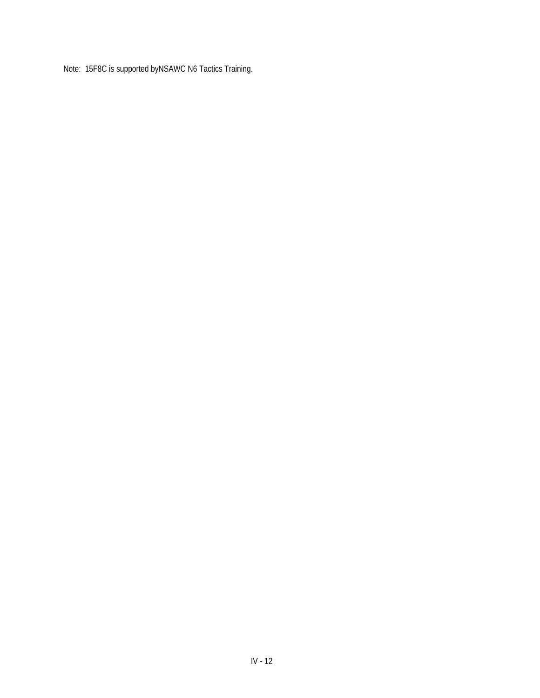Note: 15F8C is supported byNSAWC N6 Tactics Training.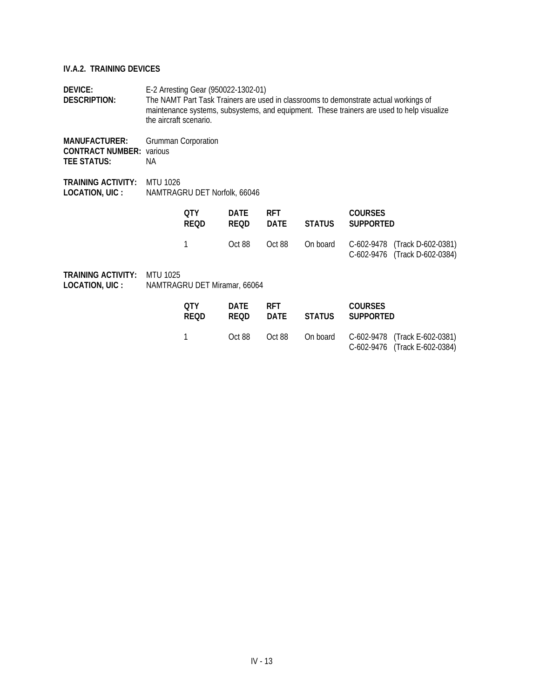**DEVICE:** E-2 Arresting Gear (950022-1302-01) **DESCRIPTION:** The NAMT Part Task Trainers are used in classrooms to demonstrate actual workings of maintenance systems, subsystems, and equipment. These trainers are used to help visualize the aircraft scenario.

**MANUFACTURER:** Grumman Corporation **CONTRACT NUMBER:** various **TEE STATUS:** NA

**TRAINING ACTIVITY:** MTU 1026 **LOCATION, UIC :** NAMTRAGRU DET Norfolk, 66046

| 0TY<br><b>REOD</b> | DATF<br><b>REOD</b> | <b>RFT</b> | <b>COURSES</b><br>DATE STATUS SUPPORTED |                                                                                |
|--------------------|---------------------|------------|-----------------------------------------|--------------------------------------------------------------------------------|
|                    | Oct 88              |            |                                         | Oct 88 On board C-602-9478 (Track D-602-0381)<br>C-602-9476 (Track D-602-0384) |

| 0TY<br><b>REOD</b> | DATE<br>REOD. | <b>RFT</b><br>DATE | <b>COURSES</b><br>STATUS SUPPORTED |                                                                                |
|--------------------|---------------|--------------------|------------------------------------|--------------------------------------------------------------------------------|
| $\overline{1}$     | Oct 88        |                    |                                    | Oct 88 On board C-602-9478 (Track E-602-0381)<br>C-602-9476 (Track E-602-0384) |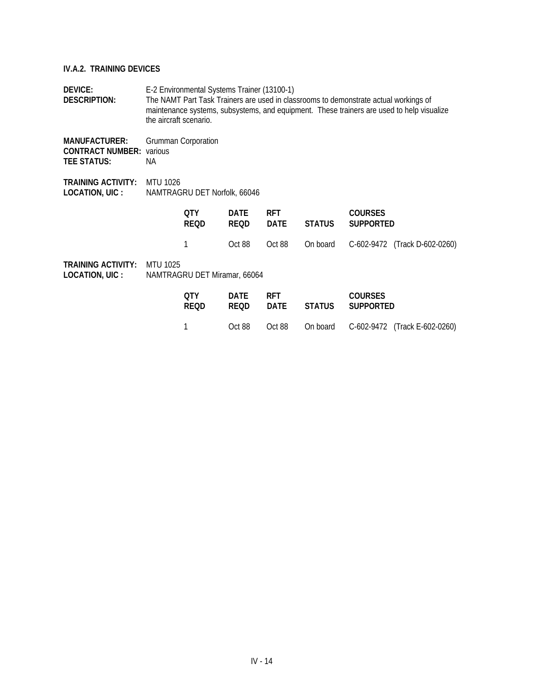| <b>DEVICE:</b><br>DESCRIPTION:                                        | E-2 Environmental Systems Trainer (13100-1)<br>The NAMT Part Task Trainers are used in classrooms to demonstrate actual workings of<br>maintenance systems, subsystems, and equipment. These trainers are used to help visualize<br>the aircraft scenario. |                              |                            |                           |               |                                    |  |  |
|-----------------------------------------------------------------------|------------------------------------------------------------------------------------------------------------------------------------------------------------------------------------------------------------------------------------------------------------|------------------------------|----------------------------|---------------------------|---------------|------------------------------------|--|--|
| <b>MANUFACTURER:</b><br><b>CONTRACT NUMBER:</b><br><b>TEE STATUS:</b> | various<br>NA.                                                                                                                                                                                                                                             | <b>Grumman Corporation</b>   |                            |                           |               |                                    |  |  |
| <b>TRAINING ACTIVITY:</b><br>LOCATION, UIC :                          | <b>MTU 1026</b><br>NAMTRAGRU DET Norfolk, 66046                                                                                                                                                                                                            |                              |                            |                           |               |                                    |  |  |
|                                                                       |                                                                                                                                                                                                                                                            | <b>QTY</b><br>REOD           | <b>DATE</b><br><b>REQD</b> | <b>RFT</b><br><b>DATE</b> | <b>STATUS</b> | <b>COURSES</b><br><b>SUPPORTED</b> |  |  |
|                                                                       |                                                                                                                                                                                                                                                            |                              | Oct 88                     | Oct 88                    | On board      | C-602-9472 (Track D-602-0260)      |  |  |
| <b>TRAINING ACTIVITY:</b><br>LOCATION, UIC :                          | <b>MTU 1025</b>                                                                                                                                                                                                                                            | NAMTRAGRU DET Miramar, 66064 |                            |                           |               |                                    |  |  |
|                                                                       |                                                                                                                                                                                                                                                            | <b>QTY</b><br><b>REQD</b>    | <b>DATE</b><br><b>REQD</b> | <b>RFT</b><br><b>DATE</b> | <b>STATUS</b> | <b>COURSES</b><br><b>SUPPORTED</b> |  |  |
|                                                                       |                                                                                                                                                                                                                                                            |                              | Oct 88                     | Oct 88                    | On board      | C-602-9472<br>(Track E-602-0260)   |  |  |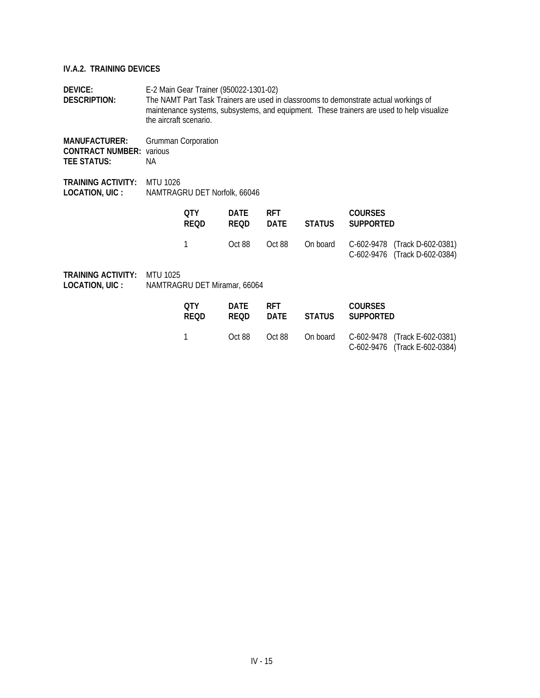**DEVICE:** E-2 Main Gear Trainer (950022-1301-02) **DESCRIPTION:** The NAMT Part Task Trainers are used in classrooms to demonstrate actual workings of maintenance systems, subsystems, and equipment. These trainers are used to help visualize the aircraft scenario.

**MANUFACTURER:** Grumman Corporation **CONTRACT NUMBER:** various **TEE STATUS:** NA

**TRAINING ACTIVITY:** MTU 1026 **LOCATION, UIC :** NAMTRAGRU DET Norfolk, 66046

| 0TY<br><b>REOD</b> | DATF   | <b>RFT</b> | <b>COURSES</b><br>REOD DATE STATUS SUPPORTED |                                                                                |
|--------------------|--------|------------|----------------------------------------------|--------------------------------------------------------------------------------|
|                    | Oct 88 |            |                                              | Oct 88 On board C-602-9478 (Track D-602-0381)<br>C-602-9476 (Track D-602-0384) |

| OTY.<br><b>REOD</b> | DATE<br>REOD. | <b>RFT</b><br>DATE | STATUS | <b>COURSES</b><br>SUPPORTED |                                                                                |
|---------------------|---------------|--------------------|--------|-----------------------------|--------------------------------------------------------------------------------|
| $\overline{1}$      | Oct 88        |                    |        |                             | Oct 88 On board C-602-9478 (Track E-602-0381)<br>C-602-9476 (Track E-602-0384) |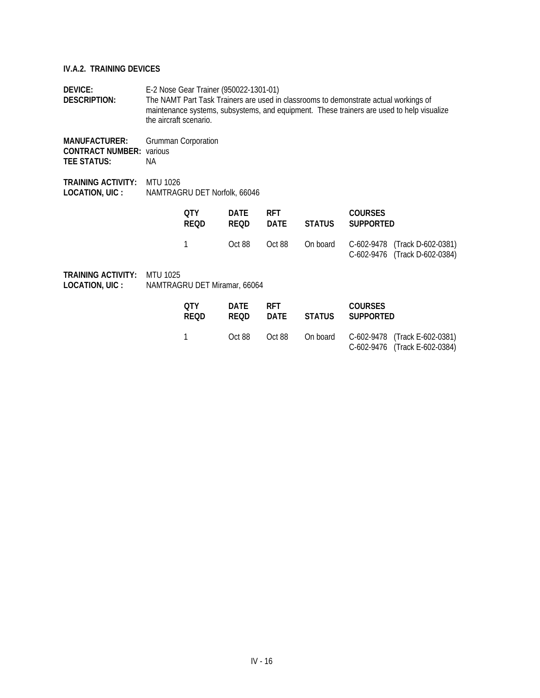**DEVICE:** E-2 Nose Gear Trainer (950022-1301-01) **DESCRIPTION:** The NAMT Part Task Trainers are used in classrooms to demonstrate actual workings of maintenance systems, subsystems, and equipment. These trainers are used to help visualize the aircraft scenario.

**MANUFACTURER:** Grumman Corporation **CONTRACT NUMBER:** various **TEE STATUS:** NA

**TRAINING ACTIVITY:** MTU 1026 **LOCATION, UIC :** NAMTRAGRU DET Norfolk, 66046

| 0TY<br><b>REOD</b> | DATF<br><b>REOD</b> | <b>RFT</b> | <b>COURSES</b><br>DATE STATUS SUPPORTED |                                                                                |
|--------------------|---------------------|------------|-----------------------------------------|--------------------------------------------------------------------------------|
|                    | Oct 88              |            |                                         | Oct 88 On board C-602-9478 (Track D-602-0381)<br>C-602-9476 (Track D-602-0384) |

| 0TY<br><b>REOD</b> | DATE<br><b>REOD</b> | <b>RFT</b><br>DATE | STATUS | <b>COURSES</b><br>SUPPORTED |                                                                                |
|--------------------|---------------------|--------------------|--------|-----------------------------|--------------------------------------------------------------------------------|
| $\overline{1}$     | Oct 88              |                    |        |                             | Oct 88 On board C-602-9478 (Track E-602-0381)<br>C-602-9476 (Track E-602-0384) |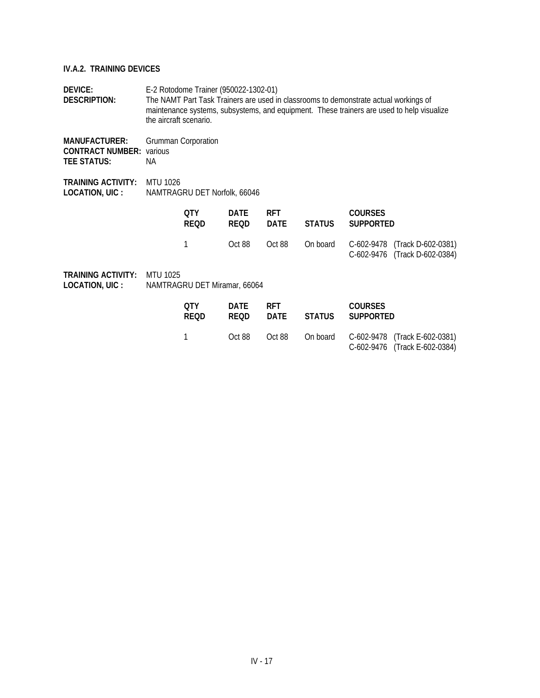**DEVICE:** E-2 Rotodome Trainer (950022-1302-01) **DESCRIPTION:** The NAMT Part Task Trainers are used in classrooms to demonstrate actual workings of maintenance systems, subsystems, and equipment. These trainers are used to help visualize the aircraft scenario.

**MANUFACTURER:** Grumman Corporation **CONTRACT NUMBER:** various **TEE STATUS:** NA

**TRAINING ACTIVITY:** MTU 1026 **LOCATION, UIC :** NAMTRAGRU DET Norfolk, 66046

| 0TY<br><b>REOD</b> | DATF<br>REOD | <b>RFT</b> | <b>COURSES</b><br>DATE STATUS SUPPORTED |                                                                                |
|--------------------|--------------|------------|-----------------------------------------|--------------------------------------------------------------------------------|
|                    | Oct 88       |            |                                         | Oct 88 On board C-602-9478 (Track D-602-0381)<br>C-602-9476 (Track D-602-0384) |

| 0TY<br><b>REOD</b> | DATE<br><b>REOD</b> | <b>RFT</b><br>DATE | STATUS | <b>COURSES</b><br>SUPPORTED |                                                                                |
|--------------------|---------------------|--------------------|--------|-----------------------------|--------------------------------------------------------------------------------|
|                    | Oct 88              |                    |        |                             | Oct 88 On board C-602-9478 (Track E-602-0381)<br>C-602-9476 (Track E-602-0384) |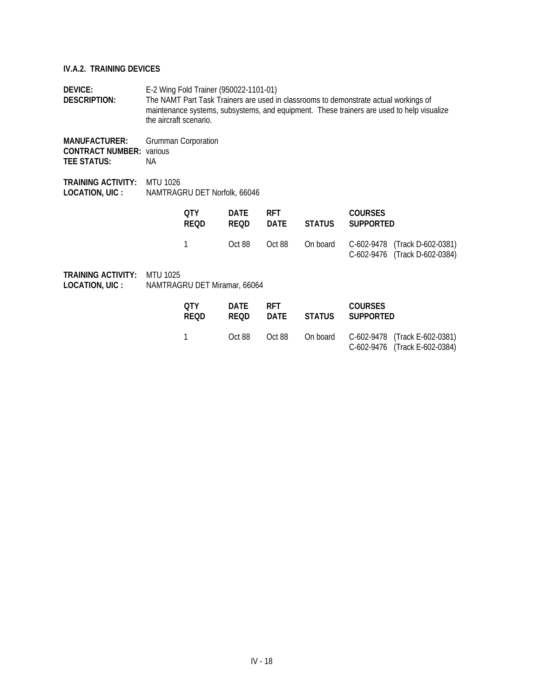**DEVICE:** E-2 Wing Fold Trainer (950022-1101-01)<br>**DESCRIPTION:** The NAMT Part Task Trainers are used in The NAMT Part Task Trainers are used in classrooms to demonstrate actual workings of maintenance systems, subsystems, and equipment. These trainers are used to help visualize the aircraft scenario.

**MANUFACTURER:** Grumman Corporation **CONTRACT NUMBER:** various **TEE STATUS:** NA

**TRAINING ACTIVITY:** MTU 1026 **LOCATION, UIC :** NAMTRAGRU DET Norfolk, 66046

| 0TY<br><b>REOD</b> | DATF<br><b>REOD</b> | <b>RFT</b> | <b>COURSES</b><br>DATE STATUS SUPPORTED |                                                                                |
|--------------------|---------------------|------------|-----------------------------------------|--------------------------------------------------------------------------------|
|                    | Oct 88              |            |                                         | Oct 88 On board C-602-9478 (Track D-602-0381)<br>C-602-9476 (Track D-602-0384) |

| <b>TRAINING ACTIVITY:</b> | MTU 1025                     |
|---------------------------|------------------------------|
| LOCATION, UIC :           | NAMTRAGRU DET Miramar, 66064 |

| 0TY         | DATE        | <b>RFT</b> | <b>COURSES</b>                                                                 |
|-------------|-------------|------------|--------------------------------------------------------------------------------|
| <b>REOD</b> | <b>REOD</b> | DATE       | STATUS SUPPORTED                                                               |
|             | Oct 88      |            | Oct 88 On board C-602-9478 (Track E-602-0381)<br>C-602-9476 (Track E-602-0384) |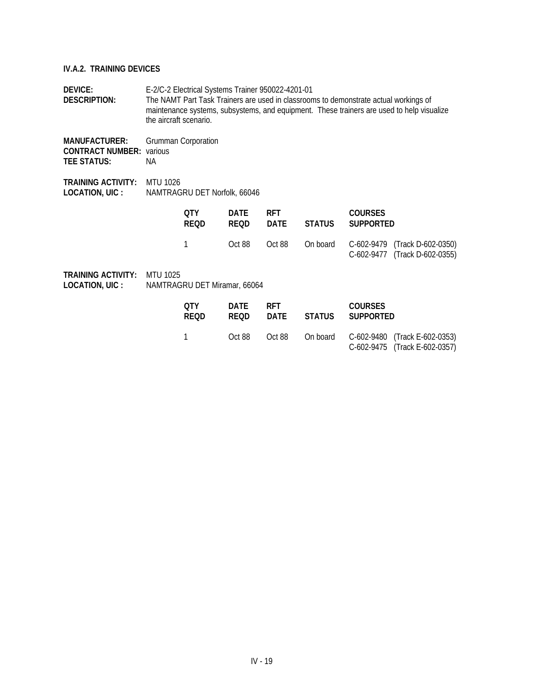**DEVICE:** E-2/C-2 Electrical Systems Trainer 950022-4201-01 **DESCRIPTION:** The NAMT Part Task Trainers are used in classrooms to demonstrate actual workings of maintenance systems, subsystems, and equipment. These trainers are used to help visualize the aircraft scenario.

**MANUFACTURER:** Grumman Corporation **CONTRACT NUMBER:** various **TEE STATUS:** NA

**TRAINING ACTIVITY:** MTU 1026 **LOCATION, UIC :** NAMTRAGRU DET Norfolk, 66046

| 0TY<br><b>REOD</b> | DATF<br>REOD | <b>RET</b> | <b>COURSES</b><br>DATE STATUS SUPPORTED |                                                                                       |
|--------------------|--------------|------------|-----------------------------------------|---------------------------------------------------------------------------------------|
|                    |              |            |                                         | Oct 88 Oct 88 On board C-602-9479 (Track D-602-0350)<br>C-602-9477 (Track D-602-0355) |

| OTY.<br><b>REOD</b> | DATE<br><b>REOD</b> | <b>RFT</b><br>DATE | STATUS | <b>COURSES</b><br>SUPPORTED |                                                                                |
|---------------------|---------------------|--------------------|--------|-----------------------------|--------------------------------------------------------------------------------|
|                     | Oct 88              |                    |        |                             | Oct 88 On board C-602-9480 (Track E-602-0353)<br>C-602-9475 (Track E-602-0357) |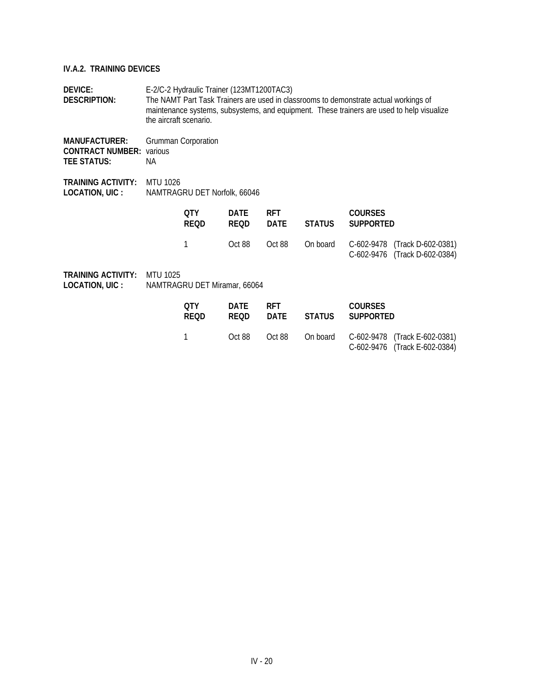**DEVICE:** E-2/C-2 Hydraulic Trainer (123MT1200TAC3)<br>**DESCRIPTION:** The NAMT Part Task Trainers are used in clas The NAMT Part Task Trainers are used in classrooms to demonstrate actual workings of maintenance systems, subsystems, and equipment. These trainers are used to help visualize the aircraft scenario.

**MANUFACTURER:** Grumman Corporation **CONTRACT NUMBER:** various **TEE STATUS:** NA

**TRAINING ACTIVITY:** MTU 1026 **LOCATION, UIC :** NAMTRAGRU DET Norfolk, 66046

| 0TY<br><b>REOD</b> | DATF<br><b>REOD</b> | <b>RFT</b> | <b>COURSES</b><br>DATE STATUS SUPPORTED |                                                                                |
|--------------------|---------------------|------------|-----------------------------------------|--------------------------------------------------------------------------------|
|                    | Oct 88              |            |                                         | Oct 88 On board C-602-9478 (Track D-602-0381)<br>C-602-9476 (Track D-602-0384) |

| <b>TRAINING ACTIVITY:</b> | MTU 1025                     |
|---------------------------|------------------------------|
| LOCATION, UIC :           | NAMTRAGRU DET Miramar, 66064 |

| OTY         | <b>DATE</b> | <b>RFT</b> | STATUS | <b>COURSES</b>                                                                 |
|-------------|-------------|------------|--------|--------------------------------------------------------------------------------|
| <b>REOD</b> | <b>REOD</b> | DATE       |        | SUPPORTED                                                                      |
|             | Oct 88      |            |        | Oct 88 On board C-602-9478 (Track E-602-0381)<br>C-602-9476 (Track E-602-0384) |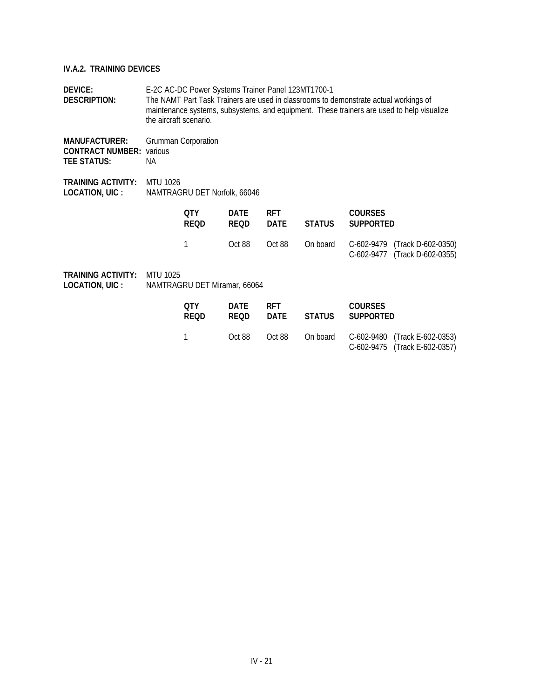**DEVICE:** E-2C AC-DC Power Systems Trainer Panel 123MT1700-1 **DESCRIPTION:** The NAMT Part Task Trainers are used in classrooms to demonstrate actual workings of maintenance systems, subsystems, and equipment. These trainers are used to help visualize the aircraft scenario.

**MANUFACTURER:** Grumman Corporation **CONTRACT NUMBER:** various **TEE STATUS:** NA

**TRAINING ACTIVITY:** MTU 1026 **LOCATION, UIC :** NAMTRAGRU DET Norfolk, 66046

| 0TY<br><b>REOD</b> | DATF<br><b>REOD</b> | <b>RFT</b> | <b>COURSES</b><br>DATE STATUS SUPPORTED |                                                                                |
|--------------------|---------------------|------------|-----------------------------------------|--------------------------------------------------------------------------------|
|                    | Oct 88              |            |                                         | Oct 88 On board C-602-9479 (Track D-602-0350)<br>C-602-9477 (Track D-602-0355) |

| OTY.<br><b>REOD</b> | DATE<br>REOD. | <b>RFT</b> | <b>COURSES</b><br>DATE STATUS SUPPORTED |                                                                                |
|---------------------|---------------|------------|-----------------------------------------|--------------------------------------------------------------------------------|
| $\overline{1}$      | Oct 88        |            |                                         | Oct 88 On board C-602-9480 (Track E-602-0353)<br>C-602-9475 (Track E-602-0357) |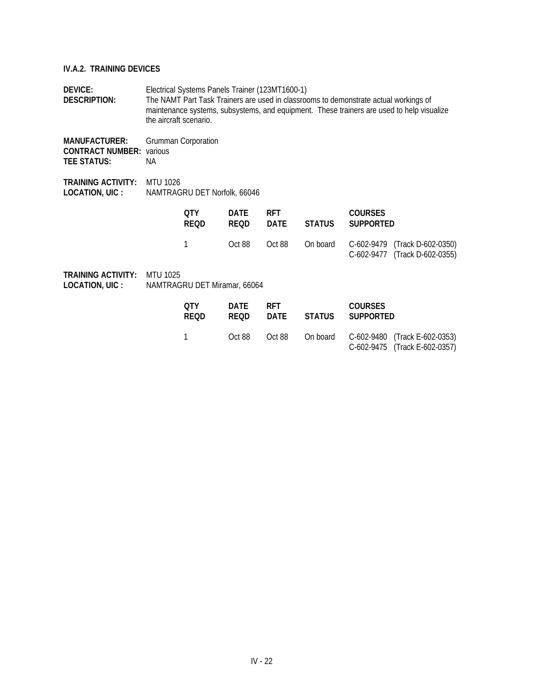**DEVICE:** Electrical Systems Panels Trainer (123MT1600-1) **DESCRIPTION:** The NAMT Part Task Trainers are used in classrooms to demonstrate actual workings of maintenance systems, subsystems, and equipment. These trainers are used to help visualize the aircraft scenario.

**MANUFACTURER:** Grumman Corporation **CONTRACT NUMBER:** various **TEE STATUS:** NA

**TRAINING ACTIVITY:** MTU 1026 **LOCATION, UIC :** NAMTRAGRU DET Norfolk, 66046

| OTY.<br><b>REOD</b> | DATF<br>REOD. | <b>RFT</b> | <b>COURSES</b><br>DATE STATUS SUPPORTED |                                                                                       |
|---------------------|---------------|------------|-----------------------------------------|---------------------------------------------------------------------------------------|
|                     |               |            |                                         | Oct 88 Oct 88 On board C-602-9479 (Track D-602-0350)<br>C-602-9477 (Track D-602-0355) |

| OTY.<br><b>REOD</b> | DATE<br><b>REOD</b> | <b>RFT</b><br>DATE | STATUS | <b>COURSES</b><br>SUPPORTED |                                                                                |
|---------------------|---------------------|--------------------|--------|-----------------------------|--------------------------------------------------------------------------------|
|                     | Oct 88              |                    |        |                             | Oct 88 On board C-602-9480 (Track E-602-0353)<br>C-602-9475 (Track E-602-0357) |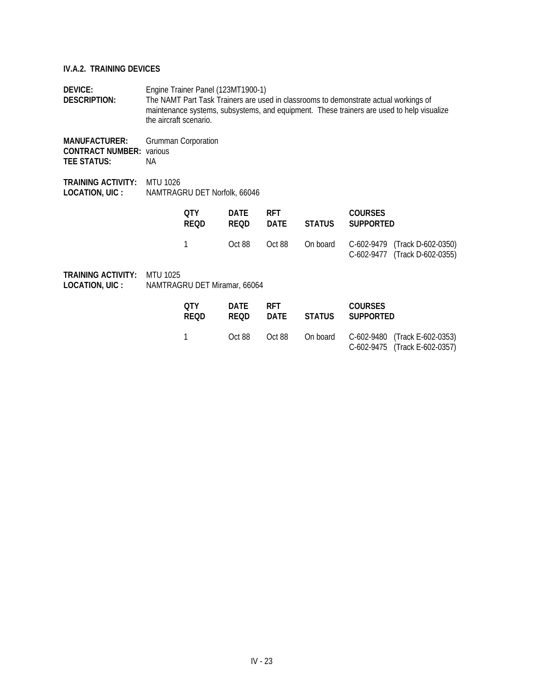| <b>DEVICE:</b><br><b>DESCRIPTION:</b>                                 |                                                 | Engine Trainer Panel (123MT1900-1)<br>The NAMT Part Task Trainers are used in classrooms to demonstrate actual workings of<br>maintenance systems, subsystems, and equipment. These trainers are used to help visualize<br>the aircraft scenario. |                            |                           |               |                                    |                                                                |  |  |
|-----------------------------------------------------------------------|-------------------------------------------------|---------------------------------------------------------------------------------------------------------------------------------------------------------------------------------------------------------------------------------------------------|----------------------------|---------------------------|---------------|------------------------------------|----------------------------------------------------------------|--|--|
| <b>MANUFACTURER:</b><br><b>CONTRACT NUMBER:</b><br><b>TEE STATUS:</b> | various<br>NA.                                  | <b>Grumman Corporation</b>                                                                                                                                                                                                                        |                            |                           |               |                                    |                                                                |  |  |
| <b>TRAINING ACTIVITY:</b><br>LOCATION, UIC :                          | <b>MTU 1026</b><br>NAMTRAGRU DET Norfolk, 66046 |                                                                                                                                                                                                                                                   |                            |                           |               |                                    |                                                                |  |  |
|                                                                       |                                                 | <b>QTY</b><br><b>REQD</b>                                                                                                                                                                                                                         | DATE<br><b>REQD</b>        | <b>RFT</b><br><b>DATE</b> | <b>STATUS</b> | <b>COURSES</b><br><b>SUPPORTED</b> |                                                                |  |  |
|                                                                       |                                                 | 1                                                                                                                                                                                                                                                 | Oct 88                     | Oct 88                    | On board      |                                    | C-602-9479 (Track D-602-0350)<br>C-602-9477 (Track D-602-0355) |  |  |
| <b>TRAINING ACTIVITY:</b><br>LOCATION, UIC :                          | <b>MTU 1025</b><br>NAMTRAGRU DET Miramar, 66064 |                                                                                                                                                                                                                                                   |                            |                           |               |                                    |                                                                |  |  |
|                                                                       |                                                 | <b>OTY</b><br><b>REQD</b>                                                                                                                                                                                                                         | <b>DATE</b><br><b>REQD</b> | <b>RFT</b><br><b>DATE</b> | <b>STATUS</b> | <b>COURSES</b><br><b>SUPPORTED</b> |                                                                |  |  |
|                                                                       |                                                 |                                                                                                                                                                                                                                                   | Oct 88                     | Oct 88                    | On board      | $C-602-9480$                       | (Track E-602-0353)                                             |  |  |

C-602-9475 (Track E-602-0357)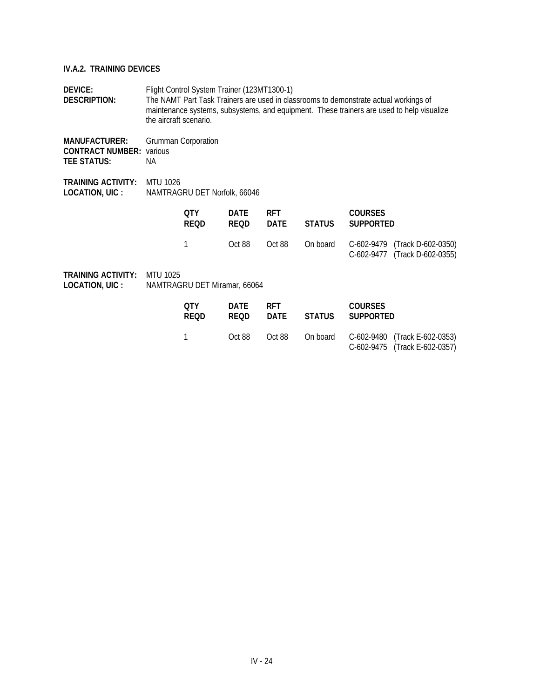**DEVICE:** Flight Control System Trainer (123MT1300-1) **DESCRIPTION:** The NAMT Part Task Trainers are used in classrooms to demonstrate actual workings of maintenance systems, subsystems, and equipment. These trainers are used to help visualize the aircraft scenario.

**MANUFACTURER:** Grumman Corporation **CONTRACT NUMBER:** various **TEE STATUS:** NA

**TRAINING ACTIVITY:** MTU 1026 **LOCATION, UIC :** NAMTRAGRU DET Norfolk, 66046

| 0TY<br><b>REOD</b> | DATF<br>REOD | <b>RET</b> | <b>COURSES</b><br>DATE STATUS SUPPORTED |                                                                                       |
|--------------------|--------------|------------|-----------------------------------------|---------------------------------------------------------------------------------------|
|                    |              |            |                                         | Oct 88 Oct 88 On board C-602-9479 (Track D-602-0350)<br>C-602-9477 (Track D-602-0355) |

| OTY.<br><b>REOD</b> | DATE<br><b>REOD</b> | <b>RFT</b><br>DATE | STATUS | <b>COURSES</b><br>SUPPORTED |                                                                                |
|---------------------|---------------------|--------------------|--------|-----------------------------|--------------------------------------------------------------------------------|
|                     | Oct 88              |                    |        |                             | Oct 88 On board C-602-9480 (Track E-602-0353)<br>C-602-9475 (Track E-602-0357) |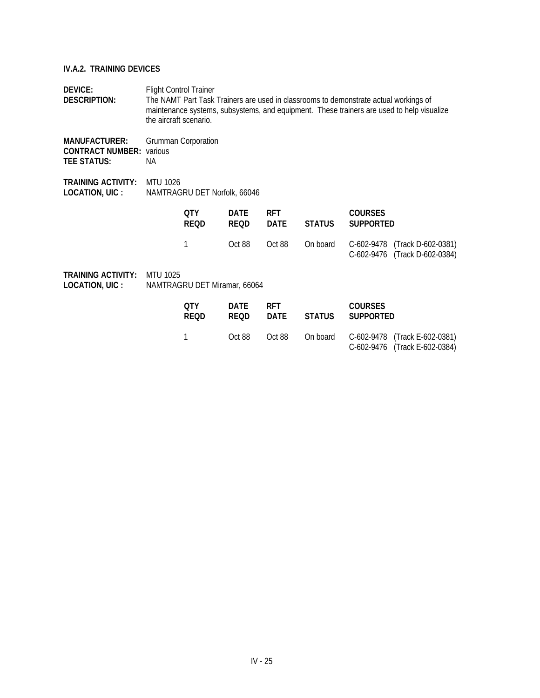| <b>DEVICE:</b><br><b>DESCRIPTION:</b>                                                           | <b>Flight Control Trainer</b><br>The NAMT Part Task Trainers are used in classrooms to demonstrate actual workings of<br>maintenance systems, subsystems, and equipment. These trainers are used to help visualize<br>the aircraft scenario. |                            |                            |                           |               |                                    |                                                                |  |
|-------------------------------------------------------------------------------------------------|----------------------------------------------------------------------------------------------------------------------------------------------------------------------------------------------------------------------------------------------|----------------------------|----------------------------|---------------------------|---------------|------------------------------------|----------------------------------------------------------------|--|
| <b>MANUFACTURER:</b><br><b>CONTRACT NUMBER:</b><br><b>TEE STATUS:</b>                           | various<br>NA.                                                                                                                                                                                                                               | <b>Grumman Corporation</b> |                            |                           |               |                                    |                                                                |  |
| <b>TRAINING ACTIVITY:</b><br><b>MTU 1026</b><br>LOCATION, UIC :<br>NAMTRAGRU DET Norfolk, 66046 |                                                                                                                                                                                                                                              |                            |                            |                           |               |                                    |                                                                |  |
|                                                                                                 |                                                                                                                                                                                                                                              | QTY<br><b>REQD</b>         | <b>DATE</b><br><b>REQD</b> | <b>RFT</b><br><b>DATE</b> | <b>STATUS</b> | <b>COURSES</b><br><b>SUPPORTED</b> |                                                                |  |
|                                                                                                 |                                                                                                                                                                                                                                              | 1                          | Oct 88                     | Oct 88                    | On board      |                                    | C-602-9478 (Track D-602-0381)<br>C-602-9476 (Track D-602-0384) |  |
| <b>TRAINING ACTIVITY:</b><br>LOCATION, UIC :                                                    | MTU 1025<br>NAMTRAGRU DET Miramar, 66064                                                                                                                                                                                                     |                            |                            |                           |               |                                    |                                                                |  |
|                                                                                                 |                                                                                                                                                                                                                                              | <b>OTY</b><br><b>REQD</b>  | <b>DATE</b><br><b>REQD</b> | <b>RFT</b><br><b>DATE</b> | <b>STATUS</b> | <b>COURSES</b><br><b>SUPPORTED</b> |                                                                |  |
|                                                                                                 |                                                                                                                                                                                                                                              |                            | Oct 88                     | Oct 88                    | On board      | $C-602-9478$                       | (Track E-602-0381)                                             |  |

C-602-9476 (Track E-602-0384)

IV - 25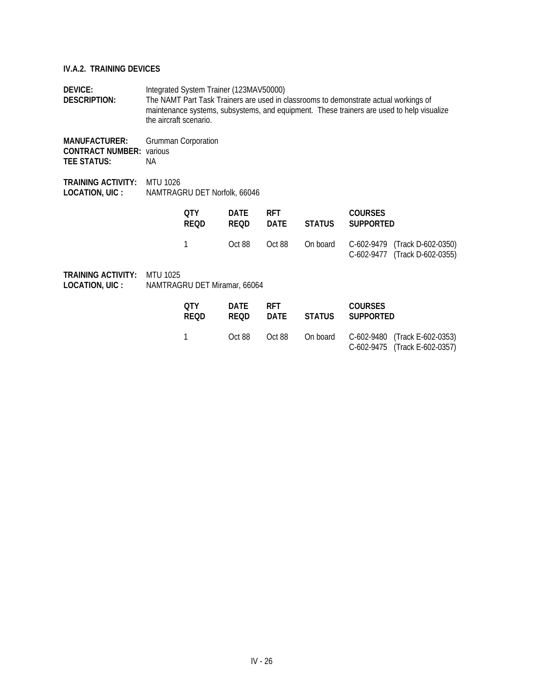**DEVICE:** Integrated System Trainer (123MAV50000) **DESCRIPTION:** The NAMT Part Task Trainers are used in classrooms to demonstrate actual workings of maintenance systems, subsystems, and equipment. These trainers are used to help visualize the aircraft scenario.

**MANUFACTURER:** Grumman Corporation **CONTRACT NUMBER:** various **TEE STATUS:** NA

**TRAINING ACTIVITY:** MTU 1026 **LOCATION, UIC :** NAMTRAGRU DET Norfolk, 66046

| 0TY<br><b>REOD</b> | DATE<br><b>REOD</b> | <b>RFT</b> | <b>COURSES</b><br>DATE STATUS SUPPORTED |                                                                                |
|--------------------|---------------------|------------|-----------------------------------------|--------------------------------------------------------------------------------|
|                    | Oct 88              |            |                                         | Oct 88 On board C-602-9479 (Track D-602-0350)<br>C-602-9477 (Track D-602-0355) |

| OTY.<br><b>REOD</b> | DATE<br><b>REOD</b> | <b>RFT</b><br>DATE | STATUS | <b>COURSES</b><br>SUPPORTED |                                                                                |
|---------------------|---------------------|--------------------|--------|-----------------------------|--------------------------------------------------------------------------------|
|                     | Oct 88              |                    |        |                             | Oct 88 On board C-602-9480 (Track E-602-0353)<br>C-602-9475 (Track E-602-0357) |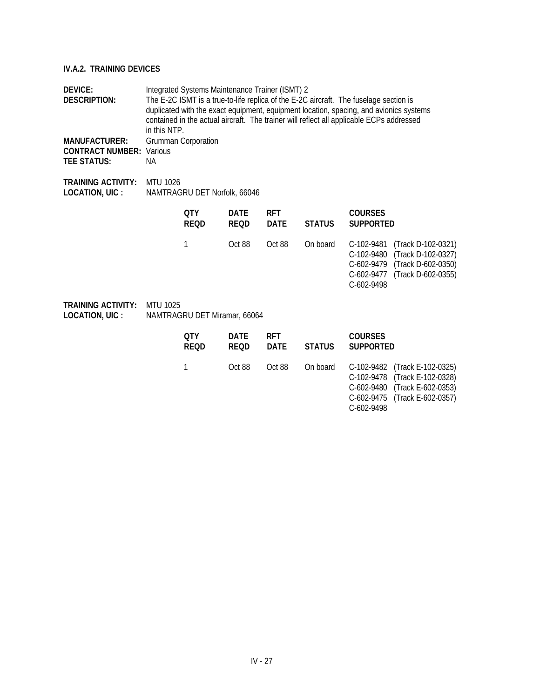| <b>DEVICE:</b><br><b>DESCRIPTION:</b><br><b>MANUFACTURER:</b><br><b>CONTRACT NUMBER:</b><br><b>TEE STATUS:</b> | Various<br>NА   | Integrated Systems Maintenance Trainer (ISMT) 2<br>The E-2C ISMT is a true-to-life replica of the E-2C aircraft. The fuselage section is<br>duplicated with the exact equipment, equipment location, spacing, and avionics systems<br>contained in the actual aircraft. The trainer will reflect all applicable ECPs addressed<br>in this NTP.<br>Grumman Corporation |                            |                           |               |                                                                    |                                                                                      |  |  |
|----------------------------------------------------------------------------------------------------------------|-----------------|-----------------------------------------------------------------------------------------------------------------------------------------------------------------------------------------------------------------------------------------------------------------------------------------------------------------------------------------------------------------------|----------------------------|---------------------------|---------------|--------------------------------------------------------------------|--------------------------------------------------------------------------------------|--|--|
| <b>TRAINING ACTIVITY:</b><br>LOCATION, UIC :                                                                   | <b>MTU 1026</b> | NAMTRAGRU DET Norfolk, 66046                                                                                                                                                                                                                                                                                                                                          |                            |                           |               |                                                                    |                                                                                      |  |  |
|                                                                                                                |                 | <b>OTY</b><br><b>REQD</b>                                                                                                                                                                                                                                                                                                                                             | <b>DATE</b><br><b>REQD</b> | <b>RFT</b><br><b>DATE</b> | <b>STATUS</b> | <b>COURSES</b><br><b>SUPPORTED</b>                                 |                                                                                      |  |  |
|                                                                                                                |                 | 1                                                                                                                                                                                                                                                                                                                                                                     | Oct 88                     | Oct 88                    | On board      | C-102-9481<br>C-102-9480<br>C-602-9479<br>C-602-9477<br>C-602-9498 | (Track D-102-0321)<br>(Track D-102-0327)<br>(Track D-602-0350)<br>(Track D-602-0355) |  |  |
| <b>TRAINING ACTIVITY:</b><br>LOCATION, UIC :                                                                   | <b>MTU 1025</b> | NAMTRAGRU DET Miramar, 66064                                                                                                                                                                                                                                                                                                                                          |                            |                           |               |                                                                    |                                                                                      |  |  |
|                                                                                                                |                 | <b>OTY</b><br><b>REQD</b>                                                                                                                                                                                                                                                                                                                                             | <b>DATE</b><br><b>REQD</b> | <b>RFT</b><br><b>DATE</b> | <b>STATUS</b> | <b>COURSES</b><br><b>SUPPORTED</b>                                 |                                                                                      |  |  |
|                                                                                                                |                 | $\mathbf{1}$                                                                                                                                                                                                                                                                                                                                                          | Oct 88                     | Oct 88                    | On board      | C-102-9482<br>C-102-9478                                           | (Track E-102-0325)<br>(Track E-102-0328)                                             |  |  |

C-602-9480 (Track E-602-0353) C-602-9475 (Track E-602-0357)

C-602-9498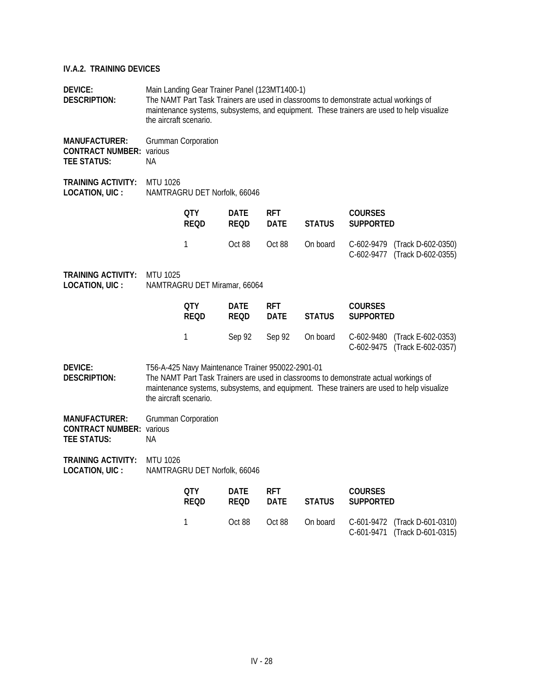| DEVICE:<br>DESCRIPTION:                                                       |                                                 | Main Landing Gear Trainer Panel (123MT1400-1)<br>The NAMT Part Task Trainers are used in classrooms to demonstrate actual workings of<br>maintenance systems, subsystems, and equipment. These trainers are used to help visualize<br>the aircraft scenario. |                            |                           |               |                                                                                      |                                                                                           |  |  |  |
|-------------------------------------------------------------------------------|-------------------------------------------------|--------------------------------------------------------------------------------------------------------------------------------------------------------------------------------------------------------------------------------------------------------------|----------------------------|---------------------------|---------------|--------------------------------------------------------------------------------------|-------------------------------------------------------------------------------------------|--|--|--|
| <b>MANUFACTURER:</b><br><b>CONTRACT NUMBER: various</b><br><b>TEE STATUS:</b> | NА                                              | Grumman Corporation                                                                                                                                                                                                                                          |                            |                           |               |                                                                                      |                                                                                           |  |  |  |
| <b>TRAINING ACTIVITY:</b><br><b>LOCATION, UIC:</b>                            | <b>MTU 1026</b><br>NAMTRAGRU DET Norfolk, 66046 |                                                                                                                                                                                                                                                              |                            |                           |               |                                                                                      |                                                                                           |  |  |  |
|                                                                               |                                                 | 0TY<br>REOD                                                                                                                                                                                                                                                  | <b>DATE</b><br>REQD        | <b>RFT</b><br><b>DATE</b> | <b>STATUS</b> | <b>COURSES</b><br><b>SUPPORTED</b>                                                   |                                                                                           |  |  |  |
|                                                                               |                                                 | 1                                                                                                                                                                                                                                                            | Oct 88                     | Oct 88                    | On board      | C-602-9479                                                                           | (Track D-602-0350)<br>C-602-9477 (Track D-602-0355)                                       |  |  |  |
| <b>TRAINING ACTIVITY:</b><br><b>LOCATION, UIC:</b>                            | MTU 1025                                        | NAMTRAGRU DET Miramar, 66064                                                                                                                                                                                                                                 |                            |                           |               |                                                                                      |                                                                                           |  |  |  |
|                                                                               |                                                 | QTY<br><b>REQD</b>                                                                                                                                                                                                                                           | <b>DATE</b><br><b>REQD</b> | <b>RFT</b><br><b>DATE</b> | <b>STATUS</b> | <b>COURSES</b><br><b>SUPPORTED</b>                                                   |                                                                                           |  |  |  |
|                                                                               |                                                 | 1                                                                                                                                                                                                                                                            | Sep 92                     | Sep 92                    | On board      | C-602-9480<br>C-602-9475                                                             | (Track E-602-0353)<br>(Track E-602-0357)                                                  |  |  |  |
| <b>DEVICE:</b><br><b>DESCRIPTION:</b>                                         | the aircraft scenario.                          | T56-A-425 Navy Maintenance Trainer 950022-2901-01                                                                                                                                                                                                            |                            |                           |               | The NAMT Part Task Trainers are used in classrooms to demonstrate actual workings of | maintenance systems, subsystems, and equipment. These trainers are used to help visualize |  |  |  |
| <b>MANUFACTURER:</b><br><b>CONTRACT NUMBER: various</b><br><b>TEE STATUS:</b> | NА                                              | Grumman Corporation                                                                                                                                                                                                                                          |                            |                           |               |                                                                                      |                                                                                           |  |  |  |
| <b>TRAINING ACTIVITY:</b><br>LOCATION, UIC :                                  | <b>MTU 1026</b>                                 | NAMTRAGRU DET Norfolk, 66046                                                                                                                                                                                                                                 |                            |                           |               |                                                                                      |                                                                                           |  |  |  |
|                                                                               |                                                 | <b>QTY</b><br><b>REQD</b>                                                                                                                                                                                                                                    | <b>DATE</b><br>REQD        | <b>RFT</b><br><b>DATE</b> | <b>STATUS</b> | <b>COURSES</b><br><b>SUPPORTED</b>                                                   |                                                                                           |  |  |  |
|                                                                               |                                                 | 1                                                                                                                                                                                                                                                            | Oct 88                     | Oct 88                    | On board      | C-601-9472<br>C-601-9471                                                             | (Track D-601-0310)<br>(Track D-601-0315)                                                  |  |  |  |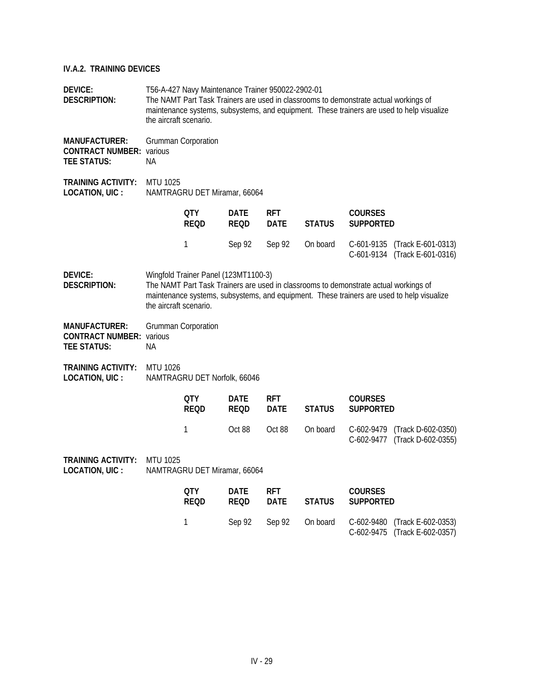## **IV.A.2. TRAINING DEVICES**

| <b>DEVICE:</b><br><b>DESCRIPTION:</b>                                         | the aircraft scenario. | T56-A-427 Navy Maintenance Trainer 950022-2902-01 |                            |                           |               | The NAMT Part Task Trainers are used in classrooms to demonstrate actual workings of<br>maintenance systems, subsystems, and equipment. These trainers are used to help visualize |                                          |
|-------------------------------------------------------------------------------|------------------------|---------------------------------------------------|----------------------------|---------------------------|---------------|-----------------------------------------------------------------------------------------------------------------------------------------------------------------------------------|------------------------------------------|
| <b>MANUFACTURER:</b><br><b>CONTRACT NUMBER:</b> various<br><b>TEE STATUS:</b> | NА                     | <b>Grumman Corporation</b>                        |                            |                           |               |                                                                                                                                                                                   |                                          |
| <b>TRAINING ACTIVITY:</b><br>LOCATION, UIC :                                  | <b>MTU 1025</b>        | NAMTRAGRU DET Miramar, 66064                      |                            |                           |               |                                                                                                                                                                                   |                                          |
|                                                                               |                        | 0TY<br><b>REQD</b>                                | <b>DATE</b><br><b>REQD</b> | <b>RFT</b><br><b>DATE</b> | <b>STATUS</b> | <b>COURSES</b><br><b>SUPPORTED</b>                                                                                                                                                |                                          |
|                                                                               |                        | 1                                                 | Sep 92                     | Sep 92                    | On board      | C-601-9135<br>C-601-9134 (Track E-601-0316)                                                                                                                                       | (Track E-601-0313)                       |
| DEVICE:<br><b>DESCRIPTION:</b>                                                | the aircraft scenario. | Wingfold Trainer Panel (123MT1100-3)              |                            |                           |               | The NAMT Part Task Trainers are used in classrooms to demonstrate actual workings of<br>maintenance systems, subsystems, and equipment. These trainers are used to help visualize |                                          |
| <b>MANUFACTURER:</b><br><b>CONTRACT NUMBER: various</b><br><b>TEE STATUS:</b> | NА                     | <b>Grumman Corporation</b>                        |                            |                           |               |                                                                                                                                                                                   |                                          |
| TRAINING ACTIVITY:<br>LOCATION, UIC :                                         | <b>MTU 1026</b>        | NAMTRAGRU DET Norfolk, 66046                      |                            |                           |               |                                                                                                                                                                                   |                                          |
|                                                                               |                        | <b>QTY</b><br><b>REQD</b>                         | <b>DATE</b><br><b>REQD</b> | rft<br><b>DATE</b>        | <b>STATUS</b> | <b>COURSES</b><br><b>SUPPORTED</b>                                                                                                                                                |                                          |
|                                                                               |                        | 1                                                 | Oct 88                     | Oct 88                    | On board      | C-602-9479<br>C-602-9477 (Track D-602-0355)                                                                                                                                       | (Track D-602-0350)                       |
| <b>TRAINING ACTIVITY:</b><br>LOCATION, UIC :                                  | MTU 1025               | NAMTRAGRU DET Miramar, 66064                      |                            |                           |               |                                                                                                                                                                                   |                                          |
|                                                                               |                        | <b>QTY</b><br><b>REQD</b>                         | <b>DATE</b><br>REQD        | rft<br><b>DATE</b>        | <b>STATUS</b> | <b>COURSES</b><br><b>SUPPORTED</b>                                                                                                                                                |                                          |
|                                                                               |                        | 1                                                 | Sep 92                     | Sep 92                    | On board      | C-602-9480<br>C-602-9475                                                                                                                                                          | (Track E-602-0353)<br>(Track E-602-0357) |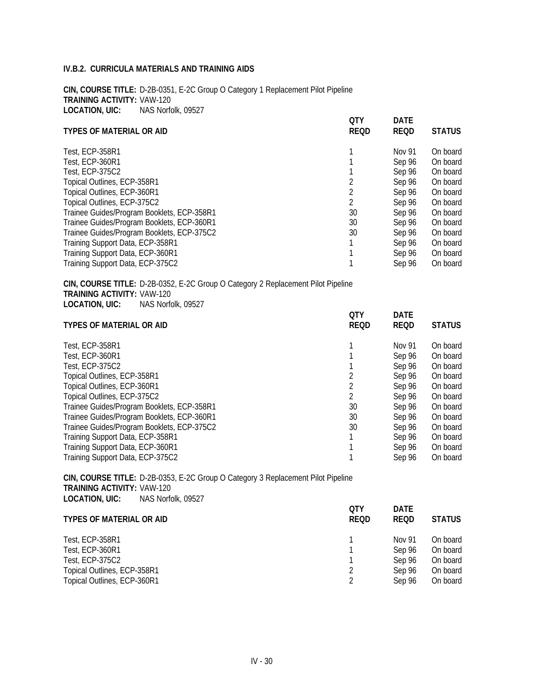**CIN, COURSE TITLE:** D-2B-0351, E-2C Group O Category 1 Replacement Pilot Pipeline **TRAINING ACTIVITY:** VAW-120 **LOCATION, UIC:** NAS Norfolk, 09527

|                                            | <b>QTY</b>  | <b>DATE</b> |               |
|--------------------------------------------|-------------|-------------|---------------|
| <b>TYPES OF MATERIAL OR AID</b>            | <b>REQD</b> | <b>REQD</b> | <b>STATUS</b> |
| Test. ECP-358R1                            |             | Nov 91      | On board      |
| Test, ECP-360R1                            |             | Sep 96      | On board      |
| Test. ECP-375C2                            |             | Sep 96      | On board      |
| Topical Outlines, ECP-358R1                |             | Sep 96      | On board      |
| Topical Outlines, ECP-360R1                |             | Sep 96      | On board      |
| Topical Outlines, ECP-375C2                | 2           | Sep 96      | On board      |
| Trainee Guides/Program Booklets, ECP-358R1 | 30          | Sep 96      | On board      |
| Trainee Guides/Program Booklets, ECP-360R1 | 30          | Sep 96      | On board      |
| Trainee Guides/Program Booklets, ECP-375C2 | 30          | Sep 96      | On board      |
| Training Support Data, ECP-358R1           |             | Sep 96      | On board      |
| Training Support Data, ECP-360R1           |             | Sep 96      | On board      |
| Training Support Data, ECP-375C2           |             | Sep 96      | On board      |

**CIN, COURSE TITLE:** D-2B-0352, E-2C Group O Category 2 Replacement Pilot Pipeline **TRAINING ACTIVITY:** VAW-120 **LOCATION, UIC:** NAS Norfolk, 09527

|                                            | <b>OTY</b>  | <b>DATE</b> |               |
|--------------------------------------------|-------------|-------------|---------------|
| <b>TYPES OF MATERIAL OR AID</b>            | <b>REQD</b> | <b>REQD</b> | <b>STATUS</b> |
| Test. ECP-358R1                            |             | Nov 91      | On board      |
| Test. ECP-360R1                            |             | Sep 96      | On board      |
| <b>Test, ECP-375C2</b>                     |             | Sep 96      | On board      |
| Topical Outlines, ECP-358R1                |             | Sep 96      | On board      |
| Topical Outlines, ECP-360R1                |             | Sep 96      | On board      |
| Topical Outlines, ECP-375C2                |             | Sep 96      | On board      |
| Trainee Guides/Program Booklets, ECP-358R1 | 30          | Sep 96      | On board      |
| Trainee Guides/Program Booklets, ECP-360R1 | 30          | Sep 96      | On board      |
| Trainee Guides/Program Booklets, ECP-375C2 | 30          | Sep 96      | On board      |
| Training Support Data, ECP-358R1           |             | Sep 96      | On board      |
| Training Support Data, ECP-360R1           |             | Sep 96      | On board      |
| Training Support Data, ECP-375C2           |             | Sep 96      | On board      |

**CIN, COURSE TITLE:** D-2B-0353, E-2C Group O Category 3 Replacement Pilot Pipeline **TRAINING ACTIVITY:** VAW-120 **LOCATION, UIC:** NAS Norfolk, 09527

| <b>STATUS</b> |
|---------------|
| On board      |
| On board      |
| On board      |
| On board      |
| On board      |
|               |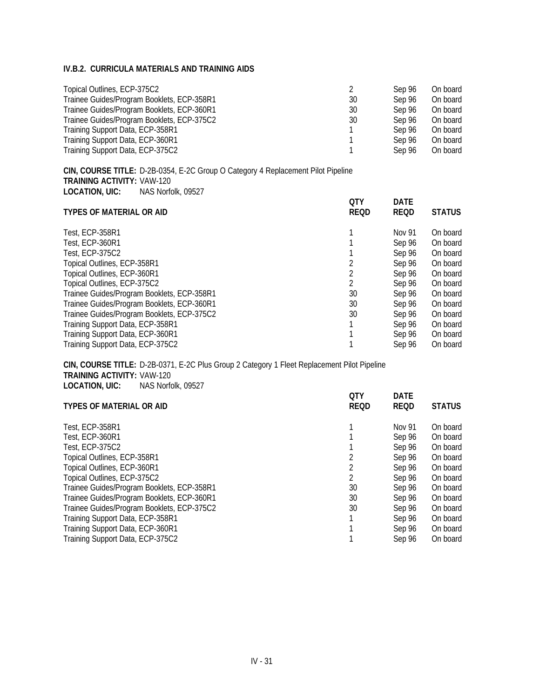| Topical Outlines, ECP-375C2                |    | Sep 96 | On board |
|--------------------------------------------|----|--------|----------|
| Trainee Guides/Program Booklets, ECP-358R1 | 30 | Sep 96 | On board |
| Trainee Guides/Program Booklets, ECP-360R1 | 30 | Sep 96 | On board |
| Trainee Guides/Program Booklets, ECP-375C2 | 30 | Sep 96 | On board |
| Training Support Data, ECP-358R1           |    | Sep 96 | On board |
| Training Support Data, ECP-360R1           |    | Sep 96 | On board |
| Training Support Data, ECP-375C2           |    | Sep 96 | On board |

**CIN, COURSE TITLE:** D-2B-0354, E-2C Group O Category 4 Replacement Pilot Pipeline **TRAINING ACTIVITY:** VAW-120 **LOCATION, UIC:** NAS Norfolk, 09527

| QTY         | <b>DATE</b> |               |
|-------------|-------------|---------------|
| <b>REQD</b> | <b>REQD</b> | <b>STATUS</b> |
|             | Nov 91      | On board      |
|             | Sep 96      | On board      |
|             | Sep 96      | On board      |
|             | Sep 96      | On board      |
|             | Sep 96      | On board      |
|             | Sep 96      | On board      |
| 30          | Sep 96      | On board      |
| 30          | Sep 96      | On board      |
| 30          | Sep 96      | On board      |
|             | Sep 96      | On board      |
|             | Sep 96      | On board      |
|             | Sep 96      | On board      |
|             |             |               |

**CIN, COURSE TITLE:** D-2B-0371, E-2C Plus Group 2 Category 1 Fleet Replacement Pilot Pipeline **TRAINING ACTIVITY:** VAW-120 **LOCATION, UIC:** NAS Norfolk, 09527 **QTY DATE**

| <b>TYPES OF MATERIAL OR AID</b>            | QIY<br><b>REQD</b> | DAIL<br><b>REQD</b> | <b>STATUS</b> |
|--------------------------------------------|--------------------|---------------------|---------------|
|                                            |                    |                     |               |
| <b>Test. ECP-358R1</b>                     |                    | Nov 91              | On board      |
| Test. ECP-360R1                            |                    | Sep 96              | On board      |
| Test. ECP-375C2                            |                    | Sep 96              | On board      |
| Topical Outlines, ECP-358R1                |                    | Sep 96              | On board      |
| Topical Outlines, ECP-360R1                |                    | Sep 96              | On board      |
| Topical Outlines, ECP-375C2                |                    | Sep 96              | On board      |
| Trainee Guides/Program Booklets, ECP-358R1 | 30                 | Sep 96              | On board      |
| Trainee Guides/Program Booklets, ECP-360R1 | 30                 | Sep 96              | On board      |
| Trainee Guides/Program Booklets, ECP-375C2 | 30                 | Sep 96              | On board      |
| Training Support Data, ECP-358R1           |                    | Sep 96              | On board      |
| Training Support Data, ECP-360R1           |                    | Sep 96              | On board      |
| Training Support Data, ECP-375C2           |                    | Sep 96              | On board      |
|                                            |                    |                     |               |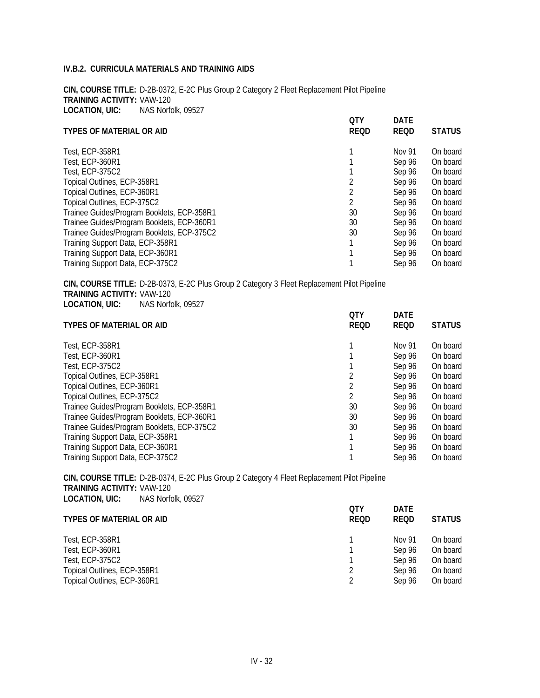**CIN, COURSE TITLE:** D-2B-0372, E-2C Plus Group 2 Category 2 Fleet Replacement Pilot Pipeline **TRAINING ACTIVITY:** VAW-120 **LOCATION, UIC:** NAS Norfolk, 09527

|                                            | <b>QTY</b>  | <b>DATE</b> |               |
|--------------------------------------------|-------------|-------------|---------------|
| <b>TYPES OF MATERIAL OR AID</b>            | <b>REQD</b> | <b>REQD</b> | <b>STATUS</b> |
| <b>Test, ECP-358R1</b>                     |             | Nov 91      | On board      |
| Test, ECP-360R1                            |             | Sep 96      | On board      |
| <b>Test. ECP-375C2</b>                     |             | Sep 96      | On board      |
| Topical Outlines, ECP-358R1                |             | Sep 96      | On board      |
| Topical Outlines, ECP-360R1                |             | Sep 96      | On board      |
| Topical Outlines, ECP-375C2                | 2           | Sep 96      | On board      |
| Trainee Guides/Program Booklets, ECP-358R1 | 30          | Sep 96      | On board      |
| Trainee Guides/Program Booklets, ECP-360R1 | 30          | Sep 96      | On board      |
| Trainee Guides/Program Booklets, ECP-375C2 | 30          | Sep 96      | On board      |
| Training Support Data, ECP-358R1           |             | Sep 96      | On board      |
| Training Support Data, ECP-360R1           |             | Sep 96      | On board      |
| Training Support Data, ECP-375C2           |             | Sep 96      | On board      |

**CIN, COURSE TITLE:** D-2B-0373, E-2C Plus Group 2 Category 3 Fleet Replacement Pilot Pipeline **TRAINING ACTIVITY:** VAW-120 **LOCATION, UIC:** NAS Norfolk, 09527 **QTY DATE**

|    |                    | <b>STATUS</b>       |
|----|--------------------|---------------------|
|    | Nov 91             | On board            |
|    | Sep 96             | On board            |
|    | Sep 96             | On board            |
|    | Sep 96             | On board            |
|    | Sep 96             | On board            |
|    | Sep 96             | On board            |
| 30 | Sep 96             | On board            |
| 30 | Sep 96             | On board            |
| 30 | Sep 96             | On board            |
|    | Sep 96             | On board            |
|    | Sep 96             | On board            |
|    | Sep 96             | On board            |
|    | UIY<br><b>REQD</b> | DAIL<br><b>REQD</b> |

**CIN, COURSE TITLE:** D-2B-0374, E-2C Plus Group 2 Category 4 Fleet Replacement Pilot Pipeline **TRAINING ACTIVITY:** VAW-120 **LOCATION, UIC:** NAS Norfolk, 09527 **QTY DATE**

| <b>TYPES OF MATERIAL OR AID</b> | QIY<br><b>REQD</b> | DAIL<br><b>REOD</b> | <b>STATUS</b> |
|---------------------------------|--------------------|---------------------|---------------|
| Test, ECP-358R1                 |                    | Nov 91              | On board      |
| Test, ECP-360R1                 |                    | Sep 96              | On board      |
| Test, ECP-375C2                 |                    | Sep 96              | On board      |
| Topical Outlines, ECP-358R1     |                    | Sep 96              | On board      |
| Topical Outlines, ECP-360R1     |                    | Sep 96              | On board      |
|                                 |                    |                     |               |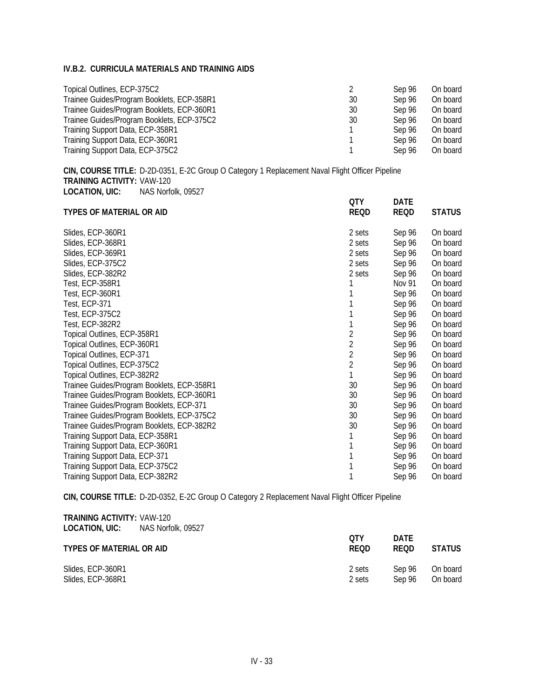| Topical Outlines, ECP-375C2                |    | Sep 96 | On board |
|--------------------------------------------|----|--------|----------|
| Trainee Guides/Program Booklets, ECP-358R1 | 30 | Sep 96 | On board |
| Trainee Guides/Program Booklets, ECP-360R1 | 30 | Sep 96 | On board |
| Trainee Guides/Program Booklets, ECP-375C2 | 30 | Sep 96 | On board |
| Training Support Data, ECP-358R1           |    | Sep 96 | On board |
| Training Support Data, ECP-360R1           |    | Sep 96 | On board |
| Training Support Data, ECP-375C2           |    | Sep 96 | On board |

**CIN, COURSE TITLE:** D-2D-0351, E-2C Group O Category 1 Replacement Naval Flight Officer Pipeline **TRAINING ACTIVITY:** VAW-120 **LOCATION, UIC:** NAS Norfolk, 09527 **QTY DATE**

| <b>TYPES OF MATERIAL OR AID</b>            | QIY<br><b>REQD</b> | DAIL<br><b>REQD</b> | <b>STATUS</b> |
|--------------------------------------------|--------------------|---------------------|---------------|
| Slides, ECP-360R1                          | 2 sets             | Sep 96              | On board      |
| Slides, ECP-368R1                          | 2 sets             | Sep 96              | On board      |
| Slides, ECP-369R1                          | 2 sets             | Sep 96              | On board      |
| Slides, ECP-375C2                          | 2 sets             | Sep 96              | On board      |
| Slides, ECP-382R2                          | 2 sets             | Sep 96              | On board      |
| Test, ECP-358R1                            |                    | Nov 91              | On board      |
| Test, ECP-360R1                            |                    | Sep 96              | On board      |
| <b>Test, ECP-371</b>                       |                    | Sep 96              | On board      |
| Test, ECP-375C2                            |                    | Sep 96              | On board      |
| Test, ECP-382R2                            |                    | Sep 96              | On board      |
| Topical Outlines, ECP-358R1                | 2                  | Sep 96              | On board      |
| Topical Outlines, ECP-360R1                | 2                  | Sep 96              | On board      |
| Topical Outlines, ECP-371                  | $\overline{2}$     | Sep 96              | On board      |
| Topical Outlines, ECP-375C2                | $\overline{2}$     | Sep 96              | On board      |
| Topical Outlines, ECP-382R2                |                    | Sep 96              | On board      |
| Trainee Guides/Program Booklets, ECP-358R1 | 30                 | Sep 96              | On board      |
| Trainee Guides/Program Booklets, ECP-360R1 | 30                 | Sep 96              | On board      |
| Trainee Guides/Program Booklets, ECP-371   | 30                 | Sep 96              | On board      |
| Trainee Guides/Program Booklets, ECP-375C2 | 30                 | Sep 96              | On board      |
| Trainee Guides/Program Booklets, ECP-382R2 | 30                 | Sep 96              | On board      |
| Training Support Data, ECP-358R1           |                    | Sep 96              | On board      |
| Training Support Data, ECP-360R1           |                    | Sep 96              | On board      |
| Training Support Data, ECP-371             |                    | Sep 96              | On board      |
| Training Support Data, ECP-375C2           |                    | Sep 96              | On board      |
| Training Support Data, ECP-382R2           |                    | Sep 96              | On board      |

**CIN, COURSE TITLE:** D-2D-0352, E-2C Group O Category 2 Replacement Naval Flight Officer Pipeline

| <b>TRAINING ACTIVITY: VAW-120</b><br><b>LOCATION, UIC:</b> NAS Norfolk, 09527 |  |
|-------------------------------------------------------------------------------|--|
| TYPES OF MATERIAL OR AID                                                      |  |

| TYPES OF MATERIAL OR AID | оту<br><b>REOD</b> | <b>DATE</b><br><b>REOD</b> | <b>STATUS</b> |
|--------------------------|--------------------|----------------------------|---------------|
| Slides, ECP-360R1        | 2 sets             | Sep 96                     | On board      |
| Slides, ECP-368R1        | 2 sets             | Sep 96                     | On board      |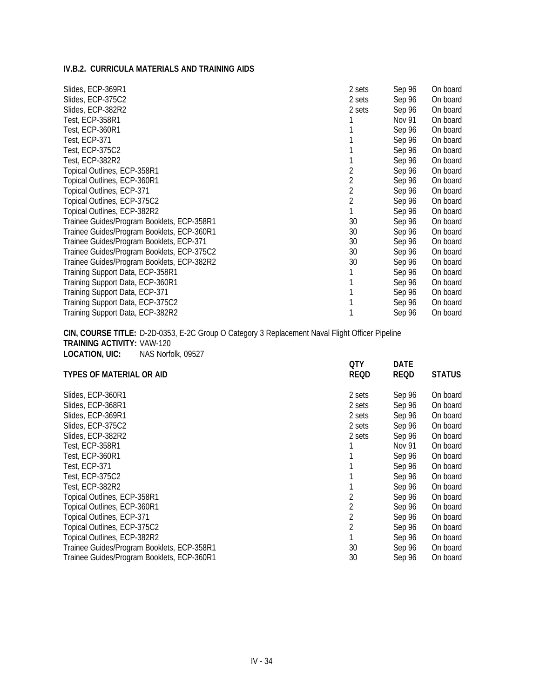| Slides, ECP-369R1                          | 2 sets | Sep 96 | On board |
|--------------------------------------------|--------|--------|----------|
| Slides, ECP-375C2                          | 2 sets | Sep 96 | On board |
| Slides, ECP-382R2                          | 2 sets | Sep 96 | On board |
| Test, ECP-358R1                            |        | Nov 91 | On board |
| Test, ECP-360R1                            |        | Sep 96 | On board |
| Test, ECP-371                              |        | Sep 96 | On board |
| Test, ECP-375C2                            |        | Sep 96 | On board |
| Test, ECP-382R2                            |        | Sep 96 | On board |
| Topical Outlines, ECP-358R1                |        | Sep 96 | On board |
| Topical Outlines, ECP-360R1                |        | Sep 96 | On board |
| Topical Outlines, ECP-371                  |        | Sep 96 | On board |
| Topical Outlines, ECP-375C2                |        | Sep 96 | On board |
| Topical Outlines, ECP-382R2                |        | Sep 96 | On board |
| Trainee Guides/Program Booklets, ECP-358R1 | 30     | Sep 96 | On board |
| Trainee Guides/Program Booklets, ECP-360R1 | 30     | Sep 96 | On board |
| Trainee Guides/Program Booklets, ECP-371   | 30     | Sep 96 | On board |
| Trainee Guides/Program Booklets, ECP-375C2 | 30     | Sep 96 | On board |
| Trainee Guides/Program Booklets, ECP-382R2 | 30     | Sep 96 | On board |
| Training Support Data, ECP-358R1           |        | Sep 96 | On board |
| Training Support Data, ECP-360R1           |        | Sep 96 | On board |
| Training Support Data, ECP-371             |        | Sep 96 | On board |
| Training Support Data, ECP-375C2           |        | Sep 96 | On board |
| Training Support Data, ECP-382R2           |        | Sep 96 | On board |

**CIN, COURSE TITLE:** D-2D-0353, E-2C Group O Category 3 Replacement Naval Flight Officer Pipeline **TRAINING ACTIVITY:** VAW-120 **LOCATION, UIC:** NAS Norfolk, 09527 **QTY DATE**

| <b>TYPES OF MATERIAL OR AID</b>            | un<br><b>REQD</b> | UAIL<br><b>REQD</b> | <b>STATUS</b> |
|--------------------------------------------|-------------------|---------------------|---------------|
|                                            |                   |                     |               |
| Slides, ECP-360R1                          | 2 sets            | Sep 96              | On board      |
| Slides, ECP-368R1                          | 2 sets            | Sep 96              | On board      |
| Slides, ECP-369R1                          | 2 sets            | Sep 96              | On board      |
| Slides, ECP-375C2                          | 2 sets            | Sep 96              | On board      |
| Slides, ECP-382R2                          | 2 sets            | Sep 96              | On board      |
| Test, ECP-358R1                            |                   | Nov 91              | On board      |
| Test, ECP-360R1                            |                   | Sep 96              | On board      |
| Test, ECP-371                              |                   | Sep 96              | On board      |
| Test, ECP-375C2                            |                   | Sep 96              | On board      |
| Test, ECP-382R2                            |                   | Sep 96              | On board      |
| Topical Outlines, ECP-358R1                |                   | Sep 96              | On board      |
| Topical Outlines, ECP-360R1                | 2                 | Sep 96              | On board      |
| Topical Outlines, ECP-371                  | 2                 | Sep 96              | On board      |
| Topical Outlines, ECP-375C2                | 2                 | Sep 96              | On board      |
| Topical Outlines, ECP-382R2                |                   | Sep 96              | On board      |
| Trainee Guides/Program Booklets, ECP-358R1 | 30                | Sep 96              | On board      |
| Trainee Guides/Program Booklets, ECP-360R1 | 30                | Sep 96              | On board      |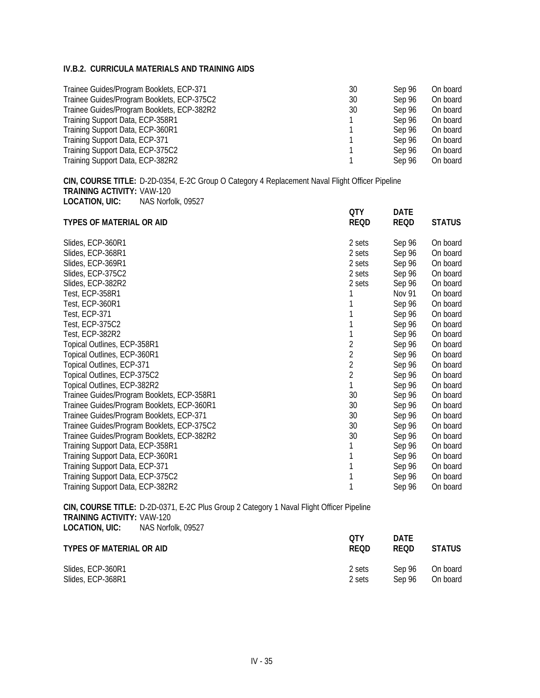| Trainee Guides/Program Booklets, ECP-371   | 30 | Sep 96 | On board |
|--------------------------------------------|----|--------|----------|
| Trainee Guides/Program Booklets, ECP-375C2 | 30 | Sep 96 | On board |
| Trainee Guides/Program Booklets, ECP-382R2 | 30 | Sep 96 | On board |
| Training Support Data, ECP-358R1           |    | Sep 96 | On board |
| Training Support Data, ECP-360R1           |    | Sep 96 | On board |
| Training Support Data, ECP-371             |    | Sep 96 | On board |
| Training Support Data, ECP-375C2           |    | Sep 96 | On board |
| Training Support Data, ECP-382R2           |    | Sep 96 | On board |

**CIN, COURSE TITLE:** D-2D-0354, E-2C Group O Category 4 Replacement Naval Flight Officer Pipeline **TRAINING ACTIVITY:** VAW-120 **LOCATION, UIC:** NAS Norfolk, 09527 **QTY DATE**

| <b>TYPES OF MATERIAL OR AID</b>            | ur<br><b>REQD</b> | DAIL<br><b>REQD</b> | <b>STATUS</b> |
|--------------------------------------------|-------------------|---------------------|---------------|
| Slides, ECP-360R1                          | 2 sets            | Sep 96              | On board      |
| Slides, ECP-368R1                          | 2 sets            | Sep 96              | On board      |
| Slides, ECP-369R1                          | 2 sets            | Sep 96              | On board      |
| Slides, ECP-375C2                          | 2 sets            | Sep 96              | On board      |
| Slides, ECP-382R2                          | 2 sets            | Sep 96              | On board      |
| Test, ECP-358R1                            |                   | <b>Nov 91</b>       | On board      |
| Test, ECP-360R1                            |                   | Sep 96              | On board      |
| Test, ECP-371                              |                   | Sep 96              | On board      |
| Test, ECP-375C2                            |                   | Sep 96              | On board      |
| Test, ECP-382R2                            |                   | Sep 96              | On board      |
| Topical Outlines, ECP-358R1                | 2                 | Sep 96              | On board      |
| Topical Outlines, ECP-360R1                | $\overline{2}$    | Sep 96              | On board      |
| Topical Outlines, ECP-371                  | $\overline{2}$    | Sep 96              | On board      |
| Topical Outlines, ECP-375C2                | $\overline{2}$    | Sep 96              | On board      |
| Topical Outlines, ECP-382R2                |                   | Sep 96              | On board      |
| Trainee Guides/Program Booklets, ECP-358R1 | 30                | Sep 96              | On board      |
| Trainee Guides/Program Booklets, ECP-360R1 | 30                | Sep 96              | On board      |
| Trainee Guides/Program Booklets, ECP-371   | 30                | Sep 96              | On board      |
| Trainee Guides/Program Booklets, ECP-375C2 | 30                | Sep 96              | On board      |
| Trainee Guides/Program Booklets, ECP-382R2 | 30                | Sep 96              | On board      |
| Training Support Data, ECP-358R1           |                   | Sep 96              | On board      |
| Training Support Data, ECP-360R1           |                   | Sep 96              | On board      |
| Training Support Data, ECP-371             |                   | Sep 96              | On board      |
| Training Support Data, ECP-375C2           |                   | Sep 96              | On board      |
| Training Support Data, ECP-382R2           |                   | Sep 96              | On board      |

**CIN, COURSE TITLE:** D-2D-0371, E-2C Plus Group 2 Category 1 Naval Flight Officer Pipeline **TRAINING ACTIVITY:** VAW-120 **LOCATION, UIC:** NAS Norfolk, 09527

| TYPES OF MATERIAL OR AID | оту<br><b>REOD</b> | <b>DATE</b><br><b>REOD</b> | <b>STATUS</b> |
|--------------------------|--------------------|----------------------------|---------------|
| Slides, ECP-360R1        | 2 sets             | Sep 96                     | On board      |
| Slides, ECP-368R1        | 2 sets             | Sep 96                     | On board      |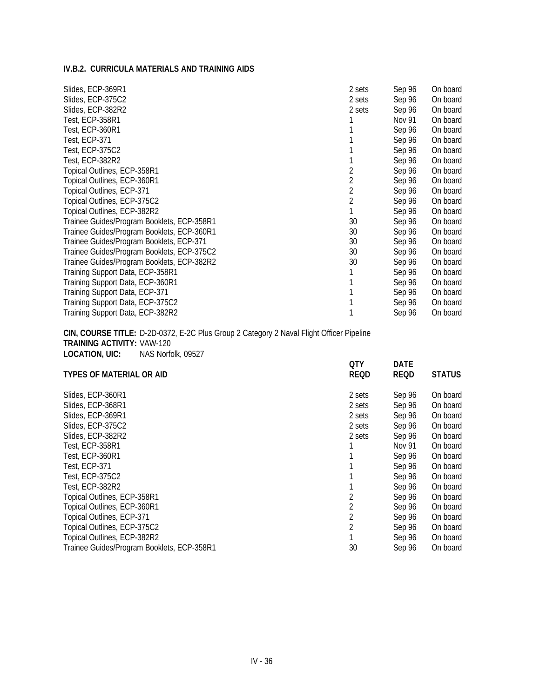| Slides, ECP-369R1                          | 2 sets | Sep 96 | On board |
|--------------------------------------------|--------|--------|----------|
| Slides, ECP-375C2                          | 2 sets | Sep 96 | On board |
| Slides, ECP-382R2                          | 2 sets | Sep 96 | On board |
| Test. ECP-358R1                            |        | Nov 91 | On board |
| Test, ECP-360R1                            |        | Sep 96 | On board |
| Test, ECP-371                              |        | Sep 96 | On board |
| Test, ECP-375C2                            |        | Sep 96 | On board |
| Test, ECP-382R2                            |        | Sep 96 | On board |
| Topical Outlines, ECP-358R1                |        | Sep 96 | On board |
| Topical Outlines, ECP-360R1                |        | Sep 96 | On board |
| Topical Outlines, ECP-371                  | 2      | Sep 96 | On board |
| Topical Outlines, ECP-375C2                | 2      | Sep 96 | On board |
| Topical Outlines, ECP-382R2                |        | Sep 96 | On board |
| Trainee Guides/Program Booklets, ECP-358R1 | 30     | Sep 96 | On board |
| Trainee Guides/Program Booklets, ECP-360R1 | 30     | Sep 96 | On board |
| Trainee Guides/Program Booklets, ECP-371   | 30     | Sep 96 | On board |
| Trainee Guides/Program Booklets, ECP-375C2 | 30     | Sep 96 | On board |
| Trainee Guides/Program Booklets, ECP-382R2 | 30     | Sep 96 | On board |
| Training Support Data, ECP-358R1           |        | Sep 96 | On board |
| Training Support Data, ECP-360R1           |        | Sep 96 | On board |
| Training Support Data, ECP-371             |        | Sep 96 | On board |
| Training Support Data, ECP-375C2           |        | Sep 96 | On board |
| Training Support Data, ECP-382R2           |        | Sep 96 | On board |

**CIN, COURSE TITLE:** D-2D-0372, E-2C Plus Group 2 Category 2 Naval Flight Officer Pipeline **TRAINING ACTIVITY:** VAW-120 **LOCATION, UIC:** NAS Norfolk, 09527 **QTY DATE**

| <b>TYPES OF MATERIAL OR AID</b>            | ur<br><b>REQD</b> | DAIL<br><b>REQD</b> | <b>STATUS</b> |
|--------------------------------------------|-------------------|---------------------|---------------|
| Slides, ECP-360R1                          | 2 sets            | Sep 96              | On board      |
| Slides, ECP-368R1                          | 2 sets            | Sep 96              | On board      |
| Slides, ECP-369R1                          | 2 sets            | Sep 96              | On board      |
| Slides, ECP-375C2                          | 2 sets            | Sep 96              | On board      |
| Slides, ECP-382R2                          | 2 sets            | Sep 96              | On board      |
| <b>Test, ECP-358R1</b>                     |                   | Nov 91              | On board      |
| Test, ECP-360R1                            |                   | Sep 96              | On board      |
| Test, ECP-371                              |                   | Sep 96              | On board      |
| Test, ECP-375C2                            |                   | Sep 96              | On board      |
| Test, ECP-382R2                            |                   | Sep 96              | On board      |
| Topical Outlines, ECP-358R1                |                   | Sep 96              | On board      |
| Topical Outlines, ECP-360R1                |                   | Sep 96              | On board      |
| Topical Outlines, ECP-371                  | 2                 | Sep 96              | On board      |
| Topical Outlines, ECP-375C2                | 2                 | Sep 96              | On board      |
| Topical Outlines, ECP-382R2                |                   | Sep 96              | On board      |
| Trainee Guides/Program Booklets, ECP-358R1 | 30                | Sep 96              | On board      |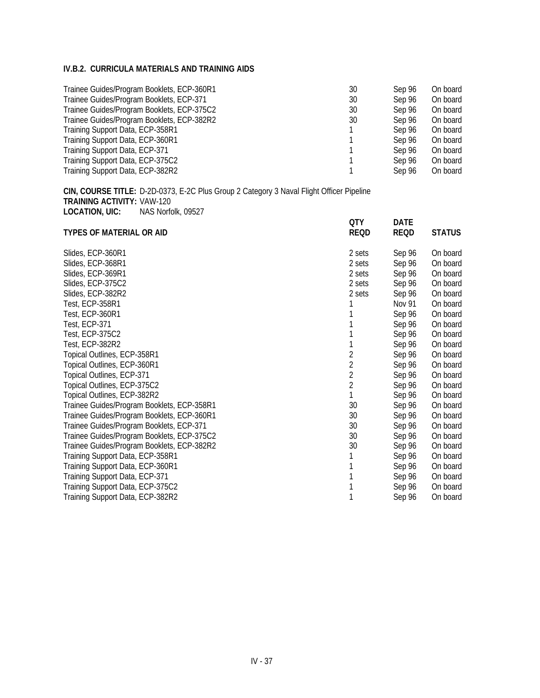| Trainee Guides/Program Booklets, ECP-360R1 | 30 | Sep 96 | On board |
|--------------------------------------------|----|--------|----------|
| Trainee Guides/Program Booklets, ECP-371   | 30 | Sep 96 | On board |
| Trainee Guides/Program Booklets, ECP-375C2 | 30 | Sep 96 | On board |
| Trainee Guides/Program Booklets, ECP-382R2 | 30 | Sep 96 | On board |
| Training Support Data, ECP-358R1           |    | Sep 96 | On board |
| Training Support Data, ECP-360R1           |    | Sep 96 | On board |
| Training Support Data, ECP-371             |    | Sep 96 | On board |
| Training Support Data, ECP-375C2           |    | Sep 96 | On board |
| Training Support Data, ECP-382R2           |    | Sep 96 | On board |

**CIN, COURSE TITLE:** D-2D-0373, E-2C Plus Group 2 Category 3 Naval Flight Officer Pipeline **TRAINING ACTIVITY:** VAW-120 **LOCATION, UIC:** NAS Norfolk, 09527

|                                            | <b>QTY</b>     | <b>DATE</b> |               |
|--------------------------------------------|----------------|-------------|---------------|
| <b>TYPES OF MATERIAL OR AID</b>            | <b>REQD</b>    | <b>REQD</b> | <b>STATUS</b> |
| Slides, ECP-360R1                          | 2 sets         | Sep 96      | On board      |
| Slides, ECP-368R1                          | 2 sets         | Sep 96      | On board      |
| Slides, ECP-369R1                          | 2 sets         | Sep 96      | On board      |
| Slides, ECP-375C2                          | 2 sets         | Sep 96      | On board      |
| Slides, ECP-382R2                          | 2 sets         | Sep 96      | On board      |
| Test, ECP-358R1                            |                | Nov 91      | On board      |
| Test, ECP-360R1                            |                | Sep 96      | On board      |
| Test, ECP-371                              |                | Sep 96      | On board      |
| Test, ECP-375C2                            |                | Sep 96      | On board      |
| Test, ECP-382R2                            |                | Sep 96      | On board      |
| Topical Outlines, ECP-358R1                | $\overline{2}$ | Sep 96      | On board      |
| Topical Outlines, ECP-360R1                | $\overline{2}$ | Sep 96      | On board      |
| Topical Outlines, ECP-371                  | $\overline{2}$ | Sep 96      | On board      |
| Topical Outlines, ECP-375C2                | $\overline{2}$ | Sep 96      | On board      |
| Topical Outlines, ECP-382R2                |                | Sep 96      | On board      |
| Trainee Guides/Program Booklets, ECP-358R1 | 30             | Sep 96      | On board      |
| Trainee Guides/Program Booklets, ECP-360R1 | 30             | Sep 96      | On board      |
| Trainee Guides/Program Booklets, ECP-371   | 30             | Sep 96      | On board      |
| Trainee Guides/Program Booklets, ECP-375C2 | 30             | Sep 96      | On board      |
| Trainee Guides/Program Booklets, ECP-382R2 | 30             | Sep 96      | On board      |
| Training Support Data, ECP-358R1           |                | Sep 96      | On board      |
| Training Support Data, ECP-360R1           |                | Sep 96      | On board      |
| Training Support Data, ECP-371             |                | Sep 96      | On board      |
| Training Support Data, ECP-375C2           |                | Sep 96      | On board      |
| Training Support Data, ECP-382R2           |                | Sep 96      | On board      |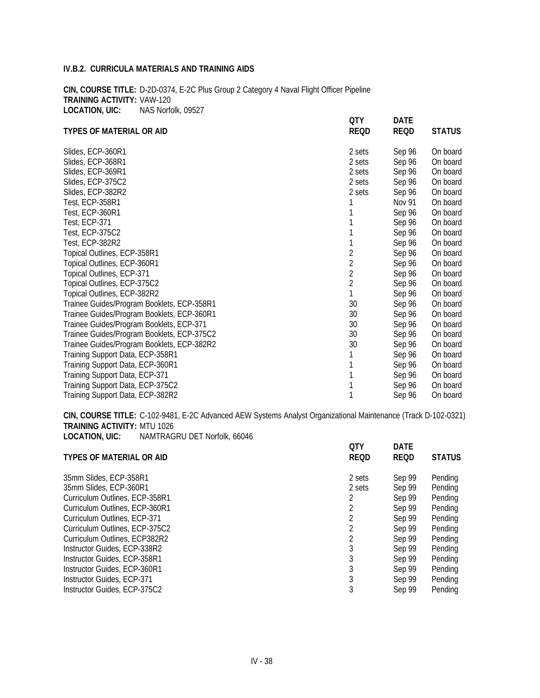**CIN, COURSE TITLE:** D-2D-0374, E-2C Plus Group 2 Category 4 Naval Flight Officer Pipeline **TRAINING ACTIVITY:** VAW-120 **LOCATION, UIC:** NAS Norfolk, 09527 **QTY DATE**

| <b>TYPES OF MATERIAL OR AID</b>            | ur<br><b>REQD</b> | DAIL<br><b>REQD</b> | <b>STATUS</b> |
|--------------------------------------------|-------------------|---------------------|---------------|
| Slides, ECP-360R1                          | 2 sets            | Sep 96              | On board      |
| Slides, ECP-368R1                          | 2 sets            | Sep 96              | On board      |
| Slides, ECP-369R1                          | 2 sets            | Sep 96              | On board      |
| Slides, ECP-375C2                          | 2 sets            | Sep 96              | On board      |
| Slides, ECP-382R2                          | 2 sets            | Sep 96              | On board      |
| Test, ECP-358R1                            |                   | Nov 91              | On board      |
| Test, ECP-360R1                            |                   | Sep 96              | On board      |
| Test, ECP-371                              |                   | Sep 96              | On board      |
| <b>Test, ECP-375C2</b>                     |                   | Sep 96              | On board      |
| Test, ECP-382R2                            |                   | Sep 96              | On board      |
| Topical Outlines, ECP-358R1                | 2                 | Sep 96              | On board      |
| Topical Outlines, ECP-360R1                | 2                 | Sep 96              | On board      |
| Topical Outlines, ECP-371                  | $\overline{2}$    | Sep 96              | On board      |
| Topical Outlines, ECP-375C2                | $\overline{2}$    | Sep 96              | On board      |
| Topical Outlines, ECP-382R2                |                   | Sep 96              | On board      |
| Trainee Guides/Program Booklets, ECP-358R1 | 30                | Sep 96              | On board      |
| Trainee Guides/Program Booklets, ECP-360R1 | 30                | Sep 96              | On board      |
| Trainee Guides/Program Booklets, ECP-371   | 30                | Sep 96              | On board      |
| Trainee Guides/Program Booklets, ECP-375C2 | 30                | Sep 96              | On board      |
| Trainee Guides/Program Booklets, ECP-382R2 | 30                | Sep 96              | On board      |
| Training Support Data, ECP-358R1           |                   | Sep 96              | On board      |
| Training Support Data, ECP-360R1           |                   | Sep 96              | On board      |
| Training Support Data, ECP-371             |                   | Sep 96              | On board      |
| Training Support Data, ECP-375C2           |                   | Sep 96              | On board      |
| Training Support Data, ECP-382R2           |                   | Sep 96              | On board      |

**CIN, COURSE TITLE:** C-102-9481, E-2C Advanced AEW Systems Analyst Organizational Maintenance (Track D-102-0321) **TRAINING ACTIVITY:** MTU 1026 **LOCATION, UIC:** NAMTRAGRU DET Norfolk, 66046

|        |             | <b>STATUS</b> |
|--------|-------------|---------------|
| 2 sets | Sep 99      | Pending       |
| 2 sets | Sep 99      | Pending       |
|        | Sep 99      | Pending       |
| 2      | Sep 99      | Pending       |
|        | Sep 99      | Pending       |
| 2      | Sep 99      | Pending       |
|        | Sep 99      | Pending       |
| 3      | Sep 99      | Pending       |
|        | Sep 99      | Pending       |
| 3      | Sep 99      | Pending       |
|        | Sep 99      | Pending       |
| 3      | Sep 99      | Pendina       |
|        | <b>REQD</b> | <b>REQD</b>   |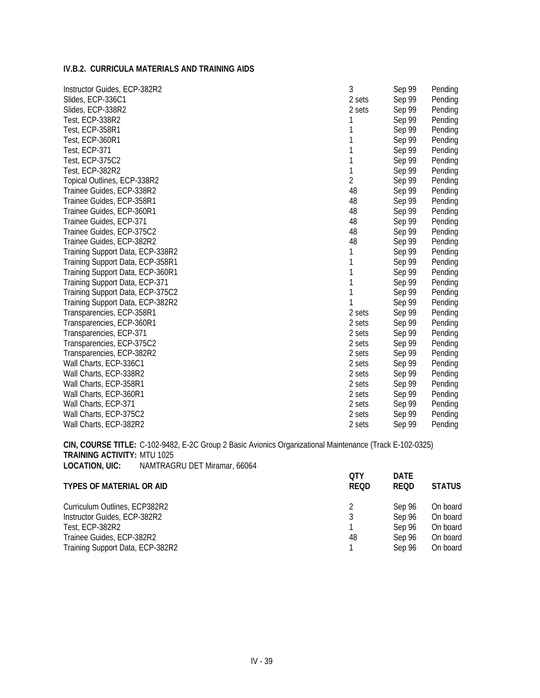| Instructor Guides, ECP-382R2     | 3              | Sep 99 | Pending |
|----------------------------------|----------------|--------|---------|
| Slides, ECP-336C1                | 2 sets         | Sep 99 | Pending |
| Slides, ECP-338R2                | 2 sets         | Sep 99 | Pending |
| Test, ECP-338R2                  | 1              | Sep 99 | Pending |
| Test, ECP-358R1                  | 1              | Sep 99 | Pending |
| Test, ECP-360R1                  | 1              | Sep 99 | Pending |
| Test, ECP-371                    | 1              | Sep 99 | Pending |
| <b>Test, ECP-375C2</b>           | 1              | Sep 99 | Pending |
| Test, ECP-382R2                  | 1              | Sep 99 | Pending |
| Topical Outlines, ECP-338R2      | $\overline{2}$ | Sep 99 | Pending |
| Trainee Guides, ECP-338R2        | 48             | Sep 99 | Pending |
| Trainee Guides, ECP-358R1        | 48             | Sep 99 | Pending |
| Trainee Guides, ECP-360R1        | 48             | Sep 99 | Pending |
| Trainee Guides, ECP-371          | 48             | Sep 99 | Pending |
| Trainee Guides, ECP-375C2        | 48             | Sep 99 | Pending |
| Trainee Guides, ECP-382R2        | 48             | Sep 99 | Pending |
| Training Support Data, ECP-338R2 | 1              | Sep 99 | Pending |
| Training Support Data, ECP-358R1 | 1              | Sep 99 | Pending |
| Training Support Data, ECP-360R1 | 1              | Sep 99 | Pending |
| Training Support Data, ECP-371   | 1              | Sep 99 | Pending |
| Training Support Data, ECP-375C2 | 1              | Sep 99 | Pending |
| Training Support Data, ECP-382R2 | 1              | Sep 99 | Pending |
| Transparencies, ECP-358R1        | 2 sets         | Sep 99 | Pending |
| Transparencies, ECP-360R1        | 2 sets         | Sep 99 | Pending |
| Transparencies, ECP-371          | 2 sets         | Sep 99 | Pending |
| Transparencies, ECP-375C2        | 2 sets         | Sep 99 | Pending |
| Transparencies, ECP-382R2        | 2 sets         | Sep 99 | Pending |
| Wall Charts, ECP-336C1           | 2 sets         | Sep 99 | Pending |
| Wall Charts, ECP-338R2           | 2 sets         | Sep 99 | Pending |
| Wall Charts, ECP-358R1           | 2 sets         | Sep 99 | Pending |
| Wall Charts, ECP-360R1           | 2 sets         | Sep 99 | Pending |
| Wall Charts, ECP-371             | 2 sets         | Sep 99 | Pending |
| Wall Charts, ECP-375C2           | 2 sets         | Sep 99 | Pending |
| Wall Charts, ECP-382R2           | 2 sets         | Sep 99 | Pending |

**CIN, COURSE TITLE:** C-102-9482, E-2C Group 2 Basic Avionics Organizational Maintenance (Track E-102-0325) **TRAINING ACTIVITY:** MTU 1025 **LOCATION, UIC:** NAMTRAGRU DET Miramar, 66064 **QTY DATE**

| <b>TYPES OF MATERIAL OR AID</b>  | OTY<br><b>REQD</b> | DATE<br><b>REQD</b> | <b>STATUS</b> |
|----------------------------------|--------------------|---------------------|---------------|
| Curriculum Outlines, ECP382R2    | 2                  | Sep 96              | On board      |
| Instructor Guides, ECP-382R2     |                    | Sep 96              | On board      |
| Test. ECP-382R2                  |                    | Sep 96              | On board      |
| Trainee Guides, ECP-382R2        | 48                 | Sep 96              | On board      |
| Training Support Data, ECP-382R2 |                    | Sep 96              | On board      |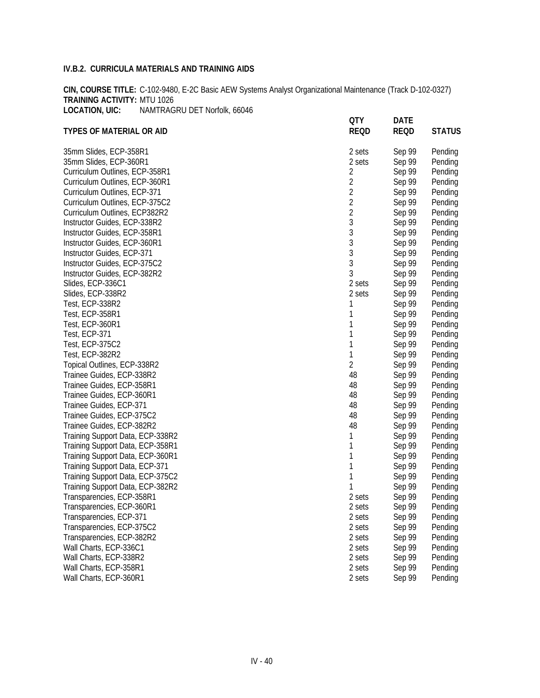**CIN, COURSE TITLE:** C-102-9480, E-2C Basic AEW Systems Analyst Organizational Maintenance (Track D-102-0327) **TRAINING ACTIVITY:** MTU 1026 **LOCATION, UIC:** NAMTRAGRU DET Norfolk, 66046

| <b>TYPES OF MATERIAL OR AID</b>  | <b>QTY</b><br><b>REQD</b> | <b>DATE</b><br><b>REQD</b> | <b>STATUS</b> |
|----------------------------------|---------------------------|----------------------------|---------------|
| 35mm Slides, ECP-358R1           | 2 sets                    | Sep 99                     | Pending       |
| 35mm Slides, ECP-360R1           | 2 sets                    | Sep 99                     | Pending       |
| Curriculum Outlines, ECP-358R1   | $\overline{2}$            | Sep 99                     | Pending       |
| Curriculum Outlines, ECP-360R1   | $\overline{2}$            | Sep 99                     | Pending       |
| Curriculum Outlines, ECP-371     | $\overline{2}$            | Sep 99                     | Pending       |
| Curriculum Outlines, ECP-375C2   | $\overline{2}$            | Sep 99                     | Pending       |
| Curriculum Outlines, ECP382R2    | $\overline{2}$            | Sep 99                     | Pending       |
| Instructor Guides, ECP-338R2     | 3                         | Sep 99                     | Pending       |
| Instructor Guides, ECP-358R1     | 3                         | Sep 99                     | Pending       |
| Instructor Guides, ECP-360R1     | 3                         | Sep 99                     | Pending       |
| Instructor Guides, ECP-371       | 3                         | Sep 99                     | Pending       |
| Instructor Guides, ECP-375C2     | 3                         | Sep 99                     | Pending       |
| Instructor Guides, ECP-382R2     | 3                         | Sep 99                     | Pending       |
| Slides, ECP-336C1                | 2 sets                    | Sep 99                     | Pending       |
| Slides, ECP-338R2                | 2 sets                    | Sep 99                     | Pending       |
| Test, ECP-338R2                  | 1                         | Sep 99                     | Pending       |
| Test, ECP-358R1                  | 1                         | Sep 99                     | Pending       |
| Test, ECP-360R1                  | 1                         | Sep 99                     | Pending       |
| Test, ECP-371                    | 1                         | Sep 99                     | Pending       |
| <b>Test, ECP-375C2</b>           | 1                         | Sep 99                     | Pending       |
| Test, ECP-382R2                  | 1                         | Sep 99                     | Pending       |
| Topical Outlines, ECP-338R2      | 2                         | Sep 99                     | Pending       |
| Trainee Guides, ECP-338R2        | 48                        | Sep 99                     | Pending       |
| Trainee Guides, ECP-358R1        | 48                        | Sep 99                     | Pending       |
| Trainee Guides, ECP-360R1        | 48                        | Sep 99                     | Pending       |
| Trainee Guides, ECP-371          | 48                        | Sep 99                     | Pending       |
| Trainee Guides, ECP-375C2        | 48                        | Sep 99                     | Pending       |
| Trainee Guides, ECP-382R2        | 48                        | Sep 99                     | Pending       |
| Training Support Data, ECP-338R2 | 1                         | Sep 99                     | Pending       |
| Training Support Data, ECP-358R1 | 1                         | Sep 99                     | Pending       |
| Training Support Data, ECP-360R1 | 1                         | Sep 99                     | Pending       |
| Training Support Data, ECP-371   | 1                         | Sep 99                     | Pending       |
| Training Support Data, ECP-375C2 | 1                         | Sep 99                     | Pending       |
| Training Support Data, ECP-382R2 | 1                         | Sep 99                     | Pending       |
| Transparencies, ECP-358R1        | 2 sets                    | Sep 99                     | Pending       |
| Transparencies, ECP-360R1        | 2 sets                    | Sep 99                     | Pending       |
| Transparencies, ECP-371          | 2 sets                    | Sep 99                     | Pending       |
| Transparencies, ECP-375C2        | 2 sets                    | Sep 99                     | Pending       |
| Transparencies, ECP-382R2        | 2 sets                    | Sep 99                     | Pending       |
| Wall Charts, ECP-336C1           | 2 sets                    | Sep 99                     | Pending       |
| Wall Charts, ECP-338R2           | 2 sets                    | Sep 99                     | Pending       |
| Wall Charts, ECP-358R1           | 2 sets                    | Sep 99                     | Pending       |
| Wall Charts, ECP-360R1           | 2 sets                    | Sep 99                     | Pending       |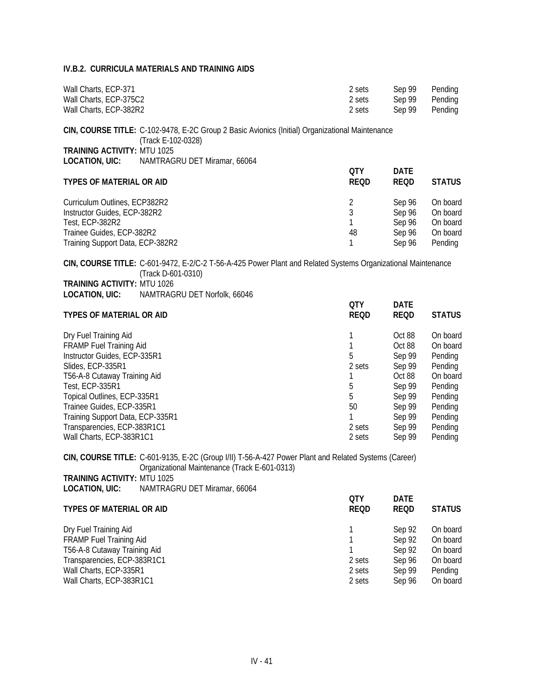| Wall Charts, ECP-371   | 2 sets | Sep 99 | Pending |
|------------------------|--------|--------|---------|
| Wall Charts, ECP-375C2 | 2 sets | Sep 99 | Pending |
| Wall Charts, ECP-382R2 | 2 sets | Sep 99 | Pending |

**CIN, COURSE TITLE:** C-102-9478, E-2C Group 2 Basic Avionics (Initial) Organizational Maintenance (Track E-102-0328) **TRAINING ACTIVITY: MTU 1025<br>LOCATION, UIC: NAMTRAG LOCATION, UIC:** NAMTRAGRU DET Miramar, 66064

| <b>TYPES OF MATERIAL OR AID</b>  | 0TY<br><b>REQD</b> | <b>DATE</b><br>REQD | <b>STATUS</b> |
|----------------------------------|--------------------|---------------------|---------------|
| Curriculum Outlines, ECP382R2    |                    | Sep 96              | On board      |
| Instructor Guides, ECP-382R2     |                    | Sep 96              | On board      |
| Test, ECP-382R2                  |                    | Sep 96              | On board      |
| Trainee Guides, ECP-382R2        | 48                 | Sep 96              | On board      |
| Training Support Data, ECP-382R2 |                    | Sep 96              | Pending       |

**CIN, COURSE TITLE:** C-601-9472, E-2/C-2 T-56-A-425 Power Plant and Related Systems Organizational Maintenance (Track D-601-0310)

| <b>TRAINING ACTIVITY: MTU 1026</b> |                              |
|------------------------------------|------------------------------|
| LOCATION, UIC:                     | NAMTRAGRU DET Norfolk, 66046 |

| <b>TYPES OF MATERIAL OR AID</b>  | <b>OTY</b><br><b>REQD</b> | <b>DATE</b><br><b>REQD</b> | <b>STATUS</b> |
|----------------------------------|---------------------------|----------------------------|---------------|
| Dry Fuel Training Aid            |                           | Oct 88                     | On board      |
| <b>FRAMP Fuel Training Aid</b>   |                           | Oct 88                     | On board      |
| Instructor Guides, ECP-335R1     | 5                         | Sep 99                     | Pending       |
| Slides, ECP-335R1                | 2 sets                    | Sep 99                     | Pending       |
| T56-A-8 Cutaway Training Aid     |                           | Oct 88                     | On board      |
| Test, ECP-335R1                  | 5                         | Sep 99                     | Pending       |
| Topical Outlines, ECP-335R1      | 5                         | Sep 99                     | Pending       |
| Trainee Guides, ECP-335R1        | 50                        | Sep 99                     | Pending       |
| Training Support Data, ECP-335R1 |                           | Sep 99                     | Pending       |
| Transparencies, ECP-383R1C1      | 2 sets                    | Sep 99                     | Pending       |
| Wall Charts, ECP-383R1C1         | 2 sets                    | Sep 99                     | Pending       |

**CIN, COURSE TITLE:** C-601-9135, E-2C (Group I/II) T-56-A-427 Power Plant and Related Systems (Career) Organizational Maintenance (Track E-601-0313) **TRAINING ACTIVITY:** MTU 1025

**LOCATION, UIC:** NAMTRAGRU DET Miramar, 66064

| <b>OTY</b><br><b>REQD</b> | <b>DATE</b><br><b>REQD</b> | <b>STATUS</b> |
|---------------------------|----------------------------|---------------|
|                           | Sep 92                     | On board      |
|                           | Sep 92                     | On board      |
|                           | Sep 92                     | On board      |
| 2 sets                    | Sep 96                     | On board      |
| 2 sets                    | Sep 99                     | Pending       |
| 2 sets                    | Sep 96                     | On board      |
|                           |                            |               |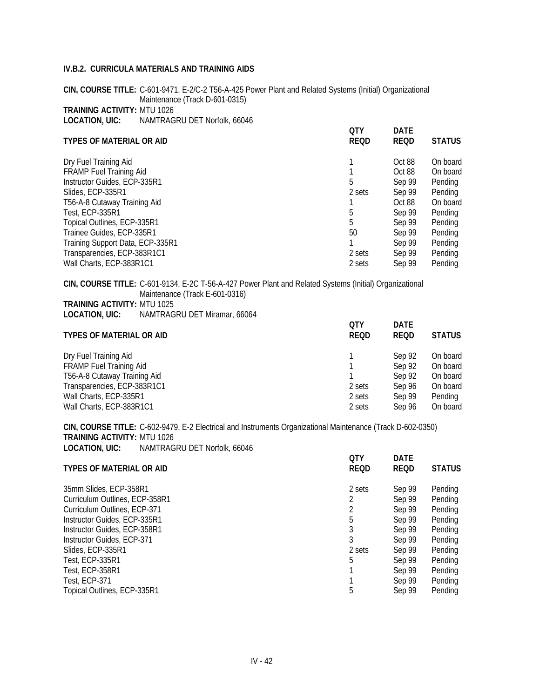**CIN, COURSE TITLE:** C-601-9471, E-2/C-2 T56-A-425 Power Plant and Related Systems (Initial) Organizational Maintenance (Track D-601-0315) **TRAINING ACTIVITY:** MTU 1026 **LOCATION, UIC:** NAMTRAGRU DET Norfolk, 66046

| <b>TYPES OF MATERIAL OR AID</b>  | 0TY<br><b>REQD</b> | <b>DATE</b><br><b>REQD</b> | <b>STATUS</b> |
|----------------------------------|--------------------|----------------------------|---------------|
| Dry Fuel Training Aid            |                    | Oct 88                     | On board      |
| <b>FRAMP Fuel Training Aid</b>   |                    | Oct 88                     | On board      |
| Instructor Guides, ECP-335R1     | 5                  | Sep 99                     | Pending       |
| Slides, ECP-335R1                | 2 sets             | Sep 99                     | Pending       |
| T56-A-8 Cutaway Training Aid     |                    | Oct 88                     | On board      |
| Test, ECP-335R1                  | 5                  | Sep 99                     | Pending       |
| Topical Outlines, ECP-335R1      | 5                  | Sep 99                     | Pending       |
| Trainee Guides, ECP-335R1        | 50                 | Sep 99                     | Pending       |
| Training Support Data, ECP-335R1 |                    | Sep 99                     | Pending       |
| Transparencies, ECP-383R1C1      | 2 sets             | Sep 99                     | Pending       |
| Wall Charts, ECP-383R1C1         | 2 sets             | Sep 99                     | Pending       |
|                                  |                    |                            |               |

**CIN, COURSE TITLE:** C-601-9134, E-2C T-56-A-427 Power Plant and Related Systems (Initial) Organizational Maintenance (Track E-601-0316)

**LOCATION, UIC:** NAMTRAGRU DET Miramar, 66064

| <b>TYPES OF MATERIAL OR AID</b> | 0TY<br><b>REQD</b> | <b>DATE</b><br>REOD | <b>STATUS</b> |
|---------------------------------|--------------------|---------------------|---------------|
| Dry Fuel Training Aid           |                    | Sep 92              | On board      |
| <b>FRAMP Fuel Training Aid</b>  |                    | Sep 92              | On board      |
| T56-A-8 Cutaway Training Aid    |                    | Sep 92              | On board      |
| Transparencies, ECP-383R1C1     | 2 sets             | Sep 96              | On board      |
| Wall Charts, ECP-335R1          | 2 sets             | Sep 99              | Pending       |
| Wall Charts, ECP-383R1C1        | 2 sets             | Sep 96              | On board      |

**CIN, COURSE TITLE:** C-602-9479, E-2 Electrical and Instruments Organizational Maintenance (Track D-602-0350) **TRAINING ACTIVITY:** MTU 1026 **LOCATION, UIC:** NAMTRAGRU DET Norfolk, 66046

| <b>OTY</b><br><b>REQD</b> | <b>DATE</b><br><b>REQD</b> | <b>STATUS</b> |
|---------------------------|----------------------------|---------------|
| 2 sets                    | Sep 99                     | Pending       |
| 2                         | Sep 99                     | Pending       |
|                           | Sep 99                     | Pending       |
| 5                         | Sep 99                     | Pending       |
| 3                         | Sep 99                     | Pending       |
|                           | Sep 99                     | Pending       |
| 2 sets                    | Sep 99                     | Pending       |
| 5                         | Sep 99                     | Pending       |
|                           | Sep 99                     | Pending       |
|                           | Sep 99                     | Pending       |
| 5                         | Sep 99                     | Pending       |
|                           |                            |               |

**TRAINING ACTIVITY:** MTU 1025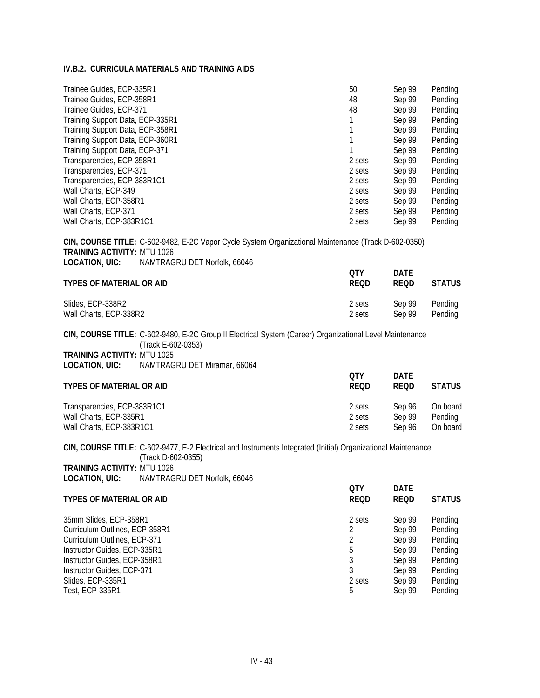| Trainee Guides, ECP-335R1<br>Trainee Guides, ECP-358R1<br>Trainee Guides, ECP-371<br>Training Support Data, ECP-335R1<br>Training Support Data, ECP-358R1<br>Training Support Data, ECP-360R1<br>Training Support Data, ECP-371<br>Transparencies, ECP-358R1<br>Transparencies, ECP-371<br>Transparencies, ECP-383R1C1<br>Wall Charts, ECP-349<br>Wall Charts, ECP-358R1<br>Wall Charts, ECP-371<br>Wall Charts, ECP-383R1C1 |                                                                                                                                                                | 50<br>48<br>48<br>1<br>1<br>1<br>1<br>2 sets<br>2 sets<br>2 sets<br>2 sets<br>2 sets<br>2 sets<br>2 sets | Sep 99<br>Sep 99<br>Sep 99<br>Sep 99<br>Sep 99<br>Sep 99<br>Sep 99<br>Sep 99<br>Sep 99<br>Sep 99<br>Sep 99<br>Sep 99<br>Sep 99<br>Sep 99 | Pending<br>Pending<br>Pending<br>Pending<br>Pending<br>Pending<br>Pending<br>Pending<br>Pending<br>Pending<br>Pending<br>Pending<br>Pending<br>Pending |
|------------------------------------------------------------------------------------------------------------------------------------------------------------------------------------------------------------------------------------------------------------------------------------------------------------------------------------------------------------------------------------------------------------------------------|----------------------------------------------------------------------------------------------------------------------------------------------------------------|----------------------------------------------------------------------------------------------------------|------------------------------------------------------------------------------------------------------------------------------------------|--------------------------------------------------------------------------------------------------------------------------------------------------------|
|                                                                                                                                                                                                                                                                                                                                                                                                                              | CIN, COURSE TITLE: C-602-9482, E-2C Vapor Cycle System Organizational Maintenance (Track D-602-0350)                                                           |                                                                                                          |                                                                                                                                          |                                                                                                                                                        |
| <b>TRAINING ACTIVITY: MTU 1026</b><br><b>LOCATION, UIC:</b>                                                                                                                                                                                                                                                                                                                                                                  | NAMTRAGRU DET Norfolk, 66046                                                                                                                                   |                                                                                                          |                                                                                                                                          |                                                                                                                                                        |
| <b>TYPES OF MATERIAL OR AID</b>                                                                                                                                                                                                                                                                                                                                                                                              |                                                                                                                                                                | <b>QTY</b><br><b>REQD</b>                                                                                | <b>DATE</b><br><b>REQD</b>                                                                                                               | <b>STATUS</b>                                                                                                                                          |
| Slides, ECP-338R2<br>Wall Charts, ECP-338R2                                                                                                                                                                                                                                                                                                                                                                                  |                                                                                                                                                                | 2 sets<br>2 sets                                                                                         | Sep 99<br>Sep 99                                                                                                                         | Pending<br>Pending                                                                                                                                     |
| <b>TRAINING ACTIVITY: MTU 1025</b><br>LOCATION, UIC:                                                                                                                                                                                                                                                                                                                                                                         | CIN, COURSE TITLE: C-602-9480, E-2C Group II Electrical System (Career) Organizational Level Maintenance<br>(Track E-602-0353)<br>NAMTRAGRU DET Miramar, 66064 |                                                                                                          |                                                                                                                                          |                                                                                                                                                        |
| <b>TYPES OF MATERIAL OR AID</b>                                                                                                                                                                                                                                                                                                                                                                                              |                                                                                                                                                                | QTY<br><b>REQD</b>                                                                                       | <b>DATE</b><br><b>REQD</b>                                                                                                               | <b>STATUS</b>                                                                                                                                          |
| Transparencies, ECP-383R1C1<br>Wall Charts, ECP-335R1<br>Wall Charts, ECP-383R1C1                                                                                                                                                                                                                                                                                                                                            |                                                                                                                                                                | 2 sets<br>2 sets<br>2 sets                                                                               | Sep 96<br>Sep 99<br>Sep 96                                                                                                               | On board<br>Pending<br>On board                                                                                                                        |
|                                                                                                                                                                                                                                                                                                                                                                                                                              | CIN, COURSE TITLE: C-602-9477, E-2 Electrical and Instruments Integrated (Initial) Organizational Maintenance<br>(Track D-602-0355)                            |                                                                                                          |                                                                                                                                          |                                                                                                                                                        |
| <b>TRAINING ACTIVITY: MTU 1026</b><br><b>LOCATION, UIC:</b>                                                                                                                                                                                                                                                                                                                                                                  | NAMTRAGRU DET Norfolk, 66046                                                                                                                                   |                                                                                                          |                                                                                                                                          |                                                                                                                                                        |
| <b>TYPES OF MATERIAL OR AID</b>                                                                                                                                                                                                                                                                                                                                                                                              |                                                                                                                                                                | <b>QTY</b><br><b>REQD</b>                                                                                | <b>DATE</b><br><b>REQD</b>                                                                                                               | <b>STATUS</b>                                                                                                                                          |
| 35mm Slides, ECP-358R1<br>Curriculum Outlines, ECP-358R1<br>Curriculum Outlines, ECP-371<br>Instructor Guides, ECP-335R1<br>Instructor Guides, ECP-358R1<br>Instructor Guides, ECP-371<br>Slides, ECP-335R1                                                                                                                                                                                                                  |                                                                                                                                                                | 2 sets<br>$\sqrt{2}$<br>$\overline{2}$<br>5<br>$\mathfrak{Z}$<br>3<br>2 sets                             | Sep 99<br>Sep 99<br>Sep 99<br>Sep 99<br>Sep 99<br>Sep 99<br>Sep 99                                                                       | Pending<br>Pending<br>Pending<br>Pending<br>Pending<br>Pending<br>Pending                                                                              |

Test, ECP-335R1 5 Sep 99 Pending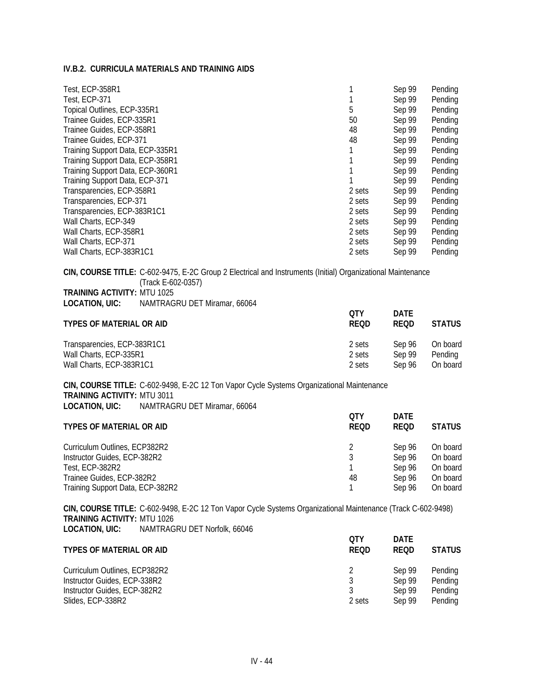| Test, ECP-358R1                  |        | Sep 99 | Pending |
|----------------------------------|--------|--------|---------|
| Test, ECP-371                    |        | Sep 99 | Pending |
| Topical Outlines, ECP-335R1      | 5      | Sep 99 | Pending |
| Trainee Guides, ECP-335R1        | 50     | Sep 99 | Pending |
| Trainee Guides, ECP-358R1        | 48     | Sep 99 | Pending |
| Trainee Guides, ECP-371          | 48     | Sep 99 | Pending |
| Training Support Data, ECP-335R1 |        | Sep 99 | Pending |
| Training Support Data, ECP-358R1 |        | Sep 99 | Pending |
| Training Support Data, ECP-360R1 |        | Sep 99 | Pending |
| Training Support Data, ECP-371   |        | Sep 99 | Pending |
| Transparencies, ECP-358R1        | 2 sets | Sep 99 | Pending |
| Transparencies, ECP-371          | 2 sets | Sep 99 | Pending |
| Transparencies, ECP-383R1C1      | 2 sets | Sep 99 | Pending |
| Wall Charts, ECP-349             | 2 sets | Sep 99 | Pending |
| Wall Charts, ECP-358R1           | 2 sets | Sep 99 | Pending |
| Wall Charts, ECP-371             | 2 sets | Sep 99 | Pending |
| Wall Charts, ECP-383R1C1         | 2 sets | Sep 99 | Pending |

**CIN, COURSE TITLE:** C-602-9475, E-2C Group 2 Electrical and Instruments (Initial) Organizational Maintenance (Track E-602-0357) **TRAINING ACTIVITY:** MTU 1025 **LOCATION, UIC:** NAMTRAGRU DET Miramar, 66064

| <b>TYPES OF MATERIAL OR AID</b> | OTY<br>REOD | <b>DATE</b><br><b>REOD</b> | <b>STATUS</b> |
|---------------------------------|-------------|----------------------------|---------------|
| Transparencies, ECP-383R1C1     | 2 sets      | Sep 96                     | On board      |
| Wall Charts, ECP-335R1          | 2 sets      | Sep 99                     | Pending       |
| Wall Charts, ECP-383R1C1        | 2 sets      | Sen 96                     | On board      |

**CIN, COURSE TITLE:** C-602-9498, E-2C 12 Ton Vapor Cycle Systems Organizational Maintenance **TRAINING ACTIVITY:** MTU 3011 **LOCATION, UIC:** NAMTRAGRU DET Miramar, 66064

| <b>TYPES OF MATERIAL OR AID</b>  | OTY<br><b>REQD</b> | <b>DATE</b><br>REOD | <b>STATUS</b> |
|----------------------------------|--------------------|---------------------|---------------|
| Curriculum Outlines, ECP382R2    |                    | Sep 96              | On board      |
| Instructor Guides, ECP-382R2     | 3                  | Sep 96              | On board      |
| Test, ECP-382R2                  |                    | Sep 96              | On board      |
| Trainee Guides, ECP-382R2        | 48                 | Sep 96              | On board      |
| Training Support Data, ECP-382R2 |                    | Sep 96              | On board      |

**CIN, COURSE TITLE:** C-602-9498, E-2C 12 Ton Vapor Cycle Systems Organizational Maintenance (Track C-602-9498) **TRAINING ACTIVITY:** MTU 1026 **LOCATION, UIC:** NAMTRAGRU DET Norfolk, 66046

| <b>TYPES OF MATERIAL OR AID</b> | <b>OTY</b><br>REOD | <b>DATE</b><br><b>REOD</b> | <b>STATUS</b> |
|---------------------------------|--------------------|----------------------------|---------------|
| Curriculum Outlines, ECP382R2   |                    | Sep 99                     | Pending       |
| Instructor Guides, ECP-338R2    |                    | Sep 99                     | Pending       |
| Instructor Guides, ECP-382R2    |                    | Sep 99                     | Pending       |
| Slides, ECP-338R2               | 2 sets             | Sep 99                     | Pending       |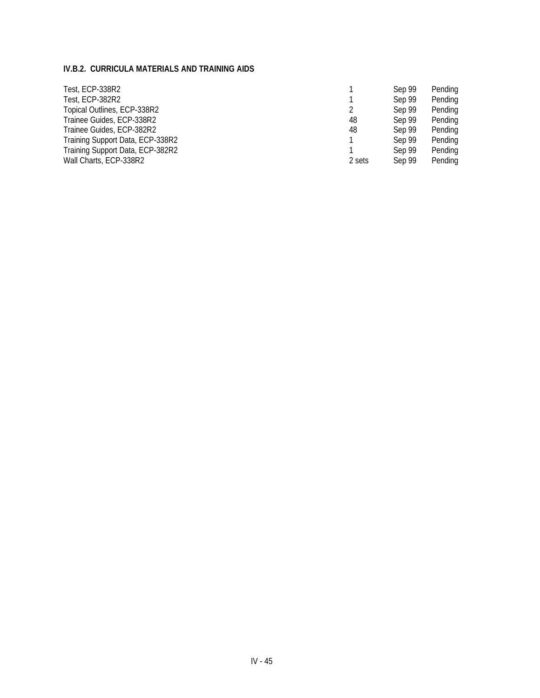| Test, ECP-338R2                  |        | Sep 99 | Pending |
|----------------------------------|--------|--------|---------|
| Test, ECP-382R2                  |        | Sep 99 | Pending |
| Topical Outlines, ECP-338R2      |        | Sep 99 | Pending |
| Trainee Guides, ECP-338R2        | 48     | Sep 99 | Pending |
| Trainee Guides, ECP-382R2        | 48     | Sep 99 | Pending |
| Training Support Data, ECP-338R2 |        | Sep 99 | Pending |
| Training Support Data, ECP-382R2 |        | Sep 99 | Pending |
| Wall Charts, ECP-338R2           | 2 sets | Sep 99 | Pending |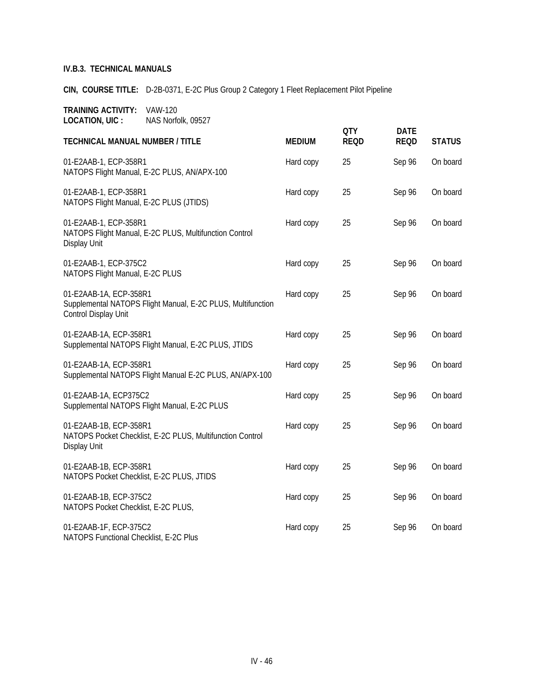**CIN, COURSE TITLE:** D-2B-0371, E-2C Plus Group 2 Category 1 Fleet Replacement Pilot Pipeline

| <b>TECHNICAL MANUAL NUMBER / TITLE</b>                                                                        | <b>MEDIUM</b> | <b>QTY</b><br><b>REQD</b> | <b>DATE</b><br><b>REQD</b> | <b>STATUS</b> |
|---------------------------------------------------------------------------------------------------------------|---------------|---------------------------|----------------------------|---------------|
| 01-E2AAB-1, ECP-358R1<br>NATOPS Flight Manual, E-2C PLUS, AN/APX-100                                          | Hard copy     | 25                        | Sep 96                     | On board      |
| 01-E2AAB-1, ECP-358R1<br>NATOPS Flight Manual, E-2C PLUS (JTIDS)                                              | Hard copy     | 25                        | Sep 96                     | On board      |
| 01-E2AAB-1, ECP-358R1<br>NATOPS Flight Manual, E-2C PLUS, Multifunction Control<br>Display Unit               | Hard copy     | 25                        | Sep 96                     | On board      |
| 01-E2AAB-1, ECP-375C2<br>NATOPS Flight Manual, E-2C PLUS                                                      | Hard copy     | 25                        | Sep 96                     | On board      |
| 01-E2AAB-1A, ECP-358R1<br>Supplemental NATOPS Flight Manual, E-2C PLUS, Multifunction<br>Control Display Unit | Hard copy     | 25                        | Sep 96                     | On board      |
| 01-E2AAB-1A, ECP-358R1<br>Supplemental NATOPS Flight Manual, E-2C PLUS, JTIDS                                 | Hard copy     | 25                        | Sep 96                     | On board      |
| 01-E2AAB-1A, ECP-358R1<br>Supplemental NATOPS Flight Manual E-2C PLUS, AN/APX-100                             | Hard copy     | 25                        | Sep 96                     | On board      |
| 01-E2AAB-1A, ECP375C2<br>Supplemental NATOPS Flight Manual, E-2C PLUS                                         | Hard copy     | 25                        | Sep 96                     | On board      |
| 01-E2AAB-1B, ECP-358R1<br>NATOPS Pocket Checklist, E-2C PLUS, Multifunction Control<br>Display Unit           | Hard copy     | 25                        | Sep 96                     | On board      |
| 01-E2AAB-1B, ECP-358R1<br>NATOPS Pocket Checklist, E-2C PLUS, JTIDS                                           | Hard copy     | 25                        | Sep 96                     | On board      |
| 01-E2AAB-1B, ECP-375C2<br>NATOPS Pocket Checklist, E-2C PLUS,                                                 | Hard copy     | 25                        | Sep 96                     | On board      |
| 01-E2AAB-1F, ECP-375C2<br>NATOPS Functional Checklist, E-2C Plus                                              | Hard copy     | 25                        | Sep 96                     | On board      |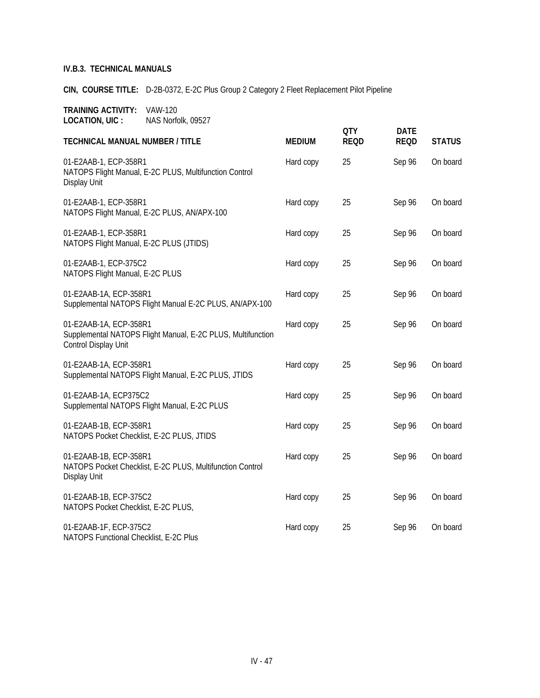**CIN, COURSE TITLE:** D-2B-0372, E-2C Plus Group 2 Category 2 Fleet Replacement Pilot Pipeline

|                                                                                                               |               | <b>QTY</b>  | <b>DATE</b> |               |
|---------------------------------------------------------------------------------------------------------------|---------------|-------------|-------------|---------------|
| <b>TECHNICAL MANUAL NUMBER / TITLE</b>                                                                        | <b>MEDIUM</b> | <b>REQD</b> | <b>REQD</b> | <b>STATUS</b> |
| 01-E2AAB-1, ECP-358R1<br>NATOPS Flight Manual, E-2C PLUS, Multifunction Control<br>Display Unit               | Hard copy     | 25          | Sep 96      | On board      |
| 01-E2AAB-1, ECP-358R1<br>NATOPS Flight Manual, E-2C PLUS, AN/APX-100                                          | Hard copy     | 25          | Sep 96      | On board      |
| 01-E2AAB-1, ECP-358R1<br>NATOPS Flight Manual, E-2C PLUS (JTIDS)                                              | Hard copy     | 25          | Sep 96      | On board      |
| 01-E2AAB-1, ECP-375C2<br>NATOPS Flight Manual, E-2C PLUS                                                      | Hard copy     | 25          | Sep 96      | On board      |
| 01-E2AAB-1A, ECP-358R1<br>Supplemental NATOPS Flight Manual E-2C PLUS, AN/APX-100                             | Hard copy     | 25          | Sep 96      | On board      |
| 01-E2AAB-1A, ECP-358R1<br>Supplemental NATOPS Flight Manual, E-2C PLUS, Multifunction<br>Control Display Unit | Hard copy     | 25          | Sep 96      | On board      |
| 01-E2AAB-1A, ECP-358R1<br>Supplemental NATOPS Flight Manual, E-2C PLUS, JTIDS                                 | Hard copy     | 25          | Sep 96      | On board      |
| 01-E2AAB-1A, ECP375C2<br>Supplemental NATOPS Flight Manual, E-2C PLUS                                         | Hard copy     | 25          | Sep 96      | On board      |
| 01-E2AAB-1B, ECP-358R1<br>NATOPS Pocket Checklist, E-2C PLUS, JTIDS                                           | Hard copy     | 25          | Sep 96      | On board      |
| 01-E2AAB-1B, ECP-358R1<br>NATOPS Pocket Checklist, E-2C PLUS, Multifunction Control<br>Display Unit           | Hard copy     | 25          | Sep 96      | On board      |
| 01-E2AAB-1B, ECP-375C2<br>NATOPS Pocket Checklist, E-2C PLUS,                                                 | Hard copy     | 25          | Sep 96      | On board      |
| 01-E2AAB-1F, ECP-375C2<br>NATOPS Functional Checklist, E-2C Plus                                              | Hard copy     | 25          | Sep 96      | On board      |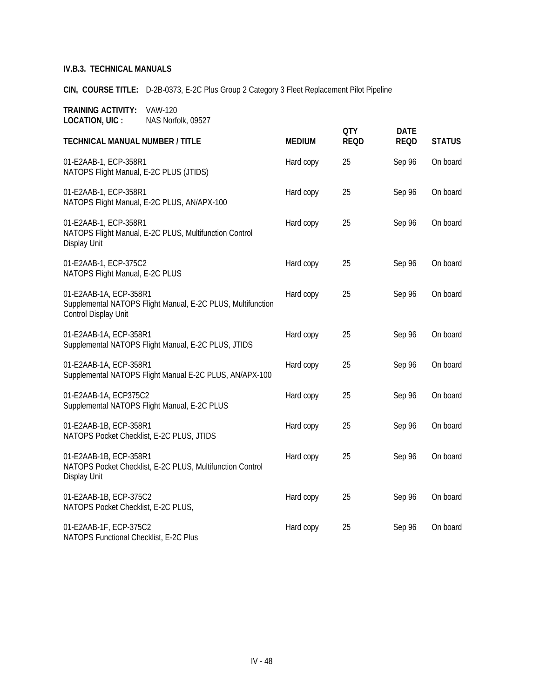**CIN, COURSE TITLE:** D-2B-0373, E-2C Plus Group 2 Category 3 Fleet Replacement Pilot Pipeline

|                                                                                                               |               | <b>QTY</b>  | <b>DATE</b> |               |
|---------------------------------------------------------------------------------------------------------------|---------------|-------------|-------------|---------------|
| <b>TECHNICAL MANUAL NUMBER / TITLE</b>                                                                        | <b>MEDIUM</b> | <b>REQD</b> | <b>REQD</b> | <b>STATUS</b> |
| 01-E2AAB-1, ECP-358R1<br>NATOPS Flight Manual, E-2C PLUS (JTIDS)                                              | Hard copy     | 25          | Sep 96      | On board      |
| 01-E2AAB-1, ECP-358R1<br>NATOPS Flight Manual, E-2C PLUS, AN/APX-100                                          | Hard copy     | 25          | Sep 96      | On board      |
| 01-E2AAB-1, ECP-358R1<br>NATOPS Flight Manual, E-2C PLUS, Multifunction Control<br>Display Unit               | Hard copy     | 25          | Sep 96      | On board      |
| 01-E2AAB-1, ECP-375C2<br>NATOPS Flight Manual, E-2C PLUS                                                      | Hard copy     | 25          | Sep 96      | On board      |
| 01-E2AAB-1A, ECP-358R1<br>Supplemental NATOPS Flight Manual, E-2C PLUS, Multifunction<br>Control Display Unit | Hard copy     | 25          | Sep 96      | On board      |
| 01-E2AAB-1A, ECP-358R1<br>Supplemental NATOPS Flight Manual, E-2C PLUS, JTIDS                                 | Hard copy     | 25          | Sep 96      | On board      |
| 01-E2AAB-1A, ECP-358R1<br>Supplemental NATOPS Flight Manual E-2C PLUS, AN/APX-100                             | Hard copy     | 25          | Sep 96      | On board      |
| 01-E2AAB-1A, ECP375C2<br>Supplemental NATOPS Flight Manual, E-2C PLUS                                         | Hard copy     | 25          | Sep 96      | On board      |
| 01-E2AAB-1B, ECP-358R1<br>NATOPS Pocket Checklist, E-2C PLUS, JTIDS                                           | Hard copy     | 25          | Sep 96      | On board      |
| 01-E2AAB-1B, ECP-358R1<br>NATOPS Pocket Checklist, E-2C PLUS, Multifunction Control<br>Display Unit           | Hard copy     | 25          | Sep 96      | On board      |
| 01-E2AAB-1B, ECP-375C2<br>NATOPS Pocket Checklist, E-2C PLUS,                                                 | Hard copy     | 25          | Sep 96      | On board      |
| 01-E2AAB-1F, ECP-375C2<br>NATOPS Functional Checklist, E-2C Plus                                              | Hard copy     | 25          | Sep 96      | On board      |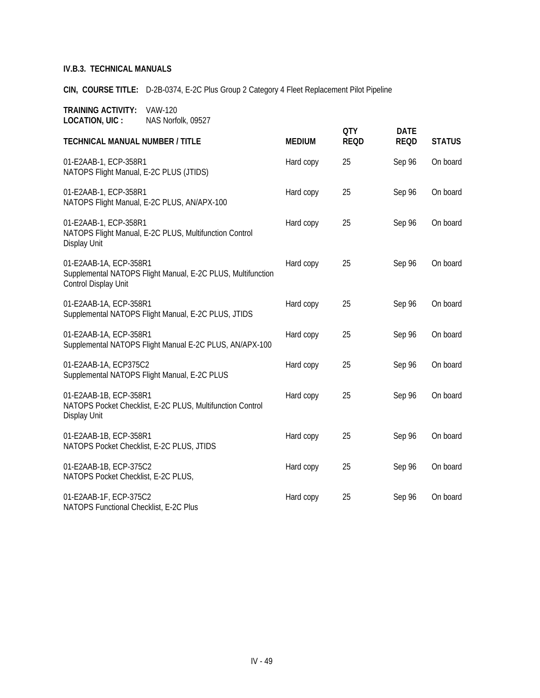**CIN, COURSE TITLE:** D-2B-0374, E-2C Plus Group 2 Category 4 Fleet Replacement Pilot Pipeline

| <b>TECHNICAL MANUAL NUMBER / TITLE</b>                                                                        | <b>MEDIUM</b> | <b>QTY</b><br><b>REQD</b> | <b>DATE</b><br><b>REQD</b> | <b>STATUS</b> |
|---------------------------------------------------------------------------------------------------------------|---------------|---------------------------|----------------------------|---------------|
| 01-E2AAB-1, ECP-358R1<br>NATOPS Flight Manual, E-2C PLUS (JTIDS)                                              | Hard copy     | 25                        | Sep 96                     | On board      |
| 01-E2AAB-1, ECP-358R1<br>NATOPS Flight Manual, E-2C PLUS, AN/APX-100                                          | Hard copy     | 25                        | Sep 96                     | On board      |
| 01-E2AAB-1, ECP-358R1<br>NATOPS Flight Manual, E-2C PLUS, Multifunction Control<br>Display Unit               | Hard copy     | 25                        | Sep 96                     | On board      |
| 01-E2AAB-1A, ECP-358R1<br>Supplemental NATOPS Flight Manual, E-2C PLUS, Multifunction<br>Control Display Unit | Hard copy     | 25                        | Sep 96                     | On board      |
| 01-E2AAB-1A, ECP-358R1<br>Supplemental NATOPS Flight Manual, E-2C PLUS, JTIDS                                 | Hard copy     | 25                        | Sep 96                     | On board      |
| 01-E2AAB-1A, ECP-358R1<br>Supplemental NATOPS Flight Manual E-2C PLUS, AN/APX-100                             | Hard copy     | 25                        | Sep 96                     | On board      |
| 01-E2AAB-1A, ECP375C2<br>Supplemental NATOPS Flight Manual, E-2C PLUS                                         | Hard copy     | 25                        | Sep 96                     | On board      |
| 01-E2AAB-1B, ECP-358R1<br>NATOPS Pocket Checklist, E-2C PLUS, Multifunction Control<br>Display Unit           | Hard copy     | 25                        | Sep 96                     | On board      |
| 01-E2AAB-1B, ECP-358R1<br>NATOPS Pocket Checklist, E-2C PLUS, JTIDS                                           | Hard copy     | 25                        | Sep 96                     | On board      |
| 01-E2AAB-1B, ECP-375C2<br>NATOPS Pocket Checklist, E-2C PLUS,                                                 | Hard copy     | 25                        | Sep 96                     | On board      |
| 01-E2AAB-1F, ECP-375C2<br>NATOPS Functional Checklist, E-2C Plus                                              | Hard copy     | 25                        | Sep 96                     | On board      |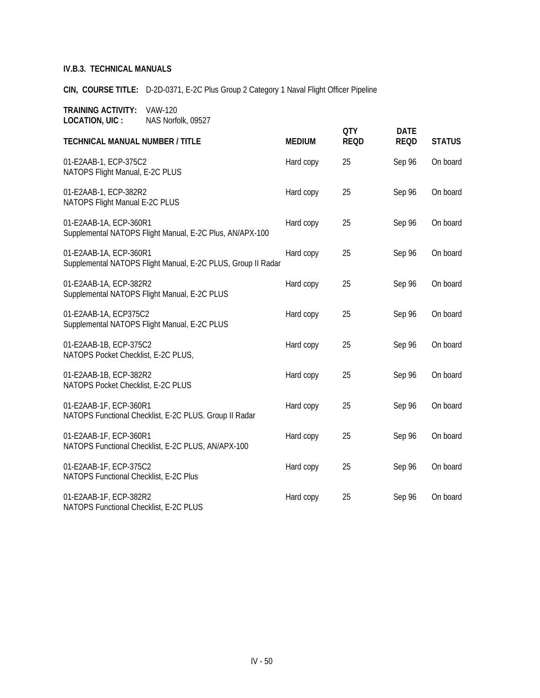**CIN, COURSE TITLE:** D-2D-0371, E-2C Plus Group 2 Category 1 Naval Flight Officer Pipeline

| <b>TECHNICAL MANUAL NUMBER / TITLE</b>                                                 | <b>MEDIUM</b> | <b>QTY</b><br><b>REQD</b> | <b>DATE</b><br><b>REQD</b> | <b>STATUS</b> |
|----------------------------------------------------------------------------------------|---------------|---------------------------|----------------------------|---------------|
| 01-E2AAB-1, ECP-375C2<br>NATOPS Flight Manual, E-2C PLUS                               | Hard copy     | 25                        | Sep 96                     | On board      |
| 01-E2AAB-1, ECP-382R2<br>NATOPS Flight Manual E-2C PLUS                                | Hard copy     | 25                        | Sep 96                     | On board      |
| 01-E2AAB-1A, ECP-360R1<br>Supplemental NATOPS Flight Manual, E-2C Plus, AN/APX-100     | Hard copy     | 25                        | Sep 96                     | On board      |
| 01-E2AAB-1A, ECP-360R1<br>Supplemental NATOPS Flight Manual, E-2C PLUS, Group II Radar | Hard copy     | 25                        | Sep 96                     | On board      |
| 01-E2AAB-1A, ECP-382R2<br>Supplemental NATOPS Flight Manual, E-2C PLUS                 | Hard copy     | 25                        | Sep 96                     | On board      |
| 01-E2AAB-1A, ECP375C2<br>Supplemental NATOPS Flight Manual, E-2C PLUS                  | Hard copy     | 25                        | Sep 96                     | On board      |
| 01-E2AAB-1B, ECP-375C2<br>NATOPS Pocket Checklist, E-2C PLUS,                          | Hard copy     | 25                        | Sep 96                     | On board      |
| 01-E2AAB-1B, ECP-382R2<br>NATOPS Pocket Checklist, E-2C PLUS                           | Hard copy     | 25                        | Sep 96                     | On board      |
| 01-E2AAB-1F, ECP-360R1<br>NATOPS Functional Checklist, E-2C PLUS. Group II Radar       | Hard copy     | 25                        | Sep 96                     | On board      |
| 01-E2AAB-1F, ECP-360R1<br>NATOPS Functional Checklist, E-2C PLUS, AN/APX-100           | Hard copy     | 25                        | Sep 96                     | On board      |
| 01-E2AAB-1F, ECP-375C2<br>NATOPS Functional Checklist, E-2C Plus                       | Hard copy     | 25                        | Sep 96                     | On board      |
| 01-E2AAB-1F, ECP-382R2<br>NATOPS Functional Checklist, E-2C PLUS                       | Hard copy     | 25                        | Sep 96                     | On board      |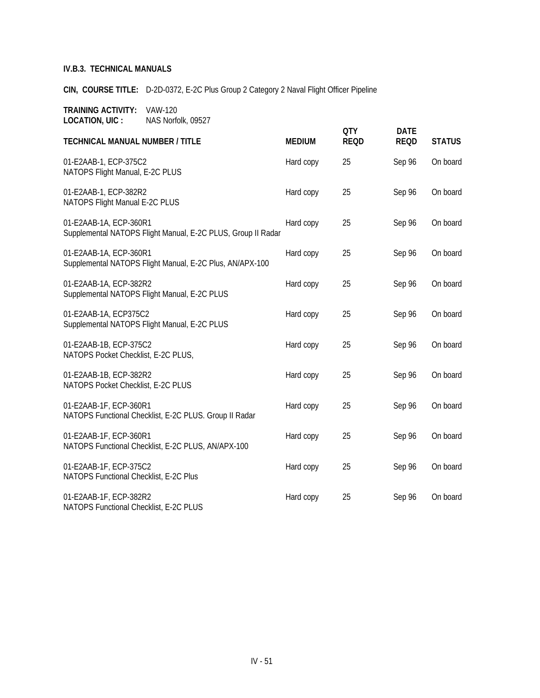**CIN, COURSE TITLE:** D-2D-0372, E-2C Plus Group 2 Category 2 Naval Flight Officer Pipeline

|                                                                                        |               | <b>QTY</b>  | <b>DATE</b> |               |
|----------------------------------------------------------------------------------------|---------------|-------------|-------------|---------------|
| <b>TECHNICAL MANUAL NUMBER / TITLE</b>                                                 | <b>MEDIUM</b> | <b>REQD</b> | <b>REQD</b> | <b>STATUS</b> |
| 01-E2AAB-1, ECP-375C2<br>NATOPS Flight Manual, E-2C PLUS                               | Hard copy     | 25          | Sep 96      | On board      |
| 01-E2AAB-1, ECP-382R2<br>NATOPS Flight Manual E-2C PLUS                                | Hard copy     | 25          | Sep 96      | On board      |
| 01-E2AAB-1A, ECP-360R1<br>Supplemental NATOPS Flight Manual, E-2C PLUS, Group II Radar | Hard copy     | 25          | Sep 96      | On board      |
| 01-E2AAB-1A, ECP-360R1<br>Supplemental NATOPS Flight Manual, E-2C Plus, AN/APX-100     | Hard copy     | 25          | Sep 96      | On board      |
| 01-E2AAB-1A, ECP-382R2<br>Supplemental NATOPS Flight Manual, E-2C PLUS                 | Hard copy     | 25          | Sep 96      | On board      |
| 01-E2AAB-1A, ECP375C2<br>Supplemental NATOPS Flight Manual, E-2C PLUS                  | Hard copy     | 25          | Sep 96      | On board      |
| 01-E2AAB-1B, ECP-375C2<br>NATOPS Pocket Checklist, E-2C PLUS,                          | Hard copy     | 25          | Sep 96      | On board      |
| 01-E2AAB-1B, ECP-382R2<br>NATOPS Pocket Checklist, E-2C PLUS                           | Hard copy     | 25          | Sep 96      | On board      |
| 01-E2AAB-1F, ECP-360R1<br>NATOPS Functional Checklist, E-2C PLUS. Group II Radar       | Hard copy     | 25          | Sep 96      | On board      |
| 01-E2AAB-1F, ECP-360R1<br>NATOPS Functional Checklist, E-2C PLUS, AN/APX-100           | Hard copy     | 25          | Sep 96      | On board      |
| 01-E2AAB-1F, ECP-375C2<br>NATOPS Functional Checklist, E-2C Plus                       | Hard copy     | 25          | Sep 96      | On board      |
| 01-E2AAB-1F, ECP-382R2<br>NATOPS Functional Checklist, E-2C PLUS                       | Hard copy     | 25          | Sep 96      | On board      |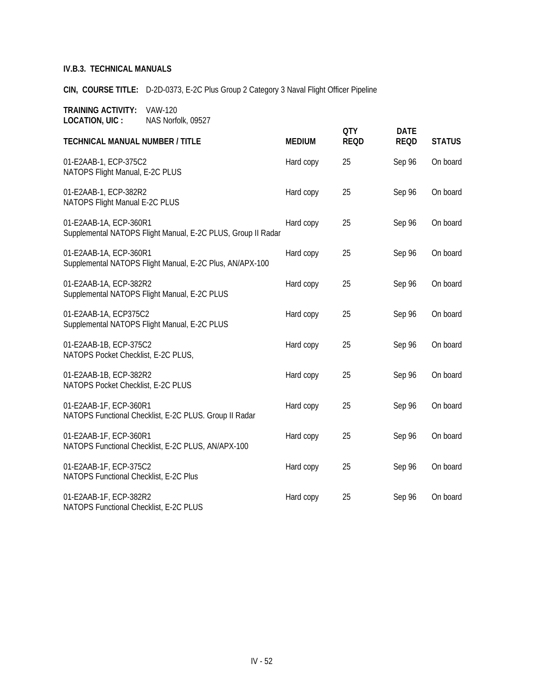**CIN, COURSE TITLE:** D-2D-0373, E-2C Plus Group 2 Category 3 Naval Flight Officer Pipeline

| <b>TECHNICAL MANUAL NUMBER / TITLE</b>                                                 | <b>MEDIUM</b> | <b>QTY</b><br><b>REQD</b> | <b>DATE</b><br><b>REQD</b> | <b>STATUS</b> |
|----------------------------------------------------------------------------------------|---------------|---------------------------|----------------------------|---------------|
| 01-E2AAB-1, ECP-375C2<br>NATOPS Flight Manual, E-2C PLUS                               | Hard copy     | 25                        | Sep 96                     | On board      |
| 01-E2AAB-1, ECP-382R2<br>NATOPS Flight Manual E-2C PLUS                                | Hard copy     | 25                        | Sep 96                     | On board      |
| 01-E2AAB-1A, ECP-360R1<br>Supplemental NATOPS Flight Manual, E-2C PLUS, Group II Radar | Hard copy     | 25                        | Sep 96                     | On board      |
| 01-E2AAB-1A, ECP-360R1<br>Supplemental NATOPS Flight Manual, E-2C Plus, AN/APX-100     | Hard copy     | 25                        | Sep 96                     | On board      |
| 01-E2AAB-1A, ECP-382R2<br>Supplemental NATOPS Flight Manual, E-2C PLUS                 | Hard copy     | 25                        | Sep 96                     | On board      |
| 01-E2AAB-1A, ECP375C2<br>Supplemental NATOPS Flight Manual, E-2C PLUS                  | Hard copy     | 25                        | Sep 96                     | On board      |
| 01-E2AAB-1B, ECP-375C2<br>NATOPS Pocket Checklist, E-2C PLUS,                          | Hard copy     | 25                        | Sep 96                     | On board      |
| 01-E2AAB-1B, ECP-382R2<br>NATOPS Pocket Checklist, E-2C PLUS                           | Hard copy     | 25                        | Sep 96                     | On board      |
| 01-E2AAB-1F, ECP-360R1<br>NATOPS Functional Checklist, E-2C PLUS. Group II Radar       | Hard copy     | 25                        | Sep 96                     | On board      |
| 01-E2AAB-1F, ECP-360R1<br>NATOPS Functional Checklist, E-2C PLUS, AN/APX-100           | Hard copy     | 25                        | Sep 96                     | On board      |
| 01-E2AAB-1F, ECP-375C2<br>NATOPS Functional Checklist, E-2C Plus                       | Hard copy     | 25                        | Sep 96                     | On board      |
| 01-E2AAB-1F, ECP-382R2<br>NATOPS Functional Checklist, E-2C PLUS                       | Hard copy     | 25                        | Sep 96                     | On board      |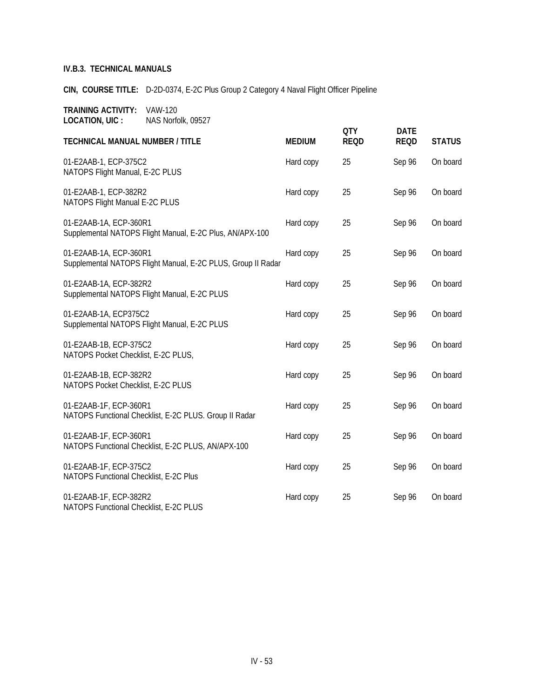**CIN, COURSE TITLE:** D-2D-0374, E-2C Plus Group 2 Category 4 Naval Flight Officer Pipeline

|                                                                                        |               | <b>QTY</b>  | <b>DATE</b> |               |
|----------------------------------------------------------------------------------------|---------------|-------------|-------------|---------------|
| <b>TECHNICAL MANUAL NUMBER / TITLE</b>                                                 | <b>MEDIUM</b> | <b>REQD</b> | <b>REQD</b> | <b>STATUS</b> |
| 01-E2AAB-1, ECP-375C2<br>NATOPS Flight Manual, E-2C PLUS                               | Hard copy     | 25          | Sep 96      | On board      |
| 01-E2AAB-1, ECP-382R2<br>NATOPS Flight Manual E-2C PLUS                                | Hard copy     | 25          | Sep 96      | On board      |
| 01-E2AAB-1A, ECP-360R1<br>Supplemental NATOPS Flight Manual, E-2C Plus, AN/APX-100     | Hard copy     | 25          | Sep 96      | On board      |
| 01-E2AAB-1A, ECP-360R1<br>Supplemental NATOPS Flight Manual, E-2C PLUS, Group II Radar | Hard copy     | 25          | Sep 96      | On board      |
| 01-E2AAB-1A, ECP-382R2<br>Supplemental NATOPS Flight Manual, E-2C PLUS                 | Hard copy     | 25          | Sep 96      | On board      |
| 01-E2AAB-1A, ECP375C2<br>Supplemental NATOPS Flight Manual, E-2C PLUS                  | Hard copy     | 25          | Sep 96      | On board      |
| 01-E2AAB-1B, ECP-375C2<br>NATOPS Pocket Checklist, E-2C PLUS,                          | Hard copy     | 25          | Sep 96      | On board      |
| 01-E2AAB-1B, ECP-382R2<br>NATOPS Pocket Checklist, E-2C PLUS                           | Hard copy     | 25          | Sep 96      | On board      |
| 01-E2AAB-1F, ECP-360R1<br>NATOPS Functional Checklist, E-2C PLUS. Group II Radar       | Hard copy     | 25          | Sep 96      | On board      |
| 01-E2AAB-1F, ECP-360R1<br>NATOPS Functional Checklist, E-2C PLUS, AN/APX-100           | Hard copy     | 25          | Sep 96      | On board      |
| 01-E2AAB-1F, ECP-375C2<br>NATOPS Functional Checklist, E-2C Plus                       | Hard copy     | 25          | Sep 96      | On board      |
| 01-E2AAB-1F, ECP-382R2<br>NATOPS Functional Checklist, E-2C PLUS                       | Hard copy     | 25          | Sep 96      | On board      |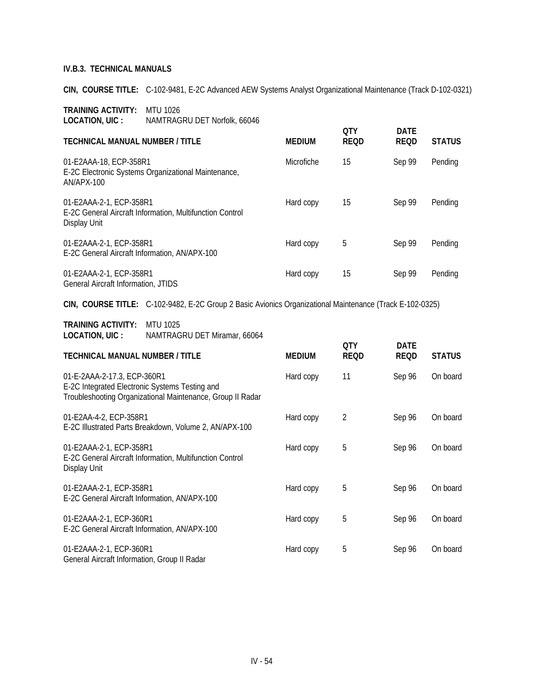**CIN, COURSE TITLE:** C-102-9481, E-2C Advanced AEW Systems Analyst Organizational Maintenance (Track D-102-0321)

| TRAINING ACTIVITY: | MTU 1026                     |
|--------------------|------------------------------|
| LOCATION, UIC :    | NAMTRAGRU DET Norfolk, 66046 |

| <b>TECHNICAL MANUAL NUMBER / TITLE</b>                                                              | <b>MEDIUM</b>     | <b>OTY</b><br><b>REQD</b> | <b>DATE</b><br><b>REQD</b> | <b>STATUS</b> |
|-----------------------------------------------------------------------------------------------------|-------------------|---------------------------|----------------------------|---------------|
| 01-E2AAA-18, ECP-358R1<br>E-2C Electronic Systems Organizational Maintenance,<br>AN/APX-100         | <b>Microfiche</b> | 15                        | Sep 99                     | Pending       |
| 01-E2AAA-2-1, ECP-358R1<br>E-2C General Aircraft Information, Multifunction Control<br>Display Unit | Hard copy         | 15                        | Sep 99                     | Pending       |
| 01-E2AAA-2-1, ECP-358R1<br>E-2C General Aircraft Information, AN/APX-100                            | Hard copy         | 5                         | Sep 99                     | Pending       |
| 01-E2AAA-2-1, ECP-358R1<br>General Aircraft Information, JTIDS                                      | Hard copy         | 15                        | Sep 99                     | Pending       |

**CIN, COURSE TITLE:** C-102-9482, E-2C Group 2 Basic Avionics Organizational Maintenance (Track E-102-0325)

| TRAINING ACTIVITY: | MTU 1025                     |
|--------------------|------------------------------|
| LOCATION, UIC :    | NAMTRAGRU DET Miramar, 66064 |

| <b>TECHNICAL MANUAL NUMBER / TITLE</b>                                                                                                      | <b>MEDIUM</b> | 0TY<br><b>REQD</b> | <b>DATE</b><br><b>REQD</b> | <b>STATUS</b> |
|---------------------------------------------------------------------------------------------------------------------------------------------|---------------|--------------------|----------------------------|---------------|
| 01-E-2AAA-2-17.3, ECP-360R1<br>E-2C Integrated Electronic Systems Testing and<br>Troubleshooting Organizational Maintenance, Group II Radar | Hard copy     | 11                 | Sep 96                     | On board      |
| 01-E2AA-4-2, ECP-358R1<br>E-2C Illustrated Parts Breakdown, Volume 2, AN/APX-100                                                            | Hard copy     | $\overline{2}$     | Sep 96                     | On board      |
| 01-E2AAA-2-1, ECP-358R1<br>E-2C General Aircraft Information, Multifunction Control<br>Display Unit                                         | Hard copy     | 5                  | Sep 96                     | On board      |
| 01-E2AAA-2-1, ECP-358R1<br>E-2C General Aircraft Information, AN/APX-100                                                                    | Hard copy     | 5                  | Sep 96                     | On board      |
| 01-E2AAA-2-1, ECP-360R1<br>E-2C General Aircraft Information, AN/APX-100                                                                    | Hard copy     | 5                  | Sep 96                     | On board      |
| 01-E2AAA-2-1, ECP-360R1<br>General Aircraft Information, Group II Radar                                                                     | Hard copy     | 5                  | Sep 96                     | On board      |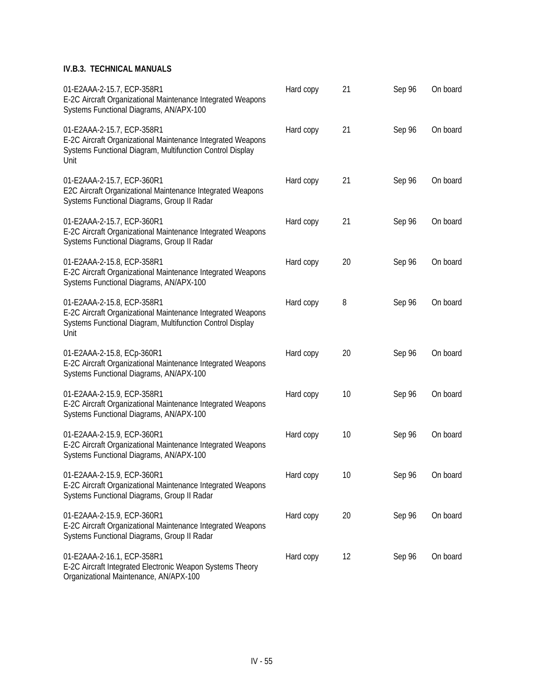| 01-E2AAA-2-15.7, ECP-358R1<br>E-2C Aircraft Organizational Maintenance Integrated Weapons<br>Systems Functional Diagrams, AN/APX-100                           | Hard copy | 21 | Sep 96 | On board |
|----------------------------------------------------------------------------------------------------------------------------------------------------------------|-----------|----|--------|----------|
| 01-E2AAA-2-15.7, ECP-358R1<br>E-2C Aircraft Organizational Maintenance Integrated Weapons<br>Systems Functional Diagram, Multifunction Control Display<br>Unit | Hard copy | 21 | Sep 96 | On board |
| 01-E2AAA-2-15.7, ECP-360R1<br>E2C Aircraft Organizational Maintenance Integrated Weapons<br>Systems Functional Diagrams, Group II Radar                        | Hard copy | 21 | Sep 96 | On board |
| 01-E2AAA-2-15.7, ECP-360R1<br>E-2C Aircraft Organizational Maintenance Integrated Weapons<br>Systems Functional Diagrams, Group II Radar                       | Hard copy | 21 | Sep 96 | On board |
| 01-E2AAA-2-15.8, ECP-358R1<br>E-2C Aircraft Organizational Maintenance Integrated Weapons<br>Systems Functional Diagrams, AN/APX-100                           | Hard copy | 20 | Sep 96 | On board |
| 01-E2AAA-2-15.8, ECP-358R1<br>E-2C Aircraft Organizational Maintenance Integrated Weapons<br>Systems Functional Diagram, Multifunction Control Display<br>Unit | Hard copy | 8  | Sep 96 | On board |
| 01-E2AAA-2-15.8, ECp-360R1<br>E-2C Aircraft Organizational Maintenance Integrated Weapons<br>Systems Functional Diagrams, AN/APX-100                           | Hard copy | 20 | Sep 96 | On board |
| 01-E2AAA-2-15.9, ECP-358R1<br>E-2C Aircraft Organizational Maintenance Integrated Weapons<br>Systems Functional Diagrams, AN/APX-100                           | Hard copy | 10 | Sep 96 | On board |
| 01-E2AAA-2-15.9, ECP-360R1<br>E-2C Aircraft Organizational Maintenance Integrated Weapons<br>Systems Functional Diagrams, AN/APX-100                           | Hard copy | 10 | Sep 96 | On board |
| 01-E2AAA-2-15.9, ECP-360R1<br>E-2C Aircraft Organizational Maintenance Integrated Weapons<br>Systems Functional Diagrams, Group II Radar                       | Hard copy | 10 | Sep 96 | On board |
| 01-E2AAA-2-15.9, ECP-360R1<br>E-2C Aircraft Organizational Maintenance Integrated Weapons<br>Systems Functional Diagrams, Group II Radar                       | Hard copy | 20 | Sep 96 | On board |
| 01-E2AAA-2-16.1, ECP-358R1<br>E-2C Aircraft Integrated Electronic Weapon Systems Theory                                                                        | Hard copy | 12 | Sep 96 | On board |

Organizational Maintenance, AN/APX-100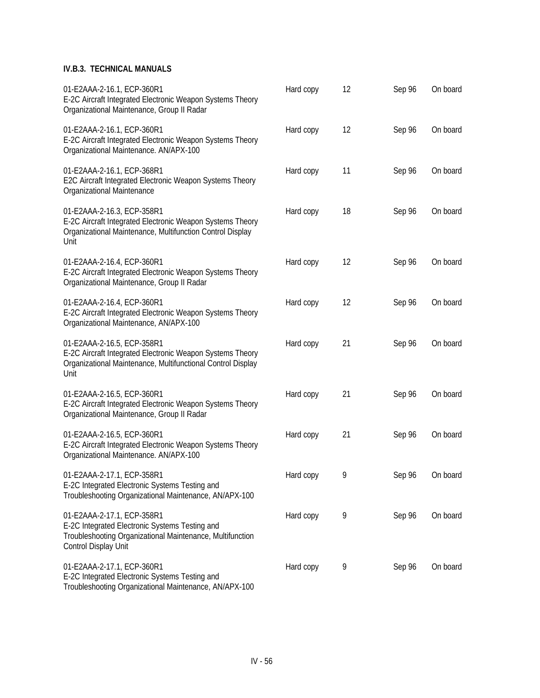| 01-E2AAA-2-16.1, ECP-360R1<br>E-2C Aircraft Integrated Electronic Weapon Systems Theory<br>Organizational Maintenance, Group II Radar                             | Hard copy | 12 | Sep 96 | On board |
|-------------------------------------------------------------------------------------------------------------------------------------------------------------------|-----------|----|--------|----------|
| 01-E2AAA-2-16.1, ECP-360R1<br>E-2C Aircraft Integrated Electronic Weapon Systems Theory<br>Organizational Maintenance. AN/APX-100                                 | Hard copy | 12 | Sep 96 | On board |
| 01-E2AAA-2-16.1, ECP-368R1<br>E2C Aircraft Integrated Electronic Weapon Systems Theory<br>Organizational Maintenance                                              | Hard copy | 11 | Sep 96 | On board |
| 01-E2AAA-2-16.3, ECP-358R1<br>E-2C Aircraft Integrated Electronic Weapon Systems Theory<br>Organizational Maintenance, Multifunction Control Display<br>Unit      | Hard copy | 18 | Sep 96 | On board |
| 01-E2AAA-2-16.4, ECP-360R1<br>E-2C Aircraft Integrated Electronic Weapon Systems Theory<br>Organizational Maintenance, Group II Radar                             | Hard copy | 12 | Sep 96 | On board |
| 01-E2AAA-2-16.4, ECP-360R1<br>E-2C Aircraft Integrated Electronic Weapon Systems Theory<br>Organizational Maintenance, AN/APX-100                                 | Hard copy | 12 | Sep 96 | On board |
| 01-E2AAA-2-16.5, ECP-358R1<br>E-2C Aircraft Integrated Electronic Weapon Systems Theory<br>Organizational Maintenance, Multifunctional Control Display<br>Unit    | Hard copy | 21 | Sep 96 | On board |
| 01-E2AAA-2-16.5, ECP-360R1<br>E-2C Aircraft Integrated Electronic Weapon Systems Theory<br>Organizational Maintenance, Group II Radar                             | Hard copy | 21 | Sep 96 | On board |
| 01-E2AAA-2-16.5, ECP-360R1<br>E-2C Aircraft Integrated Electronic Weapon Systems Theory<br>Organizational Maintenance. AN/APX-100                                 | Hard copy | 21 | Sep 96 | On board |
| 01-E2AAA-2-17.1, ECP-358R1<br>E-2C Integrated Electronic Systems Testing and<br>Troubleshooting Organizational Maintenance, AN/APX-100                            | Hard copy | 9  | Sep 96 | On board |
| 01-E2AAA-2-17.1, ECP-358R1<br>E-2C Integrated Electronic Systems Testing and<br>Troubleshooting Organizational Maintenance, Multifunction<br>Control Display Unit | Hard copy | 9  | Sep 96 | On board |
| 01-E2AAA-2-17.1, ECP-360R1<br>E-2C Integrated Electronic Systems Testing and                                                                                      | Hard copy | 9  | Sep 96 | On board |

Troubleshooting Organizational Maintenance, AN/APX-100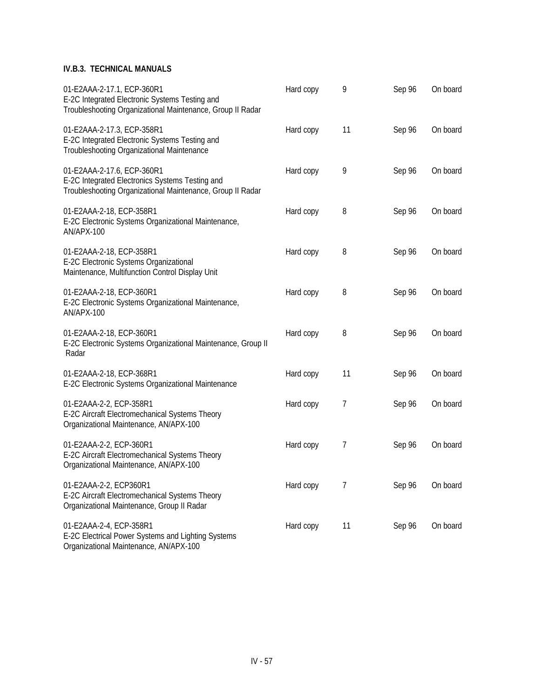| 01-E2AAA-2-17.1, ECP-360R1<br>E-2C Integrated Electronic Systems Testing and<br>Troubleshooting Organizational Maintenance, Group II Radar  | Hard copy | 9  | Sep 96 | On board |
|---------------------------------------------------------------------------------------------------------------------------------------------|-----------|----|--------|----------|
| 01-E2AAA-2-17.3, ECP-358R1<br>E-2C Integrated Electronic Systems Testing and<br>Troubleshooting Organizational Maintenance                  | Hard copy | 11 | Sep 96 | On board |
| 01-E2AAA-2-17.6, ECP-360R1<br>E-2C Integrated Electronics Systems Testing and<br>Troubleshooting Organizational Maintenance, Group II Radar | Hard copy | 9  | Sep 96 | On board |
| 01-E2AAA-2-18, ECP-358R1<br>E-2C Electronic Systems Organizational Maintenance,<br>AN/APX-100                                               | Hard copy | 8  | Sep 96 | On board |
| 01-E2AAA-2-18, ECP-358R1<br>E-2C Electronic Systems Organizational<br>Maintenance, Multifunction Control Display Unit                       | Hard copy | 8  | Sep 96 | On board |
| 01-E2AAA-2-18, ECP-360R1<br>E-2C Electronic Systems Organizational Maintenance,<br>AN/APX-100                                               | Hard copy | 8  | Sep 96 | On board |
| 01-E2AAA-2-18, ECP-360R1<br>E-2C Electronic Systems Organizational Maintenance, Group II<br>Radar                                           | Hard copy | 8  | Sep 96 | On board |
| 01-E2AAA-2-18, ECP-368R1<br>E-2C Electronic Systems Organizational Maintenance                                                              | Hard copy | 11 | Sep 96 | On board |
| 01-E2AAA-2-2, ECP-358R1<br>E-2C Aircraft Electromechanical Systems Theory<br>Organizational Maintenance, AN/APX-100                         | Hard copy | 7  | Sep 96 | On board |
| 01-E2AAA-2-2, ECP-360R1<br>E-2C Aircraft Electromechanical Systems Theory<br>Organizational Maintenance, AN/APX-100                         | Hard copy | 7  | Sep 96 | On board |
| 01-E2AAA-2-2, ECP360R1<br>E-2C Aircraft Electromechanical Systems Theory<br>Organizational Maintenance, Group II Radar                      | Hard copy | 7  | Sep 96 | On board |
| 01-E2AAA-2-4, ECP-358R1<br>E-2C Electrical Power Systems and Lighting Systems<br>Organizational Maintenance, AN/APX-100                     | Hard copy | 11 | Sep 96 | On board |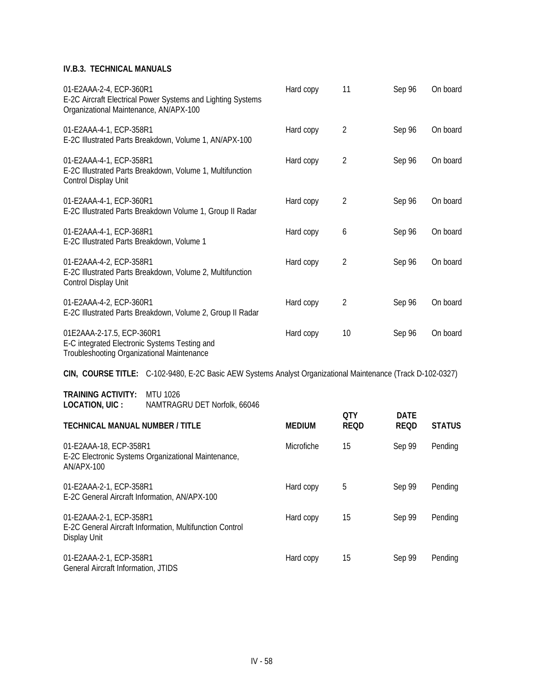| 01-E2AAA-2-4, ECP-360R1<br>E-2C Aircraft Electrical Power Systems and Lighting Systems<br>Organizational Maintenance, AN/APX-100 | Hard copy | 11             | Sep 96 | On board |
|----------------------------------------------------------------------------------------------------------------------------------|-----------|----------------|--------|----------|
| 01-E2AAA-4-1, ECP-358R1<br>E-2C Illustrated Parts Breakdown, Volume 1, AN/APX-100                                                | Hard copy | 2              | Sep 96 | On board |
| 01-E2AAA-4-1, ECP-358R1<br>E-2C Illustrated Parts Breakdown, Volume 1, Multifunction<br>Control Display Unit                     | Hard copy | 2              | Sep 96 | On board |
| 01-E2AAA-4-1, ECP-360R1<br>E-2C Illustrated Parts Breakdown Volume 1, Group II Radar                                             | Hard copy | 2              | Sep 96 | On board |
| 01-E2AAA-4-1, ECP-368R1<br>E-2C Illustrated Parts Breakdown, Volume 1                                                            | Hard copy | 6              | Sep 96 | On board |
| 01-E2AAA-4-2, ECP-358R1<br>E-2C Illustrated Parts Breakdown, Volume 2, Multifunction<br>Control Display Unit                     | Hard copy | $\overline{2}$ | Sep 96 | On board |
| 01-E2AAA-4-2, ECP-360R1<br>E-2C Illustrated Parts Breakdown, Volume 2, Group II Radar                                            | Hard copy | $\overline{2}$ | Sep 96 | On board |
| 01E2AAA-2-17.5, ECP-360R1<br>E-C integrated Electronic Systems Testing and<br>Troubleshooting Organizational Maintenance         | Hard copy | 10             | Sep 96 | On board |

**CIN, COURSE TITLE:** C-102-9480, E-2C Basic AEW Systems Analyst Organizational Maintenance (Track D-102-0327)

**TRAINING ACTIVITY:** MTU 1026 **LOCATION, UIC :** NAMTRAGRU DET Norfolk, 66046

| LUUI IIUI UIU .                                                                                     |                   | 0TY         | <b>DATE</b> |               |
|-----------------------------------------------------------------------------------------------------|-------------------|-------------|-------------|---------------|
| <b>TECHNICAL MANUAL NUMBER / TITLE</b>                                                              | <b>MEDIUM</b>     | <b>REQD</b> | <b>REQD</b> | <b>STATUS</b> |
| 01-E2AAA-18, ECP-358R1<br>E-2C Electronic Systems Organizational Maintenance,<br>AN/APX-100         | <b>Microfiche</b> | 15          | Sep 99      | Pending       |
| 01-E2AAA-2-1, ECP-358R1<br>E-2C General Aircraft Information, AN/APX-100                            | Hard copy         | 5           | Sep 99      | Pending       |
| 01-E2AAA-2-1, ECP-358R1<br>E-2C General Aircraft Information, Multifunction Control<br>Display Unit | Hard copy         | 15          | Sep 99      | Pending       |
| 01-E2AAA-2-1, ECP-358R1<br>General Aircraft Information, JTIDS                                      | Hard copy         | 15          | Sep 99      | Pending       |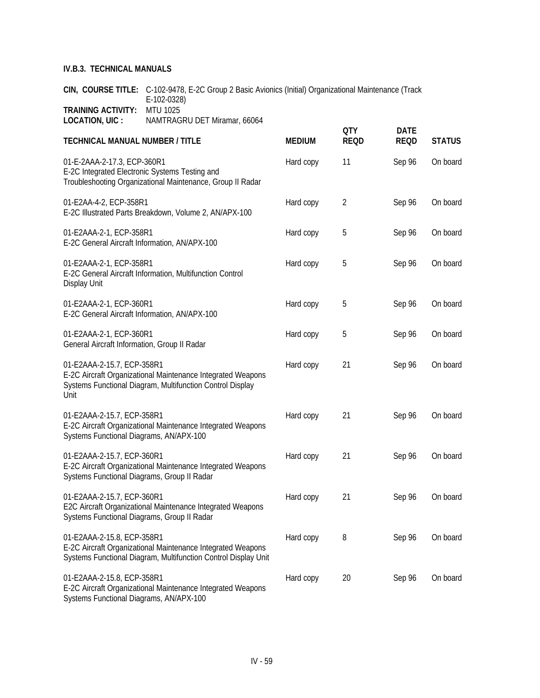**CIN, COURSE TITLE:** C-102-9478, E-2C Group 2 Basic Avionics (Initial) Organizational Maintenance (Track E-102-0328) **TRAINING ACTIVITY:** MTU 1025 **LOCATION, UIC :** NAMTRAGRU DET Miramar, 66064

| <b>TECHNICAL MANUAL NUMBER / TITLE</b>                                                                                                                         | <b>MEDIUM</b> | <b>QTY</b><br><b>REQD</b> | <b>DATE</b><br><b>REQD</b> | <b>STATUS</b> |
|----------------------------------------------------------------------------------------------------------------------------------------------------------------|---------------|---------------------------|----------------------------|---------------|
| 01-E-2AAA-2-17.3, ECP-360R1<br>E-2C Integrated Electronic Systems Testing and<br>Troubleshooting Organizational Maintenance, Group II Radar                    | Hard copy     | 11                        | Sep 96                     | On board      |
| 01-E2AA-4-2, ECP-358R1<br>E-2C Illustrated Parts Breakdown, Volume 2, AN/APX-100                                                                               | Hard copy     | $\overline{2}$            | Sep 96                     | On board      |
| 01-E2AAA-2-1, ECP-358R1<br>E-2C General Aircraft Information, AN/APX-100                                                                                       | Hard copy     | 5                         | Sep 96                     | On board      |
| 01-E2AAA-2-1, ECP-358R1<br>E-2C General Aircraft Information, Multifunction Control<br>Display Unit                                                            | Hard copy     | 5                         | Sep 96                     | On board      |
| 01-E2AAA-2-1, ECP-360R1<br>E-2C General Aircraft Information, AN/APX-100                                                                                       | Hard copy     | 5                         | Sep 96                     | On board      |
| 01-E2AAA-2-1, ECP-360R1<br>General Aircraft Information, Group II Radar                                                                                        | Hard copy     | 5                         | Sep 96                     | On board      |
| 01-E2AAA-2-15.7, ECP-358R1<br>E-2C Aircraft Organizational Maintenance Integrated Weapons<br>Systems Functional Diagram, Multifunction Control Display<br>Unit | Hard copy     | 21                        | Sep 96                     | On board      |
| 01-E2AAA-2-15.7, ECP-358R1<br>E-2C Aircraft Organizational Maintenance Integrated Weapons<br>Systems Functional Diagrams, AN/APX-100                           | Hard copy     | 21                        | Sep 96                     | On board      |
| 01-E2AAA-2-15.7, ECP-360R1<br>E-2C Aircraft Organizational Maintenance Integrated Weapons<br>Systems Functional Diagrams, Group II Radar                       | Hard copy     | 21                        | Sep 96                     | On board      |
| 01-E2AAA-2-15.7, ECP-360R1<br>E2C Aircraft Organizational Maintenance Integrated Weapons<br>Systems Functional Diagrams, Group II Radar                        | Hard copy     | 21                        | Sep 96                     | On board      |
| 01-E2AAA-2-15.8, ECP-358R1<br>E-2C Aircraft Organizational Maintenance Integrated Weapons<br>Systems Functional Diagram, Multifunction Control Display Unit    | Hard copy     | 8                         | Sep 96                     | On board      |
| 01-E2AAA-2-15.8, ECP-358R1<br>E-2C Aircraft Organizational Maintenance Integrated Weapons                                                                      | Hard copy     | 20                        | Sep 96                     | On board      |

Systems Functional Diagrams, AN/APX-100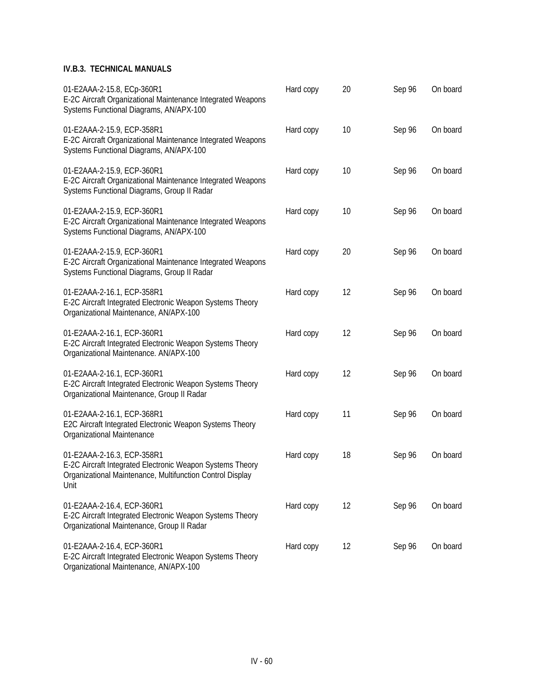| 01-E2AAA-2-15.8, ECp-360R1<br>E-2C Aircraft Organizational Maintenance Integrated Weapons<br>Systems Functional Diagrams, AN/APX-100                         | Hard copy | 20 | Sep 96 | On board |
|--------------------------------------------------------------------------------------------------------------------------------------------------------------|-----------|----|--------|----------|
| 01-E2AAA-2-15.9, ECP-358R1<br>E-2C Aircraft Organizational Maintenance Integrated Weapons<br>Systems Functional Diagrams, AN/APX-100                         | Hard copy | 10 | Sep 96 | On board |
| 01-E2AAA-2-15.9, ECP-360R1<br>E-2C Aircraft Organizational Maintenance Integrated Weapons<br>Systems Functional Diagrams, Group II Radar                     | Hard copy | 10 | Sep 96 | On board |
| 01-E2AAA-2-15.9, ECP-360R1<br>E-2C Aircraft Organizational Maintenance Integrated Weapons<br>Systems Functional Diagrams, AN/APX-100                         | Hard copy | 10 | Sep 96 | On board |
| 01-E2AAA-2-15.9, ECP-360R1<br>E-2C Aircraft Organizational Maintenance Integrated Weapons<br>Systems Functional Diagrams, Group II Radar                     | Hard copy | 20 | Sep 96 | On board |
| 01-E2AAA-2-16.1, ECP-358R1<br>E-2C Aircraft Integrated Electronic Weapon Systems Theory<br>Organizational Maintenance, AN/APX-100                            | Hard copy | 12 | Sep 96 | On board |
| 01-E2AAA-2-16.1, ECP-360R1<br>E-2C Aircraft Integrated Electronic Weapon Systems Theory<br>Organizational Maintenance. AN/APX-100                            | Hard copy | 12 | Sep 96 | On board |
| 01-E2AAA-2-16.1, ECP-360R1<br>E-2C Aircraft Integrated Electronic Weapon Systems Theory<br>Organizational Maintenance, Group II Radar                        | Hard copy | 12 | Sep 96 | On board |
| 01-E2AAA-2-16.1, ECP-368R1<br>E2C Aircraft Integrated Electronic Weapon Systems Theory<br>Organizational Maintenance                                         | Hard copy | 11 | Sep 96 | On board |
| 01-E2AAA-2-16.3, ECP-358R1<br>E-2C Aircraft Integrated Electronic Weapon Systems Theory<br>Organizational Maintenance, Multifunction Control Display<br>Unit | Hard copy | 18 | Sep 96 | On board |
| 01-E2AAA-2-16.4, ECP-360R1<br>E-2C Aircraft Integrated Electronic Weapon Systems Theory<br>Organizational Maintenance, Group II Radar                        | Hard copy | 12 | Sep 96 | On board |
| 01-E2AAA-2-16.4, ECP-360R1<br>E-2C Aircraft Integrated Electronic Weapon Systems Theory                                                                      | Hard copy | 12 | Sep 96 | On board |

Organizational Maintenance, AN/APX-100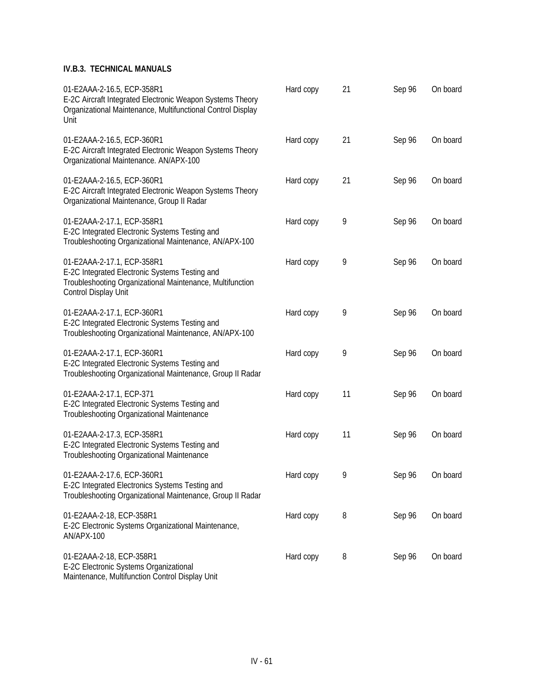| 01-E2AAA-2-16.5, ECP-358R1<br>E-2C Aircraft Integrated Electronic Weapon Systems Theory<br>Organizational Maintenance, Multifunctional Control Display<br>Unit    | Hard copy | 21 | Sep 96 | On board |
|-------------------------------------------------------------------------------------------------------------------------------------------------------------------|-----------|----|--------|----------|
| 01-E2AAA-2-16.5, ECP-360R1<br>E-2C Aircraft Integrated Electronic Weapon Systems Theory<br>Organizational Maintenance. AN/APX-100                                 | Hard copy | 21 | Sep 96 | On board |
| 01-E2AAA-2-16.5, ECP-360R1<br>E-2C Aircraft Integrated Electronic Weapon Systems Theory<br>Organizational Maintenance, Group II Radar                             | Hard copy | 21 | Sep 96 | On board |
| 01-E2AAA-2-17.1, ECP-358R1<br>E-2C Integrated Electronic Systems Testing and<br>Troubleshooting Organizational Maintenance, AN/APX-100                            | Hard copy | 9  | Sep 96 | On board |
| 01-E2AAA-2-17.1, ECP-358R1<br>E-2C Integrated Electronic Systems Testing and<br>Troubleshooting Organizational Maintenance, Multifunction<br>Control Display Unit | Hard copy | 9  | Sep 96 | On board |
| 01-E2AAA-2-17.1, ECP-360R1<br>E-2C Integrated Electronic Systems Testing and<br>Troubleshooting Organizational Maintenance, AN/APX-100                            | Hard copy | 9  | Sep 96 | On board |
| 01-E2AAA-2-17.1, ECP-360R1<br>E-2C Integrated Electronic Systems Testing and<br>Troubleshooting Organizational Maintenance, Group II Radar                        | Hard copy | 9  | Sep 96 | On board |
| 01-E2AAA-2-17.1, ECP-371<br>E-2C Integrated Electronic Systems Testing and<br>Troubleshooting Organizational Maintenance                                          | Hard copy | 11 | Sep 96 | On board |
| 01-E2AAA-2-17.3, ECP-358R1<br>E-2C Integrated Electronic Systems Testing and<br>Troubleshooting Organizational Maintenance                                        | Hard copy | 11 | Sep 96 | On board |
| 01-E2AAA-2-17.6, ECP-360R1<br>E-2C Integrated Electronics Systems Testing and<br>Troubleshooting Organizational Maintenance, Group II Radar                       | Hard copy | 9  | Sep 96 | On board |
| 01-E2AAA-2-18, ECP-358R1<br>E-2C Electronic Systems Organizational Maintenance,<br>AN/APX-100                                                                     | Hard copy | 8  | Sep 96 | On board |
| 01-E2AAA-2-18, ECP-358R1<br>E-2C Electronic Systems Organizational<br>Maintenance, Multifunction Control Display Unit                                             | Hard copy | 8  | Sep 96 | On board |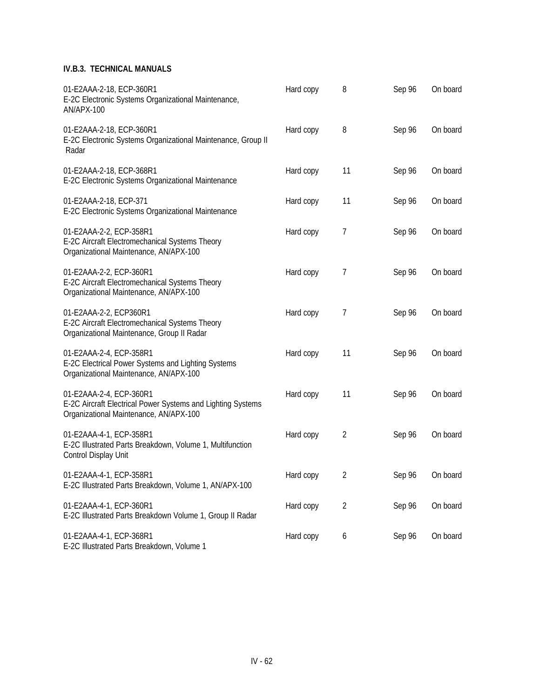| 01-E2AAA-2-18, ECP-360R1<br>E-2C Electronic Systems Organizational Maintenance,<br>AN/APX-100                                    | Hard copy | 8              | Sep 96 | On board |
|----------------------------------------------------------------------------------------------------------------------------------|-----------|----------------|--------|----------|
| 01-E2AAA-2-18, ECP-360R1<br>E-2C Electronic Systems Organizational Maintenance, Group II<br>Radar                                | Hard copy | 8              | Sep 96 | On board |
| 01-E2AAA-2-18, ECP-368R1<br>E-2C Electronic Systems Organizational Maintenance                                                   | Hard copy | 11             | Sep 96 | On board |
| 01-E2AAA-2-18, ECP-371<br>E-2C Electronic Systems Organizational Maintenance                                                     | Hard copy | 11             | Sep 96 | On board |
| 01-E2AAA-2-2, ECP-358R1<br>E-2C Aircraft Electromechanical Systems Theory<br>Organizational Maintenance, AN/APX-100              | Hard copy | 7              | Sep 96 | On board |
| 01-E2AAA-2-2, ECP-360R1<br>E-2C Aircraft Electromechanical Systems Theory<br>Organizational Maintenance, AN/APX-100              | Hard copy | 7              | Sep 96 | On board |
| 01-E2AAA-2-2, ECP360R1<br>E-2C Aircraft Electromechanical Systems Theory<br>Organizational Maintenance, Group II Radar           | Hard copy | 7              | Sep 96 | On board |
| 01-E2AAA-2-4, ECP-358R1<br>E-2C Electrical Power Systems and Lighting Systems<br>Organizational Maintenance, AN/APX-100          | Hard copy | 11             | Sep 96 | On board |
| 01-E2AAA-2-4, ECP-360R1<br>E-2C Aircraft Electrical Power Systems and Lighting Systems<br>Organizational Maintenance, AN/APX-100 | Hard copy | 11             | Sep 96 | On board |
| 01-E2AAA-4-1, ECP-358R1<br>E-2C Illustrated Parts Breakdown, Volume 1, Multifunction<br>Control Display Unit                     | Hard copy | $\overline{2}$ | Sep 96 | On board |
| 01-E2AAA-4-1, ECP-358R1<br>E-2C Illustrated Parts Breakdown, Volume 1, AN/APX-100                                                | Hard copy | 2              | Sep 96 | On board |
| 01-E2AAA-4-1, ECP-360R1<br>E-2C Illustrated Parts Breakdown Volume 1, Group II Radar                                             | Hard copy | $\overline{2}$ | Sep 96 | On board |
| 01-E2AAA-4-1, ECP-368R1<br>E-2C Illustrated Parts Breakdown, Volume 1                                                            | Hard copy | 6              | Sep 96 | On board |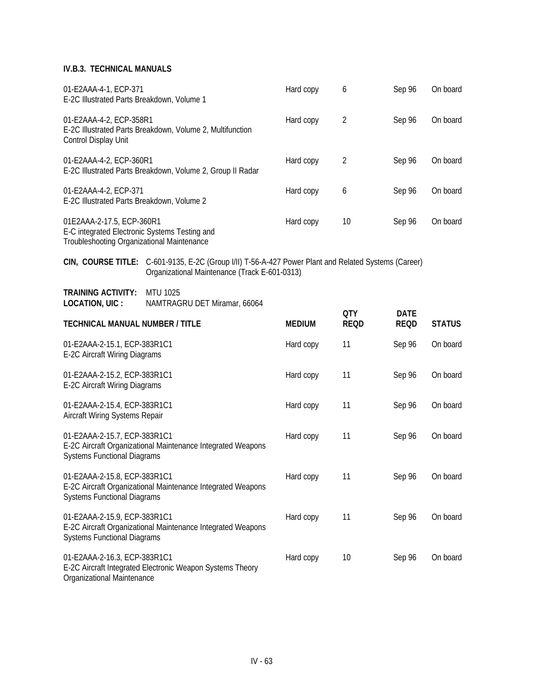| 01-E2AAA-4-1, ECP-371<br>E-2C Illustrated Parts Breakdown, Volume 1                                                      | Hard copy | 6  | Sep 96 | On board |
|--------------------------------------------------------------------------------------------------------------------------|-----------|----|--------|----------|
| 01-E2AAA-4-2, ECP-358R1<br>E-2C Illustrated Parts Breakdown, Volume 2, Multifunction<br>Control Display Unit             | Hard copy | 2  | Sep 96 | On board |
| 01-E2AAA-4-2, ECP-360R1<br>E-2C Illustrated Parts Breakdown, Volume 2, Group II Radar                                    | Hard copy | 2  | Sep 96 | On board |
| 01-E2AAA-4-2, ECP-371<br>E-2C Illustrated Parts Breakdown, Volume 2                                                      | Hard copy | 6  | Sep 96 | On board |
| 01E2AAA-2-17.5, ECP-360R1<br>E-C integrated Electronic Systems Testing and<br>Troubleshooting Organizational Maintenance | Hard copy | 10 | Sep 96 | On board |

**CIN, COURSE TITLE:** C-601-9135, E-2C (Group I/II) T-56-A-427 Power Plant and Related Systems (Career) Organizational Maintenance (Track E-601-0313)

| <b>TRAINING ACTIVITY:</b> | MTU 1025                     |
|---------------------------|------------------------------|
| LOCATION, UIC :           | NAMTRAGRU DET Miramar, 66064 |

|                                                                                                                                   |               | <b>QTY</b>  | <b>DATE</b> |               |
|-----------------------------------------------------------------------------------------------------------------------------------|---------------|-------------|-------------|---------------|
| <b>TECHNICAL MANUAL NUMBER / TITLE</b>                                                                                            | <b>MEDIUM</b> | <b>REQD</b> | <b>REQD</b> | <b>STATUS</b> |
| 01-E2AAA-2-15.1, ECP-383R1C1<br>E-2C Aircraft Wiring Diagrams                                                                     | Hard copy     | 11          | Sep 96      | On board      |
| 01-E2AAA-2-15.2, ECP-383R1C1<br>E-2C Aircraft Wiring Diagrams                                                                     | Hard copy     | 11          | Sep 96      | On board      |
| 01-E2AAA-2-15.4, ECP-383R1C1<br>Aircraft Wiring Systems Repair                                                                    | Hard copy     | 11          | Sep 96      | On board      |
| 01-E2AAA-2-15.7, ECP-383R1C1<br>E-2C Aircraft Organizational Maintenance Integrated Weapons<br><b>Systems Functional Diagrams</b> | Hard copy     | 11          | Sep 96      | On board      |
| 01-E2AAA-2-15.8, ECP-383R1C1<br>E-2C Aircraft Organizational Maintenance Integrated Weapons<br><b>Systems Functional Diagrams</b> | Hard copy     | 11          | Sep 96      | On board      |
| 01-E2AAA-2-15.9, ECP-383R1C1<br>E-2C Aircraft Organizational Maintenance Integrated Weapons<br><b>Systems Functional Diagrams</b> | Hard copy     | 11          | Sep 96      | On board      |
| 01-E2AAA-2-16.3, ECP-383R1C1<br>E-2C Aircraft Integrated Electronic Weapon Systems Theory                                         | Hard copy     | 10          | Sep 96      | On board      |

Organizational Maintenance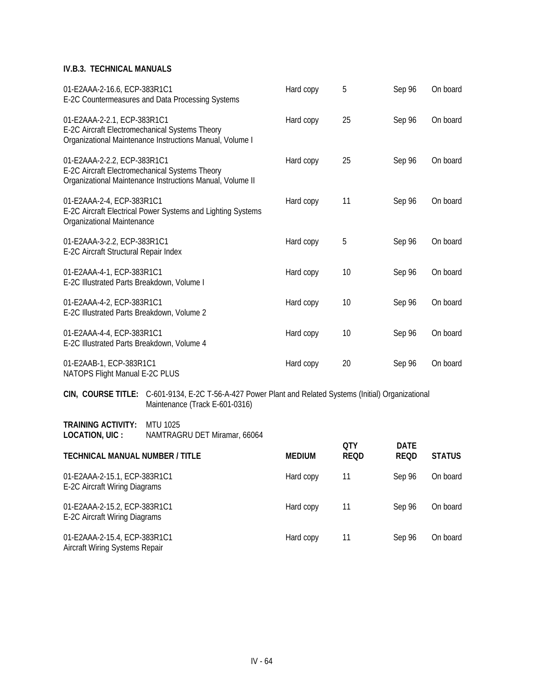| 01-E2AAA-2-16.6, ECP-383R1C1<br>E-2C Countermeasures and Data Processing Systems                                                           | Hard copy | 5  | Sep 96 | On board |
|--------------------------------------------------------------------------------------------------------------------------------------------|-----------|----|--------|----------|
| 01-E2AAA-2-2.1, ECP-383R1C1<br>E-2C Aircraft Electromechanical Systems Theory<br>Organizational Maintenance Instructions Manual, Volume I  | Hard copy | 25 | Sep 96 | On board |
| 01-E2AAA-2-2.2, ECP-383R1C1<br>E-2C Aircraft Electromechanical Systems Theory<br>Organizational Maintenance Instructions Manual, Volume II | Hard copy | 25 | Sep 96 | On board |
| 01-E2AAA-2-4, ECP-383R1C1<br>E-2C Aircraft Electrical Power Systems and Lighting Systems<br>Organizational Maintenance                     | Hard copy | 11 | Sep 96 | On board |
| 01-E2AAA-3-2.2, ECP-383R1C1<br>E-2C Aircraft Structural Repair Index                                                                       | Hard copy | 5  | Sep 96 | On board |
| 01-E2AAA-4-1, ECP-383R1C1<br>E-2C Illustrated Parts Breakdown, Volume I                                                                    | Hard copy | 10 | Sep 96 | On board |
| 01-E2AAA-4-2, ECP-383R1C1<br>E-2C Illustrated Parts Breakdown, Volume 2                                                                    | Hard copy | 10 | Sep 96 | On board |
| 01-E2AAA-4-4, ECP-383R1C1<br>E-2C Illustrated Parts Breakdown, Volume 4                                                                    | Hard copy | 10 | Sep 96 | On board |
| 01-E2AAB-1, ECP-383R1C1<br>NATOPS Flight Manual E-2C PLUS                                                                                  | Hard copy | 20 | Sep 96 | On board |
| CIN, COURSE TITLE: C-601-9134, E-2C T-56-A-427 Power Plant and Related Systems (Initial) Organizational                                    |           |    |        |          |

Maintenance (Track E-601-0316)

**TRAINING ACTIVITY:** MTU 1025 **LOCATION, UIC :** NAMTRAGRU DET Miramar, 66064

| LUUMIIUI, UIU.<br><b>INAIVELINACINO DE FIVILIGITIQI</b> , 00004 |               |                    |                            |               |
|-----------------------------------------------------------------|---------------|--------------------|----------------------------|---------------|
| <b>TECHNICAL MANUAL NUMBER / TITLE</b>                          | <b>MEDIUM</b> | 0TY<br><b>REQD</b> | <b>DATE</b><br><b>REQD</b> | <b>STATUS</b> |
| 01-E2AAA-2-15.1, ECP-383R1C1<br>E-2C Aircraft Wiring Diagrams   | Hard copy     | 11                 | Sep 96                     | On board      |
| 01-E2AAA-2-15.2, ECP-383R1C1<br>E-2C Aircraft Wiring Diagrams   | Hard copy     | 11                 | Sep 96                     | On board      |
| 01-E2AAA-2-15.4, ECP-383R1C1<br>Aircraft Wiring Systems Repair  | Hard copy     | 11                 | Sep 96                     | On board      |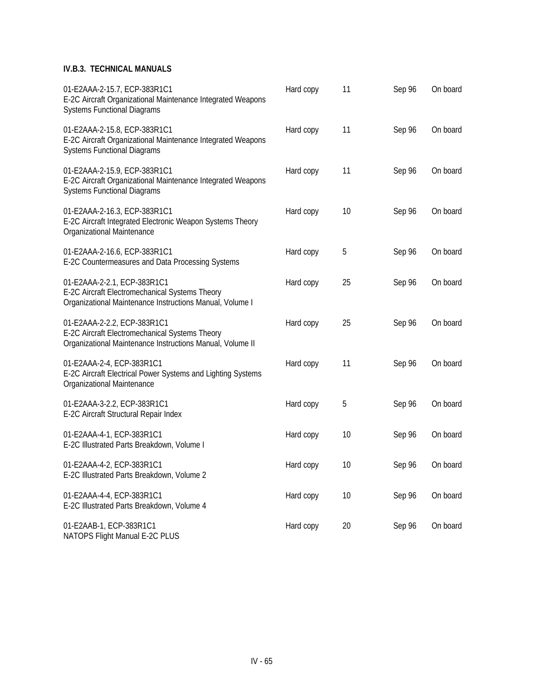| 01-E2AAA-2-15.7, ECP-383R1C1<br>E-2C Aircraft Organizational Maintenance Integrated Weapons<br><b>Systems Functional Diagrams</b>          | Hard copy | 11 | Sep 96 | On board |
|--------------------------------------------------------------------------------------------------------------------------------------------|-----------|----|--------|----------|
| 01-E2AAA-2-15.8, ECP-383R1C1<br>E-2C Aircraft Organizational Maintenance Integrated Weapons<br><b>Systems Functional Diagrams</b>          | Hard copy | 11 | Sep 96 | On board |
| 01-E2AAA-2-15.9, ECP-383R1C1<br>E-2C Aircraft Organizational Maintenance Integrated Weapons<br><b>Systems Functional Diagrams</b>          | Hard copy | 11 | Sep 96 | On board |
| 01-E2AAA-2-16.3, ECP-383R1C1<br>E-2C Aircraft Integrated Electronic Weapon Systems Theory<br>Organizational Maintenance                    | Hard copy | 10 | Sep 96 | On board |
| 01-E2AAA-2-16.6, ECP-383R1C1<br>E-2C Countermeasures and Data Processing Systems                                                           | Hard copy | 5  | Sep 96 | On board |
| 01-E2AAA-2-2.1, ECP-383R1C1<br>E-2C Aircraft Electromechanical Systems Theory<br>Organizational Maintenance Instructions Manual, Volume I  | Hard copy | 25 | Sep 96 | On board |
| 01-E2AAA-2-2.2, ECP-383R1C1<br>E-2C Aircraft Electromechanical Systems Theory<br>Organizational Maintenance Instructions Manual, Volume II | Hard copy | 25 | Sep 96 | On board |
| 01-E2AAA-2-4, ECP-383R1C1<br>E-2C Aircraft Electrical Power Systems and Lighting Systems<br>Organizational Maintenance                     | Hard copy | 11 | Sep 96 | On board |
| 01-E2AAA-3-2.2, ECP-383R1C1<br>E-2C Aircraft Structural Repair Index                                                                       | Hard copy | 5  | Sep 96 | On board |
| 01-E2AAA-4-1, ECP-383R1C1<br>E-2C Illustrated Parts Breakdown, Volume I                                                                    | Hard copy | 10 | Sep 96 | On board |
| 01-E2AAA-4-2, ECP-383R1C1<br>E-2C Illustrated Parts Breakdown, Volume 2                                                                    | Hard copy | 10 | Sep 96 | On board |
| 01-E2AAA-4-4, ECP-383R1C1<br>E-2C Illustrated Parts Breakdown, Volume 4                                                                    | Hard copy | 10 | Sep 96 | On board |
| 01-E2AAB-1, ECP-383R1C1<br>NATOPS Flight Manual E-2C PLUS                                                                                  | Hard copy | 20 | Sep 96 | On board |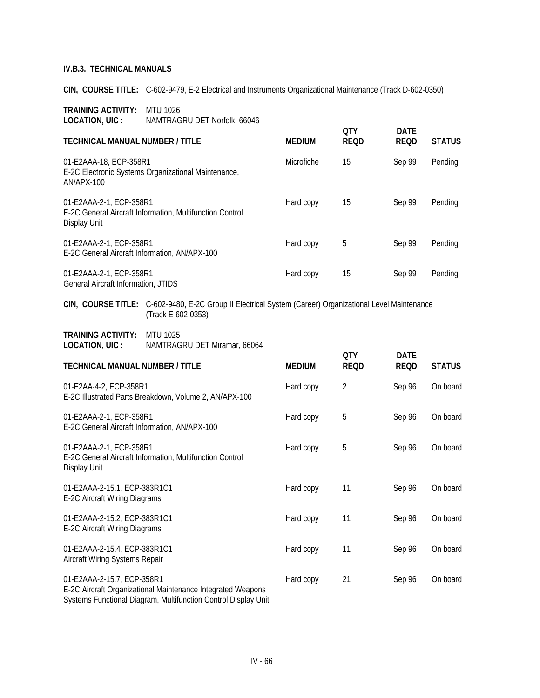**CIN, COURSE TITLE:** C-602-9479, E-2 Electrical and Instruments Organizational Maintenance (Track D-602-0350)

| <b>TRAINING ACTIVITY:</b> | MTU 1026                     |
|---------------------------|------------------------------|
| LOCATION, UIC :           | NAMTRAGRU DET Norfolk, 66046 |

|                                                                                                     |                   | 0TY         | <b>DATE</b> |               |
|-----------------------------------------------------------------------------------------------------|-------------------|-------------|-------------|---------------|
| <b>TECHNICAL MANUAL NUMBER / TITLE</b>                                                              | <b>MEDIUM</b>     | <b>REQD</b> | <b>REQD</b> | <b>STATUS</b> |
| 01-E2AAA-18, ECP-358R1<br>E-2C Electronic Systems Organizational Maintenance,<br>AN/APX-100         | <b>Microfiche</b> | 15          | Sep 99      | Pending       |
| 01-E2AAA-2-1, ECP-358R1<br>E-2C General Aircraft Information, Multifunction Control<br>Display Unit | Hard copy         | 15          | Sep 99      | Pending       |
| 01-E2AAA-2-1, ECP-358R1<br>E-2C General Aircraft Information, AN/APX-100                            | Hard copy         | 5           | Sep 99      | Pending       |
| 01-E2AAA-2-1, ECP-358R1<br><b>General Aircraft Information, JTIDS</b>                               | Hard copy         | 15          | Sep 99      | Pending       |

**CIN, COURSE TITLE:** C-602-9480, E-2C Group II Electrical System (Career) Organizational Level Maintenance (Track E-602-0353)

| <b>TRAINING ACTIVITY:</b> | MTU 1025                     |
|---------------------------|------------------------------|
| LOCATION, UIC :           | NAMTRAGRU DET Miramar, 66064 |

|                                                                                                     |               | <b>QTY</b>     | <b>DATE</b> |               |
|-----------------------------------------------------------------------------------------------------|---------------|----------------|-------------|---------------|
| <b>TECHNICAL MANUAL NUMBER / TITLE</b>                                                              | <b>MEDIUM</b> | <b>REQD</b>    | <b>REQD</b> | <b>STATUS</b> |
| 01-E2AA-4-2, ECP-358R1<br>E-2C Illustrated Parts Breakdown, Volume 2, AN/APX-100                    | Hard copy     | $\overline{2}$ | Sep 96      | On board      |
| 01-E2AAA-2-1, ECP-358R1<br>E-2C General Aircraft Information, AN/APX-100                            | Hard copy     | 5              | Sep 96      | On board      |
| 01-E2AAA-2-1, ECP-358R1<br>E-2C General Aircraft Information, Multifunction Control<br>Display Unit | Hard copy     | 5              | Sep 96      | On board      |
| 01-E2AAA-2-15.1, ECP-383R1C1<br>E-2C Aircraft Wiring Diagrams                                       | Hard copy     | 11             | Sep 96      | On board      |
| 01-E2AAA-2-15.2, ECP-383R1C1<br>E-2C Aircraft Wiring Diagrams                                       | Hard copy     | 11             | Sep 96      | On board      |
| 01-E2AAA-2-15.4, ECP-383R1C1<br>Aircraft Wiring Systems Repair                                      | Hard copy     | 11             | Sep 96      | On board      |
| 01-E2AAA-2-15.7, ECP-358R1<br>E-2C Aircraft Organizational Maintenance Integrated Weapons           | Hard copy     | 21             | Sep 96      | On board      |

Systems Functional Diagram, Multifunction Control Display Unit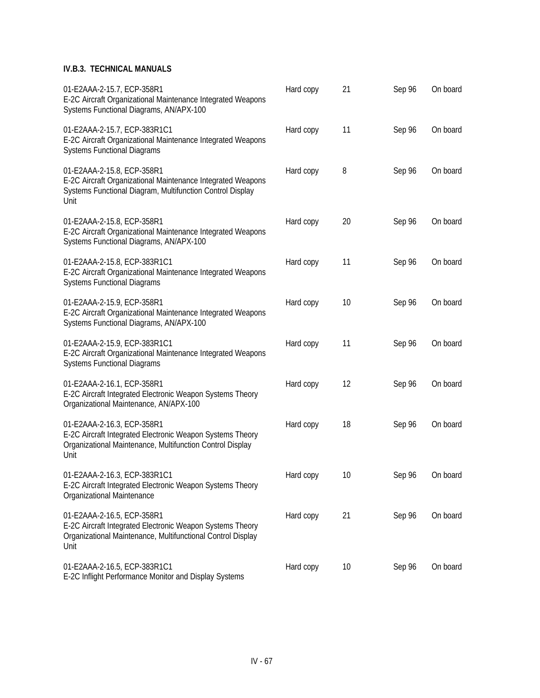| 01-E2AAA-2-15.7, ECP-358R1<br>E-2C Aircraft Organizational Maintenance Integrated Weapons<br>Systems Functional Diagrams, AN/APX-100                           | Hard copy | 21              | Sep 96 | On board |
|----------------------------------------------------------------------------------------------------------------------------------------------------------------|-----------|-----------------|--------|----------|
| 01-E2AAA-2-15.7, ECP-383R1C1<br>E-2C Aircraft Organizational Maintenance Integrated Weapons<br><b>Systems Functional Diagrams</b>                              | Hard copy | 11              | Sep 96 | On board |
| 01-E2AAA-2-15.8, ECP-358R1<br>E-2C Aircraft Organizational Maintenance Integrated Weapons<br>Systems Functional Diagram, Multifunction Control Display<br>Unit | Hard copy | 8               | Sep 96 | On board |
| 01-E2AAA-2-15.8, ECP-358R1<br>E-2C Aircraft Organizational Maintenance Integrated Weapons<br>Systems Functional Diagrams, AN/APX-100                           | Hard copy | 20              | Sep 96 | On board |
| 01-E2AAA-2-15.8, ECP-383R1C1<br>E-2C Aircraft Organizational Maintenance Integrated Weapons<br><b>Systems Functional Diagrams</b>                              | Hard copy | 11              | Sep 96 | On board |
| 01-E2AAA-2-15.9, ECP-358R1<br>E-2C Aircraft Organizational Maintenance Integrated Weapons<br>Systems Functional Diagrams, AN/APX-100                           | Hard copy | 10              | Sep 96 | On board |
| 01-E2AAA-2-15.9, ECP-383R1C1<br>E-2C Aircraft Organizational Maintenance Integrated Weapons<br><b>Systems Functional Diagrams</b>                              | Hard copy | 11              | Sep 96 | On board |
| 01-E2AAA-2-16.1, ECP-358R1<br>E-2C Aircraft Integrated Electronic Weapon Systems Theory<br>Organizational Maintenance, AN/APX-100                              | Hard copy | 12              | Sep 96 | On board |
| 01-E2AAA-2-16.3, ECP-358R1<br>E-2C Aircraft Integrated Electronic Weapon Systems Theory<br>Organizational Maintenance, Multifunction Control Display<br>Unit   | Hard copy | 18              | Sep 96 | On board |
| 01-E2AAA-2-16.3, ECP-383R1C1<br>E-2C Aircraft Integrated Electronic Weapon Systems Theory<br>Organizational Maintenance                                        | Hard copy | 10 <sup>°</sup> | Sep 96 | On board |
| 01-E2AAA-2-16.5, ECP-358R1<br>E-2C Aircraft Integrated Electronic Weapon Systems Theory<br>Organizational Maintenance, Multifunctional Control Display<br>Unit | Hard copy | 21              | Sep 96 | On board |
| 01-E2AAA-2-16.5, ECP-383R1C1<br>E-2C Inflight Performance Monitor and Display Systems                                                                          | Hard copy | 10              | Sep 96 | On board |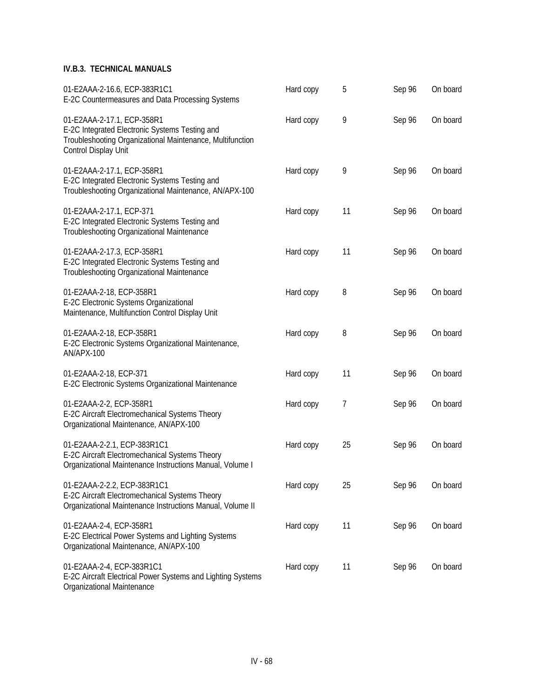| 01-E2AAA-2-16.6, ECP-383R1C1<br>E-2C Countermeasures and Data Processing Systems                                                                                  | Hard copy | 5  | Sep 96 | On board |
|-------------------------------------------------------------------------------------------------------------------------------------------------------------------|-----------|----|--------|----------|
| 01-E2AAA-2-17.1, ECP-358R1<br>E-2C Integrated Electronic Systems Testing and<br>Troubleshooting Organizational Maintenance, Multifunction<br>Control Display Unit | Hard copy | 9  | Sep 96 | On board |
| 01-E2AAA-2-17.1, ECP-358R1<br>E-2C Integrated Electronic Systems Testing and<br>Troubleshooting Organizational Maintenance, AN/APX-100                            | Hard copy | 9  | Sep 96 | On board |
| 01-E2AAA-2-17.1, ECP-371<br>E-2C Integrated Electronic Systems Testing and<br>Troubleshooting Organizational Maintenance                                          | Hard copy | 11 | Sep 96 | On board |
| 01-E2AAA-2-17.3, ECP-358R1<br>E-2C Integrated Electronic Systems Testing and<br>Troubleshooting Organizational Maintenance                                        | Hard copy | 11 | Sep 96 | On board |
| 01-E2AAA-2-18, ECP-358R1<br>E-2C Electronic Systems Organizational<br>Maintenance, Multifunction Control Display Unit                                             | Hard copy | 8  | Sep 96 | On board |
| 01-E2AAA-2-18, ECP-358R1<br>E-2C Electronic Systems Organizational Maintenance,<br>AN/APX-100                                                                     | Hard copy | 8  | Sep 96 | On board |
| 01-E2AAA-2-18, ECP-371<br>E-2C Electronic Systems Organizational Maintenance                                                                                      | Hard copy | 11 | Sep 96 | On board |
| 01-E2AAA-2-2, ECP-358R1<br>E-2C Aircraft Electromechanical Systems Theory<br>Organizational Maintenance, AN/APX-100                                               | Hard copy | 7  | Sep 96 | On board |
| 01-E2AAA-2-2.1, ECP-383R1C1<br>E-2C Aircraft Electromechanical Systems Theory<br>Organizational Maintenance Instructions Manual, Volume I                         | Hard copy | 25 | Sep 96 | On board |
| 01-E2AAA-2-2.2, ECP-383R1C1<br>E-2C Aircraft Electromechanical Systems Theory<br>Organizational Maintenance Instructions Manual, Volume II                        | Hard copy | 25 | Sep 96 | On board |
| 01-E2AAA-2-4, ECP-358R1<br>E-2C Electrical Power Systems and Lighting Systems<br>Organizational Maintenance, AN/APX-100                                           | Hard copy | 11 | Sep 96 | On board |
| 01-E2AAA-2-4, ECP-383R1C1<br>E-2C Aircraft Electrical Power Systems and Lighting Systems                                                                          | Hard copy | 11 | Sep 96 | On board |

Organizational Maintenance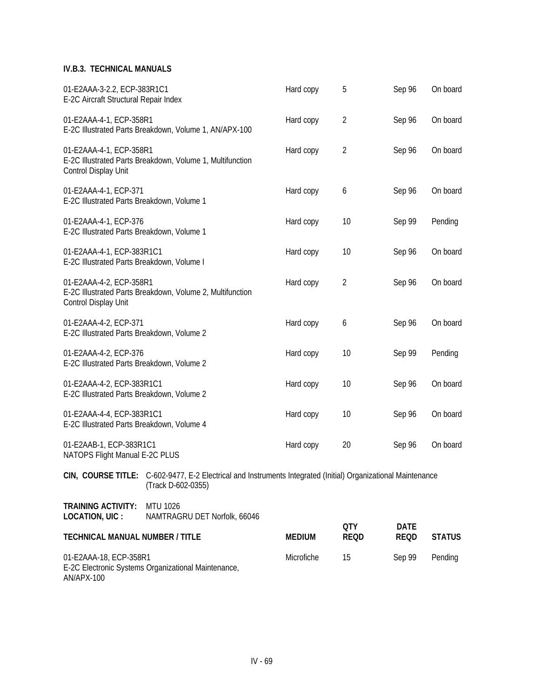| 01-E2AAA-18, ECP-358R1                                                  | E-2C Electronic Systems Organizational Maintenance,                                                                                 | Microfiche    | 15                 | Sep 99                     | Pending       |
|-------------------------------------------------------------------------|-------------------------------------------------------------------------------------------------------------------------------------|---------------|--------------------|----------------------------|---------------|
| <b>TECHNICAL MANUAL NUMBER / TITLE</b>                                  |                                                                                                                                     | <b>MEDIUM</b> | QTY<br><b>REQD</b> | <b>DATE</b><br><b>REQD</b> | <b>STATUS</b> |
| <b>TRAINING ACTIVITY:</b><br>LOCATION, UIC :                            | <b>MTU 1026</b><br>NAMTRAGRU DET Norfolk, 66046                                                                                     |               |                    |                            |               |
|                                                                         | CIN, COURSE TITLE: C-602-9477, E-2 Electrical and Instruments Integrated (Initial) Organizational Maintenance<br>(Track D-602-0355) |               |                    |                            |               |
| 01-E2AAB-1, ECP-383R1C1<br>NATOPS Flight Manual E-2C PLUS               |                                                                                                                                     | Hard copy     | 20                 | Sep 96                     | On board      |
| 01-E2AAA-4-4, ECP-383R1C1<br>E-2C Illustrated Parts Breakdown, Volume 4 |                                                                                                                                     | Hard copy     | 10                 | Sep 96                     | On board      |
| 01-E2AAA-4-2, ECP-383R1C1<br>E-2C Illustrated Parts Breakdown, Volume 2 |                                                                                                                                     | Hard copy     | 10                 | Sep 96                     | On board      |
| 01-E2AAA-4-2, ECP-376<br>E-2C Illustrated Parts Breakdown, Volume 2     |                                                                                                                                     | Hard copy     | 10                 | Sep 99                     | Pending       |
| 01-E2AAA-4-2, ECP-371<br>E-2C Illustrated Parts Breakdown, Volume 2     |                                                                                                                                     | Hard copy     | 6                  | Sep 96                     | On board      |
| 01-E2AAA-4-2, ECP-358R1<br>Control Display Unit                         | E-2C Illustrated Parts Breakdown, Volume 2, Multifunction                                                                           | Hard copy     | $\overline{2}$     | Sep 96                     | On board      |
| 01-E2AAA-4-1, ECP-383R1C1<br>E-2C Illustrated Parts Breakdown, Volume I |                                                                                                                                     | Hard copy     | 10                 | Sep 96                     | On board      |
| 01-E2AAA-4-1, ECP-376<br>E-2C Illustrated Parts Breakdown, Volume 1     |                                                                                                                                     | Hard copy     | 10                 | Sep 99                     | Pending       |
| 01-E2AAA-4-1, ECP-371<br>E-2C Illustrated Parts Breakdown, Volume 1     |                                                                                                                                     | Hard copy     | 6                  | Sep 96                     | On board      |
| 01-E2AAA-4-1, ECP-358R1<br>Control Display Unit                         | E-2C Illustrated Parts Breakdown, Volume 1, Multifunction                                                                           | Hard copy     | $\overline{2}$     | Sep 96                     | On board      |
| 01-E2AAA-4-1, ECP-358R1                                                 | E-2C Illustrated Parts Breakdown, Volume 1, AN/APX-100                                                                              | Hard copy     | $\overline{2}$     | Sep 96                     | On board      |
| 01-E2AAA-3-2.2, ECP-383R1C1<br>E-2C Aircraft Structural Repair Index    |                                                                                                                                     | Hard copy     | 5                  | Sep 96                     | On board      |

AN/APX-100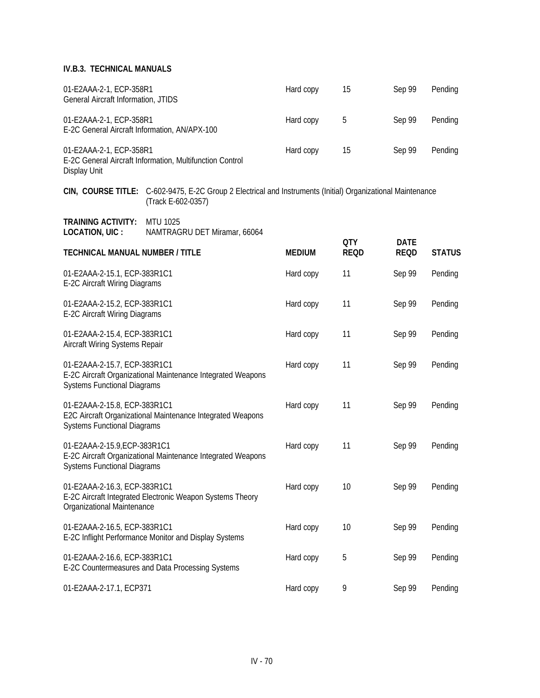| 01-E2AAA-2-1, ECP-358R1<br>General Aircraft Information, JTIDS           |                                                                                                                                   | Hard copy     | 15                        | Sep 99                     | Pending       |
|--------------------------------------------------------------------------|-----------------------------------------------------------------------------------------------------------------------------------|---------------|---------------------------|----------------------------|---------------|
| 01-E2AAA-2-1, ECP-358R1<br>E-2C General Aircraft Information, AN/APX-100 |                                                                                                                                   | Hard copy     | 5                         | Sep 99                     | Pending       |
| 01-E2AAA-2-1, ECP-358R1<br>Display Unit                                  | E-2C General Aircraft Information, Multifunction Control                                                                          | Hard copy     | 15                        | Sep 99                     | Pending       |
|                                                                          | CIN, COURSE TITLE: C-602-9475, E-2C Group 2 Electrical and Instruments (Initial) Organizational Maintenance<br>(Track E-602-0357) |               |                           |                            |               |
| <b>TRAINING ACTIVITY:</b><br>LOCATION, UIC :                             | <b>MTU 1025</b><br>NAMTRAGRU DET Miramar, 66064                                                                                   |               |                           |                            |               |
| <b>TECHNICAL MANUAL NUMBER / TITLE</b>                                   |                                                                                                                                   | <b>MEDIUM</b> | <b>QTY</b><br><b>REQD</b> | <b>DATE</b><br><b>REQD</b> | <b>STATUS</b> |
| 01-E2AAA-2-15.1, ECP-383R1C1<br>E-2C Aircraft Wiring Diagrams            |                                                                                                                                   | Hard copy     | 11                        | Sep 99                     | Pending       |
| 01-E2AAA-2-15.2, ECP-383R1C1<br>E-2C Aircraft Wiring Diagrams            |                                                                                                                                   | Hard copy     | 11                        | Sep 99                     | Pending       |
| 01-E2AAA-2-15.4, ECP-383R1C1<br>Aircraft Wiring Systems Repair           |                                                                                                                                   | Hard copy     | 11                        | Sep 99                     | Pending       |
| 01-E2AAA-2-15.7, ECP-383R1C1<br><b>Systems Functional Diagrams</b>       | E-2C Aircraft Organizational Maintenance Integrated Weapons                                                                       | Hard copy     | 11                        | Sep 99                     | Pending       |
| 01-E2AAA-2-15.8, ECP-383R1C1<br><b>Systems Functional Diagrams</b>       | E2C Aircraft Organizational Maintenance Integrated Weapons                                                                        | Hard copy     | 11                        | Sep 99                     | Pending       |
| 01-E2AAA-2-15.9, ECP-383R1C1<br><b>Systems Functional Diagrams</b>       | E-2C Aircraft Organizational Maintenance Integrated Weapons                                                                       | Hard copy     | 11                        | Sep 99                     | Pending       |
| 01-E2AAA-2-16.3, ECP-383R1C1<br>Organizational Maintenance               | E-2C Aircraft Integrated Electronic Weapon Systems Theory                                                                         | Hard copy     | 10                        | Sep 99                     | Pending       |
| 01-E2AAA-2-16.5, ECP-383R1C1                                             | E-2C Inflight Performance Monitor and Display Systems                                                                             | Hard copy     | 10                        | Sep 99                     | Pending       |
| 01-E2AAA-2-16.6, ECP-383R1C1                                             | E-2C Countermeasures and Data Processing Systems                                                                                  | Hard copy     | 5                         | Sep 99                     | Pending       |
| 01-E2AAA-2-17.1, ECP371                                                  |                                                                                                                                   | Hard copy     | 9                         | Sep 99                     | Pending       |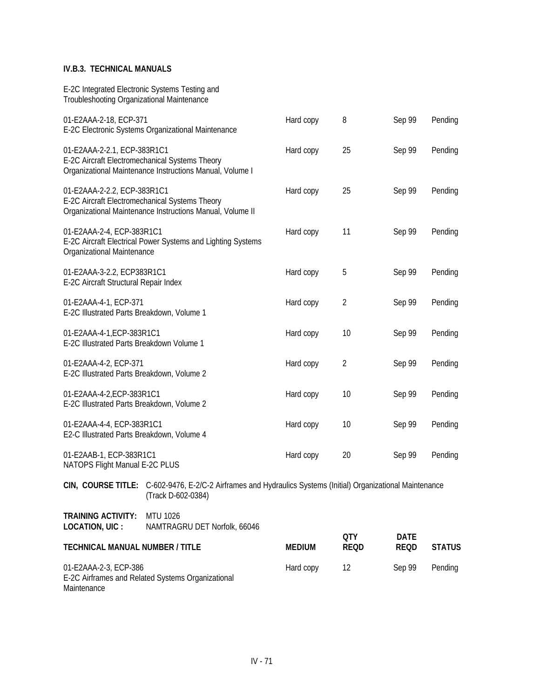| <b>TECHNICAL MANUAL NUMBER / TITLE</b>                                                       |                                                                                                                                    | <b>MEDIUM</b> | <b>QTY</b><br><b>REQD</b> | <b>DATE</b><br><b>REQD</b> | <b>STATUS</b> |
|----------------------------------------------------------------------------------------------|------------------------------------------------------------------------------------------------------------------------------------|---------------|---------------------------|----------------------------|---------------|
| <b>TRAINING ACTIVITY:</b><br><b>LOCATION, UIC:</b>                                           | MTU 1026<br>NAMTRAGRU DET Norfolk, 66046                                                                                           |               |                           |                            |               |
|                                                                                              | CIN, COURSE TITLE: C-602-9476, E-2/C-2 Airframes and Hydraulics Systems (Initial) Organizational Maintenance<br>(Track D-602-0384) |               |                           |                            |               |
| 01-E2AAB-1, ECP-383R1C1<br>NATOPS Flight Manual E-2C PLUS                                    |                                                                                                                                    | Hard copy     | 20                        | Sep 99                     | Pending       |
| 01-E2AAA-4-4, ECP-383R1C1<br>E2-C Illustrated Parts Breakdown, Volume 4                      |                                                                                                                                    | Hard copy     | 10                        | Sep 99                     | Pending       |
| 01-E2AAA-4-2, ECP-383R1C1<br>E-2C Illustrated Parts Breakdown, Volume 2                      |                                                                                                                                    | Hard copy     | 10                        | Sep 99                     | Pending       |
| 01-E2AAA-4-2, ECP-371<br>E-2C Illustrated Parts Breakdown, Volume 2                          |                                                                                                                                    | Hard copy     | $\overline{2}$            | Sep 99                     | Pending       |
| 01-E2AAA-4-1, ECP-383R1C1<br>E-2C Illustrated Parts Breakdown Volume 1                       |                                                                                                                                    | Hard copy     | 10                        | Sep 99                     | Pending       |
| 01-E2AAA-4-1, ECP-371<br>E-2C Illustrated Parts Breakdown, Volume 1                          |                                                                                                                                    | Hard copy     | $\overline{2}$            | Sep 99                     | Pending       |
| 01-E2AAA-3-2.2, ECP383R1C1<br>E-2C Aircraft Structural Repair Index                          |                                                                                                                                    | Hard copy     | 5                         | Sep 99                     | Pending       |
| 01-E2AAA-2-4, ECP-383R1C1<br>Organizational Maintenance                                      | E-2C Aircraft Electrical Power Systems and Lighting Systems                                                                        | Hard copy     | 11                        | Sep 99                     | Pending       |
| 01-E2AAA-2-2.2, ECP-383R1C1                                                                  | E-2C Aircraft Electromechanical Systems Theory<br>Organizational Maintenance Instructions Manual, Volume II                        | Hard copy     | 25                        | Sep 99                     | Pending       |
| 01-E2AAA-2-2.1, ECP-383R1C1                                                                  | E-2C Aircraft Electromechanical Systems Theory<br>Organizational Maintenance Instructions Manual, Volume I                         | Hard copy     | 25                        | Sep 99                     | Pending       |
| 01-E2AAA-2-18, ECP-371                                                                       | E-2C Electronic Systems Organizational Maintenance                                                                                 | Hard copy     | 8                         | Sep 99                     | Pending       |
| E-2C Integrated Electronic Systems Testing and<br>Troubleshooting Organizational Maintenance |                                                                                                                                    |               |                           |                            |               |

01-E2AAA-2-3, ECP-386 **Hard copy** 12 Sep 99 Pending E-2C Airframes and Related Systems Organizational Maintenance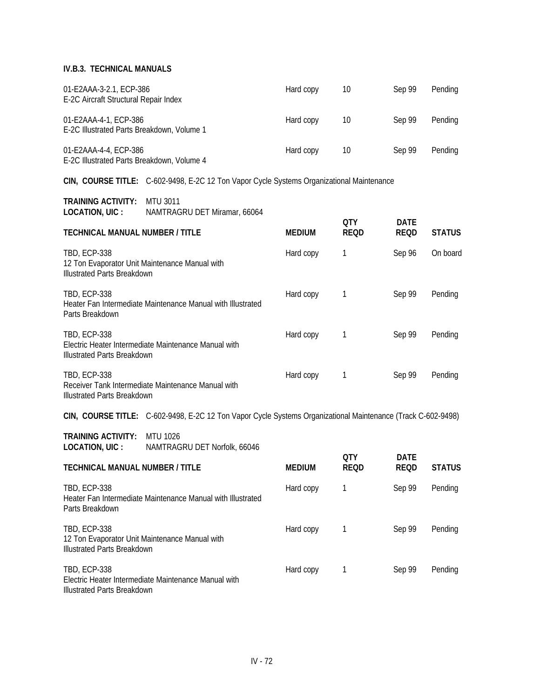| 01-E2AAA-3-2.1, ECP-386<br>E-2C Aircraft Structural Repair Index    | Hard copy | 10 | Sep 99 | Pending |
|---------------------------------------------------------------------|-----------|----|--------|---------|
| 01-E2AAA-4-1, ECP-386<br>E-2C Illustrated Parts Breakdown, Volume 1 | Hard copy | 10 | Sep 99 | Pending |
| 01-E2AAA-4-4, ECP-386<br>E-2C Illustrated Parts Breakdown, Volume 4 | Hard copy | 10 | Sep 99 | Pending |

**CIN, COURSE TITLE:** C-602-9498, E-2C 12 Ton Vapor Cycle Systems Organizational Maintenance

| <b>TRAINING ACTIVITY:</b> | MTU 3011                     |
|---------------------------|------------------------------|
| LOCATION, UIC :           | NAMTRAGRU DET Miramar, 66064 |

| LUVILIUI, VIV.<br>$\sim$ 197 MYLLEV NOTNO DET TVIII GITIGIT, 0000 T                                         |               | 0TY         | DATE        |               |
|-------------------------------------------------------------------------------------------------------------|---------------|-------------|-------------|---------------|
| <b>TECHNICAL MANUAL NUMBER / TITLE</b>                                                                      | <b>MEDIUM</b> | <b>REQD</b> | <b>REQD</b> | <b>STATUS</b> |
| <b>TBD, ECP-338</b><br>12 Ton Evaporator Unit Maintenance Manual with<br><b>Illustrated Parts Breakdown</b> | Hard copy     |             | Sep 96      | On board      |
| <b>TBD, ECP-338</b><br>Heater Fan Intermediate Maintenance Manual with Illustrated<br>Parts Breakdown       | Hard copy     |             | Sep 99      | Pending       |
| <b>TBD, ECP-338</b><br>Electric Heater Intermediate Maintenance Manual with<br>Illustrated Parts Breakdown  | Hard copy     |             | Sep 99      | Pending       |
| TBD, ECP-338<br>Receiver Tank Intermediate Maintenance Manual with<br><b>Illustrated Parts Breakdown</b>    | Hard copy     |             | Sep 99      | Pending       |

**CIN, COURSE TITLE:** C-602-9498, E-2C 12 Ton Vapor Cycle Systems Organizational Maintenance (Track C-602-9498)

**TRAINING ACTIVITY:** MTU 1026 **LOCATION, UIC :** NAMTRAGRU DET Norfolk, 66046

| <b>TECHNICAL MANUAL NUMBER / TITLE</b>                                                                            | <b>MEDIUM</b> | <b>OTY</b><br><b>REQD</b> | <b>DATE</b><br><b>REQD</b> | <b>STATUS</b> |
|-------------------------------------------------------------------------------------------------------------------|---------------|---------------------------|----------------------------|---------------|
| <b>TBD, ECP-338</b><br>Heater Fan Intermediate Maintenance Manual with Illustrated<br>Parts Breakdown             | Hard copy     |                           | Sep 99                     | Pending       |
| <b>TBD, ECP-338</b><br>12 Ton Evaporator Unit Maintenance Manual with<br>Illustrated Parts Breakdown              | Hard copy     |                           | Sep 99                     | Pending       |
| <b>TBD, ECP-338</b><br>Electric Heater Intermediate Maintenance Manual with<br><b>Illustrated Parts Breakdown</b> | Hard copy     |                           | Sep 99                     | Pending       |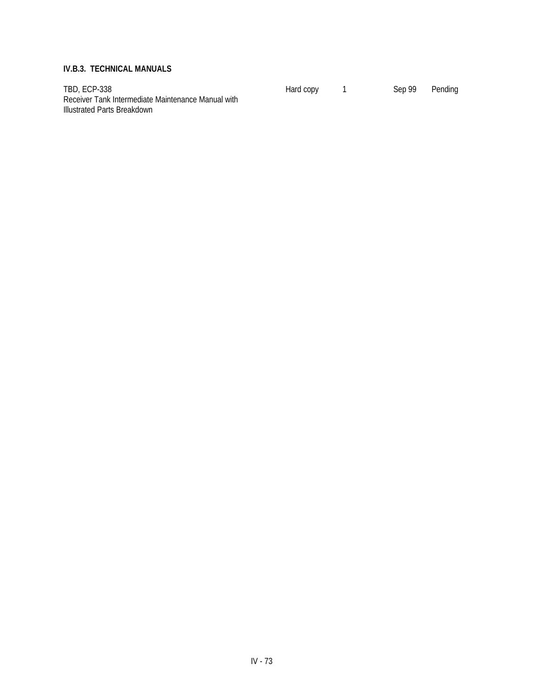TBD, ECP-338 **Hard copy** 1 Sep 99 Pending Receiver Tank Intermediate Maintenance Manual with Illustrated Parts Breakdown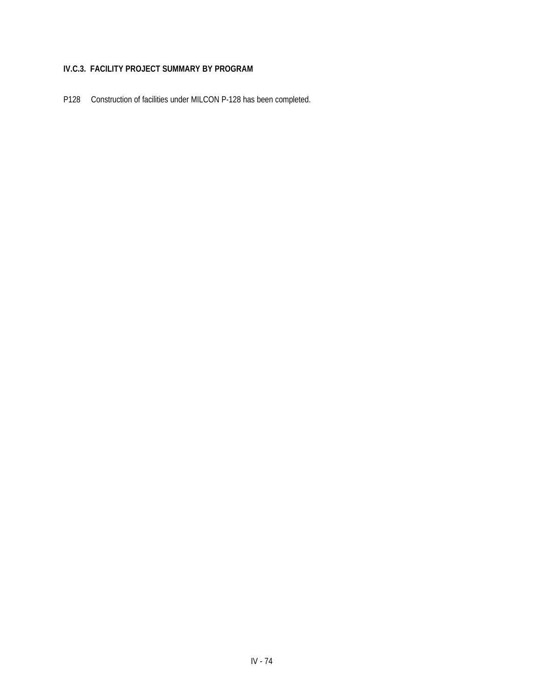## **IV.C.3. FACILITY PROJECT SUMMARY BY PROGRAM**

P128 Construction of facilities under MILCON P-128 has been completed.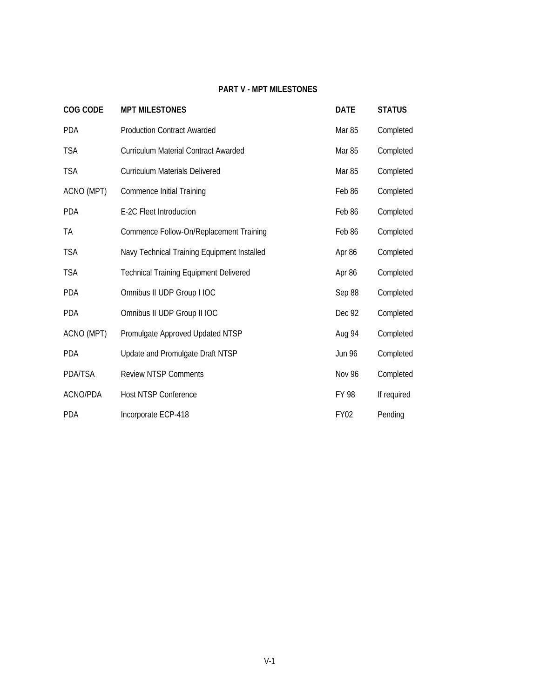## **PART V - MPT MILESTONES**

| COG CODE       | <b>MPT MILESTONES</b>                         | <b>DATE</b>   | <b>STATUS</b> |
|----------------|-----------------------------------------------|---------------|---------------|
| <b>PDA</b>     | <b>Production Contract Awarded</b>            | Mar 85        | Completed     |
| <b>TSA</b>     | Curriculum Material Contract Awarded          | Mar 85        | Completed     |
| <b>TSA</b>     | Curriculum Materials Delivered                | Mar 85        | Completed     |
| ACNO (MPT)     | <b>Commence Initial Training</b>              | Feb 86        | Completed     |
| <b>PDA</b>     | E-2C Fleet Introduction                       | Feb 86        | Completed     |
| TA             | Commence Follow-On/Replacement Training       | Feb 86        | Completed     |
| <b>TSA</b>     | Navy Technical Training Equipment Installed   | Apr 86        | Completed     |
| <b>TSA</b>     | <b>Technical Training Equipment Delivered</b> | Apr 86        | Completed     |
| <b>PDA</b>     | Omnibus II UDP Group I IOC                    | Sep 88        | Completed     |
| <b>PDA</b>     | Omnibus II UDP Group II IOC                   | Dec 92        | Completed     |
| ACNO (MPT)     | Promulgate Approved Updated NTSP              | Aug 94        | Completed     |
| <b>PDA</b>     | Update and Promulgate Draft NTSP              | <b>Jun 96</b> | Completed     |
| <b>PDA/TSA</b> | <b>Review NTSP Comments</b>                   | <b>Nov 96</b> | Completed     |
| ACNO/PDA       | <b>Host NTSP Conference</b>                   | FY 98         | If required   |
| <b>PDA</b>     | Incorporate ECP-418                           | <b>FY02</b>   | Pending       |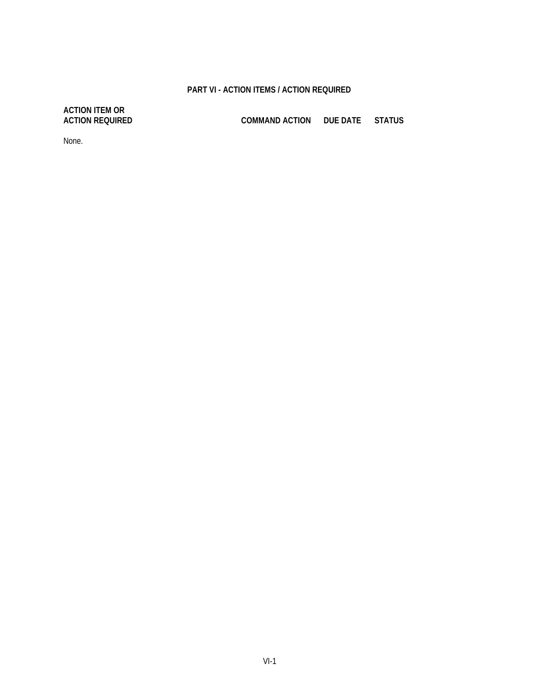## **PART VI - ACTION ITEMS / ACTION REQUIRED**

# **ACTION ITEM OR**

**ACTION REQUIRED COMMAND ACTION DUE DATE STATUS**

None.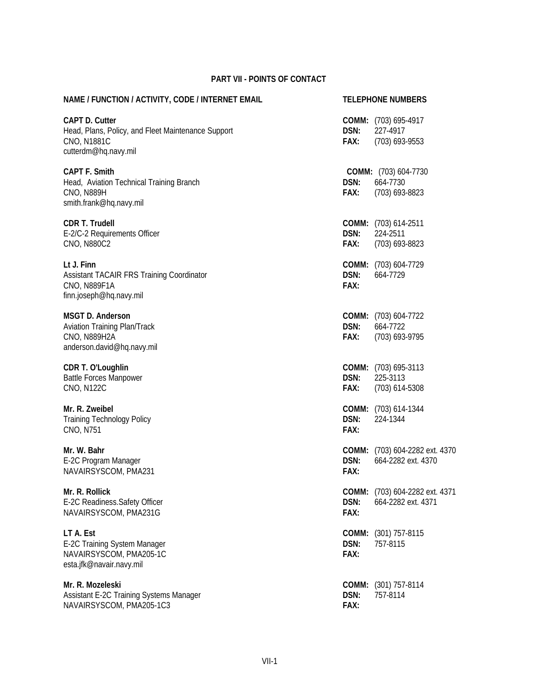## **PART VII - POINTS OF CONTACT**

| NAME / FUNCTION / ACTIVITY, CODE / INTERNET EMAIL                                                                  |                       | <b>TELEPHONE NUMBERS</b>                             |
|--------------------------------------------------------------------------------------------------------------------|-----------------------|------------------------------------------------------|
| <b>CAPT D. Cutter</b><br>Head, Plans, Policy, and Fleet Maintenance Support<br>CNO, N1881C<br>cutterdm@hq.navy.mil | DSN:<br>FAX:          | COMM: (703) 695-4917<br>227-4917<br>(703) 693-9553   |
| <b>CAPT F. Smith</b><br>Head, Aviation Technical Training Branch<br><b>CNO, N889H</b><br>smith.frank@hq.navy.mil   | DSN:<br>FAX:          | COMM: (703) 604-7730<br>664-7730<br>$(703)$ 693-8823 |
| <b>CDR T. Trudell</b><br>E-2/C-2 Requirements Officer<br><b>CNO, N880C2</b>                                        | DSN:<br>FAX:          | COMM: (703) 614-2511<br>224-2511<br>(703) 693-8823   |
| Lt J. Finn<br>Assistant TACAIR FRS Training Coordinator<br><b>CNO, N889F1A</b><br>finn.joseph@hq.navy.mil          | DSN:<br>FAX:          | COMM: (703) 604-7729<br>664-7729                     |
| <b>MSGT D. Anderson</b><br>Aviation Training Plan/Track<br><b>CNO, N889H2A</b><br>anderson.david@hq.navy.mil       | DSN:<br>FAX:          | COMM: (703) 604-7722<br>664-7722<br>(703) 693-9795   |
| CDR T. O'Loughlin<br><b>Battle Forces Manpower</b><br><b>CNO, N122C</b>                                            | DSN:<br>FAX:          | COMM: (703) 695-3113<br>225-3113<br>$(703)$ 614-5308 |
| Mr. R. Zweibel<br><b>Training Technology Policy</b><br>CNO, N751                                                   | DSN:<br>FAX:          | COMM: (703) 614-1344<br>224-1344                     |
| Mr. W. Bahr<br>E-2C Program Manager<br>NAVAIRSYSCOM, PMA231                                                        | DSN:<br>FAX:          | COMM: (703) 604-2282 ext. 4370<br>664-2282 ext. 4370 |
| Mr. R. Rollick<br>E-2C Readiness. Safety Officer<br>NAVAIRSYSCOM, PMA231G                                          | DSN:<br>FAX:          | COMM: (703) 604-2282 ext. 4371<br>664-2282 ext. 4371 |
| LT A. Est<br>E-2C Training System Manager<br>NAVAIRSYSCOM, PMA205-1C<br>esta.jfk@navair.navy.mil                   | COMM:<br>DSN:<br>FAX: | $(301)$ 757-8115<br>757-8115                         |
| Mr. R. Mozeleski<br>Assistant E-2C Training Systems Manager<br>NAVAIRSYSCOM, PMA205-1C3                            | DSN:<br>FAX:          | COMM: (301) 757-8114<br>757-8114                     |
|                                                                                                                    |                       |                                                      |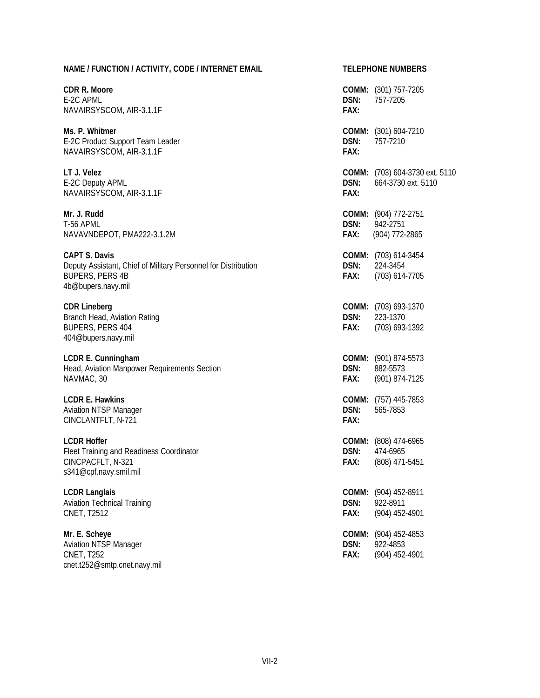| NAME / FUNCTION / ACTIVITY, CODE / INTERNET EMAIL                                                                                      |              | <b>TELEPHONE NUMBERS</b>                                    |  |  |  |
|----------------------------------------------------------------------------------------------------------------------------------------|--------------|-------------------------------------------------------------|--|--|--|
| CDR R. Moore<br>E-2C APML<br>NAVAIRSYSCOM, AIR-3.1.1F                                                                                  | DSN:<br>FAX: | <b>COMM:</b> (301) 757-7205<br>757-7205                     |  |  |  |
| Ms. P. Whitmer<br>E-2C Product Support Team Leader<br>NAVAIRSYSCOM, AIR-3.1.1F                                                         | DSN:<br>FAX: | COMM: (301) 604-7210<br>757-7210                            |  |  |  |
| LT J. Velez<br>E-2C Deputy APML<br>NAVAIRSYSCOM, AIR-3.1.1F                                                                            | DSN:<br>FAX: | <b>COMM:</b> (703) 604-3730 ext. 5110<br>664-3730 ext. 5110 |  |  |  |
| Mr. J. Rudd<br>T-56 APML<br>NAVAVNDEPOT, PMA222-3.1.2M                                                                                 | DSN:<br>FAX: | <b>COMM:</b> (904) 772-2751<br>942-2751<br>(904) 772-2865   |  |  |  |
| <b>CAPT S. Davis</b><br>Deputy Assistant, Chief of Military Personnel for Distribution<br><b>BUPERS, PERS 4B</b><br>4b@bupers.navy.mil | DSN:<br>FAX: | COMM: (703) 614-3454<br>224-3454<br>(703) 614-7705          |  |  |  |
| <b>CDR Lineberg</b><br>Branch Head, Aviation Rating<br>BUPERS, PERS 404<br>404@bupers.navy.mil                                         | DSN:<br>FAX: | COMM: (703) 693-1370<br>223-1370<br>(703) 693-1392          |  |  |  |
| LCDR E. Cunningham<br>Head, Aviation Manpower Requirements Section<br>NAVMAC, 30                                                       | DSN:<br>FAX: | COMM: (901) 874-5573<br>882-5573<br>(901) 874-7125          |  |  |  |
| <b>LCDR E. Hawkins</b><br><b>Aviation NTSP Manager</b><br>CINCLANTFLT, N-721                                                           | DSN:<br>FAX: | COMM: (757) 445-7853<br>565-7853                            |  |  |  |
| LCDR Hoffer<br>Fleet Training and Readiness Coordinator<br>CINCPACFLT, N-321<br>s341@cpf.navy.smil.mil                                 | DSN:<br>FAX: | COMM: (808) 474-6965<br>474-6965<br>$(808)$ 471-5451        |  |  |  |
| <b>LCDR Langlais</b><br><b>Aviation Technical Training</b><br>CNET, T2512                                                              | DSN:<br>FAX: | COMM: (904) 452-8911<br>922-8911<br>(904) 452-4901          |  |  |  |
| Mr. E. Scheye<br><b>Aviation NTSP Manager</b><br><b>CNET, T252</b><br>cnet.t252@smtp.cnet.navy.mil                                     | DSN:<br>FAX: | COMM: (904) 452-4853<br>922-4853<br>(904) 452-4901          |  |  |  |